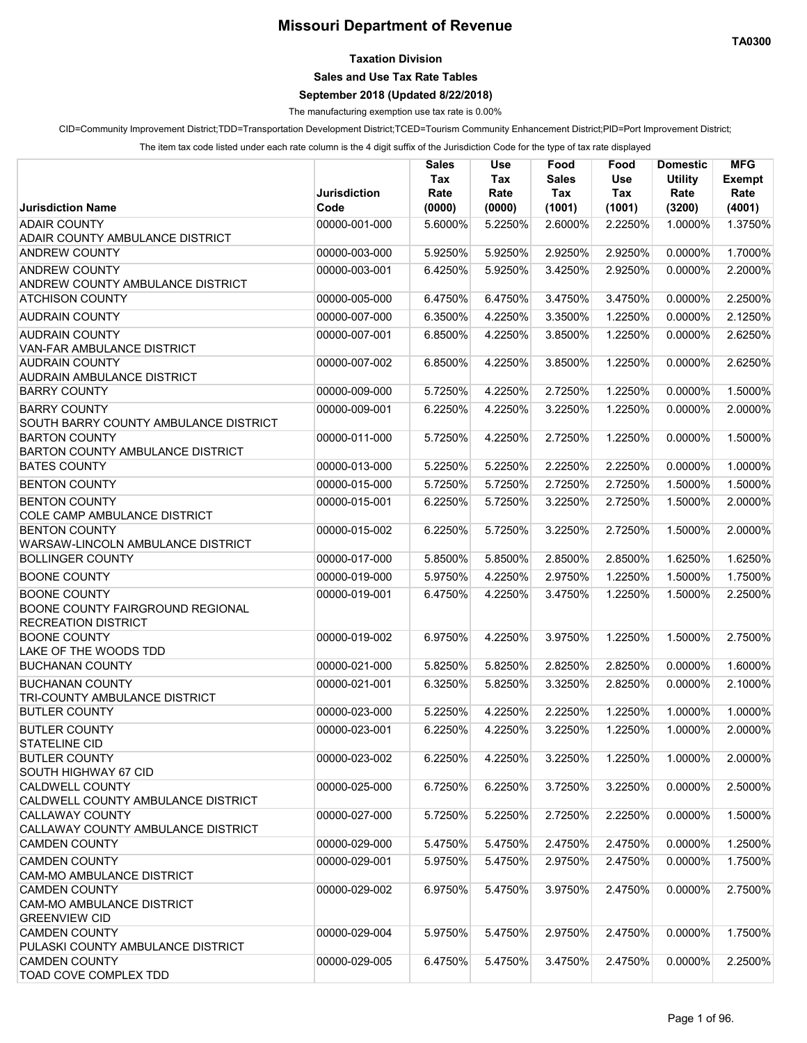## **Missouri Department of Revenue**

**Sales and Use Tax Rate Tables**

**September 2018 (Updated 8/22/2018)**

The manufacturing exemption use tax rate is 0.00%

CID=Community Improvement District;TDD=Transportation Development District;TCED=Tourism Community Enhancement District;PID=Port Improvement District;

The item tax code listed under each rate column is the 4 digit suffix of the Jurisdiction Code for the type of tax rate displayed

|                                                |                             | <b>Sales</b><br>Tax | <b>Use</b><br>Tax | Food<br><b>Sales</b> | Food<br><b>Use</b> | <b>Domestic</b><br><b>Utility</b> | <b>MFG</b><br><b>Exempt</b> |
|------------------------------------------------|-----------------------------|---------------------|-------------------|----------------------|--------------------|-----------------------------------|-----------------------------|
| <b>Jurisdiction Name</b>                       | <b>Jurisdiction</b><br>Code | Rate<br>(0000)      | Rate<br>(0000)    | Tax<br>(1001)        | Tax<br>(1001)      | Rate<br>(3200)                    | Rate<br>(4001)              |
| <b>ADAIR COUNTY</b>                            | 00000-001-000               | 5.6000%             | 5.2250%           | 2.6000%              | 2.2250%            | 1.0000%                           | 1.3750%                     |
| <b>ADAIR COUNTY AMBULANCE DISTRICT</b>         |                             |                     |                   |                      |                    |                                   |                             |
| <b>ANDREW COUNTY</b>                           | 00000-003-000               | 5.9250%             | 5.9250%           | 2.9250%              | 2.9250%            | 0.0000%                           | 1.7000%                     |
| <b>ANDREW COUNTY</b>                           | 00000-003-001               | 6.4250%             | 5.9250%           | 3.4250%              | 2.9250%            | 0.0000%                           | 2.2000%                     |
| ANDREW COUNTY AMBULANCE DISTRICT               |                             |                     |                   |                      |                    |                                   |                             |
| <b>ATCHISON COUNTY</b>                         | 00000-005-000               | 6.4750%             | 6.4750%           | 3.4750%              | 3.4750%            | 0.0000%                           | 2.2500%                     |
| <b>AUDRAIN COUNTY</b>                          | 00000-007-000               | 6.3500%             | 4.2250%           | 3.3500%              | 1.2250%            | 0.0000%                           | 2.1250%                     |
| <b>AUDRAIN COUNTY</b>                          | 00000-007-001               | 6.8500%             | 4.2250%           | 3.8500%              | 1.2250%            | 0.0000%                           | 2.6250%                     |
| <b>VAN-FAR AMBULANCE DISTRICT</b>              |                             |                     |                   |                      |                    |                                   |                             |
| <b>AUDRAIN COUNTY</b>                          | 00000-007-002               | 6.8500%             | 4.2250%           | 3.8500%              | 1.2250%            | 0.0000%                           | 2.6250%                     |
| <b>AUDRAIN AMBULANCE DISTRICT</b>              |                             |                     |                   |                      |                    |                                   |                             |
| <b>BARRY COUNTY</b>                            | 00000-009-000               | 5.7250%             | 4.2250%           | 2.7250%              | 1.2250%            | 0.0000%                           | 1.5000%                     |
| <b>BARRY COUNTY</b>                            | 00000-009-001               | 6.2250%             | 4.2250%           | 3.2250%              | 1.2250%            | 0.0000%                           | 2.0000%                     |
| SOUTH BARRY COUNTY AMBULANCE DISTRICT          |                             |                     |                   |                      |                    |                                   |                             |
| <b>BARTON COUNTY</b>                           | 00000-011-000               | 5.7250%             | 4.2250%           | 2.7250%              | 1.2250%            | 0.0000%                           | 1.5000%                     |
| BARTON COUNTY AMBULANCE DISTRICT               |                             |                     |                   |                      |                    |                                   |                             |
| <b>BATES COUNTY</b>                            | 00000-013-000               | 5.2250%             | 5.2250%           | 2.2250%              | 2.2250%            | 0.0000%                           | 1.0000%                     |
| <b>BENTON COUNTY</b>                           | 00000-015-000               | 5.7250%             | 5.7250%           | 2.7250%              | 2.7250%            | 1.5000%                           | 1.5000%                     |
| <b>BENTON COUNTY</b>                           | 00000-015-001               | 6.2250%             | 5.7250%           | 3.2250%              | 2.7250%            | 1.5000%                           | 2.0000%                     |
| COLE CAMP AMBULANCE DISTRICT                   |                             |                     |                   |                      |                    |                                   |                             |
| <b>BENTON COUNTY</b>                           | 00000-015-002               | 6.2250%             | 5.7250%           | 3.2250%              | 2.7250%            | 1.5000%                           | 2.0000%                     |
| WARSAW-LINCOLN AMBULANCE DISTRICT              |                             |                     |                   |                      |                    |                                   |                             |
| <b>BOLLINGER COUNTY</b>                        | 00000-017-000               | 5.8500%             | 5.8500%           | 2.8500%              | 2.8500%            | 1.6250%                           | 1.6250%                     |
| <b>BOONE COUNTY</b>                            | 00000-019-000               | 5.9750%             | 4.2250%           | 2.9750%              | 1.2250%            | 1.5000%                           | 1.7500%                     |
| <b>BOONE COUNTY</b>                            | 00000-019-001               | 6.4750%             | 4.2250%           | 3.4750%              | 1.2250%            | 1.5000%                           | 2.2500%                     |
| BOONE COUNTY FAIRGROUND REGIONAL               |                             |                     |                   |                      |                    |                                   |                             |
| <b>RECREATION DISTRICT</b>                     |                             |                     |                   |                      |                    |                                   |                             |
| <b>BOONE COUNTY</b>                            | 00000-019-002               | 6.9750%             | 4.2250%           | 3.9750%              | 1.2250%            | 1.5000%                           | 2.7500%                     |
| LAKE OF THE WOODS TDD                          |                             |                     |                   |                      |                    |                                   |                             |
| <b>BUCHANAN COUNTY</b>                         | 00000-021-000               | 5.8250%             | 5.8250%           | 2.8250%              | 2.8250%            | 0.0000%                           | 1.6000%                     |
| <b>BUCHANAN COUNTY</b>                         | 00000-021-001               | 6.3250%             | 5.8250%           | 3.3250%              | 2.8250%            | 0.0000%                           | 2.1000%                     |
| TRI-COUNTY AMBULANCE DISTRICT                  |                             |                     |                   |                      |                    |                                   |                             |
| <b>BUTLER COUNTY</b>                           | 00000-023-000               | 5.2250%             | 4.2250%           | 2.2250%              | 1.2250%            | 1.0000%                           | 1.0000%                     |
| <b>BUTLER COUNTY</b>                           | 00000-023-001               | 6.2250%             | 4.2250%           | 3.2250%              | 1.2250%            | 1.0000%                           | 2.0000%                     |
| <b>STATELINE CID</b>                           |                             |                     |                   |                      |                    |                                   |                             |
| <b>BUTLER COUNTY</b>                           | 00000-023-002               | 6.2250%             | 4.2250%           | 3.2250%              | 1.2250%            | 1.0000%                           | 2.0000%                     |
| SOUTH HIGHWAY 67 CID<br><b>CALDWELL COUNTY</b> | 00000-025-000               | 6.7250%             | 6.2250%           | 3.7250%              | 3.2250%            | 0.0000%                           | 2.5000%                     |
| CALDWELL COUNTY AMBULANCE DISTRICT             |                             |                     |                   |                      |                    |                                   |                             |
| <b>CALLAWAY COUNTY</b>                         | 00000-027-000               | 5.7250%             | 5.2250%           | 2.7250%              | 2.2250%            | 0.0000%                           | 1.5000%                     |
| CALLAWAY COUNTY AMBULANCE DISTRICT             |                             |                     |                   |                      |                    |                                   |                             |
| <b>CAMDEN COUNTY</b>                           | 00000-029-000               | 5.4750%             | 5.4750%           | 2.4750%              | 2.4750%            | 0.0000%                           | 1.2500%                     |
| <b>CAMDEN COUNTY</b>                           | 00000-029-001               | 5.9750%             | 5.4750%           | 2.9750%              | 2.4750%            | 0.0000%                           | 1.7500%                     |
| <b>CAM-MO AMBULANCE DISTRICT</b>               |                             |                     |                   |                      |                    |                                   |                             |
| <b>CAMDEN COUNTY</b>                           | 00000-029-002               | 6.9750%             | 5.4750%           | 3.9750%              | 2.4750%            | 0.0000%                           | 2.7500%                     |
| <b>CAM-MO AMBULANCE DISTRICT</b>               |                             |                     |                   |                      |                    |                                   |                             |
| <b>GREENVIEW CID</b>                           |                             |                     |                   |                      |                    |                                   |                             |
| <b>CAMDEN COUNTY</b>                           | 00000-029-004               | 5.9750%             | 5.4750%           | 2.9750%              | 2.4750%            | 0.0000%                           | 1.7500%                     |
| PULASKI COUNTY AMBULANCE DISTRICT              |                             |                     |                   |                      |                    |                                   |                             |
| <b>CAMDEN COUNTY</b>                           | 00000-029-005               | 6.4750%             | 5.4750%           | 3.4750%              | 2.4750%            | 0.0000%                           | 2.2500%                     |
| TOAD COVE COMPLEX TDD                          |                             |                     |                   |                      |                    |                                   |                             |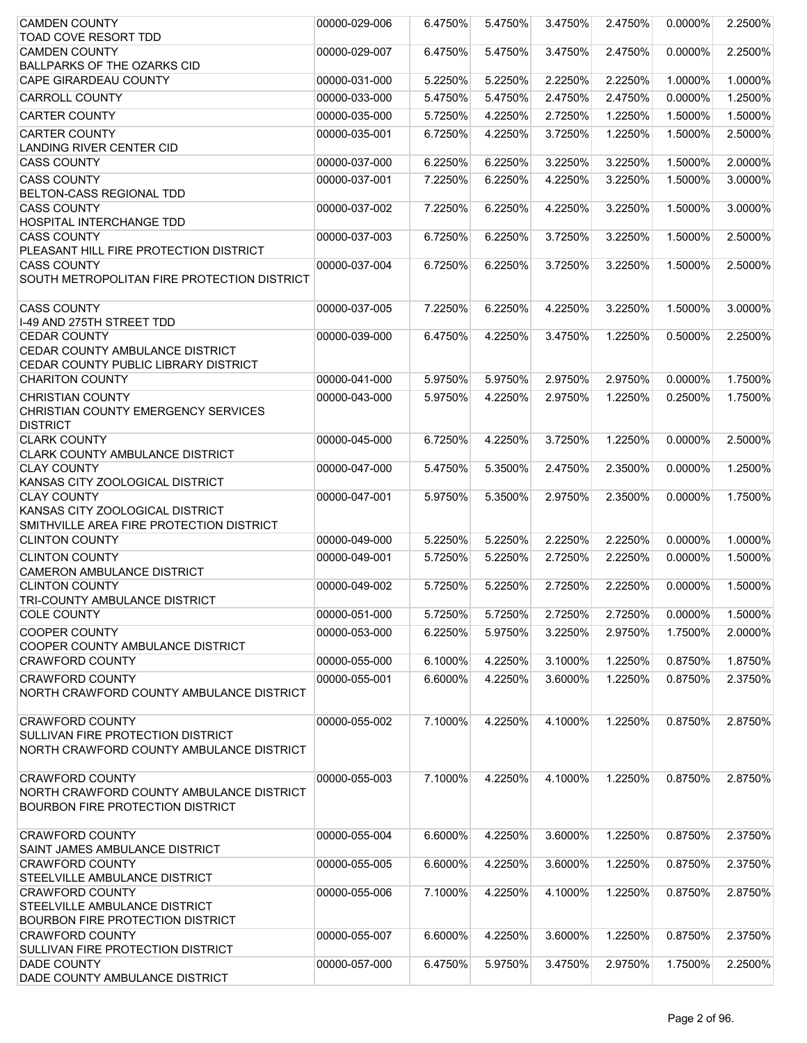| <b>CAMDEN COUNTY</b>                                               | 00000-029-006 | 6.4750% | 5.4750% | 3.4750% | 2.4750% | 0.0000% | 2.2500% |
|--------------------------------------------------------------------|---------------|---------|---------|---------|---------|---------|---------|
| TOAD COVE RESORT TDD                                               |               |         |         |         |         |         |         |
| <b>CAMDEN COUNTY</b><br><b>BALLPARKS OF THE OZARKS CID</b>         | 00000-029-007 | 6.4750% | 5.4750% | 3.4750% | 2.4750% | 0.0000% | 2.2500% |
| <b>CAPE GIRARDEAU COUNTY</b>                                       | 00000-031-000 | 5.2250% | 5.2250% | 2.2250% | 2.2250% | 1.0000% | 1.0000% |
| <b>CARROLL COUNTY</b>                                              | 00000-033-000 | 5.4750% | 5.4750% | 2.4750% | 2.4750% | 0.0000% | 1.2500% |
| <b>CARTER COUNTY</b>                                               | 00000-035-000 | 5.7250% | 4.2250% | 2.7250% | 1.2250% | 1.5000% | 1.5000% |
| <b>CARTER COUNTY</b>                                               | 00000-035-001 | 6.7250% | 4.2250% | 3.7250% | 1.2250% | 1.5000% | 2.5000% |
| <b>LANDING RIVER CENTER CID</b>                                    |               |         |         |         |         |         |         |
| <b>CASS COUNTY</b>                                                 | 00000-037-000 | 6.2250% | 6.2250% | 3.2250% | 3.2250% | 1.5000% | 2.0000% |
| <b>CASS COUNTY</b>                                                 | 00000-037-001 | 7.2250% | 6.2250% | 4.2250% | 3.2250% | 1.5000% | 3.0000% |
| BELTON-CASS REGIONAL TDD                                           |               |         |         |         |         |         |         |
| <b>CASS COUNTY</b>                                                 | 00000-037-002 | 7.2250% | 6.2250% | 4.2250% | 3.2250% | 1.5000% | 3.0000% |
| HOSPITAL INTERCHANGE TDD<br><b>CASS COUNTY</b>                     | 00000-037-003 | 6.7250% | 6.2250% | 3.7250% | 3.2250% | 1.5000% | 2.5000% |
| PLEASANT HILL FIRE PROTECTION DISTRICT                             |               |         |         |         |         |         |         |
| <b>CASS COUNTY</b>                                                 | 00000-037-004 | 6.7250% | 6.2250% | 3.7250% | 3.2250% | 1.5000% | 2.5000% |
| SOUTH METROPOLITAN FIRE PROTECTION DISTRICT                        |               |         |         |         |         |         |         |
| <b>CASS COUNTY</b>                                                 | 00000-037-005 | 7.2250% | 6.2250% | 4.2250% | 3.2250% | 1.5000% | 3.0000% |
| I-49 AND 275TH STREET TDD                                          |               |         |         |         |         |         |         |
| <b>CEDAR COUNTY</b>                                                | 00000-039-000 | 6.4750% | 4.2250% | 3.4750% | 1.2250% | 0.5000% | 2.2500% |
| CEDAR COUNTY AMBULANCE DISTRICT                                    |               |         |         |         |         |         |         |
| CEDAR COUNTY PUBLIC LIBRARY DISTRICT<br><b>CHARITON COUNTY</b>     | 00000-041-000 | 5.9750% | 5.9750% | 2.9750% | 2.9750% | 0.0000% | 1.7500% |
|                                                                    |               |         |         |         |         |         |         |
| <b>CHRISTIAN COUNTY</b><br>CHRISTIAN COUNTY EMERGENCY SERVICES     | 00000-043-000 | 5.9750% | 4.2250% | 2.9750% | 1.2250% | 0.2500% | 1.7500% |
| <b>DISTRICT</b>                                                    |               |         |         |         |         |         |         |
| <b>CLARK COUNTY</b>                                                | 00000-045-000 | 6.7250% | 4.2250% | 3.7250% | 1.2250% | 0.0000% | 2.5000% |
| <b>CLARK COUNTY AMBULANCE DISTRICT</b>                             |               |         |         |         |         |         |         |
| <b>CLAY COUNTY</b><br>KANSAS CITY ZOOLOGICAL DISTRICT              | 00000-047-000 | 5.4750% | 5.3500% | 2.4750% | 2.3500% | 0.0000% | 1.2500% |
| <b>CLAY COUNTY</b>                                                 | 00000-047-001 | 5.9750% | 5.3500% | 2.9750% | 2.3500% | 0.0000% | 1.7500% |
| KANSAS CITY ZOOLOGICAL DISTRICT                                    |               |         |         |         |         |         |         |
| SMITHVILLE AREA FIRE PROTECTION DISTRICT                           |               |         |         |         |         |         |         |
| <b>CLINTON COUNTY</b>                                              | 00000-049-000 | 5.2250% | 5.2250% | 2.2250% | 2.2250% | 0.0000% | 1.0000% |
| <b>CLINTON COUNTY</b><br><b>CAMERON AMBULANCE DISTRICT</b>         | 00000-049-001 | 5.7250% | 5.2250% | 2.7250% | 2.2250% | 0.0000% | 1.5000% |
| <b>CLINTON COUNTY</b>                                              | 00000-049-002 | 5.7250% | 5.2250% | 2.7250% | 2.2250% | 0.0000% | 1.5000% |
| TRI-COUNTY AMBULANCE DISTRICT                                      |               |         |         |         |         |         |         |
| <b>COLE COUNTY</b>                                                 | 00000-051-000 | 5.7250% | 5.7250% | 2.7250% | 2.7250% | 0.0000% | 1.5000% |
| <b>COOPER COUNTY</b>                                               | 00000-053-000 | 6.2250% | 5.9750% | 3.2250% | 2.9750% | 1.7500% | 2.0000% |
| COOPER COUNTY AMBULANCE DISTRICT                                   |               |         |         |         |         |         |         |
| <b>CRAWFORD COUNTY</b>                                             | 00000-055-000 | 6.1000% | 4.2250% | 3.1000% | 1.2250% | 0.8750% | 1.8750% |
| <b>CRAWFORD COUNTY</b><br>NORTH CRAWFORD COUNTY AMBULANCE DISTRICT | 00000-055-001 | 6.6000% | 4.2250% | 3.6000% | 1.2250% | 0.8750% | 2.3750% |
|                                                                    |               |         |         |         |         |         |         |
| <b>CRAWFORD COUNTY</b>                                             | 00000-055-002 | 7.1000% | 4.2250% | 4.1000% | 1.2250% | 0.8750% | 2.8750% |
| SULLIVAN FIRE PROTECTION DISTRICT                                  |               |         |         |         |         |         |         |
| NORTH CRAWFORD COUNTY AMBULANCE DISTRICT                           |               |         |         |         |         |         |         |
| <b>CRAWFORD COUNTY</b>                                             | 00000-055-003 | 7.1000% | 4.2250% | 4.1000% | 1.2250% | 0.8750% | 2.8750% |
| NORTH CRAWFORD COUNTY AMBULANCE DISTRICT                           |               |         |         |         |         |         |         |
| <b>BOURBON FIRE PROTECTION DISTRICT</b>                            |               |         |         |         |         |         |         |
|                                                                    |               |         |         |         |         |         |         |
| <b>CRAWFORD COUNTY</b>                                             | 00000-055-004 | 6.6000% | 4.2250% | 3.6000% | 1.2250% | 0.8750% | 2.3750% |
| SAINT JAMES AMBULANCE DISTRICT<br><b>CRAWFORD COUNTY</b>           | 00000-055-005 | 6.6000% | 4.2250% | 3.6000% | 1.2250% | 0.8750% | 2.3750% |
| STEELVILLE AMBULANCE DISTRICT                                      |               |         |         |         |         |         |         |
| <b>CRAWFORD COUNTY</b>                                             | 00000-055-006 | 7.1000% | 4.2250% | 4.1000% | 1.2250% | 0.8750% | 2.8750% |
| <b>STEELVILLE AMBULANCE DISTRICT</b>                               |               |         |         |         |         |         |         |
| <b>BOURBON FIRE PROTECTION DISTRICT</b><br><b>CRAWFORD COUNTY</b>  | 00000-055-007 | 6.6000% | 4.2250% | 3.6000% | 1.2250% | 0.8750% | 2.3750% |
| <b>SULLIVAN FIRE PROTECTION DISTRICT</b>                           |               |         |         |         |         |         |         |
| <b>DADE COUNTY</b>                                                 | 00000-057-000 | 6.4750% | 5.9750% | 3.4750% | 2.9750% | 1.7500% | 2.2500% |
| DADE COUNTY AMBULANCE DISTRICT                                     |               |         |         |         |         |         |         |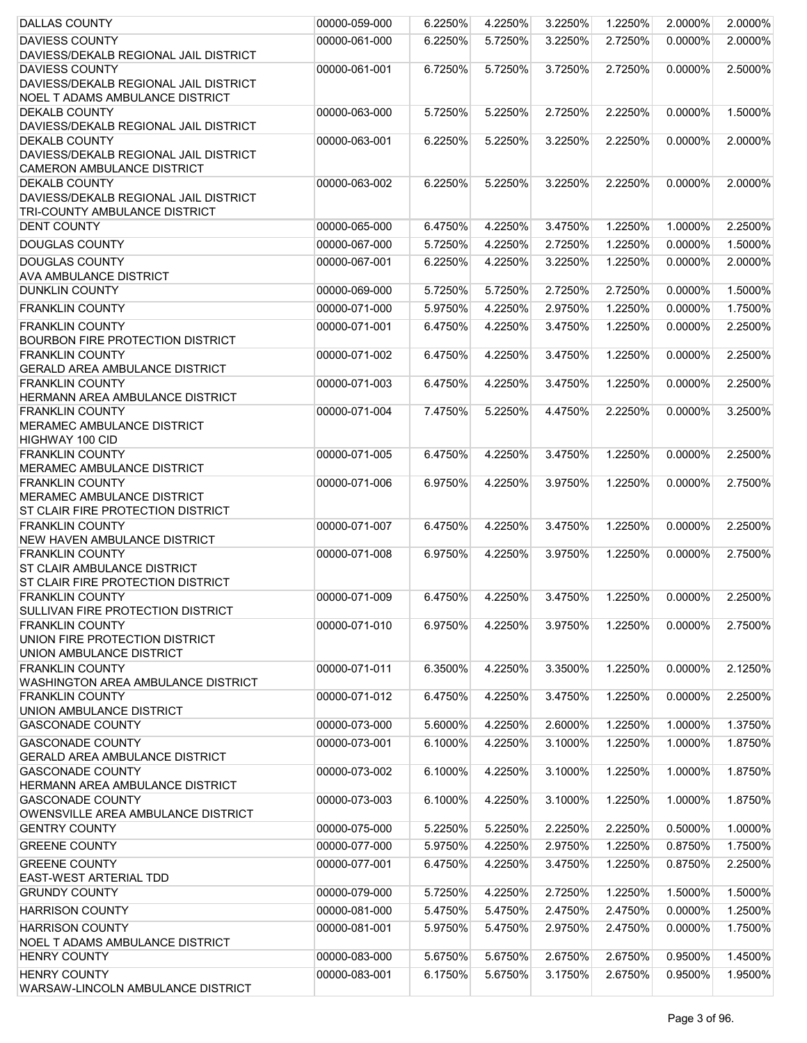| <b>DAVIESS COUNTY</b><br>00000-061-000<br>6.2250%<br>5.7250%<br>3.2250%<br>2.7250%<br>0.0000%<br>2.0000%<br>DAVIESS/DEKALB REGIONAL JAIL DISTRICT<br>2.5000%<br><b>DAVIESS COUNTY</b><br>00000-061-001<br>6.7250%<br>5.7250%<br>3.7250%<br>2.7250%<br>0.0000%<br>DAVIESS/DEKALB REGIONAL JAIL DISTRICT<br>NOEL T ADAMS AMBULANCE DISTRICT<br><b>DEKALB COUNTY</b><br>00000-063-000<br>5.7250%<br>5.2250%<br>2.7250%<br>2.2250%<br>0.0000%<br>1.5000%<br>DAVIESS/DEKALB REGIONAL JAIL DISTRICT<br>2.0000%<br><b>DEKALB COUNTY</b><br>00000-063-001<br>6.2250%<br>5.2250%<br>3.2250%<br>2.2250%<br>0.0000%<br>DAVIESS/DEKALB REGIONAL JAIL DISTRICT<br><b>CAMERON AMBULANCE DISTRICT</b><br><b>DEKALB COUNTY</b><br>00000-063-002<br>6.2250%<br>5.2250%<br>3.2250%<br>2.2250%<br>0.0000%<br>2.0000%<br>DAVIESS/DEKALB REGIONAL JAIL DISTRICT<br>TRI-COUNTY AMBULANCE DISTRICT<br><b>DENT COUNTY</b><br>00000-065-000<br>6.4750%<br>4.2250%<br>3.4750%<br>1.2250%<br>1.0000%<br>2.2500%<br>0.0000%<br>1.5000%<br><b>DOUGLAS COUNTY</b><br>00000-067-000<br>5.7250%<br>4.2250%<br>2.7250%<br>1.2250%<br><b>DOUGLAS COUNTY</b><br>00000-067-001<br>6.2250%<br>4.2250%<br>3.2250%<br>1.2250%<br>0.0000%<br>2.0000%<br><b>AVA AMBULANCE DISTRICT</b><br>1.5000%<br><b>DUNKLIN COUNTY</b><br>00000-069-000<br>5.7250%<br>5.7250%<br>2.7250%<br>2.7250%<br>0.0000%<br><b>FRANKLIN COUNTY</b><br>5.9750%<br>4.2250%<br>2.9750%<br>1.2250%<br>0.0000%<br>1.7500%<br>00000-071-000<br><b>FRANKLIN COUNTY</b><br>00000-071-001<br>6.4750%<br>4.2250%<br>3.4750%<br>1.2250%<br>0.0000%<br>2.2500%<br><b>BOURBON FIRE PROTECTION DISTRICT</b><br>2.2500%<br><b>FRANKLIN COUNTY</b><br>00000-071-002<br>6.4750%<br>4.2250%<br>3.4750%<br>1.2250%<br>0.0000%<br><b>GERALD AREA AMBULANCE DISTRICT</b><br><b>FRANKLIN COUNTY</b><br>00000-071-003<br>6.4750%<br>4.2250%<br>3.4750%<br>1.2250%<br>0.0000%<br>2.2500%<br>HERMANN AREA AMBULANCE DISTRICT<br><b>FRANKLIN COUNTY</b><br>00000-071-004<br>7.4750%<br>5.2250%<br>4.4750%<br>2.2250%<br>0.0000%<br>3.2500%<br>MERAMEC AMBULANCE DISTRICT<br><b>HIGHWAY 100 CID</b><br><b>FRANKLIN COUNTY</b><br>00000-071-005<br>6.4750%<br>4.2250%<br>3.4750%<br>1.2250%<br>0.0000%<br>2.2500%<br>MERAMEC AMBULANCE DISTRICT<br><b>FRANKLIN COUNTY</b><br>00000-071-006<br>6.9750%<br>4.2250%<br>3.9750%<br>1.2250%<br>0.0000%<br>2.7500%<br>MERAMEC AMBULANCE DISTRICT<br>ST CLAIR FIRE PROTECTION DISTRICT<br><b>FRANKLIN COUNTY</b><br>00000-071-007<br>4.2250%<br>3.4750%<br>1.2250%<br>0.0000%<br>2.2500%<br>6.4750%<br><b>NEW HAVEN AMBULANCE DISTRICT</b><br><b>FRANKLIN COUNTY</b><br>00000-071-008<br>4.2250%<br>3.9750%<br>1.2250%<br>0.0000%<br>2.7500%<br>6.9750%<br>ST CLAIR AMBULANCE DISTRICT<br>ST CLAIR FIRE PROTECTION DISTRICT<br><b>FRANKLIN COUNTY</b><br>00000-071-009<br>6.4750%<br>4.2250%<br>3.4750%<br>1.2250%<br>0.0000%<br>2.2500%<br>SULLIVAN FIRE PROTECTION DISTRICT<br><b>FRANKLIN COUNTY</b><br>00000-071-010<br>6.9750%<br>4.2250%<br>3.9750%<br>1.2250%<br>0.0000%<br>2.7500%<br>UNION FIRE PROTECTION DISTRICT<br>UNION AMBULANCE DISTRICT<br><b>FRANKLIN COUNTY</b><br>00000-071-011<br>6.3500%<br>4.2250%<br>3.3500%<br>1.2250%<br>0.0000%<br>2.1250%<br><b>WASHINGTON AREA AMBULANCE DISTRICT</b><br><b>FRANKLIN COUNTY</b><br>00000-071-012<br>6.4750%<br>4.2250%<br>3.4750%<br>1.2250%<br>0.0000%<br>2.2500%<br>UNION AMBULANCE DISTRICT<br>1.3750%<br><b>GASCONADE COUNTY</b><br>00000-073-000<br>5.6000%<br>4.2250%<br>2.6000%<br>1.2250%<br>1.0000%<br><b>GASCONADE COUNTY</b><br>3.1000%<br>1.8750%<br>00000-073-001<br>6.1000%<br>4.2250%<br>1.2250%<br>1.0000%<br><b>GERALD AREA AMBULANCE DISTRICT</b><br><b>GASCONADE COUNTY</b><br>00000-073-002<br>6.1000%<br>4.2250%<br>3.1000%<br>1.2250%<br>1.0000%<br>1.8750%<br>HERMANN AREA AMBULANCE DISTRICT<br><b>GASCONADE COUNTY</b><br>00000-073-003<br>6.1000%<br>4.2250%<br>3.1000%<br>1.2250%<br>1.0000%<br>1.8750%<br>OWENSVILLE AREA AMBULANCE DISTRICT<br>1.0000%<br><b>GENTRY COUNTY</b><br>00000-075-000<br>5.2250%<br>5.2250%<br>2.2250%<br>2.2250%<br>0.5000%<br><b>GREENE COUNTY</b><br>00000-077-000<br>5.9750%<br>4.2250%<br>2.9750%<br>1.2250%<br>0.8750%<br>1.7500%<br><b>GREENE COUNTY</b><br>00000-077-001<br>4.2250%<br>3.4750%<br>1.2250%<br>0.8750%<br>2.2500%<br>6.4750%<br><b>EAST-WEST ARTERIAL TDD</b><br><b>GRUNDY COUNTY</b><br>00000-079-000<br>5.7250%<br>4.2250%<br>2.7250%<br>1.2250%<br>1.5000%<br>1.5000%<br><b>HARRISON COUNTY</b><br>00000-081-000<br>5.4750%<br>5.4750%<br>2.4750%<br>2.4750%<br>0.0000%<br>1.2500%<br><b>HARRISON COUNTY</b><br>00000-081-001<br>5.9750%<br>5.4750%<br>2.9750%<br>2.4750%<br>0.0000%<br>1.7500%<br><b>NOEL T ADAMS AMBULANCE DISTRICT</b><br>5.6750%<br>1.4500%<br><b>HENRY COUNTY</b><br>5.6750%<br>2.6750%<br>2.6750%<br>0.9500%<br>00000-083-000<br>1.9500%<br><b>HENRY COUNTY</b><br>00000-083-001<br>6.1750%<br>5.6750%<br>3.1750%<br>2.6750%<br>0.9500% | <b>DALLAS COUNTY</b>              | 00000-059-000 | 6.2250% | 4.2250% | 3.2250% | 1.2250% | 2.0000% | 2.0000% |
|----------------------------------------------------------------------------------------------------------------------------------------------------------------------------------------------------------------------------------------------------------------------------------------------------------------------------------------------------------------------------------------------------------------------------------------------------------------------------------------------------------------------------------------------------------------------------------------------------------------------------------------------------------------------------------------------------------------------------------------------------------------------------------------------------------------------------------------------------------------------------------------------------------------------------------------------------------------------------------------------------------------------------------------------------------------------------------------------------------------------------------------------------------------------------------------------------------------------------------------------------------------------------------------------------------------------------------------------------------------------------------------------------------------------------------------------------------------------------------------------------------------------------------------------------------------------------------------------------------------------------------------------------------------------------------------------------------------------------------------------------------------------------------------------------------------------------------------------------------------------------------------------------------------------------------------------------------------------------------------------------------------------------------------------------------------------------------------------------------------------------------------------------------------------------------------------------------------------------------------------------------------------------------------------------------------------------------------------------------------------------------------------------------------------------------------------------------------------------------------------------------------------------------------------------------------------------------------------------------------------------------------------------------------------------------------------------------------------------------------------------------------------------------------------------------------------------------------------------------------------------------------------------------------------------------------------------------------------------------------------------------------------------------------------------------------------------------------------------------------------------------------------------------------------------------------------------------------------------------------------------------------------------------------------------------------------------------------------------------------------------------------------------------------------------------------------------------------------------------------------------------------------------------------------------------------------------------------------------------------------------------------------------------------------------------------------------------------------------------------------------------------------------------------------------------------------------------------------------------------------------------------------------------------------------------------------------------------------------------------------------------------------------------------------------------------------------------------------------------------------------------------------------------------------------------------------------------------------------------------------------------------------------------------------------------------------------------------------------------------------------------------------------------------------------------------------------------------------------------------------------------------------------------------------------------------------------------------------------------------------------------------------------------------------------------------------------------------------------------------------------------------------------------------------------------------------------------------------------------------------------------------------------------------------------------------------------------|-----------------------------------|---------------|---------|---------|---------|---------|---------|---------|
|                                                                                                                                                                                                                                                                                                                                                                                                                                                                                                                                                                                                                                                                                                                                                                                                                                                                                                                                                                                                                                                                                                                                                                                                                                                                                                                                                                                                                                                                                                                                                                                                                                                                                                                                                                                                                                                                                                                                                                                                                                                                                                                                                                                                                                                                                                                                                                                                                                                                                                                                                                                                                                                                                                                                                                                                                                                                                                                                                                                                                                                                                                                                                                                                                                                                                                                                                                                                                                                                                                                                                                                                                                                                                                                                                                                                                                                                                                                                                                                                                                                                                                                                                                                                                                                                                                                                                                                                                                                                                                                                                                                                                                                                                                                                                                                                                                                                                                                                                          |                                   |               |         |         |         |         |         |         |
|                                                                                                                                                                                                                                                                                                                                                                                                                                                                                                                                                                                                                                                                                                                                                                                                                                                                                                                                                                                                                                                                                                                                                                                                                                                                                                                                                                                                                                                                                                                                                                                                                                                                                                                                                                                                                                                                                                                                                                                                                                                                                                                                                                                                                                                                                                                                                                                                                                                                                                                                                                                                                                                                                                                                                                                                                                                                                                                                                                                                                                                                                                                                                                                                                                                                                                                                                                                                                                                                                                                                                                                                                                                                                                                                                                                                                                                                                                                                                                                                                                                                                                                                                                                                                                                                                                                                                                                                                                                                                                                                                                                                                                                                                                                                                                                                                                                                                                                                                          |                                   |               |         |         |         |         |         |         |
|                                                                                                                                                                                                                                                                                                                                                                                                                                                                                                                                                                                                                                                                                                                                                                                                                                                                                                                                                                                                                                                                                                                                                                                                                                                                                                                                                                                                                                                                                                                                                                                                                                                                                                                                                                                                                                                                                                                                                                                                                                                                                                                                                                                                                                                                                                                                                                                                                                                                                                                                                                                                                                                                                                                                                                                                                                                                                                                                                                                                                                                                                                                                                                                                                                                                                                                                                                                                                                                                                                                                                                                                                                                                                                                                                                                                                                                                                                                                                                                                                                                                                                                                                                                                                                                                                                                                                                                                                                                                                                                                                                                                                                                                                                                                                                                                                                                                                                                                                          |                                   |               |         |         |         |         |         |         |
|                                                                                                                                                                                                                                                                                                                                                                                                                                                                                                                                                                                                                                                                                                                                                                                                                                                                                                                                                                                                                                                                                                                                                                                                                                                                                                                                                                                                                                                                                                                                                                                                                                                                                                                                                                                                                                                                                                                                                                                                                                                                                                                                                                                                                                                                                                                                                                                                                                                                                                                                                                                                                                                                                                                                                                                                                                                                                                                                                                                                                                                                                                                                                                                                                                                                                                                                                                                                                                                                                                                                                                                                                                                                                                                                                                                                                                                                                                                                                                                                                                                                                                                                                                                                                                                                                                                                                                                                                                                                                                                                                                                                                                                                                                                                                                                                                                                                                                                                                          |                                   |               |         |         |         |         |         |         |
|                                                                                                                                                                                                                                                                                                                                                                                                                                                                                                                                                                                                                                                                                                                                                                                                                                                                                                                                                                                                                                                                                                                                                                                                                                                                                                                                                                                                                                                                                                                                                                                                                                                                                                                                                                                                                                                                                                                                                                                                                                                                                                                                                                                                                                                                                                                                                                                                                                                                                                                                                                                                                                                                                                                                                                                                                                                                                                                                                                                                                                                                                                                                                                                                                                                                                                                                                                                                                                                                                                                                                                                                                                                                                                                                                                                                                                                                                                                                                                                                                                                                                                                                                                                                                                                                                                                                                                                                                                                                                                                                                                                                                                                                                                                                                                                                                                                                                                                                                          |                                   |               |         |         |         |         |         |         |
|                                                                                                                                                                                                                                                                                                                                                                                                                                                                                                                                                                                                                                                                                                                                                                                                                                                                                                                                                                                                                                                                                                                                                                                                                                                                                                                                                                                                                                                                                                                                                                                                                                                                                                                                                                                                                                                                                                                                                                                                                                                                                                                                                                                                                                                                                                                                                                                                                                                                                                                                                                                                                                                                                                                                                                                                                                                                                                                                                                                                                                                                                                                                                                                                                                                                                                                                                                                                                                                                                                                                                                                                                                                                                                                                                                                                                                                                                                                                                                                                                                                                                                                                                                                                                                                                                                                                                                                                                                                                                                                                                                                                                                                                                                                                                                                                                                                                                                                                                          |                                   |               |         |         |         |         |         |         |
|                                                                                                                                                                                                                                                                                                                                                                                                                                                                                                                                                                                                                                                                                                                                                                                                                                                                                                                                                                                                                                                                                                                                                                                                                                                                                                                                                                                                                                                                                                                                                                                                                                                                                                                                                                                                                                                                                                                                                                                                                                                                                                                                                                                                                                                                                                                                                                                                                                                                                                                                                                                                                                                                                                                                                                                                                                                                                                                                                                                                                                                                                                                                                                                                                                                                                                                                                                                                                                                                                                                                                                                                                                                                                                                                                                                                                                                                                                                                                                                                                                                                                                                                                                                                                                                                                                                                                                                                                                                                                                                                                                                                                                                                                                                                                                                                                                                                                                                                                          |                                   |               |         |         |         |         |         |         |
|                                                                                                                                                                                                                                                                                                                                                                                                                                                                                                                                                                                                                                                                                                                                                                                                                                                                                                                                                                                                                                                                                                                                                                                                                                                                                                                                                                                                                                                                                                                                                                                                                                                                                                                                                                                                                                                                                                                                                                                                                                                                                                                                                                                                                                                                                                                                                                                                                                                                                                                                                                                                                                                                                                                                                                                                                                                                                                                                                                                                                                                                                                                                                                                                                                                                                                                                                                                                                                                                                                                                                                                                                                                                                                                                                                                                                                                                                                                                                                                                                                                                                                                                                                                                                                                                                                                                                                                                                                                                                                                                                                                                                                                                                                                                                                                                                                                                                                                                                          |                                   |               |         |         |         |         |         |         |
|                                                                                                                                                                                                                                                                                                                                                                                                                                                                                                                                                                                                                                                                                                                                                                                                                                                                                                                                                                                                                                                                                                                                                                                                                                                                                                                                                                                                                                                                                                                                                                                                                                                                                                                                                                                                                                                                                                                                                                                                                                                                                                                                                                                                                                                                                                                                                                                                                                                                                                                                                                                                                                                                                                                                                                                                                                                                                                                                                                                                                                                                                                                                                                                                                                                                                                                                                                                                                                                                                                                                                                                                                                                                                                                                                                                                                                                                                                                                                                                                                                                                                                                                                                                                                                                                                                                                                                                                                                                                                                                                                                                                                                                                                                                                                                                                                                                                                                                                                          |                                   |               |         |         |         |         |         |         |
|                                                                                                                                                                                                                                                                                                                                                                                                                                                                                                                                                                                                                                                                                                                                                                                                                                                                                                                                                                                                                                                                                                                                                                                                                                                                                                                                                                                                                                                                                                                                                                                                                                                                                                                                                                                                                                                                                                                                                                                                                                                                                                                                                                                                                                                                                                                                                                                                                                                                                                                                                                                                                                                                                                                                                                                                                                                                                                                                                                                                                                                                                                                                                                                                                                                                                                                                                                                                                                                                                                                                                                                                                                                                                                                                                                                                                                                                                                                                                                                                                                                                                                                                                                                                                                                                                                                                                                                                                                                                                                                                                                                                                                                                                                                                                                                                                                                                                                                                                          |                                   |               |         |         |         |         |         |         |
|                                                                                                                                                                                                                                                                                                                                                                                                                                                                                                                                                                                                                                                                                                                                                                                                                                                                                                                                                                                                                                                                                                                                                                                                                                                                                                                                                                                                                                                                                                                                                                                                                                                                                                                                                                                                                                                                                                                                                                                                                                                                                                                                                                                                                                                                                                                                                                                                                                                                                                                                                                                                                                                                                                                                                                                                                                                                                                                                                                                                                                                                                                                                                                                                                                                                                                                                                                                                                                                                                                                                                                                                                                                                                                                                                                                                                                                                                                                                                                                                                                                                                                                                                                                                                                                                                                                                                                                                                                                                                                                                                                                                                                                                                                                                                                                                                                                                                                                                                          |                                   |               |         |         |         |         |         |         |
|                                                                                                                                                                                                                                                                                                                                                                                                                                                                                                                                                                                                                                                                                                                                                                                                                                                                                                                                                                                                                                                                                                                                                                                                                                                                                                                                                                                                                                                                                                                                                                                                                                                                                                                                                                                                                                                                                                                                                                                                                                                                                                                                                                                                                                                                                                                                                                                                                                                                                                                                                                                                                                                                                                                                                                                                                                                                                                                                                                                                                                                                                                                                                                                                                                                                                                                                                                                                                                                                                                                                                                                                                                                                                                                                                                                                                                                                                                                                                                                                                                                                                                                                                                                                                                                                                                                                                                                                                                                                                                                                                                                                                                                                                                                                                                                                                                                                                                                                                          |                                   |               |         |         |         |         |         |         |
|                                                                                                                                                                                                                                                                                                                                                                                                                                                                                                                                                                                                                                                                                                                                                                                                                                                                                                                                                                                                                                                                                                                                                                                                                                                                                                                                                                                                                                                                                                                                                                                                                                                                                                                                                                                                                                                                                                                                                                                                                                                                                                                                                                                                                                                                                                                                                                                                                                                                                                                                                                                                                                                                                                                                                                                                                                                                                                                                                                                                                                                                                                                                                                                                                                                                                                                                                                                                                                                                                                                                                                                                                                                                                                                                                                                                                                                                                                                                                                                                                                                                                                                                                                                                                                                                                                                                                                                                                                                                                                                                                                                                                                                                                                                                                                                                                                                                                                                                                          |                                   |               |         |         |         |         |         |         |
|                                                                                                                                                                                                                                                                                                                                                                                                                                                                                                                                                                                                                                                                                                                                                                                                                                                                                                                                                                                                                                                                                                                                                                                                                                                                                                                                                                                                                                                                                                                                                                                                                                                                                                                                                                                                                                                                                                                                                                                                                                                                                                                                                                                                                                                                                                                                                                                                                                                                                                                                                                                                                                                                                                                                                                                                                                                                                                                                                                                                                                                                                                                                                                                                                                                                                                                                                                                                                                                                                                                                                                                                                                                                                                                                                                                                                                                                                                                                                                                                                                                                                                                                                                                                                                                                                                                                                                                                                                                                                                                                                                                                                                                                                                                                                                                                                                                                                                                                                          |                                   |               |         |         |         |         |         |         |
|                                                                                                                                                                                                                                                                                                                                                                                                                                                                                                                                                                                                                                                                                                                                                                                                                                                                                                                                                                                                                                                                                                                                                                                                                                                                                                                                                                                                                                                                                                                                                                                                                                                                                                                                                                                                                                                                                                                                                                                                                                                                                                                                                                                                                                                                                                                                                                                                                                                                                                                                                                                                                                                                                                                                                                                                                                                                                                                                                                                                                                                                                                                                                                                                                                                                                                                                                                                                                                                                                                                                                                                                                                                                                                                                                                                                                                                                                                                                                                                                                                                                                                                                                                                                                                                                                                                                                                                                                                                                                                                                                                                                                                                                                                                                                                                                                                                                                                                                                          |                                   |               |         |         |         |         |         |         |
|                                                                                                                                                                                                                                                                                                                                                                                                                                                                                                                                                                                                                                                                                                                                                                                                                                                                                                                                                                                                                                                                                                                                                                                                                                                                                                                                                                                                                                                                                                                                                                                                                                                                                                                                                                                                                                                                                                                                                                                                                                                                                                                                                                                                                                                                                                                                                                                                                                                                                                                                                                                                                                                                                                                                                                                                                                                                                                                                                                                                                                                                                                                                                                                                                                                                                                                                                                                                                                                                                                                                                                                                                                                                                                                                                                                                                                                                                                                                                                                                                                                                                                                                                                                                                                                                                                                                                                                                                                                                                                                                                                                                                                                                                                                                                                                                                                                                                                                                                          |                                   |               |         |         |         |         |         |         |
|                                                                                                                                                                                                                                                                                                                                                                                                                                                                                                                                                                                                                                                                                                                                                                                                                                                                                                                                                                                                                                                                                                                                                                                                                                                                                                                                                                                                                                                                                                                                                                                                                                                                                                                                                                                                                                                                                                                                                                                                                                                                                                                                                                                                                                                                                                                                                                                                                                                                                                                                                                                                                                                                                                                                                                                                                                                                                                                                                                                                                                                                                                                                                                                                                                                                                                                                                                                                                                                                                                                                                                                                                                                                                                                                                                                                                                                                                                                                                                                                                                                                                                                                                                                                                                                                                                                                                                                                                                                                                                                                                                                                                                                                                                                                                                                                                                                                                                                                                          |                                   |               |         |         |         |         |         |         |
|                                                                                                                                                                                                                                                                                                                                                                                                                                                                                                                                                                                                                                                                                                                                                                                                                                                                                                                                                                                                                                                                                                                                                                                                                                                                                                                                                                                                                                                                                                                                                                                                                                                                                                                                                                                                                                                                                                                                                                                                                                                                                                                                                                                                                                                                                                                                                                                                                                                                                                                                                                                                                                                                                                                                                                                                                                                                                                                                                                                                                                                                                                                                                                                                                                                                                                                                                                                                                                                                                                                                                                                                                                                                                                                                                                                                                                                                                                                                                                                                                                                                                                                                                                                                                                                                                                                                                                                                                                                                                                                                                                                                                                                                                                                                                                                                                                                                                                                                                          |                                   |               |         |         |         |         |         |         |
|                                                                                                                                                                                                                                                                                                                                                                                                                                                                                                                                                                                                                                                                                                                                                                                                                                                                                                                                                                                                                                                                                                                                                                                                                                                                                                                                                                                                                                                                                                                                                                                                                                                                                                                                                                                                                                                                                                                                                                                                                                                                                                                                                                                                                                                                                                                                                                                                                                                                                                                                                                                                                                                                                                                                                                                                                                                                                                                                                                                                                                                                                                                                                                                                                                                                                                                                                                                                                                                                                                                                                                                                                                                                                                                                                                                                                                                                                                                                                                                                                                                                                                                                                                                                                                                                                                                                                                                                                                                                                                                                                                                                                                                                                                                                                                                                                                                                                                                                                          |                                   |               |         |         |         |         |         |         |
|                                                                                                                                                                                                                                                                                                                                                                                                                                                                                                                                                                                                                                                                                                                                                                                                                                                                                                                                                                                                                                                                                                                                                                                                                                                                                                                                                                                                                                                                                                                                                                                                                                                                                                                                                                                                                                                                                                                                                                                                                                                                                                                                                                                                                                                                                                                                                                                                                                                                                                                                                                                                                                                                                                                                                                                                                                                                                                                                                                                                                                                                                                                                                                                                                                                                                                                                                                                                                                                                                                                                                                                                                                                                                                                                                                                                                                                                                                                                                                                                                                                                                                                                                                                                                                                                                                                                                                                                                                                                                                                                                                                                                                                                                                                                                                                                                                                                                                                                                          |                                   |               |         |         |         |         |         |         |
|                                                                                                                                                                                                                                                                                                                                                                                                                                                                                                                                                                                                                                                                                                                                                                                                                                                                                                                                                                                                                                                                                                                                                                                                                                                                                                                                                                                                                                                                                                                                                                                                                                                                                                                                                                                                                                                                                                                                                                                                                                                                                                                                                                                                                                                                                                                                                                                                                                                                                                                                                                                                                                                                                                                                                                                                                                                                                                                                                                                                                                                                                                                                                                                                                                                                                                                                                                                                                                                                                                                                                                                                                                                                                                                                                                                                                                                                                                                                                                                                                                                                                                                                                                                                                                                                                                                                                                                                                                                                                                                                                                                                                                                                                                                                                                                                                                                                                                                                                          |                                   |               |         |         |         |         |         |         |
|                                                                                                                                                                                                                                                                                                                                                                                                                                                                                                                                                                                                                                                                                                                                                                                                                                                                                                                                                                                                                                                                                                                                                                                                                                                                                                                                                                                                                                                                                                                                                                                                                                                                                                                                                                                                                                                                                                                                                                                                                                                                                                                                                                                                                                                                                                                                                                                                                                                                                                                                                                                                                                                                                                                                                                                                                                                                                                                                                                                                                                                                                                                                                                                                                                                                                                                                                                                                                                                                                                                                                                                                                                                                                                                                                                                                                                                                                                                                                                                                                                                                                                                                                                                                                                                                                                                                                                                                                                                                                                                                                                                                                                                                                                                                                                                                                                                                                                                                                          |                                   |               |         |         |         |         |         |         |
|                                                                                                                                                                                                                                                                                                                                                                                                                                                                                                                                                                                                                                                                                                                                                                                                                                                                                                                                                                                                                                                                                                                                                                                                                                                                                                                                                                                                                                                                                                                                                                                                                                                                                                                                                                                                                                                                                                                                                                                                                                                                                                                                                                                                                                                                                                                                                                                                                                                                                                                                                                                                                                                                                                                                                                                                                                                                                                                                                                                                                                                                                                                                                                                                                                                                                                                                                                                                                                                                                                                                                                                                                                                                                                                                                                                                                                                                                                                                                                                                                                                                                                                                                                                                                                                                                                                                                                                                                                                                                                                                                                                                                                                                                                                                                                                                                                                                                                                                                          |                                   |               |         |         |         |         |         |         |
|                                                                                                                                                                                                                                                                                                                                                                                                                                                                                                                                                                                                                                                                                                                                                                                                                                                                                                                                                                                                                                                                                                                                                                                                                                                                                                                                                                                                                                                                                                                                                                                                                                                                                                                                                                                                                                                                                                                                                                                                                                                                                                                                                                                                                                                                                                                                                                                                                                                                                                                                                                                                                                                                                                                                                                                                                                                                                                                                                                                                                                                                                                                                                                                                                                                                                                                                                                                                                                                                                                                                                                                                                                                                                                                                                                                                                                                                                                                                                                                                                                                                                                                                                                                                                                                                                                                                                                                                                                                                                                                                                                                                                                                                                                                                                                                                                                                                                                                                                          |                                   |               |         |         |         |         |         |         |
|                                                                                                                                                                                                                                                                                                                                                                                                                                                                                                                                                                                                                                                                                                                                                                                                                                                                                                                                                                                                                                                                                                                                                                                                                                                                                                                                                                                                                                                                                                                                                                                                                                                                                                                                                                                                                                                                                                                                                                                                                                                                                                                                                                                                                                                                                                                                                                                                                                                                                                                                                                                                                                                                                                                                                                                                                                                                                                                                                                                                                                                                                                                                                                                                                                                                                                                                                                                                                                                                                                                                                                                                                                                                                                                                                                                                                                                                                                                                                                                                                                                                                                                                                                                                                                                                                                                                                                                                                                                                                                                                                                                                                                                                                                                                                                                                                                                                                                                                                          |                                   |               |         |         |         |         |         |         |
|                                                                                                                                                                                                                                                                                                                                                                                                                                                                                                                                                                                                                                                                                                                                                                                                                                                                                                                                                                                                                                                                                                                                                                                                                                                                                                                                                                                                                                                                                                                                                                                                                                                                                                                                                                                                                                                                                                                                                                                                                                                                                                                                                                                                                                                                                                                                                                                                                                                                                                                                                                                                                                                                                                                                                                                                                                                                                                                                                                                                                                                                                                                                                                                                                                                                                                                                                                                                                                                                                                                                                                                                                                                                                                                                                                                                                                                                                                                                                                                                                                                                                                                                                                                                                                                                                                                                                                                                                                                                                                                                                                                                                                                                                                                                                                                                                                                                                                                                                          |                                   |               |         |         |         |         |         |         |
|                                                                                                                                                                                                                                                                                                                                                                                                                                                                                                                                                                                                                                                                                                                                                                                                                                                                                                                                                                                                                                                                                                                                                                                                                                                                                                                                                                                                                                                                                                                                                                                                                                                                                                                                                                                                                                                                                                                                                                                                                                                                                                                                                                                                                                                                                                                                                                                                                                                                                                                                                                                                                                                                                                                                                                                                                                                                                                                                                                                                                                                                                                                                                                                                                                                                                                                                                                                                                                                                                                                                                                                                                                                                                                                                                                                                                                                                                                                                                                                                                                                                                                                                                                                                                                                                                                                                                                                                                                                                                                                                                                                                                                                                                                                                                                                                                                                                                                                                                          |                                   |               |         |         |         |         |         |         |
|                                                                                                                                                                                                                                                                                                                                                                                                                                                                                                                                                                                                                                                                                                                                                                                                                                                                                                                                                                                                                                                                                                                                                                                                                                                                                                                                                                                                                                                                                                                                                                                                                                                                                                                                                                                                                                                                                                                                                                                                                                                                                                                                                                                                                                                                                                                                                                                                                                                                                                                                                                                                                                                                                                                                                                                                                                                                                                                                                                                                                                                                                                                                                                                                                                                                                                                                                                                                                                                                                                                                                                                                                                                                                                                                                                                                                                                                                                                                                                                                                                                                                                                                                                                                                                                                                                                                                                                                                                                                                                                                                                                                                                                                                                                                                                                                                                                                                                                                                          |                                   |               |         |         |         |         |         |         |
|                                                                                                                                                                                                                                                                                                                                                                                                                                                                                                                                                                                                                                                                                                                                                                                                                                                                                                                                                                                                                                                                                                                                                                                                                                                                                                                                                                                                                                                                                                                                                                                                                                                                                                                                                                                                                                                                                                                                                                                                                                                                                                                                                                                                                                                                                                                                                                                                                                                                                                                                                                                                                                                                                                                                                                                                                                                                                                                                                                                                                                                                                                                                                                                                                                                                                                                                                                                                                                                                                                                                                                                                                                                                                                                                                                                                                                                                                                                                                                                                                                                                                                                                                                                                                                                                                                                                                                                                                                                                                                                                                                                                                                                                                                                                                                                                                                                                                                                                                          |                                   |               |         |         |         |         |         |         |
|                                                                                                                                                                                                                                                                                                                                                                                                                                                                                                                                                                                                                                                                                                                                                                                                                                                                                                                                                                                                                                                                                                                                                                                                                                                                                                                                                                                                                                                                                                                                                                                                                                                                                                                                                                                                                                                                                                                                                                                                                                                                                                                                                                                                                                                                                                                                                                                                                                                                                                                                                                                                                                                                                                                                                                                                                                                                                                                                                                                                                                                                                                                                                                                                                                                                                                                                                                                                                                                                                                                                                                                                                                                                                                                                                                                                                                                                                                                                                                                                                                                                                                                                                                                                                                                                                                                                                                                                                                                                                                                                                                                                                                                                                                                                                                                                                                                                                                                                                          |                                   |               |         |         |         |         |         |         |
|                                                                                                                                                                                                                                                                                                                                                                                                                                                                                                                                                                                                                                                                                                                                                                                                                                                                                                                                                                                                                                                                                                                                                                                                                                                                                                                                                                                                                                                                                                                                                                                                                                                                                                                                                                                                                                                                                                                                                                                                                                                                                                                                                                                                                                                                                                                                                                                                                                                                                                                                                                                                                                                                                                                                                                                                                                                                                                                                                                                                                                                                                                                                                                                                                                                                                                                                                                                                                                                                                                                                                                                                                                                                                                                                                                                                                                                                                                                                                                                                                                                                                                                                                                                                                                                                                                                                                                                                                                                                                                                                                                                                                                                                                                                                                                                                                                                                                                                                                          |                                   |               |         |         |         |         |         |         |
|                                                                                                                                                                                                                                                                                                                                                                                                                                                                                                                                                                                                                                                                                                                                                                                                                                                                                                                                                                                                                                                                                                                                                                                                                                                                                                                                                                                                                                                                                                                                                                                                                                                                                                                                                                                                                                                                                                                                                                                                                                                                                                                                                                                                                                                                                                                                                                                                                                                                                                                                                                                                                                                                                                                                                                                                                                                                                                                                                                                                                                                                                                                                                                                                                                                                                                                                                                                                                                                                                                                                                                                                                                                                                                                                                                                                                                                                                                                                                                                                                                                                                                                                                                                                                                                                                                                                                                                                                                                                                                                                                                                                                                                                                                                                                                                                                                                                                                                                                          |                                   |               |         |         |         |         |         |         |
|                                                                                                                                                                                                                                                                                                                                                                                                                                                                                                                                                                                                                                                                                                                                                                                                                                                                                                                                                                                                                                                                                                                                                                                                                                                                                                                                                                                                                                                                                                                                                                                                                                                                                                                                                                                                                                                                                                                                                                                                                                                                                                                                                                                                                                                                                                                                                                                                                                                                                                                                                                                                                                                                                                                                                                                                                                                                                                                                                                                                                                                                                                                                                                                                                                                                                                                                                                                                                                                                                                                                                                                                                                                                                                                                                                                                                                                                                                                                                                                                                                                                                                                                                                                                                                                                                                                                                                                                                                                                                                                                                                                                                                                                                                                                                                                                                                                                                                                                                          |                                   |               |         |         |         |         |         |         |
|                                                                                                                                                                                                                                                                                                                                                                                                                                                                                                                                                                                                                                                                                                                                                                                                                                                                                                                                                                                                                                                                                                                                                                                                                                                                                                                                                                                                                                                                                                                                                                                                                                                                                                                                                                                                                                                                                                                                                                                                                                                                                                                                                                                                                                                                                                                                                                                                                                                                                                                                                                                                                                                                                                                                                                                                                                                                                                                                                                                                                                                                                                                                                                                                                                                                                                                                                                                                                                                                                                                                                                                                                                                                                                                                                                                                                                                                                                                                                                                                                                                                                                                                                                                                                                                                                                                                                                                                                                                                                                                                                                                                                                                                                                                                                                                                                                                                                                                                                          |                                   |               |         |         |         |         |         |         |
|                                                                                                                                                                                                                                                                                                                                                                                                                                                                                                                                                                                                                                                                                                                                                                                                                                                                                                                                                                                                                                                                                                                                                                                                                                                                                                                                                                                                                                                                                                                                                                                                                                                                                                                                                                                                                                                                                                                                                                                                                                                                                                                                                                                                                                                                                                                                                                                                                                                                                                                                                                                                                                                                                                                                                                                                                                                                                                                                                                                                                                                                                                                                                                                                                                                                                                                                                                                                                                                                                                                                                                                                                                                                                                                                                                                                                                                                                                                                                                                                                                                                                                                                                                                                                                                                                                                                                                                                                                                                                                                                                                                                                                                                                                                                                                                                                                                                                                                                                          |                                   |               |         |         |         |         |         |         |
|                                                                                                                                                                                                                                                                                                                                                                                                                                                                                                                                                                                                                                                                                                                                                                                                                                                                                                                                                                                                                                                                                                                                                                                                                                                                                                                                                                                                                                                                                                                                                                                                                                                                                                                                                                                                                                                                                                                                                                                                                                                                                                                                                                                                                                                                                                                                                                                                                                                                                                                                                                                                                                                                                                                                                                                                                                                                                                                                                                                                                                                                                                                                                                                                                                                                                                                                                                                                                                                                                                                                                                                                                                                                                                                                                                                                                                                                                                                                                                                                                                                                                                                                                                                                                                                                                                                                                                                                                                                                                                                                                                                                                                                                                                                                                                                                                                                                                                                                                          |                                   |               |         |         |         |         |         |         |
|                                                                                                                                                                                                                                                                                                                                                                                                                                                                                                                                                                                                                                                                                                                                                                                                                                                                                                                                                                                                                                                                                                                                                                                                                                                                                                                                                                                                                                                                                                                                                                                                                                                                                                                                                                                                                                                                                                                                                                                                                                                                                                                                                                                                                                                                                                                                                                                                                                                                                                                                                                                                                                                                                                                                                                                                                                                                                                                                                                                                                                                                                                                                                                                                                                                                                                                                                                                                                                                                                                                                                                                                                                                                                                                                                                                                                                                                                                                                                                                                                                                                                                                                                                                                                                                                                                                                                                                                                                                                                                                                                                                                                                                                                                                                                                                                                                                                                                                                                          |                                   |               |         |         |         |         |         |         |
|                                                                                                                                                                                                                                                                                                                                                                                                                                                                                                                                                                                                                                                                                                                                                                                                                                                                                                                                                                                                                                                                                                                                                                                                                                                                                                                                                                                                                                                                                                                                                                                                                                                                                                                                                                                                                                                                                                                                                                                                                                                                                                                                                                                                                                                                                                                                                                                                                                                                                                                                                                                                                                                                                                                                                                                                                                                                                                                                                                                                                                                                                                                                                                                                                                                                                                                                                                                                                                                                                                                                                                                                                                                                                                                                                                                                                                                                                                                                                                                                                                                                                                                                                                                                                                                                                                                                                                                                                                                                                                                                                                                                                                                                                                                                                                                                                                                                                                                                                          |                                   |               |         |         |         |         |         |         |
|                                                                                                                                                                                                                                                                                                                                                                                                                                                                                                                                                                                                                                                                                                                                                                                                                                                                                                                                                                                                                                                                                                                                                                                                                                                                                                                                                                                                                                                                                                                                                                                                                                                                                                                                                                                                                                                                                                                                                                                                                                                                                                                                                                                                                                                                                                                                                                                                                                                                                                                                                                                                                                                                                                                                                                                                                                                                                                                                                                                                                                                                                                                                                                                                                                                                                                                                                                                                                                                                                                                                                                                                                                                                                                                                                                                                                                                                                                                                                                                                                                                                                                                                                                                                                                                                                                                                                                                                                                                                                                                                                                                                                                                                                                                                                                                                                                                                                                                                                          |                                   |               |         |         |         |         |         |         |
|                                                                                                                                                                                                                                                                                                                                                                                                                                                                                                                                                                                                                                                                                                                                                                                                                                                                                                                                                                                                                                                                                                                                                                                                                                                                                                                                                                                                                                                                                                                                                                                                                                                                                                                                                                                                                                                                                                                                                                                                                                                                                                                                                                                                                                                                                                                                                                                                                                                                                                                                                                                                                                                                                                                                                                                                                                                                                                                                                                                                                                                                                                                                                                                                                                                                                                                                                                                                                                                                                                                                                                                                                                                                                                                                                                                                                                                                                                                                                                                                                                                                                                                                                                                                                                                                                                                                                                                                                                                                                                                                                                                                                                                                                                                                                                                                                                                                                                                                                          |                                   |               |         |         |         |         |         |         |
|                                                                                                                                                                                                                                                                                                                                                                                                                                                                                                                                                                                                                                                                                                                                                                                                                                                                                                                                                                                                                                                                                                                                                                                                                                                                                                                                                                                                                                                                                                                                                                                                                                                                                                                                                                                                                                                                                                                                                                                                                                                                                                                                                                                                                                                                                                                                                                                                                                                                                                                                                                                                                                                                                                                                                                                                                                                                                                                                                                                                                                                                                                                                                                                                                                                                                                                                                                                                                                                                                                                                                                                                                                                                                                                                                                                                                                                                                                                                                                                                                                                                                                                                                                                                                                                                                                                                                                                                                                                                                                                                                                                                                                                                                                                                                                                                                                                                                                                                                          |                                   |               |         |         |         |         |         |         |
|                                                                                                                                                                                                                                                                                                                                                                                                                                                                                                                                                                                                                                                                                                                                                                                                                                                                                                                                                                                                                                                                                                                                                                                                                                                                                                                                                                                                                                                                                                                                                                                                                                                                                                                                                                                                                                                                                                                                                                                                                                                                                                                                                                                                                                                                                                                                                                                                                                                                                                                                                                                                                                                                                                                                                                                                                                                                                                                                                                                                                                                                                                                                                                                                                                                                                                                                                                                                                                                                                                                                                                                                                                                                                                                                                                                                                                                                                                                                                                                                                                                                                                                                                                                                                                                                                                                                                                                                                                                                                                                                                                                                                                                                                                                                                                                                                                                                                                                                                          |                                   |               |         |         |         |         |         |         |
|                                                                                                                                                                                                                                                                                                                                                                                                                                                                                                                                                                                                                                                                                                                                                                                                                                                                                                                                                                                                                                                                                                                                                                                                                                                                                                                                                                                                                                                                                                                                                                                                                                                                                                                                                                                                                                                                                                                                                                                                                                                                                                                                                                                                                                                                                                                                                                                                                                                                                                                                                                                                                                                                                                                                                                                                                                                                                                                                                                                                                                                                                                                                                                                                                                                                                                                                                                                                                                                                                                                                                                                                                                                                                                                                                                                                                                                                                                                                                                                                                                                                                                                                                                                                                                                                                                                                                                                                                                                                                                                                                                                                                                                                                                                                                                                                                                                                                                                                                          |                                   |               |         |         |         |         |         |         |
|                                                                                                                                                                                                                                                                                                                                                                                                                                                                                                                                                                                                                                                                                                                                                                                                                                                                                                                                                                                                                                                                                                                                                                                                                                                                                                                                                                                                                                                                                                                                                                                                                                                                                                                                                                                                                                                                                                                                                                                                                                                                                                                                                                                                                                                                                                                                                                                                                                                                                                                                                                                                                                                                                                                                                                                                                                                                                                                                                                                                                                                                                                                                                                                                                                                                                                                                                                                                                                                                                                                                                                                                                                                                                                                                                                                                                                                                                                                                                                                                                                                                                                                                                                                                                                                                                                                                                                                                                                                                                                                                                                                                                                                                                                                                                                                                                                                                                                                                                          |                                   |               |         |         |         |         |         |         |
|                                                                                                                                                                                                                                                                                                                                                                                                                                                                                                                                                                                                                                                                                                                                                                                                                                                                                                                                                                                                                                                                                                                                                                                                                                                                                                                                                                                                                                                                                                                                                                                                                                                                                                                                                                                                                                                                                                                                                                                                                                                                                                                                                                                                                                                                                                                                                                                                                                                                                                                                                                                                                                                                                                                                                                                                                                                                                                                                                                                                                                                                                                                                                                                                                                                                                                                                                                                                                                                                                                                                                                                                                                                                                                                                                                                                                                                                                                                                                                                                                                                                                                                                                                                                                                                                                                                                                                                                                                                                                                                                                                                                                                                                                                                                                                                                                                                                                                                                                          |                                   |               |         |         |         |         |         |         |
|                                                                                                                                                                                                                                                                                                                                                                                                                                                                                                                                                                                                                                                                                                                                                                                                                                                                                                                                                                                                                                                                                                                                                                                                                                                                                                                                                                                                                                                                                                                                                                                                                                                                                                                                                                                                                                                                                                                                                                                                                                                                                                                                                                                                                                                                                                                                                                                                                                                                                                                                                                                                                                                                                                                                                                                                                                                                                                                                                                                                                                                                                                                                                                                                                                                                                                                                                                                                                                                                                                                                                                                                                                                                                                                                                                                                                                                                                                                                                                                                                                                                                                                                                                                                                                                                                                                                                                                                                                                                                                                                                                                                                                                                                                                                                                                                                                                                                                                                                          |                                   |               |         |         |         |         |         |         |
|                                                                                                                                                                                                                                                                                                                                                                                                                                                                                                                                                                                                                                                                                                                                                                                                                                                                                                                                                                                                                                                                                                                                                                                                                                                                                                                                                                                                                                                                                                                                                                                                                                                                                                                                                                                                                                                                                                                                                                                                                                                                                                                                                                                                                                                                                                                                                                                                                                                                                                                                                                                                                                                                                                                                                                                                                                                                                                                                                                                                                                                                                                                                                                                                                                                                                                                                                                                                                                                                                                                                                                                                                                                                                                                                                                                                                                                                                                                                                                                                                                                                                                                                                                                                                                                                                                                                                                                                                                                                                                                                                                                                                                                                                                                                                                                                                                                                                                                                                          |                                   |               |         |         |         |         |         |         |
|                                                                                                                                                                                                                                                                                                                                                                                                                                                                                                                                                                                                                                                                                                                                                                                                                                                                                                                                                                                                                                                                                                                                                                                                                                                                                                                                                                                                                                                                                                                                                                                                                                                                                                                                                                                                                                                                                                                                                                                                                                                                                                                                                                                                                                                                                                                                                                                                                                                                                                                                                                                                                                                                                                                                                                                                                                                                                                                                                                                                                                                                                                                                                                                                                                                                                                                                                                                                                                                                                                                                                                                                                                                                                                                                                                                                                                                                                                                                                                                                                                                                                                                                                                                                                                                                                                                                                                                                                                                                                                                                                                                                                                                                                                                                                                                                                                                                                                                                                          |                                   |               |         |         |         |         |         |         |
|                                                                                                                                                                                                                                                                                                                                                                                                                                                                                                                                                                                                                                                                                                                                                                                                                                                                                                                                                                                                                                                                                                                                                                                                                                                                                                                                                                                                                                                                                                                                                                                                                                                                                                                                                                                                                                                                                                                                                                                                                                                                                                                                                                                                                                                                                                                                                                                                                                                                                                                                                                                                                                                                                                                                                                                                                                                                                                                                                                                                                                                                                                                                                                                                                                                                                                                                                                                                                                                                                                                                                                                                                                                                                                                                                                                                                                                                                                                                                                                                                                                                                                                                                                                                                                                                                                                                                                                                                                                                                                                                                                                                                                                                                                                                                                                                                                                                                                                                                          |                                   |               |         |         |         |         |         |         |
|                                                                                                                                                                                                                                                                                                                                                                                                                                                                                                                                                                                                                                                                                                                                                                                                                                                                                                                                                                                                                                                                                                                                                                                                                                                                                                                                                                                                                                                                                                                                                                                                                                                                                                                                                                                                                                                                                                                                                                                                                                                                                                                                                                                                                                                                                                                                                                                                                                                                                                                                                                                                                                                                                                                                                                                                                                                                                                                                                                                                                                                                                                                                                                                                                                                                                                                                                                                                                                                                                                                                                                                                                                                                                                                                                                                                                                                                                                                                                                                                                                                                                                                                                                                                                                                                                                                                                                                                                                                                                                                                                                                                                                                                                                                                                                                                                                                                                                                                                          |                                   |               |         |         |         |         |         |         |
|                                                                                                                                                                                                                                                                                                                                                                                                                                                                                                                                                                                                                                                                                                                                                                                                                                                                                                                                                                                                                                                                                                                                                                                                                                                                                                                                                                                                                                                                                                                                                                                                                                                                                                                                                                                                                                                                                                                                                                                                                                                                                                                                                                                                                                                                                                                                                                                                                                                                                                                                                                                                                                                                                                                                                                                                                                                                                                                                                                                                                                                                                                                                                                                                                                                                                                                                                                                                                                                                                                                                                                                                                                                                                                                                                                                                                                                                                                                                                                                                                                                                                                                                                                                                                                                                                                                                                                                                                                                                                                                                                                                                                                                                                                                                                                                                                                                                                                                                                          |                                   |               |         |         |         |         |         |         |
|                                                                                                                                                                                                                                                                                                                                                                                                                                                                                                                                                                                                                                                                                                                                                                                                                                                                                                                                                                                                                                                                                                                                                                                                                                                                                                                                                                                                                                                                                                                                                                                                                                                                                                                                                                                                                                                                                                                                                                                                                                                                                                                                                                                                                                                                                                                                                                                                                                                                                                                                                                                                                                                                                                                                                                                                                                                                                                                                                                                                                                                                                                                                                                                                                                                                                                                                                                                                                                                                                                                                                                                                                                                                                                                                                                                                                                                                                                                                                                                                                                                                                                                                                                                                                                                                                                                                                                                                                                                                                                                                                                                                                                                                                                                                                                                                                                                                                                                                                          |                                   |               |         |         |         |         |         |         |
|                                                                                                                                                                                                                                                                                                                                                                                                                                                                                                                                                                                                                                                                                                                                                                                                                                                                                                                                                                                                                                                                                                                                                                                                                                                                                                                                                                                                                                                                                                                                                                                                                                                                                                                                                                                                                                                                                                                                                                                                                                                                                                                                                                                                                                                                                                                                                                                                                                                                                                                                                                                                                                                                                                                                                                                                                                                                                                                                                                                                                                                                                                                                                                                                                                                                                                                                                                                                                                                                                                                                                                                                                                                                                                                                                                                                                                                                                                                                                                                                                                                                                                                                                                                                                                                                                                                                                                                                                                                                                                                                                                                                                                                                                                                                                                                                                                                                                                                                                          |                                   |               |         |         |         |         |         |         |
|                                                                                                                                                                                                                                                                                                                                                                                                                                                                                                                                                                                                                                                                                                                                                                                                                                                                                                                                                                                                                                                                                                                                                                                                                                                                                                                                                                                                                                                                                                                                                                                                                                                                                                                                                                                                                                                                                                                                                                                                                                                                                                                                                                                                                                                                                                                                                                                                                                                                                                                                                                                                                                                                                                                                                                                                                                                                                                                                                                                                                                                                                                                                                                                                                                                                                                                                                                                                                                                                                                                                                                                                                                                                                                                                                                                                                                                                                                                                                                                                                                                                                                                                                                                                                                                                                                                                                                                                                                                                                                                                                                                                                                                                                                                                                                                                                                                                                                                                                          |                                   |               |         |         |         |         |         |         |
|                                                                                                                                                                                                                                                                                                                                                                                                                                                                                                                                                                                                                                                                                                                                                                                                                                                                                                                                                                                                                                                                                                                                                                                                                                                                                                                                                                                                                                                                                                                                                                                                                                                                                                                                                                                                                                                                                                                                                                                                                                                                                                                                                                                                                                                                                                                                                                                                                                                                                                                                                                                                                                                                                                                                                                                                                                                                                                                                                                                                                                                                                                                                                                                                                                                                                                                                                                                                                                                                                                                                                                                                                                                                                                                                                                                                                                                                                                                                                                                                                                                                                                                                                                                                                                                                                                                                                                                                                                                                                                                                                                                                                                                                                                                                                                                                                                                                                                                                                          |                                   |               |         |         |         |         |         |         |
|                                                                                                                                                                                                                                                                                                                                                                                                                                                                                                                                                                                                                                                                                                                                                                                                                                                                                                                                                                                                                                                                                                                                                                                                                                                                                                                                                                                                                                                                                                                                                                                                                                                                                                                                                                                                                                                                                                                                                                                                                                                                                                                                                                                                                                                                                                                                                                                                                                                                                                                                                                                                                                                                                                                                                                                                                                                                                                                                                                                                                                                                                                                                                                                                                                                                                                                                                                                                                                                                                                                                                                                                                                                                                                                                                                                                                                                                                                                                                                                                                                                                                                                                                                                                                                                                                                                                                                                                                                                                                                                                                                                                                                                                                                                                                                                                                                                                                                                                                          |                                   |               |         |         |         |         |         |         |
|                                                                                                                                                                                                                                                                                                                                                                                                                                                                                                                                                                                                                                                                                                                                                                                                                                                                                                                                                                                                                                                                                                                                                                                                                                                                                                                                                                                                                                                                                                                                                                                                                                                                                                                                                                                                                                                                                                                                                                                                                                                                                                                                                                                                                                                                                                                                                                                                                                                                                                                                                                                                                                                                                                                                                                                                                                                                                                                                                                                                                                                                                                                                                                                                                                                                                                                                                                                                                                                                                                                                                                                                                                                                                                                                                                                                                                                                                                                                                                                                                                                                                                                                                                                                                                                                                                                                                                                                                                                                                                                                                                                                                                                                                                                                                                                                                                                                                                                                                          |                                   |               |         |         |         |         |         |         |
|                                                                                                                                                                                                                                                                                                                                                                                                                                                                                                                                                                                                                                                                                                                                                                                                                                                                                                                                                                                                                                                                                                                                                                                                                                                                                                                                                                                                                                                                                                                                                                                                                                                                                                                                                                                                                                                                                                                                                                                                                                                                                                                                                                                                                                                                                                                                                                                                                                                                                                                                                                                                                                                                                                                                                                                                                                                                                                                                                                                                                                                                                                                                                                                                                                                                                                                                                                                                                                                                                                                                                                                                                                                                                                                                                                                                                                                                                                                                                                                                                                                                                                                                                                                                                                                                                                                                                                                                                                                                                                                                                                                                                                                                                                                                                                                                                                                                                                                                                          |                                   |               |         |         |         |         |         |         |
|                                                                                                                                                                                                                                                                                                                                                                                                                                                                                                                                                                                                                                                                                                                                                                                                                                                                                                                                                                                                                                                                                                                                                                                                                                                                                                                                                                                                                                                                                                                                                                                                                                                                                                                                                                                                                                                                                                                                                                                                                                                                                                                                                                                                                                                                                                                                                                                                                                                                                                                                                                                                                                                                                                                                                                                                                                                                                                                                                                                                                                                                                                                                                                                                                                                                                                                                                                                                                                                                                                                                                                                                                                                                                                                                                                                                                                                                                                                                                                                                                                                                                                                                                                                                                                                                                                                                                                                                                                                                                                                                                                                                                                                                                                                                                                                                                                                                                                                                                          |                                   |               |         |         |         |         |         |         |
|                                                                                                                                                                                                                                                                                                                                                                                                                                                                                                                                                                                                                                                                                                                                                                                                                                                                                                                                                                                                                                                                                                                                                                                                                                                                                                                                                                                                                                                                                                                                                                                                                                                                                                                                                                                                                                                                                                                                                                                                                                                                                                                                                                                                                                                                                                                                                                                                                                                                                                                                                                                                                                                                                                                                                                                                                                                                                                                                                                                                                                                                                                                                                                                                                                                                                                                                                                                                                                                                                                                                                                                                                                                                                                                                                                                                                                                                                                                                                                                                                                                                                                                                                                                                                                                                                                                                                                                                                                                                                                                                                                                                                                                                                                                                                                                                                                                                                                                                                          | WARSAW-LINCOLN AMBULANCE DISTRICT |               |         |         |         |         |         |         |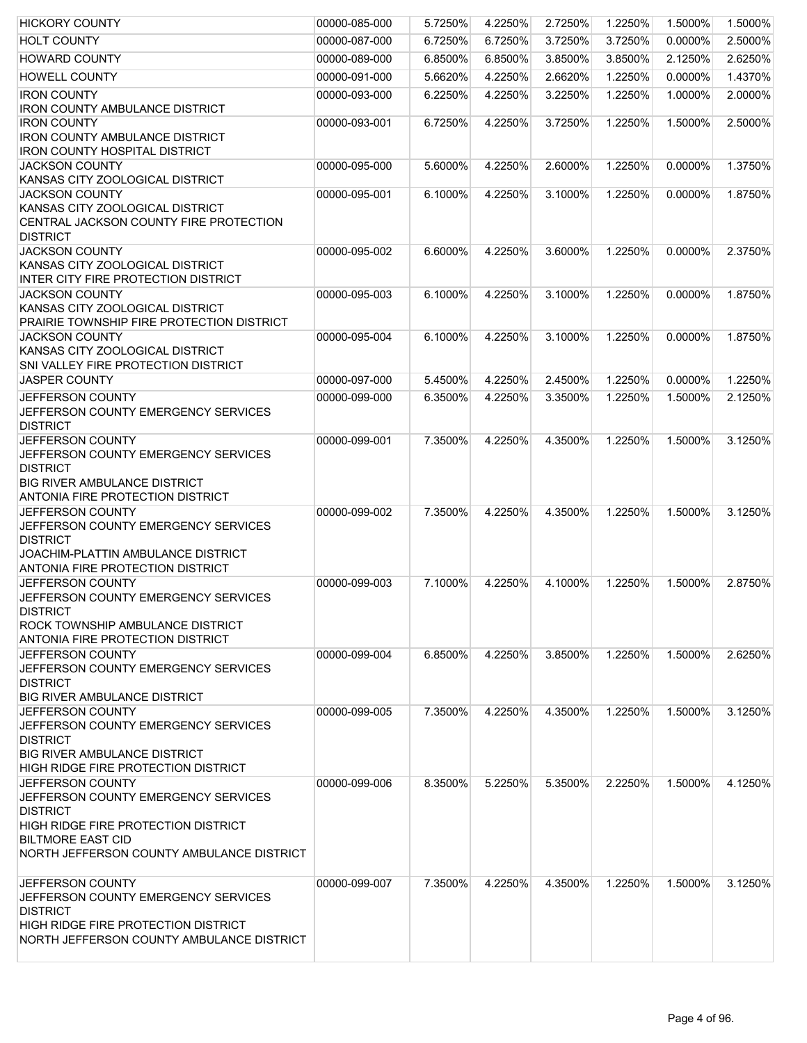| <b>HOLT COUNTY</b><br>2.5000%<br>00000-087-000<br>6.7250%<br>6.7250%<br>3.7250%<br>3.7250%<br>0.0000%<br><b>HOWARD COUNTY</b><br>00000-089-000<br>6.8500%<br>6.8500%<br>3.8500%<br>3.8500%<br>2.1250%<br>2.6250%<br>HOWELL COUNTY<br>00000-091-000<br>5.6620%<br>4.2250%<br>2.6620%<br>1.2250%<br>0.0000%<br>1.4370%<br>2.0000%<br><b>IRON COUNTY</b><br>00000-093-000<br>6.2250%<br>4.2250%<br>3.2250%<br>1.2250%<br>1.0000%<br><b>IRON COUNTY AMBULANCE DISTRICT</b><br><b>IRON COUNTY</b><br>00000-093-001<br>6.7250%<br>4.2250%<br>3.7250%<br>1.2250%<br>1.5000%<br>2.5000%<br><b>IRON COUNTY AMBULANCE DISTRICT</b><br><b>IRON COUNTY HOSPITAL DISTRICT</b><br>1.3750%<br><b>JACKSON COUNTY</b><br>00000-095-000<br>5.6000%<br>4.2250%<br>2.6000%<br>1.2250%<br>0.0000%<br>KANSAS CITY ZOOLOGICAL DISTRICT<br><b>JACKSON COUNTY</b><br>4.2250%<br>3.1000%<br>1.2250%<br>0.0000%<br>1.8750%<br>00000-095-001<br>6.1000%<br>KANSAS CITY ZOOLOGICAL DISTRICT<br>CENTRAL JACKSON COUNTY FIRE PROTECTION<br><b>DISTRICT</b><br><b>JACKSON COUNTY</b><br>00000-095-002<br>6.6000%<br>4.2250%<br>3.6000%<br>1.2250%<br>0.0000%<br>2.3750%<br>KANSAS CITY ZOOLOGICAL DISTRICT<br>INTER CITY FIRE PROTECTION DISTRICT<br><b>JACKSON COUNTY</b><br>00000-095-003<br>6.1000%<br>4.2250%<br>3.1000%<br>1.2250%<br>0.0000%<br>1.8750%<br>KANSAS CITY ZOOLOGICAL DISTRICT<br>PRAIRIE TOWNSHIP FIRE PROTECTION DISTRICT<br><b>JACKSON COUNTY</b><br>6.1000%<br>4.2250%<br>3.1000%<br>1.2250%<br>0.0000%<br>1.8750%<br>00000-095-004<br>KANSAS CITY ZOOLOGICAL DISTRICT<br>SNI VALLEY FIRE PROTECTION DISTRICT<br>4.2250%<br>2.4500%<br>1.2250%<br>0.0000%<br>1.2250%<br><b>JASPER COUNTY</b><br>00000-097-000<br>5.4500%<br>JEFFERSON COUNTY<br>00000-099-000<br>6.3500%<br>4.2250%<br>3.3500%<br>1.2250%<br>1.5000%<br>2.1250%<br>JEFFERSON COUNTY EMERGENCY SERVICES<br><b>DISTRICT</b><br>JEFFERSON COUNTY<br>1.2250%<br>00000-099-001<br>7.3500%<br>4.2250%<br>4.3500%<br>1.5000%<br>3.1250%<br>JEFFERSON COUNTY EMERGENCY SERVICES<br><b>DISTRICT</b><br>BIG RIVER AMBULANCE DISTRICT<br><b>ANTONIA FIRE PROTECTION DISTRICT</b><br>JEFFERSON COUNTY<br>00000-099-002<br>7.3500%<br>4.2250%<br>4.3500%<br>1.2250%<br>1.5000%<br>3.1250%<br>JEFFERSON COUNTY EMERGENCY SERVICES<br><b>DISTRICT</b><br><b>JOACHIM-PLATTIN AMBULANCE DISTRICT</b><br><b>ANTONIA FIRE PROTECTION DISTRICT</b><br><b>JEFFERSON COUNTY</b><br>00000-099-003<br>7.1000%<br>4.2250%<br>1.2250%<br>1.5000%<br>2.8750%<br>4.1000%<br>JEFFERSON COUNTY EMERGENCY SERVICES<br><b>DISTRICT</b><br>ROCK TOWNSHIP AMBULANCE DISTRICT<br>ANTONIA FIRE PROTECTION DISTRICT<br>JEFFERSON COUNTY<br>00000-099-004<br>4.2250%<br>3.8500%<br>1.2250%<br>1.5000%<br>2.6250%<br>6.8500%<br><b>JEFFERSON COUNTY EMERGENCY SERVICES</b><br><b>DISTRICT</b><br><b>BIG RIVER AMBULANCE DISTRICT</b><br>1.5000%<br><b>JEFFERSON COUNTY</b><br>00000-099-005<br>7.3500%<br>4.2250%<br>4.3500%<br>1.2250%<br>3.1250%<br>JEFFERSON COUNTY EMERGENCY SERVICES<br><b>DISTRICT</b><br><b>BIG RIVER AMBULANCE DISTRICT</b> | <b>HICKORY COUNTY</b> | 00000-085-000 | 5.7250% | 4.2250% | 2.7250% | 1.2250% | 1.5000% | 1.5000% |
|--------------------------------------------------------------------------------------------------------------------------------------------------------------------------------------------------------------------------------------------------------------------------------------------------------------------------------------------------------------------------------------------------------------------------------------------------------------------------------------------------------------------------------------------------------------------------------------------------------------------------------------------------------------------------------------------------------------------------------------------------------------------------------------------------------------------------------------------------------------------------------------------------------------------------------------------------------------------------------------------------------------------------------------------------------------------------------------------------------------------------------------------------------------------------------------------------------------------------------------------------------------------------------------------------------------------------------------------------------------------------------------------------------------------------------------------------------------------------------------------------------------------------------------------------------------------------------------------------------------------------------------------------------------------------------------------------------------------------------------------------------------------------------------------------------------------------------------------------------------------------------------------------------------------------------------------------------------------------------------------------------------------------------------------------------------------------------------------------------------------------------------------------------------------------------------------------------------------------------------------------------------------------------------------------------------------------------------------------------------------------------------------------------------------------------------------------------------------------------------------------------------------------------------------------------------------------------------------------------------------------------------------------------------------------------------------------------------------------------------------------------------------------------------------------------------------------------------------------------------------------------------------------------------------------------------------------------------------------------------------------------------------------------------------------------------------|-----------------------|---------------|---------|---------|---------|---------|---------|---------|
|                                                                                                                                                                                                                                                                                                                                                                                                                                                                                                                                                                                                                                                                                                                                                                                                                                                                                                                                                                                                                                                                                                                                                                                                                                                                                                                                                                                                                                                                                                                                                                                                                                                                                                                                                                                                                                                                                                                                                                                                                                                                                                                                                                                                                                                                                                                                                                                                                                                                                                                                                                                                                                                                                                                                                                                                                                                                                                                                                                                                                                                                    |                       |               |         |         |         |         |         |         |
|                                                                                                                                                                                                                                                                                                                                                                                                                                                                                                                                                                                                                                                                                                                                                                                                                                                                                                                                                                                                                                                                                                                                                                                                                                                                                                                                                                                                                                                                                                                                                                                                                                                                                                                                                                                                                                                                                                                                                                                                                                                                                                                                                                                                                                                                                                                                                                                                                                                                                                                                                                                                                                                                                                                                                                                                                                                                                                                                                                                                                                                                    |                       |               |         |         |         |         |         |         |
|                                                                                                                                                                                                                                                                                                                                                                                                                                                                                                                                                                                                                                                                                                                                                                                                                                                                                                                                                                                                                                                                                                                                                                                                                                                                                                                                                                                                                                                                                                                                                                                                                                                                                                                                                                                                                                                                                                                                                                                                                                                                                                                                                                                                                                                                                                                                                                                                                                                                                                                                                                                                                                                                                                                                                                                                                                                                                                                                                                                                                                                                    |                       |               |         |         |         |         |         |         |
|                                                                                                                                                                                                                                                                                                                                                                                                                                                                                                                                                                                                                                                                                                                                                                                                                                                                                                                                                                                                                                                                                                                                                                                                                                                                                                                                                                                                                                                                                                                                                                                                                                                                                                                                                                                                                                                                                                                                                                                                                                                                                                                                                                                                                                                                                                                                                                                                                                                                                                                                                                                                                                                                                                                                                                                                                                                                                                                                                                                                                                                                    |                       |               |         |         |         |         |         |         |
|                                                                                                                                                                                                                                                                                                                                                                                                                                                                                                                                                                                                                                                                                                                                                                                                                                                                                                                                                                                                                                                                                                                                                                                                                                                                                                                                                                                                                                                                                                                                                                                                                                                                                                                                                                                                                                                                                                                                                                                                                                                                                                                                                                                                                                                                                                                                                                                                                                                                                                                                                                                                                                                                                                                                                                                                                                                                                                                                                                                                                                                                    |                       |               |         |         |         |         |         |         |
|                                                                                                                                                                                                                                                                                                                                                                                                                                                                                                                                                                                                                                                                                                                                                                                                                                                                                                                                                                                                                                                                                                                                                                                                                                                                                                                                                                                                                                                                                                                                                                                                                                                                                                                                                                                                                                                                                                                                                                                                                                                                                                                                                                                                                                                                                                                                                                                                                                                                                                                                                                                                                                                                                                                                                                                                                                                                                                                                                                                                                                                                    |                       |               |         |         |         |         |         |         |
|                                                                                                                                                                                                                                                                                                                                                                                                                                                                                                                                                                                                                                                                                                                                                                                                                                                                                                                                                                                                                                                                                                                                                                                                                                                                                                                                                                                                                                                                                                                                                                                                                                                                                                                                                                                                                                                                                                                                                                                                                                                                                                                                                                                                                                                                                                                                                                                                                                                                                                                                                                                                                                                                                                                                                                                                                                                                                                                                                                                                                                                                    |                       |               |         |         |         |         |         |         |
|                                                                                                                                                                                                                                                                                                                                                                                                                                                                                                                                                                                                                                                                                                                                                                                                                                                                                                                                                                                                                                                                                                                                                                                                                                                                                                                                                                                                                                                                                                                                                                                                                                                                                                                                                                                                                                                                                                                                                                                                                                                                                                                                                                                                                                                                                                                                                                                                                                                                                                                                                                                                                                                                                                                                                                                                                                                                                                                                                                                                                                                                    |                       |               |         |         |         |         |         |         |
|                                                                                                                                                                                                                                                                                                                                                                                                                                                                                                                                                                                                                                                                                                                                                                                                                                                                                                                                                                                                                                                                                                                                                                                                                                                                                                                                                                                                                                                                                                                                                                                                                                                                                                                                                                                                                                                                                                                                                                                                                                                                                                                                                                                                                                                                                                                                                                                                                                                                                                                                                                                                                                                                                                                                                                                                                                                                                                                                                                                                                                                                    |                       |               |         |         |         |         |         |         |
|                                                                                                                                                                                                                                                                                                                                                                                                                                                                                                                                                                                                                                                                                                                                                                                                                                                                                                                                                                                                                                                                                                                                                                                                                                                                                                                                                                                                                                                                                                                                                                                                                                                                                                                                                                                                                                                                                                                                                                                                                                                                                                                                                                                                                                                                                                                                                                                                                                                                                                                                                                                                                                                                                                                                                                                                                                                                                                                                                                                                                                                                    |                       |               |         |         |         |         |         |         |
|                                                                                                                                                                                                                                                                                                                                                                                                                                                                                                                                                                                                                                                                                                                                                                                                                                                                                                                                                                                                                                                                                                                                                                                                                                                                                                                                                                                                                                                                                                                                                                                                                                                                                                                                                                                                                                                                                                                                                                                                                                                                                                                                                                                                                                                                                                                                                                                                                                                                                                                                                                                                                                                                                                                                                                                                                                                                                                                                                                                                                                                                    |                       |               |         |         |         |         |         |         |
|                                                                                                                                                                                                                                                                                                                                                                                                                                                                                                                                                                                                                                                                                                                                                                                                                                                                                                                                                                                                                                                                                                                                                                                                                                                                                                                                                                                                                                                                                                                                                                                                                                                                                                                                                                                                                                                                                                                                                                                                                                                                                                                                                                                                                                                                                                                                                                                                                                                                                                                                                                                                                                                                                                                                                                                                                                                                                                                                                                                                                                                                    |                       |               |         |         |         |         |         |         |
|                                                                                                                                                                                                                                                                                                                                                                                                                                                                                                                                                                                                                                                                                                                                                                                                                                                                                                                                                                                                                                                                                                                                                                                                                                                                                                                                                                                                                                                                                                                                                                                                                                                                                                                                                                                                                                                                                                                                                                                                                                                                                                                                                                                                                                                                                                                                                                                                                                                                                                                                                                                                                                                                                                                                                                                                                                                                                                                                                                                                                                                                    |                       |               |         |         |         |         |         |         |
|                                                                                                                                                                                                                                                                                                                                                                                                                                                                                                                                                                                                                                                                                                                                                                                                                                                                                                                                                                                                                                                                                                                                                                                                                                                                                                                                                                                                                                                                                                                                                                                                                                                                                                                                                                                                                                                                                                                                                                                                                                                                                                                                                                                                                                                                                                                                                                                                                                                                                                                                                                                                                                                                                                                                                                                                                                                                                                                                                                                                                                                                    |                       |               |         |         |         |         |         |         |
|                                                                                                                                                                                                                                                                                                                                                                                                                                                                                                                                                                                                                                                                                                                                                                                                                                                                                                                                                                                                                                                                                                                                                                                                                                                                                                                                                                                                                                                                                                                                                                                                                                                                                                                                                                                                                                                                                                                                                                                                                                                                                                                                                                                                                                                                                                                                                                                                                                                                                                                                                                                                                                                                                                                                                                                                                                                                                                                                                                                                                                                                    |                       |               |         |         |         |         |         |         |
|                                                                                                                                                                                                                                                                                                                                                                                                                                                                                                                                                                                                                                                                                                                                                                                                                                                                                                                                                                                                                                                                                                                                                                                                                                                                                                                                                                                                                                                                                                                                                                                                                                                                                                                                                                                                                                                                                                                                                                                                                                                                                                                                                                                                                                                                                                                                                                                                                                                                                                                                                                                                                                                                                                                                                                                                                                                                                                                                                                                                                                                                    |                       |               |         |         |         |         |         |         |
|                                                                                                                                                                                                                                                                                                                                                                                                                                                                                                                                                                                                                                                                                                                                                                                                                                                                                                                                                                                                                                                                                                                                                                                                                                                                                                                                                                                                                                                                                                                                                                                                                                                                                                                                                                                                                                                                                                                                                                                                                                                                                                                                                                                                                                                                                                                                                                                                                                                                                                                                                                                                                                                                                                                                                                                                                                                                                                                                                                                                                                                                    |                       |               |         |         |         |         |         |         |
|                                                                                                                                                                                                                                                                                                                                                                                                                                                                                                                                                                                                                                                                                                                                                                                                                                                                                                                                                                                                                                                                                                                                                                                                                                                                                                                                                                                                                                                                                                                                                                                                                                                                                                                                                                                                                                                                                                                                                                                                                                                                                                                                                                                                                                                                                                                                                                                                                                                                                                                                                                                                                                                                                                                                                                                                                                                                                                                                                                                                                                                                    |                       |               |         |         |         |         |         |         |
|                                                                                                                                                                                                                                                                                                                                                                                                                                                                                                                                                                                                                                                                                                                                                                                                                                                                                                                                                                                                                                                                                                                                                                                                                                                                                                                                                                                                                                                                                                                                                                                                                                                                                                                                                                                                                                                                                                                                                                                                                                                                                                                                                                                                                                                                                                                                                                                                                                                                                                                                                                                                                                                                                                                                                                                                                                                                                                                                                                                                                                                                    |                       |               |         |         |         |         |         |         |
|                                                                                                                                                                                                                                                                                                                                                                                                                                                                                                                                                                                                                                                                                                                                                                                                                                                                                                                                                                                                                                                                                                                                                                                                                                                                                                                                                                                                                                                                                                                                                                                                                                                                                                                                                                                                                                                                                                                                                                                                                                                                                                                                                                                                                                                                                                                                                                                                                                                                                                                                                                                                                                                                                                                                                                                                                                                                                                                                                                                                                                                                    |                       |               |         |         |         |         |         |         |
|                                                                                                                                                                                                                                                                                                                                                                                                                                                                                                                                                                                                                                                                                                                                                                                                                                                                                                                                                                                                                                                                                                                                                                                                                                                                                                                                                                                                                                                                                                                                                                                                                                                                                                                                                                                                                                                                                                                                                                                                                                                                                                                                                                                                                                                                                                                                                                                                                                                                                                                                                                                                                                                                                                                                                                                                                                                                                                                                                                                                                                                                    |                       |               |         |         |         |         |         |         |
|                                                                                                                                                                                                                                                                                                                                                                                                                                                                                                                                                                                                                                                                                                                                                                                                                                                                                                                                                                                                                                                                                                                                                                                                                                                                                                                                                                                                                                                                                                                                                                                                                                                                                                                                                                                                                                                                                                                                                                                                                                                                                                                                                                                                                                                                                                                                                                                                                                                                                                                                                                                                                                                                                                                                                                                                                                                                                                                                                                                                                                                                    |                       |               |         |         |         |         |         |         |
|                                                                                                                                                                                                                                                                                                                                                                                                                                                                                                                                                                                                                                                                                                                                                                                                                                                                                                                                                                                                                                                                                                                                                                                                                                                                                                                                                                                                                                                                                                                                                                                                                                                                                                                                                                                                                                                                                                                                                                                                                                                                                                                                                                                                                                                                                                                                                                                                                                                                                                                                                                                                                                                                                                                                                                                                                                                                                                                                                                                                                                                                    |                       |               |         |         |         |         |         |         |
|                                                                                                                                                                                                                                                                                                                                                                                                                                                                                                                                                                                                                                                                                                                                                                                                                                                                                                                                                                                                                                                                                                                                                                                                                                                                                                                                                                                                                                                                                                                                                                                                                                                                                                                                                                                                                                                                                                                                                                                                                                                                                                                                                                                                                                                                                                                                                                                                                                                                                                                                                                                                                                                                                                                                                                                                                                                                                                                                                                                                                                                                    |                       |               |         |         |         |         |         |         |
|                                                                                                                                                                                                                                                                                                                                                                                                                                                                                                                                                                                                                                                                                                                                                                                                                                                                                                                                                                                                                                                                                                                                                                                                                                                                                                                                                                                                                                                                                                                                                                                                                                                                                                                                                                                                                                                                                                                                                                                                                                                                                                                                                                                                                                                                                                                                                                                                                                                                                                                                                                                                                                                                                                                                                                                                                                                                                                                                                                                                                                                                    |                       |               |         |         |         |         |         |         |
|                                                                                                                                                                                                                                                                                                                                                                                                                                                                                                                                                                                                                                                                                                                                                                                                                                                                                                                                                                                                                                                                                                                                                                                                                                                                                                                                                                                                                                                                                                                                                                                                                                                                                                                                                                                                                                                                                                                                                                                                                                                                                                                                                                                                                                                                                                                                                                                                                                                                                                                                                                                                                                                                                                                                                                                                                                                                                                                                                                                                                                                                    |                       |               |         |         |         |         |         |         |
|                                                                                                                                                                                                                                                                                                                                                                                                                                                                                                                                                                                                                                                                                                                                                                                                                                                                                                                                                                                                                                                                                                                                                                                                                                                                                                                                                                                                                                                                                                                                                                                                                                                                                                                                                                                                                                                                                                                                                                                                                                                                                                                                                                                                                                                                                                                                                                                                                                                                                                                                                                                                                                                                                                                                                                                                                                                                                                                                                                                                                                                                    |                       |               |         |         |         |         |         |         |
|                                                                                                                                                                                                                                                                                                                                                                                                                                                                                                                                                                                                                                                                                                                                                                                                                                                                                                                                                                                                                                                                                                                                                                                                                                                                                                                                                                                                                                                                                                                                                                                                                                                                                                                                                                                                                                                                                                                                                                                                                                                                                                                                                                                                                                                                                                                                                                                                                                                                                                                                                                                                                                                                                                                                                                                                                                                                                                                                                                                                                                                                    |                       |               |         |         |         |         |         |         |
|                                                                                                                                                                                                                                                                                                                                                                                                                                                                                                                                                                                                                                                                                                                                                                                                                                                                                                                                                                                                                                                                                                                                                                                                                                                                                                                                                                                                                                                                                                                                                                                                                                                                                                                                                                                                                                                                                                                                                                                                                                                                                                                                                                                                                                                                                                                                                                                                                                                                                                                                                                                                                                                                                                                                                                                                                                                                                                                                                                                                                                                                    |                       |               |         |         |         |         |         |         |
|                                                                                                                                                                                                                                                                                                                                                                                                                                                                                                                                                                                                                                                                                                                                                                                                                                                                                                                                                                                                                                                                                                                                                                                                                                                                                                                                                                                                                                                                                                                                                                                                                                                                                                                                                                                                                                                                                                                                                                                                                                                                                                                                                                                                                                                                                                                                                                                                                                                                                                                                                                                                                                                                                                                                                                                                                                                                                                                                                                                                                                                                    |                       |               |         |         |         |         |         |         |
|                                                                                                                                                                                                                                                                                                                                                                                                                                                                                                                                                                                                                                                                                                                                                                                                                                                                                                                                                                                                                                                                                                                                                                                                                                                                                                                                                                                                                                                                                                                                                                                                                                                                                                                                                                                                                                                                                                                                                                                                                                                                                                                                                                                                                                                                                                                                                                                                                                                                                                                                                                                                                                                                                                                                                                                                                                                                                                                                                                                                                                                                    |                       |               |         |         |         |         |         |         |
|                                                                                                                                                                                                                                                                                                                                                                                                                                                                                                                                                                                                                                                                                                                                                                                                                                                                                                                                                                                                                                                                                                                                                                                                                                                                                                                                                                                                                                                                                                                                                                                                                                                                                                                                                                                                                                                                                                                                                                                                                                                                                                                                                                                                                                                                                                                                                                                                                                                                                                                                                                                                                                                                                                                                                                                                                                                                                                                                                                                                                                                                    |                       |               |         |         |         |         |         |         |
|                                                                                                                                                                                                                                                                                                                                                                                                                                                                                                                                                                                                                                                                                                                                                                                                                                                                                                                                                                                                                                                                                                                                                                                                                                                                                                                                                                                                                                                                                                                                                                                                                                                                                                                                                                                                                                                                                                                                                                                                                                                                                                                                                                                                                                                                                                                                                                                                                                                                                                                                                                                                                                                                                                                                                                                                                                                                                                                                                                                                                                                                    |                       |               |         |         |         |         |         |         |
|                                                                                                                                                                                                                                                                                                                                                                                                                                                                                                                                                                                                                                                                                                                                                                                                                                                                                                                                                                                                                                                                                                                                                                                                                                                                                                                                                                                                                                                                                                                                                                                                                                                                                                                                                                                                                                                                                                                                                                                                                                                                                                                                                                                                                                                                                                                                                                                                                                                                                                                                                                                                                                                                                                                                                                                                                                                                                                                                                                                                                                                                    |                       |               |         |         |         |         |         |         |
|                                                                                                                                                                                                                                                                                                                                                                                                                                                                                                                                                                                                                                                                                                                                                                                                                                                                                                                                                                                                                                                                                                                                                                                                                                                                                                                                                                                                                                                                                                                                                                                                                                                                                                                                                                                                                                                                                                                                                                                                                                                                                                                                                                                                                                                                                                                                                                                                                                                                                                                                                                                                                                                                                                                                                                                                                                                                                                                                                                                                                                                                    |                       |               |         |         |         |         |         |         |
|                                                                                                                                                                                                                                                                                                                                                                                                                                                                                                                                                                                                                                                                                                                                                                                                                                                                                                                                                                                                                                                                                                                                                                                                                                                                                                                                                                                                                                                                                                                                                                                                                                                                                                                                                                                                                                                                                                                                                                                                                                                                                                                                                                                                                                                                                                                                                                                                                                                                                                                                                                                                                                                                                                                                                                                                                                                                                                                                                                                                                                                                    |                       |               |         |         |         |         |         |         |
|                                                                                                                                                                                                                                                                                                                                                                                                                                                                                                                                                                                                                                                                                                                                                                                                                                                                                                                                                                                                                                                                                                                                                                                                                                                                                                                                                                                                                                                                                                                                                                                                                                                                                                                                                                                                                                                                                                                                                                                                                                                                                                                                                                                                                                                                                                                                                                                                                                                                                                                                                                                                                                                                                                                                                                                                                                                                                                                                                                                                                                                                    |                       |               |         |         |         |         |         |         |
|                                                                                                                                                                                                                                                                                                                                                                                                                                                                                                                                                                                                                                                                                                                                                                                                                                                                                                                                                                                                                                                                                                                                                                                                                                                                                                                                                                                                                                                                                                                                                                                                                                                                                                                                                                                                                                                                                                                                                                                                                                                                                                                                                                                                                                                                                                                                                                                                                                                                                                                                                                                                                                                                                                                                                                                                                                                                                                                                                                                                                                                                    |                       |               |         |         |         |         |         |         |
|                                                                                                                                                                                                                                                                                                                                                                                                                                                                                                                                                                                                                                                                                                                                                                                                                                                                                                                                                                                                                                                                                                                                                                                                                                                                                                                                                                                                                                                                                                                                                                                                                                                                                                                                                                                                                                                                                                                                                                                                                                                                                                                                                                                                                                                                                                                                                                                                                                                                                                                                                                                                                                                                                                                                                                                                                                                                                                                                                                                                                                                                    |                       |               |         |         |         |         |         |         |
|                                                                                                                                                                                                                                                                                                                                                                                                                                                                                                                                                                                                                                                                                                                                                                                                                                                                                                                                                                                                                                                                                                                                                                                                                                                                                                                                                                                                                                                                                                                                                                                                                                                                                                                                                                                                                                                                                                                                                                                                                                                                                                                                                                                                                                                                                                                                                                                                                                                                                                                                                                                                                                                                                                                                                                                                                                                                                                                                                                                                                                                                    |                       |               |         |         |         |         |         |         |
|                                                                                                                                                                                                                                                                                                                                                                                                                                                                                                                                                                                                                                                                                                                                                                                                                                                                                                                                                                                                                                                                                                                                                                                                                                                                                                                                                                                                                                                                                                                                                                                                                                                                                                                                                                                                                                                                                                                                                                                                                                                                                                                                                                                                                                                                                                                                                                                                                                                                                                                                                                                                                                                                                                                                                                                                                                                                                                                                                                                                                                                                    |                       |               |         |         |         |         |         |         |
|                                                                                                                                                                                                                                                                                                                                                                                                                                                                                                                                                                                                                                                                                                                                                                                                                                                                                                                                                                                                                                                                                                                                                                                                                                                                                                                                                                                                                                                                                                                                                                                                                                                                                                                                                                                                                                                                                                                                                                                                                                                                                                                                                                                                                                                                                                                                                                                                                                                                                                                                                                                                                                                                                                                                                                                                                                                                                                                                                                                                                                                                    |                       |               |         |         |         |         |         |         |
|                                                                                                                                                                                                                                                                                                                                                                                                                                                                                                                                                                                                                                                                                                                                                                                                                                                                                                                                                                                                                                                                                                                                                                                                                                                                                                                                                                                                                                                                                                                                                                                                                                                                                                                                                                                                                                                                                                                                                                                                                                                                                                                                                                                                                                                                                                                                                                                                                                                                                                                                                                                                                                                                                                                                                                                                                                                                                                                                                                                                                                                                    |                       |               |         |         |         |         |         |         |
|                                                                                                                                                                                                                                                                                                                                                                                                                                                                                                                                                                                                                                                                                                                                                                                                                                                                                                                                                                                                                                                                                                                                                                                                                                                                                                                                                                                                                                                                                                                                                                                                                                                                                                                                                                                                                                                                                                                                                                                                                                                                                                                                                                                                                                                                                                                                                                                                                                                                                                                                                                                                                                                                                                                                                                                                                                                                                                                                                                                                                                                                    |                       |               |         |         |         |         |         |         |
|                                                                                                                                                                                                                                                                                                                                                                                                                                                                                                                                                                                                                                                                                                                                                                                                                                                                                                                                                                                                                                                                                                                                                                                                                                                                                                                                                                                                                                                                                                                                                                                                                                                                                                                                                                                                                                                                                                                                                                                                                                                                                                                                                                                                                                                                                                                                                                                                                                                                                                                                                                                                                                                                                                                                                                                                                                                                                                                                                                                                                                                                    |                       |               |         |         |         |         |         |         |
| HIGH RIDGE FIRE PROTECTION DISTRICT                                                                                                                                                                                                                                                                                                                                                                                                                                                                                                                                                                                                                                                                                                                                                                                                                                                                                                                                                                                                                                                                                                                                                                                                                                                                                                                                                                                                                                                                                                                                                                                                                                                                                                                                                                                                                                                                                                                                                                                                                                                                                                                                                                                                                                                                                                                                                                                                                                                                                                                                                                                                                                                                                                                                                                                                                                                                                                                                                                                                                                |                       |               |         |         |         |         |         |         |
| <b>JEFFERSON COUNTY</b><br>00000-099-006<br>8.3500%<br>5.2250%<br>$5.3500\%$<br>2.2250%<br>1.5000%<br>4.1250%                                                                                                                                                                                                                                                                                                                                                                                                                                                                                                                                                                                                                                                                                                                                                                                                                                                                                                                                                                                                                                                                                                                                                                                                                                                                                                                                                                                                                                                                                                                                                                                                                                                                                                                                                                                                                                                                                                                                                                                                                                                                                                                                                                                                                                                                                                                                                                                                                                                                                                                                                                                                                                                                                                                                                                                                                                                                                                                                                      |                       |               |         |         |         |         |         |         |
| JEFFERSON COUNTY EMERGENCY SERVICES<br><b>DISTRICT</b>                                                                                                                                                                                                                                                                                                                                                                                                                                                                                                                                                                                                                                                                                                                                                                                                                                                                                                                                                                                                                                                                                                                                                                                                                                                                                                                                                                                                                                                                                                                                                                                                                                                                                                                                                                                                                                                                                                                                                                                                                                                                                                                                                                                                                                                                                                                                                                                                                                                                                                                                                                                                                                                                                                                                                                                                                                                                                                                                                                                                             |                       |               |         |         |         |         |         |         |
| HIGH RIDGE FIRE PROTECTION DISTRICT                                                                                                                                                                                                                                                                                                                                                                                                                                                                                                                                                                                                                                                                                                                                                                                                                                                                                                                                                                                                                                                                                                                                                                                                                                                                                                                                                                                                                                                                                                                                                                                                                                                                                                                                                                                                                                                                                                                                                                                                                                                                                                                                                                                                                                                                                                                                                                                                                                                                                                                                                                                                                                                                                                                                                                                                                                                                                                                                                                                                                                |                       |               |         |         |         |         |         |         |
| <b>BILTMORE EAST CID</b>                                                                                                                                                                                                                                                                                                                                                                                                                                                                                                                                                                                                                                                                                                                                                                                                                                                                                                                                                                                                                                                                                                                                                                                                                                                                                                                                                                                                                                                                                                                                                                                                                                                                                                                                                                                                                                                                                                                                                                                                                                                                                                                                                                                                                                                                                                                                                                                                                                                                                                                                                                                                                                                                                                                                                                                                                                                                                                                                                                                                                                           |                       |               |         |         |         |         |         |         |
| NORTH JEFFERSON COUNTY AMBULANCE DISTRICT                                                                                                                                                                                                                                                                                                                                                                                                                                                                                                                                                                                                                                                                                                                                                                                                                                                                                                                                                                                                                                                                                                                                                                                                                                                                                                                                                                                                                                                                                                                                                                                                                                                                                                                                                                                                                                                                                                                                                                                                                                                                                                                                                                                                                                                                                                                                                                                                                                                                                                                                                                                                                                                                                                                                                                                                                                                                                                                                                                                                                          |                       |               |         |         |         |         |         |         |
|                                                                                                                                                                                                                                                                                                                                                                                                                                                                                                                                                                                                                                                                                                                                                                                                                                                                                                                                                                                                                                                                                                                                                                                                                                                                                                                                                                                                                                                                                                                                                                                                                                                                                                                                                                                                                                                                                                                                                                                                                                                                                                                                                                                                                                                                                                                                                                                                                                                                                                                                                                                                                                                                                                                                                                                                                                                                                                                                                                                                                                                                    |                       |               |         |         |         |         |         |         |
| JEFFERSON COUNTY<br>00000-099-007<br>7.3500%<br>4.2250%<br>4.3500%<br>1.2250%<br>1.5000%<br>3.1250%                                                                                                                                                                                                                                                                                                                                                                                                                                                                                                                                                                                                                                                                                                                                                                                                                                                                                                                                                                                                                                                                                                                                                                                                                                                                                                                                                                                                                                                                                                                                                                                                                                                                                                                                                                                                                                                                                                                                                                                                                                                                                                                                                                                                                                                                                                                                                                                                                                                                                                                                                                                                                                                                                                                                                                                                                                                                                                                                                                |                       |               |         |         |         |         |         |         |
| JEFFERSON COUNTY EMERGENCY SERVICES                                                                                                                                                                                                                                                                                                                                                                                                                                                                                                                                                                                                                                                                                                                                                                                                                                                                                                                                                                                                                                                                                                                                                                                                                                                                                                                                                                                                                                                                                                                                                                                                                                                                                                                                                                                                                                                                                                                                                                                                                                                                                                                                                                                                                                                                                                                                                                                                                                                                                                                                                                                                                                                                                                                                                                                                                                                                                                                                                                                                                                |                       |               |         |         |         |         |         |         |
| <b>DISTRICT</b>                                                                                                                                                                                                                                                                                                                                                                                                                                                                                                                                                                                                                                                                                                                                                                                                                                                                                                                                                                                                                                                                                                                                                                                                                                                                                                                                                                                                                                                                                                                                                                                                                                                                                                                                                                                                                                                                                                                                                                                                                                                                                                                                                                                                                                                                                                                                                                                                                                                                                                                                                                                                                                                                                                                                                                                                                                                                                                                                                                                                                                                    |                       |               |         |         |         |         |         |         |
| HIGH RIDGE FIRE PROTECTION DISTRICT<br>NORTH JEFFERSON COUNTY AMBULANCE DISTRICT                                                                                                                                                                                                                                                                                                                                                                                                                                                                                                                                                                                                                                                                                                                                                                                                                                                                                                                                                                                                                                                                                                                                                                                                                                                                                                                                                                                                                                                                                                                                                                                                                                                                                                                                                                                                                                                                                                                                                                                                                                                                                                                                                                                                                                                                                                                                                                                                                                                                                                                                                                                                                                                                                                                                                                                                                                                                                                                                                                                   |                       |               |         |         |         |         |         |         |
|                                                                                                                                                                                                                                                                                                                                                                                                                                                                                                                                                                                                                                                                                                                                                                                                                                                                                                                                                                                                                                                                                                                                                                                                                                                                                                                                                                                                                                                                                                                                                                                                                                                                                                                                                                                                                                                                                                                                                                                                                                                                                                                                                                                                                                                                                                                                                                                                                                                                                                                                                                                                                                                                                                                                                                                                                                                                                                                                                                                                                                                                    |                       |               |         |         |         |         |         |         |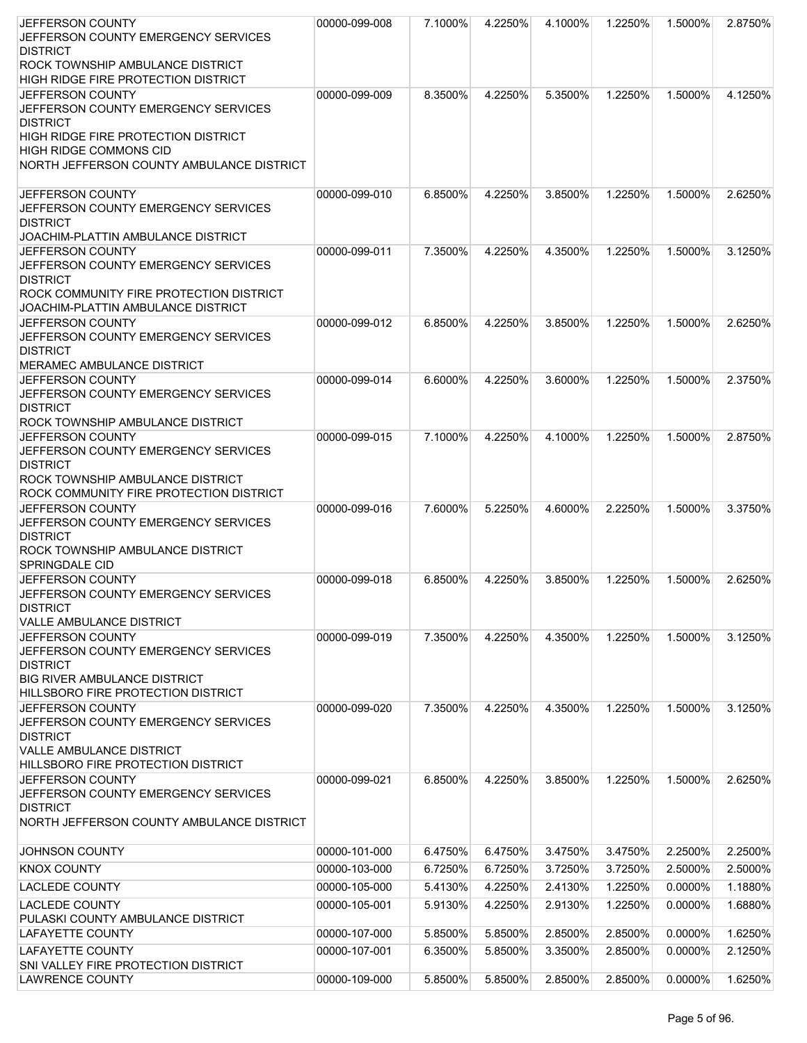| <b>JEFFERSON COUNTY</b>                                               | 00000-099-008 | 7.1000% | 4.2250% | 4.1000% | 1.2250% | 1.5000% | 2.8750% |
|-----------------------------------------------------------------------|---------------|---------|---------|---------|---------|---------|---------|
| JEFFERSON COUNTY EMERGENCY SERVICES                                   |               |         |         |         |         |         |         |
| <b>DISTRICT</b>                                                       |               |         |         |         |         |         |         |
| ROCK TOWNSHIP AMBULANCE DISTRICT                                      |               |         |         |         |         |         |         |
| HIGH RIDGE FIRE PROTECTION DISTRICT                                   |               |         |         |         |         |         |         |
| JEFFERSON COUNTY                                                      | 00000-099-009 | 8.3500% | 4.2250% | 5.3500% | 1.2250% | 1.5000% | 4.1250% |
| JEFFERSON COUNTY EMERGENCY SERVICES                                   |               |         |         |         |         |         |         |
| <b>DISTRICT</b>                                                       |               |         |         |         |         |         |         |
| HIGH RIDGE FIRE PROTECTION DISTRICT<br><b>HIGH RIDGE COMMONS CID</b>  |               |         |         |         |         |         |         |
| NORTH JEFFERSON COUNTY AMBULANCE DISTRICT                             |               |         |         |         |         |         |         |
|                                                                       |               |         |         |         |         |         |         |
| JEFFERSON COUNTY                                                      | 00000-099-010 | 6.8500% | 4.2250% | 3.8500% | 1.2250% | 1.5000% | 2.6250% |
| JEFFERSON COUNTY EMERGENCY SERVICES                                   |               |         |         |         |         |         |         |
| <b>DISTRICT</b>                                                       |               |         |         |         |         |         |         |
| JOACHIM-PLATTIN AMBULANCE DISTRICT                                    |               |         |         |         |         |         |         |
| <b>JEFFERSON COUNTY</b>                                               | 00000-099-011 | 7.3500% | 4.2250% | 4.3500% | 1.2250% | 1.5000% | 3.1250% |
| JEFFERSON COUNTY EMERGENCY SERVICES                                   |               |         |         |         |         |         |         |
| <b>DISTRICT</b>                                                       |               |         |         |         |         |         |         |
| ROCK COMMUNITY FIRE PROTECTION DISTRICT                               |               |         |         |         |         |         |         |
| JOACHIM-PLATTIN AMBULANCE DISTRICT                                    |               |         |         |         |         |         |         |
| JEFFERSON COUNTY                                                      | 00000-099-012 | 6.8500% | 4.2250% | 3.8500% | 1.2250% | 1.5000% | 2.6250% |
| JEFFERSON COUNTY EMERGENCY SERVICES<br><b>DISTRICT</b>                |               |         |         |         |         |         |         |
| MERAMEC AMBULANCE DISTRICT                                            |               |         |         |         |         |         |         |
| JEFFERSON COUNTY                                                      | 00000-099-014 | 6.6000% | 4.2250% | 3.6000% | 1.2250% | 1.5000% | 2.3750% |
| JEFFERSON COUNTY EMERGENCY SERVICES                                   |               |         |         |         |         |         |         |
| <b>DISTRICT</b>                                                       |               |         |         |         |         |         |         |
| ROCK TOWNSHIP AMBULANCE DISTRICT                                      |               |         |         |         |         |         |         |
| <b>JEFFERSON COUNTY</b>                                               | 00000-099-015 | 7.1000% | 4.2250% | 4.1000% | 1.2250% | 1.5000% | 2.8750% |
| JEFFERSON COUNTY EMERGENCY SERVICES                                   |               |         |         |         |         |         |         |
| <b>DISTRICT</b>                                                       |               |         |         |         |         |         |         |
| ROCK TOWNSHIP AMBULANCE DISTRICT                                      |               |         |         |         |         |         |         |
| ROCK COMMUNITY FIRE PROTECTION DISTRICT                               |               |         |         |         |         |         |         |
| JEFFERSON COUNTY                                                      | 00000-099-016 | 7.6000% | 5.2250% | 4.6000% | 2.2250% | 1.5000% | 3.3750% |
| JEFFERSON COUNTY EMERGENCY SERVICES                                   |               |         |         |         |         |         |         |
| <b>DISTRICT</b><br>ROCK TOWNSHIP AMBULANCE DISTRICT                   |               |         |         |         |         |         |         |
| SPRINGDALE CID                                                        |               |         |         |         |         |         |         |
| JEFFERSON COUNTY                                                      | 00000-099-018 | 6.8500% | 4.2250% | 3.8500% | 1.2250% | 1.5000% | 2.6250% |
| JEFFERSON COUNTY EMERGENCY SERVICES                                   |               |         |         |         |         |         |         |
| <b>DISTRICT</b>                                                       |               |         |         |         |         |         |         |
| VALLE AMBULANCE DISTRICT                                              |               |         |         |         |         |         |         |
| JEFFERSON COUNTY                                                      | 00000-099-019 | 7.3500% | 4.2250% | 4.3500% | 1.2250% | 1.5000% | 3.1250% |
| JEFFERSON COUNTY EMERGENCY SERVICES                                   |               |         |         |         |         |         |         |
| <b>DISTRICT</b>                                                       |               |         |         |         |         |         |         |
| <b>BIG RIVER AMBULANCE DISTRICT</b>                                   |               |         |         |         |         |         |         |
| HILLSBORO FIRE PROTECTION DISTRICT                                    |               |         |         |         |         |         |         |
| <b>JEFFERSON COUNTY</b>                                               | 00000-099-020 | 7.3500% | 4.2250% | 4.3500% | 1.2250% | 1.5000% | 3.1250% |
| JEFFERSON COUNTY EMERGENCY SERVICES                                   |               |         |         |         |         |         |         |
| <b>DISTRICT</b>                                                       |               |         |         |         |         |         |         |
| <b>VALLE AMBULANCE DISTRICT</b><br>HILLSBORO FIRE PROTECTION DISTRICT |               |         |         |         |         |         |         |
| <b>JEFFERSON COUNTY</b>                                               | 00000-099-021 | 6.8500% | 4.2250% | 3.8500% | 1.2250% | 1.5000% | 2.6250% |
| JEFFERSON COUNTY EMERGENCY SERVICES                                   |               |         |         |         |         |         |         |
| <b>DISTRICT</b>                                                       |               |         |         |         |         |         |         |
| NORTH JEFFERSON COUNTY AMBULANCE DISTRICT                             |               |         |         |         |         |         |         |
|                                                                       |               |         |         |         |         |         |         |
| <b>JOHNSON COUNTY</b>                                                 | 00000-101-000 | 6.4750% | 6.4750% | 3.4750% | 3.4750% | 2.2500% | 2.2500% |
| <b>KNOX COUNTY</b>                                                    | 00000-103-000 | 6.7250% | 6.7250% | 3.7250% | 3.7250% | 2.5000% | 2.5000% |
| <b>LACLEDE COUNTY</b>                                                 | 00000-105-000 | 5.4130% | 4.2250% | 2.4130% | 1.2250% | 0.0000% | 1.1880% |
| <b>LACLEDE COUNTY</b>                                                 | 00000-105-001 | 5.9130% | 4.2250% | 2.9130% | 1.2250% | 0.0000% | 1.6880% |
| PULASKI COUNTY AMBULANCE DISTRICT                                     |               |         |         |         |         |         |         |
| <b>LAFAYETTE COUNTY</b>                                               | 00000-107-000 | 5.8500% | 5.8500% | 2.8500% | 2.8500% | 0.0000% | 1.6250% |
| <b>LAFAYETTE COUNTY</b>                                               | 00000-107-001 | 6.3500% | 5.8500% | 3.3500% | 2.8500% | 0.0000% | 2.1250% |
| SNI VALLEY FIRE PROTECTION DISTRICT                                   |               |         |         |         |         |         |         |
| <b>LAWRENCE COUNTY</b>                                                | 00000-109-000 | 5.8500% | 5.8500% | 2.8500% | 2.8500% | 0.0000% | 1.6250% |
|                                                                       |               |         |         |         |         |         |         |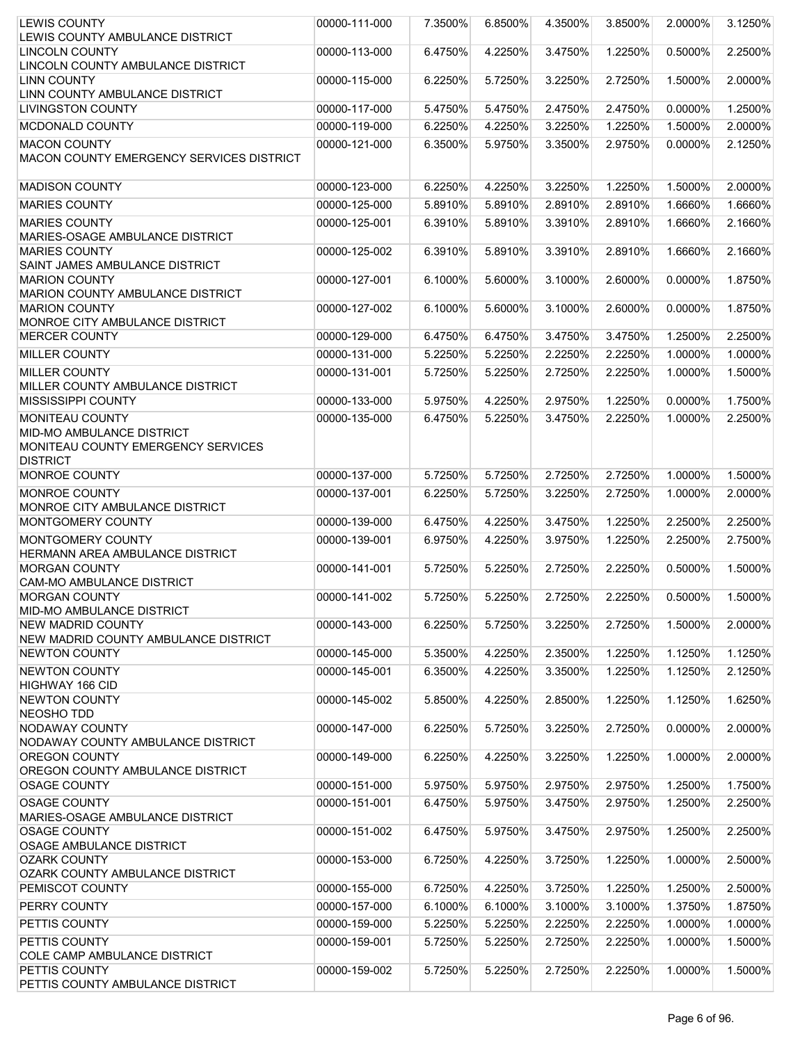| <b>LEWIS COUNTY</b>                                        | 00000-111-000 | 7.3500% | 6.8500% | 4.3500% | 3.8500% | 2.0000% | 3.1250% |
|------------------------------------------------------------|---------------|---------|---------|---------|---------|---------|---------|
| LEWIS COUNTY AMBULANCE DISTRICT                            |               |         |         |         |         |         |         |
| <b>LINCOLN COUNTY</b>                                      | 00000-113-000 | 6.4750% | 4.2250% | 3.4750% | 1.2250% | 0.5000% | 2.2500% |
| LINCOLN COUNTY AMBULANCE DISTRICT                          |               |         |         |         |         |         |         |
| <b>LINN COUNTY</b>                                         | 00000-115-000 | 6.2250% | 5.7250% | 3.2250% | 2.7250% | 1.5000% | 2.0000% |
| LINN COUNTY AMBULANCE DISTRICT<br><b>LIVINGSTON COUNTY</b> | 00000-117-000 | 5.4750% | 5.4750% | 2.4750% | 2.4750% | 0.0000% | 1.2500% |
|                                                            |               |         |         |         |         |         |         |
| MCDONALD COUNTY                                            | 00000-119-000 | 6.2250% | 4.2250% | 3.2250% | 1.2250% | 1.5000% | 2.0000% |
| <b>MACON COUNTY</b>                                        | 00000-121-000 | 6.3500% | 5.9750% | 3.3500% | 2.9750% | 0.0000% | 2.1250% |
| MACON COUNTY EMERGENCY SERVICES DISTRICT                   |               |         |         |         |         |         |         |
|                                                            |               |         |         |         |         |         |         |
| <b>MADISON COUNTY</b>                                      | 00000-123-000 | 6.2250% | 4.2250% | 3.2250% | 1.2250% | 1.5000% | 2.0000% |
| <b>MARIES COUNTY</b>                                       | 00000-125-000 | 5.8910% | 5.8910% | 2.8910% | 2.8910% | 1.6660% | 1.6660% |
| <b>MARIES COUNTY</b>                                       | 00000-125-001 | 6.3910% | 5.8910% | 3.3910% | 2.8910% | 1.6660% | 2.1660% |
| MARIES-OSAGE AMBULANCE DISTRICT                            |               |         |         |         |         |         |         |
| <b>MARIES COUNTY</b><br>SAINT JAMES AMBULANCE DISTRICT     | 00000-125-002 | 6.3910% | 5.8910% | 3.3910% | 2.8910% | 1.6660% | 2.1660% |
| <b>MARION COUNTY</b>                                       | 00000-127-001 | 6.1000% | 5.6000% | 3.1000% | 2.6000% | 0.0000% | 1.8750% |
| MARION COUNTY AMBULANCE DISTRICT                           |               |         |         |         |         |         |         |
| <b>MARION COUNTY</b>                                       | 00000-127-002 | 6.1000% | 5.6000% | 3.1000% | 2.6000% | 0.0000% | 1.8750% |
| MONROE CITY AMBULANCE DISTRICT                             |               |         |         |         |         |         |         |
| <b>MERCER COUNTY</b>                                       | 00000-129-000 | 6.4750% | 6.4750% | 3.4750% | 3.4750% | 1.2500% | 2.2500% |
| <b>MILLER COUNTY</b>                                       | 00000-131-000 | 5.2250% | 5.2250% | 2.2250% | 2.2250% | 1.0000% | 1.0000% |
| <b>MILLER COUNTY</b>                                       | 00000-131-001 | 5.7250% | 5.2250% | 2.7250% | 2.2250% | 1.0000% | 1.5000% |
| MILLER COUNTY AMBULANCE DISTRICT                           |               |         |         |         |         |         |         |
| MISSISSIPPI COUNTY                                         | 00000-133-000 | 5.9750% | 4.2250% | 2.9750% | 1.2250% | 0.0000% | 1.7500% |
| MONITEAU COUNTY                                            | 00000-135-000 | 6.4750% | 5.2250% | 3.4750% | 2.2250% | 1.0000% | 2.2500% |
| MID-MO AMBULANCE DISTRICT                                  |               |         |         |         |         |         |         |
| MONITEAU COUNTY EMERGENCY SERVICES                         |               |         |         |         |         |         |         |
| <b>DISTRICT</b>                                            |               |         |         |         |         |         |         |
| <b>MONROE COUNTY</b>                                       | 00000-137-000 | 5.7250% | 5.7250% | 2.7250% | 2.7250% | 1.0000% | 1.5000% |
| <b>MONROE COUNTY</b>                                       | 00000-137-001 | 6.2250% | 5.7250% | 3.2250% | 2.7250% | 1.0000% | 2.0000% |
| MONROE CITY AMBULANCE DISTRICT                             |               |         |         |         |         |         |         |
| MONTGOMERY COUNTY                                          | 00000-139-000 | 6.4750% | 4.2250% | 3.4750% | 1.2250% | 2.2500% | 2.2500% |
| MONTGOMERY COUNTY                                          | 00000-139-001 | 6.9750% | 4.2250% | 3.9750% | 1.2250% | 2.2500% | 2.7500% |
| HERMANN AREA AMBULANCE DISTRICT<br><b>MORGAN COUNTY</b>    | 00000-141-001 | 5.7250% | 5.2250% | 2.7250% | 2.2250% | 0.5000% | 1.5000% |
| <b>CAM-MO AMBULANCE DISTRICT</b>                           |               |         |         |         |         |         |         |
| <b>MORGAN COUNTY</b>                                       | 00000-141-002 | 5.7250% | 5.2250% | 2.7250% | 2.2250% | 0.5000% | 1.5000% |
| MID-MO AMBULANCE DISTRICT                                  |               |         |         |         |         |         |         |
| <b>NEW MADRID COUNTY</b>                                   | 00000-143-000 | 6.2250% | 5.7250% | 3.2250% | 2.7250% | 1.5000% | 2.0000% |
| NEW MADRID COUNTY AMBULANCE DISTRICT                       |               |         |         |         |         |         |         |
| <b>NEWTON COUNTY</b>                                       | 00000-145-000 | 5.3500% | 4.2250% | 2.3500% | 1.2250% | 1.1250% | 1.1250% |
| <b>NEWTON COUNTY</b>                                       | 00000-145-001 | 6.3500% | 4.2250% | 3.3500% | 1.2250% | 1.1250% | 2.1250% |
| <b>HIGHWAY 166 CID</b>                                     |               |         |         |         |         |         |         |
| <b>NEWTON COUNTY</b>                                       | 00000-145-002 | 5.8500% | 4.2250% | 2.8500% | 1.2250% | 1.1250% | 1.6250% |
| <b>NEOSHO TDD</b>                                          |               |         |         |         |         |         |         |
| <b>NODAWAY COUNTY</b><br>NODAWAY COUNTY AMBULANCE DISTRICT | 00000-147-000 | 6.2250% | 5.7250% | 3.2250% | 2.7250% | 0.0000% | 2.0000% |
| OREGON COUNTY                                              | 00000-149-000 | 6.2250% | 4.2250% | 3.2250% | 1.2250% | 1.0000% | 2.0000% |
| OREGON COUNTY AMBULANCE DISTRICT                           |               |         |         |         |         |         |         |
| <b>OSAGE COUNTY</b>                                        | 00000-151-000 | 5.9750% | 5.9750% | 2.9750% | 2.9750% | 1.2500% | 1.7500% |
| <b>OSAGE COUNTY</b>                                        | 00000-151-001 | 6.4750% | 5.9750% | 3.4750% | 2.9750% | 1.2500% | 2.2500% |
| MARIES-OSAGE AMBULANCE DISTRICT                            |               |         |         |         |         |         |         |
| <b>OSAGE COUNTY</b>                                        | 00000-151-002 | 6.4750% | 5.9750% | 3.4750% | 2.9750% | 1.2500% | 2.2500% |
| OSAGE AMBULANCE DISTRICT                                   |               |         |         |         |         |         |         |
| <b>OZARK COUNTY</b>                                        | 00000-153-000 | 6.7250% | 4.2250% | 3.7250% | 1.2250% | 1.0000% | 2.5000% |
| OZARK COUNTY AMBULANCE DISTRICT                            |               |         |         |         |         |         |         |
| PEMISCOT COUNTY                                            | 00000-155-000 | 6.7250% | 4.2250% | 3.7250% | 1.2250% | 1.2500% | 2.5000% |
| PERRY COUNTY                                               | 00000-157-000 | 6.1000% | 6.1000% | 3.1000% | 3.1000% | 1.3750% | 1.8750% |
| PETTIS COUNTY                                              | 00000-159-000 | 5.2250% | 5.2250% | 2.2250% | 2.2250% | 1.0000% | 1.0000% |
| PETTIS COUNTY                                              | 00000-159-001 | 5.7250% | 5.2250% | 2.7250% | 2.2250% | 1.0000% | 1.5000% |
| COLE CAMP AMBULANCE DISTRICT                               |               |         |         |         |         |         |         |
| <b>PETTIS COUNTY</b>                                       | 00000-159-002 | 5.7250% | 5.2250% | 2.7250% | 2.2250% | 1.0000% | 1.5000% |
| PETTIS COUNTY AMBULANCE DISTRICT                           |               |         |         |         |         |         |         |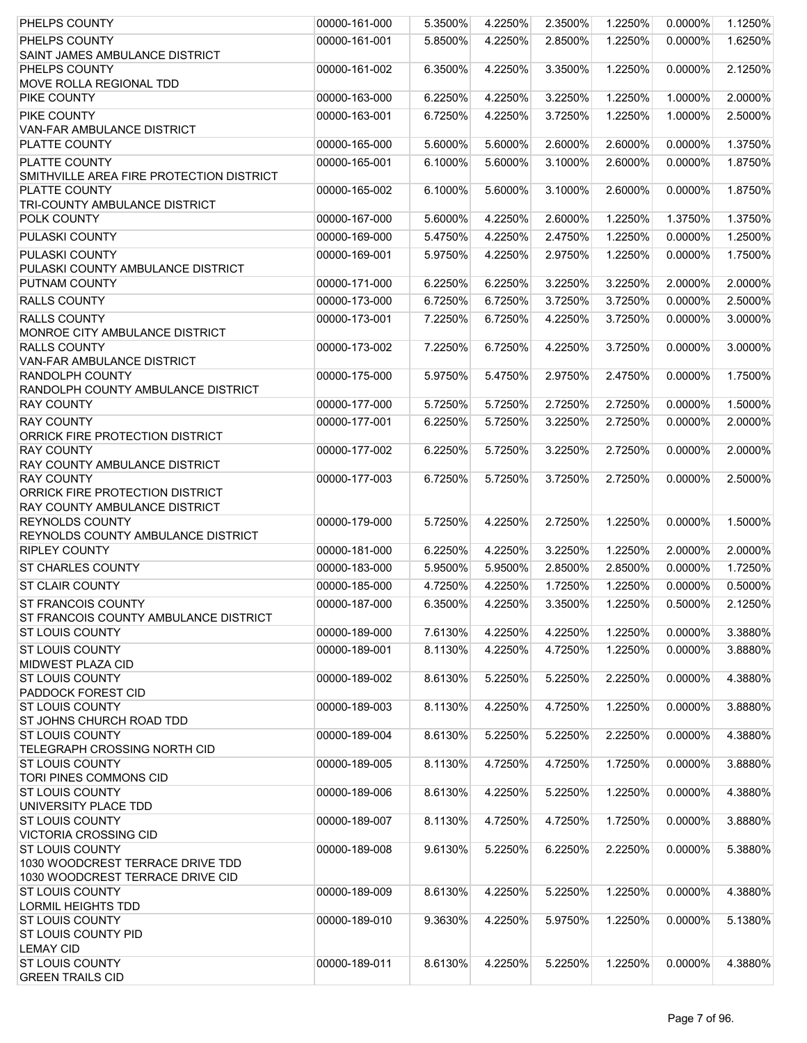| PHELPS COUNTY                                                      | 00000-161-000 | 5.3500% | 4.2250% | 2.3500% | 1.2250% | 0.0000% | 1.1250% |
|--------------------------------------------------------------------|---------------|---------|---------|---------|---------|---------|---------|
| <b>PHELPS COUNTY</b>                                               | 00000-161-001 | 5.8500% | 4.2250% | 2.8500% | 1.2250% | 0.0000% | 1.6250% |
| SAINT JAMES AMBULANCE DISTRICT<br><b>PHELPS COUNTY</b>             | 00000-161-002 | 6.3500% | 4.2250% | 3.3500% | 1.2250% | 0.0000% | 2.1250% |
| MOVE ROLLA REGIONAL TDD                                            |               |         |         |         |         |         |         |
| PIKE COUNTY                                                        | 00000-163-000 | 6.2250% | 4.2250% | 3.2250% | 1.2250% | 1.0000% | 2.0000% |
| PIKE COUNTY                                                        | 00000-163-001 | 6.7250% | 4.2250% | 3.7250% | 1.2250% | 1.0000% | 2.5000% |
| VAN-FAR AMBULANCE DISTRICT                                         |               |         |         |         |         |         |         |
| PLATTE COUNTY                                                      | 00000-165-000 | 5.6000% | 5.6000% | 2.6000% | 2.6000% | 0.0000% | 1.3750% |
| PLATTE COUNTY<br>SMITHVILLE AREA FIRE PROTECTION DISTRICT          | 00000-165-001 | 6.1000% | 5.6000% | 3.1000% | 2.6000% | 0.0000% | 1.8750% |
| <b>PLATTE COUNTY</b>                                               | 00000-165-002 | 6.1000% | 5.6000% | 3.1000% | 2.6000% | 0.0000% | 1.8750% |
| TRI-COUNTY AMBULANCE DISTRICT                                      |               |         |         |         |         |         |         |
| POLK COUNTY                                                        | 00000-167-000 | 5.6000% | 4.2250% | 2.6000% | 1.2250% | 1.3750% | 1.3750% |
| PULASKI COUNTY                                                     | 00000-169-000 | 5.4750% | 4.2250% | 2.4750% | 1.2250% | 0.0000% | 1.2500% |
| PULASKI COUNTY<br>PULASKI COUNTY AMBULANCE DISTRICT                | 00000-169-001 | 5.9750% | 4.2250% | 2.9750% | 1.2250% | 0.0000% | 1.7500% |
| PUTNAM COUNTY                                                      | 00000-171-000 | 6.2250% | 6.2250% | 3.2250% | 3.2250% | 2.0000% | 2.0000% |
| <b>RALLS COUNTY</b>                                                | 00000-173-000 | 6.7250% | 6.7250% | 3.7250% | 3.7250% | 0.0000% | 2.5000% |
| <b>RALLS COUNTY</b>                                                | 00000-173-001 | 7.2250% | 6.7250% | 4.2250% | 3.7250% | 0.0000% | 3.0000% |
| MONROE CITY AMBULANCE DISTRICT                                     |               |         |         |         |         |         |         |
| <b>RALLS COUNTY</b>                                                | 00000-173-002 | 7.2250% | 6.7250% | 4.2250% | 3.7250% | 0.0000% | 3.0000% |
| VAN-FAR AMBULANCE DISTRICT                                         |               |         |         |         |         |         |         |
| <b>RANDOLPH COUNTY</b><br>RANDOLPH COUNTY AMBULANCE DISTRICT       | 00000-175-000 | 5.9750% | 5.4750% | 2.9750% | 2.4750% | 0.0000% | 1.7500% |
| <b>RAY COUNTY</b>                                                  | 00000-177-000 | 5.7250% | 5.7250% | 2.7250% | 2.7250% | 0.0000% | 1.5000% |
| <b>RAY COUNTY</b>                                                  | 00000-177-001 | 6.2250% | 5.7250% | 3.2250% | 2.7250% | 0.0000% | 2.0000% |
| ORRICK FIRE PROTECTION DISTRICT                                    |               |         |         |         |         |         |         |
| <b>RAY COUNTY</b>                                                  | 00000-177-002 | 6.2250% | 5.7250% | 3.2250% | 2.7250% | 0.0000% | 2.0000% |
| RAY COUNTY AMBULANCE DISTRICT                                      |               |         |         |         |         |         |         |
| <b>RAY COUNTY</b><br>ORRICK FIRE PROTECTION DISTRICT               | 00000-177-003 | 6.7250% | 5.7250% | 3.7250% | 2.7250% | 0.0000% | 2.5000% |
| RAY COUNTY AMBULANCE DISTRICT                                      |               |         |         |         |         |         |         |
| <b>REYNOLDS COUNTY</b>                                             | 00000-179-000 | 5.7250% | 4.2250% | 2.7250% | 1.2250% | 0.0000% | 1.5000% |
| <b>REYNOLDS COUNTY AMBULANCE DISTRICT</b>                          |               |         |         |         |         |         |         |
| <b>RIPLEY COUNTY</b>                                               | 00000-181-000 | 6.2250% | 4.2250% | 3.2250% | 1.2250% | 2.0000% | 2.0000% |
| ST CHARLES COUNTY                                                  | 00000-183-000 | 5.9500% | 5.9500% | 2.8500% | 2.8500% | 0.0000% | 1.7250% |
| <b>ST CLAIR COUNTY</b>                                             | 00000-185-000 | 4.7250% | 4.2250% | 1.7250% | 1.2250% | 0.0000% | 0.5000% |
| <b>ST FRANCOIS COUNTY</b><br>ST FRANCOIS COUNTY AMBULANCE DISTRICT | 00000-187-000 | 6.3500% | 4.2250% | 3.3500% | 1.2250% | 0.5000% | 2.1250% |
| <b>ST LOUIS COUNTY</b>                                             | 00000-189-000 | 7.6130% | 4.2250% | 4.2250% | 1.2250% | 0.0000% | 3.3880% |
| <b>ST LOUIS COUNTY</b>                                             | 00000-189-001 | 8.1130% | 4.2250% | 4.7250% | 1.2250% | 0.0000% | 3.8880% |
| MIDWEST PLAZA CID                                                  |               |         |         |         |         |         |         |
| <b>ST LOUIS COUNTY</b><br><b>PADDOCK FOREST CID</b>                | 00000-189-002 | 8.6130% | 5.2250% | 5.2250% | 2.2250% | 0.0000% | 4.3880% |
| <b>ST LOUIS COUNTY</b>                                             | 00000-189-003 | 8.1130% | 4.2250% | 4.7250% | 1.2250% | 0.0000% | 3.8880% |
| ST JOHNS CHURCH ROAD TDD                                           |               |         |         |         |         |         |         |
| <b>ST LOUIS COUNTY</b>                                             | 00000-189-004 | 8.6130% | 5.2250% | 5.2250% | 2.2250% | 0.0000% | 4.3880% |
| <b>TELEGRAPH CROSSING NORTH CID</b><br><b>ST LOUIS COUNTY</b>      |               |         |         |         |         |         |         |
| TORI PINES COMMONS CID                                             | 00000-189-005 | 8.1130% | 4.7250% | 4.7250% | 1.7250% | 0.0000% | 3.8880% |
| <b>ST LOUIS COUNTY</b>                                             | 00000-189-006 | 8.6130% | 4.2250% | 5.2250% | 1.2250% | 0.0000% | 4.3880% |
| UNIVERSITY PLACE TDD                                               |               |         |         |         |         |         |         |
| <b>ST LOUIS COUNTY</b>                                             | 00000-189-007 | 8.1130% | 4.7250% | 4.7250% | 1.7250% | 0.0000% | 3.8880% |
| <b>VICTORIA CROSSING CID</b><br><b>ST LOUIS COUNTY</b>             | 00000-189-008 | 9.6130% | 5.2250% | 6.2250% | 2.2250% | 0.0000% | 5.3880% |
| 1030 WOODCREST TERRACE DRIVE TDD                                   |               |         |         |         |         |         |         |
| 1030 WOODCREST TERRACE DRIVE CID                                   |               |         |         |         |         |         |         |
| <b>ST LOUIS COUNTY</b>                                             | 00000-189-009 | 8.6130% | 4.2250% | 5.2250% | 1.2250% | 0.0000% | 4.3880% |
| <b>LORMIL HEIGHTS TDD</b>                                          |               |         |         |         |         |         |         |
| <b>ST LOUIS COUNTY</b><br>ST LOUIS COUNTY PID                      | 00000-189-010 | 9.3630% | 4.2250% | 5.9750% | 1.2250% | 0.0000% | 5.1380% |
| <b>LEMAY CID</b>                                                   |               |         |         |         |         |         |         |
| <b>ST LOUIS COUNTY</b>                                             | 00000-189-011 | 8.6130% | 4.2250% | 5.2250% | 1.2250% | 0.0000% | 4.3880% |
| <b>GREEN TRAILS CID</b>                                            |               |         |         |         |         |         |         |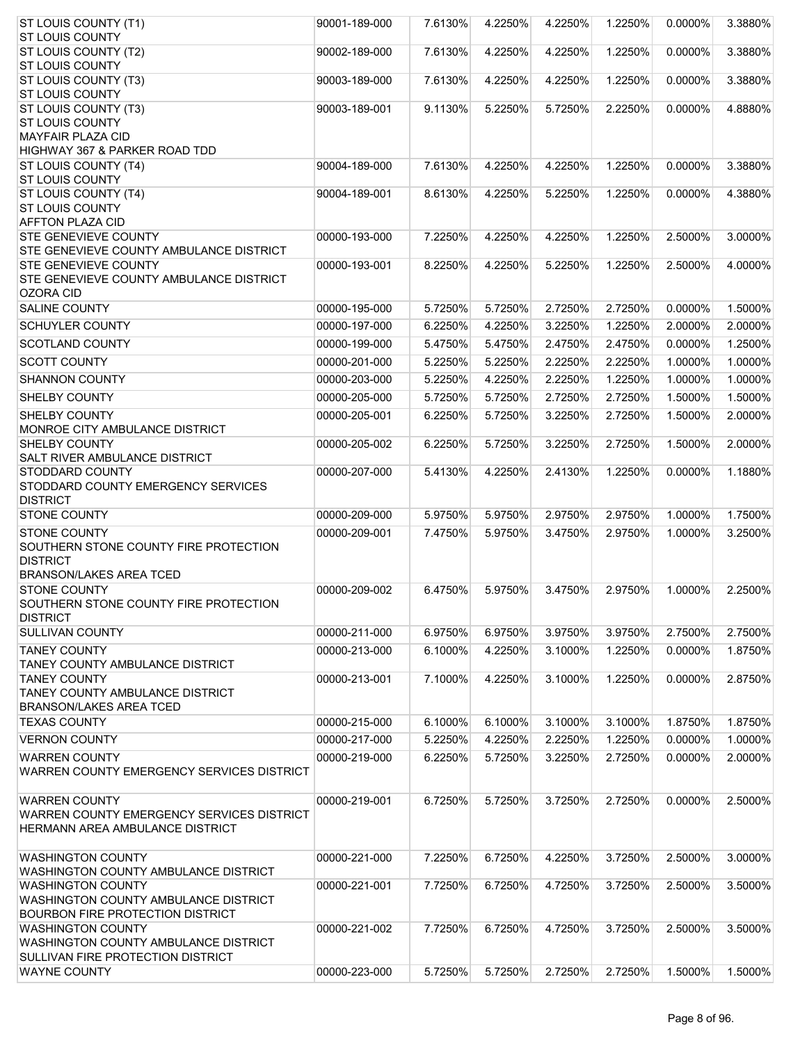| ST LOUIS COUNTY (T1)                                            | 90001-189-000 | 7.6130% | 4.2250% | 4.2250% | 1.2250% | 0.0000% | 3.3880% |
|-----------------------------------------------------------------|---------------|---------|---------|---------|---------|---------|---------|
| <b>ST LOUIS COUNTY</b>                                          |               |         |         |         |         |         |         |
| ST LOUIS COUNTY (T2)                                            | 90002-189-000 | 7.6130% | 4.2250% | 4.2250% | 1.2250% | 0.0000% | 3.3880% |
| <b>ST LOUIS COUNTY</b><br>ST LOUIS COUNTY (T3)                  | 90003-189-000 | 7.6130% | 4.2250% | 4.2250% | 1.2250% | 0.0000% | 3.3880% |
| <b>ST LOUIS COUNTY</b>                                          |               |         |         |         |         |         |         |
| ST LOUIS COUNTY (T3)                                            | 90003-189-001 | 9.1130% | 5.2250% | 5.7250% | 2.2250% | 0.0000% | 4.8880% |
| <b>ST LOUIS COUNTY</b>                                          |               |         |         |         |         |         |         |
| <b>MAYFAIR PLAZA CID</b>                                        |               |         |         |         |         |         |         |
| HIGHWAY 367 & PARKER ROAD TDD                                   |               |         |         |         |         |         |         |
| ST LOUIS COUNTY (T4)                                            | 90004-189-000 | 7.6130% | 4.2250% | 4.2250% | 1.2250% | 0.0000% | 3.3880% |
| <b>ST LOUIS COUNTY</b>                                          |               |         |         |         |         |         |         |
| ST LOUIS COUNTY (T4)                                            | 90004-189-001 | 8.6130% | 4.2250% | 5.2250% | 1.2250% | 0.0000% | 4.3880% |
| <b>ST LOUIS COUNTY</b><br><b>AFFTON PLAZA CID</b>               |               |         |         |         |         |         |         |
| <b>STE GENEVIEVE COUNTY</b>                                     | 00000-193-000 | 7.2250% | 4.2250% | 4.2250% | 1.2250% | 2.5000% | 3.0000% |
| STE GENEVIEVE COUNTY AMBULANCE DISTRICT                         |               |         |         |         |         |         |         |
| STE GENEVIEVE COUNTY                                            | 00000-193-001 | 8.2250% | 4.2250% | 5.2250% | 1.2250% | 2.5000% | 4.0000% |
| STE GENEVIEVE COUNTY AMBULANCE DISTRICT                         |               |         |         |         |         |         |         |
| <b>OZORA CID</b>                                                |               |         |         |         |         |         |         |
| <b>SALINE COUNTY</b>                                            | 00000-195-000 | 5.7250% | 5.7250% | 2.7250% | 2.7250% | 0.0000% | 1.5000% |
| <b>SCHUYLER COUNTY</b>                                          | 00000-197-000 | 6.2250% | 4.2250% | 3.2250% | 1.2250% | 2.0000% | 2.0000% |
| <b>SCOTLAND COUNTY</b>                                          | 00000-199-000 | 5.4750% | 5.4750% | 2.4750% | 2.4750% | 0.0000% | 1.2500% |
| <b>SCOTT COUNTY</b>                                             | 00000-201-000 | 5.2250% | 5.2250% | 2.2250% | 2.2250% | 1.0000% | 1.0000% |
| <b>SHANNON COUNTY</b>                                           | 00000-203-000 | 5.2250% | 4.2250% | 2.2250% | 1.2250% | 1.0000% | 1.0000% |
|                                                                 |               |         |         |         |         |         |         |
| <b>SHELBY COUNTY</b>                                            | 00000-205-000 | 5.7250% | 5.7250% | 2.7250% | 2.7250% | 1.5000% | 1.5000% |
| SHELBY COUNTY<br>MONROE CITY AMBULANCE DISTRICT                 | 00000-205-001 | 6.2250% | 5.7250% | 3.2250% | 2.7250% | 1.5000% | 2.0000% |
| <b>SHELBY COUNTY</b>                                            | 00000-205-002 | 6.2250% | 5.7250% | 3.2250% | 2.7250% | 1.5000% | 2.0000% |
| SALT RIVER AMBULANCE DISTRICT                                   |               |         |         |         |         |         |         |
| STODDARD COUNTY                                                 | 00000-207-000 | 5.4130% | 4.2250% | 2.4130% | 1.2250% | 0.0000% | 1.1880% |
| STODDARD COUNTY EMERGENCY SERVICES                              |               |         |         |         |         |         |         |
| <b>DISTRICT</b>                                                 |               |         |         |         |         |         |         |
| <b>STONE COUNTY</b>                                             | 00000-209-000 | 5.9750% | 5.9750% | 2.9750% | 2.9750% | 1.0000% | 1.7500% |
| <b>STONE COUNTY</b>                                             | 00000-209-001 | 7.4750% | 5.9750% | 3.4750% | 2.9750% | 1.0000% | 3.2500% |
| SOUTHERN STONE COUNTY FIRE PROTECTION                           |               |         |         |         |         |         |         |
| <b>DISTRICT</b>                                                 |               |         |         |         |         |         |         |
| BRANSON/LAKES AREA TCED                                         |               |         |         |         |         |         |         |
| STONE COUNTY<br>SOUTHERN STONE COUNTY FIRE PROTECTION           | 00000-209-002 | 6.4750% | 5.9750% | 3.4750% | 2.9750% | 1.0000% | 2.2500% |
| <b>DISTRICT</b>                                                 |               |         |         |         |         |         |         |
| <b>SULLIVAN COUNTY</b>                                          | 00000-211-000 | 6.9750% | 6.9750% | 3.9750% | 3.9750% | 2.7500% | 2.7500% |
| <b>TANEY COUNTY</b>                                             | 00000-213-000 | 6.1000% | 4.2250% | 3.1000% | 1.2250% | 0.0000% | 1.8750% |
| TANEY COUNTY AMBULANCE DISTRICT                                 |               |         |         |         |         |         |         |
| <b>TANEY COUNTY</b>                                             | 00000-213-001 | 7.1000% | 4.2250% | 3.1000% | 1.2250% | 0.0000% | 2.8750% |
| TANEY COUNTY AMBULANCE DISTRICT                                 |               |         |         |         |         |         |         |
| <b>BRANSON/LAKES AREA TCED</b>                                  |               |         |         |         |         |         |         |
| <b>TEXAS COUNTY</b>                                             | 00000-215-000 | 6.1000% | 6.1000% | 3.1000% | 3.1000% | 1.8750% | 1.8750% |
| <b>VERNON COUNTY</b>                                            | 00000-217-000 | 5.2250% | 4.2250% | 2.2250% | 1.2250% | 0.0000% | 1.0000% |
| <b>WARREN COUNTY</b>                                            | 00000-219-000 | 6.2250% | 5.7250% | 3.2250% | 2.7250% | 0.0000% | 2.0000% |
| WARREN COUNTY EMERGENCY SERVICES DISTRICT                       |               |         |         |         |         |         |         |
|                                                                 |               |         |         |         |         |         |         |
| <b>WARREN COUNTY</b>                                            | 00000-219-001 | 6.7250% | 5.7250% | 3.7250% | 2.7250% | 0.0000% | 2.5000% |
| WARREN COUNTY EMERGENCY SERVICES DISTRICT                       |               |         |         |         |         |         |         |
| HERMANN AREA AMBULANCE DISTRICT                                 |               |         |         |         |         |         |         |
| <b>WASHINGTON COUNTY</b>                                        | 00000-221-000 | 7.2250% | 6.7250% | 4.2250% | 3.7250% | 2.5000% | 3.0000% |
| WASHINGTON COUNTY AMBULANCE DISTRICT                            |               |         |         |         |         |         |         |
| <b>WASHINGTON COUNTY</b>                                        | 00000-221-001 | 7.7250% | 6.7250% | 4.7250% | 3.7250% | 2.5000% | 3.5000% |
| WASHINGTON COUNTY AMBULANCE DISTRICT                            |               |         |         |         |         |         |         |
| <b>BOURBON FIRE PROTECTION DISTRICT</b>                         |               |         |         |         |         |         |         |
| <b>WASHINGTON COUNTY</b>                                        | 00000-221-002 | 7.7250% | 6.7250% | 4.7250% | 3.7250% | 2.5000% | 3.5000% |
| WASHINGTON COUNTY AMBULANCE DISTRICT                            |               |         |         |         |         |         |         |
| <b>SULLIVAN FIRE PROTECTION DISTRICT</b><br><b>WAYNE COUNTY</b> | 00000-223-000 | 5.7250% | 5.7250% | 2.7250% | 2.7250% | 1.5000% | 1.5000% |
|                                                                 |               |         |         |         |         |         |         |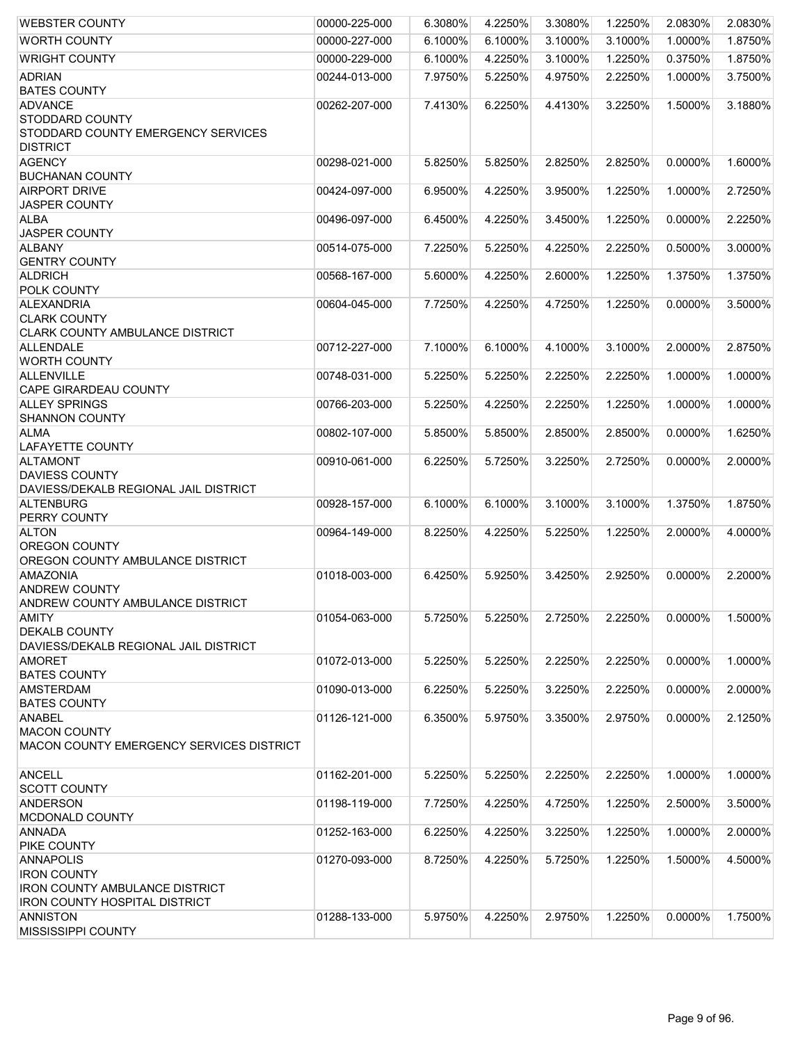| WEBSTER COUNTY                                                 | 00000-225-000 | 6.3080% | 4.2250% | 3.3080% | 1.2250% | 2.0830%    | 2.0830% |
|----------------------------------------------------------------|---------------|---------|---------|---------|---------|------------|---------|
| <b>WORTH COUNTY</b>                                            | 00000-227-000 | 6.1000% | 6.1000% | 3.1000% | 3.1000% | 1.0000%    | 1.8750% |
| <b>WRIGHT COUNTY</b>                                           | 00000-229-000 | 6.1000% | 4.2250% | 3.1000% | 1.2250% | 0.3750%    | 1.8750% |
| <b>ADRIAN</b>                                                  | 00244-013-000 | 7.9750% | 5.2250% | 4.9750% | 2.2250% | 1.0000%    | 3.7500% |
| <b>BATES COUNTY</b>                                            |               |         |         |         |         |            |         |
| <b>ADVANCE</b>                                                 | 00262-207-000 | 7.4130% | 6.2250% | 4.4130% | 3.2250% | 1.5000%    | 3.1880% |
| <b>STODDARD COUNTY</b>                                         |               |         |         |         |         |            |         |
| STODDARD COUNTY EMERGENCY SERVICES<br><b>DISTRICT</b>          |               |         |         |         |         |            |         |
| <b>AGENCY</b>                                                  | 00298-021-000 | 5.8250% | 5.8250% | 2.8250% | 2.8250% | 0.0000%    | 1.6000% |
| <b>BUCHANAN COUNTY</b>                                         |               |         |         |         |         |            |         |
| <b>AIRPORT DRIVE</b>                                           | 00424-097-000 | 6.9500% | 4.2250% | 3.9500% | 1.2250% | 1.0000%    | 2.7250% |
| <b>JASPER COUNTY</b>                                           |               |         |         |         |         |            |         |
| <b>ALBA</b>                                                    | 00496-097-000 | 6.4500% | 4.2250% | 3.4500% | 1.2250% | 0.0000%    | 2.2250% |
| <b>JASPER COUNTY</b>                                           |               |         |         |         |         |            |         |
| <b>ALBANY</b><br><b>GENTRY COUNTY</b>                          | 00514-075-000 | 7.2250% | 5.2250% | 4.2250% | 2.2250% | 0.5000%    | 3.0000% |
| <b>ALDRICH</b>                                                 | 00568-167-000 | 5.6000% | 4.2250% | 2.6000% | 1.2250% | 1.3750%    | 1.3750% |
| POLK COUNTY                                                    |               |         |         |         |         |            |         |
| <b>ALEXANDRIA</b>                                              | 00604-045-000 | 7.7250% | 4.2250% | 4.7250% | 1.2250% | $0.0000\%$ | 3.5000% |
| <b>CLARK COUNTY</b>                                            |               |         |         |         |         |            |         |
| <b>CLARK COUNTY AMBULANCE DISTRICT</b>                         |               |         |         |         |         |            |         |
| <b>ALLENDALE</b>                                               | 00712-227-000 | 7.1000% | 6.1000% | 4.1000% | 3.1000% | 2.0000%    | 2.8750% |
| <b>WORTH COUNTY</b><br><b>ALLENVILLE</b>                       | 00748-031-000 | 5.2250% | 5.2250% | 2.2250% | 2.2250% | 1.0000%    | 1.0000% |
| <b>CAPE GIRARDEAU COUNTY</b>                                   |               |         |         |         |         |            |         |
| <b>ALLEY SPRINGS</b>                                           | 00766-203-000 | 5.2250% | 4.2250% | 2.2250% | 1.2250% | 1.0000%    | 1.0000% |
| <b>SHANNON COUNTY</b>                                          |               |         |         |         |         |            |         |
| <b>ALMA</b>                                                    | 00802-107-000 | 5.8500% | 5.8500% | 2.8500% | 2.8500% | 0.0000%    | 1.6250% |
| <b>LAFAYETTE COUNTY</b>                                        |               |         |         |         |         |            |         |
| <b>ALTAMONT</b>                                                | 00910-061-000 | 6.2250% | 5.7250% | 3.2250% | 2.7250% | 0.0000%    | 2.0000% |
| <b>DAVIESS COUNTY</b><br>DAVIESS/DEKALB REGIONAL JAIL DISTRICT |               |         |         |         |         |            |         |
| <b>ALTENBURG</b>                                               | 00928-157-000 | 6.1000% | 6.1000% | 3.1000% | 3.1000% | 1.3750%    | 1.8750% |
| PERRY COUNTY                                                   |               |         |         |         |         |            |         |
| <b>ALTON</b>                                                   | 00964-149-000 | 8.2250% | 4.2250% | 5.2250% | 1.2250% | 2.0000%    | 4.0000% |
| <b>OREGON COUNTY</b>                                           |               |         |         |         |         |            |         |
| OREGON COUNTY AMBULANCE DISTRICT                               |               |         |         |         |         |            |         |
| <b>AMAZONIA</b><br><b>ANDREW COUNTY</b>                        | 01018-003-000 | 6.4250% | 5.9250% | 3.4250% | 2.9250% | 0.0000%    | 2.2000% |
| ANDREW COUNTY AMBULANCE DISTRICT                               |               |         |         |         |         |            |         |
| <b>AMITY</b>                                                   | 01054-063-000 | 5.7250% | 5.2250% | 2.7250% | 2.2250% | 0.0000%    | 1.5000% |
| <b>DEKALB COUNTY</b>                                           |               |         |         |         |         |            |         |
| DAVIESS/DEKALB REGIONAL JAIL DISTRICT                          |               |         |         |         |         |            |         |
| <b>AMORET</b>                                                  | 01072-013-000 | 5.2250% | 5.2250% | 2.2250% | 2.2250% | 0.0000%    | 1.0000% |
| <b>BATES COUNTY</b>                                            |               |         |         |         |         |            |         |
| <b>AMSTERDAM</b>                                               | 01090-013-000 | 6.2250% | 5.2250% | 3.2250% | 2.2250% | 0.0000%    | 2.0000% |
| <b>BATES COUNTY</b><br><b>ANABEL</b>                           | 01126-121-000 | 6.3500% | 5.9750% | 3.3500% | 2.9750% | 0.0000%    | 2.1250% |
| <b>MACON COUNTY</b>                                            |               |         |         |         |         |            |         |
| MACON COUNTY EMERGENCY SERVICES DISTRICT                       |               |         |         |         |         |            |         |
|                                                                |               |         |         |         |         |            |         |
| <b>ANCELL</b>                                                  | 01162-201-000 | 5.2250% | 5.2250% | 2.2250% | 2.2250% | 1.0000%    | 1.0000% |
| <b>SCOTT COUNTY</b>                                            |               |         |         |         |         |            |         |
| <b>ANDERSON</b>                                                | 01198-119-000 | 7.7250% | 4.2250% | 4.7250% | 1.2250% | 2.5000%    | 3.5000% |
| MCDONALD COUNTY<br><b>ANNADA</b>                               | 01252-163-000 | 6.2250% | 4.2250% | 3.2250% | 1.2250% | 1.0000%    | 2.0000% |
| PIKE COUNTY                                                    |               |         |         |         |         |            |         |
| <b>ANNAPOLIS</b>                                               | 01270-093-000 | 8.7250% | 4.2250% | 5.7250% | 1.2250% | 1.5000%    | 4.5000% |
| <b>IRON COUNTY</b>                                             |               |         |         |         |         |            |         |
| <b>IRON COUNTY AMBULANCE DISTRICT</b>                          |               |         |         |         |         |            |         |
| <b>IRON COUNTY HOSPITAL DISTRICT</b>                           |               |         |         |         |         |            |         |
| <b>ANNISTON</b>                                                | 01288-133-000 | 5.9750% | 4.2250% | 2.9750% | 1.2250% | 0.0000%    | 1.7500% |
| MISSISSIPPI COUNTY                                             |               |         |         |         |         |            |         |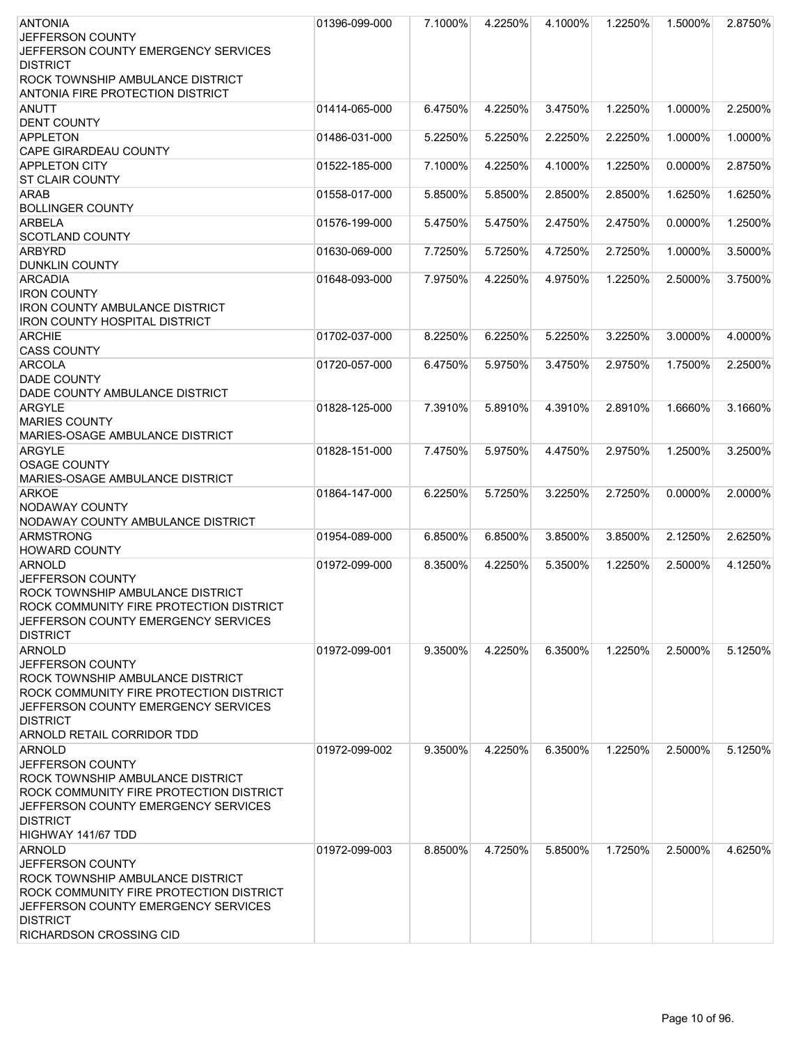| <b>ANTONIA</b>                                  | 01396-099-000 | 7.1000%    | 4.2250% | 4.1000% | 1.2250% | 1.5000% | 2.8750% |
|-------------------------------------------------|---------------|------------|---------|---------|---------|---------|---------|
| JEFFERSON COUNTY                                |               |            |         |         |         |         |         |
| JEFFERSON COUNTY EMERGENCY SERVICES             |               |            |         |         |         |         |         |
| <b>DISTRICT</b>                                 |               |            |         |         |         |         |         |
| ROCK TOWNSHIP AMBULANCE DISTRICT                |               |            |         |         |         |         |         |
| ANTONIA FIRE PROTECTION DISTRICT                |               |            |         |         |         |         |         |
| ANUTT                                           | 01414-065-000 | 6.4750%    | 4.2250% | 3.4750% | 1.2250% | 1.0000% | 2.2500% |
| <b>DENT COUNTY</b>                              |               |            |         |         |         |         |         |
| <b>APPLETON</b>                                 | 01486-031-000 | 5.2250%    | 5.2250% | 2.2250% | 2.2250% | 1.0000% | 1.0000% |
| <b>CAPE GIRARDEAU COUNTY</b>                    |               |            |         |         |         |         |         |
| <b>APPLETON CITY</b>                            | 01522-185-000 | 7.1000%    | 4.2250% | 4.1000% | 1.2250% | 0.0000% | 2.8750% |
| <b>ST CLAIR COUNTY</b>                          |               |            |         |         |         |         |         |
| ARAB                                            | 01558-017-000 | 5.8500%    | 5.8500% | 2.8500% | 2.8500% | 1.6250% | 1.6250% |
| <b>BOLLINGER COUNTY</b>                         |               |            |         |         |         |         |         |
| <b>ARBELA</b>                                   | 01576-199-000 | 5.4750%    | 5.4750% | 2.4750% | 2.4750% | 0.0000% | 1.2500% |
| <b>SCOTLAND COUNTY</b>                          |               |            |         |         |         |         |         |
| <b>ARBYRD</b>                                   | 01630-069-000 | 7.7250%    | 5.7250% | 4.7250% | 2.7250% | 1.0000% | 3.5000% |
| <b>DUNKLIN COUNTY</b>                           |               |            |         |         |         |         |         |
| <b>ARCADIA</b>                                  | 01648-093-000 | 7.9750%    | 4.2250% | 4.9750% | 1.2250% | 2.5000% | 3.7500% |
| <b>IRON COUNTY</b>                              |               |            |         |         |         |         |         |
| <b>IRON COUNTY AMBULANCE DISTRICT</b>           |               |            |         |         |         |         |         |
| <b>IRON COUNTY HOSPITAL DISTRICT</b>            |               |            |         |         |         |         |         |
| <b>ARCHIE</b>                                   | 01702-037-000 | 8.2250%    | 6.2250% | 5.2250% | 3.2250% | 3.0000% | 4.0000% |
| <b>CASS COUNTY</b>                              |               |            |         |         |         |         |         |
| <b>ARCOLA</b>                                   | 01720-057-000 | 6.4750%    | 5.9750% | 3.4750% | 2.9750% | 1.7500% | 2.2500% |
| <b>DADE COUNTY</b>                              |               |            |         |         |         |         |         |
| DADE COUNTY AMBULANCE DISTRICT                  |               |            |         |         |         |         |         |
| <b>ARGYLE</b>                                   | 01828-125-000 | 7.3910%    | 5.8910% | 4.3910% | 2.8910% | 1.6660% | 3.1660% |
| <b>MARIES COUNTY</b>                            |               |            |         |         |         |         |         |
| MARIES-OSAGE AMBULANCE DISTRICT                 |               |            |         |         |         |         |         |
| <b>ARGYLE</b>                                   | 01828-151-000 | 7.4750%    | 5.9750% | 4.4750% | 2.9750% | 1.2500% | 3.2500% |
| <b>OSAGE COUNTY</b>                             |               |            |         |         |         |         |         |
| MARIES-OSAGE AMBULANCE DISTRICT<br><b>ARKOE</b> |               |            |         |         |         |         | 2.0000% |
| <b>NODAWAY COUNTY</b>                           | 01864-147-000 | 6.2250%    | 5.7250% | 3.2250% | 2.7250% | 0.0000% |         |
| NODAWAY COUNTY AMBULANCE DISTRICT               |               |            |         |         |         |         |         |
| <b>ARMSTRONG</b>                                | 01954-089-000 | 6.8500%    | 6.8500% | 3.8500% | 3.8500% | 2.1250% | 2.6250% |
| <b>HOWARD COUNTY</b>                            |               |            |         |         |         |         |         |
| <b>ARNOLD</b>                                   | 01972-099-000 | 8.3500%    | 4.2250% | 5.3500% | 1.2250% | 2.5000% | 4.1250% |
| JEFFERSON COUNTY                                |               |            |         |         |         |         |         |
| <b>ROCK TOWNSHIP AMBULANCE DISTRICT</b>         |               |            |         |         |         |         |         |
| ROCK COMMUNITY FIRE PROTECTION DISTRICT         |               |            |         |         |         |         |         |
| JEFFERSON COUNTY EMERGENCY SERVICES             |               |            |         |         |         |         |         |
| <b>DISTRICT</b>                                 |               |            |         |         |         |         |         |
| <b>ARNOLD</b>                                   | 01972-099-001 | $9.3500\%$ | 4.2250% | 6.3500% | 1.2250% | 2.5000% | 5.1250% |
| JEFFERSON COUNTY                                |               |            |         |         |         |         |         |
| <b>ROCK TOWNSHIP AMBULANCE DISTRICT</b>         |               |            |         |         |         |         |         |
| ROCK COMMUNITY FIRE PROTECTION DISTRICT         |               |            |         |         |         |         |         |
| JEFFERSON COUNTY EMERGENCY SERVICES             |               |            |         |         |         |         |         |
| <b>DISTRICT</b>                                 |               |            |         |         |         |         |         |
| ARNOLD RETAIL CORRIDOR TDD                      |               |            |         |         |         |         |         |
| <b>ARNOLD</b>                                   | 01972-099-002 | 9.3500%    | 4.2250% | 6.3500% | 1.2250% | 2.5000% | 5.1250% |
| JEFFERSON COUNTY                                |               |            |         |         |         |         |         |
| ROCK TOWNSHIP AMBULANCE DISTRICT                |               |            |         |         |         |         |         |
| ROCK COMMUNITY FIRE PROTECTION DISTRICT         |               |            |         |         |         |         |         |
| JEFFERSON COUNTY EMERGENCY SERVICES             |               |            |         |         |         |         |         |
| <b>DISTRICT</b>                                 |               |            |         |         |         |         |         |
| HIGHWAY 141/67 TDD                              |               |            |         |         |         |         |         |
| <b>ARNOLD</b>                                   | 01972-099-003 | 8.8500%    | 4.7250% | 5.8500% | 1.7250% | 2.5000% | 4.6250% |
| JEFFERSON COUNTY                                |               |            |         |         |         |         |         |
| ROCK TOWNSHIP AMBULANCE DISTRICT                |               |            |         |         |         |         |         |
| ROCK COMMUNITY FIRE PROTECTION DISTRICT         |               |            |         |         |         |         |         |
| JEFFERSON COUNTY EMERGENCY SERVICES             |               |            |         |         |         |         |         |
| <b>DISTRICT</b>                                 |               |            |         |         |         |         |         |
| <b>RICHARDSON CROSSING CID</b>                  |               |            |         |         |         |         |         |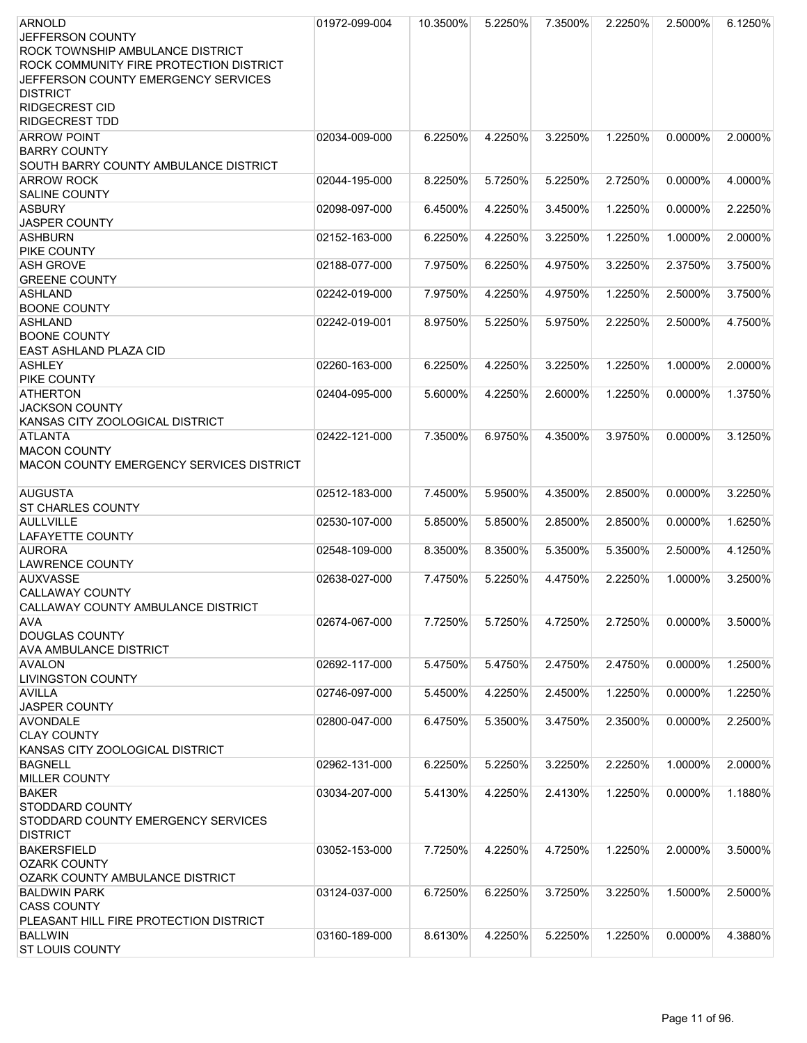| ARNOLD                                   | 01972-099-004 | 10.3500% | 5.2250% | 7.3500% | 2.2250% | 2.5000%    | 6.1250% |
|------------------------------------------|---------------|----------|---------|---------|---------|------------|---------|
| JEFFERSON COUNTY                         |               |          |         |         |         |            |         |
| ROCK TOWNSHIP AMBULANCE DISTRICT         |               |          |         |         |         |            |         |
| ROCK COMMUNITY FIRE PROTECTION DISTRICT  |               |          |         |         |         |            |         |
| JEFFERSON COUNTY EMERGENCY SERVICES      |               |          |         |         |         |            |         |
| <b>DISTRICT</b>                          |               |          |         |         |         |            |         |
| <b>RIDGECREST CID</b>                    |               |          |         |         |         |            |         |
| <b>RIDGECREST TDD</b>                    |               |          |         |         |         |            |         |
| <b>ARROW POINT</b>                       | 02034-009-000 | 6.2250%  | 4.2250% | 3.2250% | 1.2250% | 0.0000%    | 2.0000% |
| <b>BARRY COUNTY</b>                      |               |          |         |         |         |            |         |
| SOUTH BARRY COUNTY AMBULANCE DISTRICT    |               |          |         |         |         |            |         |
| <b>ARROW ROCK</b>                        | 02044-195-000 | 8.2250%  | 5.7250% | 5.2250% | 2.7250% | $0.0000\%$ | 4.0000% |
| <b>SALINE COUNTY</b>                     |               |          |         |         |         |            |         |
| <b>ASBURY</b>                            | 02098-097-000 | 6.4500%  | 4.2250% | 3.4500% | 1.2250% | 0.0000%    | 2.2250% |
| <b>JASPER COUNTY</b>                     |               |          |         |         |         |            |         |
| <b>ASHBURN</b>                           | 02152-163-000 | 6.2250%  | 4.2250% | 3.2250% | 1.2250% | 1.0000%    | 2.0000% |
| <b>PIKE COUNTY</b>                       |               |          |         |         |         |            | 3.7500% |
| <b>ASH GROVE</b><br><b>GREENE COUNTY</b> | 02188-077-000 | 7.9750%  | 6.2250% | 4.9750% | 3.2250% | 2.3750%    |         |
|                                          |               |          |         |         | 1.2250% |            |         |
| <b>ASHLAND</b><br><b>BOONE COUNTY</b>    | 02242-019-000 | 7.9750%  | 4.2250% | 4.9750% |         | 2.5000%    | 3.7500% |
| <b>ASHLAND</b>                           | 02242-019-001 | 8.9750%  | 5.2250% | 5.9750% | 2.2250% | 2.5000%    | 4.7500% |
| <b>BOONE COUNTY</b>                      |               |          |         |         |         |            |         |
| <b>EAST ASHLAND PLAZA CID</b>            |               |          |         |         |         |            |         |
| <b>ASHLEY</b>                            | 02260-163-000 | 6.2250%  | 4.2250% | 3.2250% | 1.2250% | 1.0000%    | 2.0000% |
| <b>PIKE COUNTY</b>                       |               |          |         |         |         |            |         |
| <b>ATHERTON</b>                          | 02404-095-000 | 5.6000%  | 4.2250% | 2.6000% | 1.2250% | 0.0000%    | 1.3750% |
| <b>JACKSON COUNTY</b>                    |               |          |         |         |         |            |         |
| KANSAS CITY ZOOLOGICAL DISTRICT          |               |          |         |         |         |            |         |
| <b>ATLANTA</b>                           | 02422-121-000 | 7.3500%  | 6.9750% | 4.3500% | 3.9750% | $0.0000\%$ | 3.1250% |
| <b>MACON COUNTY</b>                      |               |          |         |         |         |            |         |
| MACON COUNTY EMERGENCY SERVICES DISTRICT |               |          |         |         |         |            |         |
|                                          |               |          |         |         |         |            |         |
| <b>AUGUSTA</b>                           | 02512-183-000 | 7.4500%  | 5.9500% | 4.3500% | 2.8500% | 0.0000%    | 3.2250% |
| <b>ST CHARLES COUNTY</b>                 |               |          |         |         |         |            |         |
| <b>AULLVILLE</b>                         | 02530-107-000 | 5.8500%  | 5.8500% | 2.8500% | 2.8500% | 0.0000%    | 1.6250% |
| <b>LAFAYETTE COUNTY</b>                  |               |          |         |         |         |            |         |
| <b>AURORA</b>                            | 02548-109-000 | 8.3500%  | 8.3500% | 5.3500% | 5.3500% | 2.5000%    | 4.1250% |
| <b>LAWRENCE COUNTY</b>                   |               |          |         |         |         |            |         |
| AUXVASSE                                 | 02638-027-000 | 7.4750%  | 5.2250% | 4.4750% | 2.2250% | 1.0000%    | 3.2500% |
| CALLAWAY COUNTY                          |               |          |         |         |         |            |         |
| CALLAWAY COUNTY AMBULANCE DISTRICT       |               |          |         |         |         |            |         |
| <b>AVA</b>                               | 02674-067-000 | 7.7250%  | 5.7250% | 4.7250% | 2.7250% | $0.0000\%$ | 3.5000% |
| <b>DOUGLAS COUNTY</b>                    |               |          |         |         |         |            |         |
| <b>AVA AMBULANCE DISTRICT</b>            |               |          |         |         |         |            |         |
| <b>AVALON</b>                            | 02692-117-000 | 5.4750%  | 5.4750% | 2.4750% | 2.4750% | 0.0000%    | 1.2500% |
| <b>LIVINGSTON COUNTY</b>                 |               |          |         |         |         |            |         |
| <b>AVILLA</b>                            | 02746-097-000 | 5.4500%  | 4.2250% | 2.4500% | 1.2250% | 0.0000%    | 1.2250% |
| JASPER COUNTY                            |               |          |         |         |         |            |         |
| <b>AVONDALE</b>                          | 02800-047-000 | 6.4750%  | 5.3500% | 3.4750% | 2.3500% | 0.0000%    | 2.2500% |
| <b>CLAY COUNTY</b>                       |               |          |         |         |         |            |         |
| KANSAS CITY ZOOLOGICAL DISTRICT          |               |          |         |         |         |            |         |
| <b>BAGNELL</b>                           | 02962-131-000 | 6.2250%  | 5.2250% | 3.2250% | 2.2250% | 1.0000%    | 2.0000% |
| <b>MILLER COUNTY</b>                     |               |          |         |         |         |            |         |
| <b>BAKER</b>                             | 03034-207-000 | 5.4130%  | 4.2250% | 2.4130% | 1.2250% | 0.0000%    | 1.1880% |
| <b>STODDARD COUNTY</b>                   |               |          |         |         |         |            |         |
| STODDARD COUNTY EMERGENCY SERVICES       |               |          |         |         |         |            |         |
| <b>DISTRICT</b>                          |               |          |         |         |         |            |         |
| <b>BAKERSFIELD</b>                       | 03052-153-000 | 7.7250%  | 4.2250% | 4.7250% | 1.2250% | 2.0000%    | 3.5000% |
| <b>OZARK COUNTY</b>                      |               |          |         |         |         |            |         |
| OZARK COUNTY AMBULANCE DISTRICT          |               |          |         |         |         |            |         |
| <b>BALDWIN PARK</b>                      | 03124-037-000 | 6.7250%  | 6.2250% | 3.7250% | 3.2250% | 1.5000%    | 2.5000% |
| <b>CASS COUNTY</b>                       |               |          |         |         |         |            |         |
| PLEASANT HILL FIRE PROTECTION DISTRICT   |               |          |         |         |         |            |         |
| <b>BALLWIN</b>                           | 03160-189-000 | 8.6130%  | 4.2250% | 5.2250% | 1.2250% | $0.0000\%$ | 4.3880% |
| <b>ST LOUIS COUNTY</b>                   |               |          |         |         |         |            |         |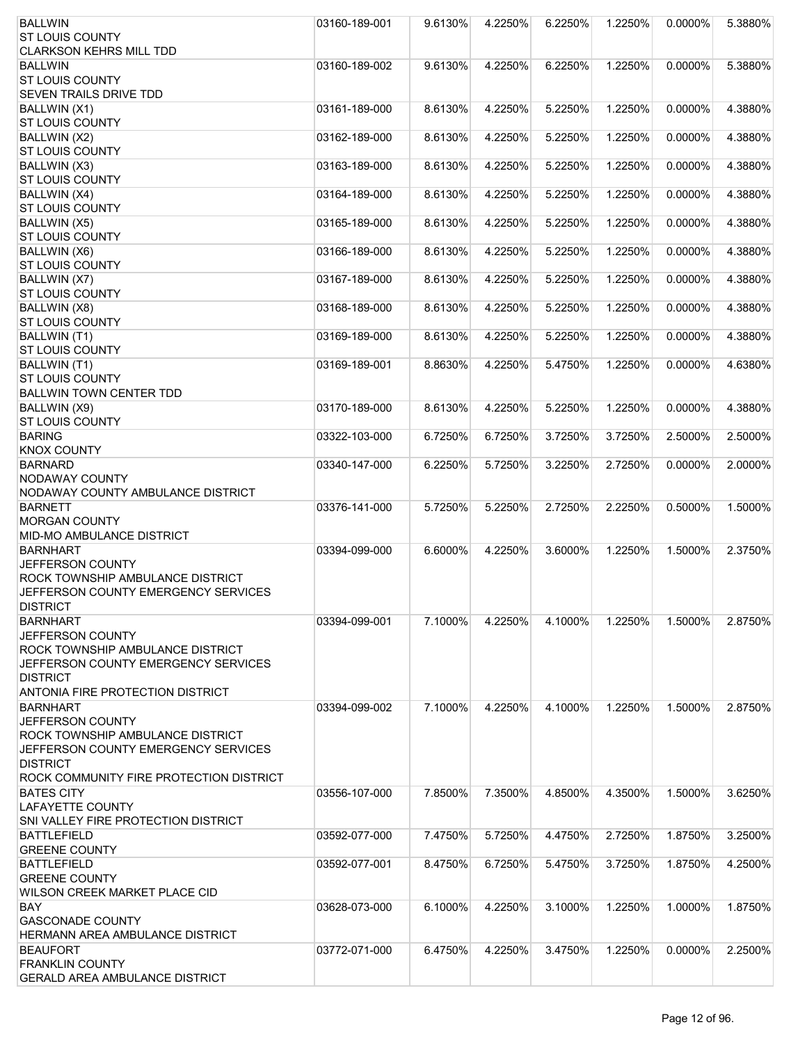| <b>BALLWIN</b>                                                            | 03160-189-001 | 9.6130% | 4.2250% | 6.2250% | 1.2250% | 0.0000%    | 5.3880% |
|---------------------------------------------------------------------------|---------------|---------|---------|---------|---------|------------|---------|
| <b>ST LOUIS COUNTY</b><br><b>CLARKSON KEHRS MILL TDD</b>                  |               |         |         |         |         |            |         |
| <b>BALLWIN</b><br><b>ST LOUIS COUNTY</b><br><b>SEVEN TRAILS DRIVE TDD</b> | 03160-189-002 | 9.6130% | 4.2250% | 6.2250% | 1.2250% | 0.0000%    | 5.3880% |
| BALLWIN (X1)<br><b>ST LOUIS COUNTY</b>                                    | 03161-189-000 | 8.6130% | 4.2250% | 5.2250% | 1.2250% | 0.0000%    | 4.3880% |
| BALLWIN (X2)<br><b>ST LOUIS COUNTY</b>                                    | 03162-189-000 | 8.6130% | 4.2250% | 5.2250% | 1.2250% | 0.0000%    | 4.3880% |
| BALLWIN (X3)                                                              | 03163-189-000 | 8.6130% | 4.2250% | 5.2250% | 1.2250% | 0.0000%    | 4.3880% |
| <b>ST LOUIS COUNTY</b><br>BALLWIN (X4)                                    | 03164-189-000 | 8.6130% | 4.2250% | 5.2250% | 1.2250% | 0.0000%    | 4.3880% |
| <b>ST LOUIS COUNTY</b><br>BALLWIN (X5)<br><b>ST LOUIS COUNTY</b>          | 03165-189-000 | 8.6130% | 4.2250% | 5.2250% | 1.2250% | 0.0000%    | 4.3880% |
| BALLWIN (X6)                                                              | 03166-189-000 | 8.6130% | 4.2250% | 5.2250% | 1.2250% | $0.0000\%$ | 4.3880% |
| <b>ST LOUIS COUNTY</b><br>BALLWIN (X7)                                    | 03167-189-000 | 8.6130% | 4.2250% | 5.2250% | 1.2250% | 0.0000%    | 4.3880% |
| <b>ST LOUIS COUNTY</b><br>BALLWIN (X8)                                    | 03168-189-000 | 8.6130% | 4.2250% | 5.2250% | 1.2250% | 0.0000%    | 4.3880% |
| <b>ST LOUIS COUNTY</b><br>BALLWIN (T1)                                    | 03169-189-000 | 8.6130% | 4.2250% | 5.2250% | 1.2250% | 0.0000%    | 4.3880% |
| <b>ST LOUIS COUNTY</b><br>BALLWIN (T1)                                    | 03169-189-001 | 8.8630% | 4.2250% | 5.4750% | 1.2250% | 0.0000%    | 4.6380% |
| <b>ST LOUIS COUNTY</b>                                                    |               |         |         |         |         |            |         |
| <b>BALLWIN TOWN CENTER TDD</b><br>BALLWIN (X9)                            | 03170-189-000 | 8.6130% | 4.2250% | 5.2250% | 1.2250% | 0.0000%    | 4.3880% |
| <b>ST LOUIS COUNTY</b><br><b>BARING</b>                                   | 03322-103-000 | 6.7250% | 6.7250% | 3.7250% | 3.7250% | 2.5000%    | 2.5000% |
| <b>KNOX COUNTY</b>                                                        |               |         |         |         |         |            |         |
| <b>BARNARD</b><br><b>NODAWAY COUNTY</b>                                   | 03340-147-000 | 6.2250% | 5.7250% | 3.2250% | 2.7250% | 0.0000%    | 2.0000% |
| NODAWAY COUNTY AMBULANCE DISTRICT                                         |               |         |         |         |         |            |         |
| <b>BARNETT</b><br><b>MORGAN COUNTY</b>                                    | 03376-141-000 | 5.7250% | 5.2250% | 2.7250% | 2.2250% | 0.5000%    | 1.5000% |
| MID-MO AMBULANCE DISTRICT<br><b>BARNHART</b>                              | 03394-099-000 | 6.6000% | 4.2250% | 3.6000% | 1.2250% | 1.5000%    | 2.3750% |
| JEFFERSON COUNTY                                                          |               |         |         |         |         |            |         |
| ROCK TOWNSHIP AMBULANCE DISTRICT<br>JEFFERSON COUNTY EMERGENCY SERVICES   |               |         |         |         |         |            |         |
| <b>DISTRICT</b>                                                           |               |         |         |         |         |            |         |
| <b>BARNHART</b><br><b>JEFFERSON COUNTY</b>                                | 03394-099-001 | 7.1000% | 4.2250% | 4.1000% | 1.2250% | 1.5000%    | 2.8750% |
| ROCK TOWNSHIP AMBULANCE DISTRICT                                          |               |         |         |         |         |            |         |
| JEFFERSON COUNTY EMERGENCY SERVICES<br><b>DISTRICT</b>                    |               |         |         |         |         |            |         |
| <b>ANTONIA FIRE PROTECTION DISTRICT</b>                                   |               |         |         |         |         |            |         |
| <b>BARNHART</b><br><b>JEFFERSON COUNTY</b>                                | 03394-099-002 | 7.1000% | 4.2250% | 4.1000% | 1.2250% | 1.5000%    | 2.8750% |
| <b>ROCK TOWNSHIP AMBULANCE DISTRICT</b>                                   |               |         |         |         |         |            |         |
| <b>JEFFERSON COUNTY EMERGENCY SERVICES</b><br><b>DISTRICT</b>             |               |         |         |         |         |            |         |
| ROCK COMMUNITY FIRE PROTECTION DISTRICT                                   |               |         |         |         |         |            |         |
| <b>BATES CITY</b>                                                         | 03556-107-000 | 7.8500% | 7.3500% | 4.8500% | 4.3500% | 1.5000%    | 3.6250% |
| <b>LAFAYETTE COUNTY</b><br>SNI VALLEY FIRE PROTECTION DISTRICT            |               |         |         |         |         |            |         |
| <b>BATTLEFIELD</b>                                                        | 03592-077-000 | 7.4750% | 5.7250% | 4.4750% | 2.7250% | 1.8750%    | 3.2500% |
| <b>GREENE COUNTY</b><br><b>BATTLEFIELD</b>                                | 03592-077-001 | 8.4750% | 6.7250% | 5.4750% | 3.7250% | 1.8750%    | 4.2500% |
| <b>GREENE COUNTY</b>                                                      |               |         |         |         |         |            |         |
| <b>WILSON CREEK MARKET PLACE CID</b>                                      |               |         |         |         |         |            |         |
| BAY<br><b>GASCONADE COUNTY</b>                                            | 03628-073-000 | 6.1000% | 4.2250% | 3.1000% | 1.2250% | 1.0000%    | 1.8750% |
| HERMANN AREA AMBULANCE DISTRICT                                           |               |         |         |         |         |            |         |
| <b>BEAUFORT</b><br><b>FRANKLIN COUNTY</b>                                 | 03772-071-000 | 6.4750% | 4.2250% | 3.4750% | 1.2250% | $0.0000\%$ | 2.2500% |
| <b>GERALD AREA AMBULANCE DISTRICT</b>                                     |               |         |         |         |         |            |         |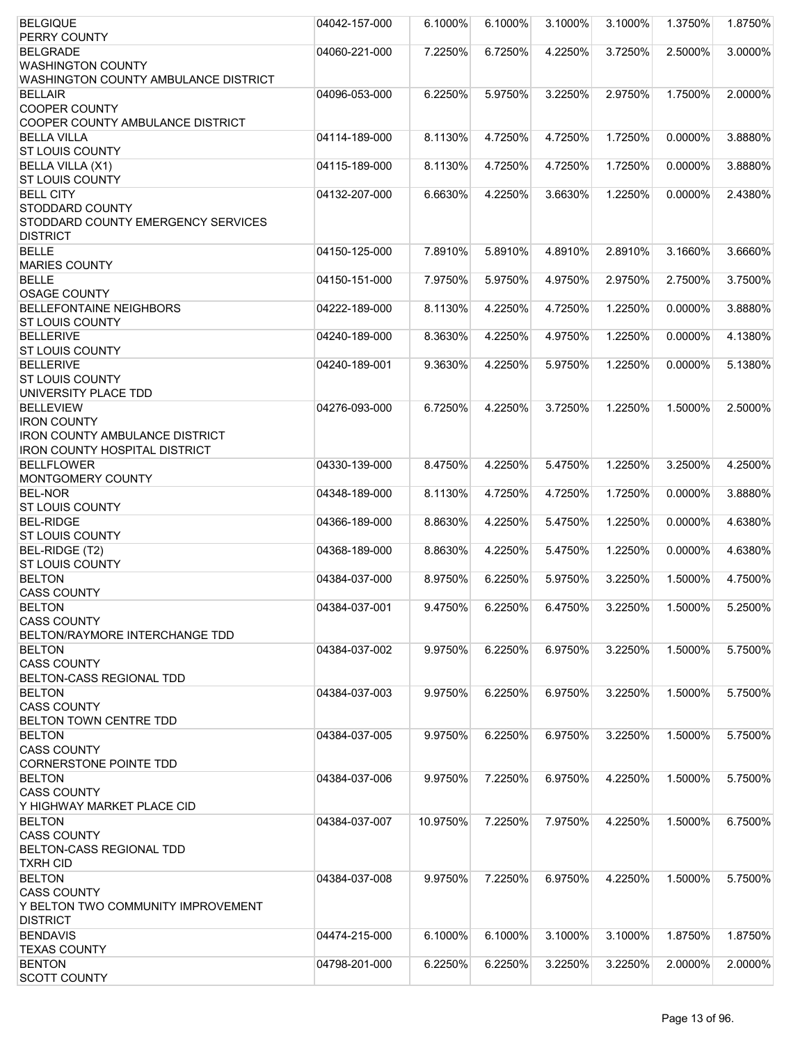| <b>BELGIQUE</b>                       | 04042-157-000 | 6.1000%  | 6.1000% | 3.1000% | 3.1000% | 1.3750% | 1.8750% |
|---------------------------------------|---------------|----------|---------|---------|---------|---------|---------|
| PERRY COUNTY                          |               |          |         |         |         |         |         |
| <b>BELGRADE</b>                       | 04060-221-000 | 7.2250%  | 6.7250% | 4.2250% | 3.7250% | 2.5000% | 3.0000% |
| <b>WASHINGTON COUNTY</b>              |               |          |         |         |         |         |         |
| WASHINGTON COUNTY AMBULANCE DISTRICT  |               |          |         |         |         |         |         |
| <b>BELLAIR</b>                        | 04096-053-000 | 6.2250%  | 5.9750% | 3.2250% | 2.9750% | 1.7500% | 2.0000% |
| <b>COOPER COUNTY</b>                  |               |          |         |         |         |         |         |
| COOPER COUNTY AMBULANCE DISTRICT      |               |          |         |         |         |         |         |
| <b>BELLA VILLA</b>                    | 04114-189-000 | 8.1130%  | 4.7250% | 4.7250% | 1.7250% | 0.0000% | 3.8880% |
| <b>ST LOUIS COUNTY</b>                |               |          |         |         |         |         |         |
| BELLA VILLA (X1)                      | 04115-189-000 | 8.1130%  | 4.7250% | 4.7250% | 1.7250% | 0.0000% | 3.8880% |
| <b>ST LOUIS COUNTY</b>                |               |          |         |         |         |         |         |
| <b>BELL CITY</b>                      | 04132-207-000 | 6.6630%  | 4.2250% | 3.6630% | 1.2250% | 0.0000% | 2.4380% |
| <b>STODDARD COUNTY</b>                |               |          |         |         |         |         |         |
| STODDARD COUNTY EMERGENCY SERVICES    |               |          |         |         |         |         |         |
| <b>DISTRICT</b>                       |               |          |         |         |         |         |         |
| <b>BELLE</b>                          | 04150-125-000 | 7.8910%  | 5.8910% | 4.8910% | 2.8910% | 3.1660% | 3.6660% |
| <b>MARIES COUNTY</b>                  |               |          |         |         |         |         |         |
| <b>BELLE</b>                          | 04150-151-000 | 7.9750%  | 5.9750% | 4.9750% | 2.9750% | 2.7500% | 3.7500% |
| <b>OSAGE COUNTY</b>                   |               |          |         |         |         |         |         |
| <b>BELLEFONTAINE NEIGHBORS</b>        | 04222-189-000 | 8.1130%  | 4.2250% | 4.7250% | 1.2250% | 0.0000% | 3.8880% |
| <b>ST LOUIS COUNTY</b>                |               |          |         |         |         |         |         |
| <b>BELLERIVE</b>                      | 04240-189-000 | 8.3630%  | 4.2250% | 4.9750% | 1.2250% | 0.0000% | 4.1380% |
| <b>ST LOUIS COUNTY</b>                |               |          |         |         |         |         |         |
| <b>BELLERIVE</b>                      | 04240-189-001 | 9.3630%  | 4.2250% | 5.9750% | 1.2250% | 0.0000% | 5.1380% |
| <b>ST LOUIS COUNTY</b>                |               |          |         |         |         |         |         |
| UNIVERSITY PLACE TDD                  |               |          |         |         |         |         |         |
| <b>BELLEVIEW</b>                      | 04276-093-000 | 6.7250%  | 4.2250% | 3.7250% | 1.2250% | 1.5000% | 2.5000% |
| <b>IRON COUNTY</b>                    |               |          |         |         |         |         |         |
| <b>IRON COUNTY AMBULANCE DISTRICT</b> |               |          |         |         |         |         |         |
| <b>IRON COUNTY HOSPITAL DISTRICT</b>  |               |          |         |         |         |         |         |
| <b>BELLFLOWER</b>                     | 04330-139-000 | 8.4750%  | 4.2250% | 5.4750% | 1.2250% | 3.2500% | 4.2500% |
| MONTGOMERY COUNTY                     |               |          |         |         |         |         |         |
| <b>BEL-NOR</b>                        | 04348-189-000 | 8.1130%  | 4.7250% | 4.7250% | 1.7250% | 0.0000% | 3.8880% |
| <b>ST LOUIS COUNTY</b>                |               |          |         |         |         |         |         |
| <b>BEL-RIDGE</b>                      | 04366-189-000 | 8.8630%  | 4.2250% | 5.4750% | 1.2250% | 0.0000% | 4.6380% |
| <b>ST LOUIS COUNTY</b>                |               |          |         |         |         |         |         |
| BEL-RIDGE (T2)                        | 04368-189-000 | 8.8630%  | 4.2250% | 5.4750% | 1.2250% | 0.0000% | 4.6380% |
| <b>ST LOUIS COUNTY</b>                |               |          |         |         |         |         |         |
| <b>BELTON</b>                         | 04384-037-000 | 8.9750%  | 6.2250% | 5.9750% | 3.2250% | 1.5000% | 4.7500% |
| <b>CASS COUNTY</b>                    |               |          |         |         |         |         |         |
| <b>BELTON</b>                         | 04384-037-001 | 9.4750%  | 6.2250% | 6.4750% | 3.2250% | 1.5000% | 5.2500% |
| <b>CASS COUNTY</b>                    |               |          |         |         |         |         |         |
| BELTON/RAYMORE INTERCHANGE TDD        |               |          |         |         |         |         |         |
| <b>BELTON</b>                         | 04384-037-002 | 9.9750%  | 6.2250% | 6.9750% | 3.2250% | 1.5000% | 5.7500% |
| <b>CASS COUNTY</b>                    |               |          |         |         |         |         |         |
| BELTON-CASS REGIONAL TDD              |               |          |         |         |         |         |         |
| <b>BELTON</b>                         | 04384-037-003 | 9.9750%  | 6.2250% | 6.9750% | 3.2250% | 1.5000% | 5.7500% |
| <b>CASS COUNTY</b>                    |               |          |         |         |         |         |         |
| BELTON TOWN CENTRE TDD                |               |          |         |         |         |         |         |
| <b>BELTON</b>                         | 04384-037-005 | 9.9750%  | 6.2250% | 6.9750% | 3.2250% | 1.5000% | 5.7500% |
| <b>CASS COUNTY</b>                    |               |          |         |         |         |         |         |
| CORNERSTONE POINTE TDD                |               |          |         |         |         |         |         |
| <b>BELTON</b>                         | 04384-037-006 | 9.9750%  | 7.2250% | 6.9750% | 4.2250% | 1.5000% | 5.7500% |
| <b>CASS COUNTY</b>                    |               |          |         |         |         |         |         |
| Y HIGHWAY MARKET PLACE CID            |               |          |         |         |         |         |         |
| <b>BELTON</b>                         | 04384-037-007 | 10.9750% | 7.2250% | 7.9750% | 4.2250% | 1.5000% | 6.7500% |
| <b>CASS COUNTY</b>                    |               |          |         |         |         |         |         |
| BELTON-CASS REGIONAL TDD              |               |          |         |         |         |         |         |
| <b>TXRH CID</b>                       |               |          |         |         |         |         |         |
| <b>BELTON</b>                         | 04384-037-008 | 9.9750%  | 7.2250% | 6.9750% | 4.2250% | 1.5000% | 5.7500% |
| <b>CASS COUNTY</b>                    |               |          |         |         |         |         |         |
| Y BELTON TWO COMMUNITY IMPROVEMENT    |               |          |         |         |         |         |         |
| <b>DISTRICT</b>                       |               |          |         |         |         |         |         |
| <b>BENDAVIS</b>                       | 04474-215-000 | 6.1000%  | 6.1000% | 3.1000% | 3.1000% | 1.8750% | 1.8750% |
| <b>TEXAS COUNTY</b>                   |               |          |         |         |         |         |         |
| <b>BENTON</b>                         | 04798-201-000 | 6.2250%  | 6.2250% | 3.2250% | 3.2250% | 2.0000% | 2.0000% |
| <b>SCOTT COUNTY</b>                   |               |          |         |         |         |         |         |
|                                       |               |          |         |         |         |         |         |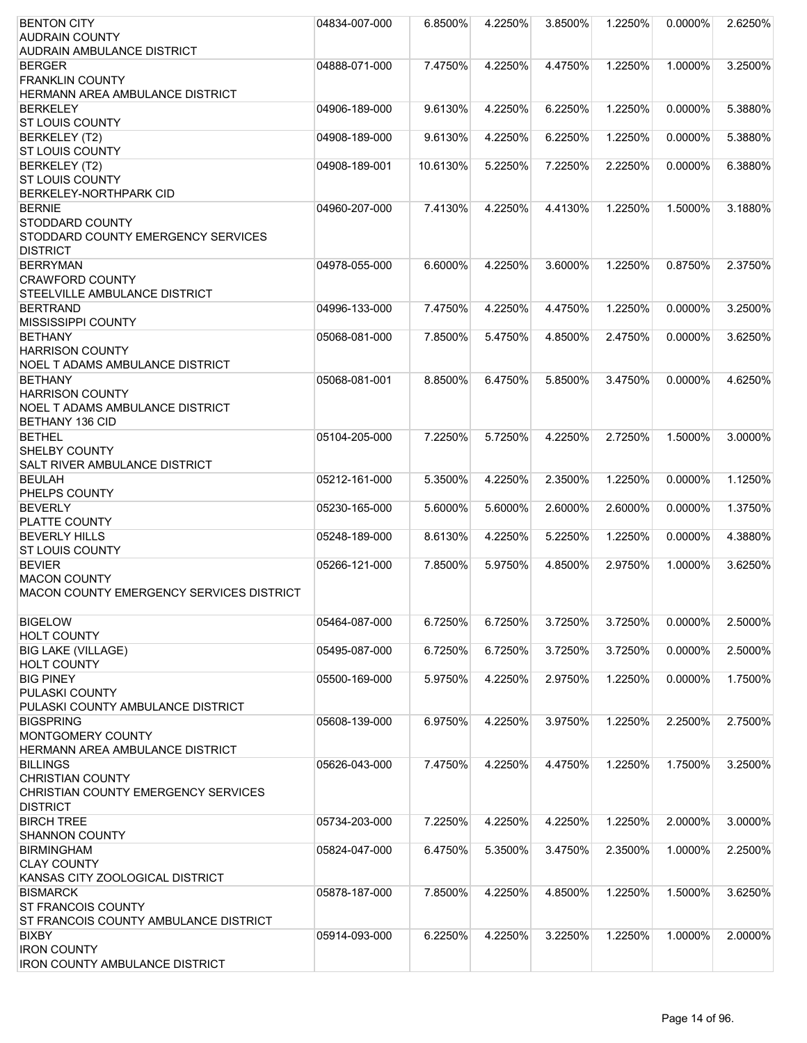| <b>BENTON CITY</b>                       | 04834-007-000 | 6.8500%    | 4.2250% | 3.8500% | 1.2250% | $0.0000\%$ | 2.6250% |
|------------------------------------------|---------------|------------|---------|---------|---------|------------|---------|
| <b>AUDRAIN COUNTY</b>                    |               |            |         |         |         |            |         |
| <b>AUDRAIN AMBULANCE DISTRICT</b>        |               |            |         |         |         |            |         |
| <b>BERGER</b>                            | 04888-071-000 | 7.4750%    | 4.2250% | 4.4750% | 1.2250% | 1.0000%    | 3.2500% |
| <b>FRANKLIN COUNTY</b>                   |               |            |         |         |         |            |         |
| HERMANN AREA AMBULANCE DISTRICT          |               |            |         |         |         |            |         |
| <b>BERKELEY</b>                          | 04906-189-000 | 9.6130%    | 4.2250% | 6.2250% | 1.2250% | 0.0000%    | 5.3880% |
| <b>ST LOUIS COUNTY</b>                   |               |            |         |         |         |            |         |
| <b>BERKELEY (T2)</b>                     | 04908-189-000 | 9.6130%    | 4.2250% | 6.2250% | 1.2250% | 0.0000%    | 5.3880% |
| <b>ST LOUIS COUNTY</b>                   |               |            |         |         |         |            |         |
| <b>BERKELEY (T2)</b>                     | 04908-189-001 | 10.6130%   | 5.2250% | 7.2250% | 2.2250% | 0.0000%    | 6.3880% |
| <b>ST LOUIS COUNTY</b>                   |               |            |         |         |         |            |         |
| <b>BERKELEY-NORTHPARK CID</b>            |               |            |         |         |         |            |         |
|                                          |               |            |         |         |         |            |         |
| <b>BERNIE</b>                            | 04960-207-000 | 7.4130%    | 4.2250% | 4.4130% | 1.2250% | 1.5000%    | 3.1880% |
| <b>STODDARD COUNTY</b>                   |               |            |         |         |         |            |         |
| STODDARD COUNTY EMERGENCY SERVICES       |               |            |         |         |         |            |         |
| <b>DISTRICT</b>                          |               |            |         |         |         |            |         |
| <b>BERRYMAN</b>                          | 04978-055-000 | $6.6000\%$ | 4.2250% | 3.6000% | 1.2250% | 0.8750%    | 2.3750% |
| <b>CRAWFORD COUNTY</b>                   |               |            |         |         |         |            |         |
| STEELVILLE AMBULANCE DISTRICT            |               |            |         |         |         |            |         |
| <b>BERTRAND</b>                          | 04996-133-000 | 7.4750%    | 4.2250% | 4.4750% | 1.2250% | 0.0000%    | 3.2500% |
| <b>MISSISSIPPI COUNTY</b>                |               |            |         |         |         |            |         |
| <b>BETHANY</b>                           | 05068-081-000 | 7.8500%    | 5.4750% | 4.8500% | 2.4750% | 0.0000%    | 3.6250% |
| <b>HARRISON COUNTY</b>                   |               |            |         |         |         |            |         |
| <b>NOEL T ADAMS AMBULANCE DISTRICT</b>   |               |            |         |         |         |            |         |
| <b>BETHANY</b>                           | 05068-081-001 | 8.8500%    | 6.4750% | 5.8500% | 3.4750% | $0.0000\%$ | 4.6250% |
| <b>HARRISON COUNTY</b>                   |               |            |         |         |         |            |         |
| <b>NOEL T ADAMS AMBULANCE DISTRICT</b>   |               |            |         |         |         |            |         |
| <b>BETHANY 136 CID</b>                   |               |            |         |         |         |            |         |
| <b>BETHEL</b>                            | 05104-205-000 | 7.2250%    | 5.7250% | 4.2250% | 2.7250% | 1.5000%    | 3.0000% |
| <b>SHELBY COUNTY</b>                     |               |            |         |         |         |            |         |
| <b>SALT RIVER AMBULANCE DISTRICT</b>     |               |            |         |         |         |            |         |
| <b>BEULAH</b>                            | 05212-161-000 | 5.3500%    | 4.2250% | 2.3500% | 1.2250% | 0.0000%    | 1.1250% |
| <b>PHELPS COUNTY</b>                     |               |            |         |         |         |            |         |
| <b>BEVERLY</b>                           | 05230-165-000 | 5.6000%    | 5.6000% | 2.6000% | 2.6000% | $0.0000\%$ | 1.3750% |
| PLATTE COUNTY                            |               |            |         |         |         |            |         |
| <b>BEVERLY HILLS</b>                     | 05248-189-000 | 8.6130%    | 4.2250% | 5.2250% | 1.2250% | 0.0000%    | 4.3880% |
| <b>ST LOUIS COUNTY</b>                   |               |            |         |         |         |            |         |
| <b>BEVIER</b>                            | 05266-121-000 | 7.8500%    | 5.9750% | 4.8500% | 2.9750% | 1.0000%    | 3.6250% |
| <b>MACON COUNTY</b>                      |               |            |         |         |         |            |         |
| MACON COUNTY EMERGENCY SERVICES DISTRICT |               |            |         |         |         |            |         |
|                                          |               |            |         |         |         |            |         |
| <b>BIGELOW</b>                           | 05464-087-000 | 6.7250%    | 6.7250% | 3.7250% | 3.7250% | 0.0000%    | 2.5000% |
| <b>HOLT COUNTY</b>                       |               |            |         |         |         |            |         |
| <b>BIG LAKE (VILLAGE)</b>                | 05495-087-000 | 6.7250%    | 6.7250% | 3.7250% | 3.7250% | 0.0000%    | 2.5000% |
| <b>HOLT COUNTY</b>                       |               |            |         |         |         |            |         |
| <b>BIG PINEY</b>                         | 05500-169-000 | 5.9750%    | 4.2250% | 2.9750% | 1.2250% | 0.0000%    | 1.7500% |
| <b>PULASKI COUNTY</b>                    |               |            |         |         |         |            |         |
| PULASKI COUNTY AMBULANCE DISTRICT        |               |            |         |         |         |            |         |
| <b>BIGSPRING</b>                         | 05608-139-000 | 6.9750%    | 4.2250% | 3.9750% | 1.2250% | 2.2500%    | 2.7500% |
| MONTGOMERY COUNTY                        |               |            |         |         |         |            |         |
| HERMANN AREA AMBULANCE DISTRICT          |               |            |         |         |         |            |         |
| <b>BILLINGS</b>                          | 05626-043-000 | 7.4750%    | 4.2250% | 4.4750% | 1.2250% | 1.7500%    | 3.2500% |
| <b>CHRISTIAN COUNTY</b>                  |               |            |         |         |         |            |         |
| CHRISTIAN COUNTY EMERGENCY SERVICES      |               |            |         |         |         |            |         |
| <b>DISTRICT</b>                          |               |            |         |         |         |            |         |
| <b>BIRCH TREE</b>                        | 05734-203-000 | 7.2250%    | 4.2250% | 4.2250% | 1.2250% | 2.0000%    | 3.0000% |
| <b>SHANNON COUNTY</b>                    |               |            |         |         |         |            |         |
| <b>BIRMINGHAM</b>                        | 05824-047-000 | 6.4750%    | 5.3500% | 3.4750% | 2.3500% | 1.0000%    | 2.2500% |
| <b>CLAY COUNTY</b>                       |               |            |         |         |         |            |         |
| KANSAS CITY ZOOLOGICAL DISTRICT          |               |            |         |         |         |            |         |
| <b>BISMARCK</b>                          | 05878-187-000 | 7.8500%    | 4.2250% | 4.8500% | 1.2250% | 1.5000%    | 3.6250% |
| <b>ST FRANCOIS COUNTY</b>                |               |            |         |         |         |            |         |
| ST FRANCOIS COUNTY AMBULANCE DISTRICT    |               |            |         |         |         |            |         |
| <b>BIXBY</b>                             | 05914-093-000 | 6.2250%    | 4.2250% | 3.2250% | 1.2250% | 1.0000%    | 2.0000% |
| <b>IRON COUNTY</b>                       |               |            |         |         |         |            |         |
| <b>IRON COUNTY AMBULANCE DISTRICT</b>    |               |            |         |         |         |            |         |
|                                          |               |            |         |         |         |            |         |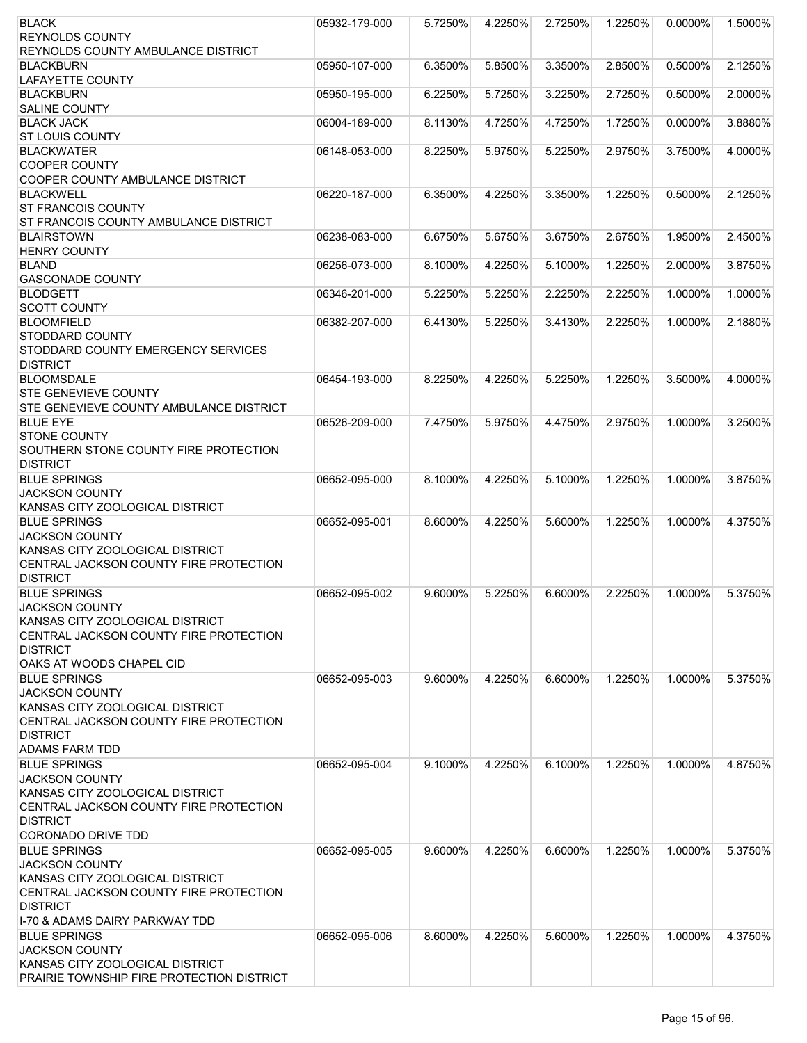| <b>BLACK</b>                                   | 05932-179-000 | 5.7250%    | 4.2250% | 2.7250% | 1.2250% | 0.0000% | 1.5000% |
|------------------------------------------------|---------------|------------|---------|---------|---------|---------|---------|
| <b>REYNOLDS COUNTY</b>                         |               |            |         |         |         |         |         |
| REYNOLDS COUNTY AMBULANCE DISTRICT             |               |            |         |         |         |         |         |
| <b>BLACKBURN</b>                               | 05950-107-000 | 6.3500%    | 5.8500% | 3.3500% | 2.8500% | 0.5000% | 2.1250% |
| <b>LAFAYETTE COUNTY</b>                        |               |            |         |         |         |         |         |
| <b>BLACKBURN</b>                               | 05950-195-000 | 6.2250%    | 5.7250% | 3.2250% | 2.7250% | 0.5000% | 2.0000% |
| <b>SALINE COUNTY</b>                           |               |            |         |         |         |         |         |
| <b>BLACK JACK</b>                              | 06004-189-000 | 8.1130%    | 4.7250% | 4.7250% | 1.7250% | 0.0000% | 3.8880% |
| <b>ST LOUIS COUNTY</b>                         |               |            |         |         |         |         |         |
| <b>BLACKWATER</b>                              | 06148-053-000 | 8.2250%    | 5.9750% | 5.2250% | 2.9750% | 3.7500% | 4.0000% |
| <b>COOPER COUNTY</b>                           |               |            |         |         |         |         |         |
| COOPER COUNTY AMBULANCE DISTRICT               |               |            |         |         |         |         |         |
| <b>BLACKWELL</b>                               | 06220-187-000 | 6.3500%    | 4.2250% | 3.3500% | 1.2250% | 0.5000% | 2.1250% |
| <b>ST FRANCOIS COUNTY</b>                      |               |            |         |         |         |         |         |
| ST FRANCOIS COUNTY AMBULANCE DISTRICT          |               |            |         |         |         |         |         |
| <b>BLAIRSTOWN</b>                              | 06238-083-000 | 6.6750%    | 5.6750% | 3.6750% | 2.6750% | 1.9500% | 2.4500% |
| <b>HENRY COUNTY</b>                            |               |            |         |         |         |         |         |
| <b>BLAND</b>                                   | 06256-073-000 | 8.1000%    | 4.2250% | 5.1000% | 1.2250% | 2.0000% | 3.8750% |
| <b>GASCONADE COUNTY</b>                        |               |            |         |         |         |         |         |
| <b>BLODGETT</b>                                | 06346-201-000 | 5.2250%    | 5.2250% | 2.2250% | 2.2250% | 1.0000% | 1.0000% |
| <b>SCOTT COUNTY</b>                            |               |            |         |         |         |         |         |
| <b>BLOOMFIELD</b>                              | 06382-207-000 | 6.4130%    | 5.2250% | 3.4130% | 2.2250% | 1.0000% | 2.1880% |
| STODDARD COUNTY                                |               |            |         |         |         |         |         |
| STODDARD COUNTY EMERGENCY SERVICES             |               |            |         |         |         |         |         |
|                                                |               |            |         |         |         |         |         |
| <b>DISTRICT</b>                                |               |            |         |         |         |         |         |
| <b>BLOOMSDALE</b>                              | 06454-193-000 | 8.2250%    | 4.2250% | 5.2250% | 1.2250% | 3.5000% | 4.0000% |
| <b>STE GENEVIEVE COUNTY</b>                    |               |            |         |         |         |         |         |
| <b>STE GENEVIEVE COUNTY AMBULANCE DISTRICT</b> |               |            |         |         |         |         |         |
| <b>BLUE EYE</b>                                | 06526-209-000 | 7.4750%    | 5.9750% | 4.4750% | 2.9750% | 1.0000% | 3.2500% |
| <b>STONE COUNTY</b>                            |               |            |         |         |         |         |         |
| SOUTHERN STONE COUNTY FIRE PROTECTION          |               |            |         |         |         |         |         |
| <b>DISTRICT</b>                                |               |            |         |         |         |         |         |
| <b>BLUE SPRINGS</b>                            | 06652-095-000 | 8.1000%    | 4.2250% | 5.1000% | 1.2250% | 1.0000% | 3.8750% |
| <b>JACKSON COUNTY</b>                          |               |            |         |         |         |         |         |
| KANSAS CITY ZOOLOGICAL DISTRICT                |               |            |         |         |         |         |         |
| <b>BLUE SPRINGS</b>                            | 06652-095-001 | 8.6000%    | 4.2250% | 5.6000% | 1.2250% | 1.0000% | 4.3750% |
| <b>JACKSON COUNTY</b>                          |               |            |         |         |         |         |         |
| KANSAS CITY ZOOLOGICAL DISTRICT                |               |            |         |         |         |         |         |
| CENTRAL JACKSON COUNTY FIRE PROTECTION         |               |            |         |         |         |         |         |
| <b>DISTRICT</b>                                |               |            |         |         |         |         |         |
| <b>BLUE SPRINGS</b>                            | 06652-095-002 | 9.6000%    | 5.2250% | 6.6000% | 2.2250% | 1.0000% | 5.3750% |
| <b>JACKSON COUNTY</b>                          |               |            |         |         |         |         |         |
| KANSAS CITY ZOOLOGICAL DISTRICT                |               |            |         |         |         |         |         |
| CENTRAL JACKSON COUNTY FIRE PROTECTION         |               |            |         |         |         |         |         |
| <b>DISTRICT</b>                                |               |            |         |         |         |         |         |
| OAKS AT WOODS CHAPEL CID                       |               |            |         |         |         |         |         |
| <b>BLUE SPRINGS</b>                            | 06652-095-003 | 9.6000%    | 4.2250% | 6.6000% | 1.2250% | 1.0000% | 5.3750% |
| <b>JACKSON COUNTY</b>                          |               |            |         |         |         |         |         |
| KANSAS CITY ZOOLOGICAL DISTRICT                |               |            |         |         |         |         |         |
| CENTRAL JACKSON COUNTY FIRE PROTECTION         |               |            |         |         |         |         |         |
| <b>DISTRICT</b>                                |               |            |         |         |         |         |         |
| <b>ADAMS FARM TDD</b>                          |               |            |         |         |         |         |         |
| <b>BLUE SPRINGS</b>                            | 06652-095-004 | 9.1000%    | 4.2250% | 6.1000% | 1.2250% | 1.0000% | 4.8750% |
| <b>JACKSON COUNTY</b>                          |               |            |         |         |         |         |         |
| KANSAS CITY ZOOLOGICAL DISTRICT                |               |            |         |         |         |         |         |
| CENTRAL JACKSON COUNTY FIRE PROTECTION         |               |            |         |         |         |         |         |
| <b>DISTRICT</b>                                |               |            |         |         |         |         |         |
| CORONADO DRIVE TDD                             |               |            |         |         |         |         |         |
| <b>BLUE SPRINGS</b>                            | 06652-095-005 | 9.6000%    | 4.2250% | 6.6000% | 1.2250% | 1.0000% | 5.3750% |
| <b>JACKSON COUNTY</b>                          |               |            |         |         |         |         |         |
| KANSAS CITY ZOOLOGICAL DISTRICT                |               |            |         |         |         |         |         |
| CENTRAL JACKSON COUNTY FIRE PROTECTION         |               |            |         |         |         |         |         |
| <b>DISTRICT</b>                                |               |            |         |         |         |         |         |
| I-70 & ADAMS DAIRY PARKWAY TDD                 |               |            |         |         |         |         |         |
| <b>BLUE SPRINGS</b>                            | 06652-095-006 | $8.6000\%$ | 4.2250% | 5.6000% | 1.2250% | 1.0000% | 4.3750% |
| <b>JACKSON COUNTY</b>                          |               |            |         |         |         |         |         |
| KANSAS CITY ZOOLOGICAL DISTRICT                |               |            |         |         |         |         |         |
| PRAIRIE TOWNSHIP FIRE PROTECTION DISTRICT      |               |            |         |         |         |         |         |
|                                                |               |            |         |         |         |         |         |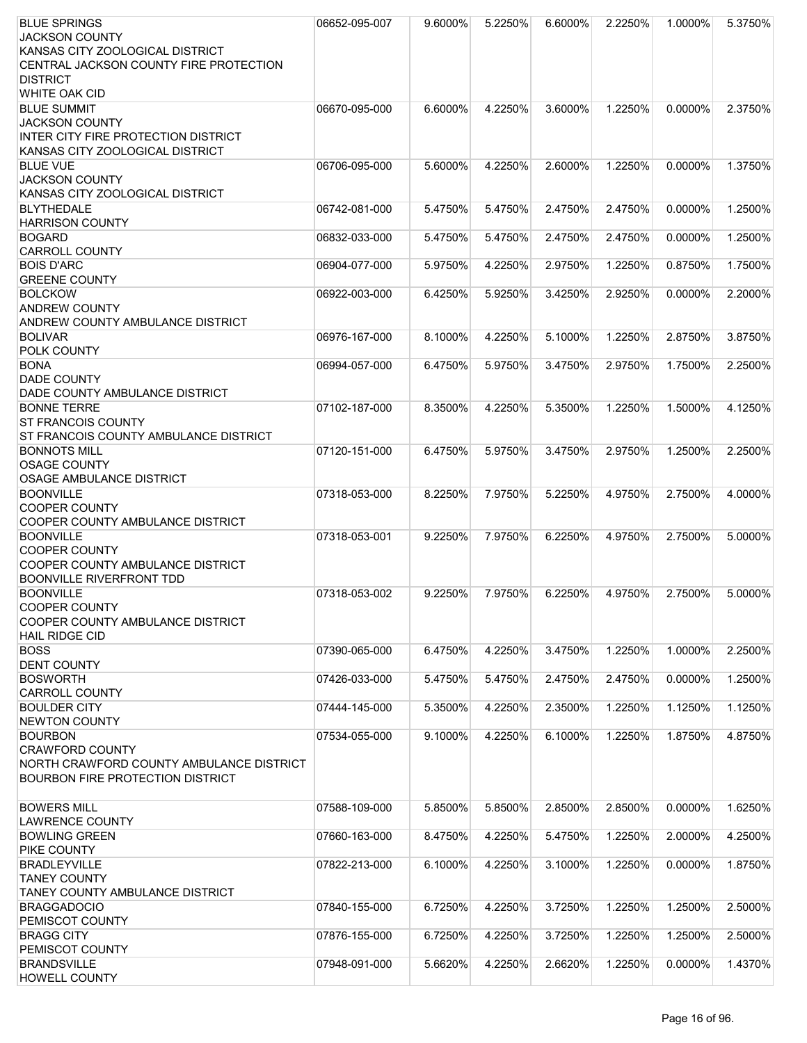| <b>BLUE SPRINGS</b>                      | 06652-095-007 | 9.6000% | 5.2250% | 6.6000% | 2.2250% | 1.0000% | 5.3750% |
|------------------------------------------|---------------|---------|---------|---------|---------|---------|---------|
| <b>JACKSON COUNTY</b>                    |               |         |         |         |         |         |         |
| KANSAS CITY ZOOLOGICAL DISTRICT          |               |         |         |         |         |         |         |
| CENTRAL JACKSON COUNTY FIRE PROTECTION   |               |         |         |         |         |         |         |
| <b>DISTRICT</b>                          |               |         |         |         |         |         |         |
| <b>WHITE OAK CID</b>                     |               |         |         |         |         |         |         |
| <b>BLUE SUMMIT</b>                       | 06670-095-000 | 6.6000% | 4.2250% | 3.6000% | 1.2250% | 0.0000% | 2.3750% |
| <b>JACKSON COUNTY</b>                    |               |         |         |         |         |         |         |
| INTER CITY FIRE PROTECTION DISTRICT      |               |         |         |         |         |         |         |
| KANSAS CITY ZOOLOGICAL DISTRICT          |               |         |         |         |         |         |         |
| <b>BLUE VUE</b>                          | 06706-095-000 | 5.6000% | 4.2250% | 2.6000% | 1.2250% | 0.0000% | 1.3750% |
| <b>JACKSON COUNTY</b>                    |               |         |         |         |         |         |         |
| KANSAS CITY ZOOLOGICAL DISTRICT          |               |         |         |         |         |         |         |
| <b>BLYTHEDALE</b>                        | 06742-081-000 | 5.4750% | 5.4750% | 2.4750% | 2.4750% | 0.0000% | 1.2500% |
| <b>HARRISON COUNTY</b>                   |               |         |         |         |         |         |         |
| <b>BOGARD</b>                            | 06832-033-000 | 5.4750% | 5.4750% | 2.4750% | 2.4750% | 0.0000% | 1.2500% |
| <b>CARROLL COUNTY</b>                    |               |         |         |         |         |         |         |
| <b>BOIS D'ARC</b>                        | 06904-077-000 | 5.9750% | 4.2250% | 2.9750% | 1.2250% | 0.8750% | 1.7500% |
| <b>GREENE COUNTY</b>                     |               |         |         |         |         |         |         |
| <b>BOLCKOW</b>                           | 06922-003-000 | 6.4250% | 5.9250% | 3.4250% | 2.9250% | 0.0000% | 2.2000% |
| <b>ANDREW COUNTY</b>                     |               |         |         |         |         |         |         |
| <b>ANDREW COUNTY AMBULANCE DISTRICT</b>  |               |         |         |         |         |         |         |
| <b>BOLIVAR</b>                           | 06976-167-000 | 8.1000% | 4.2250% | 5.1000% | 1.2250% | 2.8750% | 3.8750% |
| <b>POLK COUNTY</b>                       |               |         |         |         |         |         |         |
| <b>BONA</b>                              | 06994-057-000 | 6.4750% | 5.9750% | 3.4750% | 2.9750% | 1.7500% | 2.2500% |
| <b>DADE COUNTY</b>                       |               |         |         |         |         |         |         |
| DADE COUNTY AMBULANCE DISTRICT           |               |         |         |         |         |         |         |
| <b>BONNE TERRE</b>                       | 07102-187-000 | 8.3500% | 4.2250% | 5.3500% | 1.2250% | 1.5000% | 4.1250% |
| <b>ST FRANCOIS COUNTY</b>                |               |         |         |         |         |         |         |
| ST FRANCOIS COUNTY AMBULANCE DISTRICT    |               |         |         |         |         |         |         |
| <b>BONNOTS MILL</b>                      | 07120-151-000 | 6.4750% | 5.9750% | 3.4750% | 2.9750% | 1.2500% | 2.2500% |
| <b>OSAGE COUNTY</b>                      |               |         |         |         |         |         |         |
| OSAGE AMBULANCE DISTRICT                 |               |         |         |         |         |         |         |
| <b>BOONVILLE</b>                         | 07318-053-000 | 8.2250% | 7.9750% | 5.2250% | 4.9750% | 2.7500% | 4.0000% |
| <b>COOPER COUNTY</b>                     |               |         |         |         |         |         |         |
| COOPER COUNTY AMBULANCE DISTRICT         |               |         |         |         |         |         |         |
| <b>BOONVILLE</b>                         | 07318-053-001 | 9.2250% | 7.9750% | 6.2250% | 4.9750% | 2.7500% | 5.0000% |
| <b>COOPER COUNTY</b>                     |               |         |         |         |         |         |         |
| COOPER COUNTY AMBULANCE DISTRICT         |               |         |         |         |         |         |         |
| <b>BOONVILLE RIVERFRONT TDD</b>          |               |         |         |         |         |         |         |
| <b>BOONVILLE</b>                         | 07318-053-002 | 9.2250% | 7.9750% | 6.2250% | 4.9750% | 2.7500% | 5.0000% |
| <b>COOPER COUNTY</b>                     |               |         |         |         |         |         |         |
| COOPER COUNTY AMBULANCE DISTRICT         |               |         |         |         |         |         |         |
| <b>HAIL RIDGE CID</b>                    |               |         |         |         |         |         |         |
| <b>BOSS</b>                              | 07390-065-000 | 6.4750% | 4.2250% | 3.4750% | 1.2250% | 1.0000% | 2.2500% |
| <b>DENT COUNTY</b>                       |               |         |         |         |         |         |         |
| <b>BOSWORTH</b>                          | 07426-033-000 | 5.4750% | 5.4750% | 2.4750% | 2.4750% | 0.0000% | 1.2500% |
| <b>CARROLL COUNTY</b>                    |               |         |         |         |         |         |         |
| <b>BOULDER CITY</b>                      | 07444-145-000 | 5.3500% | 4.2250% | 2.3500% | 1.2250% | 1.1250% | 1.1250% |
| <b>NEWTON COUNTY</b>                     |               |         |         |         |         |         |         |
| <b>BOURBON</b>                           | 07534-055-000 | 9.1000% | 4.2250% | 6.1000% | 1.2250% | 1.8750% | 4.8750% |
| <b>CRAWFORD COUNTY</b>                   |               |         |         |         |         |         |         |
| NORTH CRAWFORD COUNTY AMBULANCE DISTRICT |               |         |         |         |         |         |         |
| <b>BOURBON FIRE PROTECTION DISTRICT</b>  |               |         |         |         |         |         |         |
|                                          |               |         |         |         |         |         |         |
| <b>BOWERS MILL</b>                       | 07588-109-000 | 5.8500% | 5.8500% | 2.8500% | 2.8500% | 0.0000% | 1.6250% |
| <b>LAWRENCE COUNTY</b>                   |               |         |         |         |         |         |         |
| <b>BOWLING GREEN</b>                     | 07660-163-000 | 8.4750% | 4.2250% | 5.4750% | 1.2250% | 2.0000% | 4.2500% |
| PIKE COUNTY                              |               |         |         |         |         |         |         |
| <b>BRADLEYVILLE</b>                      | 07822-213-000 | 6.1000% | 4.2250% | 3.1000% | 1.2250% | 0.0000% | 1.8750% |
| <b>TANEY COUNTY</b>                      |               |         |         |         |         |         |         |
| TANEY COUNTY AMBULANCE DISTRICT          |               |         |         |         |         |         |         |
| <b>BRAGGADOCIO</b>                       | 07840-155-000 | 6.7250% | 4.2250% | 3.7250% | 1.2250% | 1.2500% | 2.5000% |
| PEMISCOT COUNTY                          |               |         |         |         |         |         |         |
| <b>BRAGG CITY</b>                        | 07876-155-000 | 6.7250% | 4.2250% | 3.7250% | 1.2250% | 1.2500% | 2.5000% |
| PEMISCOT COUNTY                          |               |         |         |         |         |         |         |
| <b>BRANDSVILLE</b>                       | 07948-091-000 | 5.6620% | 4.2250% | 2.6620% | 1.2250% | 0.0000% | 1.4370% |
| <b>HOWELL COUNTY</b>                     |               |         |         |         |         |         |         |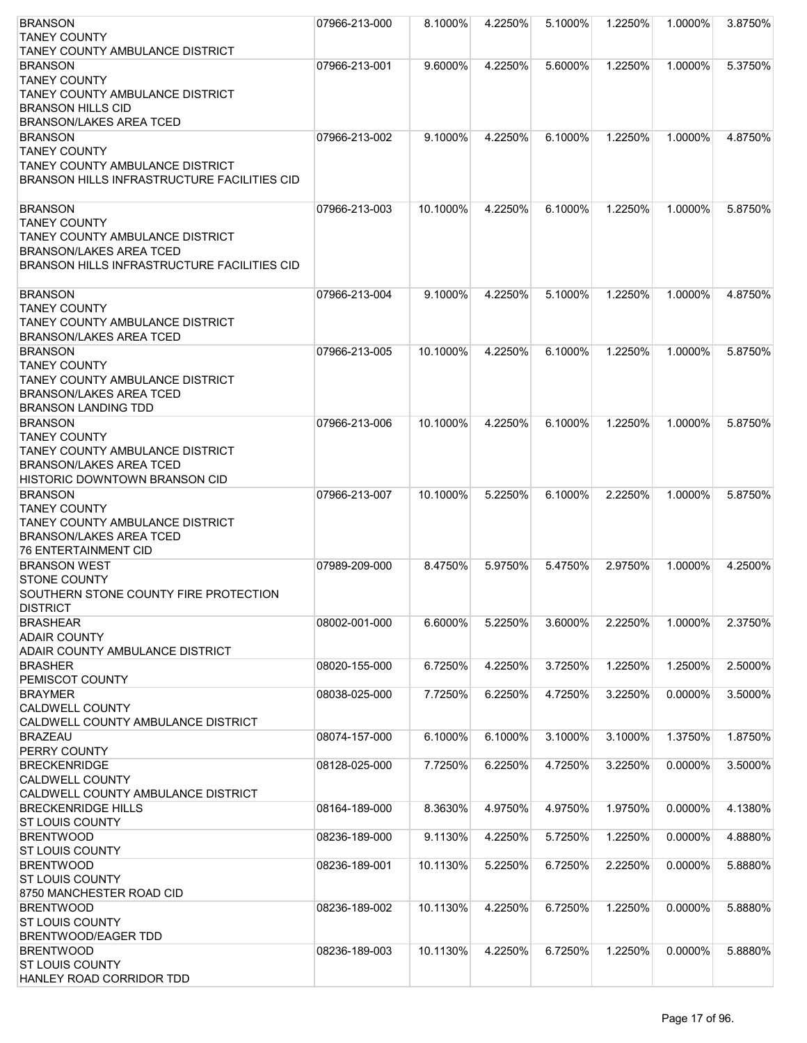| <b>BRANSON</b>                                                                       | 07966-213-000 | 8.1000%  | 4.2250% | 5.1000% | 1.2250% | 1.0000% | 3.8750% |
|--------------------------------------------------------------------------------------|---------------|----------|---------|---------|---------|---------|---------|
| <b>TANEY COUNTY</b>                                                                  |               |          |         |         |         |         |         |
| TANEY COUNTY AMBULANCE DISTRICT<br><b>BRANSON</b>                                    |               |          |         |         |         |         |         |
| <b>TANEY COUNTY</b>                                                                  | 07966-213-001 | 9.6000%  | 4.2250% | 5.6000% | 1.2250% | 1.0000% | 5.3750% |
| <b>TANEY COUNTY AMBULANCE DISTRICT</b>                                               |               |          |         |         |         |         |         |
| <b>BRANSON HILLS CID</b>                                                             |               |          |         |         |         |         |         |
| <b>BRANSON/LAKES AREA TCED</b>                                                       |               |          |         |         |         |         |         |
| <b>BRANSON</b>                                                                       | 07966-213-002 | 9.1000%  | 4.2250% | 6.1000% | 1.2250% | 1.0000% | 4.8750% |
| <b>TANEY COUNTY</b><br>TANEY COUNTY AMBULANCE DISTRICT                               |               |          |         |         |         |         |         |
| BRANSON HILLS INFRASTRUCTURE FACILITIES CID                                          |               |          |         |         |         |         |         |
|                                                                                      |               |          |         |         |         |         |         |
| <b>BRANSON</b>                                                                       | 07966-213-003 | 10.1000% | 4.2250% | 6.1000% | 1.2250% | 1.0000% | 5.8750% |
| <b>TANEY COUNTY</b>                                                                  |               |          |         |         |         |         |         |
| <b>TANEY COUNTY AMBULANCE DISTRICT</b>                                               |               |          |         |         |         |         |         |
| <b>BRANSON/LAKES AREA TCED</b><br><b>BRANSON HILLS INFRASTRUCTURE FACILITIES CID</b> |               |          |         |         |         |         |         |
|                                                                                      |               |          |         |         |         |         |         |
| <b>BRANSON</b>                                                                       | 07966-213-004 | 9.1000%  | 4.2250% | 5.1000% | 1.2250% | 1.0000% | 4.8750% |
| <b>TANEY COUNTY</b>                                                                  |               |          |         |         |         |         |         |
| TANEY COUNTY AMBULANCE DISTRICT                                                      |               |          |         |         |         |         |         |
| <b>BRANSON/LAKES AREA TCED</b><br><b>BRANSON</b>                                     | 07966-213-005 | 10.1000% | 4.2250% | 6.1000% | 1.2250% | 1.0000% | 5.8750% |
| <b>TANEY COUNTY</b>                                                                  |               |          |         |         |         |         |         |
| <b>TANEY COUNTY AMBULANCE DISTRICT</b>                                               |               |          |         |         |         |         |         |
| <b>BRANSON/LAKES AREA TCED</b>                                                       |               |          |         |         |         |         |         |
| <b>BRANSON LANDING TDD</b>                                                           |               |          |         |         |         |         |         |
| <b>BRANSON</b>                                                                       | 07966-213-006 | 10.1000% | 4.2250% | 6.1000% | 1.2250% | 1.0000% | 5.8750% |
| <b>TANEY COUNTY</b><br><b>TANEY COUNTY AMBULANCE DISTRICT</b>                        |               |          |         |         |         |         |         |
| <b>BRANSON/LAKES AREA TCED</b>                                                       |               |          |         |         |         |         |         |
| HISTORIC DOWNTOWN BRANSON CID                                                        |               |          |         |         |         |         |         |
| <b>BRANSON</b>                                                                       | 07966-213-007 | 10.1000% | 5.2250% | 6.1000% | 2.2250% | 1.0000% | 5.8750% |
| <b>TANEY COUNTY</b>                                                                  |               |          |         |         |         |         |         |
| <b>TANEY COUNTY AMBULANCE DISTRICT</b>                                               |               |          |         |         |         |         |         |
| <b>BRANSON/LAKES AREA TCED</b><br><b>76 ENTERTAINMENT CID</b>                        |               |          |         |         |         |         |         |
| <b>BRANSON WEST</b>                                                                  | 07989-209-000 | 8.4750%  | 5.9750% | 5.4750% | 2.9750% | 1.0000% | 4.2500% |
| <b>STONE COUNTY</b>                                                                  |               |          |         |         |         |         |         |
| SOUTHERN STONE COUNTY FIRE PROTECTION                                                |               |          |         |         |         |         |         |
| <b>DISTRICT</b>                                                                      |               |          |         |         |         |         |         |
| <b>BRASHEAR</b>                                                                      | 08002-001-000 | 6.6000%  | 5.2250% | 3.6000% | 2.2250% | 1.0000% | 2.3750% |
| <b>ADAIR COUNTY</b><br><b>ADAIR COUNTY AMBULANCE DISTRICT</b>                        |               |          |         |         |         |         |         |
| <b>BRASHER</b>                                                                       | 08020-155-000 | 6.7250%  | 4.2250% | 3.7250% | 1.2250% | 1.2500% | 2.5000% |
| PEMISCOT COUNTY                                                                      |               |          |         |         |         |         |         |
| <b>BRAYMER</b>                                                                       | 08038-025-000 | 7.7250%  | 6.2250% | 4.7250% | 3.2250% | 0.0000% | 3.5000% |
| <b>CALDWELL COUNTY</b>                                                               |               |          |         |         |         |         |         |
| CALDWELL COUNTY AMBULANCE DISTRICT<br><b>BRAZEAU</b>                                 | 08074-157-000 | 6.1000%  | 6.1000% | 3.1000% | 3.1000% | 1.3750% | 1.8750% |
| PERRY COUNTY                                                                         |               |          |         |         |         |         |         |
| <b>BRECKENRIDGE</b>                                                                  | 08128-025-000 | 7.7250%  | 6.2250% | 4.7250% | 3.2250% | 0.0000% | 3.5000% |
| <b>CALDWELL COUNTY</b>                                                               |               |          |         |         |         |         |         |
| CALDWELL COUNTY AMBULANCE DISTRICT                                                   |               |          |         |         |         |         |         |
| <b>BRECKENRIDGE HILLS</b>                                                            | 08164-189-000 | 8.3630%  | 4.9750% | 4.9750% | 1.9750% | 0.0000% | 4.1380% |
| <b>ST LOUIS COUNTY</b><br><b>BRENTWOOD</b>                                           | 08236-189-000 | 9.1130%  | 4.2250% | 5.7250% | 1.2250% | 0.0000% | 4.8880% |
| <b>ST LOUIS COUNTY</b>                                                               |               |          |         |         |         |         |         |
| <b>BRENTWOOD</b>                                                                     | 08236-189-001 | 10.1130% | 5.2250% | 6.7250% | 2.2250% | 0.0000% | 5.8880% |
| <b>ST LOUIS COUNTY</b>                                                               |               |          |         |         |         |         |         |
| 8750 MANCHESTER ROAD CID                                                             |               |          |         |         |         |         |         |
| <b>BRENTWOOD</b><br><b>ST LOUIS COUNTY</b>                                           | 08236-189-002 | 10.1130% | 4.2250% | 6.7250% | 1.2250% | 0.0000% | 5.8880% |
| <b>BRENTWOOD/EAGER TDD</b>                                                           |               |          |         |         |         |         |         |
| <b>BRENTWOOD</b>                                                                     | 08236-189-003 | 10.1130% | 4.2250% | 6.7250% | 1.2250% | 0.0000% | 5.8880% |
| <b>ST LOUIS COUNTY</b>                                                               |               |          |         |         |         |         |         |
| HANLEY ROAD CORRIDOR TDD                                                             |               |          |         |         |         |         |         |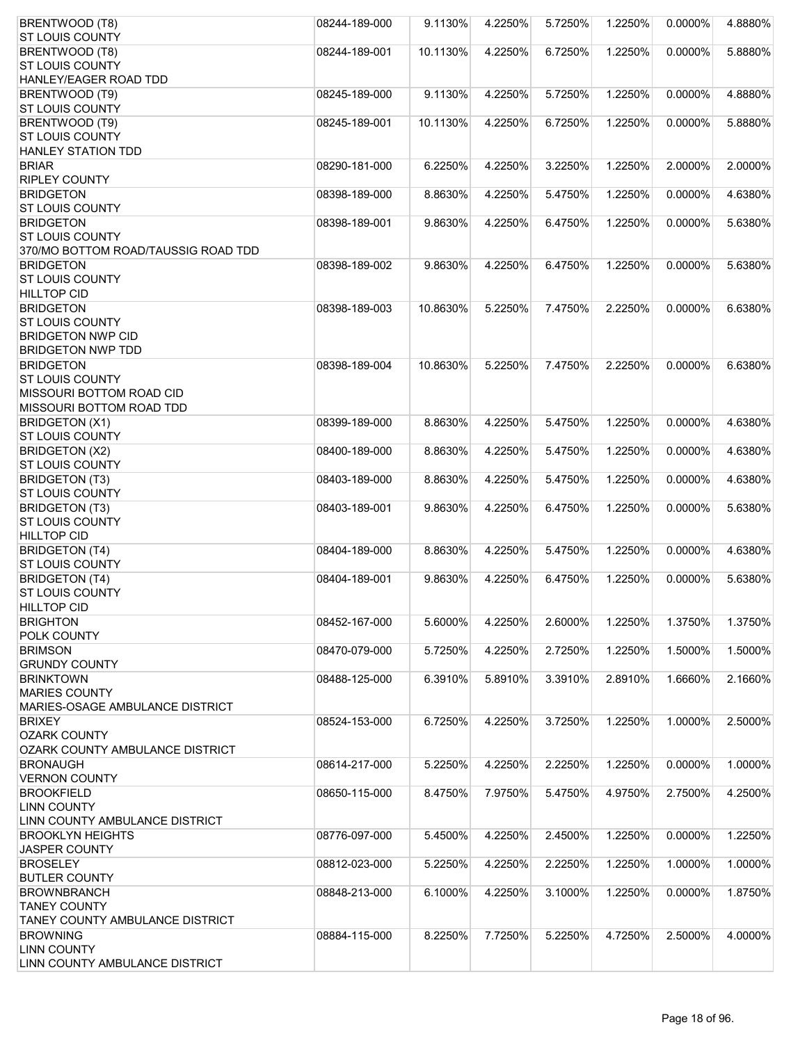| BRENTWOOD (T8)                             | 08244-189-000 | 9.1130%  | 4.2250% | 5.7250%    | 1.2250% | 0.0000% | 4.8880% |
|--------------------------------------------|---------------|----------|---------|------------|---------|---------|---------|
| <b>ST LOUIS COUNTY</b>                     |               |          |         |            |         |         |         |
| BRENTWOOD (T8)                             | 08244-189-001 | 10.1130% | 4.2250% | 6.7250%    | 1.2250% | 0.0000% | 5.8880% |
| <b>ST LOUIS COUNTY</b>                     |               |          |         |            |         |         |         |
| HANLEY/EAGER ROAD TDD                      |               |          |         |            |         |         |         |
| BRENTWOOD (T9)                             | 08245-189-000 | 9.1130%  | 4.2250% | 5.7250%    | 1.2250% | 0.0000% | 4.8880% |
| <b>ST LOUIS COUNTY</b>                     |               |          |         |            |         |         |         |
| BRENTWOOD (T9)                             | 08245-189-001 | 10.1130% | 4.2250% | 6.7250%    | 1.2250% | 0.0000% | 5.8880% |
| <b>ST LOUIS COUNTY</b>                     |               |          |         |            |         |         |         |
| <b>HANLEY STATION TDD</b>                  |               |          |         |            |         |         |         |
| <b>BRIAR</b>                               | 08290-181-000 | 6.2250%  | 4.2250% | 3.2250%    | 1.2250% | 2.0000% | 2.0000% |
| <b>RIPLEY COUNTY</b>                       |               |          |         |            |         |         |         |
| <b>BRIDGETON</b><br><b>ST LOUIS COUNTY</b> | 08398-189-000 | 8.8630%  | 4.2250% | 5.4750%    | 1.2250% | 0.0000% | 4.6380% |
| <b>BRIDGETON</b>                           | 08398-189-001 | 9.8630%  | 4.2250% | 6.4750%    | 1.2250% | 0.0000% | 5.6380% |
| <b>ST LOUIS COUNTY</b>                     |               |          |         |            |         |         |         |
| 370/MO BOTTOM ROAD/TAUSSIG ROAD TDD        |               |          |         |            |         |         |         |
| <b>BRIDGETON</b>                           | 08398-189-002 | 9.8630%  | 4.2250% | 6.4750%    | 1.2250% | 0.0000% | 5.6380% |
| <b>ST LOUIS COUNTY</b>                     |               |          |         |            |         |         |         |
| <b>HILLTOP CID</b>                         |               |          |         |            |         |         |         |
| <b>BRIDGETON</b>                           | 08398-189-003 | 10.8630% | 5.2250% | 7.4750%    | 2.2250% | 0.0000% | 6.6380% |
| <b>ST LOUIS COUNTY</b>                     |               |          |         |            |         |         |         |
| <b>BRIDGETON NWP CID</b>                   |               |          |         |            |         |         |         |
| <b>BRIDGETON NWP TDD</b>                   |               |          |         |            |         |         |         |
| <b>BRIDGETON</b>                           | 08398-189-004 | 10.8630% | 5.2250% | 7.4750%    | 2.2250% | 0.0000% | 6.6380% |
| <b>ST LOUIS COUNTY</b>                     |               |          |         |            |         |         |         |
| MISSOURI BOTTOM ROAD CID                   |               |          |         |            |         |         |         |
| MISSOURI BOTTOM ROAD TDD                   |               |          |         |            |         |         |         |
| <b>BRIDGETON (X1)</b>                      | 08399-189-000 | 8.8630%  | 4.2250% | 5.4750%    | 1.2250% | 0.0000% | 4.6380% |
| <b>ST LOUIS COUNTY</b>                     |               |          |         |            |         |         |         |
| <b>BRIDGETON (X2)</b>                      | 08400-189-000 | 8.8630%  | 4.2250% | 5.4750%    | 1.2250% | 0.0000% | 4.6380% |
| <b>ST LOUIS COUNTY</b>                     |               |          |         |            |         |         |         |
| <b>BRIDGETON (T3)</b>                      | 08403-189-000 | 8.8630%  | 4.2250% | 5.4750%    | 1.2250% | 0.0000% | 4.6380% |
| <b>ST LOUIS COUNTY</b>                     |               |          |         |            |         |         |         |
| <b>BRIDGETON (T3)</b>                      | 08403-189-001 | 9.8630%  | 4.2250% | 6.4750%    | 1.2250% | 0.0000% | 5.6380% |
| <b>ST LOUIS COUNTY</b>                     |               |          |         |            |         |         |         |
| <b>HILLTOP CID</b>                         |               |          |         |            |         |         |         |
| <b>BRIDGETON (T4)</b>                      | 08404-189-000 | 8.8630%  | 4.2250% | 5.4750%    | 1.2250% | 0.0000% | 4.6380% |
| <b>ST LOUIS COUNTY</b>                     |               |          |         |            |         |         |         |
| <b>BRIDGETON (T4)</b>                      | 08404-189-001 | 9.8630%  | 4.2250% | 6.4750%    | 1.2250% | 0.0000% | 5.6380% |
| <b>ST LOUIS COUNTY</b>                     |               |          |         |            |         |         |         |
| <b>HILLTOP CID</b>                         |               |          |         |            |         |         |         |
| <b>BRIGHTON</b>                            | 08452-167-000 | 5.6000%  | 4.2250% | 2.6000%    | 1.2250% | 1.3750% | 1.3750% |
| POLK COUNTY                                |               |          |         |            |         |         |         |
| <b>BRIMSON</b>                             | 08470-079-000 | 5.7250%  | 4.2250% | 2.7250%    | 1.2250% | 1.5000% | 1.5000% |
| <b>GRUNDY COUNTY</b>                       |               |          |         |            |         |         |         |
| <b>BRINKTOWN</b>                           | 08488-125-000 | 6.3910%  | 5.8910% | 3.3910%    | 2.8910% | 1.6660% | 2.1660% |
| <b>MARIES COUNTY</b>                       |               |          |         |            |         |         |         |
| MARIES-OSAGE AMBULANCE DISTRICT            |               |          |         |            |         |         |         |
| <b>BRIXEY</b>                              | 08524-153-000 | 6.7250%  | 4.2250% | 3.7250%    | 1.2250% | 1.0000% | 2.5000% |
| <b>OZARK COUNTY</b>                        |               |          |         |            |         |         |         |
| OZARK COUNTY AMBULANCE DISTRICT            |               |          |         |            |         |         |         |
| <b>BRONAUGH</b>                            | 08614-217-000 | 5.2250%  | 4.2250% | 2.2250%    | 1.2250% | 0.0000% | 1.0000% |
| <b>VERNON COUNTY</b>                       |               |          |         |            |         |         |         |
| <b>BROOKFIELD</b>                          | 08650-115-000 | 8.4750%  | 7.9750% | 5.4750%    | 4.9750% | 2.7500% | 4.2500% |
| <b>LINN COUNTY</b>                         |               |          |         |            |         |         |         |
| LINN COUNTY AMBULANCE DISTRICT             |               |          |         |            |         |         |         |
| <b>BROOKLYN HEIGHTS</b>                    | 08776-097-000 | 5.4500%  | 4.2250% | 2.4500%    | 1.2250% | 0.0000% | 1.2250% |
| <b>JASPER COUNTY</b>                       |               |          |         |            |         |         |         |
| <b>BROSELEY</b>                            | 08812-023-000 | 5.2250%  | 4.2250% | 2.2250%    | 1.2250% | 1.0000% | 1.0000% |
| <b>BUTLER COUNTY</b>                       |               |          |         |            |         |         |         |
| <b>BROWNBRANCH</b>                         | 08848-213-000 | 6.1000%  | 4.2250% | $3.1000\%$ | 1.2250% | 0.0000% | 1.8750% |
| <b>TANEY COUNTY</b>                        |               |          |         |            |         |         |         |
| TANEY COUNTY AMBULANCE DISTRICT            |               |          |         |            |         |         |         |
| <b>BROWNING</b>                            | 08884-115-000 | 8.2250%  | 7.7250% | 5.2250%    | 4.7250% | 2.5000% | 4.0000% |
| <b>LINN COUNTY</b>                         |               |          |         |            |         |         |         |
| LINN COUNTY AMBULANCE DISTRICT             |               |          |         |            |         |         |         |
|                                            |               |          |         |            |         |         |         |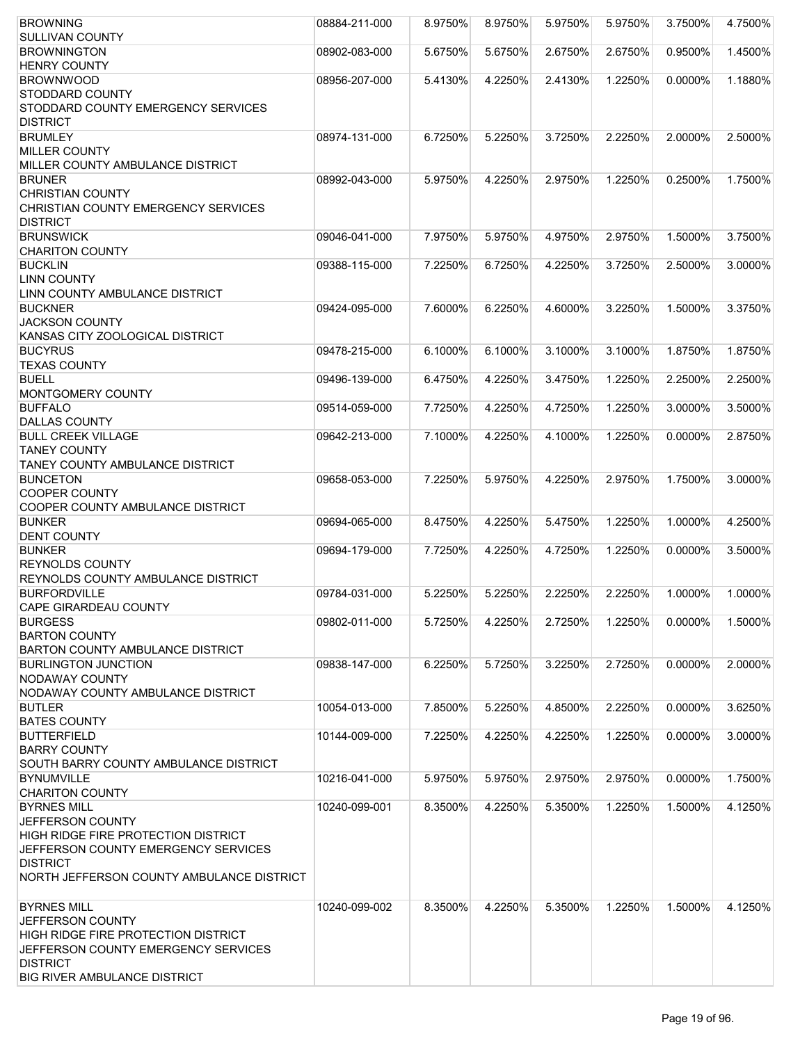| <b>BROWNING</b>                                               | 08884-211-000 | 8.9750% | 8.9750% | 5.9750% | 5.9750% | 3.7500%    | 4.7500% |
|---------------------------------------------------------------|---------------|---------|---------|---------|---------|------------|---------|
| <b>SULLIVAN COUNTY</b>                                        |               |         |         |         |         |            |         |
| <b>BROWNINGTON</b>                                            | 08902-083-000 | 5.6750% | 5.6750% | 2.6750% | 2.6750% | 0.9500%    | 1.4500% |
| <b>HENRY COUNTY</b>                                           |               |         |         |         |         |            |         |
| <b>BROWNWOOD</b>                                              | 08956-207-000 | 5.4130% | 4.2250% | 2.4130% | 1.2250% | 0.0000%    | 1.1880% |
| <b>STODDARD COUNTY</b><br>STODDARD COUNTY EMERGENCY SERVICES  |               |         |         |         |         |            |         |
| <b>DISTRICT</b>                                               |               |         |         |         |         |            |         |
| <b>BRUMLEY</b>                                                | 08974-131-000 | 6.7250% | 5.2250% | 3.7250% | 2.2250% | 2.0000%    | 2.5000% |
| <b>MILLER COUNTY</b>                                          |               |         |         |         |         |            |         |
| MILLER COUNTY AMBULANCE DISTRICT                              |               |         |         |         |         |            |         |
| <b>BRUNER</b>                                                 | 08992-043-000 | 5.9750% | 4.2250% | 2.9750% | 1.2250% | 0.2500%    | 1.7500% |
| <b>CHRISTIAN COUNTY</b>                                       |               |         |         |         |         |            |         |
| <b>CHRISTIAN COUNTY EMERGENCY SERVICES</b>                    |               |         |         |         |         |            |         |
| <b>DISTRICT</b>                                               |               |         |         |         |         |            |         |
| <b>BRUNSWICK</b>                                              | 09046-041-000 | 7.9750% | 5.9750% | 4.9750% | 2.9750% | 1.5000%    | 3.7500% |
| <b>CHARITON COUNTY</b>                                        |               |         |         |         |         |            |         |
| <b>BUCKLIN</b>                                                | 09388-115-000 | 7.2250% | 6.7250% | 4.2250% | 3.7250% | 2.5000%    | 3.0000% |
| <b>LINN COUNTY</b>                                            |               |         |         |         |         |            |         |
| LINN COUNTY AMBULANCE DISTRICT                                |               |         |         |         |         |            |         |
| <b>BUCKNER</b>                                                | 09424-095-000 | 7.6000% | 6.2250% | 4.6000% | 3.2250% | 1.5000%    | 3.3750% |
| <b>JACKSON COUNTY</b>                                         |               |         |         |         |         |            |         |
| KANSAS CITY ZOOLOGICAL DISTRICT                               |               |         |         |         |         |            |         |
| <b>BUCYRUS</b>                                                | 09478-215-000 | 6.1000% | 6.1000% | 3.1000% | 3.1000% | 1.8750%    | 1.8750% |
| <b>TEXAS COUNTY</b>                                           |               |         |         |         |         |            |         |
| <b>BUELL</b>                                                  | 09496-139-000 | 6.4750% | 4.2250% | 3.4750% | 1.2250% | 2.2500%    | 2.2500% |
| MONTGOMERY COUNTY                                             |               |         |         |         |         |            |         |
| <b>BUFFALO</b>                                                | 09514-059-000 | 7.7250% | 4.2250% | 4.7250% | 1.2250% | 3.0000%    | 3.5000% |
| <b>DALLAS COUNTY</b>                                          |               |         |         |         |         |            |         |
| <b>BULL CREEK VILLAGE</b>                                     | 09642-213-000 | 7.1000% | 4.2250% | 4.1000% | 1.2250% | 0.0000%    | 2.8750% |
| <b>TANEY COUNTY</b><br><b>TANEY COUNTY AMBULANCE DISTRICT</b> |               |         |         |         |         |            |         |
| <b>BUNCETON</b>                                               | 09658-053-000 | 7.2250% | 5.9750% | 4.2250% | 2.9750% | 1.7500%    | 3.0000% |
| <b>COOPER COUNTY</b>                                          |               |         |         |         |         |            |         |
| COOPER COUNTY AMBULANCE DISTRICT                              |               |         |         |         |         |            |         |
| <b>BUNKER</b>                                                 | 09694-065-000 | 8.4750% | 4.2250% | 5.4750% | 1.2250% | 1.0000%    | 4.2500% |
| <b>DENT COUNTY</b>                                            |               |         |         |         |         |            |         |
| <b>BUNKER</b>                                                 | 09694-179-000 | 7.7250% | 4.2250% | 4.7250% | 1.2250% | 0.0000%    | 3.5000% |
| <b>REYNOLDS COUNTY</b>                                        |               |         |         |         |         |            |         |
| REYNOLDS COUNTY AMBULANCE DISTRICT                            |               |         |         |         |         |            |         |
| <b>BURFORDVILLE</b>                                           | 09784-031-000 | 5.2250% | 5.2250% | 2.2250% | 2.2250% | 1.0000%    | 1.0000% |
| CAPE GIRARDEAU COUNTY                                         |               |         |         |         |         |            |         |
| <b>BURGESS</b>                                                | 09802-011-000 | 5.7250% | 4.2250% | 2.7250% | 1.2250% | $0.0000\%$ | 1.5000% |
| <b>BARTON COUNTY</b>                                          |               |         |         |         |         |            |         |
| <b>BARTON COUNTY AMBULANCE DISTRICT</b>                       |               |         |         |         |         |            |         |
| <b>BURLINGTON JUNCTION</b>                                    | 09838-147-000 | 6.2250% | 5.7250% | 3.2250% | 2.7250% | 0.0000%    | 2.0000% |
| <b>NODAWAY COUNTY</b>                                         |               |         |         |         |         |            |         |
| NODAWAY COUNTY AMBULANCE DISTRICT                             |               |         |         |         |         |            |         |
| <b>BUTLER</b>                                                 | 10054-013-000 | 7.8500% | 5.2250% | 4.8500% | 2.2250% | 0.0000%    | 3.6250% |
| <b>BATES COUNTY</b>                                           |               |         |         |         |         |            |         |
| <b>BUTTERFIELD</b><br><b>BARRY COUNTY</b>                     | 10144-009-000 | 7.2250% | 4.2250% | 4.2250% | 1.2250% | 0.0000%    | 3.0000% |
| SOUTH BARRY COUNTY AMBULANCE DISTRICT                         |               |         |         |         |         |            |         |
| <b>BYNUMVILLE</b>                                             | 10216-041-000 | 5.9750% | 5.9750% | 2.9750% | 2.9750% | 0.0000%    | 1.7500% |
| <b>CHARITON COUNTY</b>                                        |               |         |         |         |         |            |         |
| <b>BYRNES MILL</b>                                            | 10240-099-001 | 8.3500% | 4.2250% | 5.3500% | 1.2250% | 1.5000%    | 4.1250% |
| JEFFERSON COUNTY                                              |               |         |         |         |         |            |         |
| <b>HIGH RIDGE FIRE PROTECTION DISTRICT</b>                    |               |         |         |         |         |            |         |
| <b>JEFFERSON COUNTY EMERGENCY SERVICES</b>                    |               |         |         |         |         |            |         |
| <b>DISTRICT</b>                                               |               |         |         |         |         |            |         |
| NORTH JEFFERSON COUNTY AMBULANCE DISTRICT                     |               |         |         |         |         |            |         |
|                                                               |               |         |         |         |         |            |         |
| <b>BYRNES MILL</b>                                            | 10240-099-002 | 8.3500% | 4.2250% | 5.3500% | 1.2250% | 1.5000%    | 4.1250% |
| <b>JEFFERSON COUNTY</b>                                       |               |         |         |         |         |            |         |
| <b>HIGH RIDGE FIRE PROTECTION DISTRICT</b>                    |               |         |         |         |         |            |         |
| JEFFERSON COUNTY EMERGENCY SERVICES                           |               |         |         |         |         |            |         |
| <b>DISTRICT</b>                                               |               |         |         |         |         |            |         |
| <b>BIG RIVER AMBULANCE DISTRICT</b>                           |               |         |         |         |         |            |         |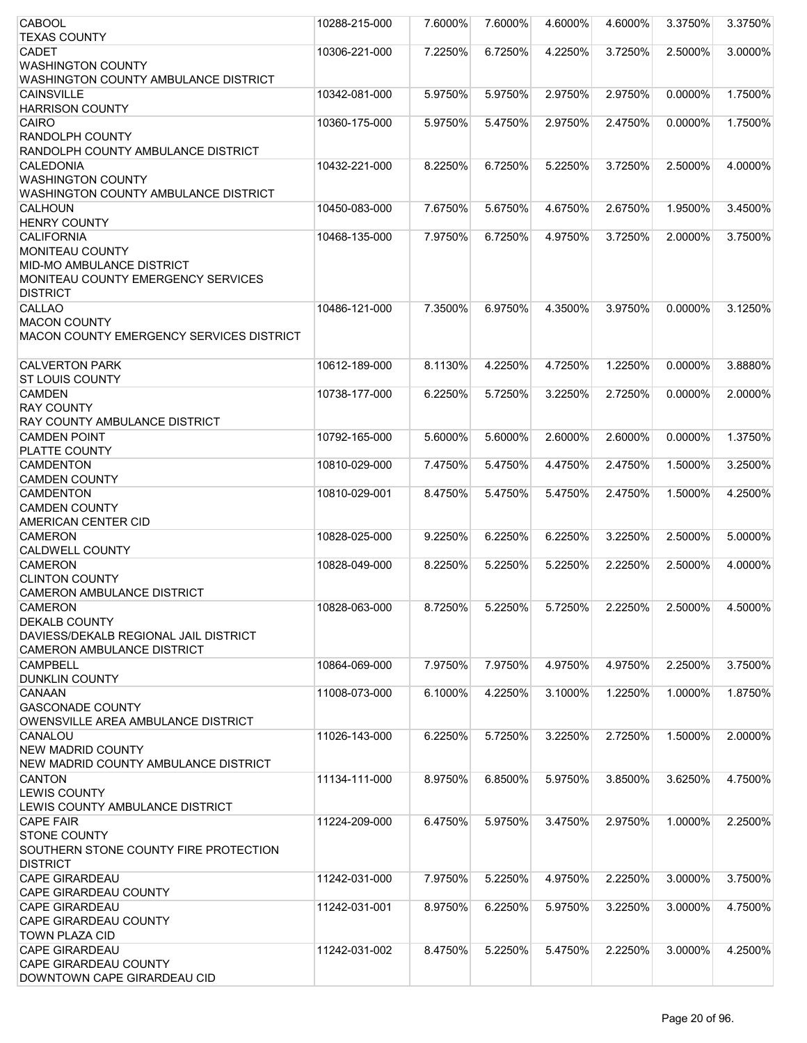| <b>CABOOL</b>                                                 | 10288-215-000 | 7.6000% | 7.6000%    | 4.6000% | 4.6000% | 3.3750% | 3.3750% |
|---------------------------------------------------------------|---------------|---------|------------|---------|---------|---------|---------|
| <b>TEXAS COUNTY</b>                                           |               |         |            |         |         |         |         |
| <b>CADET</b>                                                  | 10306-221-000 | 7.2250% | 6.7250%    | 4.2250% | 3.7250% | 2.5000% | 3.0000% |
| <b>WASHINGTON COUNTY</b>                                      |               |         |            |         |         |         |         |
| WASHINGTON COUNTY AMBULANCE DISTRICT                          |               |         |            |         |         |         |         |
| <b>CAINSVILLE</b>                                             | 10342-081-000 | 5.9750% | 5.9750%    | 2.9750% | 2.9750% | 0.0000% | 1.7500% |
| <b>HARRISON COUNTY</b><br><b>CAIRO</b>                        |               | 5.9750% | 5.4750%    | 2.9750% | 2.4750% | 0.0000% | 1.7500% |
| <b>RANDOLPH COUNTY</b>                                        | 10360-175-000 |         |            |         |         |         |         |
| RANDOLPH COUNTY AMBULANCE DISTRICT                            |               |         |            |         |         |         |         |
| <b>CALEDONIA</b>                                              | 10432-221-000 | 8.2250% | 6.7250%    | 5.2250% | 3.7250% | 2.5000% | 4.0000% |
| <b>WASHINGTON COUNTY</b>                                      |               |         |            |         |         |         |         |
| WASHINGTON COUNTY AMBULANCE DISTRICT                          |               |         |            |         |         |         |         |
| <b>CALHOUN</b>                                                | 10450-083-000 | 7.6750% | 5.6750%    | 4.6750% | 2.6750% | 1.9500% | 3.4500% |
| <b>HENRY COUNTY</b>                                           |               |         |            |         |         |         |         |
| <b>CALIFORNIA</b>                                             | 10468-135-000 | 7.9750% | 6.7250%    | 4.9750% | 3.7250% | 2.0000% | 3.7500% |
| <b>MONITEAU COUNTY</b>                                        |               |         |            |         |         |         |         |
| <b>MID-MO AMBULANCE DISTRICT</b>                              |               |         |            |         |         |         |         |
| MONITEAU COUNTY EMERGENCY SERVICES                            |               |         |            |         |         |         |         |
| <b>DISTRICT</b>                                               |               |         |            |         |         |         |         |
| <b>CALLAO</b>                                                 | 10486-121-000 | 7.3500% | 6.9750%    | 4.3500% | 3.9750% | 0.0000% | 3.1250% |
| <b>MACON COUNTY</b>                                           |               |         |            |         |         |         |         |
| MACON COUNTY EMERGENCY SERVICES DISTRICT                      |               |         |            |         |         |         |         |
|                                                               |               |         |            |         |         |         |         |
| <b>CALVERTON PARK</b>                                         | 10612-189-000 | 8.1130% | 4.2250%    | 4.7250% | 1.2250% | 0.0000% | 3.8880% |
| <b>ST LOUIS COUNTY</b>                                        |               |         |            |         |         |         |         |
| <b>CAMDEN</b>                                                 | 10738-177-000 | 6.2250% | 5.7250%    | 3.2250% | 2.7250% | 0.0000% | 2.0000% |
| <b>RAY COUNTY</b>                                             |               |         |            |         |         |         |         |
| RAY COUNTY AMBULANCE DISTRICT                                 |               |         |            |         |         |         |         |
| <b>CAMDEN POINT</b><br>PLATTE COUNTY                          | 10792-165-000 | 5.6000% | 5.6000%    | 2.6000% | 2.6000% | 0.0000% | 1.3750% |
| <b>CAMDENTON</b>                                              | 10810-029-000 | 7.4750% | 5.4750%    | 4.4750% | 2.4750% | 1.5000% | 3.2500% |
| <b>CAMDEN COUNTY</b>                                          |               |         |            |         |         |         |         |
| <b>CAMDENTON</b>                                              | 10810-029-001 | 8.4750% | 5.4750%    | 5.4750% | 2.4750% | 1.5000% | 4.2500% |
| <b>CAMDEN COUNTY</b>                                          |               |         |            |         |         |         |         |
| <b>AMERICAN CENTER CID</b>                                    |               |         |            |         |         |         |         |
| <b>CAMERON</b>                                                | 10828-025-000 | 9.2250% | 6.2250%    | 6.2250% | 3.2250% | 2.5000% | 5.0000% |
| <b>CALDWELL COUNTY</b>                                        |               |         |            |         |         |         |         |
| <b>CAMERON</b>                                                | 10828-049-000 | 8.2250% | 5.2250%    | 5.2250% | 2.2250% | 2.5000% | 4.0000% |
| <b>CLINTON COUNTY</b>                                         |               |         |            |         |         |         |         |
| <b>CAMERON AMBULANCE DISTRICT</b>                             |               |         |            |         |         |         |         |
| <b>CAMERON</b>                                                | 10828-063-000 | 8.7250% | 5.2250%    | 5.7250% | 2.2250% | 2.5000% | 4.5000% |
| <b>DEKALB COUNTY</b>                                          |               |         |            |         |         |         |         |
| DAVIESS/DEKALB REGIONAL JAIL DISTRICT                         |               |         |            |         |         |         |         |
| <b>CAMERON AMBULANCE DISTRICT</b>                             |               |         |            |         |         |         |         |
| <b>CAMPBELL</b>                                               | 10864-069-000 | 7.9750% | 7.9750%    | 4.9750% | 4.9750% | 2.2500% | 3.7500% |
| <b>DUNKLIN COUNTY</b>                                         |               |         |            |         |         |         |         |
| <b>CANAAN</b>                                                 | 11008-073-000 | 6.1000% | 4.2250%    | 3.1000% | 1.2250% | 1.0000% | 1.8750% |
| <b>GASCONADE COUNTY</b><br>OWENSVILLE AREA AMBULANCE DISTRICT |               |         |            |         |         |         |         |
| CANALOU                                                       | 11026-143-000 | 6.2250% | 5.7250%    | 3.2250% | 2.7250% | 1.5000% | 2.0000% |
| <b>NEW MADRID COUNTY</b>                                      |               |         |            |         |         |         |         |
| NEW MADRID COUNTY AMBULANCE DISTRICT                          |               |         |            |         |         |         |         |
| <b>CANTON</b>                                                 | 11134-111-000 | 8.9750% | $6.8500\%$ | 5.9750% | 3.8500% | 3.6250% | 4.7500% |
| <b>LEWIS COUNTY</b>                                           |               |         |            |         |         |         |         |
| LEWIS COUNTY AMBULANCE DISTRICT                               |               |         |            |         |         |         |         |
| <b>CAPE FAIR</b>                                              | 11224-209-000 | 6.4750% | 5.9750%    | 3.4750% | 2.9750% | 1.0000% | 2.2500% |
| <b>STONE COUNTY</b>                                           |               |         |            |         |         |         |         |
| SOUTHERN STONE COUNTY FIRE PROTECTION                         |               |         |            |         |         |         |         |
| <b>DISTRICT</b>                                               |               |         |            |         |         |         |         |
| <b>CAPE GIRARDEAU</b>                                         | 11242-031-000 | 7.9750% | 5.2250%    | 4.9750% | 2.2250% | 3.0000% | 3.7500% |
| <b>CAPE GIRARDEAU COUNTY</b>                                  |               |         |            |         |         |         |         |
| <b>CAPE GIRARDEAU</b>                                         | 11242-031-001 | 8.9750% | 6.2250%    | 5.9750% | 3.2250% | 3.0000% | 4.7500% |
| CAPE GIRARDEAU COUNTY                                         |               |         |            |         |         |         |         |
| <b>TOWN PLAZA CID</b>                                         |               |         |            |         |         |         |         |
| <b>CAPE GIRARDEAU</b>                                         | 11242-031-002 | 8.4750% | 5.2250%    | 5.4750% | 2.2250% | 3.0000% | 4.2500% |
| <b>CAPE GIRARDEAU COUNTY</b>                                  |               |         |            |         |         |         |         |
| DOWNTOWN CAPE GIRARDEAU CID                                   |               |         |            |         |         |         |         |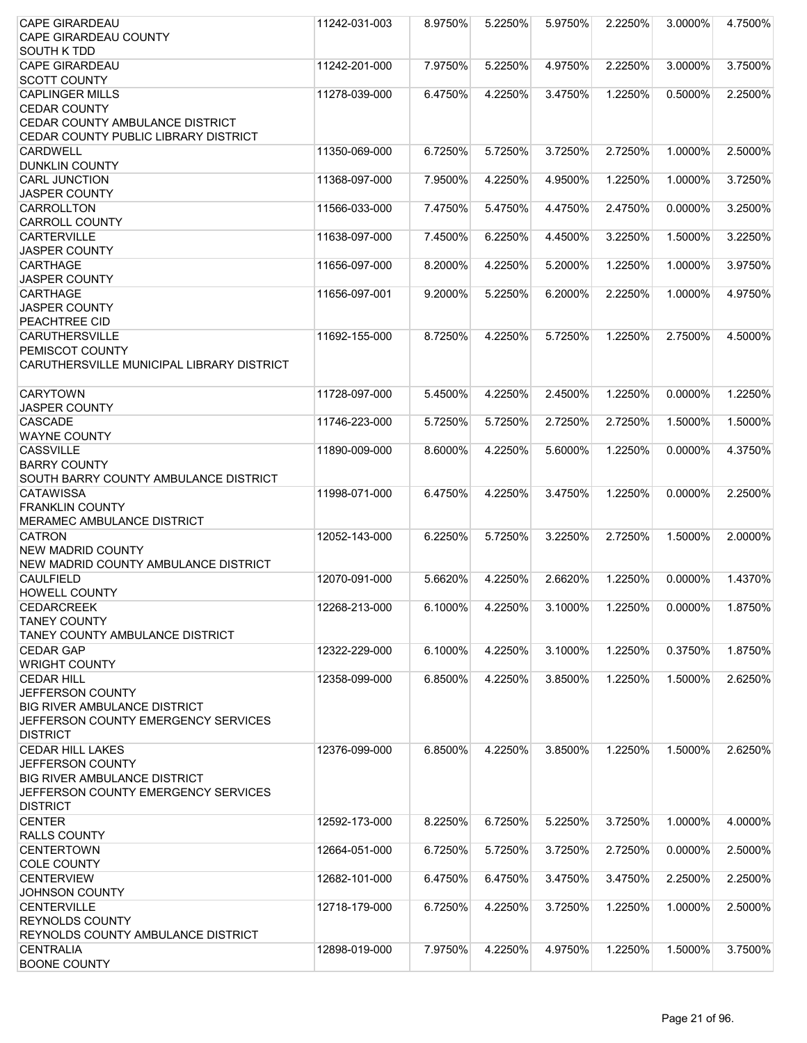| <b>CAPE GIRARDEAU</b>                     | 11242-031-003 | 8.9750% | 5.2250% | 5.9750% | 2.2250% | 3.0000% | 4.7500% |
|-------------------------------------------|---------------|---------|---------|---------|---------|---------|---------|
| <b>CAPE GIRARDEAU COUNTY</b>              |               |         |         |         |         |         |         |
| <b>SOUTH K TDD</b>                        |               |         |         |         |         |         |         |
| <b>CAPE GIRARDEAU</b>                     | 11242-201-000 | 7.9750% | 5.2250% | 4.9750% | 2.2250% | 3.0000% | 3.7500% |
| <b>SCOTT COUNTY</b>                       |               |         |         |         |         |         |         |
| <b>CAPLINGER MILLS</b>                    | 11278-039-000 | 6.4750% | 4.2250% | 3.4750% | 1.2250% | 0.5000% | 2.2500% |
| <b>CEDAR COUNTY</b>                       |               |         |         |         |         |         |         |
| CEDAR COUNTY AMBULANCE DISTRICT           |               |         |         |         |         |         |         |
| CEDAR COUNTY PUBLIC LIBRARY DISTRICT      |               |         |         |         |         |         |         |
|                                           |               |         |         |         |         |         |         |
| <b>CARDWELL</b>                           | 11350-069-000 | 6.7250% | 5.7250% | 3.7250% | 2.7250% | 1.0000% | 2.5000% |
| <b>DUNKLIN COUNTY</b>                     |               |         |         |         |         |         |         |
| <b>CARL JUNCTION</b>                      | 11368-097-000 | 7.9500% | 4.2250% | 4.9500% | 1.2250% | 1.0000% | 3.7250% |
| <b>JASPER COUNTY</b>                      |               |         |         |         |         |         |         |
| <b>CARROLLTON</b>                         | 11566-033-000 | 7.4750% | 5.4750% | 4.4750% | 2.4750% | 0.0000% | 3.2500% |
| <b>CARROLL COUNTY</b>                     |               |         |         |         |         |         |         |
| <b>CARTERVILLE</b>                        | 11638-097-000 | 7.4500% | 6.2250% | 4.4500% | 3.2250% | 1.5000% | 3.2250% |
| <b>JASPER COUNTY</b>                      |               |         |         |         |         |         |         |
| <b>CARTHAGE</b>                           | 11656-097-000 | 8.2000% | 4.2250% | 5.2000% | 1.2250% | 1.0000% | 3.9750% |
| <b>JASPER COUNTY</b>                      |               |         |         |         |         |         |         |
| <b>CARTHAGE</b>                           | 11656-097-001 | 9.2000% | 5.2250% | 6.2000% | 2.2250% | 1.0000% | 4.9750% |
| <b>JASPER COUNTY</b>                      |               |         |         |         |         |         |         |
| PEACHTREE CID                             |               |         |         |         |         |         |         |
| <b>CARUTHERSVILLE</b>                     | 11692-155-000 | 8.7250% | 4.2250% | 5.7250% | 1.2250% | 2.7500% | 4.5000% |
| <b>PEMISCOT COUNTY</b>                    |               |         |         |         |         |         |         |
| CARUTHERSVILLE MUNICIPAL LIBRARY DISTRICT |               |         |         |         |         |         |         |
|                                           |               |         |         |         |         |         |         |
| <b>CARYTOWN</b>                           | 11728-097-000 | 5.4500% | 4.2250% | 2.4500% | 1.2250% | 0.0000% | 1.2250% |
| <b>JASPER COUNTY</b>                      |               |         |         |         |         |         |         |
| <b>CASCADE</b>                            | 11746-223-000 | 5.7250% | 5.7250% | 2.7250% | 2.7250% | 1.5000% | 1.5000% |
| <b>WAYNE COUNTY</b>                       |               |         |         |         |         |         |         |
| <b>CASSVILLE</b>                          |               |         |         | 5.6000% | 1.2250% | 0.0000% | 4.3750% |
|                                           | 11890-009-000 | 8.6000% | 4.2250% |         |         |         |         |
| <b>BARRY COUNTY</b>                       |               |         |         |         |         |         |         |
| SOUTH BARRY COUNTY AMBULANCE DISTRICT     |               |         |         |         |         |         |         |
| <b>CATAWISSA</b>                          | 11998-071-000 | 6.4750% | 4.2250% | 3.4750% | 1.2250% | 0.0000% | 2.2500% |
| <b>FRANKLIN COUNTY</b>                    |               |         |         |         |         |         |         |
| MERAMEC AMBULANCE DISTRICT                |               |         |         |         |         |         |         |
| <b>CATRON</b>                             | 12052-143-000 | 6.2250% | 5.7250% | 3.2250% | 2.7250% | 1.5000% | 2.0000% |
| <b>NEW MADRID COUNTY</b>                  |               |         |         |         |         |         |         |
| NEW MADRID COUNTY AMBULANCE DISTRICT      |               |         |         |         |         |         |         |
| CAULFIELD                                 | 12070-091-000 | 5.6620% | 4.2250% | 2.6620% | 1.2250% | 0.0000% | 1.4370% |
| HOWELL COUNTY                             |               |         |         |         |         |         |         |
| <b>CEDARCREEK</b>                         | 12268-213-000 | 6.1000% | 4.2250% | 3.1000% | 1.2250% | 0.0000% | 1.8750% |
| <b>TANEY COUNTY</b>                       |               |         |         |         |         |         |         |
| TANEY COUNTY AMBULANCE DISTRICT           |               |         |         |         |         |         |         |
| <b>CEDAR GAP</b>                          | 12322-229-000 | 6.1000% | 4.2250% | 3.1000% | 1.2250% | 0.3750% | 1.8750% |
| <b>WRIGHT COUNTY</b>                      |               |         |         |         |         |         |         |
| <b>CEDAR HILL</b>                         | 12358-099-000 | 6.8500% | 4.2250% | 3.8500% | 1.2250% | 1.5000% | 2.6250% |
| JEFFERSON COUNTY                          |               |         |         |         |         |         |         |
| <b>BIG RIVER AMBULANCE DISTRICT</b>       |               |         |         |         |         |         |         |
| JEFFERSON COUNTY EMERGENCY SERVICES       |               |         |         |         |         |         |         |
| <b>DISTRICT</b>                           |               |         |         |         |         |         |         |
| <b>CEDAR HILL LAKES</b>                   | 12376-099-000 | 6.8500% | 4.2250% | 3.8500% | 1.2250% | 1.5000% | 2.6250% |
| JEFFERSON COUNTY                          |               |         |         |         |         |         |         |
| <b>BIG RIVER AMBULANCE DISTRICT</b>       |               |         |         |         |         |         |         |
| JEFFERSON COUNTY EMERGENCY SERVICES       |               |         |         |         |         |         |         |
| <b>DISTRICT</b>                           |               |         |         |         |         |         |         |
|                                           |               |         |         |         |         |         |         |
| <b>CENTER</b>                             | 12592-173-000 | 8.2250% | 6.7250% | 5.2250% | 3.7250% | 1.0000% | 4.0000% |
| <b>RALLS COUNTY</b>                       |               |         |         |         |         |         |         |
| <b>CENTERTOWN</b>                         | 12664-051-000 | 6.7250% | 5.7250% | 3.7250% | 2.7250% | 0.0000% | 2.5000% |
| <b>COLE COUNTY</b>                        |               |         |         |         |         |         |         |
| <b>CENTERVIEW</b>                         | 12682-101-000 | 6.4750% | 6.4750% | 3.4750% | 3.4750% | 2.2500% | 2.2500% |
| <b>JOHNSON COUNTY</b>                     |               |         |         |         |         |         |         |
| <b>CENTERVILLE</b>                        | 12718-179-000 | 6.7250% | 4.2250% | 3.7250% | 1.2250% | 1.0000% | 2.5000% |
| <b>REYNOLDS COUNTY</b>                    |               |         |         |         |         |         |         |
| REYNOLDS COUNTY AMBULANCE DISTRICT        |               |         |         |         |         |         |         |
| <b>CENTRALIA</b>                          | 12898-019-000 | 7.9750% | 4.2250% | 4.9750% | 1.2250% | 1.5000% | 3.7500% |
| <b>BOONE COUNTY</b>                       |               |         |         |         |         |         |         |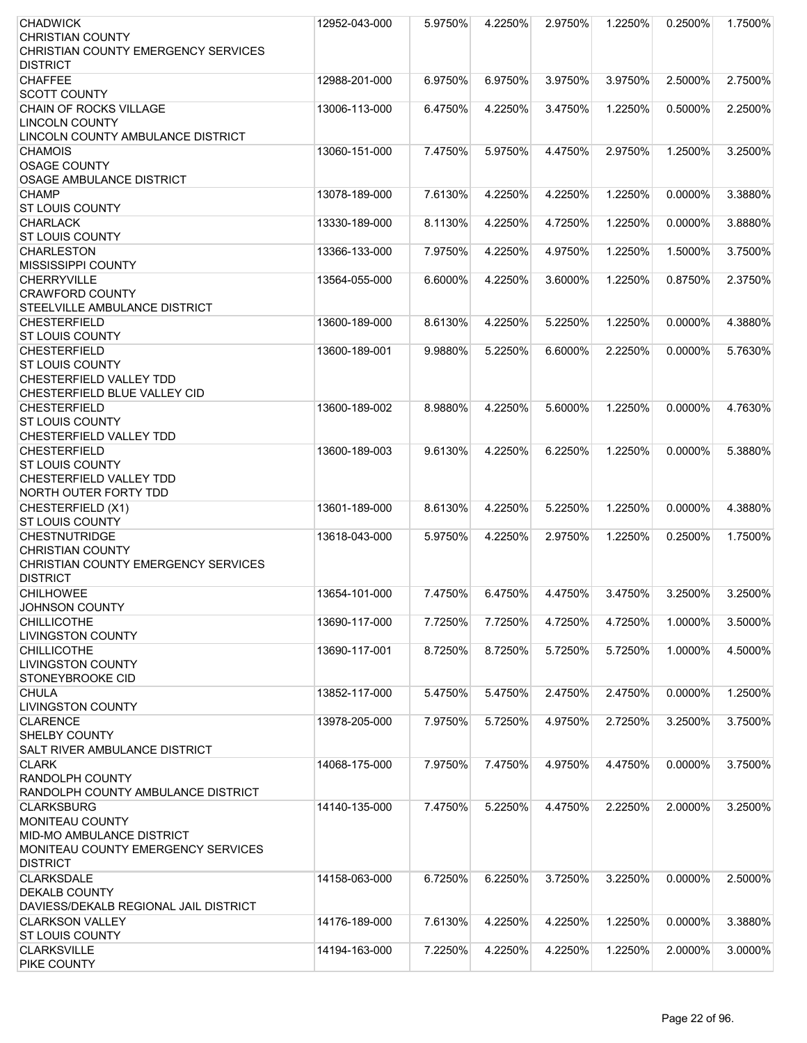| <b>CHADWICK</b>                       | 12952-043-000 | 5.9750% | 4.2250% | 2.9750% | 1.2250% | 0.2500%    | 1.7500% |
|---------------------------------------|---------------|---------|---------|---------|---------|------------|---------|
| <b>CHRISTIAN COUNTY</b>               |               |         |         |         |         |            |         |
| CHRISTIAN COUNTY EMERGENCY SERVICES   |               |         |         |         |         |            |         |
| <b>DISTRICT</b>                       |               |         |         |         |         |            |         |
| <b>CHAFFEE</b>                        | 12988-201-000 | 6.9750% | 6.9750% | 3.9750% | 3.9750% | 2.5000%    | 2.7500% |
| <b>SCOTT COUNTY</b>                   |               |         |         |         |         |            |         |
|                                       |               |         |         |         |         |            |         |
| CHAIN OF ROCKS VILLAGE                | 13006-113-000 | 6.4750% | 4.2250% | 3.4750% | 1.2250% | 0.5000%    | 2.2500% |
| <b>LINCOLN COUNTY</b>                 |               |         |         |         |         |            |         |
| LINCOLN COUNTY AMBULANCE DISTRICT     |               |         |         |         |         |            |         |
| <b>CHAMOIS</b>                        | 13060-151-000 | 7.4750% | 5.9750% | 4.4750% | 2.9750% | 1.2500%    | 3.2500% |
| <b>OSAGE COUNTY</b>                   |               |         |         |         |         |            |         |
| OSAGE AMBULANCE DISTRICT              |               |         |         |         |         |            |         |
| <b>CHAMP</b>                          | 13078-189-000 | 7.6130% | 4.2250% | 4.2250% | 1.2250% | 0.0000%    | 3.3880% |
| <b>ST LOUIS COUNTY</b>                |               |         |         |         |         |            |         |
| <b>CHARLACK</b>                       | 13330-189-000 | 8.1130% | 4.2250% | 4.7250% | 1.2250% | 0.0000%    | 3.8880% |
| <b>ST LOUIS COUNTY</b>                |               |         |         |         |         |            |         |
| <b>CHARLESTON</b>                     | 13366-133-000 | 7.9750% | 4.2250% | 4.9750% | 1.2250% | 1.5000%    | 3.7500% |
| MISSISSIPPI COUNTY                    |               |         |         |         |         |            |         |
| <b>CHERRYVILLE</b>                    | 13564-055-000 | 6.6000% | 4.2250% | 3.6000% | 1.2250% | 0.8750%    | 2.3750% |
| <b>CRAWFORD COUNTY</b>                |               |         |         |         |         |            |         |
|                                       |               |         |         |         |         |            |         |
| STEELVILLE AMBULANCE DISTRICT         |               |         |         |         |         |            |         |
| <b>CHESTERFIELD</b>                   | 13600-189-000 | 8.6130% | 4.2250% | 5.2250% | 1.2250% | 0.0000%    | 4.3880% |
| <b>ST LOUIS COUNTY</b>                |               |         |         |         |         |            |         |
| <b>CHESTERFIELD</b>                   | 13600-189-001 | 9.9880% | 5.2250% | 6.6000% | 2.2250% | $0.0000\%$ | 5.7630% |
| <b>ST LOUIS COUNTY</b>                |               |         |         |         |         |            |         |
| <b>CHESTERFIELD VALLEY TDD</b>        |               |         |         |         |         |            |         |
| CHESTERFIELD BLUE VALLEY CID          |               |         |         |         |         |            |         |
| <b>CHESTERFIELD</b>                   | 13600-189-002 | 8.9880% | 4.2250% | 5.6000% | 1.2250% | 0.0000%    | 4.7630% |
| <b>ST LOUIS COUNTY</b>                |               |         |         |         |         |            |         |
| CHESTERFIELD VALLEY TDD               |               |         |         |         |         |            |         |
| <b>CHESTERFIELD</b>                   | 13600-189-003 | 9.6130% | 4.2250% | 6.2250% | 1.2250% | 0.0000%    | 5.3880% |
| <b>ST LOUIS COUNTY</b>                |               |         |         |         |         |            |         |
| <b>CHESTERFIELD VALLEY TDD</b>        |               |         |         |         |         |            |         |
|                                       |               |         |         |         |         |            |         |
| NORTH OUTER FORTY TDD                 |               |         |         |         |         |            |         |
| CHESTERFIELD (X1)                     | 13601-189-000 | 8.6130% | 4.2250% | 5.2250% | 1.2250% | 0.0000%    | 4.3880% |
| <b>ST LOUIS COUNTY</b>                |               |         |         |         |         |            |         |
| <b>CHESTNUTRIDGE</b>                  | 13618-043-000 | 5.9750% | 4.2250% | 2.9750% | 1.2250% | 0.2500%    | 1.7500% |
| <b>CHRISTIAN COUNTY</b>               |               |         |         |         |         |            |         |
| CHRISTIAN COUNTY EMERGENCY SERVICES   |               |         |         |         |         |            |         |
| <b>DISTRICT</b>                       |               |         |         |         |         |            |         |
| <b>CHILHOWEE</b>                      | 13654-101-000 | 7.4750% | 6.4750% | 4.4750% | 3.4750% | 3.2500%    | 3.2500% |
| JOHNSON COUNTY                        |               |         |         |         |         |            |         |
| <b>CHILLICOTHE</b>                    | 13690-117-000 | 7.7250% | 7.7250% | 4.7250% | 4.7250% | 1.0000%    | 3.5000% |
| <b>LIVINGSTON COUNTY</b>              |               |         |         |         |         |            |         |
| <b>CHILLICOTHE</b>                    | 13690-117-001 | 8.7250% | 8.7250% | 5.7250% | 5.7250% | 1.0000%    | 4.5000% |
| <b>LIVINGSTON COUNTY</b>              |               |         |         |         |         |            |         |
| STONEYBROOKE CID                      |               |         |         |         |         |            |         |
|                                       |               |         |         |         |         |            |         |
| <b>CHULA</b>                          | 13852-117-000 | 5.4750% | 5.4750% | 2.4750% | 2.4750% | 0.0000%    | 1.2500% |
| <b>LIVINGSTON COUNTY</b>              |               |         |         |         |         |            |         |
| <b>CLARENCE</b>                       | 13978-205-000 | 7.9750% | 5.7250% | 4.9750% | 2.7250% | 3.2500%    | 3.7500% |
| <b>SHELBY COUNTY</b>                  |               |         |         |         |         |            |         |
| SALT RIVER AMBULANCE DISTRICT         |               |         |         |         |         |            |         |
| <b>CLARK</b>                          | 14068-175-000 | 7.9750% | 7.4750% | 4.9750% | 4.4750% | 0.0000%    | 3.7500% |
| <b>RANDOLPH COUNTY</b>                |               |         |         |         |         |            |         |
| RANDOLPH COUNTY AMBULANCE DISTRICT    |               |         |         |         |         |            |         |
| <b>CLARKSBURG</b>                     | 14140-135-000 | 7.4750% | 5.2250% | 4.4750% | 2.2250% | 2.0000%    | 3.2500% |
| MONITEAU COUNTY                       |               |         |         |         |         |            |         |
| <b>MID-MO AMBULANCE DISTRICT</b>      |               |         |         |         |         |            |         |
| MONITEAU COUNTY EMERGENCY SERVICES    |               |         |         |         |         |            |         |
| <b>DISTRICT</b>                       |               |         |         |         |         |            |         |
|                                       |               |         |         |         |         |            |         |
| <b>CLARKSDALE</b>                     | 14158-063-000 | 6.7250% | 6.2250% | 3.7250% | 3.2250% | 0.0000%    | 2.5000% |
| <b>DEKALB COUNTY</b>                  |               |         |         |         |         |            |         |
| DAVIESS/DEKALB REGIONAL JAIL DISTRICT |               |         |         |         |         |            |         |
| <b>CLARKSON VALLEY</b>                | 14176-189-000 | 7.6130% | 4.2250% | 4.2250% | 1.2250% | 0.0000%    | 3.3880% |
| <b>ST LOUIS COUNTY</b>                |               |         |         |         |         |            |         |
| <b>CLARKSVILLE</b>                    | 14194-163-000 | 7.2250% | 4.2250% | 4.2250% | 1.2250% | 2.0000%    | 3.0000% |
| PIKE COUNTY                           |               |         |         |         |         |            |         |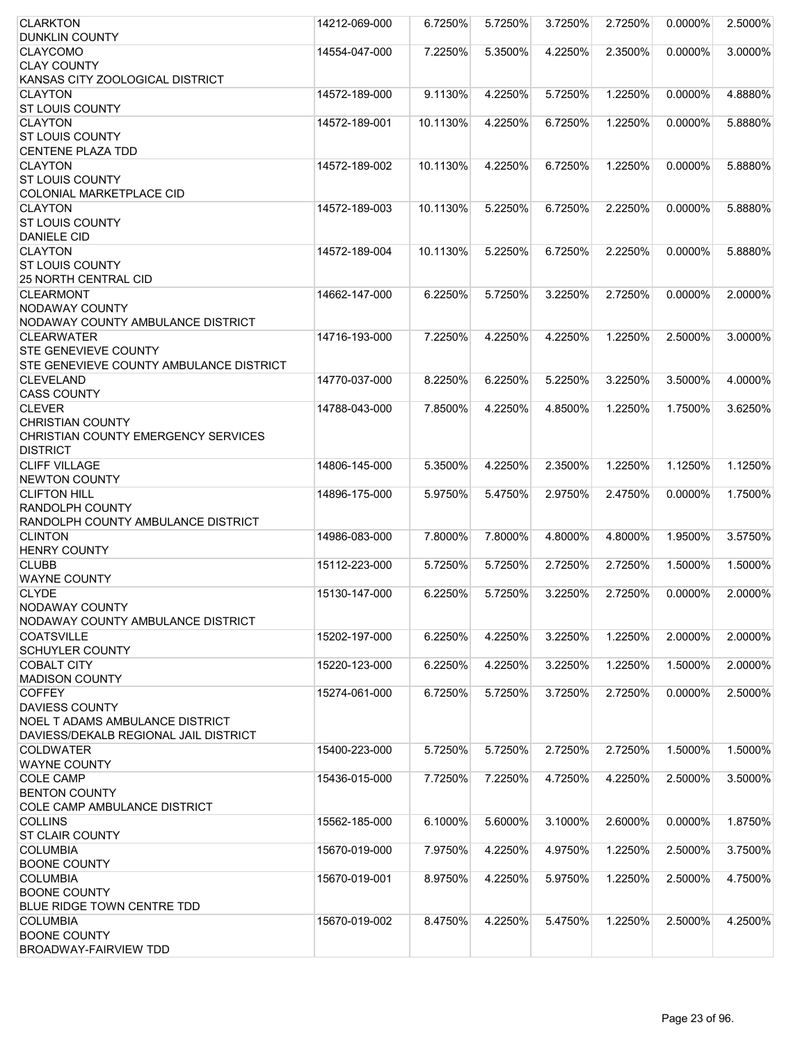| <b>CLARKTON</b>                             | 14212-069-000 | 6.7250%  | 5.7250% | 3.7250% | 2.7250% | 0.0000%    | 2.5000% |
|---------------------------------------------|---------------|----------|---------|---------|---------|------------|---------|
| <b>DUNKLIN COUNTY</b>                       |               |          |         |         |         |            |         |
| <b>CLAYCOMO</b>                             | 14554-047-000 | 7.2250%  | 5.3500% | 4.2250% | 2.3500% | 0.0000%    | 3.0000% |
| <b>CLAY COUNTY</b>                          |               |          |         |         |         |            |         |
| KANSAS CITY ZOOLOGICAL DISTRICT             |               |          |         |         |         |            |         |
| <b>CLAYTON</b>                              | 14572-189-000 | 9.1130%  | 4.2250% | 5.7250% | 1.2250% | 0.0000%    | 4.8880% |
| <b>ST LOUIS COUNTY</b>                      |               |          |         |         |         |            |         |
| <b>CLAYTON</b>                              | 14572-189-001 | 10.1130% | 4.2250% | 6.7250% | 1.2250% | 0.0000%    | 5.8880% |
| <b>ST LOUIS COUNTY</b>                      |               |          |         |         |         |            |         |
| <b>CENTENE PLAZA TDD</b><br><b>CLAYTON</b>  | 14572-189-002 |          |         |         |         |            | 5.8880% |
| <b>ST LOUIS COUNTY</b>                      |               | 10.1130% | 4.2250% | 6.7250% | 1.2250% | 0.0000%    |         |
| <b>COLONIAL MARKETPLACE CID</b>             |               |          |         |         |         |            |         |
| <b>CLAYTON</b>                              | 14572-189-003 | 10.1130% | 5.2250% | 6.7250% | 2.2250% | 0.0000%    | 5.8880% |
| <b>ST LOUIS COUNTY</b>                      |               |          |         |         |         |            |         |
| <b>DANIELE CID</b>                          |               |          |         |         |         |            |         |
| <b>CLAYTON</b>                              | 14572-189-004 | 10.1130% | 5.2250% | 6.7250% | 2.2250% | 0.0000%    | 5.8880% |
| <b>ST LOUIS COUNTY</b>                      |               |          |         |         |         |            |         |
| <b>25 NORTH CENTRAL CID</b>                 |               |          |         |         |         |            |         |
| <b>CLEARMONT</b>                            | 14662-147-000 | 6.2250%  | 5.7250% | 3.2250% | 2.7250% | 0.0000%    | 2.0000% |
| <b>NODAWAY COUNTY</b>                       |               |          |         |         |         |            |         |
| NODAWAY COUNTY AMBULANCE DISTRICT           |               |          |         |         |         |            |         |
| <b>CLEARWATER</b>                           | 14716-193-000 | 7.2250%  | 4.2250% | 4.2250% | 1.2250% | 2.5000%    | 3.0000% |
| <b>STE GENEVIEVE COUNTY</b>                 |               |          |         |         |         |            |         |
| STE GENEVIEVE COUNTY AMBULANCE DISTRICT     |               |          |         |         |         |            |         |
| <b>CLEVELAND</b>                            | 14770-037-000 | 8.2250%  | 6.2250% | 5.2250% | 3.2250% | 3.5000%    | 4.0000% |
| <b>CASS COUNTY</b>                          |               |          |         |         |         |            |         |
| <b>CLEVER</b>                               | 14788-043-000 | 7.8500%  | 4.2250% | 4.8500% | 1.2250% | 1.7500%    | 3.6250% |
| <b>CHRISTIAN COUNTY</b>                     |               |          |         |         |         |            |         |
| CHRISTIAN COUNTY EMERGENCY SERVICES         |               |          |         |         |         |            |         |
| <b>DISTRICT</b>                             |               |          |         |         |         |            |         |
| <b>CLIFF VILLAGE</b>                        | 14806-145-000 | 5.3500%  | 4.2250% | 2.3500% | 1.2250% | 1.1250%    | 1.1250% |
| <b>NEWTON COUNTY</b>                        |               |          |         |         |         |            |         |
| <b>CLIFTON HILL</b>                         | 14896-175-000 | 5.9750%  | 5.4750% | 2.9750% | 2.4750% | $0.0000\%$ | 1.7500% |
| <b>RANDOLPH COUNTY</b>                      |               |          |         |         |         |            |         |
| RANDOLPH COUNTY AMBULANCE DISTRICT          |               |          |         |         |         |            |         |
| <b>CLINTON</b>                              | 14986-083-000 | 7.8000%  | 7.8000% | 4.8000% | 4.8000% | 1.9500%    | 3.5750% |
| <b>HENRY COUNTY</b>                         |               |          |         |         |         |            |         |
| <b>CLUBB</b>                                | 15112-223-000 | 5.7250%  | 5.7250% | 2.7250% | 2.7250% | 1.5000%    | 1.5000% |
| <b>WAYNE COUNTY</b>                         |               |          |         |         |         |            |         |
| <b>CLYDE</b>                                | 15130-147-000 | 6.2250%  | 5.7250% | 3.2250% | 2.7250% | 0.0000%    | 2.0000% |
| <b>NODAWAY COUNTY</b>                       |               |          |         |         |         |            |         |
| NODAWAY COUNTY AMBULANCE DISTRICT           | 15202-197-000 |          |         |         |         | 2.0000%    | 2.0000% |
| <b>COATSVILLE</b><br><b>SCHUYLER COUNTY</b> |               | 6.2250%  | 4.2250% | 3.2250% | 1.2250% |            |         |
| <b>COBALT CITY</b>                          | 15220-123-000 | 6.2250%  | 4.2250% | 3.2250% | 1.2250% | 1.5000%    | 2.0000% |
| <b>MADISON COUNTY</b>                       |               |          |         |         |         |            |         |
| <b>COFFEY</b>                               | 15274-061-000 | 6.7250%  | 5.7250% | 3.7250% | 2.7250% | 0.0000%    | 2.5000% |
| DAVIESS COUNTY                              |               |          |         |         |         |            |         |
| NOEL T ADAMS AMBULANCE DISTRICT             |               |          |         |         |         |            |         |
| DAVIESS/DEKALB REGIONAL JAIL DISTRICT       |               |          |         |         |         |            |         |
| <b>COLDWATER</b>                            | 15400-223-000 | 5.7250%  | 5.7250% | 2.7250% | 2.7250% | 1.5000%    | 1.5000% |
| <b>WAYNE COUNTY</b>                         |               |          |         |         |         |            |         |
| <b>COLE CAMP</b>                            | 15436-015-000 | 7.7250%  | 7.2250% | 4.7250% | 4.2250% | 2.5000%    | 3.5000% |
| <b>BENTON COUNTY</b>                        |               |          |         |         |         |            |         |
| <b>COLE CAMP AMBULANCE DISTRICT</b>         |               |          |         |         |         |            |         |
| <b>COLLINS</b>                              | 15562-185-000 | 6.1000%  | 5.6000% | 3.1000% | 2.6000% | 0.0000%    | 1.8750% |
| <b>ST CLAIR COUNTY</b>                      |               |          |         |         |         |            |         |
| <b>COLUMBIA</b>                             | 15670-019-000 | 7.9750%  | 4.2250% | 4.9750% | 1.2250% | 2.5000%    | 3.7500% |
| <b>BOONE COUNTY</b>                         |               |          |         |         |         |            |         |
| <b>COLUMBIA</b>                             | 15670-019-001 | 8.9750%  | 4.2250% | 5.9750% | 1.2250% | 2.5000%    | 4.7500% |
| <b>BOONE COUNTY</b>                         |               |          |         |         |         |            |         |
| BLUE RIDGE TOWN CENTRE TDD                  |               |          |         |         |         |            |         |
| <b>COLUMBIA</b>                             | 15670-019-002 | 8.4750%  | 4.2250% | 5.4750% | 1.2250% | 2.5000%    | 4.2500% |
| <b>BOONE COUNTY</b>                         |               |          |         |         |         |            |         |
| BROADWAY-FAIRVIEW TDD                       |               |          |         |         |         |            |         |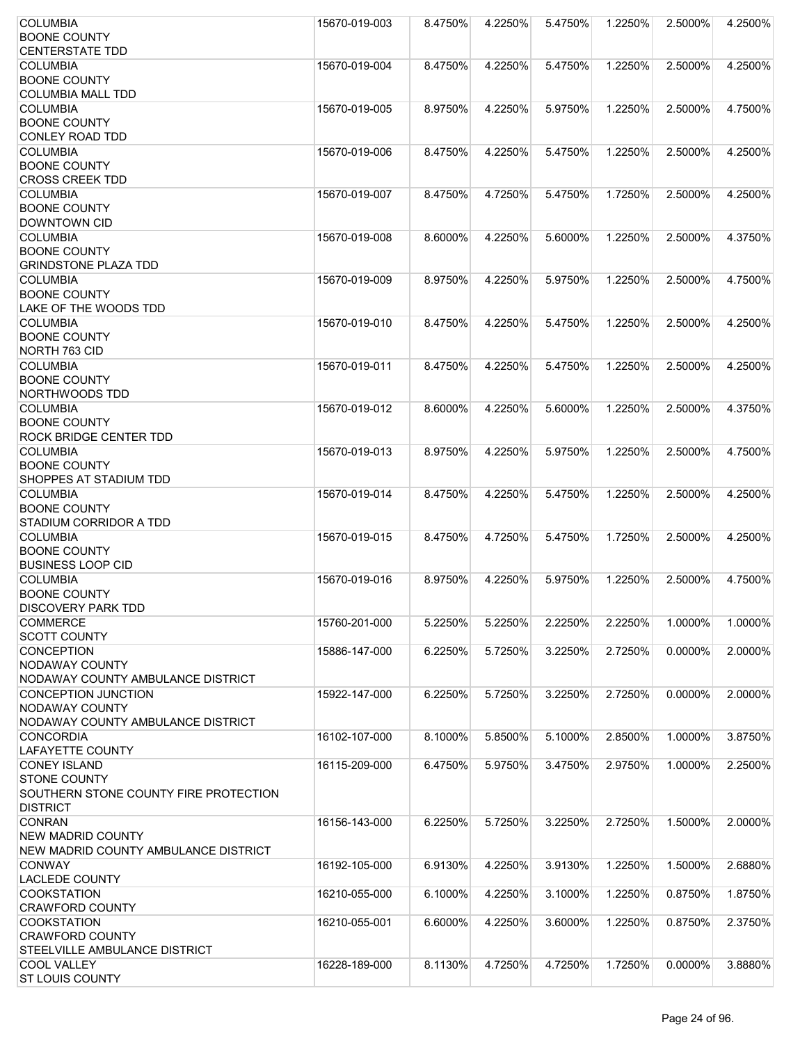| <b>COLUMBIA</b>                               | 15670-019-003 | 8.4750% | 4.2250% | 5.4750% | 1.2250% | 2.5000%    | 4.2500% |
|-----------------------------------------------|---------------|---------|---------|---------|---------|------------|---------|
| <b>BOONE COUNTY</b>                           |               |         |         |         |         |            |         |
| <b>CENTERSTATE TDD</b>                        |               |         |         |         |         |            |         |
| <b>COLUMBIA</b>                               | 15670-019-004 | 8.4750% | 4.2250% | 5.4750% | 1.2250% | 2.5000%    | 4.2500% |
| <b>BOONE COUNTY</b>                           |               |         |         |         |         |            |         |
| <b>COLUMBIA MALL TDD</b>                      |               |         |         |         |         |            |         |
| <b>COLUMBIA</b>                               | 15670-019-005 | 8.9750% | 4.2250% | 5.9750% | 1.2250% | 2.5000%    | 4.7500% |
| <b>BOONE COUNTY</b>                           |               |         |         |         |         |            |         |
| <b>CONLEY ROAD TDD</b>                        |               |         |         |         |         |            |         |
| <b>COLUMBIA</b>                               | 15670-019-006 | 8.4750% | 4.2250% | 5.4750% | 1.2250% | 2.5000%    | 4.2500% |
| <b>BOONE COUNTY</b>                           |               |         |         |         |         |            |         |
| <b>CROSS CREEK TDD</b>                        |               |         |         |         |         |            |         |
| <b>COLUMBIA</b>                               | 15670-019-007 | 8.4750% | 4.7250% | 5.4750% | 1.7250% | 2.5000%    | 4.2500% |
| <b>BOONE COUNTY</b>                           |               |         |         |         |         |            |         |
| <b>DOWNTOWN CID</b>                           |               |         |         |         |         |            |         |
| <b>COLUMBIA</b>                               | 15670-019-008 | 8.6000% | 4.2250% | 5.6000% | 1.2250% | 2.5000%    | 4.3750% |
| <b>BOONE COUNTY</b>                           |               |         |         |         |         |            |         |
| <b>GRINDSTONE PLAZA TDD</b>                   |               |         |         |         |         |            |         |
| <b>COLUMBIA</b>                               | 15670-019-009 | 8.9750% | 4.2250% | 5.9750% | 1.2250% | 2.5000%    | 4.7500% |
| <b>BOONE COUNTY</b>                           |               |         |         |         |         |            |         |
| LAKE OF THE WOODS TDD                         |               |         |         |         |         |            |         |
| <b>COLUMBIA</b>                               | 15670-019-010 | 8.4750% | 4.2250% | 5.4750% | 1.2250% | 2.5000%    | 4.2500% |
| <b>BOONE COUNTY</b>                           |               |         |         |         |         |            |         |
| NORTH 763 CID                                 |               |         |         |         |         |            |         |
| <b>COLUMBIA</b>                               | 15670-019-011 | 8.4750% | 4.2250% | 5.4750% | 1.2250% | 2.5000%    | 4.2500% |
| <b>BOONE COUNTY</b>                           |               |         |         |         |         |            |         |
| NORTHWOODS TDD                                |               |         |         |         |         |            |         |
| <b>COLUMBIA</b><br><b>BOONE COUNTY</b>        | 15670-019-012 | 8.6000% | 4.2250% | 5.6000% | 1.2250% | 2.5000%    | 4.3750% |
| <b>ROCK BRIDGE CENTER TDD</b>                 |               |         |         |         |         |            |         |
| <b>COLUMBIA</b>                               |               |         | 4.2250% | 5.9750% | 1.2250% | 2.5000%    | 4.7500% |
|                                               | 15670-019-013 | 8.9750% |         |         |         |            |         |
| <b>BOONE COUNTY</b><br>SHOPPES AT STADIUM TDD |               |         |         |         |         |            |         |
|                                               |               |         |         |         |         |            |         |
| <b>COLUMBIA</b>                               | 15670-019-014 | 8.4750% | 4.2250% | 5.4750% | 1.2250% | 2.5000%    | 4.2500% |
| <b>BOONE COUNTY</b>                           |               |         |         |         |         |            |         |
| STADIUM CORRIDOR A TDD<br><b>COLUMBIA</b>     |               | 8.4750% | 4.7250% | 5.4750% | 1.7250% | 2.5000%    | 4.2500% |
| <b>BOONE COUNTY</b>                           | 15670-019-015 |         |         |         |         |            |         |
| <b>BUSINESS LOOP CID</b>                      |               |         |         |         |         |            |         |
| <b>COLUMBIA</b>                               | 15670-019-016 | 8.9750% | 4.2250% | 5.9750% | 1.2250% | 2.5000%    | 4.7500% |
| <b>BOONE COUNTY</b>                           |               |         |         |         |         |            |         |
| <b>DISCOVERY PARK TDD</b>                     |               |         |         |         |         |            |         |
| <b>COMMERCE</b>                               | 15760-201-000 | 5.2250% | 5.2250% | 2.2250% | 2.2250% | 1.0000%    | 1.0000% |
| <b>SCOTT COUNTY</b>                           |               |         |         |         |         |            |         |
| <b>CONCEPTION</b>                             | 15886-147-000 | 6.2250% | 5.7250% | 3.2250% | 2.7250% | $0.0000\%$ | 2.0000% |
| <b>NODAWAY COUNTY</b>                         |               |         |         |         |         |            |         |
| NODAWAY COUNTY AMBULANCE DISTRICT             |               |         |         |         |         |            |         |
| <b>CONCEPTION JUNCTION</b>                    | 15922-147-000 | 6.2250% | 5.7250% | 3.2250% | 2.7250% | 0.0000%    | 2.0000% |
| <b>NODAWAY COUNTY</b>                         |               |         |         |         |         |            |         |
| NODAWAY COUNTY AMBULANCE DISTRICT             |               |         |         |         |         |            |         |
| <b>CONCORDIA</b>                              | 16102-107-000 | 8.1000% | 5.8500% | 5.1000% | 2.8500% | 1.0000%    | 3.8750% |
| <b>LAFAYETTE COUNTY</b>                       |               |         |         |         |         |            |         |
| <b>CONEY ISLAND</b>                           | 16115-209-000 | 6.4750% | 5.9750% | 3.4750% | 2.9750% | 1.0000%    | 2.2500% |
| <b>STONE COUNTY</b>                           |               |         |         |         |         |            |         |
| SOUTHERN STONE COUNTY FIRE PROTECTION         |               |         |         |         |         |            |         |
| <b>DISTRICT</b>                               |               |         |         |         |         |            |         |
| <b>CONRAN</b>                                 | 16156-143-000 | 6.2250% | 5.7250% | 3.2250% | 2.7250% | 1.5000%    | 2.0000% |
| <b>NEW MADRID COUNTY</b>                      |               |         |         |         |         |            |         |
| NEW MADRID COUNTY AMBULANCE DISTRICT          |               |         |         |         |         |            |         |
| <b>CONWAY</b>                                 | 16192-105-000 | 6.9130% | 4.2250% | 3.9130% | 1.2250% | 1.5000%    | 2.6880% |
| <b>LACLEDE COUNTY</b>                         |               |         |         |         |         |            |         |
| <b>COOKSTATION</b>                            | 16210-055-000 | 6.1000% | 4.2250% | 3.1000% | 1.2250% | 0.8750%    | 1.8750% |
| <b>CRAWFORD COUNTY</b>                        |               |         |         |         |         |            |         |
| <b>COOKSTATION</b>                            | 16210-055-001 | 6.6000% | 4.2250% | 3.6000% | 1.2250% | 0.8750%    | 2.3750% |
| <b>CRAWFORD COUNTY</b>                        |               |         |         |         |         |            |         |
| STEELVILLE AMBULANCE DISTRICT                 |               |         |         |         |         |            |         |
| <b>COOL VALLEY</b>                            | 16228-189-000 | 8.1130% | 4.7250% | 4.7250% | 1.7250% | 0.0000%    | 3.8880% |
| <b>ST LOUIS COUNTY</b>                        |               |         |         |         |         |            |         |
|                                               |               |         |         |         |         |            |         |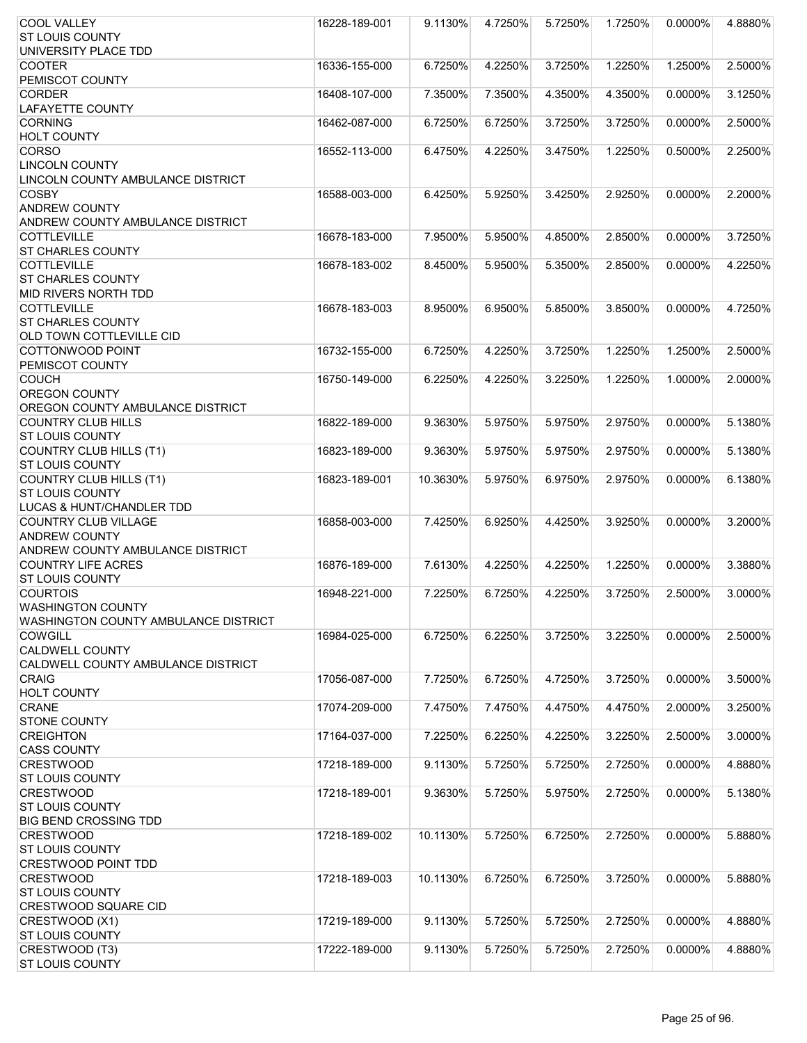| <b>COOL VALLEY</b>                          | 16228-189-001 | 9.1130%  | 4.7250% | 5.7250% | 1.7250% | 0.0000%    | 4.8880% |
|---------------------------------------------|---------------|----------|---------|---------|---------|------------|---------|
| <b>ST LOUIS COUNTY</b>                      |               |          |         |         |         |            |         |
| UNIVERSITY PLACE TDD                        |               |          |         |         |         |            |         |
| <b>COOTER</b>                               | 16336-155-000 | 6.7250%  | 4.2250% | 3.7250% | 1.2250% | 1.2500%    | 2.5000% |
| PEMISCOT COUNTY                             |               |          |         |         |         |            |         |
| <b>CORDER</b>                               | 16408-107-000 | 7.3500%  | 7.3500% | 4.3500% | 4.3500% | 0.0000%    | 3.1250% |
| <b>LAFAYETTE COUNTY</b>                     |               |          |         |         |         |            |         |
| <b>CORNING</b>                              | 16462-087-000 | 6.7250%  | 6.7250% | 3.7250% | 3.7250% | 0.0000%    | 2.5000% |
| <b>HOLT COUNTY</b>                          |               |          |         |         |         |            |         |
| <b>CORSO</b>                                | 16552-113-000 | 6.4750%  | 4.2250% | 3.4750% | 1.2250% | 0.5000%    | 2.2500% |
| <b>LINCOLN COUNTY</b>                       |               |          |         |         |         |            |         |
| LINCOLN COUNTY AMBULANCE DISTRICT           |               |          |         |         |         |            |         |
| <b>COSBY</b>                                | 16588-003-000 | 6.4250%  | 5.9250% | 3.4250% | 2.9250% | 0.0000%    | 2.2000% |
| <b>ANDREW COUNTY</b>                        |               |          |         |         |         |            |         |
| ANDREW COUNTY AMBULANCE DISTRICT            |               |          |         |         |         |            |         |
|                                             |               |          |         |         |         |            |         |
| <b>COTTLEVILLE</b>                          | 16678-183-000 | 7.9500%  | 5.9500% | 4.8500% | 2.8500% | 0.0000%    | 3.7250% |
| <b>ST CHARLES COUNTY</b>                    |               |          |         |         |         |            |         |
| <b>COTTLEVILLE</b>                          | 16678-183-002 | 8.4500%  | 5.9500% | 5.3500% | 2.8500% | 0.0000%    | 4.2250% |
| <b>ST CHARLES COUNTY</b>                    |               |          |         |         |         |            |         |
| MID RIVERS NORTH TDD                        |               |          |         |         |         |            |         |
| <b>COTTLEVILLE</b>                          | 16678-183-003 | 8.9500%  | 6.9500% | 5.8500% | 3.8500% | 0.0000%    | 4.7250% |
| <b>ST CHARLES COUNTY</b>                    |               |          |         |         |         |            |         |
| OLD TOWN COTTLEVILLE CID                    |               |          |         |         |         |            |         |
| <b>COTTONWOOD POINT</b>                     | 16732-155-000 | 6.7250%  | 4.2250% | 3.7250% | 1.2250% | 1.2500%    | 2.5000% |
| PEMISCOT COUNTY                             |               |          |         |         |         |            |         |
| <b>COUCH</b>                                | 16750-149-000 | 6.2250%  | 4.2250% | 3.2250% | 1.2250% | 1.0000%    | 2.0000% |
| <b>OREGON COUNTY</b>                        |               |          |         |         |         |            |         |
| OREGON COUNTY AMBULANCE DISTRICT            |               |          |         |         |         |            |         |
| <b>COUNTRY CLUB HILLS</b>                   | 16822-189-000 | 9.3630%  | 5.9750% | 5.9750% | 2.9750% | 0.0000%    | 5.1380% |
| <b>ST LOUIS COUNTY</b>                      |               |          |         |         |         |            |         |
| COUNTRY CLUB HILLS (T1)                     | 16823-189-000 | 9.3630%  | 5.9750% | 5.9750% | 2.9750% | 0.0000%    | 5.1380% |
| <b>ST LOUIS COUNTY</b>                      |               |          |         |         |         |            |         |
| <b>COUNTRY CLUB HILLS (T1)</b>              | 16823-189-001 | 10.3630% | 5.9750% | 6.9750% | 2.9750% | 0.0000%    | 6.1380% |
| <b>ST LOUIS COUNTY</b>                      |               |          |         |         |         |            |         |
| <b>LUCAS &amp; HUNT/CHANDLER TDD</b>        |               |          |         |         |         |            |         |
| <b>COUNTRY CLUB VILLAGE</b>                 | 16858-003-000 | 7.4250%  | 6.9250% | 4.4250% | 3.9250% | 0.0000%    | 3.2000% |
| <b>ANDREW COUNTY</b>                        |               |          |         |         |         |            |         |
|                                             |               |          |         |         |         |            |         |
| ANDREW COUNTY AMBULANCE DISTRICT            |               |          |         |         |         |            |         |
| <b>COUNTRY LIFE ACRES</b>                   | 16876-189-000 | 7.6130%  | 4.2250% | 4.2250% | 1.2250% | $0.0000\%$ | 3.3880% |
| ST LOUIS COUNTY                             |               |          |         |         |         |            |         |
| <b>COURTOIS</b>                             | 16948-221-000 | 7.2250%  | 6.7250% | 4.2250% | 3.7250% | 2.5000%    | 3.0000% |
| <b>WASHINGTON COUNTY</b>                    |               |          |         |         |         |            |         |
| <b>WASHINGTON COUNTY AMBULANCE DISTRICT</b> |               |          |         |         |         |            |         |
| <b>COWGILL</b>                              | 16984-025-000 | 6.7250%  | 6.2250% | 3.7250% | 3.2250% | 0.0000%    | 2.5000% |
| <b>CALDWELL COUNTY</b>                      |               |          |         |         |         |            |         |
| CALDWELL COUNTY AMBULANCE DISTRICT          |               |          |         |         |         |            |         |
| <b>CRAIG</b>                                | 17056-087-000 | 7.7250%  | 6.7250% | 4.7250% | 3.7250% | 0.0000%    | 3.5000% |
| <b>HOLT COUNTY</b>                          |               |          |         |         |         |            |         |
| <b>CRANE</b>                                | 17074-209-000 | 7.4750%  | 7.4750% | 4.4750% | 4.4750% | 2.0000%    | 3.2500% |
| STONE COUNTY                                |               |          |         |         |         |            |         |
| <b>CREIGHTON</b>                            | 17164-037-000 | 7.2250%  | 6.2250% | 4.2250% | 3.2250% | 2.5000%    | 3.0000% |
| <b>CASS COUNTY</b>                          |               |          |         |         |         |            |         |
| <b>CRESTWOOD</b>                            | 17218-189-000 | 9.1130%  | 5.7250% | 5.7250% | 2.7250% | 0.0000%    | 4.8880% |
| <b>ST LOUIS COUNTY</b>                      |               |          |         |         |         |            |         |
| <b>CRESTWOOD</b>                            | 17218-189-001 | 9.3630%  | 5.7250% | 5.9750% | 2.7250% | 0.0000%    | 5.1380% |
| <b>ST LOUIS COUNTY</b>                      |               |          |         |         |         |            |         |
| <b>BIG BEND CROSSING TDD</b>                |               |          |         |         |         |            |         |
| <b>CRESTWOOD</b>                            | 17218-189-002 | 10.1130% | 5.7250% | 6.7250% | 2.7250% | 0.0000%    | 5.8880% |
| <b>ST LOUIS COUNTY</b>                      |               |          |         |         |         |            |         |
| <b>CRESTWOOD POINT TDD</b>                  |               |          |         |         |         |            |         |
| <b>CRESTWOOD</b>                            | 17218-189-003 | 10.1130% | 6.7250% | 6.7250% | 3.7250% | 0.0000%    | 5.8880% |
| <b>ST LOUIS COUNTY</b>                      |               |          |         |         |         |            |         |
| <b>CRESTWOOD SQUARE CID</b>                 |               |          |         |         |         |            |         |
|                                             |               |          |         |         |         | $0.0000\%$ |         |
| CRESTWOOD (X1)                              | 17219-189-000 | 9.1130%  | 5.7250% | 5.7250% | 2.7250% |            | 4.8880% |
| <b>ST LOUIS COUNTY</b>                      |               |          |         |         |         |            |         |
| CRESTWOOD (T3)                              | 17222-189-000 | 9.1130%  | 5.7250% | 5.7250% | 2.7250% | 0.0000%    | 4.8880% |
| <b>ST LOUIS COUNTY</b>                      |               |          |         |         |         |            |         |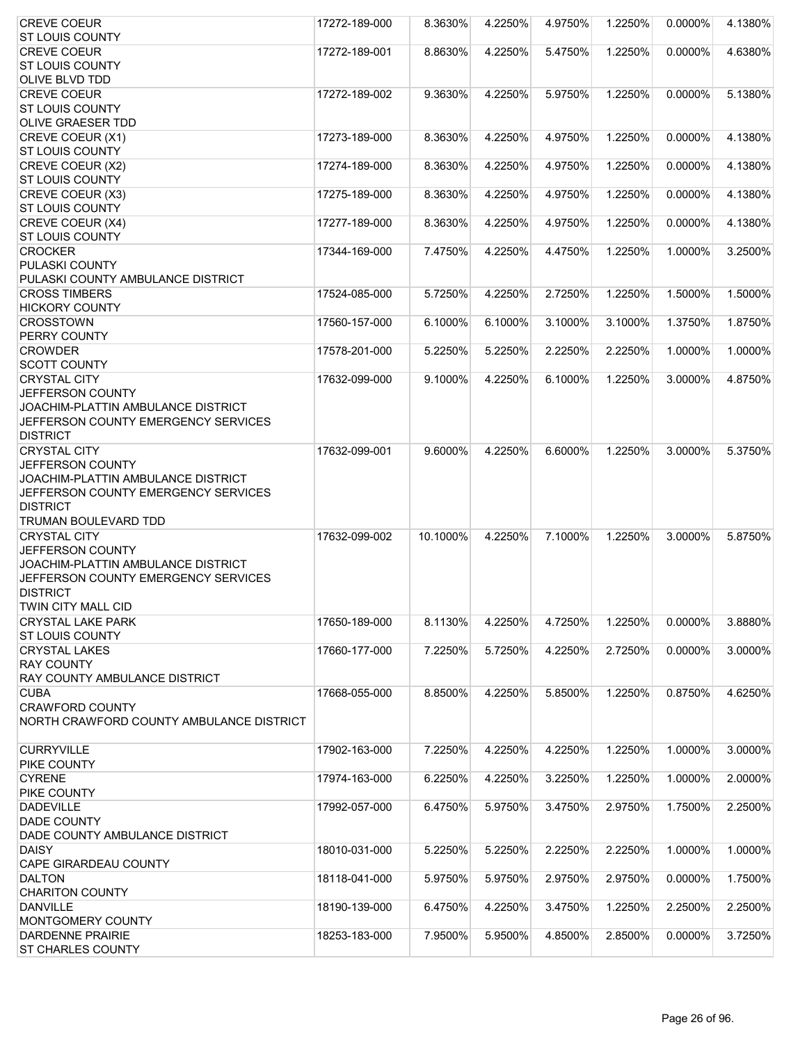| CREVE COEUR                               | 17272-189-000 | 8.3630%  | 4.2250% | 4.9750% | 1.2250% | $0.0000\%$ | 4.1380% |
|-------------------------------------------|---------------|----------|---------|---------|---------|------------|---------|
| <b>ST LOUIS COUNTY</b>                    |               |          |         |         |         |            |         |
| <b>CREVE COEUR</b>                        | 17272-189-001 | 8.8630%  | 4.2250% | 5.4750% | 1.2250% | $0.0000\%$ | 4.6380% |
| <b>ST LOUIS COUNTY</b>                    |               |          |         |         |         |            |         |
| <b>OLIVE BLVD TDD</b>                     |               |          |         |         |         |            |         |
| <b>CREVE COEUR</b>                        | 17272-189-002 | 9.3630%  | 4.2250% | 5.9750% | 1.2250% | $0.0000\%$ | 5.1380% |
| <b>ST LOUIS COUNTY</b>                    |               |          |         |         |         |            |         |
| <b>OLIVE GRAESER TDD</b>                  |               |          |         |         |         |            |         |
| CREVE COEUR (X1)                          | 17273-189-000 | 8.3630%  | 4.2250% | 4.9750% | 1.2250% | 0.0000%    | 4.1380% |
| <b>ST LOUIS COUNTY</b>                    |               |          |         |         |         |            |         |
| CREVE COEUR (X2)                          | 17274-189-000 | 8.3630%  | 4.2250% | 4.9750% | 1.2250% | $0.0000\%$ | 4.1380% |
| <b>ST LOUIS COUNTY</b>                    |               |          |         |         |         |            |         |
| CREVE COEUR (X3)                          | 17275-189-000 | 8.3630%  | 4.2250% | 4.9750% | 1.2250% | $0.0000\%$ | 4.1380% |
| <b>ST LOUIS COUNTY</b>                    |               |          |         |         |         |            |         |
| CREVE COEUR (X4)                          | 17277-189-000 | 8.3630%  | 4.2250% | 4.9750% | 1.2250% | 0.0000%    | 4.1380% |
| <b>ST LOUIS COUNTY</b>                    |               |          |         |         |         |            |         |
| <b>CROCKER</b>                            | 17344-169-000 | 7.4750%  | 4.2250% | 4.4750% | 1.2250% | 1.0000%    | 3.2500% |
| PULASKI COUNTY                            |               |          |         |         |         |            |         |
| PULASKI COUNTY AMBULANCE DISTRICT         |               |          |         |         |         |            |         |
| <b>CROSS TIMBERS</b>                      | 17524-085-000 | 5.7250%  | 4.2250% | 2.7250% | 1.2250% | 1.5000%    | 1.5000% |
| <b>HICKORY COUNTY</b>                     |               |          |         |         |         |            |         |
| <b>CROSSTOWN</b>                          | 17560-157-000 | 6.1000%  | 6.1000% | 3.1000% | 3.1000% | 1.3750%    | 1.8750% |
| PERRY COUNTY                              |               |          |         |         |         |            |         |
| <b>CROWDER</b>                            | 17578-201-000 | 5.2250%  | 5.2250% | 2.2250% | 2.2250% | 1.0000%    | 1.0000% |
| <b>SCOTT COUNTY</b>                       |               |          |         |         |         |            |         |
| <b>CRYSTAL CITY</b>                       | 17632-099-000 | 9.1000%  | 4.2250% | 6.1000% | 1.2250% | 3.0000%    | 4.8750% |
| JEFFERSON COUNTY                          |               |          |         |         |         |            |         |
| JOACHIM-PLATTIN AMBULANCE DISTRICT        |               |          |         |         |         |            |         |
| JEFFERSON COUNTY EMERGENCY SERVICES       |               |          |         |         |         |            |         |
| <b>DISTRICT</b>                           |               |          |         |         |         |            |         |
| <b>CRYSTAL CITY</b>                       | 17632-099-001 | 9.6000%  | 4.2250% | 6.6000% | 1.2250% | 3.0000%    | 5.3750% |
| JEFFERSON COUNTY                          |               |          |         |         |         |            |         |
| JOACHIM-PLATTIN AMBULANCE DISTRICT        |               |          |         |         |         |            |         |
| JEFFERSON COUNTY EMERGENCY SERVICES       |               |          |         |         |         |            |         |
| <b>DISTRICT</b>                           |               |          |         |         |         |            |         |
| <b>TRUMAN BOULEVARD TDD</b>               |               |          |         |         |         |            |         |
| <b>CRYSTAL CITY</b>                       | 17632-099-002 | 10.1000% | 4.2250% | 7.1000% | 1.2250% | 3.0000%    | 5.8750% |
| JEFFERSON COUNTY                          |               |          |         |         |         |            |         |
| <b>JOACHIM-PLATTIN AMBULANCE DISTRICT</b> |               |          |         |         |         |            |         |
| JEFFERSON COUNTY EMERGENCY SERVICES       |               |          |         |         |         |            |         |
| <b>DISTRICT</b>                           |               |          |         |         |         |            |         |
| TWIN CITY MALL CID                        |               |          |         |         |         |            |         |
| <b>CRYSTAL LAKE PARK</b>                  | 17650-189-000 | 8.1130%  | 4.2250% | 4.7250% | 1.2250% | 0.0000%    | 3.8880% |
| <b>ST LOUIS COUNTY</b>                    |               |          |         |         |         |            |         |
| <b>CRYSTAL LAKES</b>                      | 17660-177-000 | 7.2250%  | 5.7250% | 4.2250% | 2.7250% | 0.0000%    | 3.0000% |
| <b>RAY COUNTY</b>                         |               |          |         |         |         |            |         |
| RAY COUNTY AMBULANCE DISTRICT             |               |          |         |         |         |            |         |
| <b>CUBA</b>                               | 17668-055-000 | 8.8500%  | 4.2250% | 5.8500% | 1.2250% | 0.8750%    | 4.6250% |
| <b>CRAWFORD COUNTY</b>                    |               |          |         |         |         |            |         |
| NORTH CRAWFORD COUNTY AMBULANCE DISTRICT  |               |          |         |         |         |            |         |
|                                           |               |          |         |         |         |            |         |
| <b>CURRYVILLE</b>                         | 17902-163-000 | 7.2250%  | 4.2250% | 4.2250% | 1.2250% | 1.0000%    | 3.0000% |
| PIKE COUNTY                               |               |          |         |         |         |            |         |
| <b>CYRENE</b>                             | 17974-163-000 | 6.2250%  | 4.2250% | 3.2250% | 1.2250% | 1.0000%    | 2.0000% |
| PIKE COUNTY                               |               |          |         |         |         |            |         |
| <b>DADEVILLE</b>                          | 17992-057-000 | 6.4750%  | 5.9750% | 3.4750% | 2.9750% | 1.7500%    | 2.2500% |
| <b>DADE COUNTY</b>                        |               |          |         |         |         |            |         |
| DADE COUNTY AMBULANCE DISTRICT            |               |          |         |         |         |            |         |
| <b>DAISY</b>                              | 18010-031-000 | 5.2250%  | 5.2250% | 2.2250% | 2.2250% | 1.0000%    | 1.0000% |
| CAPE GIRARDEAU COUNTY                     |               |          |         |         |         |            |         |
| <b>DALTON</b>                             | 18118-041-000 | 5.9750%  | 5.9750% | 2.9750% | 2.9750% | $0.0000\%$ | 1.7500% |
| <b>CHARITON COUNTY</b>                    |               |          |         |         |         |            |         |
| <b>DANVILLE</b>                           | 18190-139-000 | 6.4750%  | 4.2250% | 3.4750% | 1.2250% | 2.2500%    | 2.2500% |
| MONTGOMERY COUNTY                         |               |          |         |         |         |            |         |
| DARDENNE PRAIRIE                          | 18253-183-000 | 7.9500%  | 5.9500% | 4.8500% | 2.8500% | $0.0000\%$ | 3.7250% |
| ST CHARLES COUNTY                         |               |          |         |         |         |            |         |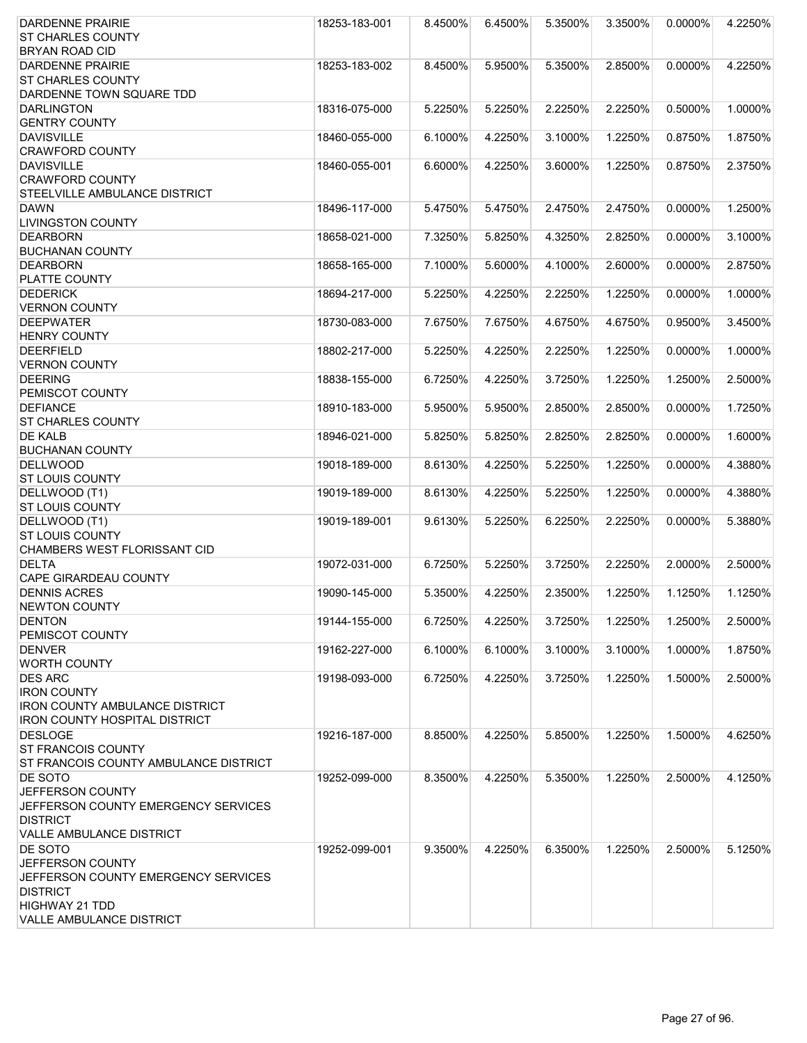| <b>DARDENNE PRAIRIE</b>               | 18253-183-001 | 8.4500% | 6.4500% | 5.3500% | 3.3500% | 0.0000% | 4.2250% |
|---------------------------------------|---------------|---------|---------|---------|---------|---------|---------|
| <b>ST CHARLES COUNTY</b>              |               |         |         |         |         |         |         |
| <b>BRYAN ROAD CID</b>                 |               |         |         |         |         |         |         |
| <b>DARDENNE PRAIRIE</b>               | 18253-183-002 | 8.4500% | 5.9500% | 5.3500% | 2.8500% | 0.0000% | 4.2250% |
| <b>ST CHARLES COUNTY</b>              |               |         |         |         |         |         |         |
|                                       |               |         |         |         |         |         |         |
| DARDENNE TOWN SQUARE TDD              |               |         |         |         |         |         |         |
| <b>DARLINGTON</b>                     | 18316-075-000 | 5.2250% | 5.2250% | 2.2250% | 2.2250% | 0.5000% | 1.0000% |
| <b>GENTRY COUNTY</b>                  |               |         |         |         |         |         |         |
| <b>DAVISVILLE</b>                     | 18460-055-000 | 6.1000% | 4.2250% | 3.1000% | 1.2250% | 0.8750% | 1.8750% |
| <b>CRAWFORD COUNTY</b>                |               |         |         |         |         |         |         |
| <b>DAVISVILLE</b>                     | 18460-055-001 | 6.6000% | 4.2250% | 3.6000% | 1.2250% | 0.8750% | 2.3750% |
| <b>CRAWFORD COUNTY</b>                |               |         |         |         |         |         |         |
| STEELVILLE AMBULANCE DISTRICT         |               |         |         |         |         |         |         |
| <b>DAWN</b>                           | 18496-117-000 | 5.4750% | 5.4750% | 2.4750% | 2.4750% | 0.0000% | 1.2500% |
| <b>LIVINGSTON COUNTY</b>              |               |         |         |         |         |         |         |
| <b>DEARBORN</b>                       | 18658-021-000 | 7.3250% | 5.8250% | 4.3250% | 2.8250% | 0.0000% | 3.1000% |
| <b>BUCHANAN COUNTY</b>                |               |         |         |         |         |         |         |
|                                       |               |         |         |         |         |         |         |
| <b>DEARBORN</b>                       | 18658-165-000 | 7.1000% | 5.6000% | 4.1000% | 2.6000% | 0.0000% | 2.8750% |
| PLATTE COUNTY                         |               |         |         |         |         |         |         |
| <b>DEDERICK</b>                       | 18694-217-000 | 5.2250% | 4.2250% | 2.2250% | 1.2250% | 0.0000% | 1.0000% |
| <b>VERNON COUNTY</b>                  |               |         |         |         |         |         |         |
| <b>DEEPWATER</b>                      | 18730-083-000 | 7.6750% | 7.6750% | 4.6750% | 4.6750% | 0.9500% | 3.4500% |
| <b>HENRY COUNTY</b>                   |               |         |         |         |         |         |         |
| <b>DEERFIELD</b>                      | 18802-217-000 | 5.2250% | 4.2250% | 2.2250% | 1.2250% | 0.0000% | 1.0000% |
| <b>VERNON COUNTY</b>                  |               |         |         |         |         |         |         |
| <b>DEERING</b>                        | 18838-155-000 | 6.7250% | 4.2250% | 3.7250% | 1.2250% | 1.2500% | 2.5000% |
| PEMISCOT COUNTY                       |               |         |         |         |         |         |         |
| <b>DEFIANCE</b>                       | 18910-183-000 | 5.9500% | 5.9500% | 2.8500% | 2.8500% | 0.0000% | 1.7250% |
| <b>ST CHARLES COUNTY</b>              |               |         |         |         |         |         |         |
| <b>DE KALB</b>                        |               |         | 5.8250% |         |         |         | 1.6000% |
|                                       | 18946-021-000 | 5.8250% |         | 2.8250% | 2.8250% | 0.0000% |         |
| <b>BUCHANAN COUNTY</b>                |               |         |         |         |         |         |         |
| <b>DELLWOOD</b>                       | 19018-189-000 | 8.6130% | 4.2250% | 5.2250% | 1.2250% | 0.0000% | 4.3880% |
| <b>ST LOUIS COUNTY</b>                |               |         |         |         |         |         |         |
| DELLWOOD (T1)                         | 19019-189-000 | 8.6130% | 4.2250% | 5.2250% | 1.2250% | 0.0000% | 4.3880% |
| <b>ST LOUIS COUNTY</b>                |               |         |         |         |         |         |         |
| DELLWOOD (T1)                         | 19019-189-001 | 9.6130% | 5.2250% | 6.2250% | 2.2250% | 0.0000% | 5.3880% |
| <b>ST LOUIS COUNTY</b>                |               |         |         |         |         |         |         |
| CHAMBERS WEST FLORISSANT CID          |               |         |         |         |         |         |         |
| <b>DELTA</b>                          | 19072-031-000 | 6.7250% | 5.2250% | 3.7250% | 2.2250% | 2.0000% | 2.5000% |
| CAPE GIRARDEAU COUNTY                 |               |         |         |         |         |         |         |
| <b>DENNIS ACRES</b>                   | 19090-145-000 | 5.3500% | 4.2250% | 2.3500% | 1.2250% | 1.1250% | 1.1250% |
| <b>NEWTON COUNTY</b>                  |               |         |         |         |         |         |         |
| <b>DENTON</b>                         | 19144-155-000 | 6.7250% | 4.2250% | 3.7250% | 1.2250% | 1.2500% | 2.5000% |
| PEMISCOT COUNTY                       |               |         |         |         |         |         |         |
| <b>DENVER</b>                         | 19162-227-000 | 6.1000% | 6.1000% | 3.1000% | 3.1000% | 1.0000% | 1.8750% |
|                                       |               |         |         |         |         |         |         |
| <b>WORTH COUNTY</b>                   |               |         |         |         |         |         |         |
| <b>DES ARC</b>                        | 19198-093-000 | 6.7250% | 4.2250% | 3.7250% | 1.2250% | 1.5000% | 2.5000% |
| <b>IRON COUNTY</b>                    |               |         |         |         |         |         |         |
| <b>IRON COUNTY AMBULANCE DISTRICT</b> |               |         |         |         |         |         |         |
| <b>IRON COUNTY HOSPITAL DISTRICT</b>  |               |         |         |         |         |         |         |
| <b>DESLOGE</b>                        | 19216-187-000 | 8.8500% | 4.2250% | 5.8500% | 1.2250% | 1.5000% | 4.6250% |
| <b>ST FRANCOIS COUNTY</b>             |               |         |         |         |         |         |         |
| ST FRANCOIS COUNTY AMBULANCE DISTRICT |               |         |         |         |         |         |         |
| DE SOTO                               | 19252-099-000 | 8.3500% | 4.2250% | 5.3500% | 1.2250% | 2.5000% | 4.1250% |
| JEFFERSON COUNTY                      |               |         |         |         |         |         |         |
| JEFFERSON COUNTY EMERGENCY SERVICES   |               |         |         |         |         |         |         |
| <b>DISTRICT</b>                       |               |         |         |         |         |         |         |
| VALLE AMBULANCE DISTRICT              |               |         |         |         |         |         |         |
| DE SOTO                               | 19252-099-001 | 9.3500% | 4.2250% | 6.3500% | 1.2250% | 2.5000% | 5.1250% |
|                                       |               |         |         |         |         |         |         |
| JEFFERSON COUNTY                      |               |         |         |         |         |         |         |
| JEFFERSON COUNTY EMERGENCY SERVICES   |               |         |         |         |         |         |         |
| <b>DISTRICT</b>                       |               |         |         |         |         |         |         |
| HIGHWAY 21 TDD                        |               |         |         |         |         |         |         |
| <b>VALLE AMBULANCE DISTRICT</b>       |               |         |         |         |         |         |         |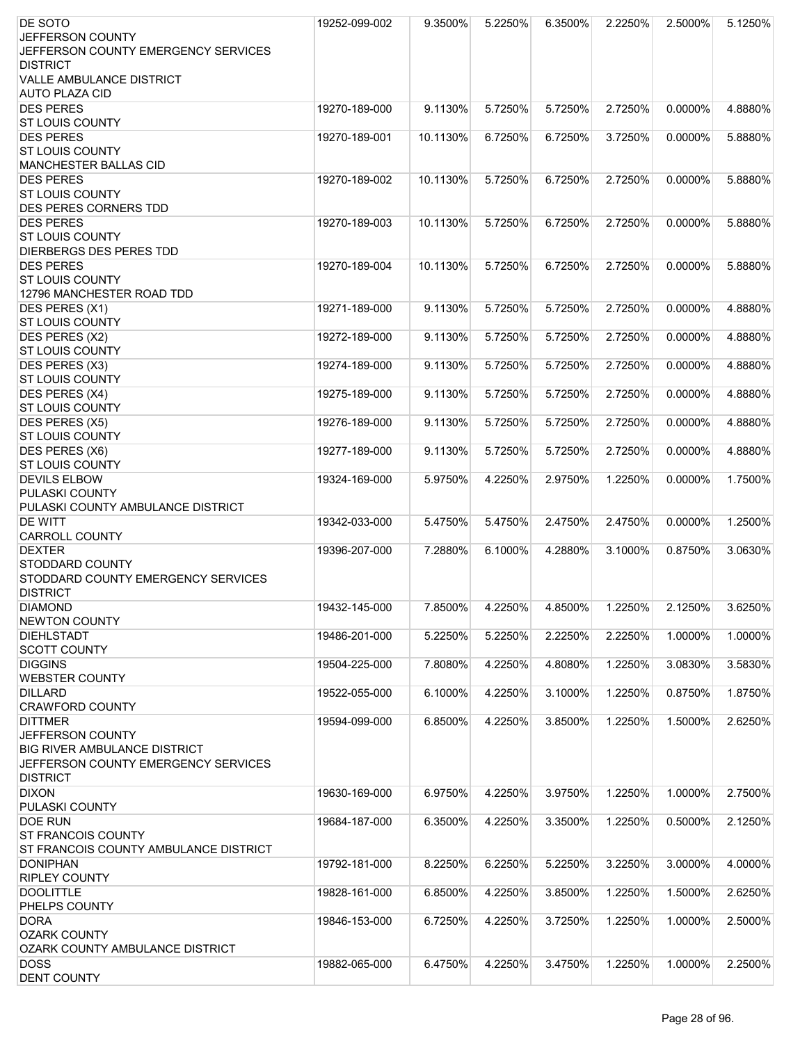| <b>DE SOTO</b>                                                     | 19252-099-002 | 9.3500%  | 5.2250%    | 6.3500% | 2.2250% | 2.5000% | 5.1250% |
|--------------------------------------------------------------------|---------------|----------|------------|---------|---------|---------|---------|
| JEFFERSON COUNTY                                                   |               |          |            |         |         |         |         |
| JEFFERSON COUNTY EMERGENCY SERVICES                                |               |          |            |         |         |         |         |
| <b>DISTRICT</b>                                                    |               |          |            |         |         |         |         |
| <b>VALLE AMBULANCE DISTRICT</b>                                    |               |          |            |         |         |         |         |
| <b>AUTO PLAZA CID</b>                                              |               |          |            |         |         |         |         |
| <b>DES PERES</b>                                                   | 19270-189-000 | 9.1130%  | 5.7250%    | 5.7250% | 2.7250% | 0.0000% | 4.8880% |
| <b>ST LOUIS COUNTY</b>                                             |               |          |            |         |         |         |         |
| <b>DES PERES</b>                                                   | 19270-189-001 | 10.1130% | 6.7250%    | 6.7250% | 3.7250% | 0.0000% | 5.8880% |
| <b>ST LOUIS COUNTY</b>                                             |               |          |            |         |         |         |         |
| <b>MANCHESTER BALLAS CID</b>                                       | 19270-189-002 |          |            |         |         |         |         |
| <b>DES PERES</b><br><b>ST LOUIS COUNTY</b>                         |               | 10.1130% | 5.7250%    | 6.7250% | 2.7250% | 0.0000% | 5.8880% |
| <b>DES PERES CORNERS TDD</b>                                       |               |          |            |         |         |         |         |
| <b>DES PERES</b>                                                   | 19270-189-003 | 10.1130% | 5.7250%    | 6.7250% | 2.7250% | 0.0000% | 5.8880% |
| <b>ST LOUIS COUNTY</b>                                             |               |          |            |         |         |         |         |
| <b>DIERBERGS DES PERES TDD</b>                                     |               |          |            |         |         |         |         |
| <b>DES PERES</b>                                                   | 19270-189-004 | 10.1130% | 5.7250%    | 6.7250% | 2.7250% | 0.0000% | 5.8880% |
| <b>ST LOUIS COUNTY</b>                                             |               |          |            |         |         |         |         |
| 12796 MANCHESTER ROAD TDD                                          |               |          |            |         |         |         |         |
| DES PERES (X1)                                                     | 19271-189-000 | 9.1130%  | 5.7250%    | 5.7250% | 2.7250% | 0.0000% | 4.8880% |
| <b>ST LOUIS COUNTY</b>                                             |               |          |            |         |         |         |         |
| DES PERES (X2)                                                     | 19272-189-000 | 9.1130%  | 5.7250%    | 5.7250% | 2.7250% | 0.0000% | 4.8880% |
| <b>ST LOUIS COUNTY</b>                                             |               |          |            |         |         |         |         |
| DES PERES (X3)                                                     | 19274-189-000 | 9.1130%  | 5.7250%    | 5.7250% | 2.7250% | 0.0000% | 4.8880% |
| <b>ST LOUIS COUNTY</b>                                             |               |          |            |         |         |         |         |
| DES PERES (X4)                                                     | 19275-189-000 | 9.1130%  | 5.7250%    | 5.7250% | 2.7250% | 0.0000% | 4.8880% |
| <b>ST LOUIS COUNTY</b><br>DES PERES (X5)                           | 19276-189-000 | 9.1130%  | 5.7250%    | 5.7250% | 2.7250% | 0.0000% | 4.8880% |
| <b>ST LOUIS COUNTY</b>                                             |               |          |            |         |         |         |         |
| DES PERES (X6)                                                     | 19277-189-000 | 9.1130%  | 5.7250%    | 5.7250% | 2.7250% | 0.0000% | 4.8880% |
| <b>ST LOUIS COUNTY</b>                                             |               |          |            |         |         |         |         |
| <b>DEVILS ELBOW</b>                                                | 19324-169-000 | 5.9750%  | 4.2250%    | 2.9750% | 1.2250% | 0.0000% | 1.7500% |
| PULASKI COUNTY                                                     |               |          |            |         |         |         |         |
| PULASKI COUNTY AMBULANCE DISTRICT                                  |               |          |            |         |         |         |         |
| <b>DE WITT</b>                                                     | 19342-033-000 | 5.4750%  | 5.4750%    | 2.4750% | 2.4750% | 0.0000% | 1.2500% |
| <b>CARROLL COUNTY</b>                                              |               |          |            |         |         |         |         |
| <b>DEXTER</b>                                                      | 19396-207-000 | 7.2880%  | $6.1000\%$ | 4.2880% | 3.1000% | 0.8750% | 3.0630% |
| STODDARD COUNTY                                                    |               |          |            |         |         |         |         |
| STODDARD COUNTY EMERGENCY SERVICES                                 |               |          |            |         |         |         |         |
| <b>DISTRICT</b>                                                    |               |          |            |         |         |         |         |
| <b>DIAMOND</b>                                                     | 19432-145-000 | 7.8500%  | 4.2250%    | 4.8500% | 1.2250% | 2.1250% | 3.6250% |
| <b>NEWTON COUNTY</b><br><b>DIEHLSTADT</b>                          | 19486-201-000 | 5.2250%  | 5.2250%    | 2.2250% | 2.2250% | 1.0000% | 1.0000% |
| <b>SCOTT COUNTY</b>                                                |               |          |            |         |         |         |         |
| <b>DIGGINS</b>                                                     | 19504-225-000 | 7.8080%  | 4.2250%    | 4.8080% | 1.2250% | 3.0830% | 3.5830% |
| <b>WEBSTER COUNTY</b>                                              |               |          |            |         |         |         |         |
| <b>DILLARD</b>                                                     | 19522-055-000 | 6.1000%  | 4.2250%    | 3.1000% | 1.2250% | 0.8750% | 1.8750% |
| <b>CRAWFORD COUNTY</b>                                             |               |          |            |         |         |         |         |
| <b>DITTMER</b>                                                     | 19594-099-000 | 6.8500%  | 4.2250%    | 3.8500% | 1.2250% | 1.5000% | 2.6250% |
| JEFFERSON COUNTY                                                   |               |          |            |         |         |         |         |
| <b>BIG RIVER AMBULANCE DISTRICT</b>                                |               |          |            |         |         |         |         |
| JEFFERSON COUNTY EMERGENCY SERVICES                                |               |          |            |         |         |         |         |
| <b>DISTRICT</b>                                                    |               |          |            |         |         |         |         |
| <b>DIXON</b>                                                       | 19630-169-000 | 6.9750%  | 4.2250%    | 3.9750% | 1.2250% | 1.0000% | 2.7500% |
| PULASKI COUNTY                                                     |               |          |            |         |         |         |         |
| <b>DOE RUN</b>                                                     | 19684-187-000 | 6.3500%  | 4.2250%    | 3.3500% | 1.2250% | 0.5000% | 2.1250% |
| <b>ST FRANCOIS COUNTY</b><br>ST FRANCOIS COUNTY AMBULANCE DISTRICT |               |          |            |         |         |         |         |
| <b>DONIPHAN</b>                                                    | 19792-181-000 | 8.2250%  | 6.2250%    | 5.2250% | 3.2250% | 3.0000% | 4.0000% |
| <b>RIPLEY COUNTY</b>                                               |               |          |            |         |         |         |         |
| <b>DOOLITTLE</b>                                                   | 19828-161-000 | 6.8500%  | 4.2250%    | 3.8500% | 1.2250% | 1.5000% | 2.6250% |
| PHELPS COUNTY                                                      |               |          |            |         |         |         |         |
| <b>DORA</b>                                                        | 19846-153-000 | 6.7250%  | 4.2250%    | 3.7250% | 1.2250% | 1.0000% | 2.5000% |
| <b>OZARK COUNTY</b>                                                |               |          |            |         |         |         |         |
| OZARK COUNTY AMBULANCE DISTRICT                                    |               |          |            |         |         |         |         |
| <b>DOSS</b>                                                        | 19882-065-000 | 6.4750%  | 4.2250%    | 3.4750% | 1.2250% | 1.0000% | 2.2500% |
| <b>DENT COUNTY</b>                                                 |               |          |            |         |         |         |         |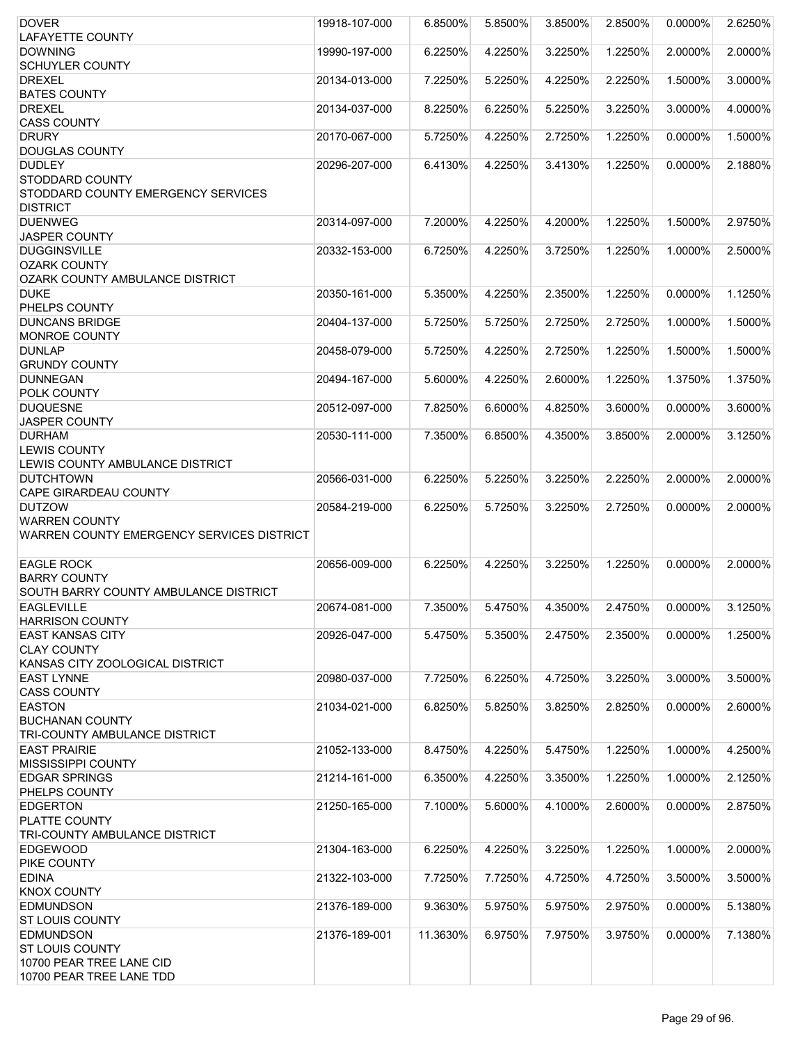| DOVER                                                  | 19918-107-000 | 6.8500%  | 5.8500% | 3.8500% | 2.8500% | 0.0000%    | 2.6250% |
|--------------------------------------------------------|---------------|----------|---------|---------|---------|------------|---------|
| LAFAYETTE COUNTY                                       |               |          |         |         |         |            |         |
| <b>DOWNING</b>                                         | 19990-197-000 | 6.2250%  | 4.2250% | 3.2250% | 1.2250% | 2.0000%    | 2.0000% |
| <b>SCHUYLER COUNTY</b>                                 |               |          |         |         |         |            |         |
| <b>DREXEL</b><br><b>BATES COUNTY</b>                   | 20134-013-000 | 7.2250%  | 5.2250% | 4.2250% | 2.2250% | 1.5000%    | 3.0000% |
| <b>DREXEL</b>                                          | 20134-037-000 | 8.2250%  | 6.2250% | 5.2250% | 3.2250% | 3.0000%    | 4.0000% |
| <b>CASS COUNTY</b>                                     |               |          |         |         |         |            |         |
| <b>DRURY</b>                                           | 20170-067-000 | 5.7250%  | 4.2250% | 2.7250% | 1.2250% | 0.0000%    | 1.5000% |
| <b>DOUGLAS COUNTY</b>                                  |               |          |         |         |         |            |         |
| <b>DUDLEY</b>                                          | 20296-207-000 | 6.4130%  | 4.2250% | 3.4130% | 1.2250% | 0.0000%    | 2.1880% |
| STODDARD COUNTY                                        |               |          |         |         |         |            |         |
| STODDARD COUNTY EMERGENCY SERVICES                     |               |          |         |         |         |            |         |
| <b>DISTRICT</b>                                        |               |          |         |         |         |            |         |
| <b>DUENWEG</b>                                         | 20314-097-000 | 7.2000%  | 4.2250% | 4.2000% | 1.2250% | 1.5000%    | 2.9750% |
| <b>JASPER COUNTY</b>                                   |               |          |         |         |         |            |         |
| <b>DUGGINSVILLE</b>                                    | 20332-153-000 | 6.7250%  | 4.2250% | 3.7250% | 1.2250% | 1.0000%    | 2.5000% |
| <b>OZARK COUNTY</b><br>OZARK COUNTY AMBULANCE DISTRICT |               |          |         |         |         |            |         |
| <b>DUKE</b>                                            | 20350-161-000 | 5.3500%  | 4.2250% | 2.3500% | 1.2250% | 0.0000%    | 1.1250% |
| PHELPS COUNTY                                          |               |          |         |         |         |            |         |
| <b>DUNCANS BRIDGE</b>                                  | 20404-137-000 | 5.7250%  | 5.7250% | 2.7250% | 2.7250% | 1.0000%    | 1.5000% |
| MONROE COUNTY                                          |               |          |         |         |         |            |         |
| <b>DUNLAP</b>                                          | 20458-079-000 | 5.7250%  | 4.2250% | 2.7250% | 1.2250% | 1.5000%    | 1.5000% |
| <b>GRUNDY COUNTY</b>                                   |               |          |         |         |         |            |         |
| <b>DUNNEGAN</b>                                        | 20494-167-000 | 5.6000%  | 4.2250% | 2.6000% | 1.2250% | 1.3750%    | 1.3750% |
| POLK COUNTY                                            |               |          |         |         |         |            |         |
| <b>DUQUESNE</b>                                        | 20512-097-000 | 7.8250%  | 6.6000% | 4.8250% | 3.6000% | 0.0000%    | 3.6000% |
| <b>JASPER COUNTY</b>                                   |               |          |         |         |         |            |         |
| <b>DURHAM</b>                                          | 20530-111-000 | 7.3500%  | 6.8500% | 4.3500% | 3.8500% | 2.0000%    | 3.1250% |
| <b>LEWIS COUNTY</b>                                    |               |          |         |         |         |            |         |
| LEWIS COUNTY AMBULANCE DISTRICT                        |               |          |         |         |         |            |         |
| <b>DUTCHTOWN</b><br>CAPE GIRARDEAU COUNTY              | 20566-031-000 | 6.2250%  | 5.2250% | 3.2250% | 2.2250% | 2.0000%    | 2.0000% |
| <b>DUTZOW</b>                                          | 20584-219-000 | 6.2250%  | 5.7250% | 3.2250% | 2.7250% | $0.0000\%$ | 2.0000% |
| <b>WARREN COUNTY</b>                                   |               |          |         |         |         |            |         |
| WARREN COUNTY EMERGENCY SERVICES DISTRICT              |               |          |         |         |         |            |         |
|                                                        |               |          |         |         |         |            |         |
| <b>EAGLE ROCK</b>                                      | 20656-009-000 | 6.2250%  | 4.2250% | 3.2250% | 1.2250% | 0.0000%    | 2.0000% |
| <b>BARRY COUNTY</b>                                    |               |          |         |         |         |            |         |
| SOUTH BARRY COUNTY AMBULANCE DISTRICT                  |               |          |         |         |         |            |         |
| <b>EAGLEVILLE</b>                                      | 20674-081-000 | 7.3500%  | 5.4750% | 4.3500% | 2.4750% | 0.0000%    | 3.1250% |
| <b>HARRISON COUNTY</b>                                 |               |          |         |         |         |            |         |
| <b>EAST KANSAS CITY</b>                                | 20926-047-000 | 5.4750%  | 5.3500% | 2.4750% | 2.3500% | 0.0000%    | 1.2500% |
| <b>CLAY COUNTY</b>                                     |               |          |         |         |         |            |         |
| KANSAS CITY ZOOLOGICAL DISTRICT<br><b>EAST LYNNE</b>   | 20980-037-000 | 7.7250%  | 6.2250% | 4.7250% | 3.2250% | 3.0000%    | 3.5000% |
| <b>CASS COUNTY</b>                                     |               |          |         |         |         |            |         |
| <b>EASTON</b>                                          | 21034-021-000 | 6.8250%  | 5.8250% | 3.8250% | 2.8250% | 0.0000%    | 2.6000% |
| <b>BUCHANAN COUNTY</b>                                 |               |          |         |         |         |            |         |
| TRI-COUNTY AMBULANCE DISTRICT                          |               |          |         |         |         |            |         |
| <b>EAST PRAIRIE</b>                                    | 21052-133-000 | 8.4750%  | 4.2250% | 5.4750% | 1.2250% | 1.0000%    | 4.2500% |
| MISSISSIPPI COUNTY                                     |               |          |         |         |         |            |         |
| <b>EDGAR SPRINGS</b>                                   | 21214-161-000 | 6.3500%  | 4.2250% | 3.3500% | 1.2250% | 1.0000%    | 2.1250% |
| PHELPS COUNTY                                          |               |          |         |         |         |            |         |
| <b>EDGERTON</b>                                        | 21250-165-000 | 7.1000%  | 5.6000% | 4.1000% | 2.6000% | 0.0000%    | 2.8750% |
| PLATTE COUNTY                                          |               |          |         |         |         |            |         |
| TRI-COUNTY AMBULANCE DISTRICT                          |               |          |         |         |         |            |         |
| <b>EDGEWOOD</b>                                        | 21304-163-000 | 6.2250%  | 4.2250% | 3.2250% | 1.2250% | 1.0000%    | 2.0000% |
| PIKE COUNTY                                            |               |          |         |         |         |            |         |
| <b>EDINA</b><br><b>KNOX COUNTY</b>                     | 21322-103-000 | 7.7250%  | 7.7250% | 4.7250% | 4.7250% | 3.5000%    | 3.5000% |
| <b>EDMUNDSON</b>                                       | 21376-189-000 | 9.3630%  | 5.9750% | 5.9750% | 2.9750% | 0.0000%    | 5.1380% |
| <b>ST LOUIS COUNTY</b>                                 |               |          |         |         |         |            |         |
| <b>EDMUNDSON</b>                                       | 21376-189-001 | 11.3630% | 6.9750% | 7.9750% | 3.9750% | $0.0000\%$ | 7.1380% |
| <b>ST LOUIS COUNTY</b>                                 |               |          |         |         |         |            |         |
| 10700 PEAR TREE LANE CID                               |               |          |         |         |         |            |         |
| 10700 PEAR TREE LANE TDD                               |               |          |         |         |         |            |         |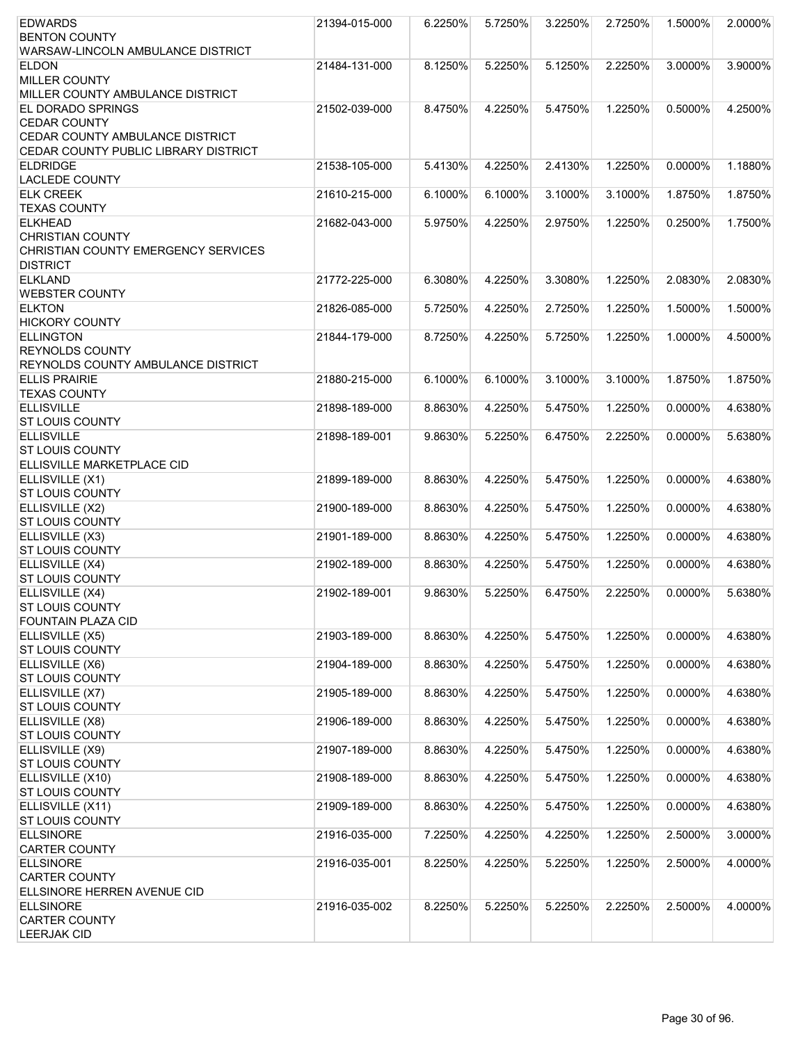| <b>EDWARDS</b>                         | 21394-015-000 | 6.2250% | 5.7250% | 3.2250% | 2.7250% | 1.5000% | 2.0000% |
|----------------------------------------|---------------|---------|---------|---------|---------|---------|---------|
| <b>BENTON COUNTY</b>                   |               |         |         |         |         |         |         |
| WARSAW-LINCOLN AMBULANCE DISTRICT      |               |         |         |         |         |         |         |
| <b>ELDON</b>                           | 21484-131-000 | 8.1250% | 5.2250% | 5.1250% | 2.2250% | 3.0000% | 3.9000% |
| <b>IMILLER COUNTY</b>                  |               |         |         |         |         |         |         |
| MILLER COUNTY AMBULANCE DISTRICT       |               |         |         |         |         |         |         |
| <b>EL DORADO SPRINGS</b>               | 21502-039-000 | 8.4750% | 4.2250% | 5.4750% | 1.2250% | 0.5000% | 4.2500% |
| <b>CEDAR COUNTY</b>                    |               |         |         |         |         |         |         |
| <b>CEDAR COUNTY AMBULANCE DISTRICT</b> |               |         |         |         |         |         |         |
| CEDAR COUNTY PUBLIC LIBRARY DISTRICT   |               |         |         |         |         |         |         |
| <b>ELDRIDGE</b>                        | 21538-105-000 | 5.4130% | 4.2250% | 2.4130% | 1.2250% | 0.0000% | 1.1880% |
| <b>LACLEDE COUNTY</b>                  |               |         |         |         |         |         |         |
|                                        |               |         |         |         |         |         |         |
| <b>ELK CREEK</b>                       | 21610-215-000 | 6.1000% | 6.1000% | 3.1000% | 3.1000% | 1.8750% | 1.8750% |
| <b>TEXAS COUNTY</b>                    |               |         |         |         |         |         |         |
| <b>ELKHEAD</b>                         | 21682-043-000 | 5.9750% | 4.2250% | 2.9750% | 1.2250% | 0.2500% | 1.7500% |
| <b>CHRISTIAN COUNTY</b>                |               |         |         |         |         |         |         |
| CHRISTIAN COUNTY EMERGENCY SERVICES    |               |         |         |         |         |         |         |
| <b>DISTRICT</b>                        |               |         |         |         |         |         |         |
| <b>ELKLAND</b>                         | 21772-225-000 | 6.3080% | 4.2250% | 3.3080% | 1.2250% | 2.0830% | 2.0830% |
| <b>WEBSTER COUNTY</b>                  |               |         |         |         |         |         |         |
| <b>ELKTON</b>                          | 21826-085-000 | 5.7250% | 4.2250% | 2.7250% | 1.2250% | 1.5000% | 1.5000% |
| <b>HICKORY COUNTY</b>                  |               |         |         |         |         |         |         |
| <b>ELLINGTON</b>                       | 21844-179-000 | 8.7250% | 4.2250% | 5.7250% | 1.2250% | 1.0000% | 4.5000% |
| <b>REYNOLDS COUNTY</b>                 |               |         |         |         |         |         |         |
| REYNOLDS COUNTY AMBULANCE DISTRICT     |               |         |         |         |         |         |         |
| <b>ELLIS PRAIRIE</b>                   | 21880-215-000 | 6.1000% | 6.1000% | 3.1000% | 3.1000% | 1.8750% | 1.8750% |
| <b>TEXAS COUNTY</b>                    |               |         |         |         |         |         |         |
| <b>ELLISVILLE</b>                      | 21898-189-000 | 8.8630% | 4.2250% | 5.4750% | 1.2250% | 0.0000% | 4.6380% |
| <b>ST LOUIS COUNTY</b>                 |               |         |         |         |         |         |         |
| <b>ELLISVILLE</b>                      | 21898-189-001 | 9.8630% | 5.2250% | 6.4750% | 2.2250% | 0.0000% | 5.6380% |
| <b>ST LOUIS COUNTY</b>                 |               |         |         |         |         |         |         |
| ELLISVILLE MARKETPLACE CID             |               |         |         |         |         |         |         |
| ELLISVILLE (X1)                        | 21899-189-000 | 8.8630% | 4.2250% | 5.4750% | 1.2250% | 0.0000% | 4.6380% |
| <b>ST LOUIS COUNTY</b>                 |               |         |         |         |         |         |         |
|                                        |               |         |         |         |         |         |         |
| ELLISVILLE (X2)                        | 21900-189-000 | 8.8630% | 4.2250% | 5.4750% | 1.2250% | 0.0000% | 4.6380% |
| <b>ST LOUIS COUNTY</b>                 |               |         |         |         |         |         |         |
| ELLISVILLE (X3)                        | 21901-189-000 | 8.8630% | 4.2250% | 5.4750% | 1.2250% | 0.0000% | 4.6380% |
| <b>ST LOUIS COUNTY</b>                 |               |         |         |         |         |         |         |
| ELLISVILLE (X4)                        | 21902-189-000 | 8.8630% | 4.2250% | 5.4750% | 1.2250% | 0.0000% | 4.6380% |
| <b>ST LOUIS COUNTY</b>                 |               |         |         |         |         |         |         |
| ELLISVILLE (X4)                        | 21902-189-001 | 9.8630% | 5.2250% | 6.4750% | 2.2250% | 0.0000% | 5.6380% |
| <b>ST LOUIS COUNTY</b>                 |               |         |         |         |         |         |         |
| <b>FOUNTAIN PLAZA CID</b>              |               |         |         |         |         |         |         |
| ELLISVILLE (X5)                        | 21903-189-000 | 8.8630% | 4.2250% | 5.4750% | 1.2250% | 0.0000% | 4.6380% |
| <b>ST LOUIS COUNTY</b>                 |               |         |         |         |         |         |         |
| ELLISVILLE (X6)                        | 21904-189-000 | 8.8630% | 4.2250% | 5.4750% | 1.2250% | 0.0000% | 4.6380% |
| <b>ST LOUIS COUNTY</b>                 |               |         |         |         |         |         |         |
| ELLISVILLE (X7)                        | 21905-189-000 | 8.8630% | 4.2250% | 5.4750% | 1.2250% | 0.0000% | 4.6380% |
| <b>ST LOUIS COUNTY</b>                 |               |         |         |         |         |         |         |
| ELLISVILLE (X8)                        | 21906-189-000 | 8.8630% | 4.2250% | 5.4750% | 1.2250% | 0.0000% | 4.6380% |
| <b>ST LOUIS COUNTY</b>                 |               |         |         |         |         |         |         |
| ELLISVILLE (X9)                        | 21907-189-000 | 8.8630% | 4.2250% | 5.4750% | 1.2250% | 0.0000% | 4.6380% |
| <b>ST LOUIS COUNTY</b>                 |               |         |         |         |         |         |         |
| ELLISVILLE (X10)                       | 21908-189-000 | 8.8630% | 4.2250% | 5.4750% | 1.2250% | 0.0000% | 4.6380% |
| <b>ST LOUIS COUNTY</b>                 |               |         |         |         |         |         |         |
| ELLISVILLE (X11)                       | 21909-189-000 | 8.8630% | 4.2250% | 5.4750% | 1.2250% | 0.0000% | 4.6380% |
| <b>ST LOUIS COUNTY</b>                 |               |         |         |         |         |         |         |
| <b>ELLSINORE</b>                       | 21916-035-000 | 7.2250% | 4.2250% | 4.2250% | 1.2250% | 2.5000% | 3.0000% |
| <b>CARTER COUNTY</b>                   |               |         |         |         |         |         |         |
| <b>ELLSINORE</b>                       | 21916-035-001 | 8.2250% | 4.2250% | 5.2250% | 1.2250% | 2.5000% | 4.0000% |
| <b>CARTER COUNTY</b>                   |               |         |         |         |         |         |         |
| ELLSINORE HERREN AVENUE CID            |               |         |         |         |         |         |         |
| <b>ELLSINORE</b>                       | 21916-035-002 | 8.2250% | 5.2250% | 5.2250% | 2.2250% | 2.5000% | 4.0000% |
| <b>CARTER COUNTY</b>                   |               |         |         |         |         |         |         |
| <b>LEERJAK CID</b>                     |               |         |         |         |         |         |         |
|                                        |               |         |         |         |         |         |         |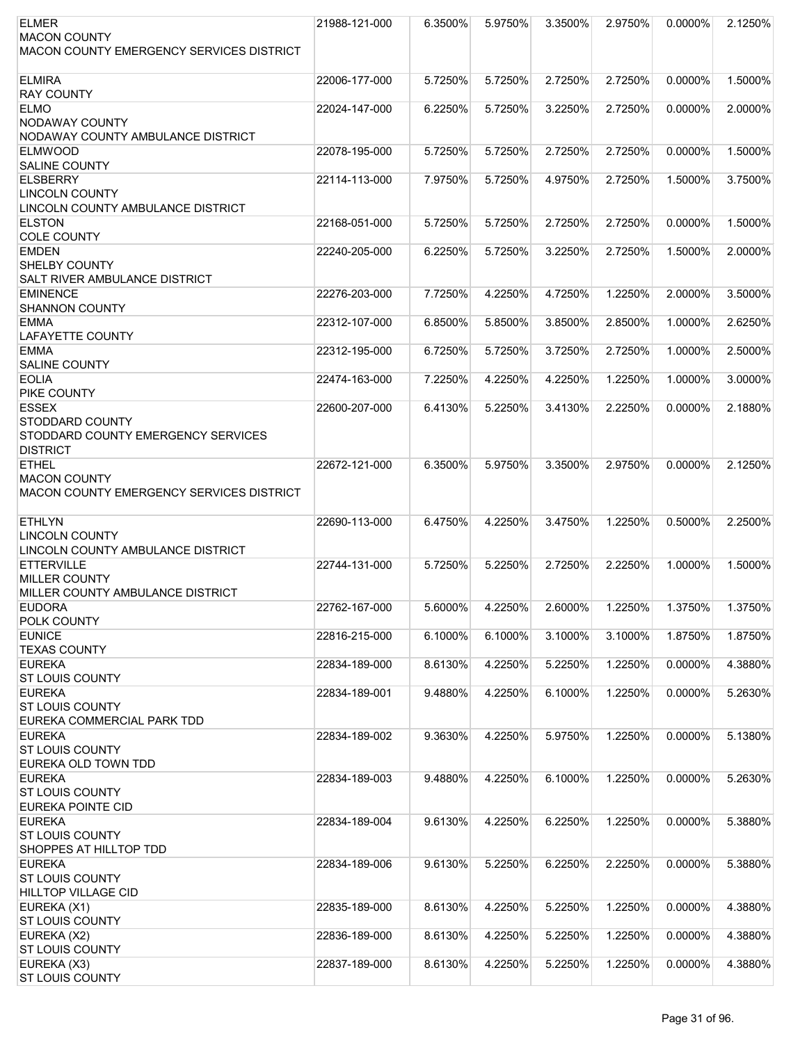| <b>ELMER</b>                             | 21988-121-000 | 6.3500% | 5.9750% | 3.3500% | 2.9750% | 0.0000%    | 2.1250% |
|------------------------------------------|---------------|---------|---------|---------|---------|------------|---------|
| <b>MACON COUNTY</b>                      |               |         |         |         |         |            |         |
| MACON COUNTY EMERGENCY SERVICES DISTRICT |               |         |         |         |         |            |         |
|                                          |               |         |         |         |         |            |         |
| <b>ELMIRA</b>                            | 22006-177-000 | 5.7250% | 5.7250% | 2.7250% | 2.7250% | 0.0000%    | 1.5000% |
| <b>RAY COUNTY</b>                        |               |         |         |         |         |            |         |
| <b>ELMO</b>                              | 22024-147-000 | 6.2250% | 5.7250% | 3.2250% | 2.7250% | 0.0000%    | 2.0000% |
| <b>NODAWAY COUNTY</b>                    |               |         |         |         |         |            |         |
| NODAWAY COUNTY AMBULANCE DISTRICT        |               |         |         |         |         |            |         |
| <b>ELMWOOD</b>                           | 22078-195-000 | 5.7250% | 5.7250% | 2.7250% | 2.7250% | 0.0000%    | 1.5000% |
| <b>SALINE COUNTY</b>                     |               |         |         |         |         |            |         |
| <b>ELSBERRY</b>                          | 22114-113-000 | 7.9750% | 5.7250% | 4.9750% | 2.7250% | 1.5000%    | 3.7500% |
| <b>LINCOLN COUNTY</b>                    |               |         |         |         |         |            |         |
|                                          |               |         |         |         |         |            |         |
| LINCOLN COUNTY AMBULANCE DISTRICT        |               |         |         |         |         |            |         |
| <b>ELSTON</b>                            | 22168-051-000 | 5.7250% | 5.7250% | 2.7250% | 2.7250% | $0.0000\%$ | 1.5000% |
| <b>COLE COUNTY</b>                       |               |         |         |         |         |            |         |
| <b>EMDEN</b>                             | 22240-205-000 | 6.2250% | 5.7250% | 3.2250% | 2.7250% | 1.5000%    | 2.0000% |
| <b>SHELBY COUNTY</b>                     |               |         |         |         |         |            |         |
| <b>SALT RIVER AMBULANCE DISTRICT</b>     |               |         |         |         |         |            |         |
| <b>EMINENCE</b>                          | 22276-203-000 | 7.7250% | 4.2250% | 4.7250% | 1.2250% | 2.0000%    | 3.5000% |
| <b>SHANNON COUNTY</b>                    |               |         |         |         |         |            |         |
| <b>EMMA</b>                              | 22312-107-000 | 6.8500% | 5.8500% | 3.8500% | 2.8500% | 1.0000%    | 2.6250% |
| <b>LAFAYETTE COUNTY</b>                  |               |         |         |         |         |            |         |
| <b>EMMA</b>                              | 22312-195-000 | 6.7250% | 5.7250% | 3.7250% | 2.7250% | 1.0000%    | 2.5000% |
| <b>SALINE COUNTY</b>                     |               |         |         |         |         |            |         |
| <b>EOLIA</b>                             | 22474-163-000 | 7.2250% | 4.2250% | 4.2250% | 1.2250% | 1.0000%    | 3.0000% |
| PIKE COUNTY                              |               |         |         |         |         |            |         |
| <b>ESSEX</b>                             | 22600-207-000 | 6.4130% | 5.2250% | 3.4130% | 2.2250% | 0.0000%    | 2.1880% |
| <b>STODDARD COUNTY</b>                   |               |         |         |         |         |            |         |
|                                          |               |         |         |         |         |            |         |
| STODDARD COUNTY EMERGENCY SERVICES       |               |         |         |         |         |            |         |
| <b>DISTRICT</b>                          |               |         |         |         |         |            |         |
| <b>ETHEL</b>                             | 22672-121-000 | 6.3500% | 5.9750% | 3.3500% | 2.9750% | 0.0000%    | 2.1250% |
| <b>MACON COUNTY</b>                      |               |         |         |         |         |            |         |
| MACON COUNTY EMERGENCY SERVICES DISTRICT |               |         |         |         |         |            |         |
|                                          |               |         |         |         |         |            |         |
| <b>ETHLYN</b>                            | 22690-113-000 | 6.4750% | 4.2250% | 3.4750% | 1.2250% | 0.5000%    | 2.2500% |
| <b>LINCOLN COUNTY</b>                    |               |         |         |         |         |            |         |
| LINCOLN COUNTY AMBULANCE DISTRICT        |               |         |         |         |         |            |         |
| <b>ETTERVILLE</b>                        | 22744-131-000 | 5.7250% | 5.2250% | 2.7250% | 2.2250% | 1.0000%    | 1.5000% |
| <b>MILLER COUNTY</b>                     |               |         |         |         |         |            |         |
| MILLER COUNTY AMBULANCE DISTRICT         |               |         |         |         |         |            |         |
| <b>EUDORA</b>                            | 22762-167-000 | 5.6000% | 4.2250% | 2.6000% | 1.2250% | 1.3750%    | 1.3750% |
| POLK COUNTY                              |               |         |         |         |         |            |         |
| <b>EUNICE</b>                            | 22816-215-000 | 6.1000% | 6.1000% | 3.1000% | 3.1000% | 1.8750%    | 1.8750% |
| <b>TEXAS COUNTY</b>                      |               |         |         |         |         |            |         |
|                                          |               |         |         |         |         |            |         |
| <b>EUREKA</b>                            | 22834-189-000 | 8.6130% | 4.2250% | 5.2250% | 1.2250% | 0.0000%    | 4.3880% |
| <b>ST LOUIS COUNTY</b>                   |               |         |         |         |         |            |         |
| <b>EUREKA</b>                            | 22834-189-001 | 9.4880% | 4.2250% | 6.1000% | 1.2250% | 0.0000%    | 5.2630% |
| <b>ST LOUIS COUNTY</b>                   |               |         |         |         |         |            |         |
| EUREKA COMMERCIAL PARK TDD               |               |         |         |         |         |            |         |
| <b>EUREKA</b>                            | 22834-189-002 | 9.3630% | 4.2250% | 5.9750% | 1.2250% | 0.0000%    | 5.1380% |
| <b>ST LOUIS COUNTY</b>                   |               |         |         |         |         |            |         |
| EUREKA OLD TOWN TDD                      |               |         |         |         |         |            |         |
| <b>EUREKA</b>                            | 22834-189-003 | 9.4880% | 4.2250% | 6.1000% | 1.2250% | $0.0000\%$ | 5.2630% |
| <b>ST LOUIS COUNTY</b>                   |               |         |         |         |         |            |         |
| EUREKA POINTE CID                        |               |         |         |         |         |            |         |
| <b>EUREKA</b>                            | 22834-189-004 | 9.6130% | 4.2250% | 6.2250% | 1.2250% | 0.0000%    | 5.3880% |
| <b>ST LOUIS COUNTY</b>                   |               |         |         |         |         |            |         |
| SHOPPES AT HILLTOP TDD                   |               |         |         |         |         |            |         |
| <b>EUREKA</b>                            |               |         |         |         |         |            |         |
|                                          | 22834-189-006 | 9.6130% | 5.2250% | 6.2250% | 2.2250% | 0.0000%    | 5.3880% |
| <b>ST LOUIS COUNTY</b>                   |               |         |         |         |         |            |         |
| <b>HILLTOP VILLAGE CID</b>               |               |         |         |         |         |            |         |
| EUREKA (X1)                              | 22835-189-000 | 8.6130% | 4.2250% | 5.2250% | 1.2250% | 0.0000%    | 4.3880% |
| <b>ST LOUIS COUNTY</b>                   |               |         |         |         |         |            |         |
| EUREKA (X2)                              | 22836-189-000 | 8.6130% | 4.2250% | 5.2250% | 1.2250% | $0.0000\%$ | 4.3880% |
| ST LOUIS COUNTY                          |               |         |         |         |         |            |         |
| EUREKA (X3)                              | 22837-189-000 | 8.6130% | 4.2250% | 5.2250% | 1.2250% | 0.0000%    | 4.3880% |
| <b>ST LOUIS COUNTY</b>                   |               |         |         |         |         |            |         |
|                                          |               |         |         |         |         |            |         |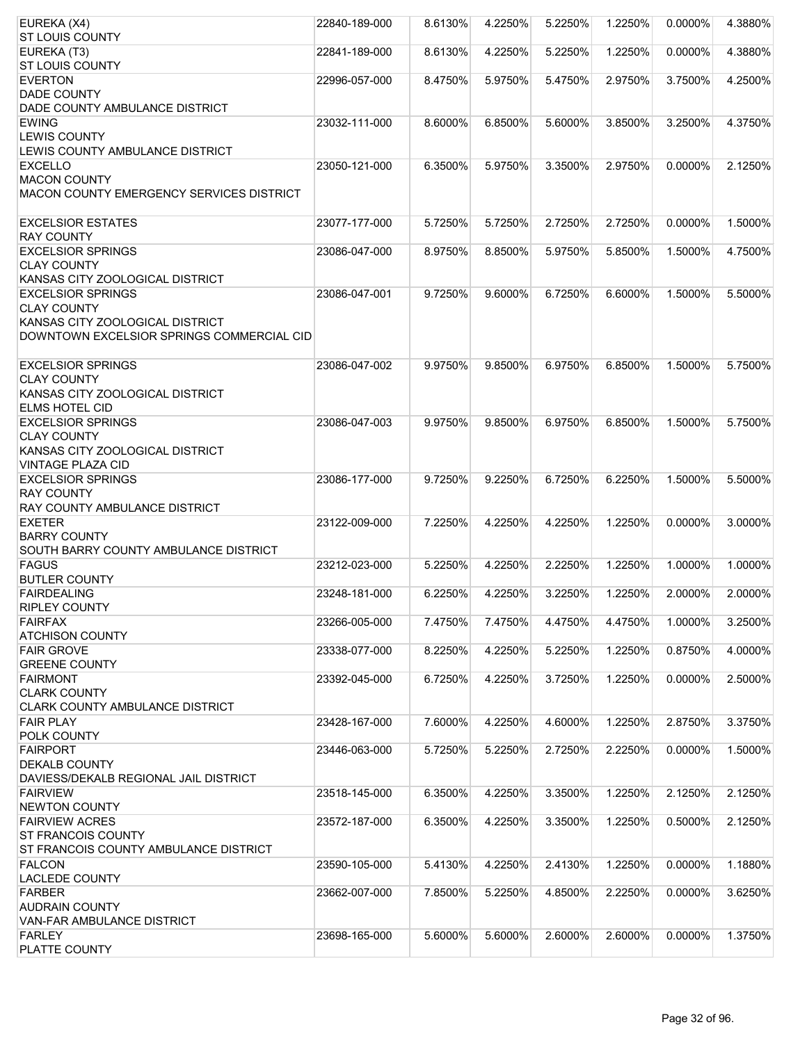| EUREKA (X4)                                        | 22840-189-000 | 8.6130% | 4.2250% | 5.2250% | 1.2250% | 0.0000% | 4.3880% |
|----------------------------------------------------|---------------|---------|---------|---------|---------|---------|---------|
| <b>ST LOUIS COUNTY</b>                             |               |         |         |         |         |         |         |
| EUREKA (T3)                                        | 22841-189-000 | 8.6130% | 4.2250% | 5.2250% | 1.2250% | 0.0000% | 4.3880% |
| <b>ST LOUIS COUNTY</b>                             |               |         |         |         |         |         |         |
| <b>EVERTON</b>                                     | 22996-057-000 | 8.4750% | 5.9750% | 5.4750% | 2.9750% | 3.7500% | 4.2500% |
| <b>DADE COUNTY</b>                                 |               |         |         |         |         |         |         |
| DADE COUNTY AMBULANCE DISTRICT                     |               |         |         |         |         |         |         |
| <b>EWING</b>                                       | 23032-111-000 | 8.6000% | 6.8500% | 5.6000% | 3.8500% | 3.2500% | 4.3750% |
| <b>LEWIS COUNTY</b>                                |               |         |         |         |         |         |         |
| LEWIS COUNTY AMBULANCE DISTRICT                    |               |         |         |         | 2.9750% | 0.0000% | 2.1250% |
| <b>EXCELLO</b><br><b>MACON COUNTY</b>              | 23050-121-000 | 6.3500% | 5.9750% | 3.3500% |         |         |         |
| MACON COUNTY EMERGENCY SERVICES DISTRICT           |               |         |         |         |         |         |         |
|                                                    |               |         |         |         |         |         |         |
| <b>EXCELSIOR ESTATES</b>                           | 23077-177-000 | 5.7250% | 5.7250% | 2.7250% | 2.7250% | 0.0000% | 1.5000% |
| <b>RAY COUNTY</b>                                  |               |         |         |         |         |         |         |
| <b>EXCELSIOR SPRINGS</b>                           | 23086-047-000 | 8.9750% | 8.8500% | 5.9750% | 5.8500% | 1.5000% | 4.7500% |
| <b>CLAY COUNTY</b>                                 |               |         |         |         |         |         |         |
| KANSAS CITY ZOOLOGICAL DISTRICT                    |               |         |         |         |         |         |         |
| <b>EXCELSIOR SPRINGS</b>                           | 23086-047-001 | 9.7250% | 9.6000% | 6.7250% | 6.6000% | 1.5000% | 5.5000% |
| <b>CLAY COUNTY</b>                                 |               |         |         |         |         |         |         |
| KANSAS CITY ZOOLOGICAL DISTRICT                    |               |         |         |         |         |         |         |
| DOWNTOWN EXCELSIOR SPRINGS COMMERCIAL CID          |               |         |         |         |         |         |         |
|                                                    |               |         |         |         |         |         |         |
| <b>EXCELSIOR SPRINGS</b>                           | 23086-047-002 | 9.9750% | 9.8500% | 6.9750% | 6.8500% | 1.5000% | 5.7500% |
| <b>CLAY COUNTY</b>                                 |               |         |         |         |         |         |         |
| KANSAS CITY ZOOLOGICAL DISTRICT                    |               |         |         |         |         |         |         |
| <b>ELMS HOTEL CID</b>                              |               |         |         |         |         |         |         |
| <b>EXCELSIOR SPRINGS</b>                           | 23086-047-003 | 9.9750% | 9.8500% | 6.9750% | 6.8500% | 1.5000% | 5.7500% |
| <b>CLAY COUNTY</b>                                 |               |         |         |         |         |         |         |
| KANSAS CITY ZOOLOGICAL DISTRICT                    |               |         |         |         |         |         |         |
| <b>VINTAGE PLAZA CID</b>                           |               |         |         |         |         |         |         |
| <b>EXCELSIOR SPRINGS</b>                           | 23086-177-000 | 9.7250% | 9.2250% | 6.7250% | 6.2250% | 1.5000% | 5.5000% |
| <b>RAY COUNTY</b>                                  |               |         |         |         |         |         |         |
| RAY COUNTY AMBULANCE DISTRICT                      |               |         |         |         |         |         |         |
| <b>EXETER</b><br><b>BARRY COUNTY</b>               | 23122-009-000 | 7.2250% | 4.2250% | 4.2250% | 1.2250% | 0.0000% | 3.0000% |
| SOUTH BARRY COUNTY AMBULANCE DISTRICT              |               |         |         |         |         |         |         |
| <b>FAGUS</b>                                       | 23212-023-000 | 5.2250% | 4.2250% | 2.2250% | 1.2250% | 1.0000% | 1.0000% |
| <b>BUTLER COUNTY</b>                               |               |         |         |         |         |         |         |
| <b>FAIRDEALING</b>                                 | 23248-181-000 | 6.2250% | 4.2250% | 3.2250% | 1.2250% | 2.0000% | 2.0000% |
| <b>RIPLEY COUNTY</b>                               |               |         |         |         |         |         |         |
| <b>FAIRFAX</b>                                     | 23266-005-000 | 7.4750% | 7.4750% | 4.4750% | 4.4750% | 1.0000% | 3.2500% |
| <b>ATCHISON COUNTY</b>                             |               |         |         |         |         |         |         |
| <b>FAIR GROVE</b>                                  | 23338-077-000 | 8.2250% | 4.2250% | 5.2250% | 1.2250% | 0.8750% | 4.0000% |
| <b>GREENE COUNTY</b>                               |               |         |         |         |         |         |         |
| <b>FAIRMONT</b>                                    | 23392-045-000 | 6.7250% | 4.2250% | 3.7250% | 1.2250% | 0.0000% | 2.5000% |
| <b>CLARK COUNTY</b>                                |               |         |         |         |         |         |         |
| <b>CLARK COUNTY AMBULANCE DISTRICT</b>             |               |         |         |         |         |         |         |
| <b>FAIR PLAY</b>                                   | 23428-167-000 | 7.6000% | 4.2250% | 4.6000% | 1.2250% | 2.8750% | 3.3750% |
| POLK COUNTY                                        |               |         |         |         |         |         |         |
| <b>FAIRPORT</b>                                    | 23446-063-000 | 5.7250% | 5.2250% | 2.7250% | 2.2250% | 0.0000% | 1.5000% |
| <b>DEKALB COUNTY</b>                               |               |         |         |         |         |         |         |
| DAVIESS/DEKALB REGIONAL JAIL DISTRICT              |               |         |         |         |         |         |         |
| <b>FAIRVIEW</b>                                    | 23518-145-000 | 6.3500% | 4.2250% | 3.3500% | 1.2250% | 2.1250% | 2.1250% |
| <b>NEWTON COUNTY</b>                               |               |         |         |         |         |         |         |
| <b>FAIRVIEW ACRES</b><br><b>ST FRANCOIS COUNTY</b> | 23572-187-000 | 6.3500% | 4.2250% | 3.3500% | 1.2250% | 0.5000% | 2.1250% |
|                                                    |               |         |         |         |         |         |         |
| ST FRANCOIS COUNTY AMBULANCE DISTRICT              |               |         |         |         |         |         |         |
| <b>FALCON</b><br><b>LACLEDE COUNTY</b>             | 23590-105-000 | 5.4130% | 4.2250% | 2.4130% | 1.2250% | 0.0000% | 1.1880% |
| FARBER                                             | 23662-007-000 | 7.8500% | 5.2250% | 4.8500% | 2.2250% | 0.0000% | 3.6250% |
| <b>AUDRAIN COUNTY</b>                              |               |         |         |         |         |         |         |
| <b>VAN-FAR AMBULANCE DISTRICT</b>                  |               |         |         |         |         |         |         |
| <b>FARLEY</b>                                      | 23698-165-000 | 5.6000% | 5.6000% | 2.6000% | 2.6000% | 0.0000% | 1.3750% |
| PLATTE COUNTY                                      |               |         |         |         |         |         |         |
|                                                    |               |         |         |         |         |         |         |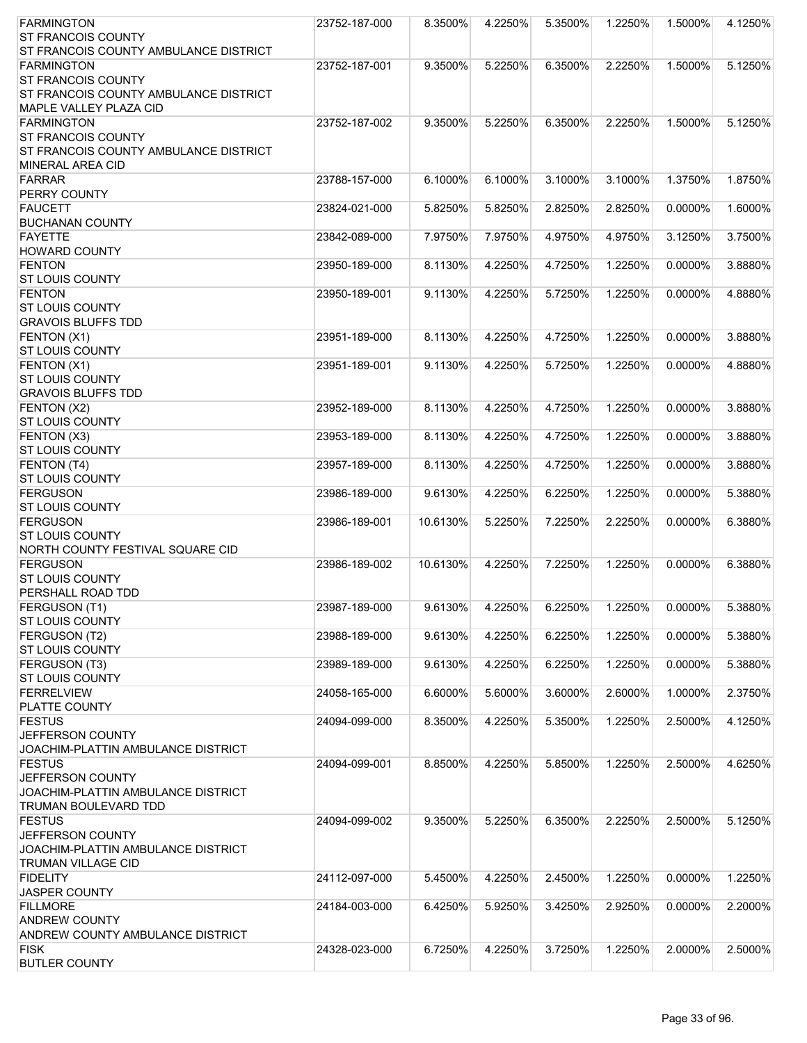| <b>FARMINGTON</b>                            | 23752-187-000 | 8.3500%  | 4.2250% | 5.3500% | 1.2250% | 1.5000%    | 4.1250% |
|----------------------------------------------|---------------|----------|---------|---------|---------|------------|---------|
| <b>ST FRANCOIS COUNTY</b>                    |               |          |         |         |         |            |         |
| ST FRANCOIS COUNTY AMBULANCE DISTRICT        |               |          |         |         |         |            |         |
| <b>FARMINGTON</b>                            | 23752-187-001 | 9.3500%  | 5.2250% | 6.3500% | 2.2250% | 1.5000%    | 5.1250% |
| <b>ST FRANCOIS COUNTY</b>                    |               |          |         |         |         |            |         |
| ST FRANCOIS COUNTY AMBULANCE DISTRICT        |               |          |         |         |         |            |         |
| <b>MAPLE VALLEY PLAZA CID</b>                |               |          |         |         |         |            |         |
| <b>FARMINGTON</b>                            | 23752-187-002 | 9.3500%  | 5.2250% | 6.3500% | 2.2250% | 1.5000%    | 5.1250% |
| <b>ST FRANCOIS COUNTY</b>                    |               |          |         |         |         |            |         |
| <b>ST FRANCOIS COUNTY AMBULANCE DISTRICT</b> |               |          |         |         |         |            |         |
| <b>MINERAL AREA CID</b>                      |               |          |         |         |         |            |         |
|                                              |               |          |         |         |         |            | 1.8750% |
| <b>FARRAR</b>                                | 23788-157-000 | 6.1000%  | 6.1000% | 3.1000% | 3.1000% | 1.3750%    |         |
| PERRY COUNTY                                 |               |          |         |         |         |            |         |
| <b>FAUCETT</b>                               | 23824-021-000 | 5.8250%  | 5.8250% | 2.8250% | 2.8250% | 0.0000%    | 1.6000% |
| <b>BUCHANAN COUNTY</b>                       |               |          |         |         |         |            |         |
| <b>FAYETTE</b>                               | 23842-089-000 | 7.9750%  | 7.9750% | 4.9750% | 4.9750% | 3.1250%    | 3.7500% |
| <b>HOWARD COUNTY</b>                         |               |          |         |         |         |            |         |
| <b>FENTON</b>                                | 23950-189-000 | 8.1130%  | 4.2250% | 4.7250% | 1.2250% | 0.0000%    | 3.8880% |
| <b>ST LOUIS COUNTY</b>                       |               |          |         |         |         |            |         |
| <b>FENTON</b>                                | 23950-189-001 | 9.1130%  | 4.2250% | 5.7250% | 1.2250% | 0.0000%    | 4.8880% |
| <b>ST LOUIS COUNTY</b>                       |               |          |         |         |         |            |         |
| <b>GRAVOIS BLUFFS TDD</b>                    |               |          |         |         |         |            |         |
| FENTON (X1)                                  | 23951-189-000 | 8.1130%  | 4.2250% | 4.7250% | 1.2250% | 0.0000%    | 3.8880% |
| <b>ST LOUIS COUNTY</b>                       |               |          |         |         |         |            |         |
| FENTON (X1)                                  | 23951-189-001 | 9.1130%  | 4.2250% | 5.7250% | 1.2250% | 0.0000%    | 4.8880% |
| <b>ST LOUIS COUNTY</b>                       |               |          |         |         |         |            |         |
| <b>GRAVOIS BLUFFS TDD</b>                    |               |          |         |         |         |            |         |
| FENTON (X2)                                  | 23952-189-000 | 8.1130%  | 4.2250% | 4.7250% | 1.2250% | 0.0000%    | 3.8880% |
| <b>ST LOUIS COUNTY</b>                       |               |          |         |         |         |            |         |
| FENTON (X3)                                  | 23953-189-000 | 8.1130%  | 4.2250% | 4.7250% | 1.2250% | 0.0000%    | 3.8880% |
| <b>ST LOUIS COUNTY</b>                       |               |          |         |         |         |            |         |
| FENTON (T4)                                  | 23957-189-000 | 8.1130%  | 4.2250% | 4.7250% | 1.2250% | 0.0000%    | 3.8880% |
| <b>ST LOUIS COUNTY</b>                       |               |          |         |         |         |            |         |
| <b>FERGUSON</b>                              | 23986-189-000 | 9.6130%  | 4.2250% | 6.2250% | 1.2250% | 0.0000%    | 5.3880% |
| <b>ST LOUIS COUNTY</b>                       |               |          |         |         |         |            |         |
| <b>FERGUSON</b>                              | 23986-189-001 | 10.6130% | 5.2250% | 7.2250% | 2.2250% | $0.0000\%$ | 6.3880% |
| <b>ST LOUIS COUNTY</b>                       |               |          |         |         |         |            |         |
| NORTH COUNTY FESTIVAL SQUARE CID             |               |          |         |         |         |            |         |
| <b>FERGUSON</b>                              | 23986-189-002 | 10.6130% | 4.2250% | 7.2250% | 1.2250% | 0.0000%    | 6.3880% |
| <b>ST LOUIS COUNTY</b>                       |               |          |         |         |         |            |         |
| <b>PERSHALL ROAD TDD</b>                     |               |          |         |         |         |            |         |
| FERGUSON (T1)                                | 23987-189-000 | 9.6130%  | 4.2250% | 6.2250% | 1.2250% | 0.0000%    | 5.3880% |
| <b>ST LOUIS COUNTY</b>                       |               |          |         |         |         |            |         |
| FERGUSON (T2)                                | 23988-189-000 | 9.6130%  | 4.2250% | 6.2250% | 1.2250% | 0.0000%    | 5.3880% |
| <b>ST LOUIS COUNTY</b>                       |               |          |         |         |         |            |         |
| FERGUSON (T3)                                | 23989-189-000 | 9.6130%  | 4.2250% | 6.2250% | 1.2250% | 0.0000%    | 5.3880% |
| <b>ST LOUIS COUNTY</b>                       |               |          |         |         |         |            |         |
| <b>FERRELVIEW</b>                            | 24058-165-000 | 6.6000%  | 5.6000% | 3.6000% | 2.6000% | 1.0000%    | 2.3750% |
| PLATTE COUNTY                                |               |          |         |         |         |            |         |
| <b>FESTUS</b>                                | 24094-099-000 | 8.3500%  | 4.2250% | 5.3500% | 1.2250% | 2.5000%    | 4.1250% |
| JEFFERSON COUNTY                             |               |          |         |         |         |            |         |
| JOACHIM-PLATTIN AMBULANCE DISTRICT           |               |          |         |         |         |            |         |
| <b>FESTUS</b>                                | 24094-099-001 | 8.8500%  | 4.2250% | 5.8500% | 1.2250% | 2.5000%    | 4.6250% |
| JEFFERSON COUNTY                             |               |          |         |         |         |            |         |
| JOACHIM-PLATTIN AMBULANCE DISTRICT           |               |          |         |         |         |            |         |
| TRUMAN BOULEVARD TDD                         |               |          |         |         |         |            |         |
| <b>FESTUS</b>                                | 24094-099-002 | 9.3500%  | 5.2250% | 6.3500% | 2.2250% | 2.5000%    | 5.1250% |
| <b>JEFFERSON COUNTY</b>                      |               |          |         |         |         |            |         |
| JOACHIM-PLATTIN AMBULANCE DISTRICT           |               |          |         |         |         |            |         |
| <b>TRUMAN VILLAGE CID</b>                    |               |          |         |         |         |            |         |
| <b>FIDELITY</b>                              | 24112-097-000 | 5.4500%  | 4.2250% | 2.4500% | 1.2250% | 0.0000%    | 1.2250% |
| <b>JASPER COUNTY</b>                         |               |          |         |         |         |            |         |
| <b>FILLMORE</b>                              | 24184-003-000 | 6.4250%  | 5.9250% | 3.4250% | 2.9250% | 0.0000%    | 2.2000% |
| <b>ANDREW COUNTY</b>                         |               |          |         |         |         |            |         |
| ANDREW COUNTY AMBULANCE DISTRICT             |               |          |         |         |         |            |         |
| <b>FISK</b>                                  | 24328-023-000 | 6.7250%  | 4.2250% | 3.7250% | 1.2250% | 2.0000%    | 2.5000% |
| <b>BUTLER COUNTY</b>                         |               |          |         |         |         |            |         |
|                                              |               |          |         |         |         |            |         |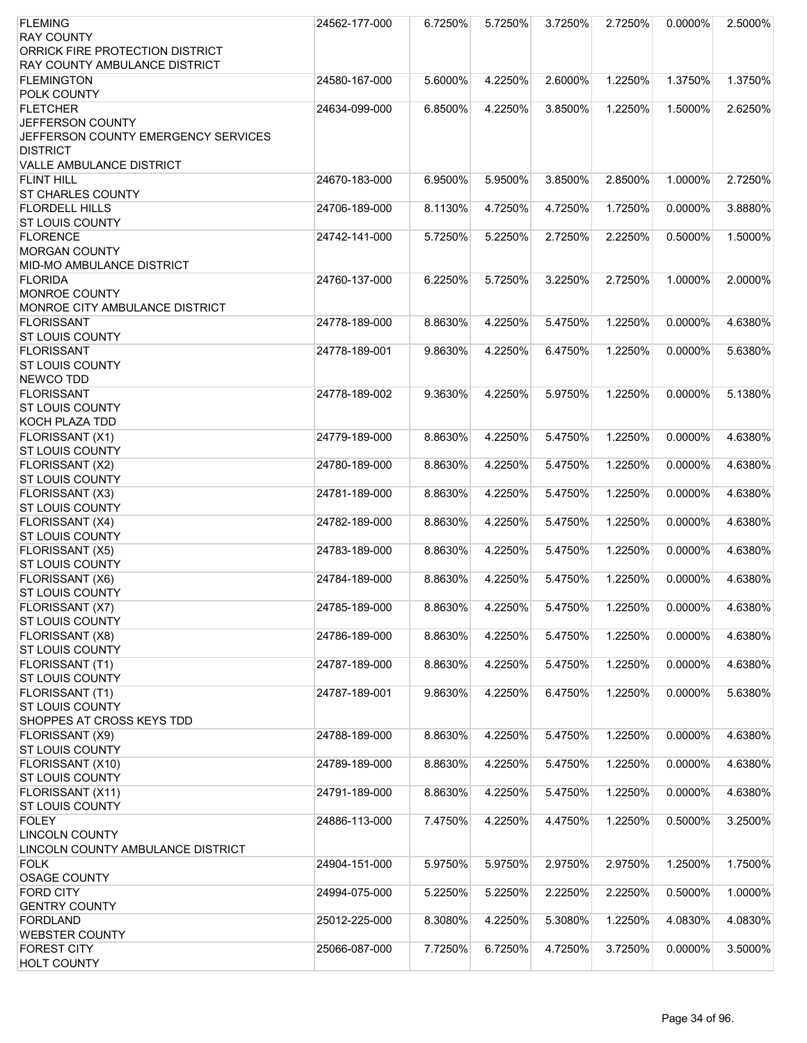| <b>FLEMING</b>                      | 24562-177-000 | 6.7250% | 5.7250% | 3.7250% | 2.7250% | 0.0000%    | 2.5000% |
|-------------------------------------|---------------|---------|---------|---------|---------|------------|---------|
| <b>RAY COUNTY</b>                   |               |         |         |         |         |            |         |
| ORRICK FIRE PROTECTION DISTRICT     |               |         |         |         |         |            |         |
| RAY COUNTY AMBULANCE DISTRICT       |               |         |         |         |         |            |         |
| <b>FLEMINGTON</b>                   | 24580-167-000 | 5.6000% | 4.2250% | 2.6000% | 1.2250% | 1.3750%    | 1.3750% |
|                                     |               |         |         |         |         |            |         |
| <b>POLK COUNTY</b>                  |               |         |         |         |         |            |         |
| <b>FLETCHER</b>                     | 24634-099-000 | 6.8500% | 4.2250% | 3.8500% | 1.2250% | 1.5000%    | 2.6250% |
| <b>JEFFERSON COUNTY</b>             |               |         |         |         |         |            |         |
| JEFFERSON COUNTY EMERGENCY SERVICES |               |         |         |         |         |            |         |
| <b>DISTRICT</b>                     |               |         |         |         |         |            |         |
| VALLE AMBULANCE DISTRICT            |               |         |         |         |         |            |         |
| <b>FLINT HILL</b>                   | 24670-183-000 | 6.9500% | 5.9500% | 3.8500% | 2.8500% | 1.0000%    | 2.7250% |
| <b>ST CHARLES COUNTY</b>            |               |         |         |         |         |            |         |
| <b>FLORDELL HILLS</b>               | 24706-189-000 | 8.1130% | 4.7250% | 4.7250% | 1.7250% | 0.0000%    | 3.8880% |
|                                     |               |         |         |         |         |            |         |
| <b>ST LOUIS COUNTY</b>              |               |         |         |         |         |            |         |
| <b>FLORENCE</b>                     | 24742-141-000 | 5.7250% | 5.2250% | 2.7250% | 2.2250% | 0.5000%    | 1.5000% |
| <b>MORGAN COUNTY</b>                |               |         |         |         |         |            |         |
| MID-MO AMBULANCE DISTRICT           |               |         |         |         |         |            |         |
| <b>FLORIDA</b>                      | 24760-137-000 | 6.2250% | 5.7250% | 3.2250% | 2.7250% | 1.0000%    | 2.0000% |
| <b>MONROE COUNTY</b>                |               |         |         |         |         |            |         |
| MONROE CITY AMBULANCE DISTRICT      |               |         |         |         |         |            |         |
| <b>FLORISSANT</b>                   | 24778-189-000 | 8.8630% | 4.2250% | 5.4750% | 1.2250% | 0.0000%    | 4.6380% |
| <b>ST LOUIS COUNTY</b>              |               |         |         |         |         |            |         |
|                                     |               |         |         |         |         |            |         |
| <b>FLORISSANT</b>                   | 24778-189-001 | 9.8630% | 4.2250% | 6.4750% | 1.2250% | 0.0000%    | 5.6380% |
| <b>ST LOUIS COUNTY</b>              |               |         |         |         |         |            |         |
| <b>NEWCO TDD</b>                    |               |         |         |         |         |            |         |
| <b>FLORISSANT</b>                   | 24778-189-002 | 9.3630% | 4.2250% | 5.9750% | 1.2250% | 0.0000%    | 5.1380% |
| <b>ST LOUIS COUNTY</b>              |               |         |         |         |         |            |         |
| KOCH PLAZA TDD                      |               |         |         |         |         |            |         |
| FLORISSANT (X1)                     | 24779-189-000 | 8.8630% | 4.2250% | 5.4750% | 1.2250% | 0.0000%    | 4.6380% |
| <b>ST LOUIS COUNTY</b>              |               |         |         |         |         |            |         |
|                                     |               |         |         |         |         |            |         |
| FLORISSANT (X2)                     | 24780-189-000 | 8.8630% | 4.2250% | 5.4750% | 1.2250% | 0.0000%    | 4.6380% |
| <b>ST LOUIS COUNTY</b>              |               |         |         |         |         |            |         |
| FLORISSANT (X3)                     | 24781-189-000 | 8.8630% | 4.2250% | 5.4750% | 1.2250% | 0.0000%    | 4.6380% |
| <b>ST LOUIS COUNTY</b>              |               |         |         |         |         |            |         |
| FLORISSANT (X4)                     | 24782-189-000 | 8.8630% | 4.2250% | 5.4750% | 1.2250% | 0.0000%    | 4.6380% |
| <b>ST LOUIS COUNTY</b>              |               |         |         |         |         |            |         |
| FLORISSANT (X5)                     | 24783-189-000 | 8.8630% | 4.2250% | 5.4750% | 1.2250% | 0.0000%    | 4.6380% |
| <b>ST LOUIS COUNTY</b>              |               |         |         |         |         |            |         |
| FLORISSANT (X6)                     | 24784-189-000 | 8.8630% | 4.2250% | 5.4750% | 1.2250% | $0.0000\%$ | 4.6380% |
| <b>ST LOUIS COUNTY</b>              |               |         |         |         |         |            |         |
|                                     |               |         |         |         |         |            |         |
| FLORISSANT (X7)                     | 24785-189-000 | 8.8630% | 4.2250% | 5.4750% | 1.2250% | 0.0000%    | 4.6380% |
| <b>ST LOUIS COUNTY</b>              |               |         |         |         |         |            |         |
| FLORISSANT (X8)                     | 24786-189-000 | 8.8630% | 4.2250% | 5.4750% | 1.2250% | 0.0000%    | 4.6380% |
| <b>ST LOUIS COUNTY</b>              |               |         |         |         |         |            |         |
| FLORISSANT (T1)                     | 24787-189-000 | 8.8630% | 4.2250% | 5.4750% | 1.2250% | 0.0000%    | 4.6380% |
| <b>ST LOUIS COUNTY</b>              |               |         |         |         |         |            |         |
| FLORISSANT (T1)                     | 24787-189-001 | 9.8630% | 4.2250% | 6.4750% | 1.2250% | 0.0000%    | 5.6380% |
| <b>ST LOUIS COUNTY</b>              |               |         |         |         |         |            |         |
|                                     |               |         |         |         |         |            |         |
| SHOPPES AT CROSS KEYS TDD           |               |         |         |         |         |            |         |
| FLORISSANT (X9)                     | 24788-189-000 | 8.8630% | 4.2250% | 5.4750% | 1.2250% | 0.0000%    | 4.6380% |
| <b>ST LOUIS COUNTY</b>              |               |         |         |         |         |            |         |
| FLORISSANT (X10)                    | 24789-189-000 | 8.8630% | 4.2250% | 5.4750% | 1.2250% | 0.0000%    | 4.6380% |
| ST LOUIS COUNTY                     |               |         |         |         |         |            |         |
| FLORISSANT (X11)                    | 24791-189-000 | 8.8630% | 4.2250% | 5.4750% | 1.2250% | 0.0000%    | 4.6380% |
| ST LOUIS COUNTY                     |               |         |         |         |         |            |         |
| <b>FOLEY</b>                        | 24886-113-000 | 7.4750% | 4.2250% | 4.4750% | 1.2250% | 0.5000%    | 3.2500% |
| <b>LINCOLN COUNTY</b>               |               |         |         |         |         |            |         |
| LINCOLN COUNTY AMBULANCE DISTRICT   |               |         |         |         |         |            |         |
|                                     |               |         |         |         |         |            |         |
| <b>FOLK</b>                         | 24904-151-000 | 5.9750% | 5.9750% | 2.9750% | 2.9750% | 1.2500%    | 1.7500% |
| <b>OSAGE COUNTY</b>                 |               |         |         |         |         |            |         |
| <b>FORD CITY</b>                    | 24994-075-000 | 5.2250% | 5.2250% | 2.2250% | 2.2250% | 0.5000%    | 1.0000% |
| <b>GENTRY COUNTY</b>                |               |         |         |         |         |            |         |
| <b>FORDLAND</b>                     | 25012-225-000 | 8.3080% | 4.2250% | 5.3080% | 1.2250% | 4.0830%    | 4.0830% |
| <b>WEBSTER COUNTY</b>               |               |         |         |         |         |            |         |
| <b>FOREST CITY</b>                  | 25066-087-000 | 7.7250% | 6.7250% | 4.7250% | 3.7250% | 0.0000%    | 3.5000% |
| <b>HOLT COUNTY</b>                  |               |         |         |         |         |            |         |
|                                     |               |         |         |         |         |            |         |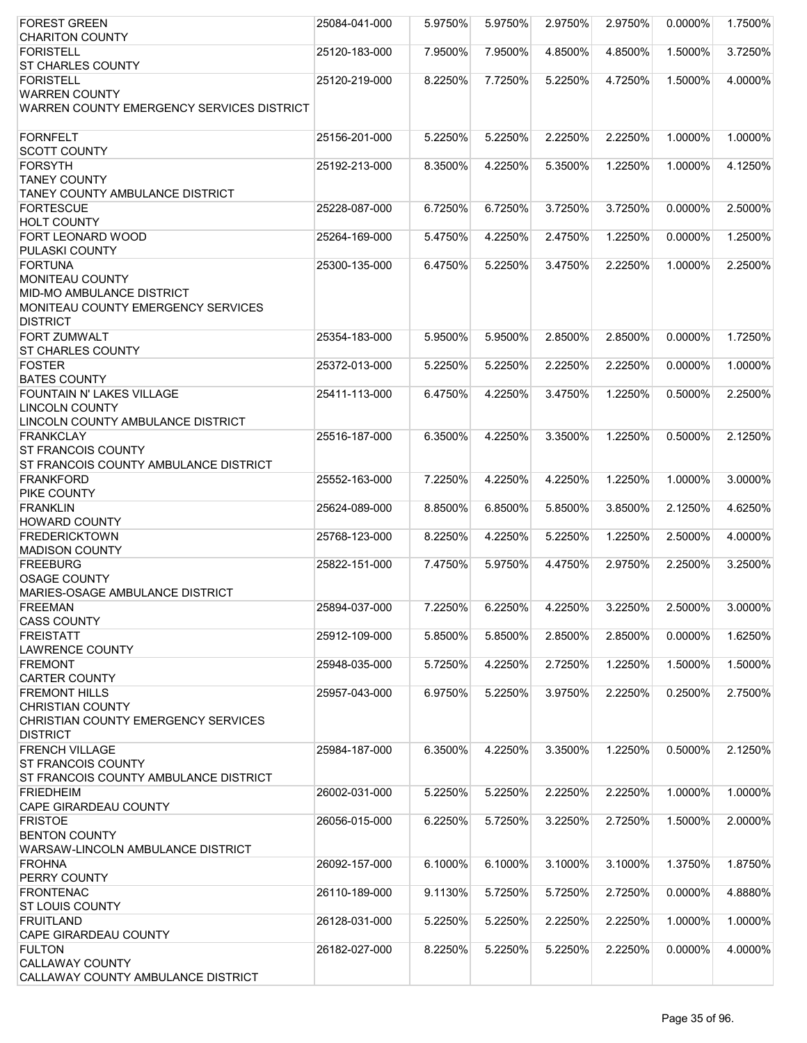| <b>FOREST GREEN</b>                       | 25084-041-000 | 5.9750% | 5.9750% | 2.9750% | 2.9750% | 0.0000%    | 1.7500% |
|-------------------------------------------|---------------|---------|---------|---------|---------|------------|---------|
| <b>CHARITON COUNTY</b>                    |               |         |         |         |         |            |         |
| <b>FORISTELL</b>                          | 25120-183-000 | 7.9500% | 7.9500% | 4.8500% | 4.8500% | 1.5000%    | 3.7250% |
| <b>ST CHARLES COUNTY</b>                  |               |         |         |         |         |            |         |
| <b>FORISTELL</b>                          | 25120-219-000 | 8.2250% | 7.7250% | 5.2250% | 4.7250% | 1.5000%    | 4.0000% |
| <b>WARREN COUNTY</b>                      |               |         |         |         |         |            |         |
| WARREN COUNTY EMERGENCY SERVICES DISTRICT |               |         |         |         |         |            |         |
|                                           |               |         |         |         |         |            |         |
| <b>FORNFELT</b>                           | 25156-201-000 | 5.2250% | 5.2250% | 2.2250% | 2.2250% | 1.0000%    | 1.0000% |
| <b>SCOTT COUNTY</b>                       |               |         |         |         |         |            |         |
| <b>FORSYTH</b>                            | 25192-213-000 | 8.3500% | 4.2250% | 5.3500% | 1.2250% | 1.0000%    | 4.1250% |
| <b>TANEY COUNTY</b>                       |               |         |         |         |         |            |         |
| <b>TANEY COUNTY AMBULANCE DISTRICT</b>    |               |         |         |         |         |            |         |
| <b>FORTESCUE</b>                          | 25228-087-000 | 6.7250% | 6.7250% | 3.7250% | 3.7250% | 0.0000%    | 2.5000% |
| <b>HOLT COUNTY</b>                        |               |         |         |         |         |            |         |
| <b>FORT LEONARD WOOD</b>                  | 25264-169-000 | 5.4750% | 4.2250% | 2.4750% | 1.2250% | 0.0000%    | 1.2500% |
| PULASKI COUNTY                            |               |         |         |         |         |            |         |
| <b>FORTUNA</b>                            | 25300-135-000 | 6.4750% | 5.2250% | 3.4750% | 2.2250% | 1.0000%    | 2.2500% |
| <b>MONITEAU COUNTY</b>                    |               |         |         |         |         |            |         |
| MID-MO AMBULANCE DISTRICT                 |               |         |         |         |         |            |         |
| MONITEAU COUNTY EMERGENCY SERVICES        |               |         |         |         |         |            |         |
| <b>DISTRICT</b>                           |               |         |         |         |         |            |         |
| <b>FORT ZUMWALT</b>                       | 25354-183-000 | 5.9500% | 5.9500% | 2.8500% | 2.8500% | 0.0000%    | 1.7250% |
| <b>ST CHARLES COUNTY</b>                  |               |         |         |         |         |            |         |
| <b>FOSTER</b>                             | 25372-013-000 | 5.2250% | 5.2250% | 2.2250% | 2.2250% | 0.0000%    | 1.0000% |
| <b>BATES COUNTY</b>                       |               |         |         |         |         |            |         |
| FOUNTAIN N' LAKES VILLAGE                 | 25411-113-000 | 6.4750% | 4.2250% | 3.4750% | 1.2250% | 0.5000%    | 2.2500% |
| LINCOLN COUNTY                            |               |         |         |         |         |            |         |
| LINCOLN COUNTY AMBULANCE DISTRICT         |               |         |         |         |         |            |         |
| <b>FRANKCLAY</b>                          | 25516-187-000 | 6.3500% | 4.2250% | 3.3500% | 1.2250% | 0.5000%    | 2.1250% |
| <b>ST FRANCOIS COUNTY</b>                 |               |         |         |         |         |            |         |
| ST FRANCOIS COUNTY AMBULANCE DISTRICT     |               |         |         |         |         |            |         |
| <b>FRANKFORD</b>                          | 25552-163-000 | 7.2250% | 4.2250% | 4.2250% | 1.2250% | 1.0000%    | 3.0000% |
| PIKE COUNTY                               |               |         |         |         |         |            |         |
| <b>FRANKLIN</b>                           | 25624-089-000 | 8.8500% | 6.8500% | 5.8500% | 3.8500% | 2.1250%    | 4.6250% |
| <b>HOWARD COUNTY</b>                      |               |         |         |         |         |            |         |
| <b>FREDERICKTOWN</b>                      | 25768-123-000 | 8.2250% | 4.2250% | 5.2250% | 1.2250% | 2.5000%    | 4.0000% |
| <b>MADISON COUNTY</b>                     |               |         |         |         |         |            |         |
| <b>FREEBURG</b>                           | 25822-151-000 | 7.4750% | 5.9750% | 4.4750% | 2.9750% | 2.2500%    | 3.2500% |
| <b>OSAGE COUNTY</b>                       |               |         |         |         |         |            |         |
| MARIES-OSAGE AMBULANCE DISTRICT           |               |         |         |         |         |            |         |
| <b>FREEMAN</b>                            | 25894-037-000 | 7.2250% | 6.2250% | 4.2250% | 3.2250% | 2.5000%    | 3.0000% |
| <b>CASS COUNTY</b>                        |               |         |         |         |         |            |         |
| <b>FREISTATT</b>                          | 25912-109-000 | 5.8500% | 5.8500% | 2.8500% | 2.8500% | $0.0000\%$ | 1.6250% |
| <b>LAWRENCE COUNTY</b>                    |               |         |         |         |         |            |         |
| <b>FREMONT</b>                            | 25948-035-000 | 5.7250% | 4.2250% | 2.7250% | 1.2250% | 1.5000%    | 1.5000% |
| <b>CARTER COUNTY</b>                      |               |         |         |         |         |            |         |
| <b>FREMONT HILLS</b>                      | 25957-043-000 | 6.9750% | 5.2250% | 3.9750% | 2.2250% | 0.2500%    | 2.7500% |
| <b>CHRISTIAN COUNTY</b>                   |               |         |         |         |         |            |         |
| CHRISTIAN COUNTY EMERGENCY SERVICES       |               |         |         |         |         |            |         |
| <b>DISTRICT</b>                           |               |         |         |         |         |            |         |
| <b>FRENCH VILLAGE</b>                     | 25984-187-000 | 6.3500% | 4.2250% | 3.3500% | 1.2250% | $0.5000\%$ | 2.1250% |
| <b>ST FRANCOIS COUNTY</b>                 |               |         |         |         |         |            |         |
| ST FRANCOIS COUNTY AMBULANCE DISTRICT     |               |         |         |         |         |            |         |
| <b>FRIEDHEIM</b>                          | 26002-031-000 | 5.2250% | 5.2250% | 2.2250% | 2.2250% | 1.0000%    | 1.0000% |
| <b>CAPE GIRARDEAU COUNTY</b>              |               |         |         |         |         |            |         |
| <b>FRISTOE</b>                            | 26056-015-000 | 6.2250% | 5.7250% | 3.2250% | 2.7250% | 1.5000%    | 2.0000% |
| <b>BENTON COUNTY</b>                      |               |         |         |         |         |            |         |
| WARSAW-LINCOLN AMBULANCE DISTRICT         |               |         |         |         |         |            |         |
| <b>FROHNA</b>                             | 26092-157-000 | 6.1000% | 6.1000% | 3.1000% | 3.1000% | 1.3750%    | 1.8750% |
| PERRY COUNTY                              |               |         |         |         |         |            |         |
| <b>FRONTENAC</b>                          | 26110-189-000 | 9.1130% | 5.7250% | 5.7250% | 2.7250% | 0.0000%    | 4.8880% |
| <b>ST LOUIS COUNTY</b>                    |               |         |         |         |         |            |         |
| <b>FRUITLAND</b>                          | 26128-031-000 | 5.2250% | 5.2250% | 2.2250% | 2.2250% | 1.0000%    | 1.0000% |
| <b>CAPE GIRARDEAU COUNTY</b>              |               |         |         |         |         |            |         |
| <b>FULTON</b>                             | 26182-027-000 | 8.2250% | 5.2250% | 5.2250% | 2.2250% | $0.0000\%$ | 4.0000% |
| <b>CALLAWAY COUNTY</b>                    |               |         |         |         |         |            |         |
| CALLAWAY COUNTY AMBULANCE DISTRICT        |               |         |         |         |         |            |         |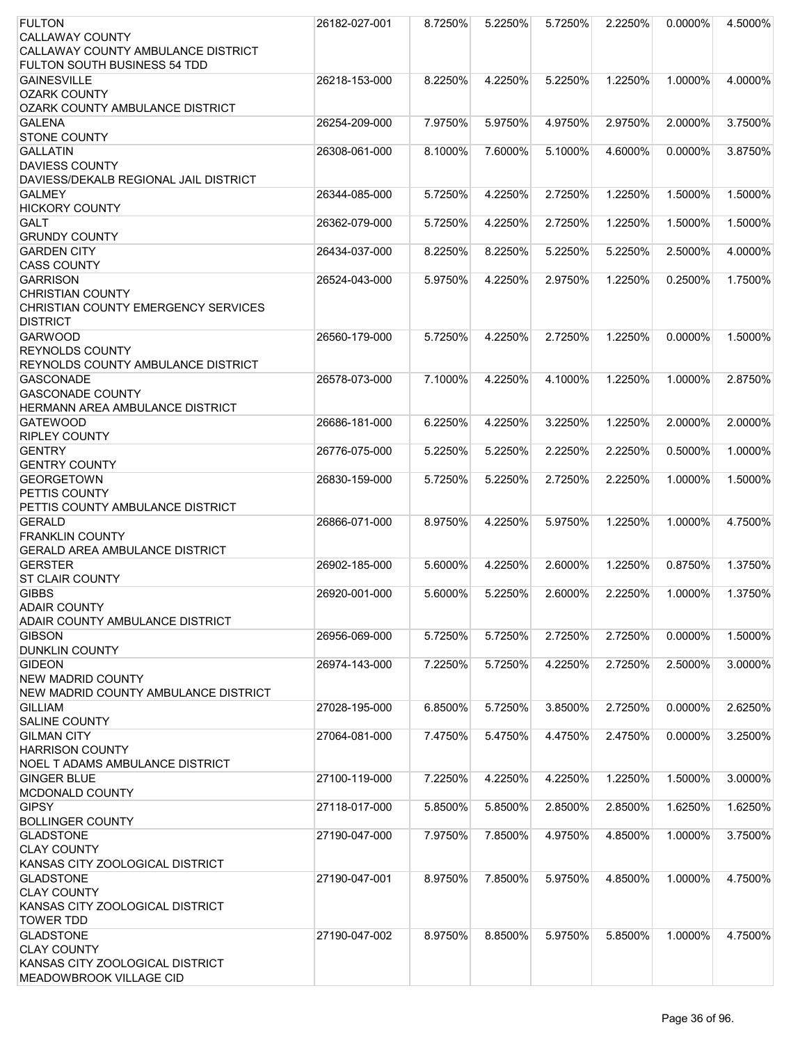| <b>FULTON</b>                          | 26182-027-001 | 8.7250% | 5.2250% | 5.7250% | 2.2250% | 0.0000%    | 4.5000% |
|----------------------------------------|---------------|---------|---------|---------|---------|------------|---------|
| <b>CALLAWAY COUNTY</b>                 |               |         |         |         |         |            |         |
| CALLAWAY COUNTY AMBULANCE DISTRICT     |               |         |         |         |         |            |         |
| FULTON SOUTH BUSINESS 54 TDD           |               |         |         |         |         |            |         |
| <b>GAINESVILLE</b>                     | 26218-153-000 | 8.2250% | 4.2250% | 5.2250% | 1.2250% | 1.0000%    | 4.0000% |
| <b>OZARK COUNTY</b>                    |               |         |         |         |         |            |         |
| OZARK COUNTY AMBULANCE DISTRICT        |               |         |         |         |         |            |         |
| <b>GALENA</b>                          | 26254-209-000 | 7.9750% | 5.9750% | 4.9750% | 2.9750% | 2.0000%    | 3.7500% |
| <b>STONE COUNTY</b>                    |               |         |         |         |         |            |         |
| <b>GALLATIN</b>                        | 26308-061-000 | 8.1000% | 7.6000% | 5.1000% | 4.6000% | 0.0000%    | 3.8750% |
| <b>DAVIESS COUNTY</b>                  |               |         |         |         |         |            |         |
| DAVIESS/DEKALB REGIONAL JAIL DISTRICT  |               |         |         |         |         |            |         |
| <b>GALMEY</b>                          | 26344-085-000 | 5.7250% | 4.2250% | 2.7250% | 1.2250% | 1.5000%    | 1.5000% |
| <b>HICKORY COUNTY</b>                  |               |         |         |         |         |            |         |
| <b>GALT</b>                            | 26362-079-000 | 5.7250% | 4.2250% | 2.7250% | 1.2250% | 1.5000%    | 1.5000% |
| <b>GRUNDY COUNTY</b>                   |               |         |         |         |         |            |         |
| <b>GARDEN CITY</b>                     | 26434-037-000 | 8.2250% | 8.2250% | 5.2250% | 5.2250% | 2.5000%    | 4.0000% |
| <b>CASS COUNTY</b>                     |               |         |         |         |         |            |         |
|                                        |               |         |         |         |         |            |         |
| <b>GARRISON</b>                        | 26524-043-000 | 5.9750% | 4.2250% | 2.9750% | 1.2250% | 0.2500%    | 1.7500% |
| <b>CHRISTIAN COUNTY</b>                |               |         |         |         |         |            |         |
| CHRISTIAN COUNTY EMERGENCY SERVICES    |               |         |         |         |         |            |         |
| <b>DISTRICT</b>                        |               |         |         |         |         |            |         |
| <b>GARWOOD</b>                         | 26560-179-000 | 5.7250% | 4.2250% | 2.7250% | 1.2250% | $0.0000\%$ | 1.5000% |
| <b>REYNOLDS COUNTY</b>                 |               |         |         |         |         |            |         |
| REYNOLDS COUNTY AMBULANCE DISTRICT     |               |         |         |         |         |            |         |
| <b>GASCONADE</b>                       | 26578-073-000 | 7.1000% | 4.2250% | 4.1000% | 1.2250% | 1.0000%    | 2.8750% |
| <b>GASCONADE COUNTY</b>                |               |         |         |         |         |            |         |
| <b>HERMANN AREA AMBULANCE DISTRICT</b> |               |         |         |         |         |            |         |
| <b>GATEWOOD</b>                        | 26686-181-000 | 6.2250% | 4.2250% | 3.2250% | 1.2250% | 2.0000%    | 2.0000% |
| <b>RIPLEY COUNTY</b>                   |               |         |         |         |         |            |         |
| <b>GENTRY</b>                          | 26776-075-000 | 5.2250% | 5.2250% | 2.2250% | 2.2250% | 0.5000%    | 1.0000% |
| <b>GENTRY COUNTY</b>                   |               |         |         |         |         |            |         |
| <b>GEORGETOWN</b>                      | 26830-159-000 | 5.7250% | 5.2250% | 2.7250% | 2.2250% | 1.0000%    | 1.5000% |
| PETTIS COUNTY                          |               |         |         |         |         |            |         |
| PETTIS COUNTY AMBULANCE DISTRICT       |               |         |         |         |         |            |         |
| <b>GERALD</b>                          | 26866-071-000 | 8.9750% | 4.2250% | 5.9750% | 1.2250% | 1.0000%    | 4.7500% |
| <b>FRANKLIN COUNTY</b>                 |               |         |         |         |         |            |         |
| <b>GERALD AREA AMBULANCE DISTRICT</b>  |               |         |         |         |         |            |         |
| <b>GERSTER</b>                         | 26902-185-000 | 5.6000% | 4.2250% | 2.6000% | 1.2250% | 0.8750%    | 1.3750% |
| ST CLAIR COUNTY                        |               |         |         |         |         |            |         |
| <b>GIBBS</b>                           | 26920-001-000 | 5.6000% | 5.2250% | 2.6000% | 2.2250% | 1.0000%    | 1.3750% |
| <b>ADAIR COUNTY</b>                    |               |         |         |         |         |            |         |
| ADAIR COUNTY AMBULANCE DISTRICT        |               |         |         |         |         |            |         |
| <b>GIBSON</b>                          | 26956-069-000 | 5.7250% | 5.7250% | 2.7250% | 2.7250% | 0.0000%    | 1.5000% |
| DUNKLIN COUNTY                         |               |         |         |         |         |            |         |
| <b>GIDEON</b>                          | 26974-143-000 | 7.2250% | 5.7250% | 4.2250% | 2.7250% | 2.5000%    | 3.0000% |
| <b>NEW MADRID COUNTY</b>               |               |         |         |         |         |            |         |
| NEW MADRID COUNTY AMBULANCE DISTRICT   |               |         |         |         |         |            |         |
| <b>GILLIAM</b>                         | 27028-195-000 | 6.8500% | 5.7250% | 3.8500% | 2.7250% | 0.0000%    | 2.6250% |
| <b>SALINE COUNTY</b>                   |               |         |         |         |         |            |         |
| <b>GILMAN CITY</b>                     | 27064-081-000 | 7.4750% | 5.4750% | 4.4750% | 2.4750% | 0.0000%    | 3.2500% |
| <b>HARRISON COUNTY</b>                 |               |         |         |         |         |            |         |
| NOEL T ADAMS AMBULANCE DISTRICT        |               |         |         |         |         |            |         |
| <b>GINGER BLUE</b>                     | 27100-119-000 | 7.2250% | 4.2250% | 4.2250% | 1.2250% | 1.5000%    | 3.0000% |
| MCDONALD COUNTY                        |               |         |         |         |         |            |         |
| <b>GIPSY</b>                           |               |         |         |         |         |            |         |
|                                        | 27118-017-000 | 5.8500% | 5.8500% | 2.8500% | 2.8500% | 1.6250%    | 1.6250% |
| <b>BOLLINGER COUNTY</b>                |               |         |         |         |         |            |         |
| <b>GLADSTONE</b>                       | 27190-047-000 | 7.9750% | 7.8500% | 4.9750% | 4.8500% | 1.0000%    | 3.7500% |
| <b>CLAY COUNTY</b>                     |               |         |         |         |         |            |         |
| KANSAS CITY ZOOLOGICAL DISTRICT        |               |         |         |         |         |            |         |
| <b>GLADSTONE</b>                       | 27190-047-001 | 8.9750% | 7.8500% | 5.9750% | 4.8500% | 1.0000%    | 4.7500% |
| <b>CLAY COUNTY</b>                     |               |         |         |         |         |            |         |
| KANSAS CITY ZOOLOGICAL DISTRICT        |               |         |         |         |         |            |         |
| <b>TOWER TDD</b>                       |               |         |         |         |         |            |         |
| <b>GLADSTONE</b>                       | 27190-047-002 | 8.9750% | 8.8500% | 5.9750% | 5.8500% | 1.0000%    | 4.7500% |
| <b>CLAY COUNTY</b>                     |               |         |         |         |         |            |         |
| KANSAS CITY ZOOLOGICAL DISTRICT        |               |         |         |         |         |            |         |
| MEADOWBROOK VILLAGE CID                |               |         |         |         |         |            |         |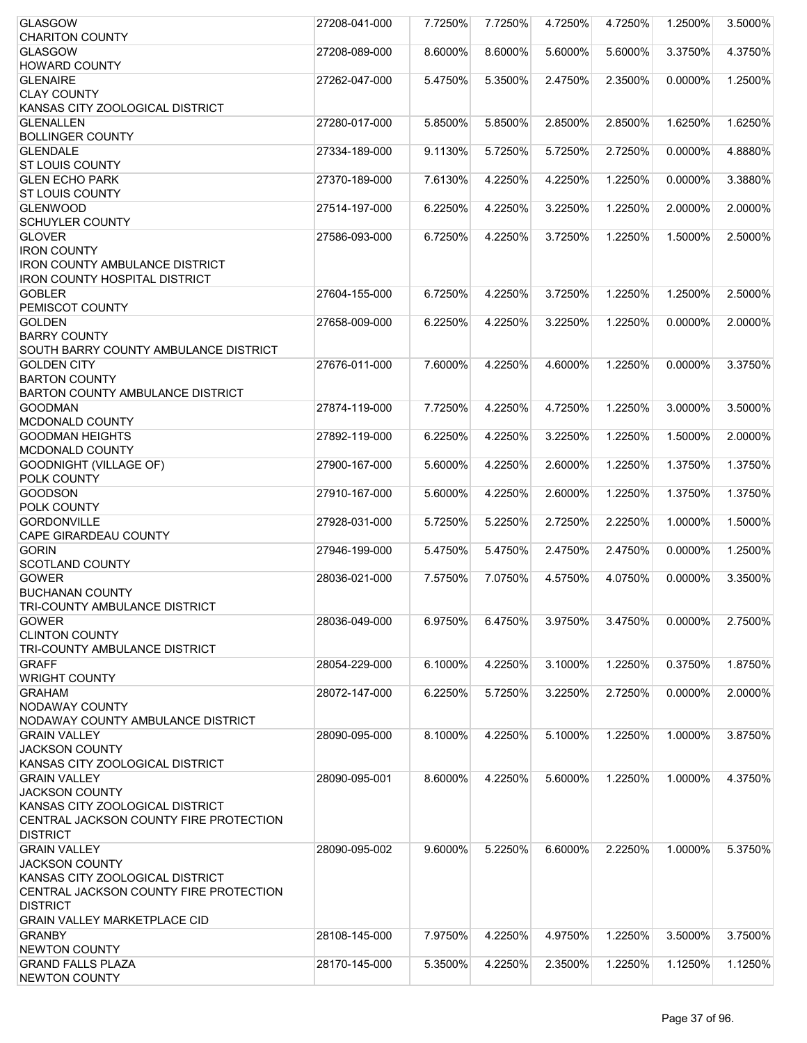| <b>GLASGOW</b>                                            | 27208-041-000 | 7.7250% | 7.7250% | 4.7250% | 4.7250% | 1.2500%    | 3.5000% |
|-----------------------------------------------------------|---------------|---------|---------|---------|---------|------------|---------|
| <b>CHARITON COUNTY</b>                                    |               |         |         |         |         |            |         |
| <b>GLASGOW</b>                                            | 27208-089-000 | 8.6000% | 8.6000% | 5.6000% | 5.6000% | 3.3750%    | 4.3750% |
| <b>HOWARD COUNTY</b>                                      |               |         |         |         |         |            |         |
| <b>GLENAIRE</b>                                           | 27262-047-000 | 5.4750% | 5.3500% | 2.4750% | 2.3500% | 0.0000%    | 1.2500% |
| <b>CLAY COUNTY</b><br>KANSAS CITY ZOOLOGICAL DISTRICT     |               |         |         |         |         |            |         |
| <b>GLENALLEN</b>                                          | 27280-017-000 | 5.8500% | 5.8500% | 2.8500% | 2.8500% | 1.6250%    | 1.6250% |
| <b>BOLLINGER COUNTY</b>                                   |               |         |         |         |         |            |         |
| <b>GLENDALE</b>                                           | 27334-189-000 | 9.1130% | 5.7250% | 5.7250% | 2.7250% | 0.0000%    | 4.8880% |
| <b>ST LOUIS COUNTY</b>                                    |               |         |         |         |         |            |         |
| <b>GLEN ECHO PARK</b>                                     | 27370-189-000 | 7.6130% | 4.2250% | 4.2250% | 1.2250% | 0.0000%    | 3.3880% |
| <b>ST LOUIS COUNTY</b>                                    |               |         |         |         |         |            |         |
| <b>GLENWOOD</b>                                           | 27514-197-000 | 6.2250% | 4.2250% | 3.2250% | 1.2250% | 2.0000%    | 2.0000% |
| <b>SCHUYLER COUNTY</b>                                    |               |         |         |         |         |            |         |
| <b>GLOVER</b>                                             | 27586-093-000 | 6.7250% | 4.2250% | 3.7250% | 1.2250% | 1.5000%    | 2.5000% |
| <b>IRON COUNTY</b>                                        |               |         |         |         |         |            |         |
| <b>IRON COUNTY AMBULANCE DISTRICT</b>                     |               |         |         |         |         |            |         |
| <b>IRON COUNTY HOSPITAL DISTRICT</b>                      |               |         |         |         |         |            |         |
| <b>GOBLER</b>                                             | 27604-155-000 | 6.7250% | 4.2250% | 3.7250% | 1.2250% | 1.2500%    | 2.5000% |
| PEMISCOT COUNTY                                           |               |         |         |         |         |            |         |
| <b>GOLDEN</b>                                             | 27658-009-000 | 6.2250% | 4.2250% | 3.2250% | 1.2250% | 0.0000%    | 2.0000% |
| <b>BARRY COUNTY</b>                                       |               |         |         |         |         |            |         |
| SOUTH BARRY COUNTY AMBULANCE DISTRICT                     |               |         |         |         |         |            |         |
| <b>GOLDEN CITY</b>                                        | 27676-011-000 | 7.6000% | 4.2250% | 4.6000% | 1.2250% | $0.0000\%$ | 3.3750% |
| <b>BARTON COUNTY</b>                                      |               |         |         |         |         |            |         |
| <b>BARTON COUNTY AMBULANCE DISTRICT</b>                   |               |         |         |         |         |            |         |
| <b>GOODMAN</b>                                            | 27874-119-000 | 7.7250% | 4.2250% | 4.7250% | 1.2250% | 3.0000%    | 3.5000% |
| MCDONALD COUNTY                                           |               |         |         |         |         |            |         |
| <b>GOODMAN HEIGHTS</b>                                    | 27892-119-000 | 6.2250% | 4.2250% | 3.2250% | 1.2250% | 1.5000%    | 2.0000% |
| MCDONALD COUNTY                                           |               |         |         |         |         |            |         |
| <b>GOODNIGHT (VILLAGE OF)</b>                             | 27900-167-000 | 5.6000% | 4.2250% | 2.6000% | 1.2250% | 1.3750%    | 1.3750% |
| POLK COUNTY                                               |               |         |         |         |         |            |         |
| <b>GOODSON</b>                                            | 27910-167-000 | 5.6000% | 4.2250% | 2.6000% | 1.2250% | 1.3750%    | 1.3750% |
| POLK COUNTY<br><b>GORDONVILLE</b>                         | 27928-031-000 |         |         |         | 2.2250% |            | 1.5000% |
| CAPE GIRARDEAU COUNTY                                     |               | 5.7250% | 5.2250% | 2.7250% |         | 1.0000%    |         |
| <b>GORIN</b>                                              | 27946-199-000 | 5.4750% | 5.4750% | 2.4750% | 2.4750% | 0.0000%    | 1.2500% |
| <b>SCOTLAND COUNTY</b>                                    |               |         |         |         |         |            |         |
| GOWER                                                     | 28036-021-000 | 7.5750% | 7.0750% | 4.5750% | 4.0750% | $0.0000\%$ | 3.3500% |
| <b>BUCHANAN COUNTY</b>                                    |               |         |         |         |         |            |         |
| <b>TRI-COUNTY AMBULANCE DISTRICT</b>                      |               |         |         |         |         |            |         |
| <b>GOWER</b>                                              | 28036-049-000 | 6.9750% | 6.4750% | 3.9750% | 3.4750% | 0.0000%    | 2.7500% |
| <b>CLINTON COUNTY</b>                                     |               |         |         |         |         |            |         |
| <b>TRI-COUNTY AMBULANCE DISTRICT</b>                      |               |         |         |         |         |            |         |
| <b>GRAFF</b>                                              | 28054-229-000 | 6.1000% | 4.2250% | 3.1000% | 1.2250% | 0.3750%    | 1.8750% |
| <b>WRIGHT COUNTY</b>                                      |               |         |         |         |         |            |         |
| <b>GRAHAM</b>                                             | 28072-147-000 | 6.2250% | 5.7250% | 3.2250% | 2.7250% | 0.0000%    | 2.0000% |
| NODAWAY COUNTY                                            |               |         |         |         |         |            |         |
| NODAWAY COUNTY AMBULANCE DISTRICT                         |               |         |         |         |         |            |         |
| <b>GRAIN VALLEY</b>                                       | 28090-095-000 | 8.1000% | 4.2250% | 5.1000% | 1.2250% | 1.0000%    | 3.8750% |
| <b>JACKSON COUNTY</b>                                     |               |         |         |         |         |            |         |
| KANSAS CITY ZOOLOGICAL DISTRICT                           |               |         |         |         |         |            |         |
| <b>GRAIN VALLEY</b>                                       | 28090-095-001 | 8.6000% | 4.2250% | 5.6000% | 1.2250% | 1.0000%    | 4.3750% |
| <b>JACKSON COUNTY</b>                                     |               |         |         |         |         |            |         |
| KANSAS CITY ZOOLOGICAL DISTRICT                           |               |         |         |         |         |            |         |
| CENTRAL JACKSON COUNTY FIRE PROTECTION                    |               |         |         |         |         |            |         |
| <b>DISTRICT</b>                                           |               |         |         |         |         |            |         |
| <b>GRAIN VALLEY</b>                                       | 28090-095-002 | 9.6000% | 5.2250% | 6.6000% | 2.2250% | 1.0000%    | 5.3750% |
| <b>JACKSON COUNTY</b>                                     |               |         |         |         |         |            |         |
| KANSAS CITY ZOOLOGICAL DISTRICT                           |               |         |         |         |         |            |         |
| CENTRAL JACKSON COUNTY FIRE PROTECTION<br><b>DISTRICT</b> |               |         |         |         |         |            |         |
| <b>GRAIN VALLEY MARKETPLACE CID</b>                       |               |         |         |         |         |            |         |
| <b>GRANBY</b>                                             | 28108-145-000 | 7.9750% | 4.2250% | 4.9750% | 1.2250% | 3.5000%    | 3.7500% |
| <b>NEWTON COUNTY</b>                                      |               |         |         |         |         |            |         |
| <b>GRAND FALLS PLAZA</b>                                  | 28170-145-000 | 5.3500% | 4.2250% | 2.3500% | 1.2250% | 1.1250%    | 1.1250% |
| <b>NEWTON COUNTY</b>                                      |               |         |         |         |         |            |         |
|                                                           |               |         |         |         |         |            |         |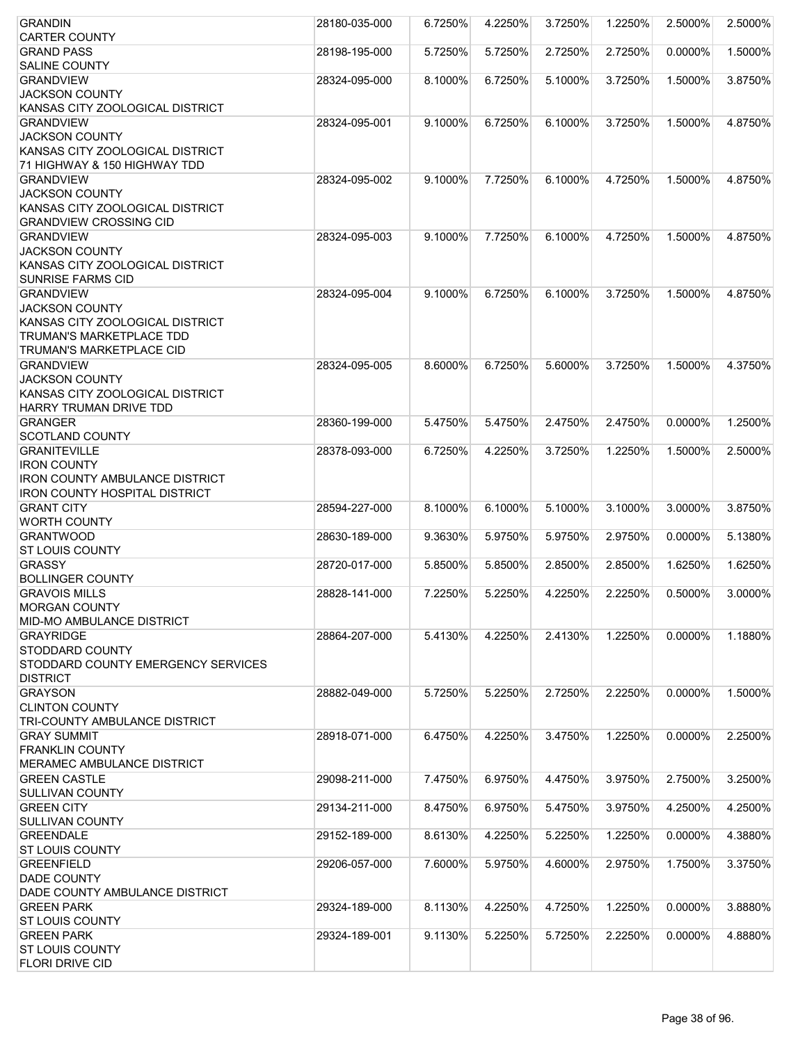| 5.7250%<br>5.7250%<br>2.7250%<br>2.7250%<br>1.5000%<br>28198-195-000<br>0.0000%<br><b>SALINE COUNTY</b><br><b>GRANDVIEW</b><br>8.1000%<br>6.7250%<br>5.1000%<br>3.7250%<br>1.5000%<br>3.8750%<br>28324-095-000<br><b>JACKSON COUNTY</b><br>KANSAS CITY ZOOLOGICAL DISTRICT<br><b>GRANDVIEW</b><br>9.1000%<br>6.7250%<br>6.1000%<br>3.7250%<br>1.5000%<br>4.8750%<br>28324-095-001<br><b>JACKSON COUNTY</b><br>KANSAS CITY ZOOLOGICAL DISTRICT<br>71 HIGHWAY & 150 HIGHWAY TDD<br><b>GRANDVIEW</b><br>1.5000%<br>4.8750%<br>28324-095-002<br>9.1000%<br>7.7250%<br>6.1000%<br>4.7250%<br><b>JACKSON COUNTY</b><br>KANSAS CITY ZOOLOGICAL DISTRICT<br><b>GRANDVIEW CROSSING CID</b><br><b>GRANDVIEW</b><br>1.5000%<br>4.8750%<br>28324-095-003<br>9.1000%<br>7.7250%<br>$6.1000\%$<br>4.7250%<br><b>JACKSON COUNTY</b><br>KANSAS CITY ZOOLOGICAL DISTRICT<br><b>SUNRISE FARMS CID</b><br><b>GRANDVIEW</b><br>4.8750%<br>28324-095-004<br>9.1000%<br>6.7250%<br>6.1000%<br>3.7250%<br>1.5000%<br><b>JACKSON COUNTY</b><br>KANSAS CITY ZOOLOGICAL DISTRICT<br>TRUMAN'S MARKETPLACE TDD<br>TRUMAN'S MARKETPLACE CID<br><b>GRANDVIEW</b><br>8.6000%<br>6.7250%<br>5.6000%<br>3.7250%<br>1.5000%<br>4.3750%<br>28324-095-005<br><b>JACKSON COUNTY</b><br>KANSAS CITY ZOOLOGICAL DISTRICT<br>5.4750%<br>5.4750%<br>2.4750%<br>2.4750%<br>0.0000%<br>1.2500%<br>28360-199-000<br><b>SCOTLAND COUNTY</b><br>4.2250%<br>1.2250%<br>1.5000%<br>28378-093-000<br>6.7250%<br>3.7250%<br>2.5000%<br><b>IRON COUNTY HOSPITAL DISTRICT</b><br>28594-227-000<br>8.1000%<br>6.1000%<br>5.1000%<br>3.1000%<br>3.0000%<br>3.8750%<br><b>WORTH COUNTY</b><br>5.1380%<br>28630-189-000<br>9.3630%<br>5.9750%<br>5.9750%<br>2.9750%<br>$0.0000\%$<br><b>ST LOUIS COUNTY</b><br><b>GRASSY</b><br>5.8500%<br>5.8500%<br>2.8500%<br>2.8500%<br>1.6250%<br>1.6250%<br>28720-017-000<br><b>BOLLINGER COUNTY</b><br>28828-141-000<br>7.2250%<br>5.2250%<br>4.2250%<br>2.2250%<br>0.5000%<br>3.0000%<br>5.4130%<br>4.2250%<br>2.4130%<br>1.2250%<br>$0.0000\%$<br>1.1880%<br>28864-207-000<br>5.7250%<br>5.2250%<br>2.7250%<br>2.2250%<br>0.0000%<br>1.5000%<br>28882-049-000<br>TRI-COUNTY AMBULANCE DISTRICT<br>6.4750%<br>4.2250%<br>3.4750%<br>1.2250%<br>0.0000%<br>2.2500%<br>28918-071-000<br>29098-211-000<br>7.4750%<br>6.9750%<br>4.4750%<br>3.9750%<br>2.7500%<br>3.2500%<br>29134-211-000<br>8.4750%<br>6.9750%<br>5.4750%<br>3.9750%<br>4.2500%<br>4.2500%<br><b>SULLIVAN COUNTY</b><br>8.6130%<br>4.2250%<br>5.2250%<br>1.2250%<br>0.0000%<br>4.3880%<br>29152-189-000<br>7.6000%<br>5.9750%<br>4.6000%<br>2.9750%<br>1.7500%<br>3.3750%<br>29206-057-000<br>4.2250%<br>4.7250%<br>1.2250%<br>$0.0000\%$<br>3.8880%<br>29324-189-000<br>8.1130%<br>5.2250%<br>5.7250%<br>2.2250%<br>0.0000%<br>4.8880%<br>29324-189-001<br>9.1130% | <b>GRANDIN</b>                        | 28180-035-000 | 6.7250% | 4.2250% | 3.7250% | 1.2250% | 2.5000% | 2.5000% |
|-------------------------------------------------------------------------------------------------------------------------------------------------------------------------------------------------------------------------------------------------------------------------------------------------------------------------------------------------------------------------------------------------------------------------------------------------------------------------------------------------------------------------------------------------------------------------------------------------------------------------------------------------------------------------------------------------------------------------------------------------------------------------------------------------------------------------------------------------------------------------------------------------------------------------------------------------------------------------------------------------------------------------------------------------------------------------------------------------------------------------------------------------------------------------------------------------------------------------------------------------------------------------------------------------------------------------------------------------------------------------------------------------------------------------------------------------------------------------------------------------------------------------------------------------------------------------------------------------------------------------------------------------------------------------------------------------------------------------------------------------------------------------------------------------------------------------------------------------------------------------------------------------------------------------------------------------------------------------------------------------------------------------------------------------------------------------------------------------------------------------------------------------------------------------------------------------------------------------------------------------------------------------------------------------------------------------------------------------------------------------------------------------------------------------------------------------------------------------------------------------------------------------------------------------------------------------------------------------------------------------------------------------------------------------------------------------------------------------------------------------------------------------------------------------------------------|---------------------------------------|---------------|---------|---------|---------|---------|---------|---------|
|                                                                                                                                                                                                                                                                                                                                                                                                                                                                                                                                                                                                                                                                                                                                                                                                                                                                                                                                                                                                                                                                                                                                                                                                                                                                                                                                                                                                                                                                                                                                                                                                                                                                                                                                                                                                                                                                                                                                                                                                                                                                                                                                                                                                                                                                                                                                                                                                                                                                                                                                                                                                                                                                                                                                                                                                                   | <b>CARTER COUNTY</b>                  |               |         |         |         |         |         |         |
|                                                                                                                                                                                                                                                                                                                                                                                                                                                                                                                                                                                                                                                                                                                                                                                                                                                                                                                                                                                                                                                                                                                                                                                                                                                                                                                                                                                                                                                                                                                                                                                                                                                                                                                                                                                                                                                                                                                                                                                                                                                                                                                                                                                                                                                                                                                                                                                                                                                                                                                                                                                                                                                                                                                                                                                                                   | <b>GRAND PASS</b>                     |               |         |         |         |         |         |         |
|                                                                                                                                                                                                                                                                                                                                                                                                                                                                                                                                                                                                                                                                                                                                                                                                                                                                                                                                                                                                                                                                                                                                                                                                                                                                                                                                                                                                                                                                                                                                                                                                                                                                                                                                                                                                                                                                                                                                                                                                                                                                                                                                                                                                                                                                                                                                                                                                                                                                                                                                                                                                                                                                                                                                                                                                                   |                                       |               |         |         |         |         |         |         |
|                                                                                                                                                                                                                                                                                                                                                                                                                                                                                                                                                                                                                                                                                                                                                                                                                                                                                                                                                                                                                                                                                                                                                                                                                                                                                                                                                                                                                                                                                                                                                                                                                                                                                                                                                                                                                                                                                                                                                                                                                                                                                                                                                                                                                                                                                                                                                                                                                                                                                                                                                                                                                                                                                                                                                                                                                   |                                       |               |         |         |         |         |         |         |
|                                                                                                                                                                                                                                                                                                                                                                                                                                                                                                                                                                                                                                                                                                                                                                                                                                                                                                                                                                                                                                                                                                                                                                                                                                                                                                                                                                                                                                                                                                                                                                                                                                                                                                                                                                                                                                                                                                                                                                                                                                                                                                                                                                                                                                                                                                                                                                                                                                                                                                                                                                                                                                                                                                                                                                                                                   |                                       |               |         |         |         |         |         |         |
|                                                                                                                                                                                                                                                                                                                                                                                                                                                                                                                                                                                                                                                                                                                                                                                                                                                                                                                                                                                                                                                                                                                                                                                                                                                                                                                                                                                                                                                                                                                                                                                                                                                                                                                                                                                                                                                                                                                                                                                                                                                                                                                                                                                                                                                                                                                                                                                                                                                                                                                                                                                                                                                                                                                                                                                                                   |                                       |               |         |         |         |         |         |         |
|                                                                                                                                                                                                                                                                                                                                                                                                                                                                                                                                                                                                                                                                                                                                                                                                                                                                                                                                                                                                                                                                                                                                                                                                                                                                                                                                                                                                                                                                                                                                                                                                                                                                                                                                                                                                                                                                                                                                                                                                                                                                                                                                                                                                                                                                                                                                                                                                                                                                                                                                                                                                                                                                                                                                                                                                                   |                                       |               |         |         |         |         |         |         |
|                                                                                                                                                                                                                                                                                                                                                                                                                                                                                                                                                                                                                                                                                                                                                                                                                                                                                                                                                                                                                                                                                                                                                                                                                                                                                                                                                                                                                                                                                                                                                                                                                                                                                                                                                                                                                                                                                                                                                                                                                                                                                                                                                                                                                                                                                                                                                                                                                                                                                                                                                                                                                                                                                                                                                                                                                   |                                       |               |         |         |         |         |         |         |
|                                                                                                                                                                                                                                                                                                                                                                                                                                                                                                                                                                                                                                                                                                                                                                                                                                                                                                                                                                                                                                                                                                                                                                                                                                                                                                                                                                                                                                                                                                                                                                                                                                                                                                                                                                                                                                                                                                                                                                                                                                                                                                                                                                                                                                                                                                                                                                                                                                                                                                                                                                                                                                                                                                                                                                                                                   |                                       |               |         |         |         |         |         |         |
|                                                                                                                                                                                                                                                                                                                                                                                                                                                                                                                                                                                                                                                                                                                                                                                                                                                                                                                                                                                                                                                                                                                                                                                                                                                                                                                                                                                                                                                                                                                                                                                                                                                                                                                                                                                                                                                                                                                                                                                                                                                                                                                                                                                                                                                                                                                                                                                                                                                                                                                                                                                                                                                                                                                                                                                                                   |                                       |               |         |         |         |         |         |         |
|                                                                                                                                                                                                                                                                                                                                                                                                                                                                                                                                                                                                                                                                                                                                                                                                                                                                                                                                                                                                                                                                                                                                                                                                                                                                                                                                                                                                                                                                                                                                                                                                                                                                                                                                                                                                                                                                                                                                                                                                                                                                                                                                                                                                                                                                                                                                                                                                                                                                                                                                                                                                                                                                                                                                                                                                                   |                                       |               |         |         |         |         |         |         |
|                                                                                                                                                                                                                                                                                                                                                                                                                                                                                                                                                                                                                                                                                                                                                                                                                                                                                                                                                                                                                                                                                                                                                                                                                                                                                                                                                                                                                                                                                                                                                                                                                                                                                                                                                                                                                                                                                                                                                                                                                                                                                                                                                                                                                                                                                                                                                                                                                                                                                                                                                                                                                                                                                                                                                                                                                   |                                       |               |         |         |         |         |         |         |
|                                                                                                                                                                                                                                                                                                                                                                                                                                                                                                                                                                                                                                                                                                                                                                                                                                                                                                                                                                                                                                                                                                                                                                                                                                                                                                                                                                                                                                                                                                                                                                                                                                                                                                                                                                                                                                                                                                                                                                                                                                                                                                                                                                                                                                                                                                                                                                                                                                                                                                                                                                                                                                                                                                                                                                                                                   |                                       |               |         |         |         |         |         |         |
|                                                                                                                                                                                                                                                                                                                                                                                                                                                                                                                                                                                                                                                                                                                                                                                                                                                                                                                                                                                                                                                                                                                                                                                                                                                                                                                                                                                                                                                                                                                                                                                                                                                                                                                                                                                                                                                                                                                                                                                                                                                                                                                                                                                                                                                                                                                                                                                                                                                                                                                                                                                                                                                                                                                                                                                                                   |                                       |               |         |         |         |         |         |         |
|                                                                                                                                                                                                                                                                                                                                                                                                                                                                                                                                                                                                                                                                                                                                                                                                                                                                                                                                                                                                                                                                                                                                                                                                                                                                                                                                                                                                                                                                                                                                                                                                                                                                                                                                                                                                                                                                                                                                                                                                                                                                                                                                                                                                                                                                                                                                                                                                                                                                                                                                                                                                                                                                                                                                                                                                                   |                                       |               |         |         |         |         |         |         |
|                                                                                                                                                                                                                                                                                                                                                                                                                                                                                                                                                                                                                                                                                                                                                                                                                                                                                                                                                                                                                                                                                                                                                                                                                                                                                                                                                                                                                                                                                                                                                                                                                                                                                                                                                                                                                                                                                                                                                                                                                                                                                                                                                                                                                                                                                                                                                                                                                                                                                                                                                                                                                                                                                                                                                                                                                   |                                       |               |         |         |         |         |         |         |
|                                                                                                                                                                                                                                                                                                                                                                                                                                                                                                                                                                                                                                                                                                                                                                                                                                                                                                                                                                                                                                                                                                                                                                                                                                                                                                                                                                                                                                                                                                                                                                                                                                                                                                                                                                                                                                                                                                                                                                                                                                                                                                                                                                                                                                                                                                                                                                                                                                                                                                                                                                                                                                                                                                                                                                                                                   |                                       |               |         |         |         |         |         |         |
|                                                                                                                                                                                                                                                                                                                                                                                                                                                                                                                                                                                                                                                                                                                                                                                                                                                                                                                                                                                                                                                                                                                                                                                                                                                                                                                                                                                                                                                                                                                                                                                                                                                                                                                                                                                                                                                                                                                                                                                                                                                                                                                                                                                                                                                                                                                                                                                                                                                                                                                                                                                                                                                                                                                                                                                                                   |                                       |               |         |         |         |         |         |         |
|                                                                                                                                                                                                                                                                                                                                                                                                                                                                                                                                                                                                                                                                                                                                                                                                                                                                                                                                                                                                                                                                                                                                                                                                                                                                                                                                                                                                                                                                                                                                                                                                                                                                                                                                                                                                                                                                                                                                                                                                                                                                                                                                                                                                                                                                                                                                                                                                                                                                                                                                                                                                                                                                                                                                                                                                                   |                                       |               |         |         |         |         |         |         |
|                                                                                                                                                                                                                                                                                                                                                                                                                                                                                                                                                                                                                                                                                                                                                                                                                                                                                                                                                                                                                                                                                                                                                                                                                                                                                                                                                                                                                                                                                                                                                                                                                                                                                                                                                                                                                                                                                                                                                                                                                                                                                                                                                                                                                                                                                                                                                                                                                                                                                                                                                                                                                                                                                                                                                                                                                   |                                       |               |         |         |         |         |         |         |
|                                                                                                                                                                                                                                                                                                                                                                                                                                                                                                                                                                                                                                                                                                                                                                                                                                                                                                                                                                                                                                                                                                                                                                                                                                                                                                                                                                                                                                                                                                                                                                                                                                                                                                                                                                                                                                                                                                                                                                                                                                                                                                                                                                                                                                                                                                                                                                                                                                                                                                                                                                                                                                                                                                                                                                                                                   |                                       |               |         |         |         |         |         |         |
|                                                                                                                                                                                                                                                                                                                                                                                                                                                                                                                                                                                                                                                                                                                                                                                                                                                                                                                                                                                                                                                                                                                                                                                                                                                                                                                                                                                                                                                                                                                                                                                                                                                                                                                                                                                                                                                                                                                                                                                                                                                                                                                                                                                                                                                                                                                                                                                                                                                                                                                                                                                                                                                                                                                                                                                                                   |                                       |               |         |         |         |         |         |         |
|                                                                                                                                                                                                                                                                                                                                                                                                                                                                                                                                                                                                                                                                                                                                                                                                                                                                                                                                                                                                                                                                                                                                                                                                                                                                                                                                                                                                                                                                                                                                                                                                                                                                                                                                                                                                                                                                                                                                                                                                                                                                                                                                                                                                                                                                                                                                                                                                                                                                                                                                                                                                                                                                                                                                                                                                                   |                                       |               |         |         |         |         |         |         |
|                                                                                                                                                                                                                                                                                                                                                                                                                                                                                                                                                                                                                                                                                                                                                                                                                                                                                                                                                                                                                                                                                                                                                                                                                                                                                                                                                                                                                                                                                                                                                                                                                                                                                                                                                                                                                                                                                                                                                                                                                                                                                                                                                                                                                                                                                                                                                                                                                                                                                                                                                                                                                                                                                                                                                                                                                   |                                       |               |         |         |         |         |         |         |
|                                                                                                                                                                                                                                                                                                                                                                                                                                                                                                                                                                                                                                                                                                                                                                                                                                                                                                                                                                                                                                                                                                                                                                                                                                                                                                                                                                                                                                                                                                                                                                                                                                                                                                                                                                                                                                                                                                                                                                                                                                                                                                                                                                                                                                                                                                                                                                                                                                                                                                                                                                                                                                                                                                                                                                                                                   |                                       |               |         |         |         |         |         |         |
|                                                                                                                                                                                                                                                                                                                                                                                                                                                                                                                                                                                                                                                                                                                                                                                                                                                                                                                                                                                                                                                                                                                                                                                                                                                                                                                                                                                                                                                                                                                                                                                                                                                                                                                                                                                                                                                                                                                                                                                                                                                                                                                                                                                                                                                                                                                                                                                                                                                                                                                                                                                                                                                                                                                                                                                                                   |                                       |               |         |         |         |         |         |         |
|                                                                                                                                                                                                                                                                                                                                                                                                                                                                                                                                                                                                                                                                                                                                                                                                                                                                                                                                                                                                                                                                                                                                                                                                                                                                                                                                                                                                                                                                                                                                                                                                                                                                                                                                                                                                                                                                                                                                                                                                                                                                                                                                                                                                                                                                                                                                                                                                                                                                                                                                                                                                                                                                                                                                                                                                                   | <b>HARRY TRUMAN DRIVE TDD</b>         |               |         |         |         |         |         |         |
|                                                                                                                                                                                                                                                                                                                                                                                                                                                                                                                                                                                                                                                                                                                                                                                                                                                                                                                                                                                                                                                                                                                                                                                                                                                                                                                                                                                                                                                                                                                                                                                                                                                                                                                                                                                                                                                                                                                                                                                                                                                                                                                                                                                                                                                                                                                                                                                                                                                                                                                                                                                                                                                                                                                                                                                                                   | <b>GRANGER</b>                        |               |         |         |         |         |         |         |
|                                                                                                                                                                                                                                                                                                                                                                                                                                                                                                                                                                                                                                                                                                                                                                                                                                                                                                                                                                                                                                                                                                                                                                                                                                                                                                                                                                                                                                                                                                                                                                                                                                                                                                                                                                                                                                                                                                                                                                                                                                                                                                                                                                                                                                                                                                                                                                                                                                                                                                                                                                                                                                                                                                                                                                                                                   |                                       |               |         |         |         |         |         |         |
|                                                                                                                                                                                                                                                                                                                                                                                                                                                                                                                                                                                                                                                                                                                                                                                                                                                                                                                                                                                                                                                                                                                                                                                                                                                                                                                                                                                                                                                                                                                                                                                                                                                                                                                                                                                                                                                                                                                                                                                                                                                                                                                                                                                                                                                                                                                                                                                                                                                                                                                                                                                                                                                                                                                                                                                                                   | <b>GRANITEVILLE</b>                   |               |         |         |         |         |         |         |
|                                                                                                                                                                                                                                                                                                                                                                                                                                                                                                                                                                                                                                                                                                                                                                                                                                                                                                                                                                                                                                                                                                                                                                                                                                                                                                                                                                                                                                                                                                                                                                                                                                                                                                                                                                                                                                                                                                                                                                                                                                                                                                                                                                                                                                                                                                                                                                                                                                                                                                                                                                                                                                                                                                                                                                                                                   | <b>IRON COUNTY</b>                    |               |         |         |         |         |         |         |
|                                                                                                                                                                                                                                                                                                                                                                                                                                                                                                                                                                                                                                                                                                                                                                                                                                                                                                                                                                                                                                                                                                                                                                                                                                                                                                                                                                                                                                                                                                                                                                                                                                                                                                                                                                                                                                                                                                                                                                                                                                                                                                                                                                                                                                                                                                                                                                                                                                                                                                                                                                                                                                                                                                                                                                                                                   | <b>IRON COUNTY AMBULANCE DISTRICT</b> |               |         |         |         |         |         |         |
|                                                                                                                                                                                                                                                                                                                                                                                                                                                                                                                                                                                                                                                                                                                                                                                                                                                                                                                                                                                                                                                                                                                                                                                                                                                                                                                                                                                                                                                                                                                                                                                                                                                                                                                                                                                                                                                                                                                                                                                                                                                                                                                                                                                                                                                                                                                                                                                                                                                                                                                                                                                                                                                                                                                                                                                                                   |                                       |               |         |         |         |         |         |         |
|                                                                                                                                                                                                                                                                                                                                                                                                                                                                                                                                                                                                                                                                                                                                                                                                                                                                                                                                                                                                                                                                                                                                                                                                                                                                                                                                                                                                                                                                                                                                                                                                                                                                                                                                                                                                                                                                                                                                                                                                                                                                                                                                                                                                                                                                                                                                                                                                                                                                                                                                                                                                                                                                                                                                                                                                                   | <b>GRANT CITY</b>                     |               |         |         |         |         |         |         |
|                                                                                                                                                                                                                                                                                                                                                                                                                                                                                                                                                                                                                                                                                                                                                                                                                                                                                                                                                                                                                                                                                                                                                                                                                                                                                                                                                                                                                                                                                                                                                                                                                                                                                                                                                                                                                                                                                                                                                                                                                                                                                                                                                                                                                                                                                                                                                                                                                                                                                                                                                                                                                                                                                                                                                                                                                   |                                       |               |         |         |         |         |         |         |
|                                                                                                                                                                                                                                                                                                                                                                                                                                                                                                                                                                                                                                                                                                                                                                                                                                                                                                                                                                                                                                                                                                                                                                                                                                                                                                                                                                                                                                                                                                                                                                                                                                                                                                                                                                                                                                                                                                                                                                                                                                                                                                                                                                                                                                                                                                                                                                                                                                                                                                                                                                                                                                                                                                                                                                                                                   | <b>GRANTWOOD</b>                      |               |         |         |         |         |         |         |
|                                                                                                                                                                                                                                                                                                                                                                                                                                                                                                                                                                                                                                                                                                                                                                                                                                                                                                                                                                                                                                                                                                                                                                                                                                                                                                                                                                                                                                                                                                                                                                                                                                                                                                                                                                                                                                                                                                                                                                                                                                                                                                                                                                                                                                                                                                                                                                                                                                                                                                                                                                                                                                                                                                                                                                                                                   |                                       |               |         |         |         |         |         |         |
|                                                                                                                                                                                                                                                                                                                                                                                                                                                                                                                                                                                                                                                                                                                                                                                                                                                                                                                                                                                                                                                                                                                                                                                                                                                                                                                                                                                                                                                                                                                                                                                                                                                                                                                                                                                                                                                                                                                                                                                                                                                                                                                                                                                                                                                                                                                                                                                                                                                                                                                                                                                                                                                                                                                                                                                                                   |                                       |               |         |         |         |         |         |         |
|                                                                                                                                                                                                                                                                                                                                                                                                                                                                                                                                                                                                                                                                                                                                                                                                                                                                                                                                                                                                                                                                                                                                                                                                                                                                                                                                                                                                                                                                                                                                                                                                                                                                                                                                                                                                                                                                                                                                                                                                                                                                                                                                                                                                                                                                                                                                                                                                                                                                                                                                                                                                                                                                                                                                                                                                                   |                                       |               |         |         |         |         |         |         |
|                                                                                                                                                                                                                                                                                                                                                                                                                                                                                                                                                                                                                                                                                                                                                                                                                                                                                                                                                                                                                                                                                                                                                                                                                                                                                                                                                                                                                                                                                                                                                                                                                                                                                                                                                                                                                                                                                                                                                                                                                                                                                                                                                                                                                                                                                                                                                                                                                                                                                                                                                                                                                                                                                                                                                                                                                   | <b>GRAVOIS MILLS</b>                  |               |         |         |         |         |         |         |
|                                                                                                                                                                                                                                                                                                                                                                                                                                                                                                                                                                                                                                                                                                                                                                                                                                                                                                                                                                                                                                                                                                                                                                                                                                                                                                                                                                                                                                                                                                                                                                                                                                                                                                                                                                                                                                                                                                                                                                                                                                                                                                                                                                                                                                                                                                                                                                                                                                                                                                                                                                                                                                                                                                                                                                                                                   | <b>MORGAN COUNTY</b>                  |               |         |         |         |         |         |         |
|                                                                                                                                                                                                                                                                                                                                                                                                                                                                                                                                                                                                                                                                                                                                                                                                                                                                                                                                                                                                                                                                                                                                                                                                                                                                                                                                                                                                                                                                                                                                                                                                                                                                                                                                                                                                                                                                                                                                                                                                                                                                                                                                                                                                                                                                                                                                                                                                                                                                                                                                                                                                                                                                                                                                                                                                                   | <b>MID-MO AMBULANCE DISTRICT</b>      |               |         |         |         |         |         |         |
|                                                                                                                                                                                                                                                                                                                                                                                                                                                                                                                                                                                                                                                                                                                                                                                                                                                                                                                                                                                                                                                                                                                                                                                                                                                                                                                                                                                                                                                                                                                                                                                                                                                                                                                                                                                                                                                                                                                                                                                                                                                                                                                                                                                                                                                                                                                                                                                                                                                                                                                                                                                                                                                                                                                                                                                                                   | <b>GRAYRIDGE</b>                      |               |         |         |         |         |         |         |
|                                                                                                                                                                                                                                                                                                                                                                                                                                                                                                                                                                                                                                                                                                                                                                                                                                                                                                                                                                                                                                                                                                                                                                                                                                                                                                                                                                                                                                                                                                                                                                                                                                                                                                                                                                                                                                                                                                                                                                                                                                                                                                                                                                                                                                                                                                                                                                                                                                                                                                                                                                                                                                                                                                                                                                                                                   | <b>STODDARD COUNTY</b>                |               |         |         |         |         |         |         |
|                                                                                                                                                                                                                                                                                                                                                                                                                                                                                                                                                                                                                                                                                                                                                                                                                                                                                                                                                                                                                                                                                                                                                                                                                                                                                                                                                                                                                                                                                                                                                                                                                                                                                                                                                                                                                                                                                                                                                                                                                                                                                                                                                                                                                                                                                                                                                                                                                                                                                                                                                                                                                                                                                                                                                                                                                   | STODDARD COUNTY EMERGENCY SERVICES    |               |         |         |         |         |         |         |
|                                                                                                                                                                                                                                                                                                                                                                                                                                                                                                                                                                                                                                                                                                                                                                                                                                                                                                                                                                                                                                                                                                                                                                                                                                                                                                                                                                                                                                                                                                                                                                                                                                                                                                                                                                                                                                                                                                                                                                                                                                                                                                                                                                                                                                                                                                                                                                                                                                                                                                                                                                                                                                                                                                                                                                                                                   | <b>DISTRICT</b>                       |               |         |         |         |         |         |         |
|                                                                                                                                                                                                                                                                                                                                                                                                                                                                                                                                                                                                                                                                                                                                                                                                                                                                                                                                                                                                                                                                                                                                                                                                                                                                                                                                                                                                                                                                                                                                                                                                                                                                                                                                                                                                                                                                                                                                                                                                                                                                                                                                                                                                                                                                                                                                                                                                                                                                                                                                                                                                                                                                                                                                                                                                                   | <b>GRAYSON</b>                        |               |         |         |         |         |         |         |
|                                                                                                                                                                                                                                                                                                                                                                                                                                                                                                                                                                                                                                                                                                                                                                                                                                                                                                                                                                                                                                                                                                                                                                                                                                                                                                                                                                                                                                                                                                                                                                                                                                                                                                                                                                                                                                                                                                                                                                                                                                                                                                                                                                                                                                                                                                                                                                                                                                                                                                                                                                                                                                                                                                                                                                                                                   | <b>CLINTON COUNTY</b>                 |               |         |         |         |         |         |         |
|                                                                                                                                                                                                                                                                                                                                                                                                                                                                                                                                                                                                                                                                                                                                                                                                                                                                                                                                                                                                                                                                                                                                                                                                                                                                                                                                                                                                                                                                                                                                                                                                                                                                                                                                                                                                                                                                                                                                                                                                                                                                                                                                                                                                                                                                                                                                                                                                                                                                                                                                                                                                                                                                                                                                                                                                                   |                                       |               |         |         |         |         |         |         |
|                                                                                                                                                                                                                                                                                                                                                                                                                                                                                                                                                                                                                                                                                                                                                                                                                                                                                                                                                                                                                                                                                                                                                                                                                                                                                                                                                                                                                                                                                                                                                                                                                                                                                                                                                                                                                                                                                                                                                                                                                                                                                                                                                                                                                                                                                                                                                                                                                                                                                                                                                                                                                                                                                                                                                                                                                   | <b>GRAY SUMMIT</b>                    |               |         |         |         |         |         |         |
|                                                                                                                                                                                                                                                                                                                                                                                                                                                                                                                                                                                                                                                                                                                                                                                                                                                                                                                                                                                                                                                                                                                                                                                                                                                                                                                                                                                                                                                                                                                                                                                                                                                                                                                                                                                                                                                                                                                                                                                                                                                                                                                                                                                                                                                                                                                                                                                                                                                                                                                                                                                                                                                                                                                                                                                                                   | <b>FRANKLIN COUNTY</b>                |               |         |         |         |         |         |         |
|                                                                                                                                                                                                                                                                                                                                                                                                                                                                                                                                                                                                                                                                                                                                                                                                                                                                                                                                                                                                                                                                                                                                                                                                                                                                                                                                                                                                                                                                                                                                                                                                                                                                                                                                                                                                                                                                                                                                                                                                                                                                                                                                                                                                                                                                                                                                                                                                                                                                                                                                                                                                                                                                                                                                                                                                                   | <b>MERAMEC AMBULANCE DISTRICT</b>     |               |         |         |         |         |         |         |
|                                                                                                                                                                                                                                                                                                                                                                                                                                                                                                                                                                                                                                                                                                                                                                                                                                                                                                                                                                                                                                                                                                                                                                                                                                                                                                                                                                                                                                                                                                                                                                                                                                                                                                                                                                                                                                                                                                                                                                                                                                                                                                                                                                                                                                                                                                                                                                                                                                                                                                                                                                                                                                                                                                                                                                                                                   | <b>GREEN CASTLE</b>                   |               |         |         |         |         |         |         |
|                                                                                                                                                                                                                                                                                                                                                                                                                                                                                                                                                                                                                                                                                                                                                                                                                                                                                                                                                                                                                                                                                                                                                                                                                                                                                                                                                                                                                                                                                                                                                                                                                                                                                                                                                                                                                                                                                                                                                                                                                                                                                                                                                                                                                                                                                                                                                                                                                                                                                                                                                                                                                                                                                                                                                                                                                   | <b>SULLIVAN COUNTY</b>                |               |         |         |         |         |         |         |
|                                                                                                                                                                                                                                                                                                                                                                                                                                                                                                                                                                                                                                                                                                                                                                                                                                                                                                                                                                                                                                                                                                                                                                                                                                                                                                                                                                                                                                                                                                                                                                                                                                                                                                                                                                                                                                                                                                                                                                                                                                                                                                                                                                                                                                                                                                                                                                                                                                                                                                                                                                                                                                                                                                                                                                                                                   | <b>GREEN CITY</b>                     |               |         |         |         |         |         |         |
|                                                                                                                                                                                                                                                                                                                                                                                                                                                                                                                                                                                                                                                                                                                                                                                                                                                                                                                                                                                                                                                                                                                                                                                                                                                                                                                                                                                                                                                                                                                                                                                                                                                                                                                                                                                                                                                                                                                                                                                                                                                                                                                                                                                                                                                                                                                                                                                                                                                                                                                                                                                                                                                                                                                                                                                                                   |                                       |               |         |         |         |         |         |         |
|                                                                                                                                                                                                                                                                                                                                                                                                                                                                                                                                                                                                                                                                                                                                                                                                                                                                                                                                                                                                                                                                                                                                                                                                                                                                                                                                                                                                                                                                                                                                                                                                                                                                                                                                                                                                                                                                                                                                                                                                                                                                                                                                                                                                                                                                                                                                                                                                                                                                                                                                                                                                                                                                                                                                                                                                                   | <b>GREENDALE</b>                      |               |         |         |         |         |         |         |
|                                                                                                                                                                                                                                                                                                                                                                                                                                                                                                                                                                                                                                                                                                                                                                                                                                                                                                                                                                                                                                                                                                                                                                                                                                                                                                                                                                                                                                                                                                                                                                                                                                                                                                                                                                                                                                                                                                                                                                                                                                                                                                                                                                                                                                                                                                                                                                                                                                                                                                                                                                                                                                                                                                                                                                                                                   | <b>ST LOUIS COUNTY</b>                |               |         |         |         |         |         |         |
|                                                                                                                                                                                                                                                                                                                                                                                                                                                                                                                                                                                                                                                                                                                                                                                                                                                                                                                                                                                                                                                                                                                                                                                                                                                                                                                                                                                                                                                                                                                                                                                                                                                                                                                                                                                                                                                                                                                                                                                                                                                                                                                                                                                                                                                                                                                                                                                                                                                                                                                                                                                                                                                                                                                                                                                                                   | <b>GREENFIELD</b>                     |               |         |         |         |         |         |         |
|                                                                                                                                                                                                                                                                                                                                                                                                                                                                                                                                                                                                                                                                                                                                                                                                                                                                                                                                                                                                                                                                                                                                                                                                                                                                                                                                                                                                                                                                                                                                                                                                                                                                                                                                                                                                                                                                                                                                                                                                                                                                                                                                                                                                                                                                                                                                                                                                                                                                                                                                                                                                                                                                                                                                                                                                                   | <b>DADE COUNTY</b>                    |               |         |         |         |         |         |         |
|                                                                                                                                                                                                                                                                                                                                                                                                                                                                                                                                                                                                                                                                                                                                                                                                                                                                                                                                                                                                                                                                                                                                                                                                                                                                                                                                                                                                                                                                                                                                                                                                                                                                                                                                                                                                                                                                                                                                                                                                                                                                                                                                                                                                                                                                                                                                                                                                                                                                                                                                                                                                                                                                                                                                                                                                                   | DADE COUNTY AMBULANCE DISTRICT        |               |         |         |         |         |         |         |
|                                                                                                                                                                                                                                                                                                                                                                                                                                                                                                                                                                                                                                                                                                                                                                                                                                                                                                                                                                                                                                                                                                                                                                                                                                                                                                                                                                                                                                                                                                                                                                                                                                                                                                                                                                                                                                                                                                                                                                                                                                                                                                                                                                                                                                                                                                                                                                                                                                                                                                                                                                                                                                                                                                                                                                                                                   | <b>GREEN PARK</b>                     |               |         |         |         |         |         |         |
|                                                                                                                                                                                                                                                                                                                                                                                                                                                                                                                                                                                                                                                                                                                                                                                                                                                                                                                                                                                                                                                                                                                                                                                                                                                                                                                                                                                                                                                                                                                                                                                                                                                                                                                                                                                                                                                                                                                                                                                                                                                                                                                                                                                                                                                                                                                                                                                                                                                                                                                                                                                                                                                                                                                                                                                                                   | <b>ST LOUIS COUNTY</b>                |               |         |         |         |         |         |         |
|                                                                                                                                                                                                                                                                                                                                                                                                                                                                                                                                                                                                                                                                                                                                                                                                                                                                                                                                                                                                                                                                                                                                                                                                                                                                                                                                                                                                                                                                                                                                                                                                                                                                                                                                                                                                                                                                                                                                                                                                                                                                                                                                                                                                                                                                                                                                                                                                                                                                                                                                                                                                                                                                                                                                                                                                                   | <b>GREEN PARK</b>                     |               |         |         |         |         |         |         |
|                                                                                                                                                                                                                                                                                                                                                                                                                                                                                                                                                                                                                                                                                                                                                                                                                                                                                                                                                                                                                                                                                                                                                                                                                                                                                                                                                                                                                                                                                                                                                                                                                                                                                                                                                                                                                                                                                                                                                                                                                                                                                                                                                                                                                                                                                                                                                                                                                                                                                                                                                                                                                                                                                                                                                                                                                   | <b>ST LOUIS COUNTY</b>                |               |         |         |         |         |         |         |
|                                                                                                                                                                                                                                                                                                                                                                                                                                                                                                                                                                                                                                                                                                                                                                                                                                                                                                                                                                                                                                                                                                                                                                                                                                                                                                                                                                                                                                                                                                                                                                                                                                                                                                                                                                                                                                                                                                                                                                                                                                                                                                                                                                                                                                                                                                                                                                                                                                                                                                                                                                                                                                                                                                                                                                                                                   | <b>FLORI DRIVE CID</b>                |               |         |         |         |         |         |         |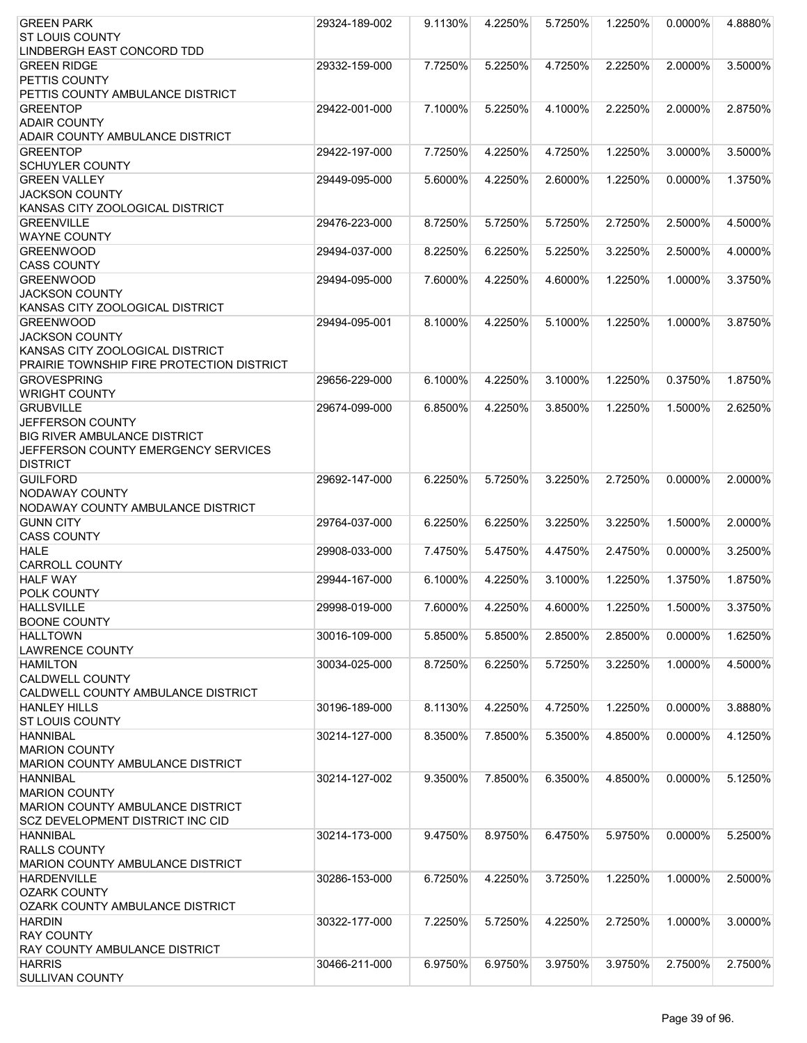| <b>GREEN PARK</b>                                         | 29324-189-002 | 9.1130%    | 4.2250% | 5.7250% | 1.2250% | 0.0000% | 4.8880% |
|-----------------------------------------------------------|---------------|------------|---------|---------|---------|---------|---------|
| <b>ST LOUIS COUNTY</b>                                    |               |            |         |         |         |         |         |
| LINDBERGH EAST CONCORD TDD                                |               |            |         |         |         |         |         |
| <b>GREEN RIDGE</b>                                        | 29332-159-000 | 7.7250%    | 5.2250% | 4.7250% | 2.2250% | 2.0000% | 3.5000% |
| <b>PETTIS COUNTY</b>                                      |               |            |         |         |         |         |         |
| PETTIS COUNTY AMBULANCE DISTRICT                          |               |            |         |         |         |         |         |
| <b>GREENTOP</b>                                           | 29422-001-000 | 7.1000%    | 5.2250% | 4.1000% | 2.2250% | 2.0000% | 2.8750% |
| <b>ADAIR COUNTY</b>                                       |               |            |         |         |         |         |         |
| ADAIR COUNTY AMBULANCE DISTRICT                           |               |            |         |         |         |         |         |
| <b>GREENTOP</b>                                           | 29422-197-000 | 7.7250%    | 4.2250% | 4.7250% | 1.2250% | 3.0000% | 3.5000% |
| <b>SCHUYLER COUNTY</b>                                    |               |            |         |         |         |         |         |
| <b>GREEN VALLEY</b>                                       | 29449-095-000 | 5.6000%    | 4.2250% | 2.6000% | 1.2250% | 0.0000% | 1.3750% |
| <b>JACKSON COUNTY</b>                                     |               |            |         |         |         |         |         |
| KANSAS CITY ZOOLOGICAL DISTRICT                           |               |            |         |         |         |         |         |
| <b>GREENVILLE</b>                                         | 29476-223-000 | 8.7250%    | 5.7250% | 5.7250% | 2.7250% | 2.5000% | 4.5000% |
| <b>WAYNE COUNTY</b>                                       |               |            |         |         |         |         |         |
| <b>GREENWOOD</b>                                          | 29494-037-000 | 8.2250%    | 6.2250% | 5.2250% | 3.2250% | 2.5000% | 4.0000% |
| <b>CASS COUNTY</b>                                        |               |            |         |         |         |         |         |
| <b>GREENWOOD</b>                                          | 29494-095-000 | 7.6000%    | 4.2250% | 4.6000% | 1.2250% | 1.0000% | 3.3750% |
| <b>JACKSON COUNTY</b>                                     |               |            |         |         |         |         |         |
| KANSAS CITY ZOOLOGICAL DISTRICT                           |               |            |         |         |         |         |         |
| <b>GREENWOOD</b>                                          | 29494-095-001 | 8.1000%    | 4.2250% | 5.1000% | 1.2250% | 1.0000% | 3.8750% |
| <b>JACKSON COUNTY</b>                                     |               |            |         |         |         |         |         |
| KANSAS CITY ZOOLOGICAL DISTRICT                           |               |            |         |         |         |         |         |
| PRAIRIE TOWNSHIP FIRE PROTECTION DISTRICT                 |               |            |         |         |         |         |         |
| <b>GROVESPRING</b>                                        | 29656-229-000 | $6.1000\%$ | 4.2250% | 3.1000% | 1.2250% | 0.3750% | 1.8750% |
| <b>WRIGHT COUNTY</b>                                      |               |            |         |         |         |         |         |
| <b>GRUBVILLE</b>                                          | 29674-099-000 | 6.8500%    | 4.2250% | 3.8500% | 1.2250% | 1.5000% | 2.6250% |
| JEFFERSON COUNTY                                          |               |            |         |         |         |         |         |
| <b>BIG RIVER AMBULANCE DISTRICT</b>                       |               |            |         |         |         |         |         |
| <b>JEFFERSON COUNTY EMERGENCY SERVICES</b>                |               |            |         |         |         |         |         |
| <b>DISTRICT</b>                                           |               |            |         |         |         |         |         |
| <b>GUILFORD</b>                                           | 29692-147-000 | 6.2250%    | 5.7250% | 3.2250% | 2.7250% | 0.0000% | 2.0000% |
| NODAWAY COUNTY                                            |               |            |         |         |         |         |         |
| NODAWAY COUNTY AMBULANCE DISTRICT                         |               |            |         |         |         |         |         |
| <b>GUNN CITY</b>                                          | 29764-037-000 | 6.2250%    | 6.2250% | 3.2250% | 3.2250% | 1.5000% | 2.0000% |
| <b>CASS COUNTY</b>                                        |               |            |         |         |         |         |         |
| <b>HALE</b>                                               | 29908-033-000 | 7.4750%    | 5.4750% | 4.4750% | 2.4750% | 0.0000% | 3.2500% |
| <b>CARROLL COUNTY</b>                                     |               |            |         |         |         |         |         |
| <b>HALF WAY</b>                                           | 29944-167-000 | 6.1000%    | 4.2250% | 3.1000% | 1.2250% | 1.3750% | 1.8750% |
| <b>POLK COUNTY</b>                                        |               |            |         |         |         |         |         |
| <b>HALLSVILLE</b>                                         | 29998-019-000 | 7.6000%    | 4.2250% | 4.6000% | 1.2250% | 1.5000% | 3.3750% |
| <b>BOONE COUNTY</b>                                       |               |            |         |         |         |         |         |
| <b>HALLTOWN</b>                                           | 30016-109-000 | 5.8500%    | 5.8500% | 2.8500% | 2.8500% | 0.0000% | 1.6250% |
| <b>LAWRENCE COUNTY</b>                                    |               |            |         |         |         |         |         |
| <b>HAMILTON</b>                                           | 30034-025-000 | 8.7250%    | 6.2250% | 5.7250% | 3.2250% | 1.0000% | 4.5000% |
| <b>CALDWELL COUNTY</b>                                    |               |            |         |         |         |         |         |
| CALDWELL COUNTY AMBULANCE DISTRICT<br><b>HANLEY HILLS</b> | 30196-189-000 | 8.1130%    | 4.2250% | 4.7250% | 1.2250% | 0.0000% | 3.8880% |
|                                                           |               |            |         |         |         |         |         |
| <b>ST LOUIS COUNTY</b>                                    |               |            |         |         | 4.8500% |         |         |
| <b>HANNIBAL</b><br><b>MARION COUNTY</b>                   | 30214-127-000 | 8.3500%    | 7.8500% | 5.3500% |         | 0.0000% | 4.1250% |
| MARION COUNTY AMBULANCE DISTRICT                          |               |            |         |         |         |         |         |
| <b>HANNIBAL</b>                                           |               |            |         |         |         |         |         |
| <b>MARION COUNTY</b>                                      | 30214-127-002 | 9.3500%    | 7.8500% | 6.3500% | 4.8500% | 0.0000% | 5.1250% |
| MARION COUNTY AMBULANCE DISTRICT                          |               |            |         |         |         |         |         |
| SCZ DEVELOPMENT DISTRICT INC CID                          |               |            |         |         |         |         |         |
| <b>HANNIBAL</b>                                           | 30214-173-000 | 9.4750%    | 8.9750% | 6.4750% | 5.9750% | 0.0000% | 5.2500% |
| <b>RALLS COUNTY</b>                                       |               |            |         |         |         |         |         |
| <b>MARION COUNTY AMBULANCE DISTRICT</b>                   |               |            |         |         |         |         |         |
| <b>HARDENVILLE</b>                                        | 30286-153-000 | 6.7250%    | 4.2250% | 3.7250% | 1.2250% | 1.0000% | 2.5000% |
| <b>OZARK COUNTY</b>                                       |               |            |         |         |         |         |         |
| OZARK COUNTY AMBULANCE DISTRICT                           |               |            |         |         |         |         |         |
| <b>HARDIN</b>                                             | 30322-177-000 | 7.2250%    | 5.7250% | 4.2250% | 2.7250% | 1.0000% | 3.0000% |
| <b>RAY COUNTY</b>                                         |               |            |         |         |         |         |         |
| <b>RAY COUNTY AMBULANCE DISTRICT</b>                      |               |            |         |         |         |         |         |
| <b>HARRIS</b>                                             | 30466-211-000 | 6.9750%    | 6.9750% | 3.9750% | 3.9750% | 2.7500% | 2.7500% |
| <b>SULLIVAN COUNTY</b>                                    |               |            |         |         |         |         |         |
|                                                           |               |            |         |         |         |         |         |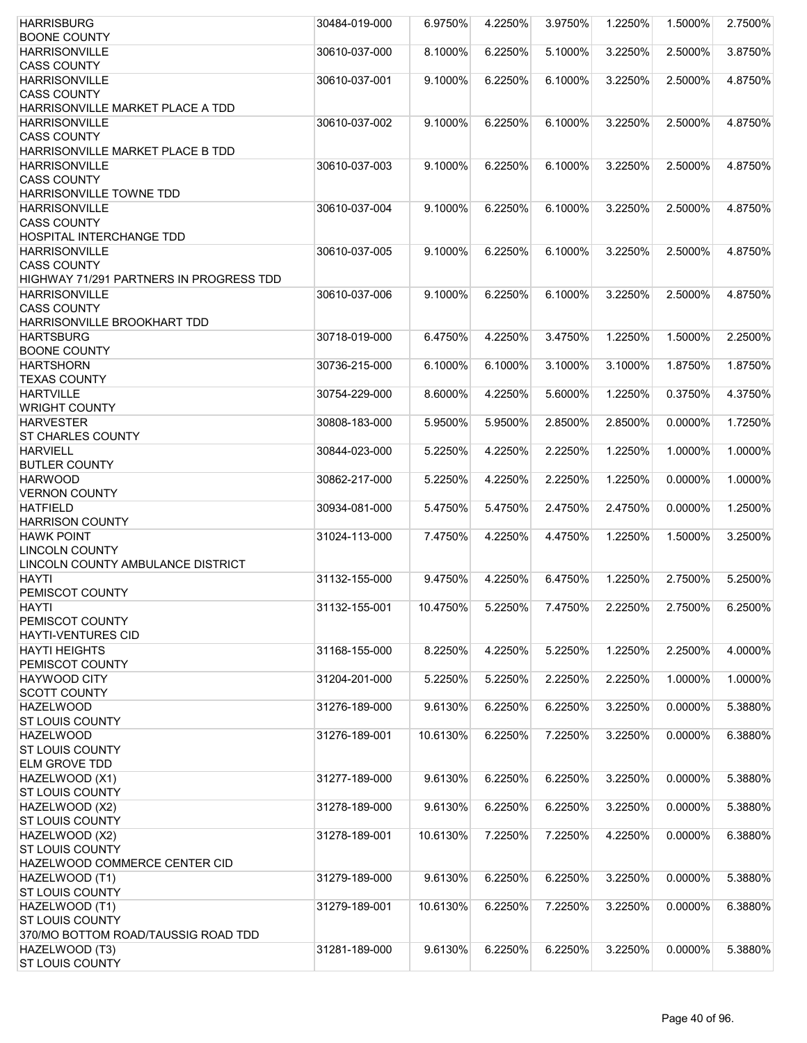| <b>HARRISBURG</b>                                             | 30484-019-000 | 6.9750%  | 4.2250% | 3.9750% | 1.2250% | 1.5000% | 2.7500% |
|---------------------------------------------------------------|---------------|----------|---------|---------|---------|---------|---------|
| <b>BOONE COUNTY</b>                                           |               |          |         |         |         |         |         |
| <b>HARRISONVILLE</b>                                          | 30610-037-000 | 8.1000%  | 6.2250% | 5.1000% | 3.2250% | 2.5000% | 3.8750% |
| <b>CASS COUNTY</b>                                            |               |          |         |         |         |         |         |
| <b>HARRISONVILLE</b>                                          | 30610-037-001 | 9.1000%  | 6.2250% | 6.1000% | 3.2250% | 2.5000% | 4.8750% |
| <b>CASS COUNTY</b>                                            |               |          |         |         |         |         |         |
| HARRISONVILLE MARKET PLACE A TDD<br><b>HARRISONVILLE</b>      | 30610-037-002 | 9.1000%  | 6.2250% | 6.1000% | 3.2250% | 2.5000% | 4.8750% |
| <b>CASS COUNTY</b>                                            |               |          |         |         |         |         |         |
| HARRISONVILLE MARKET PLACE B TDD                              |               |          |         |         |         |         |         |
| <b>HARRISONVILLE</b>                                          | 30610-037-003 | 9.1000%  | 6.2250% | 6.1000% | 3.2250% | 2.5000% | 4.8750% |
| <b>CASS COUNTY</b>                                            |               |          |         |         |         |         |         |
| HARRISONVILLE TOWNE TDD                                       |               |          |         |         |         |         |         |
| <b>HARRISONVILLE</b>                                          | 30610-037-004 | 9.1000%  | 6.2250% | 6.1000% | 3.2250% | 2.5000% | 4.8750% |
| <b>CASS COUNTY</b>                                            |               |          |         |         |         |         |         |
| HOSPITAL INTERCHANGE TDD                                      |               |          |         |         |         |         |         |
| <b>HARRISONVILLE</b>                                          | 30610-037-005 | 9.1000%  | 6.2250% | 6.1000% | 3.2250% | 2.5000% | 4.8750% |
| <b>CASS COUNTY</b>                                            |               |          |         |         |         |         |         |
| <b>HIGHWAY 71/291 PARTNERS IN PROGRESS TDD</b>                |               |          |         |         |         |         |         |
| <b>HARRISONVILLE</b>                                          | 30610-037-006 | 9.1000%  | 6.2250% | 6.1000% | 3.2250% | 2.5000% | 4.8750% |
| <b>CASS COUNTY</b>                                            |               |          |         |         |         |         |         |
| HARRISONVILLE BROOKHART TDD                                   |               |          |         |         |         |         |         |
| <b>HARTSBURG</b>                                              | 30718-019-000 | 6.4750%  | 4.2250% | 3.4750% | 1.2250% | 1.5000% | 2.2500% |
| <b>BOONE COUNTY</b>                                           |               |          |         |         |         |         |         |
| <b>HARTSHORN</b>                                              | 30736-215-000 | 6.1000%  | 6.1000% | 3.1000% | 3.1000% | 1.8750% | 1.8750% |
| <b>TEXAS COUNTY</b>                                           |               |          |         |         |         |         |         |
| <b>HARTVILLE</b><br><b>WRIGHT COUNTY</b>                      | 30754-229-000 | 8.6000%  | 4.2250% | 5.6000% | 1.2250% | 0.3750% | 4.3750% |
| <b>HARVESTER</b>                                              | 30808-183-000 | 5.9500%  | 5.9500% | 2.8500% | 2.8500% | 0.0000% | 1.7250% |
| ST CHARLES COUNTY                                             |               |          |         |         |         |         |         |
| <b>HARVIELL</b>                                               | 30844-023-000 | 5.2250%  | 4.2250% | 2.2250% | 1.2250% | 1.0000% | 1.0000% |
| <b>BUTLER COUNTY</b>                                          |               |          |         |         |         |         |         |
| <b>HARWOOD</b>                                                | 30862-217-000 | 5.2250%  | 4.2250% | 2.2250% | 1.2250% | 0.0000% | 1.0000% |
| <b>VERNON COUNTY</b>                                          |               |          |         |         |         |         |         |
| <b>HATFIELD</b>                                               | 30934-081-000 | 5.4750%  | 5.4750% | 2.4750% | 2.4750% | 0.0000% | 1.2500% |
| <b>HARRISON COUNTY</b>                                        |               |          |         |         |         |         |         |
| <b>HAWK POINT</b>                                             | 31024-113-000 | 7.4750%  | 4.2250% | 4.4750% | 1.2250% | 1.5000% | 3.2500% |
| <b>LINCOLN COUNTY</b>                                         |               |          |         |         |         |         |         |
| LINCOLN COUNTY AMBULANCE DISTRICT                             |               |          |         |         |         |         |         |
| <b>HAYTI</b>                                                  | 31132-155-000 | 9.4750%  | 4.2250% | 6.4750% | 1.2250% | 2.7500% | 5.2500% |
| PEMISCOT COUNTY                                               |               |          |         |         |         |         |         |
| <b>HAYTI</b>                                                  | 31132-155-001 | 10.4750% | 5.2250% | 7.4750% | 2.2250% | 2.7500% | 6.2500% |
| PEMISCOT COUNTY                                               |               |          |         |         |         |         |         |
| <b>HAYTI-VENTURES CID</b>                                     |               |          |         |         |         |         |         |
| <b>HAYTI HEIGHTS</b><br>PEMISCOT COUNTY                       | 31168-155-000 | 8.2250%  | 4.2250% | 5.2250% | 1.2250% | 2.2500% | 4.0000% |
| <b>HAYWOOD CITY</b>                                           | 31204-201-000 | 5.2250%  | 5.2250% | 2.2250% | 2.2250% | 1.0000% | 1.0000% |
| <b>SCOTT COUNTY</b>                                           |               |          |         |         |         |         |         |
| <b>HAZELWOOD</b>                                              | 31276-189-000 | 9.6130%  | 6.2250% | 6.2250% | 3.2250% | 0.0000% | 5.3880% |
| ST LOUIS COUNTY                                               |               |          |         |         |         |         |         |
| <b>HAZELWOOD</b>                                              | 31276-189-001 | 10.6130% | 6.2250% | 7.2250% | 3.2250% | 0.0000% | 6.3880% |
| ST LOUIS COUNTY                                               |               |          |         |         |         |         |         |
| ELM GROVE TDD                                                 |               |          |         |         |         |         |         |
| HAZELWOOD (X1)                                                | 31277-189-000 | 9.6130%  | 6.2250% | 6.2250% | 3.2250% | 0.0000% | 5.3880% |
| ST LOUIS COUNTY                                               |               |          |         |         |         |         |         |
| HAZELWOOD (X2)                                                | 31278-189-000 | 9.6130%  | 6.2250% | 6.2250% | 3.2250% | 0.0000% | 5.3880% |
| <b>ST LOUIS COUNTY</b>                                        |               |          |         |         |         |         |         |
| HAZELWOOD (X2)                                                | 31278-189-001 | 10.6130% | 7.2250% | 7.2250% | 4.2250% | 0.0000% | 6.3880% |
| ST LOUIS COUNTY                                               |               |          |         |         |         |         |         |
| HAZELWOOD COMMERCE CENTER CID                                 |               |          |         |         |         |         |         |
| HAZELWOOD (T1)                                                | 31279-189-000 | 9.6130%  | 6.2250% | 6.2250% | 3.2250% | 0.0000% | 5.3880% |
| <b>ST LOUIS COUNTY</b>                                        |               |          |         |         |         |         |         |
| HAZELWOOD (T1)                                                | 31279-189-001 | 10.6130% | 6.2250% | 7.2250% | 3.2250% | 0.0000% | 6.3880% |
| <b>ST LOUIS COUNTY</b><br>370/MO BOTTOM ROAD/TAUSSIG ROAD TDD |               |          |         |         |         |         |         |
| HAZELWOOD (T3)                                                | 31281-189-000 | 9.6130%  | 6.2250% | 6.2250% | 3.2250% | 0.0000% | 5.3880% |
| <b>ST LOUIS COUNTY</b>                                        |               |          |         |         |         |         |         |
|                                                               |               |          |         |         |         |         |         |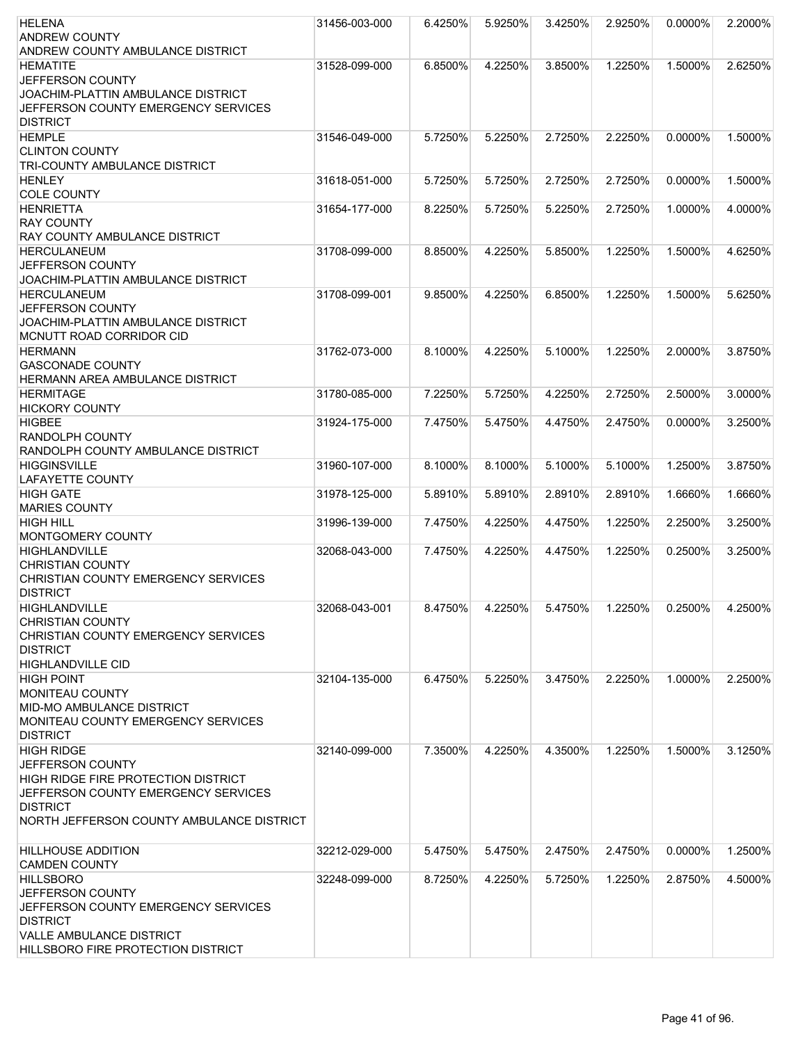| <b>HELENA</b>                                                | 31456-003-000 | 6.4250% | 5.9250% | 3.4250% | 2.9250% | $0.0000\%$ | 2.2000% |
|--------------------------------------------------------------|---------------|---------|---------|---------|---------|------------|---------|
| <b>ANDREW COUNTY</b>                                         |               |         |         |         |         |            |         |
| ANDREW COUNTY AMBULANCE DISTRICT                             |               |         |         |         |         |            |         |
| <b>HEMATITE</b>                                              | 31528-099-000 | 6.8500% | 4.2250% | 3.8500% | 1.2250% | 1.5000%    | 2.6250% |
| JEFFERSON COUNTY                                             |               |         |         |         |         |            |         |
| JOACHIM-PLATTIN AMBULANCE DISTRICT                           |               |         |         |         |         |            |         |
| JEFFERSON COUNTY EMERGENCY SERVICES                          |               |         |         |         |         |            |         |
| <b>DISTRICT</b>                                              |               |         |         |         |         |            |         |
| <b>HEMPLE</b>                                                | 31546-049-000 | 5.7250% | 5.2250% | 2.7250% | 2.2250% | 0.0000%    | 1.5000% |
| <b>CLINTON COUNTY</b>                                        |               |         |         |         |         |            |         |
| <b>TRI-COUNTY AMBULANCE DISTRICT</b>                         |               |         |         |         |         |            | 1.5000% |
| <b>HENLEY</b><br><b>COLE COUNTY</b>                          | 31618-051-000 | 5.7250% | 5.7250% | 2.7250% | 2.7250% | 0.0000%    |         |
| <b>HENRIETTA</b>                                             | 31654-177-000 | 8.2250% | 5.7250% | 5.2250% | 2.7250% | 1.0000%    | 4.0000% |
| <b>RAY COUNTY</b>                                            |               |         |         |         |         |            |         |
| RAY COUNTY AMBULANCE DISTRICT                                |               |         |         |         |         |            |         |
| <b>HERCULANEUM</b>                                           | 31708-099-000 | 8.8500% | 4.2250% | 5.8500% | 1.2250% | 1.5000%    | 4.6250% |
| JEFFERSON COUNTY                                             |               |         |         |         |         |            |         |
| JOACHIM-PLATTIN AMBULANCE DISTRICT                           |               |         |         |         |         |            |         |
| <b>HERCULANEUM</b>                                           | 31708-099-001 | 9.8500% | 4.2250% | 6.8500% | 1.2250% | 1.5000%    | 5.6250% |
| JEFFERSON COUNTY                                             |               |         |         |         |         |            |         |
| JOACHIM-PLATTIN AMBULANCE DISTRICT                           |               |         |         |         |         |            |         |
| MCNUTT ROAD CORRIDOR CID                                     |               |         |         |         |         |            |         |
| <b>HERMANN</b>                                               | 31762-073-000 | 8.1000% | 4.2250% | 5.1000% | 1.2250% | 2.0000%    | 3.8750% |
| <b>GASCONADE COUNTY</b>                                      |               |         |         |         |         |            |         |
| HERMANN AREA AMBULANCE DISTRICT                              |               |         |         |         |         |            |         |
| <b>HERMITAGE</b>                                             | 31780-085-000 | 7.2250% | 5.7250% | 4.2250% | 2.7250% | 2.5000%    | 3.0000% |
| <b>HICKORY COUNTY</b>                                        |               |         |         |         |         |            |         |
| <b>HIGBEE</b>                                                | 31924-175-000 | 7.4750% | 5.4750% | 4.4750% | 2.4750% | $0.0000\%$ | 3.2500% |
| <b>RANDOLPH COUNTY</b><br>RANDOLPH COUNTY AMBULANCE DISTRICT |               |         |         |         |         |            |         |
| <b>HIGGINSVILLE</b>                                          | 31960-107-000 | 8.1000% | 8.1000% | 5.1000% | 5.1000% | 1.2500%    | 3.8750% |
| <b>LAFAYETTE COUNTY</b>                                      |               |         |         |         |         |            |         |
| <b>HIGH GATE</b>                                             | 31978-125-000 | 5.8910% | 5.8910% | 2.8910% | 2.8910% | 1.6660%    | 1.6660% |
| <b>MARIES COUNTY</b>                                         |               |         |         |         |         |            |         |
| <b>HIGH HILL</b>                                             | 31996-139-000 | 7.4750% | 4.2250% | 4.4750% | 1.2250% | 2.2500%    | 3.2500% |
| MONTGOMERY COUNTY                                            |               |         |         |         |         |            |         |
| <b>HIGHLANDVILLE</b>                                         | 32068-043-000 | 7.4750% | 4.2250% | 4.4750% | 1.2250% | 0.2500%    | 3.2500% |
| <b>CHRISTIAN COUNTY</b>                                      |               |         |         |         |         |            |         |
| CHRISTIAN COUNTY EMERGENCY SERVICES                          |               |         |         |         |         |            |         |
| <b>DISTRICT</b>                                              |               |         |         |         |         |            |         |
| <b>HIGHLANDVILLE</b>                                         | 32068-043-001 | 8.4750% | 4.2250% | 5.4750% | 1.2250% | 0.2500%    | 4.2500% |
| <b>CHRISTIAN COUNTY</b>                                      |               |         |         |         |         |            |         |
| CHRISTIAN COUNTY EMERGENCY SERVICES                          |               |         |         |         |         |            |         |
| <b>DISTRICT</b><br><b>HIGHLANDVILLE CID</b>                  |               |         |         |         |         |            |         |
| <b>HIGH POINT</b>                                            | 32104-135-000 | 6.4750% | 5.2250% | 3.4750% | 2.2250% | 1.0000%    | 2.2500% |
| <b>MONITEAU COUNTY</b>                                       |               |         |         |         |         |            |         |
| <b>MID-MO AMBULANCE DISTRICT</b>                             |               |         |         |         |         |            |         |
| MONITEAU COUNTY EMERGENCY SERVICES                           |               |         |         |         |         |            |         |
| <b>DISTRICT</b>                                              |               |         |         |         |         |            |         |
| <b>HIGH RIDGE</b>                                            | 32140-099-000 | 7.3500% | 4.2250% | 4.3500% | 1.2250% | 1.5000%    | 3.1250% |
| JEFFERSON COUNTY                                             |               |         |         |         |         |            |         |
| HIGH RIDGE FIRE PROTECTION DISTRICT                          |               |         |         |         |         |            |         |
| JEFFERSON COUNTY EMERGENCY SERVICES                          |               |         |         |         |         |            |         |
| <b>DISTRICT</b>                                              |               |         |         |         |         |            |         |
| NORTH JEFFERSON COUNTY AMBULANCE DISTRICT                    |               |         |         |         |         |            |         |
|                                                              |               |         |         |         |         |            |         |
| <b>HILLHOUSE ADDITION</b>                                    | 32212-029-000 | 5.4750% | 5.4750% | 2.4750% | 2.4750% | 0.0000%    | 1.2500% |
| <b>CAMDEN COUNTY</b>                                         |               |         |         |         |         |            |         |
| <b>HILLSBORO</b>                                             | 32248-099-000 | 8.7250% | 4.2250% | 5.7250% | 1.2250% | 2.8750%    | 4.5000% |
| JEFFERSON COUNTY<br>JEFFERSON COUNTY EMERGENCY SERVICES      |               |         |         |         |         |            |         |
| <b>DISTRICT</b>                                              |               |         |         |         |         |            |         |
| VALLE AMBULANCE DISTRICT                                     |               |         |         |         |         |            |         |
| HILLSBORO FIRE PROTECTION DISTRICT                           |               |         |         |         |         |            |         |
|                                                              |               |         |         |         |         |            |         |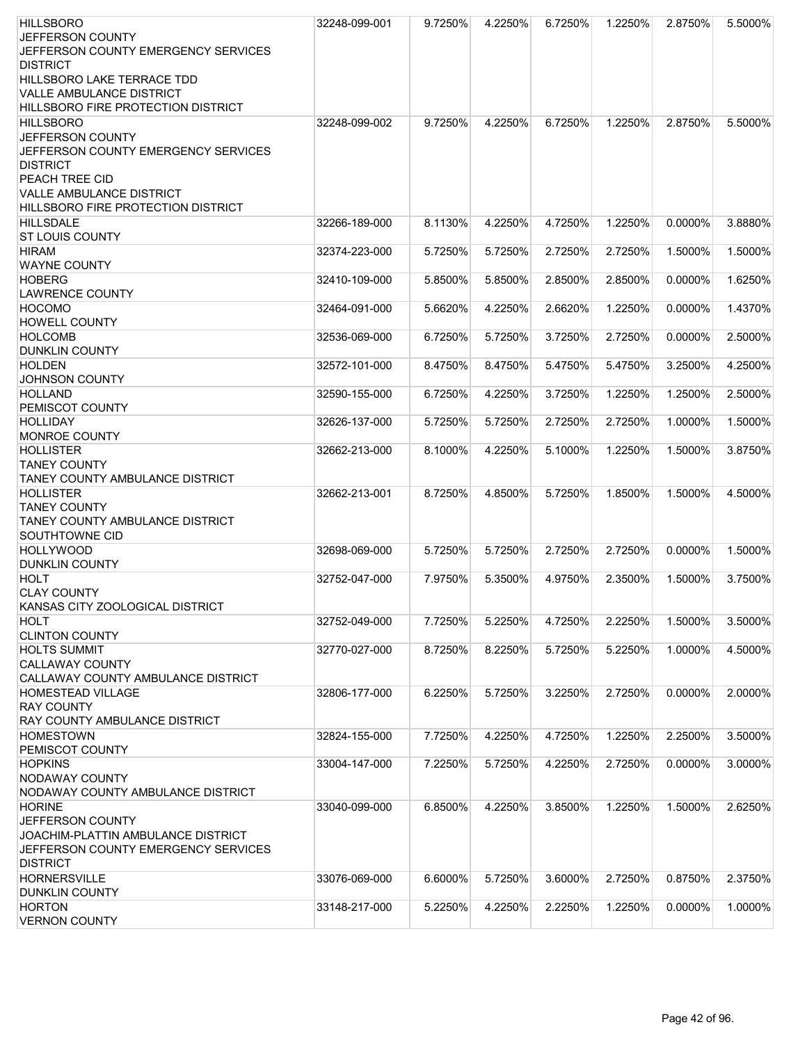| <b>HILLSBORO</b>                       | 32248-099-001 | 9.7250% | 4.2250% | 6.7250% | 1.2250% | 2.8750%    | 5.5000% |
|----------------------------------------|---------------|---------|---------|---------|---------|------------|---------|
| JEFFERSON COUNTY                       |               |         |         |         |         |            |         |
| JEFFERSON COUNTY EMERGENCY SERVICES    |               |         |         |         |         |            |         |
| <b>DISTRICT</b>                        |               |         |         |         |         |            |         |
| <b>HILLSBORO LAKE TERRACE TDD</b>      |               |         |         |         |         |            |         |
| <b>VALLE AMBULANCE DISTRICT</b>        |               |         |         |         |         |            |         |
| HILLSBORO FIRE PROTECTION DISTRICT     |               |         |         |         |         |            |         |
| <b>HILLSBORO</b>                       | 32248-099-002 | 9.7250% | 4.2250% | 6.7250% | 1.2250% | 2.8750%    | 5.5000% |
|                                        |               |         |         |         |         |            |         |
| <b>JEFFERSON COUNTY</b>                |               |         |         |         |         |            |         |
| JEFFERSON COUNTY EMERGENCY SERVICES    |               |         |         |         |         |            |         |
| <b>DISTRICT</b>                        |               |         |         |         |         |            |         |
| PEACH TREE CID                         |               |         |         |         |         |            |         |
| VALLE AMBULANCE DISTRICT               |               |         |         |         |         |            |         |
| HILLSBORO FIRE PROTECTION DISTRICT     |               |         |         |         |         |            |         |
| <b>HILLSDALE</b>                       | 32266-189-000 | 8.1130% | 4.2250% | 4.7250% | 1.2250% | $0.0000\%$ | 3.8880% |
| <b>ST LOUIS COUNTY</b>                 |               |         |         |         |         |            |         |
| <b>HIRAM</b>                           | 32374-223-000 | 5.7250% | 5.7250% | 2.7250% | 2.7250% | 1.5000%    | 1.5000% |
| <b>WAYNE COUNTY</b>                    |               |         |         |         |         |            |         |
| <b>HOBERG</b>                          | 32410-109-000 | 5.8500% | 5.8500% | 2.8500% | 2.8500% | $0.0000\%$ | 1.6250% |
| <b>LAWRENCE COUNTY</b>                 |               |         |         |         |         |            |         |
| <b>HOCOMO</b>                          | 32464-091-000 | 5.6620% | 4.2250% | 2.6620% | 1.2250% | 0.0000%    | 1.4370% |
| <b>HOWELL COUNTY</b>                   |               |         |         |         |         |            |         |
| <b>HOLCOMB</b>                         | 32536-069-000 | 6.7250% | 5.7250% | 3.7250% | 2.7250% | 0.0000%    | 2.5000% |
| <b>DUNKLIN COUNTY</b>                  |               |         |         |         |         |            |         |
| <b>HOLDEN</b>                          | 32572-101-000 | 8.4750% | 8.4750% | 5.4750% | 5.4750% | 3.2500%    | 4.2500% |
| JOHNSON COUNTY                         |               |         |         |         |         |            |         |
|                                        |               |         |         |         |         |            |         |
| <b>HOLLAND</b>                         | 32590-155-000 | 6.7250% | 4.2250% | 3.7250% | 1.2250% | 1.2500%    | 2.5000% |
| <b>PEMISCOT COUNTY</b>                 |               |         |         |         |         |            |         |
| HOLLIDAY                               | 32626-137-000 | 5.7250% | 5.7250% | 2.7250% | 2.7250% | 1.0000%    | 1.5000% |
| <b>MONROE COUNTY</b>                   |               |         |         |         |         |            |         |
| <b>HOLLISTER</b>                       | 32662-213-000 | 8.1000% | 4.2250% | 5.1000% | 1.2250% | 1.5000%    | 3.8750% |
| <b>TANEY COUNTY</b>                    |               |         |         |         |         |            |         |
| <b>TANEY COUNTY AMBULANCE DISTRICT</b> |               |         |         |         |         |            |         |
| <b>HOLLISTER</b>                       | 32662-213-001 | 8.7250% | 4.8500% | 5.7250% | 1.8500% | 1.5000%    | 4.5000% |
| <b>TANEY COUNTY</b>                    |               |         |         |         |         |            |         |
| <b>TANEY COUNTY AMBULANCE DISTRICT</b> |               |         |         |         |         |            |         |
| <b>SOUTHTOWNE CID</b>                  |               |         |         |         |         |            |         |
| <b>HOLLYWOOD</b>                       | 32698-069-000 | 5.7250% | 5.7250% | 2.7250% | 2.7250% | $0.0000\%$ | 1.5000% |
| <b>DUNKLIN COUNTY</b>                  |               |         |         |         |         |            |         |
| <b>HOLT</b>                            | 32752-047-000 | 7.9750% | 5.3500% | 4.9750% | 2.3500% | 1.5000%    | 3.7500% |
| <b>CLAY COUNTY</b>                     |               |         |         |         |         |            |         |
| KANSAS CITY ZOOLOGICAL DISTRICT        |               |         |         |         |         |            |         |
|                                        | 32752-049-000 |         | 5.2250% | 4.7250% | 2.2250% |            | 3.5000% |
| <b>HOLT</b>                            |               | 7.7250% |         |         |         | 1.5000%    |         |
| <b>CLINTON COUNTY</b>                  |               |         |         |         |         |            |         |
| <b>HOLTS SUMMIT</b>                    | 32770-027-000 | 8.7250% | 8.2250% | 5.7250% | 5.2250% | 1.0000%    | 4.5000% |
| <b>CALLAWAY COUNTY</b>                 |               |         |         |         |         |            |         |
| CALLAWAY COUNTY AMBULANCE DISTRICT     |               |         |         |         |         |            |         |
| <b>HOMESTEAD VILLAGE</b>               | 32806-177-000 | 6.2250% | 5.7250% | 3.2250% | 2.7250% | $0.0000\%$ | 2.0000% |
| <b>RAY COUNTY</b>                      |               |         |         |         |         |            |         |
| <b>RAY COUNTY AMBULANCE DISTRICT</b>   |               |         |         |         |         |            |         |
| <b>HOMESTOWN</b>                       | 32824-155-000 | 7.7250% | 4.2250% | 4.7250% | 1.2250% | 2.2500%    | 3.5000% |
| PEMISCOT COUNTY                        |               |         |         |         |         |            |         |
| <b>HOPKINS</b>                         | 33004-147-000 | 7.2250% | 5.7250% | 4.2250% | 2.7250% | 0.0000%    | 3.0000% |
| <b>NODAWAY COUNTY</b>                  |               |         |         |         |         |            |         |
| NODAWAY COUNTY AMBULANCE DISTRICT      |               |         |         |         |         |            |         |
| <b>HORINE</b>                          | 33040-099-000 | 6.8500% | 4.2250% | 3.8500% | 1.2250% | 1.5000%    | 2.6250% |
| JEFFERSON COUNTY                       |               |         |         |         |         |            |         |
| JOACHIM-PLATTIN AMBULANCE DISTRICT     |               |         |         |         |         |            |         |
|                                        |               |         |         |         |         |            |         |
| JEFFERSON COUNTY EMERGENCY SERVICES    |               |         |         |         |         |            |         |
| <b>DISTRICT</b>                        |               |         |         |         |         |            |         |
| <b>HORNERSVILLE</b>                    | 33076-069-000 | 6.6000% | 5.7250% | 3.6000% | 2.7250% | 0.8750%    | 2.3750% |
| <b>DUNKLIN COUNTY</b>                  |               |         |         |         |         |            |         |
| <b>HORTON</b>                          | 33148-217-000 | 5.2250% | 4.2250% | 2.2250% | 1.2250% | 0.0000%    | 1.0000% |
| <b>VERNON COUNTY</b>                   |               |         |         |         |         |            |         |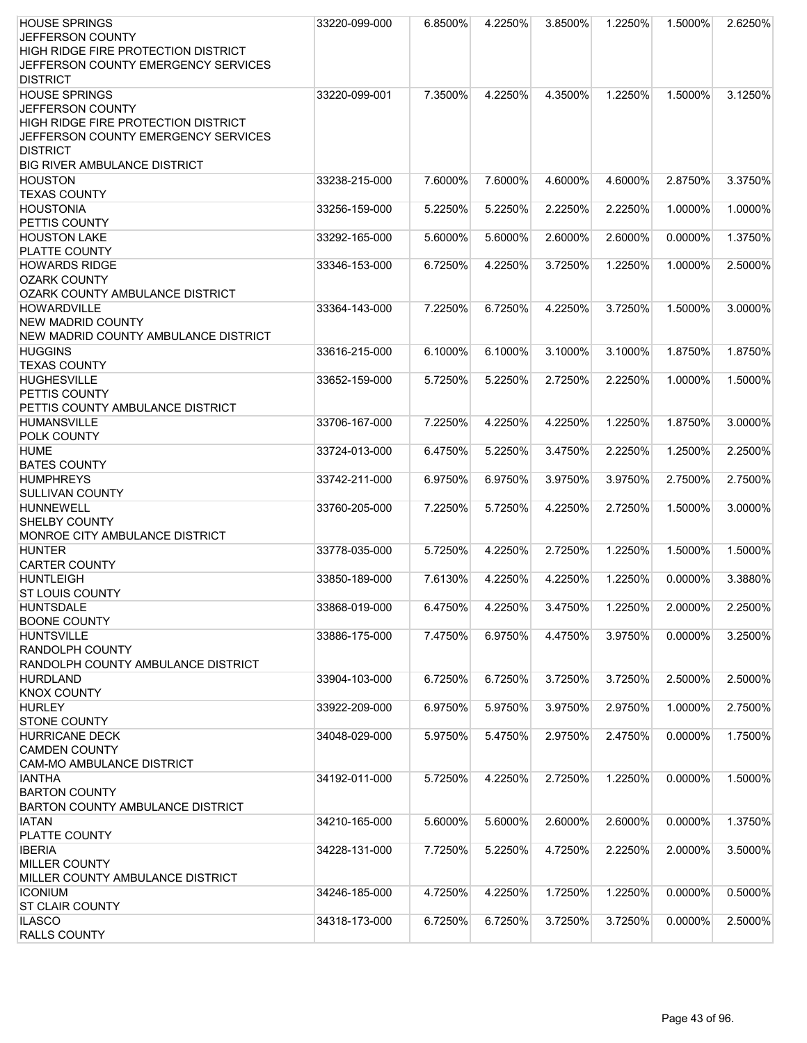| <b>HOUSE SPRINGS</b>                        | 33220-099-000 | 6.8500% | 4.2250% | 3.8500% | 1.2250% | 1.5000%    | 2.6250% |
|---------------------------------------------|---------------|---------|---------|---------|---------|------------|---------|
| JEFFERSON COUNTY                            |               |         |         |         |         |            |         |
| HIGH RIDGE FIRE PROTECTION DISTRICT         |               |         |         |         |         |            |         |
| JEFFERSON COUNTY EMERGENCY SERVICES         |               |         |         |         |         |            |         |
| <b>DISTRICT</b>                             |               |         |         |         |         |            |         |
| <b>HOUSE SPRINGS</b>                        | 33220-099-001 | 7.3500% | 4.2250% | 4.3500% | 1.2250% | 1.5000%    | 3.1250% |
| JEFFERSON COUNTY                            |               |         |         |         |         |            |         |
| HIGH RIDGE FIRE PROTECTION DISTRICT         |               |         |         |         |         |            |         |
| JEFFERSON COUNTY EMERGENCY SERVICES         |               |         |         |         |         |            |         |
| <b>DISTRICT</b>                             |               |         |         |         |         |            |         |
| <b>BIG RIVER AMBULANCE DISTRICT</b>         |               |         |         |         |         |            |         |
| <b>HOUSTON</b>                              | 33238-215-000 | 7.6000% | 7.6000% | 4.6000% | 4.6000% | 2.8750%    | 3.3750% |
| <b>TEXAS COUNTY</b>                         |               |         |         |         |         |            |         |
| <b>HOUSTONIA</b>                            | 33256-159-000 | 5.2250% | 5.2250% | 2.2250% | 2.2250% | 1.0000%    | 1.0000% |
| PETTIS COUNTY                               |               |         |         |         |         |            |         |
| <b>HOUSTON LAKE</b>                         | 33292-165-000 | 5.6000% | 5.6000% | 2.6000% | 2.6000% | $0.0000\%$ | 1.3750% |
| PLATTE COUNTY                               |               |         |         |         |         |            |         |
| <b>HOWARDS RIDGE</b><br><b>OZARK COUNTY</b> | 33346-153-000 | 6.7250% | 4.2250% | 3.7250% | 1.2250% | 1.0000%    | 2.5000% |
| OZARK COUNTY AMBULANCE DISTRICT             |               |         |         |         |         |            |         |
| <b>HOWARDVILLE</b>                          | 33364-143-000 | 7.2250% | 6.7250% | 4.2250% | 3.7250% | 1.5000%    | 3.0000% |
| <b>NEW MADRID COUNTY</b>                    |               |         |         |         |         |            |         |
| NEW MADRID COUNTY AMBULANCE DISTRICT        |               |         |         |         |         |            |         |
| <b>HUGGINS</b>                              | 33616-215-000 | 6.1000% | 6.1000% | 3.1000% | 3.1000% | 1.8750%    | 1.8750% |
| <b>TEXAS COUNTY</b>                         |               |         |         |         |         |            |         |
| <b>HUGHESVILLE</b>                          | 33652-159-000 | 5.7250% | 5.2250% | 2.7250% | 2.2250% | 1.0000%    | 1.5000% |
| PETTIS COUNTY                               |               |         |         |         |         |            |         |
| PETTIS COUNTY AMBULANCE DISTRICT            |               |         |         |         |         |            |         |
| <b>HUMANSVILLE</b>                          | 33706-167-000 | 7.2250% | 4.2250% | 4.2250% | 1.2250% | 1.8750%    | 3.0000% |
| <b>POLK COUNTY</b>                          |               |         |         |         |         |            |         |
| <b>HUME</b>                                 | 33724-013-000 | 6.4750% | 5.2250% | 3.4750% | 2.2250% | 1.2500%    | 2.2500% |
| <b>BATES COUNTY</b>                         |               |         |         |         |         |            |         |
| <b>HUMPHREYS</b>                            | 33742-211-000 | 6.9750% | 6.9750% | 3.9750% | 3.9750% | 2.7500%    | 2.7500% |
| <b>SULLIVAN COUNTY</b>                      |               |         |         |         |         |            |         |
| <b>HUNNEWELL</b>                            | 33760-205-000 | 7.2250% | 5.7250% | 4.2250% | 2.7250% | 1.5000%    | 3.0000% |
| <b>SHELBY COUNTY</b>                        |               |         |         |         |         |            |         |
| MONROE CITY AMBULANCE DISTRICT              |               |         |         |         |         |            |         |
| <b>HUNTER</b>                               | 33778-035-000 | 5.7250% | 4.2250% | 2.7250% | 1.2250% | 1.5000%    | 1.5000% |
| <b>CARTER COUNTY</b>                        |               |         |         |         |         |            |         |
| <b>HUNTLEIGH</b>                            | 33850-189-000 | 7.6130% | 4.2250% | 4.2250% | 1.2250% | 0.0000%    | 3.3880% |
| <b>ST LOUIS COUNTY</b>                      |               |         |         |         |         |            |         |
| <b>HUNTSDALE</b>                            | 33868-019-000 | 6.4750% | 4.2250% | 3.4750% | 1.2250% | 2.0000%    | 2.2500% |
| <b>BOONE COUNTY</b>                         |               |         |         |         |         |            |         |
| <b>HUNTSVILLE</b><br><b>RANDOLPH COUNTY</b> | 33886-175-000 | 7.4750% | 6.9750% | 4.4750% | 3.9750% | $0.0000\%$ | 3.2500% |
| RANDOLPH COUNTY AMBULANCE DISTRICT          |               |         |         |         |         |            |         |
| <b>HURDLAND</b>                             | 33904-103-000 | 6.7250% | 6.7250% | 3.7250% | 3.7250% | 2.5000%    | 2.5000% |
| <b>KNOX COUNTY</b>                          |               |         |         |         |         |            |         |
| <b>HURLEY</b>                               | 33922-209-000 | 6.9750% | 5.9750% | 3.9750% | 2.9750% | 1.0000%    | 2.7500% |
| <b>STONE COUNTY</b>                         |               |         |         |         |         |            |         |
| <b>HURRICANE DECK</b>                       | 34048-029-000 | 5.9750% | 5.4750% | 2.9750% | 2.4750% | 0.0000%    | 1.7500% |
| <b>CAMDEN COUNTY</b>                        |               |         |         |         |         |            |         |
| CAM-MO AMBULANCE DISTRICT                   |               |         |         |         |         |            |         |
| <b>IANTHA</b>                               | 34192-011-000 | 5.7250% | 4.2250% | 2.7250% | 1.2250% | $0.0000\%$ | 1.5000% |
| <b>BARTON COUNTY</b>                        |               |         |         |         |         |            |         |
| BARTON COUNTY AMBULANCE DISTRICT            |               |         |         |         |         |            |         |
| <b>IATAN</b>                                | 34210-165-000 | 5.6000% | 5.6000% | 2.6000% | 2.6000% | 0.0000%    | 1.3750% |
| PLATTE COUNTY                               |               |         |         |         |         |            |         |
| <b>IBERIA</b>                               | 34228-131-000 | 7.7250% | 5.2250% | 4.7250% | 2.2250% | 2.0000%    | 3.5000% |
| <b>MILLER COUNTY</b>                        |               |         |         |         |         |            |         |
| MILLER COUNTY AMBULANCE DISTRICT            |               |         |         |         |         |            |         |
| <b>ICONIUM</b>                              | 34246-185-000 | 4.7250% | 4.2250% | 1.7250% | 1.2250% | 0.0000%    | 0.5000% |
| <b>ST CLAIR COUNTY</b>                      |               |         |         |         |         |            |         |
| <b>ILASCO</b>                               | 34318-173-000 | 6.7250% | 6.7250% | 3.7250% | 3.7250% | $0.0000\%$ | 2.5000% |
| <b>RALLS COUNTY</b>                         |               |         |         |         |         |            |         |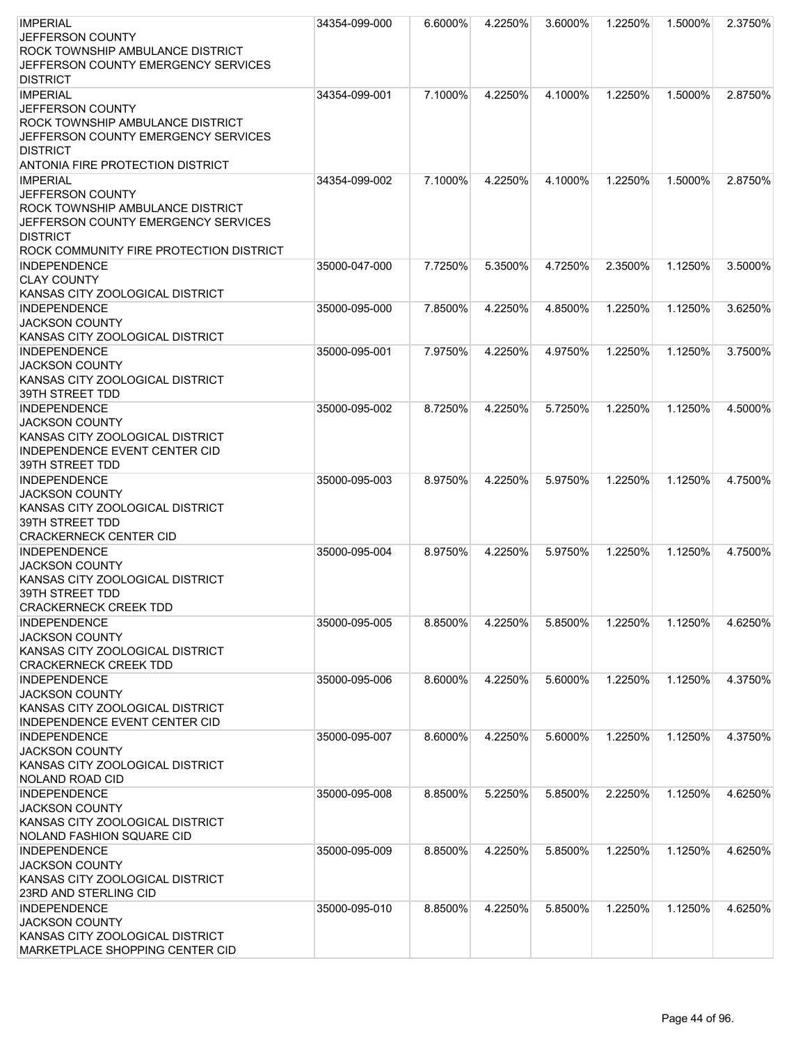| <b>IMPERIAL</b>                                        | 34354-099-000 | 6.6000% | 4.2250% | 3.6000%    | 1.2250% | 1.5000% | 2.3750% |
|--------------------------------------------------------|---------------|---------|---------|------------|---------|---------|---------|
| <b>JEFFERSON COUNTY</b>                                |               |         |         |            |         |         |         |
| ROCK TOWNSHIP AMBULANCE DISTRICT                       |               |         |         |            |         |         |         |
| JEFFERSON COUNTY EMERGENCY SERVICES                    |               |         |         |            |         |         |         |
| <b>DISTRICT</b>                                        |               |         |         |            |         |         |         |
| <b>IMPERIAL</b>                                        | 34354-099-001 | 7.1000% | 4.2250% | 4.1000%    | 1.2250% | 1.5000% | 2.8750% |
| <b>JEFFERSON COUNTY</b>                                |               |         |         |            |         |         |         |
| ROCK TOWNSHIP AMBULANCE DISTRICT                       |               |         |         |            |         |         |         |
| JEFFERSON COUNTY EMERGENCY SERVICES                    |               |         |         |            |         |         |         |
| <b>DISTRICT</b>                                        |               |         |         |            |         |         |         |
| <b>ANTONIA FIRE PROTECTION DISTRICT</b>                |               |         |         |            |         |         |         |
| <b>IMPERIAL</b>                                        | 34354-099-002 | 7.1000% | 4.2250% | 4.1000%    | 1.2250% | 1.5000% | 2.8750% |
| JEFFERSON COUNTY                                       |               |         |         |            |         |         |         |
| ROCK TOWNSHIP AMBULANCE DISTRICT                       |               |         |         |            |         |         |         |
|                                                        |               |         |         |            |         |         |         |
| JEFFERSON COUNTY EMERGENCY SERVICES<br><b>DISTRICT</b> |               |         |         |            |         |         |         |
|                                                        |               |         |         |            |         |         |         |
| ROCK COMMUNITY FIRE PROTECTION DISTRICT                |               |         |         |            |         |         |         |
| <b>INDEPENDENCE</b>                                    | 35000-047-000 | 7.7250% | 5.3500% | 4.7250%    | 2.3500% | 1.1250% | 3.5000% |
| <b>CLAY COUNTY</b>                                     |               |         |         |            |         |         |         |
| KANSAS CITY ZOOLOGICAL DISTRICT                        |               |         |         |            |         |         |         |
| <b>INDEPENDENCE</b>                                    | 35000-095-000 | 7.8500% | 4.2250% | 4.8500%    | 1.2250% | 1.1250% | 3.6250% |
| <b>JACKSON COUNTY</b>                                  |               |         |         |            |         |         |         |
| KANSAS CITY ZOOLOGICAL DISTRICT                        |               |         |         |            |         |         |         |
| <b>INDEPENDENCE</b>                                    | 35000-095-001 | 7.9750% | 4.2250% | 4.9750%    | 1.2250% | 1.1250% | 3.7500% |
| <b>JACKSON COUNTY</b>                                  |               |         |         |            |         |         |         |
| KANSAS CITY ZOOLOGICAL DISTRICT                        |               |         |         |            |         |         |         |
| 39TH STREET TDD                                        |               |         |         |            |         |         |         |
| <b>INDEPENDENCE</b>                                    | 35000-095-002 | 8.7250% | 4.2250% | 5.7250%    | 1.2250% | 1.1250% | 4.5000% |
| <b>JACKSON COUNTY</b>                                  |               |         |         |            |         |         |         |
| KANSAS CITY ZOOLOGICAL DISTRICT                        |               |         |         |            |         |         |         |
| INDEPENDENCE EVENT CENTER CID                          |               |         |         |            |         |         |         |
| 39TH STREET TDD                                        |               |         |         |            |         |         |         |
| <b>INDEPENDENCE</b>                                    | 35000-095-003 | 8.9750% | 4.2250% | 5.9750%    | 1.2250% | 1.1250% | 4.7500% |
| <b>JACKSON COUNTY</b>                                  |               |         |         |            |         |         |         |
| KANSAS CITY ZOOLOGICAL DISTRICT                        |               |         |         |            |         |         |         |
| 39TH STREET TDD                                        |               |         |         |            |         |         |         |
| <b>CRACKERNECK CENTER CID</b>                          |               |         |         |            |         |         |         |
| <b>INDEPENDENCE</b>                                    | 35000-095-004 | 8.9750% | 4.2250% | 5.9750%    | 1.2250% | 1.1250% | 4.7500% |
| JACKSON COUNTY                                         |               |         |         |            |         |         |         |
| KANSAS CITY ZOOLOGICAL DISTRICT                        |               |         |         |            |         |         |         |
| 39TH STREET TDD                                        |               |         |         |            |         |         |         |
| <b>CRACKERNECK CREEK TDD</b>                           |               |         |         |            |         |         |         |
| <b>INDEPENDENCE</b>                                    | 35000-095-005 | 8.8500% | 4.2250% | 5.8500%    | 1.2250% | 1.1250% | 4.6250% |
| <b>JACKSON COUNTY</b>                                  |               |         |         |            |         |         |         |
| KANSAS CITY ZOOLOGICAL DISTRICT                        |               |         |         |            |         |         |         |
| <b>CRACKERNECK CREEK TDD</b>                           |               |         |         |            |         |         |         |
| <b>INDEPENDENCE</b>                                    | 35000-095-006 | 8.6000% | 4.2250% | $5.6000\%$ | 1.2250% | 1.1250% | 4.3750% |
| <b>JACKSON COUNTY</b>                                  |               |         |         |            |         |         |         |
| KANSAS CITY ZOOLOGICAL DISTRICT                        |               |         |         |            |         |         |         |
| INDEPENDENCE EVENT CENTER CID                          |               |         |         |            |         |         |         |
| <b>INDEPENDENCE</b>                                    | 35000-095-007 | 8.6000% | 4.2250% | 5.6000%    | 1.2250% | 1.1250% | 4.3750% |
| <b>JACKSON COUNTY</b>                                  |               |         |         |            |         |         |         |
| KANSAS CITY ZOOLOGICAL DISTRICT                        |               |         |         |            |         |         |         |
| NOLAND ROAD CID                                        |               |         |         |            |         |         |         |
| <b>INDEPENDENCE</b>                                    | 35000-095-008 | 8.8500% | 5.2250% | 5.8500%    | 2.2250% | 1.1250% | 4.6250% |
| <b>JACKSON COUNTY</b>                                  |               |         |         |            |         |         |         |
| KANSAS CITY ZOOLOGICAL DISTRICT                        |               |         |         |            |         |         |         |
| NOLAND FASHION SQUARE CID                              |               |         |         |            |         |         |         |
| <b>INDEPENDENCE</b>                                    | 35000-095-009 | 8.8500% | 4.2250% | 5.8500%    | 1.2250% | 1.1250% | 4.6250% |
| <b>JACKSON COUNTY</b>                                  |               |         |         |            |         |         |         |
| KANSAS CITY ZOOLOGICAL DISTRICT                        |               |         |         |            |         |         |         |
| 23RD AND STERLING CID                                  |               |         |         |            |         |         |         |
| <b>INDEPENDENCE</b>                                    | 35000-095-010 | 8.8500% | 4.2250% | 5.8500%    | 1.2250% | 1.1250% | 4.6250% |
| <b>JACKSON COUNTY</b>                                  |               |         |         |            |         |         |         |
| KANSAS CITY ZOOLOGICAL DISTRICT                        |               |         |         |            |         |         |         |
| MARKETPLACE SHOPPING CENTER CID                        |               |         |         |            |         |         |         |
|                                                        |               |         |         |            |         |         |         |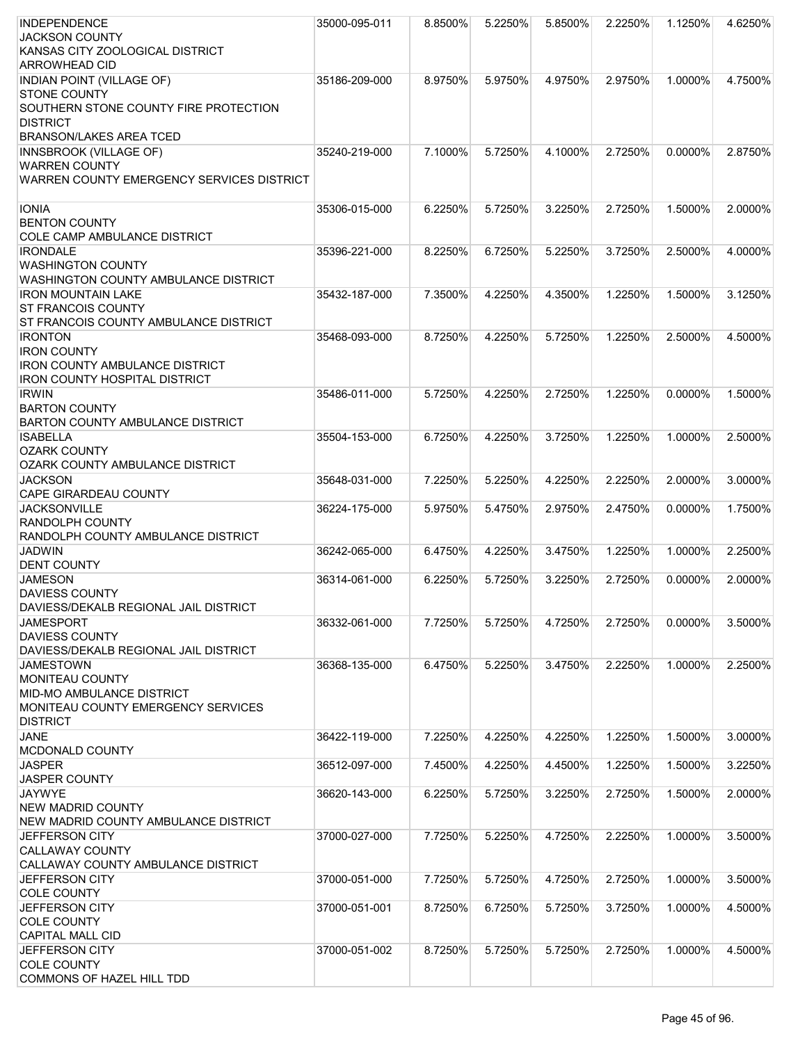| <b>INDEPENDENCE</b>                       | 35000-095-011 | 8.8500% | 5.2250% | 5.8500% | 2.2250% | 1.1250%    | 4.6250% |
|-------------------------------------------|---------------|---------|---------|---------|---------|------------|---------|
| <b>JACKSON COUNTY</b>                     |               |         |         |         |         |            |         |
| KANSAS CITY ZOOLOGICAL DISTRICT           |               |         |         |         |         |            |         |
| <b>ARROWHEAD CID</b>                      |               |         |         |         |         |            |         |
| <b>INDIAN POINT (VILLAGE OF)</b>          | 35186-209-000 | 8.9750% | 5.9750% | 4.9750% | 2.9750% | 1.0000%    | 4.7500% |
| <b>STONE COUNTY</b>                       |               |         |         |         |         |            |         |
| SOUTHERN STONE COUNTY FIRE PROTECTION     |               |         |         |         |         |            |         |
| <b>DISTRICT</b>                           |               |         |         |         |         |            |         |
| <b>BRANSON/LAKES AREA TCED</b>            |               |         |         |         |         |            |         |
| <b>INNSBROOK (VILLAGE OF)</b>             | 35240-219-000 | 7.1000% | 5.7250% | 4.1000% | 2.7250% | 0.0000%    | 2.8750% |
| <b>WARREN COUNTY</b>                      |               |         |         |         |         |            |         |
| WARREN COUNTY EMERGENCY SERVICES DISTRICT |               |         |         |         |         |            |         |
|                                           |               |         |         |         |         |            |         |
| <b>IONIA</b>                              | 35306-015-000 | 6.2250% | 5.7250% | 3.2250% | 2.7250% | 1.5000%    | 2.0000% |
| <b>BENTON COUNTY</b>                      |               |         |         |         |         |            |         |
| COLE CAMP AMBULANCE DISTRICT              |               |         |         |         |         |            |         |
| <b>IRONDALE</b>                           | 35396-221-000 | 8.2250% | 6.7250% | 5.2250% | 3.7250% | 2.5000%    | 4.0000% |
| <b>WASHINGTON COUNTY</b>                  |               |         |         |         |         |            |         |
| WASHINGTON COUNTY AMBULANCE DISTRICT      |               |         |         |         |         |            |         |
| <b>IRON MOUNTAIN LAKE</b>                 | 35432-187-000 | 7.3500% | 4.2250% | 4.3500% | 1.2250% | 1.5000%    | 3.1250% |
| <b>ST FRANCOIS COUNTY</b>                 |               |         |         |         |         |            |         |
| ST FRANCOIS COUNTY AMBULANCE DISTRICT     |               |         |         |         |         |            |         |
| <b>IRONTON</b>                            | 35468-093-000 | 8.7250% | 4.2250% | 5.7250% | 1.2250% | 2.5000%    | 4.5000% |
| <b>IRON COUNTY</b>                        |               |         |         |         |         |            |         |
| <b>IRON COUNTY AMBULANCE DISTRICT</b>     |               |         |         |         |         |            |         |
| <b>IRON COUNTY HOSPITAL DISTRICT</b>      |               |         |         |         |         |            |         |
| <b>IRWIN</b>                              | 35486-011-000 | 5.7250% | 4.2250% | 2.7250% | 1.2250% | $0.0000\%$ | 1.5000% |
| <b>BARTON COUNTY</b>                      |               |         |         |         |         |            |         |
| <b>BARTON COUNTY AMBULANCE DISTRICT</b>   |               |         |         |         |         |            |         |
| <b>ISABELLA</b>                           | 35504-153-000 | 6.7250% | 4.2250% | 3.7250% | 1.2250% | 1.0000%    | 2.5000% |
| <b>OZARK COUNTY</b>                       |               |         |         |         |         |            |         |
| <b>OZARK COUNTY AMBULANCE DISTRICT</b>    |               |         |         |         |         |            |         |
| <b>JACKSON</b>                            | 35648-031-000 | 7.2250% | 5.2250% | 4.2250% | 2.2250% | 2.0000%    | 3.0000% |
| CAPE GIRARDEAU COUNTY                     |               |         |         |         |         |            |         |
| <b>JACKSONVILLE</b>                       | 36224-175-000 | 5.9750% | 5.4750% | 2.9750% | 2.4750% | $0.0000\%$ | 1.7500% |
| <b>RANDOLPH COUNTY</b>                    |               |         |         |         |         |            |         |
| RANDOLPH COUNTY AMBULANCE DISTRICT        |               |         |         |         |         |            |         |
| <b>JADWIN</b>                             | 36242-065-000 | 6.4750% | 4.2250% | 3.4750% | 1.2250% | 1.0000%    | 2.2500% |
| <b>DENT COUNTY</b>                        |               |         |         |         |         |            |         |
| <b>JAMESON</b>                            | 36314-061-000 | 6.2250% | 5.7250% | 3.2250% | 2.7250% | $0.0000\%$ | 2.0000% |
| <b>DAVIESS COUNTY</b>                     |               |         |         |         |         |            |         |
| DAVIESS/DEKALB REGIONAL JAIL DISTRICT     |               |         |         |         |         |            |         |
| <b>JAMESPORT</b>                          | 36332-061-000 | 7.7250% | 5.7250% | 4.7250% | 2.7250% | 0.0000%    | 3.5000% |
| <b>DAVIESS COUNTY</b>                     |               |         |         |         |         |            |         |
| DAVIESS/DEKALB REGIONAL JAIL DISTRICT     |               |         |         |         |         |            |         |
| <b>JAMESTOWN</b><br>MONITEAU COUNTY       | 36368-135-000 | 6.4750% | 5.2250% | 3.4750% | 2.2250% | 1.0000%    | 2.2500% |
| MID-MO AMBULANCE DISTRICT                 |               |         |         |         |         |            |         |
| MONITEAU COUNTY EMERGENCY SERVICES        |               |         |         |         |         |            |         |
| <b>DISTRICT</b>                           |               |         |         |         |         |            |         |
| <b>JANE</b>                               | 36422-119-000 | 7.2250% | 4.2250% | 4.2250% | 1.2250% | 1.5000%    | 3.0000% |
| <b>MCDONALD COUNTY</b>                    |               |         |         |         |         |            |         |
| <b>JASPER</b>                             | 36512-097-000 | 7.4500% | 4.2250% | 4.4500% | 1.2250% | 1.5000%    | 3.2250% |
| <b>JASPER COUNTY</b>                      |               |         |         |         |         |            |         |
| <b>JAYWYE</b>                             | 36620-143-000 | 6.2250% | 5.7250% | 3.2250% | 2.7250% | 1.5000%    | 2.0000% |
| <b>NEW MADRID COUNTY</b>                  |               |         |         |         |         |            |         |
| NEW MADRID COUNTY AMBULANCE DISTRICT      |               |         |         |         |         |            |         |
| JEFFERSON CITY                            | 37000-027-000 | 7.7250% | 5.2250% | 4.7250% | 2.2250% | 1.0000%    | 3.5000% |
| <b>CALLAWAY COUNTY</b>                    |               |         |         |         |         |            |         |
| CALLAWAY COUNTY AMBULANCE DISTRICT        |               |         |         |         |         |            |         |
| <b>JEFFERSON CITY</b>                     | 37000-051-000 | 7.7250% | 5.7250% | 4.7250% | 2.7250% | 1.0000%    | 3.5000% |
| <b>COLE COUNTY</b>                        |               |         |         |         |         |            |         |
| <b>JEFFERSON CITY</b>                     | 37000-051-001 | 8.7250% | 6.7250% | 5.7250% | 3.7250% | 1.0000%    | 4.5000% |
| <b>COLE COUNTY</b>                        |               |         |         |         |         |            |         |
| <b>CAPITAL MALL CID</b>                   |               |         |         |         |         |            |         |
| <b>JEFFERSON CITY</b>                     | 37000-051-002 | 8.7250% | 5.7250% | 5.7250% | 2.7250% | 1.0000%    | 4.5000% |
| <b>COLE COUNTY</b>                        |               |         |         |         |         |            |         |
| COMMONS OF HAZEL HILL TDD                 |               |         |         |         |         |            |         |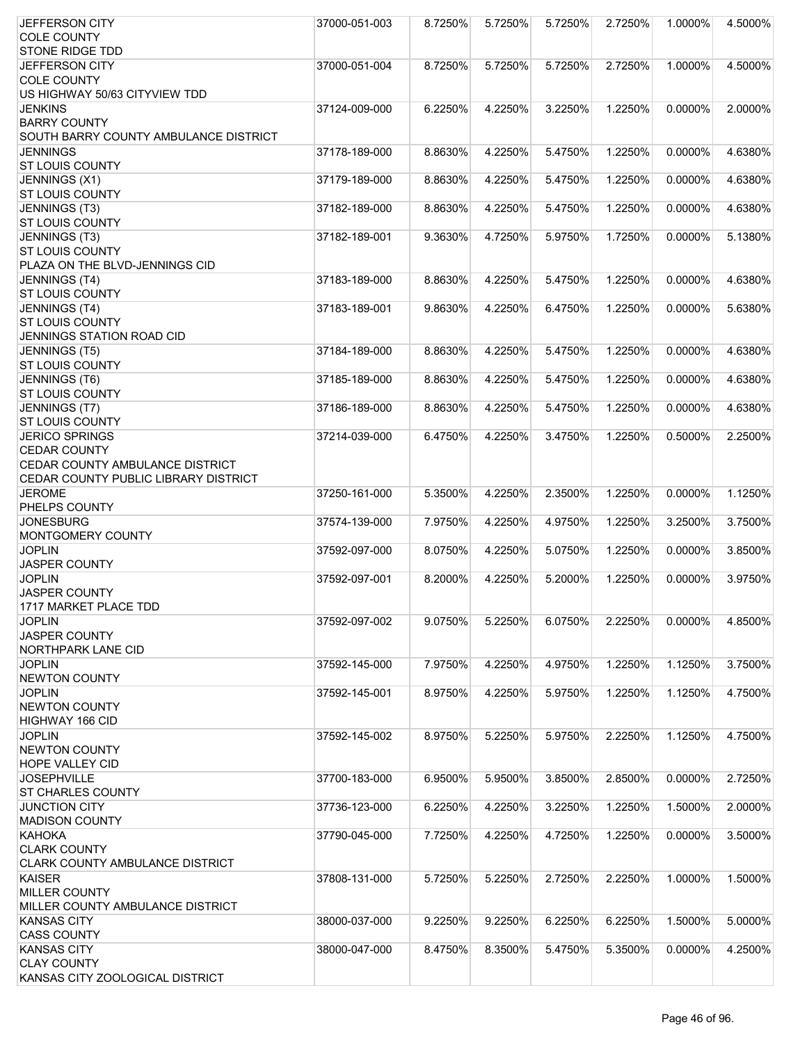| <b>JEFFERSON CITY</b>                  | 37000-051-003 | 8.7250% | 5.7250% | 5.7250% | 2.7250% | 1.0000%    | 4.5000% |
|----------------------------------------|---------------|---------|---------|---------|---------|------------|---------|
| <b>COLE COUNTY</b>                     |               |         |         |         |         |            |         |
| <b>STONE RIDGE TDD</b>                 |               |         |         |         |         |            |         |
| <b>JEFFERSON CITY</b>                  | 37000-051-004 | 8.7250% | 5.7250% | 5.7250% | 2.7250% | 1.0000%    | 4.5000% |
| <b>COLE COUNTY</b>                     |               |         |         |         |         |            |         |
| US HIGHWAY 50/63 CITYVIEW TDD          |               |         |         |         |         |            |         |
| <b>JENKINS</b>                         | 37124-009-000 | 6.2250% | 4.2250% | 3.2250% | 1.2250% | $0.0000\%$ | 2.0000% |
| <b>BARRY COUNTY</b>                    |               |         |         |         |         |            |         |
| SOUTH BARRY COUNTY AMBULANCE DISTRICT  |               |         |         |         |         |            |         |
| <b>JENNINGS</b>                        | 37178-189-000 | 8.8630% | 4.2250% | 5.4750% | 1.2250% | 0.0000%    | 4.6380% |
| <b>ST LOUIS COUNTY</b>                 |               |         |         |         |         |            |         |
|                                        | 37179-189-000 |         |         | 5.4750% |         |            | 4.6380% |
| JENNINGS (X1)                          |               | 8.8630% | 4.2250% |         | 1.2250% | 0.0000%    |         |
| <b>ST LOUIS COUNTY</b>                 |               |         |         |         |         |            |         |
| JENNINGS (T3)                          | 37182-189-000 | 8.8630% | 4.2250% | 5.4750% | 1.2250% | 0.0000%    | 4.6380% |
| <b>ST LOUIS COUNTY</b>                 |               |         |         |         |         |            |         |
| JENNINGS (T3)                          | 37182-189-001 | 9.3630% | 4.7250% | 5.9750% | 1.7250% | 0.0000%    | 5.1380% |
| <b>ST LOUIS COUNTY</b>                 |               |         |         |         |         |            |         |
| PLAZA ON THE BLVD-JENNINGS CID         |               |         |         |         |         |            |         |
| JENNINGS (T4)                          | 37183-189-000 | 8.8630% | 4.2250% | 5.4750% | 1.2250% | 0.0000%    | 4.6380% |
| <b>ST LOUIS COUNTY</b>                 |               |         |         |         |         |            |         |
| JENNINGS (T4)                          | 37183-189-001 | 9.8630% | 4.2250% | 6.4750% | 1.2250% | 0.0000%    | 5.6380% |
| <b>ST LOUIS COUNTY</b>                 |               |         |         |         |         |            |         |
| JENNINGS STATION ROAD CID              |               |         |         |         |         |            |         |
| JENNINGS (T5)                          | 37184-189-000 | 8.8630% | 4.2250% | 5.4750% | 1.2250% | 0.0000%    | 4.6380% |
| <b>ST LOUIS COUNTY</b>                 |               |         |         |         |         |            |         |
| JENNINGS (T6)                          | 37185-189-000 | 8.8630% | 4.2250% | 5.4750% | 1.2250% | 0.0000%    | 4.6380% |
| <b>ST LOUIS COUNTY</b>                 |               |         |         |         |         |            |         |
| JENNINGS (T7)                          | 37186-189-000 | 8.8630% | 4.2250% | 5.4750% | 1.2250% | 0.0000%    | 4.6380% |
| <b>ST LOUIS COUNTY</b>                 |               |         |         |         |         |            |         |
| <b>JERICO SPRINGS</b>                  | 37214-039-000 | 6.4750% | 4.2250% | 3.4750% | 1.2250% | 0.5000%    | 2.2500% |
| <b>CEDAR COUNTY</b>                    |               |         |         |         |         |            |         |
| CEDAR COUNTY AMBULANCE DISTRICT        |               |         |         |         |         |            |         |
| CEDAR COUNTY PUBLIC LIBRARY DISTRICT   |               |         |         |         |         |            |         |
| <b>JEROME</b>                          | 37250-161-000 | 5.3500% | 4.2250% | 2.3500% | 1.2250% | 0.0000%    | 1.1250% |
| PHELPS COUNTY                          |               |         |         |         |         |            |         |
|                                        |               |         |         |         |         |            |         |
| <b>JONESBURG</b>                       | 37574-139-000 | 7.9750% | 4.2250% | 4.9750% | 1.2250% | 3.2500%    | 3.7500% |
| MONTGOMERY COUNTY                      |               |         |         |         |         |            |         |
| <b>JOPLIN</b>                          | 37592-097-000 | 8.0750% | 4.2250% | 5.0750% | 1.2250% | 0.0000%    | 3.8500% |
| <b>JASPER COUNTY</b>                   |               |         |         |         |         |            |         |
| <b>JOPLIN</b>                          | 37592-097-001 | 8.2000% | 4.2250% | 5.2000% | 1.2250% | $0.0000\%$ | 3.9750% |
| JASPER COUNTY                          |               |         |         |         |         |            |         |
| 1717 MARKET PLACE TDD                  |               |         |         |         |         |            |         |
| <b>JOPLIN</b>                          | 37592-097-002 | 9.0750% | 5.2250% | 6.0750% | 2.2250% | 0.0000%    | 4.8500% |
| <b>JASPER COUNTY</b>                   |               |         |         |         |         |            |         |
| <b>NORTHPARK LANE CID</b>              |               |         |         |         |         |            |         |
| <b>JOPLIN</b>                          | 37592-145-000 | 7.9750% | 4.2250% | 4.9750% | 1.2250% | 1.1250%    | 3.7500% |
| <b>NEWTON COUNTY</b>                   |               |         |         |         |         |            |         |
| <b>JOPLIN</b>                          | 37592-145-001 | 8.9750% | 4.2250% | 5.9750% | 1.2250% | 1.1250%    | 4.7500% |
| <b>NEWTON COUNTY</b>                   |               |         |         |         |         |            |         |
| HIGHWAY 166 CID                        |               |         |         |         |         |            |         |
| <b>JOPLIN</b>                          | 37592-145-002 | 8.9750% | 5.2250% | 5.9750% | 2.2250% | 1.1250%    | 4.7500% |
| <b>NEWTON COUNTY</b>                   |               |         |         |         |         |            |         |
| <b>HOPE VALLEY CID</b>                 |               |         |         |         |         |            |         |
| <b>JOSEPHVILLE</b>                     | 37700-183-000 | 6.9500% | 5.9500% | 3.8500% | 2.8500% | 0.0000%    | 2.7250% |
| <b>ST CHARLES COUNTY</b>               |               |         |         |         |         |            |         |
| <b>JUNCTION CITY</b>                   | 37736-123-000 | 6.2250% | 4.2250% | 3.2250% | 1.2250% | 1.5000%    | 2.0000% |
| <b>MADISON COUNTY</b>                  |               |         |         |         |         |            |         |
| <b>KAHOKA</b>                          | 37790-045-000 | 7.7250% | 4.2250% | 4.7250% | 1.2250% | 0.0000%    | 3.5000% |
| <b>CLARK COUNTY</b>                    |               |         |         |         |         |            |         |
| <b>CLARK COUNTY AMBULANCE DISTRICT</b> |               |         |         |         |         |            |         |
| <b>KAISER</b>                          | 37808-131-000 | 5.7250% | 5.2250% | 2.7250% | 2.2250% | 1.0000%    | 1.5000% |
| <b>MILLER COUNTY</b>                   |               |         |         |         |         |            |         |
| MILLER COUNTY AMBULANCE DISTRICT       |               |         |         |         |         |            |         |
|                                        |               |         |         |         |         | 1.5000%    |         |
| <b>KANSAS CITY</b>                     | 38000-037-000 | 9.2250% | 9.2250% | 6.2250% | 6.2250% |            | 5.0000% |
| <b>CASS COUNTY</b>                     |               |         |         |         |         |            |         |
| <b>KANSAS CITY</b>                     | 38000-047-000 | 8.4750% | 8.3500% | 5.4750% | 5.3500% | 0.0000%    | 4.2500% |
| <b>CLAY COUNTY</b>                     |               |         |         |         |         |            |         |
| KANSAS CITY ZOOLOGICAL DISTRICT        |               |         |         |         |         |            |         |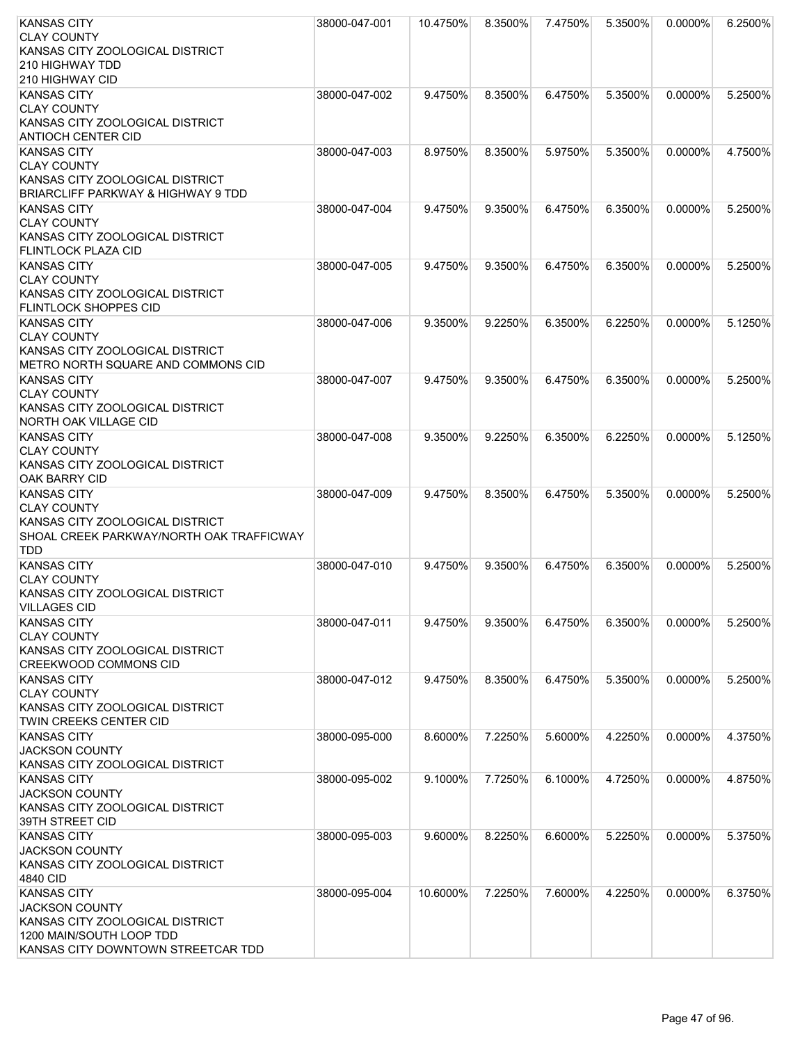| KANSAS CITY                                   | 38000-047-001 | 10.4750% | 8.3500% | 7.4750% | 5.3500% | 0.0000%    | 6.2500% |
|-----------------------------------------------|---------------|----------|---------|---------|---------|------------|---------|
| <b>CLAY COUNTY</b>                            |               |          |         |         |         |            |         |
| KANSAS CITY ZOOLOGICAL DISTRICT               |               |          |         |         |         |            |         |
| 210 HIGHWAY TDD                               |               |          |         |         |         |            |         |
| 210 HIGHWAY CID                               |               |          |         |         |         |            |         |
| <b>KANSAS CITY</b>                            | 38000-047-002 | 9.4750%  | 8.3500% | 6.4750% | 5.3500% | $0.0000\%$ | 5.2500% |
| <b>CLAY COUNTY</b>                            |               |          |         |         |         |            |         |
| KANSAS CITY ZOOLOGICAL DISTRICT               |               |          |         |         |         |            |         |
| <b>ANTIOCH CENTER CID</b>                     |               |          |         |         |         |            |         |
| <b>KANSAS CITY</b>                            | 38000-047-003 | 8.9750%  | 8.3500% | 5.9750% | 5.3500% | 0.0000%    | 4.7500% |
| <b>CLAY COUNTY</b>                            |               |          |         |         |         |            |         |
| KANSAS CITY ZOOLOGICAL DISTRICT               |               |          |         |         |         |            |         |
|                                               |               |          |         |         |         |            |         |
| <b>BRIARCLIFF PARKWAY &amp; HIGHWAY 9 TDD</b> |               |          |         |         |         |            |         |
| <b>KANSAS CITY</b>                            | 38000-047-004 | 9.4750%  | 9.3500% | 6.4750% | 6.3500% | $0.0000\%$ | 5.2500% |
| <b>CLAY COUNTY</b>                            |               |          |         |         |         |            |         |
| KANSAS CITY ZOOLOGICAL DISTRICT               |               |          |         |         |         |            |         |
| FLINTLOCK PLAZA CID                           |               |          |         |         |         |            |         |
| <b>KANSAS CITY</b>                            | 38000-047-005 | 9.4750%  | 9.3500% | 6.4750% | 6.3500% | $0.0000\%$ | 5.2500% |
| <b>CLAY COUNTY</b>                            |               |          |         |         |         |            |         |
| KANSAS CITY ZOOLOGICAL DISTRICT               |               |          |         |         |         |            |         |
| <b>FLINTLOCK SHOPPES CID</b>                  |               |          |         |         |         |            |         |
| <b>KANSAS CITY</b>                            | 38000-047-006 | 9.3500%  | 9.2250% | 6.3500% | 6.2250% | 0.0000%    | 5.1250% |
| <b>CLAY COUNTY</b>                            |               |          |         |         |         |            |         |
| KANSAS CITY ZOOLOGICAL DISTRICT               |               |          |         |         |         |            |         |
| METRO NORTH SQUARE AND COMMONS CID            |               |          |         |         |         |            |         |
| <b>KANSAS CITY</b>                            | 38000-047-007 | 9.4750%  | 9.3500% | 6.4750% | 6.3500% | $0.0000\%$ | 5.2500% |
| <b>CLAY COUNTY</b>                            |               |          |         |         |         |            |         |
| KANSAS CITY ZOOLOGICAL DISTRICT               |               |          |         |         |         |            |         |
| NORTH OAK VILLAGE CID                         |               |          |         |         |         |            |         |
| <b>KANSAS CITY</b>                            | 38000-047-008 | 9.3500%  | 9.2250% | 6.3500% | 6.2250% | 0.0000%    | 5.1250% |
| <b>CLAY COUNTY</b>                            |               |          |         |         |         |            |         |
| KANSAS CITY ZOOLOGICAL DISTRICT               |               |          |         |         |         |            |         |
| <b>OAK BARRY CID</b>                          |               |          |         |         |         |            |         |
| <b>KANSAS CITY</b>                            | 38000-047-009 | 9.4750%  | 8.3500% | 6.4750% | 5.3500% | $0.0000\%$ | 5.2500% |
| <b>CLAY COUNTY</b>                            |               |          |         |         |         |            |         |
| KANSAS CITY ZOOLOGICAL DISTRICT               |               |          |         |         |         |            |         |
| SHOAL CREEK PARKWAY/NORTH OAK TRAFFICWAY      |               |          |         |         |         |            |         |
| <b>TDD</b>                                    |               |          |         |         |         |            |         |
|                                               |               |          |         |         |         |            |         |
| <b>KANSAS CITY</b>                            | 38000-047-010 | 9.4750%  | 9.3500% | 6.4750% | 6.3500% | $0.0000\%$ | 5.2500% |
| <b>CLAY COUNTY</b>                            |               |          |         |         |         |            |         |
| KANSAS CITY ZOOLOGICAL DISTRICT               |               |          |         |         |         |            |         |
| <b>VILLAGES CID</b>                           |               |          |         |         |         |            |         |
| <b>KANSAS CITY</b>                            | 38000-047-011 | 9.4750%  | 9.3500% | 6.4750% | 6.3500% | 0.0000%    | 5.2500% |
| <b>CLAY COUNTY</b>                            |               |          |         |         |         |            |         |
| KANSAS CITY ZOOLOGICAL DISTRICT               |               |          |         |         |         |            |         |
| <b>CREEKWOOD COMMONS CID</b>                  |               |          |         |         |         |            |         |
| <b>KANSAS CITY</b>                            | 38000-047-012 | 9.4750%  | 8.3500% | 6.4750% | 5.3500% | $0.0000\%$ | 5.2500% |
| <b>CLAY COUNTY</b>                            |               |          |         |         |         |            |         |
| KANSAS CITY ZOOLOGICAL DISTRICT               |               |          |         |         |         |            |         |
| <b>TWIN CREEKS CENTER CID</b>                 |               |          |         |         |         |            |         |
| <b>KANSAS CITY</b>                            | 38000-095-000 | 8.6000%  | 7.2250% | 5.6000% | 4.2250% | $0.0000\%$ | 4.3750% |
| <b>JACKSON COUNTY</b>                         |               |          |         |         |         |            |         |
| KANSAS CITY ZOOLOGICAL DISTRICT               |               |          |         |         |         |            |         |
| <b>KANSAS CITY</b>                            | 38000-095-002 | 9.1000%  | 7.7250% | 6.1000% | 4.7250% | $0.0000\%$ | 4.8750% |
| <b>JACKSON COUNTY</b>                         |               |          |         |         |         |            |         |
| KANSAS CITY ZOOLOGICAL DISTRICT               |               |          |         |         |         |            |         |
| 39TH STREET CID                               |               |          |         |         |         |            |         |
| <b>KANSAS CITY</b>                            | 38000-095-003 | 9.6000%  | 8.2250% | 6.6000% | 5.2250% | 0.0000%    | 5.3750% |
| <b>JACKSON COUNTY</b>                         |               |          |         |         |         |            |         |
| KANSAS CITY ZOOLOGICAL DISTRICT               |               |          |         |         |         |            |         |
| 4840 CID                                      |               |          |         |         |         |            |         |
| <b>KANSAS CITY</b>                            | 38000-095-004 | 10.6000% | 7.2250% | 7.6000% | 4.2250% | 0.0000%    | 6.3750% |
| <b>JACKSON COUNTY</b>                         |               |          |         |         |         |            |         |
| KANSAS CITY ZOOLOGICAL DISTRICT               |               |          |         |         |         |            |         |
| 1200 MAIN/SOUTH LOOP TDD                      |               |          |         |         |         |            |         |
| KANSAS CITY DOWNTOWN STREETCAR TDD            |               |          |         |         |         |            |         |
|                                               |               |          |         |         |         |            |         |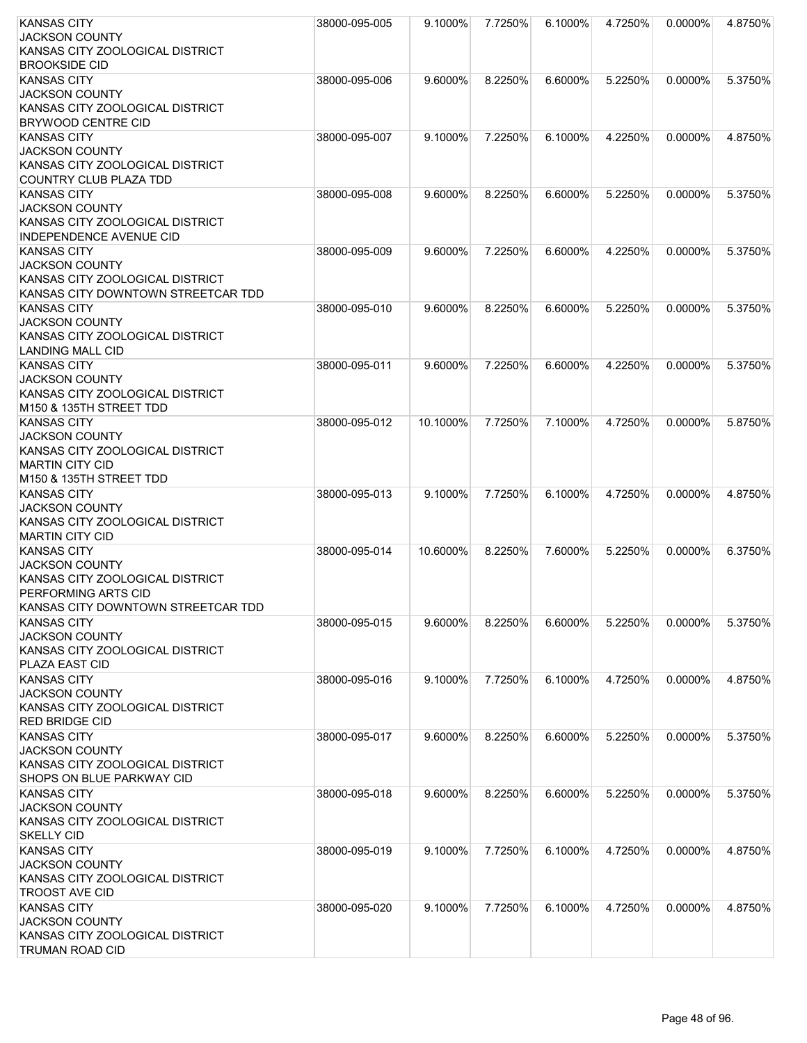| <b>KANSAS CITY</b>                                       | 38000-095-005 | 9.1000%    | 7.7250% | 6.1000% | 4.7250% | 0.0000%    | 4.8750% |
|----------------------------------------------------------|---------------|------------|---------|---------|---------|------------|---------|
| <b>JACKSON COUNTY</b>                                    |               |            |         |         |         |            |         |
| KANSAS CITY ZOOLOGICAL DISTRICT                          |               |            |         |         |         |            |         |
| <b>BROOKSIDE CID</b>                                     |               |            |         |         |         |            |         |
| <b>KANSAS CITY</b>                                       | 38000-095-006 | $9.6000\%$ | 8.2250% | 6.6000% | 5.2250% | 0.0000%    | 5.3750% |
| <b>JACKSON COUNTY</b>                                    |               |            |         |         |         |            |         |
| KANSAS CITY ZOOLOGICAL DISTRICT                          |               |            |         |         |         |            |         |
| BRYWOOD CENTRE CID                                       |               |            |         |         |         |            |         |
| <b>KANSAS CITY</b>                                       | 38000-095-007 | 9.1000%    | 7.2250% | 6.1000% | 4.2250% | 0.0000%    | 4.8750% |
| <b>JACKSON COUNTY</b>                                    |               |            |         |         |         |            |         |
| KANSAS CITY ZOOLOGICAL DISTRICT                          |               |            |         |         |         |            |         |
| COUNTRY CLUB PLAZA TDD                                   |               |            |         |         |         |            |         |
| <b>KANSAS CITY</b>                                       | 38000-095-008 | 9.6000%    | 8.2250% | 6.6000% | 5.2250% | $0.0000\%$ | 5.3750% |
| <b>JACKSON COUNTY</b>                                    |               |            |         |         |         |            |         |
| KANSAS CITY ZOOLOGICAL DISTRICT                          |               |            |         |         |         |            |         |
| INDEPENDENCE AVENUE CID                                  |               |            |         |         |         |            |         |
| <b>KANSAS CITY</b>                                       | 38000-095-009 | 9.6000%    | 7.2250% | 6.6000% | 4.2250% | 0.0000%    | 5.3750% |
| <b>JACKSON COUNTY</b>                                    |               |            |         |         |         |            |         |
| KANSAS CITY ZOOLOGICAL DISTRICT                          |               |            |         |         |         |            |         |
| KANSAS CITY DOWNTOWN STREETCAR TDD                       |               |            |         |         |         |            |         |
| <b>KANSAS CITY</b><br><b>JACKSON COUNTY</b>              | 38000-095-010 | $9.6000\%$ | 8.2250% | 6.6000% | 5.2250% | 0.0000%    | 5.3750% |
| KANSAS CITY ZOOLOGICAL DISTRICT                          |               |            |         |         |         |            |         |
| <b>LANDING MALL CID</b>                                  |               |            |         |         |         |            |         |
| <b>KANSAS CITY</b>                                       | 38000-095-011 | 9.6000%    | 7.2250% | 6.6000% | 4.2250% | 0.0000%    | 5.3750% |
| <b>JACKSON COUNTY</b>                                    |               |            |         |         |         |            |         |
| KANSAS CITY ZOOLOGICAL DISTRICT                          |               |            |         |         |         |            |         |
| M150 & 135TH STREET TDD                                  |               |            |         |         |         |            |         |
| <b>KANSAS CITY</b>                                       | 38000-095-012 | 10.1000%   | 7.7250% | 7.1000% | 4.7250% | 0.0000%    | 5.8750% |
| <b>JACKSON COUNTY</b>                                    |               |            |         |         |         |            |         |
| KANSAS CITY ZOOLOGICAL DISTRICT                          |               |            |         |         |         |            |         |
| <b>MARTIN CITY CID</b>                                   |               |            |         |         |         |            |         |
| M150 & 135TH STREET TDD                                  |               |            |         |         |         |            |         |
| <b>KANSAS CITY</b>                                       | 38000-095-013 | 9.1000%    | 7.7250% | 6.1000% | 4.7250% | 0.0000%    | 4.8750% |
| <b>JACKSON COUNTY</b>                                    |               |            |         |         |         |            |         |
| KANSAS CITY ZOOLOGICAL DISTRICT                          |               |            |         |         |         |            |         |
| <b>MARTIN CITY CID</b>                                   |               |            |         |         |         |            |         |
| <b>KANSAS CITY</b>                                       | 38000-095-014 | 10.6000%   | 8.2250% | 7.6000% | 5.2250% | $0.0000\%$ | 6.3750% |
| <b>JACKSON COUNTY</b>                                    |               |            |         |         |         |            |         |
| KANSAS CITY ZOOLOGICAL DISTRICT                          |               |            |         |         |         |            |         |
| PERFORMING ARTS CID                                      |               |            |         |         |         |            |         |
| KANSAS CITY DOWNTOWN STREETCAR TDD                       |               |            |         |         |         |            |         |
| <b>KANSAS CITY</b>                                       | 38000-095-015 | 9.6000%    | 8.2250% | 6.6000% | 5.2250% | 0.0000%    | 5.3750% |
| <b>JACKSON COUNTY</b>                                    |               |            |         |         |         |            |         |
| KANSAS CITY ZOOLOGICAL DISTRICT                          |               |            |         |         |         |            |         |
| PLAZA EAST CID                                           |               |            |         |         |         |            |         |
| <b>KANSAS CITY</b>                                       | 38000-095-016 | 9.1000%    | 7.7250% | 6.1000% | 4.7250% | 0.0000%    | 4.8750% |
| <b>JACKSON COUNTY</b>                                    |               |            |         |         |         |            |         |
| KANSAS CITY ZOOLOGICAL DISTRICT                          |               |            |         |         |         |            |         |
| RED BRIDGE CID                                           |               |            |         |         |         |            |         |
| <b>KANSAS CITY</b>                                       | 38000-095-017 | 9.6000%    | 8.2250% | 6.6000% | 5.2250% | 0.0000%    | 5.3750% |
| <b>JACKSON COUNTY</b><br>KANSAS CITY ZOOLOGICAL DISTRICT |               |            |         |         |         |            |         |
| SHOPS ON BLUE PARKWAY CID                                |               |            |         |         |         |            |         |
| <b>KANSAS CITY</b>                                       | 38000-095-018 | 9.6000%    | 8.2250% | 6.6000% | 5.2250% | $0.0000\%$ | 5.3750% |
| <b>JACKSON COUNTY</b>                                    |               |            |         |         |         |            |         |
| KANSAS CITY ZOOLOGICAL DISTRICT                          |               |            |         |         |         |            |         |
| <b>SKELLY CID</b>                                        |               |            |         |         |         |            |         |
| <b>KANSAS CITY</b>                                       | 38000-095-019 | 9.1000%    | 7.7250% | 6.1000% | 4.7250% | $0.0000\%$ | 4.8750% |
| <b>JACKSON COUNTY</b>                                    |               |            |         |         |         |            |         |
| KANSAS CITY ZOOLOGICAL DISTRICT                          |               |            |         |         |         |            |         |
| <b>TROOST AVE CID</b>                                    |               |            |         |         |         |            |         |
| <b>KANSAS CITY</b>                                       | 38000-095-020 | 9.1000%    | 7.7250% | 6.1000% | 4.7250% | $0.0000\%$ | 4.8750% |
| <b>JACKSON COUNTY</b>                                    |               |            |         |         |         |            |         |
| KANSAS CITY ZOOLOGICAL DISTRICT                          |               |            |         |         |         |            |         |
| <b>TRUMAN ROAD CID</b>                                   |               |            |         |         |         |            |         |
|                                                          |               |            |         |         |         |            |         |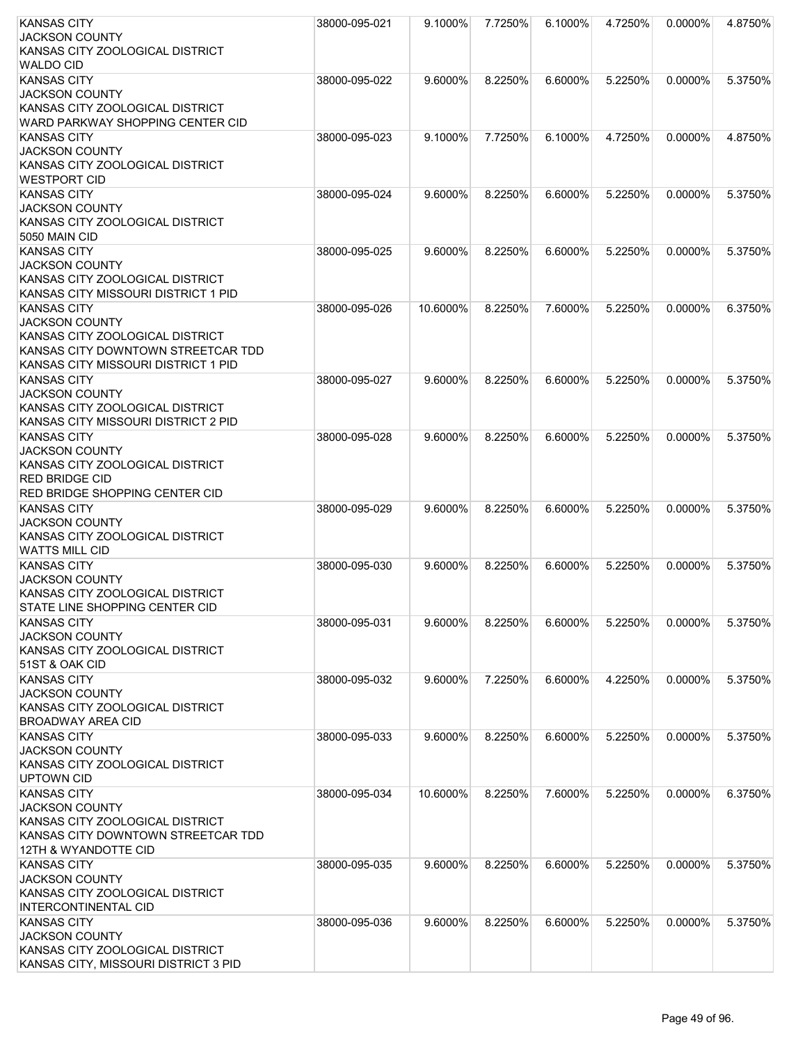| <b>KANSAS CITY</b>                                      | 38000-095-021 | 9.1000%  | 7.7250% | 6.1000%    | 4.7250% | 0.0000%    | 4.8750% |
|---------------------------------------------------------|---------------|----------|---------|------------|---------|------------|---------|
| <b>JACKSON COUNTY</b>                                   |               |          |         |            |         |            |         |
| KANSAS CITY ZOOLOGICAL DISTRICT                         |               |          |         |            |         |            |         |
| <b>WALDO CID</b>                                        |               |          |         |            |         |            |         |
| <b>KANSAS CITY</b>                                      | 38000-095-022 | 9.6000%  | 8.2250% | 6.6000%    | 5.2250% | 0.0000%    | 5.3750% |
| <b>JACKSON COUNTY</b>                                   |               |          |         |            |         |            |         |
| KANSAS CITY ZOOLOGICAL DISTRICT                         |               |          |         |            |         |            |         |
| WARD PARKWAY SHOPPING CENTER CID                        |               |          |         |            |         |            |         |
| <b>KANSAS CITY</b>                                      | 38000-095-023 | 9.1000%  | 7.7250% | 6.1000%    | 4.7250% | 0.0000%    | 4.8750% |
| <b>JACKSON COUNTY</b>                                   |               |          |         |            |         |            |         |
| KANSAS CITY ZOOLOGICAL DISTRICT                         |               |          |         |            |         |            |         |
| <b>WESTPORT CID</b>                                     |               |          |         |            |         |            |         |
| <b>KANSAS CITY</b>                                      | 38000-095-024 | 9.6000%  | 8.2250% | 6.6000%    | 5.2250% | 0.0000%    | 5.3750% |
| <b>JACKSON COUNTY</b>                                   |               |          |         |            |         |            |         |
| KANSAS CITY ZOOLOGICAL DISTRICT                         |               |          |         |            |         |            |         |
| 5050 MAIN CID                                           |               |          |         |            |         |            |         |
| <b>KANSAS CITY</b>                                      | 38000-095-025 | 9.6000%  | 8.2250% | 6.6000%    | 5.2250% | $0.0000\%$ | 5.3750% |
| <b>JACKSON COUNTY</b>                                   |               |          |         |            |         |            |         |
| KANSAS CITY ZOOLOGICAL DISTRICT                         |               |          |         |            |         |            |         |
| KANSAS CITY MISSOURI DISTRICT 1 PID                     |               |          |         |            |         |            |         |
| <b>KANSAS CITY</b>                                      | 38000-095-026 | 10.6000% | 8.2250% | 7.6000%    | 5.2250% | 0.0000%    | 6.3750% |
| <b>JACKSON COUNTY</b>                                   |               |          |         |            |         |            |         |
| KANSAS CITY ZOOLOGICAL DISTRICT                         |               |          |         |            |         |            |         |
| KANSAS CITY DOWNTOWN STREETCAR TDD                      |               |          |         |            |         |            |         |
| KANSAS CITY MISSOURI DISTRICT 1 PID                     |               |          |         |            |         |            |         |
| <b>KANSAS CITY</b>                                      | 38000-095-027 | 9.6000%  | 8.2250% | 6.6000%    | 5.2250% | 0.0000%    | 5.3750% |
| <b>JACKSON COUNTY</b>                                   |               |          |         |            |         |            |         |
| KANSAS CITY ZOOLOGICAL DISTRICT                         |               |          |         |            |         |            |         |
| KANSAS CITY MISSOURI DISTRICT 2 PID                     |               |          |         |            |         |            |         |
| <b>KANSAS CITY</b>                                      | 38000-095-028 | 9.6000%  | 8.2250% | 6.6000%    | 5.2250% | 0.0000%    | 5.3750% |
| <b>JACKSON COUNTY</b>                                   |               |          |         |            |         |            |         |
| KANSAS CITY ZOOLOGICAL DISTRICT                         |               |          |         |            |         |            |         |
| <b>RED BRIDGE CID</b><br>RED BRIDGE SHOPPING CENTER CID |               |          |         |            |         |            |         |
|                                                         |               |          |         | $6.6000\%$ |         |            |         |
| <b>KANSAS CITY</b><br><b>JACKSON COUNTY</b>             | 38000-095-029 | 9.6000%  | 8.2250% |            | 5.2250% | $0.0000\%$ | 5.3750% |
| KANSAS CITY ZOOLOGICAL DISTRICT                         |               |          |         |            |         |            |         |
| <b>WATTS MILL CID</b>                                   |               |          |         |            |         |            |         |
| <b>KANSAS CITY</b>                                      | 38000-095-030 | 9.6000%  | 8.2250% | 6.6000%    | 5.2250% | 0.0000%    | 5.3750% |
| <b>JACKSON COUNTY</b>                                   |               |          |         |            |         |            |         |
| KANSAS CITY ZOOLOGICAL DISTRICT                         |               |          |         |            |         |            |         |
| STATE LINE SHOPPING CENTER CID                          |               |          |         |            |         |            |         |
| KANSAS CITY                                             | 38000-095-031 | 9.6000%  | 8.2250% | 6.6000%    | 5.2250% | $0.0000\%$ | 5.3750% |
| <b>JACKSON COUNTY</b>                                   |               |          |         |            |         |            |         |
| KANSAS CITY ZOOLOGICAL DISTRICT                         |               |          |         |            |         |            |         |
| 51ST & OAK CID                                          |               |          |         |            |         |            |         |
| <b>KANSAS CITY</b>                                      | 38000-095-032 | 9.6000%  | 7.2250% | $6.6000\%$ | 4.2250% | 0.0000%    | 5.3750% |
| <b>JACKSON COUNTY</b>                                   |               |          |         |            |         |            |         |
| KANSAS CITY ZOOLOGICAL DISTRICT                         |               |          |         |            |         |            |         |
| BROADWAY AREA CID                                       |               |          |         |            |         |            |         |
| <b>KANSAS CITY</b>                                      | 38000-095-033 | 9.6000%  | 8.2250% | $6.6000\%$ | 5.2250% | $0.0000\%$ | 5.3750% |
| <b>JACKSON COUNTY</b>                                   |               |          |         |            |         |            |         |
| KANSAS CITY ZOOLOGICAL DISTRICT                         |               |          |         |            |         |            |         |
| <b>UPTOWN CID</b>                                       |               |          |         |            |         |            |         |
| <b>KANSAS CITY</b>                                      | 38000-095-034 | 10.6000% | 8.2250% | 7.6000%    | 5.2250% | $0.0000\%$ | 6.3750% |
| <b>JACKSON COUNTY</b>                                   |               |          |         |            |         |            |         |
| KANSAS CITY ZOOLOGICAL DISTRICT                         |               |          |         |            |         |            |         |
| KANSAS CITY DOWNTOWN STREETCAR TDD                      |               |          |         |            |         |            |         |
| 12TH & WYANDOTTE CID                                    |               |          |         |            |         |            |         |
| <b>KANSAS CITY</b>                                      | 38000-095-035 | 9.6000%  | 8.2250% | 6.6000%    | 5.2250% | 0.0000%    | 5.3750% |
| <b>JACKSON COUNTY</b>                                   |               |          |         |            |         |            |         |
| KANSAS CITY ZOOLOGICAL DISTRICT                         |               |          |         |            |         |            |         |
| INTERCONTINENTAL CID                                    |               |          |         |            |         |            |         |
| <b>KANSAS CITY</b>                                      | 38000-095-036 | 9.6000%  | 8.2250% | $6.6000\%$ | 5.2250% | 0.0000%    | 5.3750% |
| <b>JACKSON COUNTY</b>                                   |               |          |         |            |         |            |         |
| KANSAS CITY ZOOLOGICAL DISTRICT                         |               |          |         |            |         |            |         |
| KANSAS CITY, MISSOURI DISTRICT 3 PID                    |               |          |         |            |         |            |         |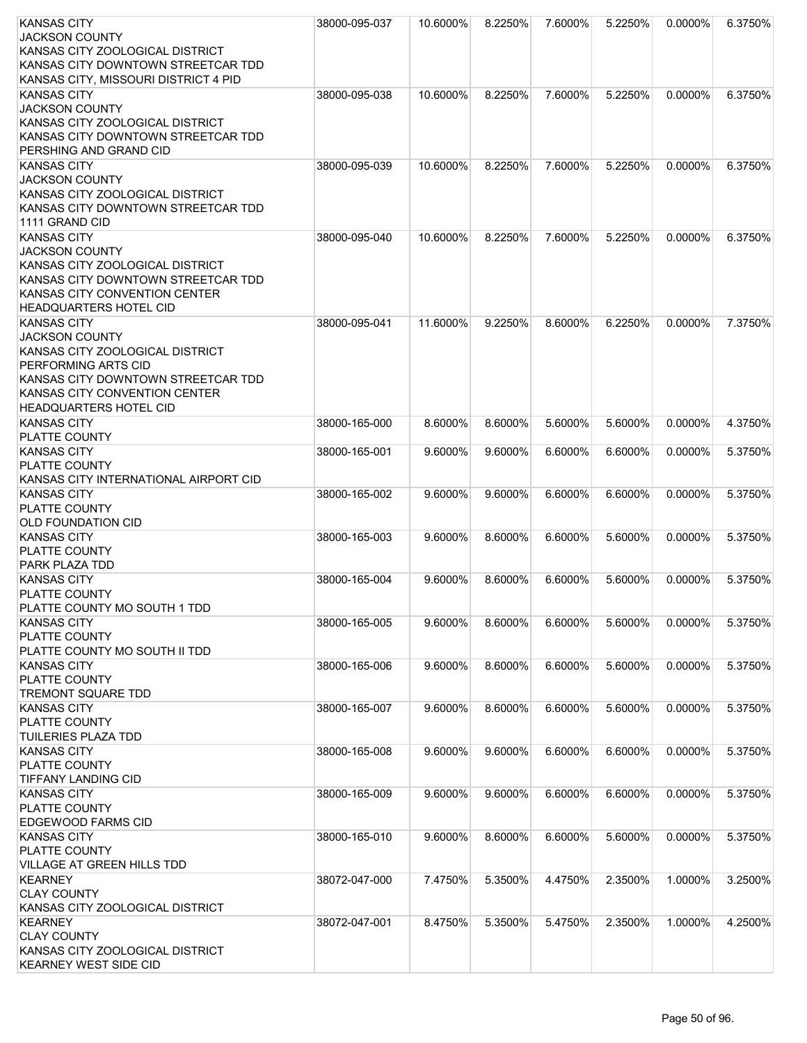| KANSAS CITY                                           | 38000-095-037 | 10.6000% | 8.2250% | 7.6000% | 5.2250% | 0.0000%    | 6.3750% |
|-------------------------------------------------------|---------------|----------|---------|---------|---------|------------|---------|
| <b>JACKSON COUNTY</b>                                 |               |          |         |         |         |            |         |
| KANSAS CITY ZOOLOGICAL DISTRICT                       |               |          |         |         |         |            |         |
| KANSAS CITY DOWNTOWN STREETCAR TDD                    |               |          |         |         |         |            |         |
| KANSAS CITY, MISSOURI DISTRICT 4 PID                  |               |          |         |         |         |            |         |
| <b>KANSAS CITY</b>                                    | 38000-095-038 | 10.6000% | 8.2250% | 7.6000% | 5.2250% | 0.0000%    | 6.3750% |
| <b>JACKSON COUNTY</b>                                 |               |          |         |         |         |            |         |
| KANSAS CITY ZOOLOGICAL DISTRICT                       |               |          |         |         |         |            |         |
| KANSAS CITY DOWNTOWN STREETCAR TDD                    |               |          |         |         |         |            |         |
| PERSHING AND GRAND CID                                |               |          |         |         |         |            |         |
| <b>KANSAS CITY</b>                                    | 38000-095-039 | 10.6000% | 8.2250% | 7.6000% | 5.2250% | 0.0000%    | 6.3750% |
| <b>JACKSON COUNTY</b>                                 |               |          |         |         |         |            |         |
| KANSAS CITY ZOOLOGICAL DISTRICT                       |               |          |         |         |         |            |         |
| KANSAS CITY DOWNTOWN STREETCAR TDD                    |               |          |         |         |         |            |         |
| 1111 GRAND CID                                        |               |          |         |         |         |            |         |
| <b>KANSAS CITY</b>                                    | 38000-095-040 | 10.6000% | 8.2250% | 7.6000% | 5.2250% | 0.0000%    | 6.3750% |
| <b>JACKSON COUNTY</b>                                 |               |          |         |         |         |            |         |
| KANSAS CITY ZOOLOGICAL DISTRICT                       |               |          |         |         |         |            |         |
| KANSAS CITY DOWNTOWN STREETCAR TDD                    |               |          |         |         |         |            |         |
| KANSAS CITY CONVENTION CENTER                         |               |          |         |         |         |            |         |
| <b>HEADQUARTERS HOTEL CID</b>                         |               |          |         |         |         |            |         |
| <b>KANSAS CITY</b>                                    | 38000-095-041 | 11.6000% | 9.2250% | 8.6000% | 6.2250% | $0.0000\%$ | 7.3750% |
| <b>JACKSON COUNTY</b>                                 |               |          |         |         |         |            |         |
| KANSAS CITY ZOOLOGICAL DISTRICT                       |               |          |         |         |         |            |         |
| <b>PERFORMING ARTS CID</b>                            |               |          |         |         |         |            |         |
| KANSAS CITY DOWNTOWN STREETCAR TDD                    |               |          |         |         |         |            |         |
| KANSAS CITY CONVENTION CENTER                         |               |          |         |         |         |            |         |
| <b>HEADQUARTERS HOTEL CID</b>                         |               |          |         |         |         |            |         |
| <b>KANSAS CITY</b>                                    | 38000-165-000 | 8.6000%  | 8.6000% | 5.6000% | 5.6000% | 0.0000%    | 4.3750% |
| <b>PLATTE COUNTY</b>                                  |               |          |         |         |         |            |         |
| <b>KANSAS CITY</b>                                    | 38000-165-001 | 9.6000%  | 9.6000% | 6.6000% | 6.6000% | 0.0000%    | 5.3750% |
| <b>PLATTE COUNTY</b>                                  |               |          |         |         |         |            |         |
| KANSAS CITY INTERNATIONAL AIRPORT CID                 |               |          |         |         |         |            |         |
| <b>KANSAS CITY</b>                                    | 38000-165-002 | 9.6000%  | 9.6000% | 6.6000% | 6.6000% | 0.0000%    | 5.3750% |
| <b>PLATTE COUNTY</b>                                  |               |          |         |         |         |            |         |
| <b>OLD FOUNDATION CID</b>                             |               |          |         |         |         |            |         |
| <b>KANSAS CITY</b>                                    | 38000-165-003 | 9.6000%  | 8.6000% | 6.6000% | 5.6000% | 0.0000%    | 5.3750% |
| PLATTE COUNTY                                         |               |          |         |         |         |            |         |
| <b>PARK PLAZA TDD</b>                                 |               |          |         |         |         |            |         |
| <b>KANSAS CITY</b>                                    | 38000-165-004 | 9.6000%  | 8.6000% | 6.6000% | 5.6000% | $0.0000\%$ | 5.3750% |
| <b>PLATTE COUNTY</b>                                  |               |          |         |         |         |            |         |
| PLATTE COUNTY MO SOUTH 1 TDD                          |               |          |         |         |         |            |         |
| <b>KANSAS CITY</b>                                    | 38000-165-005 | 9.6000%  | 8.6000% | 6.6000% | 5.6000% | 0.0000%    | 5.3750% |
| PLATTE COUNTY                                         |               |          |         |         |         |            |         |
| PLATTE COUNTY MO SOUTH II TDD                         |               |          |         |         |         |            |         |
| <b>KANSAS CITY</b>                                    | 38000-165-006 | 9.6000%  | 8.6000% | 6.6000% | 5.6000% | 0.0000%    | 5.3750% |
| PLATTE COUNTY                                         |               |          |         |         |         |            |         |
| <b>TREMONT SQUARE TDD</b>                             |               |          |         |         |         |            |         |
| <b>KANSAS CITY</b>                                    | 38000-165-007 | 9.6000%  | 8.6000% | 6.6000% | 5.6000% | 0.0000%    | 5.3750% |
| <b>PLATTE COUNTY</b>                                  |               |          |         |         |         |            |         |
| <b>TUILERIES PLAZA TDD</b>                            |               |          |         |         |         |            |         |
| <b>KANSAS CITY</b>                                    | 38000-165-008 | 9.6000%  | 9.6000% | 6.6000% | 6.6000% | 0.0000%    | 5.3750% |
| <b>PLATTE COUNTY</b>                                  |               |          |         |         |         |            |         |
| <b>TIFFANY LANDING CID</b>                            |               |          |         |         |         |            |         |
| <b>KANSAS CITY</b>                                    | 38000-165-009 | 9.6000%  | 9.6000% | 6.6000% | 6.6000% | 0.0000%    | 5.3750% |
| <b>PLATTE COUNTY</b>                                  |               |          |         |         |         |            |         |
| EDGEWOOD FARMS CID                                    |               |          |         |         |         |            |         |
| <b>KANSAS CITY</b>                                    |               | 9.6000%  |         |         |         |            |         |
| <b>PLATTE COUNTY</b>                                  | 38000-165-010 |          | 8.6000% | 6.6000% | 5.6000% | 0.0000%    | 5.3750% |
| <b>VILLAGE AT GREEN HILLS TDD</b>                     |               |          |         |         |         |            |         |
|                                                       |               |          |         |         |         |            |         |
| <b>KEARNEY</b>                                        | 38072-047-000 | 7.4750%  | 5.3500% | 4.4750% | 2.3500% | 1.0000%    | 3.2500% |
| <b>CLAY COUNTY</b>                                    |               |          |         |         |         |            |         |
| KANSAS CITY ZOOLOGICAL DISTRICT                       |               |          |         |         |         |            |         |
| <b>KEARNEY</b>                                        | 38072-047-001 | 8.4750%  | 5.3500% | 5.4750% | 2.3500% | 1.0000%    | 4.2500% |
| <b>CLAY COUNTY</b><br>KANSAS CITY ZOOLOGICAL DISTRICT |               |          |         |         |         |            |         |
| <b>KEARNEY WEST SIDE CID</b>                          |               |          |         |         |         |            |         |
|                                                       |               |          |         |         |         |            |         |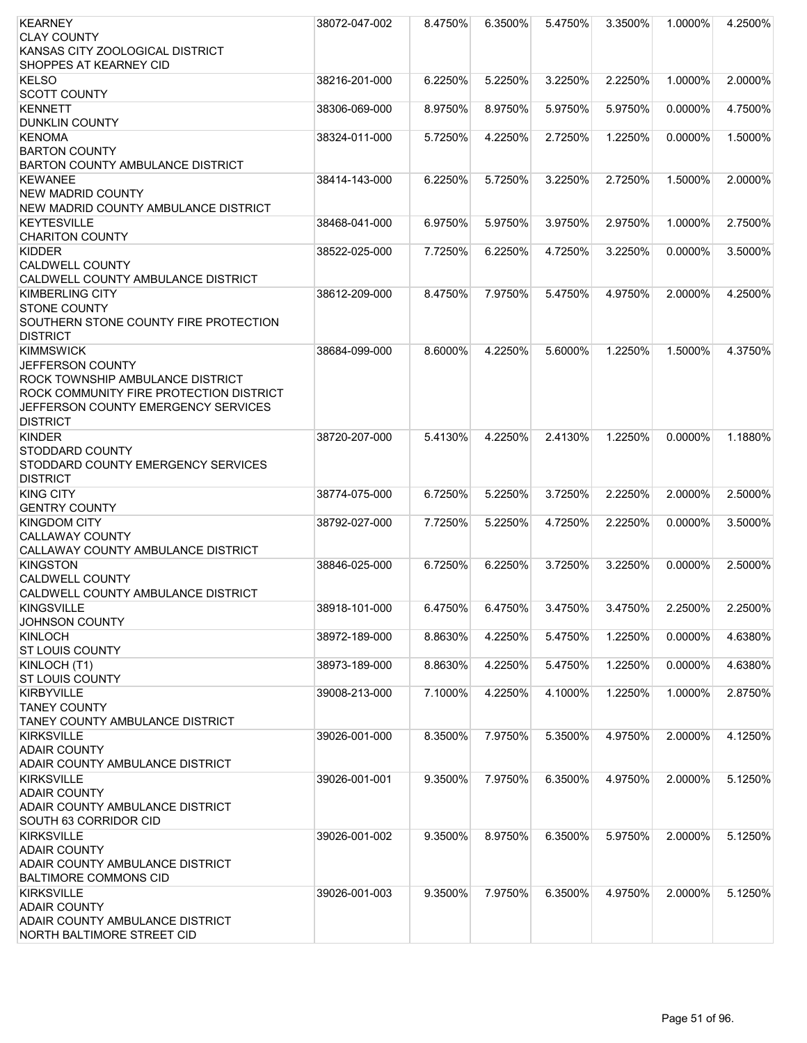| <b>KEARNEY</b>                          | 38072-047-002 | 8.4750% | 6.3500% | 5.4750% | 3.3500% | 1.0000%    | 4.2500% |
|-----------------------------------------|---------------|---------|---------|---------|---------|------------|---------|
| <b>CLAY COUNTY</b>                      |               |         |         |         |         |            |         |
| KANSAS CITY ZOOLOGICAL DISTRICT         |               |         |         |         |         |            |         |
| <b>SHOPPES AT KEARNEY CID</b>           |               |         |         |         |         |            |         |
| <b>KELSO</b>                            | 38216-201-000 | 6.2250% | 5.2250% | 3.2250% | 2.2250% | 1.0000%    | 2.0000% |
| <b>SCOTT COUNTY</b>                     |               |         |         |         |         |            |         |
| <b>KENNETT</b>                          | 38306-069-000 | 8.9750% | 8.9750% | 5.9750% | 5.9750% | 0.0000%    | 4.7500% |
| <b>DUNKLIN COUNTY</b>                   |               |         |         |         |         |            |         |
| <b>KENOMA</b>                           | 38324-011-000 | 5.7250% | 4.2250% | 2.7250% | 1.2250% | 0.0000%    | 1.5000% |
|                                         |               |         |         |         |         |            |         |
| <b>BARTON COUNTY</b>                    |               |         |         |         |         |            |         |
| <b>BARTON COUNTY AMBULANCE DISTRICT</b> |               |         |         |         |         |            |         |
| <b>KEWANEE</b>                          | 38414-143-000 | 6.2250% | 5.7250% | 3.2250% | 2.7250% | 1.5000%    | 2.0000% |
| <b>NEW MADRID COUNTY</b>                |               |         |         |         |         |            |         |
| NEW MADRID COUNTY AMBULANCE DISTRICT    |               |         |         |         |         |            |         |
| <b>KEYTESVILLE</b>                      | 38468-041-000 | 6.9750% | 5.9750% | 3.9750% | 2.9750% | 1.0000%    | 2.7500% |
| <b>CHARITON COUNTY</b>                  |               |         |         |         |         |            |         |
| <b>KIDDER</b>                           | 38522-025-000 | 7.7250% | 6.2250% | 4.7250% | 3.2250% | $0.0000\%$ | 3.5000% |
| <b>CALDWELL COUNTY</b>                  |               |         |         |         |         |            |         |
| CALDWELL COUNTY AMBULANCE DISTRICT      |               |         |         |         |         |            |         |
| <b>KIMBERLING CITY</b>                  | 38612-209-000 | 8.4750% | 7.9750% | 5.4750% | 4.9750% | 2.0000%    | 4.2500% |
| <b>STONE COUNTY</b>                     |               |         |         |         |         |            |         |
| SOUTHERN STONE COUNTY FIRE PROTECTION   |               |         |         |         |         |            |         |
| <b>DISTRICT</b>                         |               |         |         |         |         |            |         |
| <b>KIMMSWICK</b>                        | 38684-099-000 | 8.6000% | 4.2250% | 5.6000% | 1.2250% | 1.5000%    | 4.3750% |
| JEFFERSON COUNTY                        |               |         |         |         |         |            |         |
| <b>ROCK TOWNSHIP AMBULANCE DISTRICT</b> |               |         |         |         |         |            |         |
| ROCK COMMUNITY FIRE PROTECTION DISTRICT |               |         |         |         |         |            |         |
|                                         |               |         |         |         |         |            |         |
| JEFFERSON COUNTY EMERGENCY SERVICES     |               |         |         |         |         |            |         |
| <b>DISTRICT</b>                         |               |         |         |         |         |            |         |
| <b>KINDER</b>                           | 38720-207-000 | 5.4130% | 4.2250% | 2.4130% | 1.2250% | 0.0000%    | 1.1880% |
| <b>STODDARD COUNTY</b>                  |               |         |         |         |         |            |         |
| STODDARD COUNTY EMERGENCY SERVICES      |               |         |         |         |         |            |         |
| <b>DISTRICT</b>                         |               |         |         |         |         |            |         |
| <b>KING CITY</b>                        | 38774-075-000 | 6.7250% | 5.2250% | 3.7250% | 2.2250% | 2.0000%    | 2.5000% |
| <b>GENTRY COUNTY</b>                    |               |         |         |         |         |            |         |
| <b>KINGDOM CITY</b>                     | 38792-027-000 | 7.7250% | 5.2250% | 4.7250% | 2.2250% | 0.0000%    | 3.5000% |
| <b>CALLAWAY COUNTY</b>                  |               |         |         |         |         |            |         |
| CALLAWAY COUNTY AMBULANCE DISTRICT      |               |         |         |         |         |            |         |
| <b>KINGSTON</b>                         | 38846-025-000 | 6.7250% | 6.2250% | 3.7250% | 3.2250% | 0.0000%    | 2.5000% |
| CALDWELL COUNTY                         |               |         |         |         |         |            |         |
| CALDWELL COUNTY AMBULANCE DISTRICT      |               |         |         |         |         |            |         |
| <b>KINGSVILLE</b>                       | 38918-101-000 | 6.4750% | 6.4750% | 3.4750% | 3.4750% | 2.2500%    | 2.2500% |
| <b>JOHNSON COUNTY</b>                   |               |         |         |         |         |            |         |
|                                         |               |         |         | 5.4750% |         |            |         |
| <b>KINLOCH</b>                          | 38972-189-000 | 8.8630% | 4.2250% |         | 1.2250% | 0.0000%    | 4.6380% |
| <b>ST LOUIS COUNTY</b>                  |               |         |         |         |         |            |         |
| KINLOCH (T1)                            | 38973-189-000 | 8.8630% | 4.2250% | 5.4750% | 1.2250% | 0.0000%    | 4.6380% |
| <b>ST LOUIS COUNTY</b>                  |               |         |         |         |         |            |         |
| <b>KIRBYVILLE</b>                       | 39008-213-000 | 7.1000% | 4.2250% | 4.1000% | 1.2250% | 1.0000%    | 2.8750% |
| <b>TANEY COUNTY</b>                     |               |         |         |         |         |            |         |
| TANEY COUNTY AMBULANCE DISTRICT         |               |         |         |         |         |            |         |
| <b>KIRKSVILLE</b>                       | 39026-001-000 | 8.3500% | 7.9750% | 5.3500% | 4.9750% | 2.0000%    | 4.1250% |
| <b>ADAIR COUNTY</b>                     |               |         |         |         |         |            |         |
| <b>ADAIR COUNTY AMBULANCE DISTRICT</b>  |               |         |         |         |         |            |         |
| <b>KIRKSVILLE</b>                       | 39026-001-001 | 9.3500% | 7.9750% | 6.3500% | 4.9750% | 2.0000%    | 5.1250% |
| <b>ADAIR COUNTY</b>                     |               |         |         |         |         |            |         |
| ADAIR COUNTY AMBULANCE DISTRICT         |               |         |         |         |         |            |         |
| SOUTH 63 CORRIDOR CID                   |               |         |         |         |         |            |         |
| <b>KIRKSVILLE</b>                       | 39026-001-002 | 9.3500% | 8.9750% | 6.3500% | 5.9750% | 2.0000%    | 5.1250% |
| <b>ADAIR COUNTY</b>                     |               |         |         |         |         |            |         |
| ADAIR COUNTY AMBULANCE DISTRICT         |               |         |         |         |         |            |         |
| <b>BALTIMORE COMMONS CID</b>            |               |         |         |         |         |            |         |
| <b>KIRKSVILLE</b>                       | 39026-001-003 | 9.3500% | 7.9750% | 6.3500% | 4.9750% | 2.0000%    | 5.1250% |
|                                         |               |         |         |         |         |            |         |
| <b>ADAIR COUNTY</b>                     |               |         |         |         |         |            |         |
| ADAIR COUNTY AMBULANCE DISTRICT         |               |         |         |         |         |            |         |
| NORTH BALTIMORE STREET CID              |               |         |         |         |         |            |         |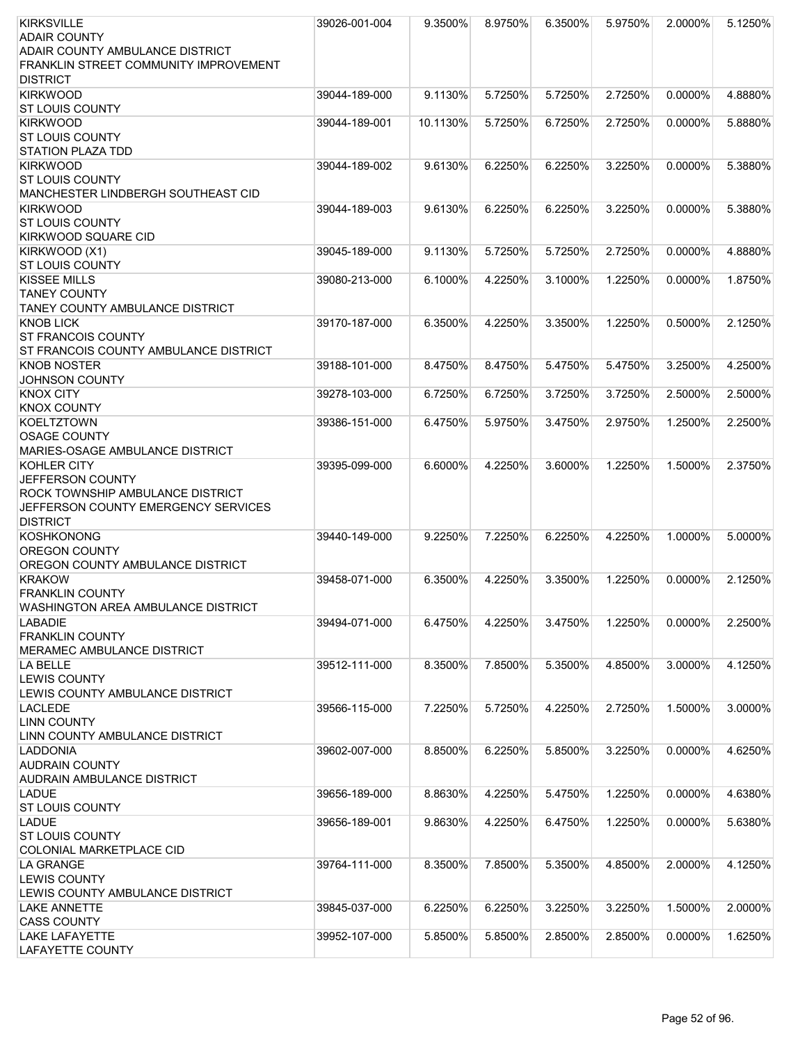| <b>KIRKSVILLE</b>                      | 39026-001-004 | 9.3500%  | 8.9750% | 6.3500% | 5.9750% | 2.0000%    | 5.1250% |
|----------------------------------------|---------------|----------|---------|---------|---------|------------|---------|
| <b>ADAIR COUNTY</b>                    |               |          |         |         |         |            |         |
| <b>ADAIR COUNTY AMBULANCE DISTRICT</b> |               |          |         |         |         |            |         |
| FRANKLIN STREET COMMUNITY IMPROVEMENT  |               |          |         |         |         |            |         |
| <b>DISTRICT</b>                        |               |          |         |         |         |            |         |
| <b>KIRKWOOD</b>                        | 39044-189-000 | 9.1130%  | 5.7250% | 5.7250% | 2.7250% | 0.0000%    | 4.8880% |
| <b>ST LOUIS COUNTY</b>                 |               |          |         |         |         |            |         |
| <b>KIRKWOOD</b>                        | 39044-189-001 | 10.1130% | 5.7250% | 6.7250% | 2.7250% | 0.0000%    | 5.8880% |
| <b>ST LOUIS COUNTY</b>                 |               |          |         |         |         |            |         |
| <b>STATION PLAZA TDD</b>               |               |          |         |         |         |            |         |
| <b>KIRKWOOD</b>                        | 39044-189-002 | 9.6130%  | 6.2250% | 6.2250% | 3.2250% | 0.0000%    | 5.3880% |
| <b>ST LOUIS COUNTY</b>                 |               |          |         |         |         |            |         |
| MANCHESTER LINDBERGH SOUTHEAST CID     |               |          |         |         |         |            |         |
| <b>KIRKWOOD</b>                        | 39044-189-003 | 9.6130%  | 6.2250% | 6.2250% | 3.2250% | 0.0000%    | 5.3880% |
| <b>ST LOUIS COUNTY</b>                 |               |          |         |         |         |            |         |
| KIRKWOOD SQUARE CID                    |               |          |         |         |         |            |         |
| KIRKWOOD (X1)                          | 39045-189-000 | 9.1130%  | 5.7250% | 5.7250% | 2.7250% | 0.0000%    | 4.8880% |
| <b>ST LOUIS COUNTY</b>                 |               |          |         |         |         |            |         |
| <b>KISSEE MILLS</b>                    | 39080-213-000 | 6.1000%  | 4.2250% | 3.1000% | 1.2250% | $0.0000\%$ | 1.8750% |
| <b>TANEY COUNTY</b>                    |               |          |         |         |         |            |         |
| TANEY COUNTY AMBULANCE DISTRICT        |               |          |         |         |         |            |         |
| <b>KNOB LICK</b>                       | 39170-187-000 | 6.3500%  | 4.2250% | 3.3500% | 1.2250% | 0.5000%    | 2.1250% |
| <b>ST FRANCOIS COUNTY</b>              |               |          |         |         |         |            |         |
| ST FRANCOIS COUNTY AMBULANCE DISTRICT  |               |          |         |         |         |            |         |
| <b>KNOB NOSTER</b>                     | 39188-101-000 | 8.4750%  | 8.4750% | 5.4750% | 5.4750% | 3.2500%    | 4.2500% |
| <b>JOHNSON COUNTY</b>                  |               |          |         |         |         |            |         |
| <b>KNOX CITY</b>                       | 39278-103-000 | 6.7250%  | 6.7250% | 3.7250% | 3.7250% | 2.5000%    | 2.5000% |
| <b>KNOX COUNTY</b>                     |               |          |         |         |         |            |         |
| <b>KOELTZTOWN</b>                      |               |          | 5.9750% |         | 2.9750% | 1.2500%    | 2.2500% |
|                                        | 39386-151-000 | 6.4750%  |         | 3.4750% |         |            |         |
| <b>OSAGE COUNTY</b>                    |               |          |         |         |         |            |         |
| MARIES-OSAGE AMBULANCE DISTRICT        |               |          |         |         |         |            |         |
| KOHLER CITY                            | 39395-099-000 | 6.6000%  | 4.2250% | 3.6000% | 1.2250% | 1.5000%    | 2.3750% |
| JEFFERSON COUNTY                       |               |          |         |         |         |            |         |
| ROCK TOWNSHIP AMBULANCE DISTRICT       |               |          |         |         |         |            |         |
| JEFFERSON COUNTY EMERGENCY SERVICES    |               |          |         |         |         |            |         |
| <b>DISTRICT</b>                        |               |          |         |         |         |            |         |
| <b>KOSHKONONG</b>                      | 39440-149-000 | 9.2250%  | 7.2250% | 6.2250% | 4.2250% | 1.0000%    | 5.0000% |
| OREGON COUNTY                          |               |          |         |         |         |            |         |
| OREGON COUNTY AMBULANCE DISTRICT       |               |          |         |         |         |            |         |
| <b>KRAKOW</b>                          | 39458-071-000 | 6.3500%  | 4.2250% | 3.3500% | 1.2250% | 0.0000%    | 2.1250% |
| <b>FRANKLIN COUNTY</b>                 |               |          |         |         |         |            |         |
| WASHINGTON AREA AMBULANCE DISTRICT     |               |          |         |         |         |            |         |
| <b>LABADIE</b>                         | 39494-071-000 | 6.4750%  | 4.2250% | 3.4750% | 1.2250% | 0.0000%    | 2.2500% |
| <b>FRANKLIN COUNTY</b>                 |               |          |         |         |         |            |         |
| MERAMEC AMBULANCE DISTRICT             |               |          |         |         |         |            |         |
| LA BELLE                               | 39512-111-000 | 8.3500%  | 7.8500% | 5.3500% | 4.8500% | 3.0000%    | 4.1250% |
| <b>LEWIS COUNTY</b>                    |               |          |         |         |         |            |         |
| LEWIS COUNTY AMBULANCE DISTRICT        |               |          |         |         |         |            |         |
| <b>LACLEDE</b>                         | 39566-115-000 | 7.2250%  | 5.7250% | 4.2250% | 2.7250% | 1.5000%    | 3.0000% |
| <b>LINN COUNTY</b>                     |               |          |         |         |         |            |         |
| LINN COUNTY AMBULANCE DISTRICT         |               |          |         |         |         |            |         |
| <b>LADDONIA</b>                        | 39602-007-000 | 8.8500%  | 6.2250% | 5.8500% | 3.2250% | 0.0000%    | 4.6250% |
| <b>AUDRAIN COUNTY</b>                  |               |          |         |         |         |            |         |
| <b>AUDRAIN AMBULANCE DISTRICT</b>      |               |          |         |         |         |            |         |
| <b>LADUE</b>                           | 39656-189-000 | 8.8630%  | 4.2250% | 5.4750% | 1.2250% | $0.0000\%$ | 4.6380% |
| <b>ST LOUIS COUNTY</b>                 |               |          |         |         |         |            |         |
| <b>LADUE</b>                           | 39656-189-001 | 9.8630%  | 4.2250% | 6.4750% | 1.2250% | 0.0000%    | 5.6380% |
| <b>ST LOUIS COUNTY</b>                 |               |          |         |         |         |            |         |
| <b>COLONIAL MARKETPLACE CID</b>        |               |          |         |         |         |            |         |
| LA GRANGE                              | 39764-111-000 | 8.3500%  | 7.8500% | 5.3500% | 4.8500% | 2.0000%    | 4.1250% |
| <b>LEWIS COUNTY</b>                    |               |          |         |         |         |            |         |
| LEWIS COUNTY AMBULANCE DISTRICT        |               |          |         |         |         |            |         |
| <b>LAKE ANNETTE</b>                    | 39845-037-000 | 6.2250%  | 6.2250% | 3.2250% | 3.2250% | 1.5000%    | 2.0000% |
| <b>CASS COUNTY</b>                     |               |          |         |         |         |            |         |
| <b>LAKE LAFAYETTE</b>                  | 39952-107-000 | 5.8500%  | 5.8500% | 2.8500% | 2.8500% | 0.0000%    | 1.6250% |
| <b>LAFAYETTE COUNTY</b>                |               |          |         |         |         |            |         |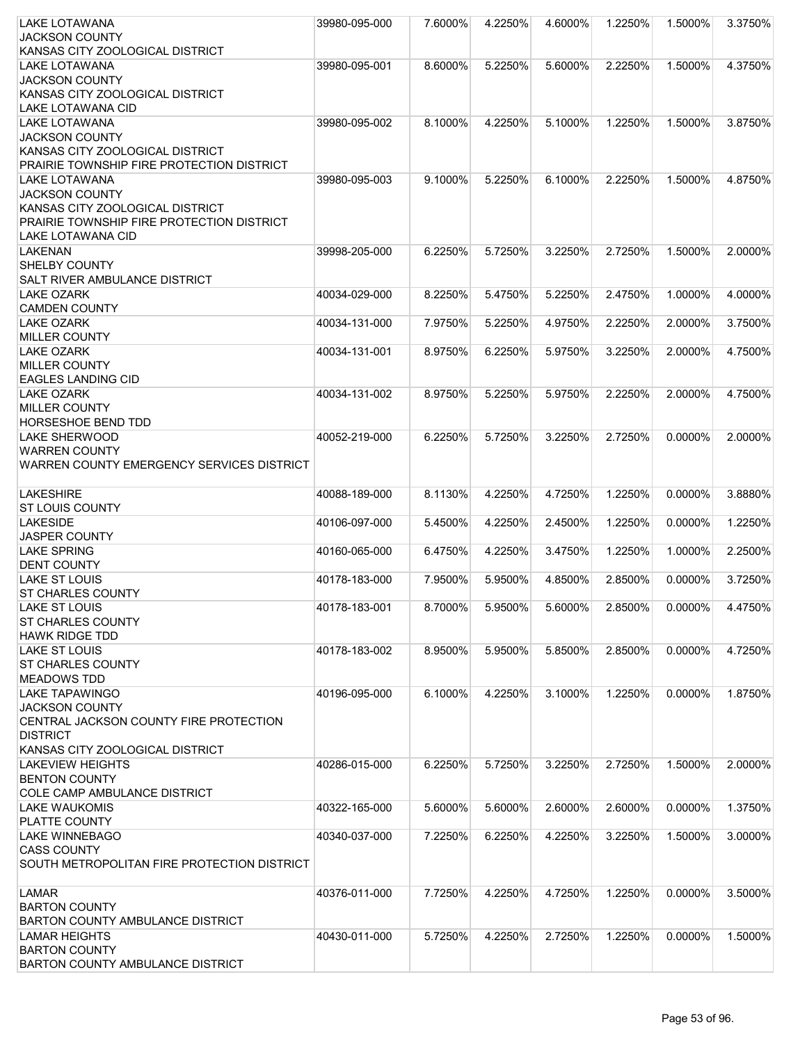| LAKE LOTAWANA                                                     | 39980-095-000 | 7.6000% | 4.2250% | 4.6000%    | 1.2250% | 1.5000%    | 3.3750% |
|-------------------------------------------------------------------|---------------|---------|---------|------------|---------|------------|---------|
| <b>JACKSON COUNTY</b>                                             |               |         |         |            |         |            |         |
| KANSAS CITY ZOOLOGICAL DISTRICT                                   |               |         |         |            |         |            |         |
| LAKE LOTAWANA                                                     | 39980-095-001 | 8.6000% | 5.2250% | 5.6000%    | 2.2250% | 1.5000%    | 4.3750% |
| <b>JACKSON COUNTY</b>                                             |               |         |         |            |         |            |         |
| KANSAS CITY ZOOLOGICAL DISTRICT                                   |               |         |         |            |         |            |         |
| LAKE LOTAWANA CID                                                 |               |         |         |            |         |            |         |
| <b>LAKE LOTAWANA</b>                                              | 39980-095-002 | 8.1000% | 4.2250% | 5.1000%    | 1.2250% | 1.5000%    | 3.8750% |
| <b>JACKSON COUNTY</b>                                             |               |         |         |            |         |            |         |
| KANSAS CITY ZOOLOGICAL DISTRICT                                   |               |         |         |            |         |            |         |
| PRAIRIE TOWNSHIP FIRE PROTECTION DISTRICT                         |               |         |         |            |         |            |         |
| <b>LAKE LOTAWANA</b>                                              | 39980-095-003 | 9.1000% | 5.2250% | 6.1000%    | 2.2250% | 1.5000%    | 4.8750% |
| <b>JACKSON COUNTY</b>                                             |               |         |         |            |         |            |         |
| KANSAS CITY ZOOLOGICAL DISTRICT                                   |               |         |         |            |         |            |         |
| PRAIRIE TOWNSHIP FIRE PROTECTION DISTRICT                         |               |         |         |            |         |            |         |
| LAKE LOTAWANA CID                                                 |               |         |         |            |         |            |         |
| <b>LAKENAN</b>                                                    | 39998-205-000 | 6.2250% | 5.7250% | 3.2250%    | 2.7250% | 1.5000%    | 2.0000% |
| <b>SHELBY COUNTY</b>                                              |               |         |         |            |         |            |         |
| SALT RIVER AMBULANCE DISTRICT                                     |               |         |         |            |         |            |         |
| <b>LAKE OZARK</b>                                                 | 40034-029-000 | 8.2250% | 5.4750% | 5.2250%    | 2.4750% | 1.0000%    | 4.0000% |
| <b>CAMDEN COUNTY</b>                                              |               |         |         |            |         |            |         |
| <b>LAKE OZARK</b>                                                 | 40034-131-000 | 7.9750% | 5.2250% | 4.9750%    | 2.2250% | 2.0000%    | 3.7500% |
| <b>MILLER COUNTY</b>                                              |               |         |         |            |         |            |         |
| <b>LAKE OZARK</b>                                                 | 40034-131-001 | 8.9750% | 6.2250% | 5.9750%    | 3.2250% | 2.0000%    | 4.7500% |
| <b>MILLER COUNTY</b>                                              |               |         |         |            |         |            |         |
| <b>EAGLES LANDING CID</b>                                         |               |         |         |            |         |            |         |
| <b>LAKE OZARK</b>                                                 | 40034-131-002 | 8.9750% | 5.2250% | 5.9750%    | 2.2250% | 2.0000%    | 4.7500% |
| <b>MILLER COUNTY</b>                                              |               |         |         |            |         |            |         |
| HORSESHOE BEND TDD                                                |               |         |         |            |         |            |         |
| <b>LAKE SHERWOOD</b>                                              | 40052-219-000 | 6.2250% | 5.7250% | 3.2250%    | 2.7250% | 0.0000%    | 2.0000% |
| <b>WARREN COUNTY</b><br>WARREN COUNTY EMERGENCY SERVICES DISTRICT |               |         |         |            |         |            |         |
|                                                                   |               |         |         |            |         |            |         |
| <b>LAKESHIRE</b>                                                  | 40088-189-000 | 8.1130% | 4.2250% | 4.7250%    | 1.2250% | 0.0000%    | 3.8880% |
| <b>ST LOUIS COUNTY</b>                                            |               |         |         |            |         |            |         |
| <b>LAKESIDE</b>                                                   | 40106-097-000 | 5.4500% | 4.2250% | 2.4500%    | 1.2250% | 0.0000%    | 1.2250% |
| <b>JASPER COUNTY</b>                                              |               |         |         |            |         |            |         |
| <b>LAKE SPRING</b>                                                | 40160-065-000 | 6.4750% | 4.2250% | 3.4750%    | 1.2250% | 1.0000%    | 2.2500% |
| <b>DENT COUNTY</b>                                                |               |         |         |            |         |            |         |
| LAKE ST LOUIS                                                     | 40178-183-000 | 7.9500% | 5.9500% | 4.8500%    | 2.8500% | $0.0000\%$ | 3.7250% |
| <b>ST CHARLES COUNTY</b>                                          |               |         |         |            |         |            |         |
| <b>LAKE ST LOUIS</b>                                              | 40178-183-001 | 8.7000% | 5.9500% | 5.6000%    | 2.8500% | 0.0000%    | 4.4750% |
| <b>ST CHARLES COUNTY</b>                                          |               |         |         |            |         |            |         |
| <b>HAWK RIDGE TDD</b>                                             |               |         |         |            |         |            |         |
| <b>LAKE ST LOUIS</b>                                              | 40178-183-002 | 8.9500% | 5.9500% | 5.8500%    | 2.8500% | $0.0000\%$ | 4.7250% |
| <b>ST CHARLES COUNTY</b>                                          |               |         |         |            |         |            |         |
| <b>MEADOWS TDD</b>                                                |               |         |         |            |         |            |         |
| <b>LAKE TAPAWINGO</b>                                             | 40196-095-000 | 6.1000% | 4.2250% | $3.1000\%$ | 1.2250% | $0.0000\%$ | 1.8750% |
| <b>JACKSON COUNTY</b>                                             |               |         |         |            |         |            |         |
| CENTRAL JACKSON COUNTY FIRE PROTECTION                            |               |         |         |            |         |            |         |
| <b>DISTRICT</b>                                                   |               |         |         |            |         |            |         |
| KANSAS CITY ZOOLOGICAL DISTRICT                                   |               |         |         |            |         |            |         |
| <b>LAKEVIEW HEIGHTS</b>                                           | 40286-015-000 | 6.2250% | 5.7250% | 3.2250%    | 2.7250% | 1.5000%    | 2.0000% |
| <b>BENTON COUNTY</b>                                              |               |         |         |            |         |            |         |
| COLE CAMP AMBULANCE DISTRICT                                      |               |         |         |            |         |            |         |
| <b>LAKE WAUKOMIS</b>                                              | 40322-165-000 | 5.6000% | 5.6000% | 2.6000%    | 2.6000% | 0.0000%    | 1.3750% |
| PLATTE COUNTY                                                     |               |         |         |            |         |            |         |
| <b>LAKE WINNEBAGO</b>                                             | 40340-037-000 | 7.2250% | 6.2250% | 4.2250%    | 3.2250% | 1.5000%    | 3.0000% |
| <b>CASS COUNTY</b>                                                |               |         |         |            |         |            |         |
| SOUTH METROPOLITAN FIRE PROTECTION DISTRICT                       |               |         |         |            |         |            |         |
|                                                                   |               |         |         |            |         |            |         |
| <b>LAMAR</b>                                                      | 40376-011-000 | 7.7250% | 4.2250% | 4.7250%    | 1.2250% | 0.0000%    | 3.5000% |
| <b>BARTON COUNTY</b>                                              |               |         |         |            |         |            |         |
| <b>BARTON COUNTY AMBULANCE DISTRICT</b>                           |               |         |         |            |         |            |         |
| <b>LAMAR HEIGHTS</b>                                              | 40430-011-000 | 5.7250% | 4.2250% | 2.7250%    | 1.2250% | 0.0000%    | 1.5000% |
| <b>BARTON COUNTY</b>                                              |               |         |         |            |         |            |         |
| BARTON COUNTY AMBULANCE DISTRICT                                  |               |         |         |            |         |            |         |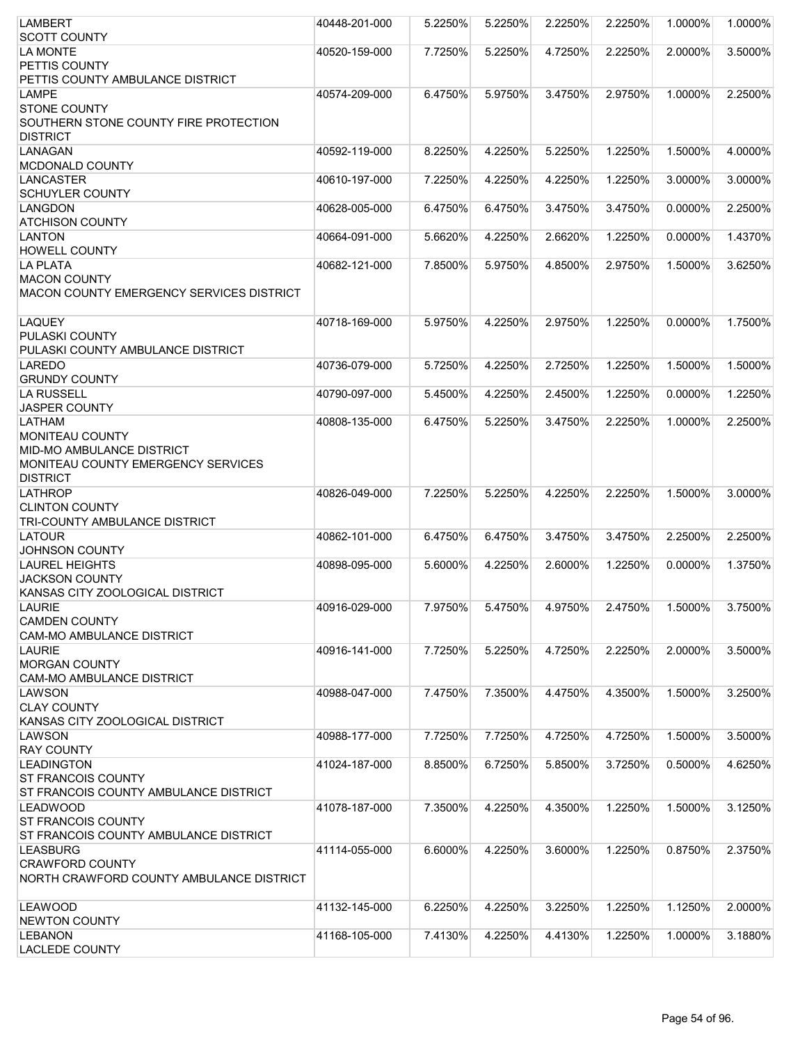| <b>LAMBERT</b>                                                     | 40448-201-000 | 5.2250% | 5.2250% | 2.2250% | 2.2250% | 1.0000%    | 1.0000% |
|--------------------------------------------------------------------|---------------|---------|---------|---------|---------|------------|---------|
| <b>SCOTT COUNTY</b>                                                |               |         |         |         |         |            |         |
| <b>LA MONTE</b>                                                    | 40520-159-000 | 7.7250% | 5.2250% | 4.7250% | 2.2250% | 2.0000%    | 3.5000% |
| PETTIS COUNTY                                                      |               |         |         |         |         |            |         |
| PETTIS COUNTY AMBULANCE DISTRICT                                   |               |         |         |         |         |            |         |
| <b>LAMPE</b>                                                       | 40574-209-000 | 6.4750% | 5.9750% | 3.4750% | 2.9750% | 1.0000%    | 2.2500% |
| <b>STONE COUNTY</b>                                                |               |         |         |         |         |            |         |
| SOUTHERN STONE COUNTY FIRE PROTECTION                              |               |         |         |         |         |            |         |
| <b>DISTRICT</b>                                                    |               |         |         |         |         |            |         |
| LANAGAN                                                            | 40592-119-000 | 8.2250% | 4.2250% | 5.2250% | 1.2250% | 1.5000%    | 4.0000% |
| MCDONALD COUNTY                                                    |               |         |         |         |         |            |         |
| <b>LANCASTER</b>                                                   | 40610-197-000 | 7.2250% | 4.2250% | 4.2250% | 1.2250% | 3.0000%    | 3.0000% |
| <b>SCHUYLER COUNTY</b>                                             |               |         |         |         |         |            |         |
| LANGDON                                                            | 40628-005-000 | 6.4750% | 6.4750% | 3.4750% | 3.4750% | $0.0000\%$ | 2.2500% |
| <b>ATCHISON COUNTY</b>                                             |               |         |         |         |         |            |         |
| LANTON                                                             | 40664-091-000 | 5.6620% | 4.2250% | 2.6620% | 1.2250% | 0.0000%    | 1.4370% |
| <b>HOWELL COUNTY</b>                                               |               |         |         |         |         |            |         |
| <b>LA PLATA</b>                                                    | 40682-121-000 | 7.8500% | 5.9750% | 4.8500% | 2.9750% | 1.5000%    | 3.6250% |
| <b>MACON COUNTY</b>                                                |               |         |         |         |         |            |         |
| MACON COUNTY EMERGENCY SERVICES DISTRICT                           |               |         |         |         |         |            |         |
| <b>LAQUEY</b>                                                      | 40718-169-000 | 5.9750% | 4.2250% | 2.9750% | 1.2250% | 0.0000%    | 1.7500% |
| <b>PULASKI COUNTY</b>                                              |               |         |         |         |         |            |         |
| PULASKI COUNTY AMBULANCE DISTRICT                                  |               |         |         |         |         |            |         |
| LAREDO                                                             | 40736-079-000 | 5.7250% | 4.2250% | 2.7250% | 1.2250% | 1.5000%    | 1.5000% |
| <b>GRUNDY COUNTY</b>                                               |               |         |         |         |         |            |         |
| <b>LA RUSSELL</b>                                                  | 40790-097-000 | 5.4500% | 4.2250% | 2.4500% | 1.2250% | 0.0000%    | 1.2250% |
| <b>JASPER COUNTY</b>                                               |               |         |         |         |         |            |         |
| LATHAM                                                             | 40808-135-000 | 6.4750% | 5.2250% | 3.4750% | 2.2250% | 1.0000%    | 2.2500% |
| <b>MONITEAU COUNTY</b>                                             |               |         |         |         |         |            |         |
| MID-MO AMBULANCE DISTRICT                                          |               |         |         |         |         |            |         |
| MONITEAU COUNTY EMERGENCY SERVICES                                 |               |         |         |         |         |            |         |
| <b>DISTRICT</b>                                                    |               |         |         |         |         |            |         |
| <b>LATHROP</b>                                                     | 40826-049-000 | 7.2250% | 5.2250% | 4.2250% | 2.2250% | 1.5000%    | 3.0000% |
| <b>CLINTON COUNTY</b>                                              |               |         |         |         |         |            |         |
| <b>TRI-COUNTY AMBULANCE DISTRICT</b>                               |               |         |         |         |         |            |         |
| <b>LATOUR</b>                                                      | 40862-101-000 | 6.4750% | 6.4750% | 3.4750% | 3.4750% | 2.2500%    | 2.2500% |
| <b>JOHNSON COUNTY</b>                                              |               |         |         |         |         |            |         |
| <b>LAUREL HEIGHTS</b>                                              | 40898-095-000 | 5.6000% | 4.2250% | 2.6000% | 1.2250% | 0.0000%    | 1.3750% |
| JACKSON COUNTY                                                     |               |         |         |         |         |            |         |
| KANSAS CITY ZOOLOGICAL DISTRICT                                    |               |         |         |         |         |            |         |
| <b>LAURIE</b>                                                      | 40916-029-000 | 7.9750% | 5.4750% | 4.9750% | 2.4750% | 1.5000%    | 3.7500% |
| <b>CAMDEN COUNTY</b>                                               |               |         |         |         |         |            |         |
| CAM-MO AMBULANCE DISTRICT                                          |               |         |         |         |         |            |         |
| <b>LAURIE</b>                                                      | 40916-141-000 | 7.7250% | 5.2250% | 4.7250% | 2.2250% | 2.0000%    | 3.5000% |
| <b>MORGAN COUNTY</b>                                               |               |         |         |         |         |            |         |
| <b>CAM-MO AMBULANCE DISTRICT</b>                                   |               |         |         |         |         |            |         |
| LAWSON                                                             | 40988-047-000 | 7.4750% | 7.3500% | 4.4750% | 4.3500% | 1.5000%    | 3.2500% |
| <b>CLAY COUNTY</b>                                                 |               |         |         |         |         |            |         |
| KANSAS CITY ZOOLOGICAL DISTRICT                                    |               |         |         |         |         |            |         |
| <b>LAWSON</b>                                                      | 40988-177-000 | 7.7250% | 7.7250% | 4.7250% | 4.7250% | 1.5000%    | 3.5000% |
| <b>RAY COUNTY</b>                                                  |               |         |         |         |         |            |         |
| <b>LEADINGTON</b>                                                  | 41024-187-000 | 8.8500% | 6.7250% | 5.8500% | 3.7250% | 0.5000%    | 4.6250% |
| <b>ST FRANCOIS COUNTY</b>                                          |               |         |         |         |         |            |         |
| ST FRANCOIS COUNTY AMBULANCE DISTRICT                              |               |         |         |         |         |            |         |
| <b>LEADWOOD</b><br><b>ST FRANCOIS COUNTY</b>                       | 41078-187-000 | 7.3500% | 4.2250% | 4.3500% | 1.2250% | 1.5000%    | 3.1250% |
|                                                                    |               |         |         |         |         |            |         |
| ST FRANCOIS COUNTY AMBULANCE DISTRICT                              |               |         |         |         |         |            |         |
| <b>LEASBURG</b>                                                    | 41114-055-000 | 6.6000% | 4.2250% | 3.6000% | 1.2250% | 0.8750%    | 2.3750% |
| <b>CRAWFORD COUNTY</b><br>NORTH CRAWFORD COUNTY AMBULANCE DISTRICT |               |         |         |         |         |            |         |
|                                                                    |               |         |         |         |         |            |         |
| <b>LEAWOOD</b>                                                     | 41132-145-000 | 6.2250% | 4.2250% | 3.2250% | 1.2250% | 1.1250%    | 2.0000% |
| <b>NEWTON COUNTY</b>                                               |               |         |         |         |         |            |         |
| <b>LEBANON</b>                                                     | 41168-105-000 | 7.4130% | 4.2250% | 4.4130% | 1.2250% | 1.0000%    | 3.1880% |
| <b>LACLEDE COUNTY</b>                                              |               |         |         |         |         |            |         |
|                                                                    |               |         |         |         |         |            |         |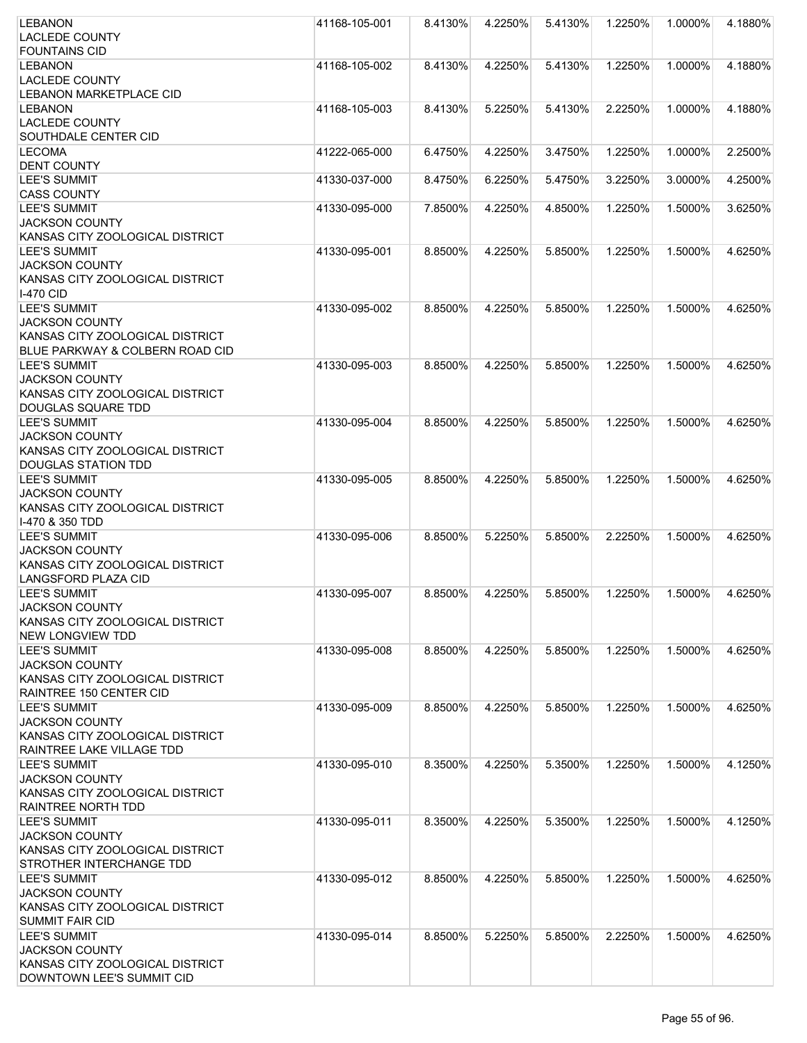| <b>LEBANON</b>                                               | 41168-105-001 | 8.4130% | 4.2250% | 5.4130% | 1.2250% | 1.0000% | 4.1880% |
|--------------------------------------------------------------|---------------|---------|---------|---------|---------|---------|---------|
| <b>LACLEDE COUNTY</b>                                        |               |         |         |         |         |         |         |
| <b>FOUNTAINS CID</b>                                         |               |         |         |         |         |         |         |
| <b>LEBANON</b>                                               | 41168-105-002 | 8.4130% | 4.2250% | 5.4130% | 1.2250% | 1.0000% | 4.1880% |
| <b>LACLEDE COUNTY</b>                                        |               |         |         |         |         |         |         |
| <b>LEBANON MARKETPLACE CID</b>                               |               |         |         |         |         |         |         |
| <b>LEBANON</b>                                               | 41168-105-003 | 8.4130% | 5.2250% | 5.4130% | 2.2250% | 1.0000% | 4.1880% |
| <b>LACLEDE COUNTY</b>                                        |               |         |         |         |         |         |         |
| SOUTHDALE CENTER CID                                         |               |         |         |         |         |         |         |
| <b>LECOMA</b>                                                | 41222-065-000 | 6.4750% | 4.2250% | 3.4750% | 1.2250% | 1.0000% | 2.2500% |
| <b>DENT COUNTY</b>                                           |               |         |         |         |         |         |         |
| <b>LEE'S SUMMIT</b>                                          | 41330-037-000 | 8.4750% | 6.2250% | 5.4750% | 3.2250% | 3.0000% | 4.2500% |
| <b>CASS COUNTY</b>                                           |               |         |         |         |         |         |         |
| <b>LEE'S SUMMIT</b>                                          | 41330-095-000 | 7.8500% | 4.2250% | 4.8500% | 1.2250% | 1.5000% | 3.6250% |
| <b>JACKSON COUNTY</b>                                        |               |         |         |         |         |         |         |
| KANSAS CITY ZOOLOGICAL DISTRICT                              |               |         |         |         |         |         |         |
| <b>LEE'S SUMMIT</b>                                          | 41330-095-001 | 8.8500% | 4.2250% | 5.8500% | 1.2250% | 1.5000% | 4.6250% |
| <b>JACKSON COUNTY</b>                                        |               |         |         |         |         |         |         |
| KANSAS CITY ZOOLOGICAL DISTRICT<br><b>I-470 CID</b>          |               |         |         |         |         |         |         |
| <b>LEE'S SUMMIT</b>                                          | 41330-095-002 | 8.8500% | 4.2250% | 5.8500% | 1.2250% | 1.5000% | 4.6250% |
| <b>JACKSON COUNTY</b>                                        |               |         |         |         |         |         |         |
| KANSAS CITY ZOOLOGICAL DISTRICT                              |               |         |         |         |         |         |         |
| BLUE PARKWAY & COLBERN ROAD CID                              |               |         |         |         |         |         |         |
| <b>LEE'S SUMMIT</b>                                          | 41330-095-003 | 8.8500% | 4.2250% | 5.8500% | 1.2250% | 1.5000% | 4.6250% |
| <b>JACKSON COUNTY</b>                                        |               |         |         |         |         |         |         |
| KANSAS CITY ZOOLOGICAL DISTRICT                              |               |         |         |         |         |         |         |
| DOUGLAS SQUARE TDD                                           |               |         |         |         |         |         |         |
| <b>LEE'S SUMMIT</b>                                          | 41330-095-004 | 8.8500% | 4.2250% | 5.8500% | 1.2250% | 1.5000% | 4.6250% |
| <b>JACKSON COUNTY</b>                                        |               |         |         |         |         |         |         |
| KANSAS CITY ZOOLOGICAL DISTRICT                              |               |         |         |         |         |         |         |
| <b>DOUGLAS STATION TDD</b>                                   |               |         |         |         |         |         |         |
| <b>LEE'S SUMMIT</b>                                          | 41330-095-005 | 8.8500% | 4.2250% | 5.8500% | 1.2250% | 1.5000% | 4.6250% |
| <b>JACKSON COUNTY</b>                                        |               |         |         |         |         |         |         |
| KANSAS CITY ZOOLOGICAL DISTRICT                              |               |         |         |         |         |         |         |
| 1-470 & 350 TDD                                              |               |         |         |         |         |         |         |
| <b>LEE'S SUMMIT</b>                                          | 41330-095-006 | 8.8500% | 5.2250% | 5.8500% | 2.2250% | 1.5000% | 4.6250% |
| <b>JACKSON COUNTY</b>                                        |               |         |         |         |         |         |         |
| KANSAS CITY ZOOLOGICAL DISTRICT                              |               |         |         |         |         |         |         |
| LANGSFORD PLAZA CID                                          |               |         |         |         |         |         |         |
| <b>LEE'S SUMMIT</b>                                          | 41330-095-007 | 8.8500% | 4.2250% | 5.8500% | 1.2250% | 1.5000% | 4.6250% |
| <b>JACKSON COUNTY</b>                                        |               |         |         |         |         |         |         |
| KANSAS CITY ZOOLOGICAL DISTRICT                              |               |         |         |         |         |         |         |
| <b>NEW LONGVIEW TDD</b>                                      |               |         |         |         |         |         |         |
| <b>LEE'S SUMMIT</b>                                          | 41330-095-008 | 8.8500% | 4.2250% | 5.8500% | 1.2250% | 1.5000% | 4.6250% |
| <b>JACKSON COUNTY</b>                                        |               |         |         |         |         |         |         |
| KANSAS CITY ZOOLOGICAL DISTRICT                              |               |         |         |         |         |         |         |
| <b>RAINTREE 150 CENTER CID</b>                               |               |         |         |         |         |         |         |
| <b>LEE'S SUMMIT</b>                                          | 41330-095-009 | 8.8500% | 4.2250% | 5.8500% | 1.2250% | 1.5000% | 4.6250% |
| <b>JACKSON COUNTY</b>                                        |               |         |         |         |         |         |         |
| KANSAS CITY ZOOLOGICAL DISTRICT                              |               |         |         |         |         |         |         |
| RAINTREE LAKE VILLAGE TDD                                    |               |         |         |         |         |         |         |
| <b>LEE'S SUMMIT</b>                                          | 41330-095-010 | 8.3500% | 4.2250% | 5.3500% | 1.2250% | 1.5000% | 4.1250% |
| <b>JACKSON COUNTY</b>                                        |               |         |         |         |         |         |         |
| KANSAS CITY ZOOLOGICAL DISTRICT<br><b>RAINTREE NORTH TDD</b> |               |         |         |         |         |         |         |
| <b>LEE'S SUMMIT</b>                                          | 41330-095-011 | 8.3500% | 4.2250% | 5.3500% | 1.2250% | 1.5000% | 4.1250% |
| <b>JACKSON COUNTY</b>                                        |               |         |         |         |         |         |         |
| KANSAS CITY ZOOLOGICAL DISTRICT                              |               |         |         |         |         |         |         |
| STROTHER INTERCHANGE TDD                                     |               |         |         |         |         |         |         |
| <b>LEE'S SUMMIT</b>                                          | 41330-095-012 | 8.8500% | 4.2250% | 5.8500% | 1.2250% | 1.5000% | 4.6250% |
| <b>JACKSON COUNTY</b>                                        |               |         |         |         |         |         |         |
| KANSAS CITY ZOOLOGICAL DISTRICT                              |               |         |         |         |         |         |         |
| <b>SUMMIT FAIR CID</b>                                       |               |         |         |         |         |         |         |
| <b>LEE'S SUMMIT</b>                                          | 41330-095-014 | 8.8500% | 5.2250% | 5.8500% | 2.2250% | 1.5000% | 4.6250% |
| <b>JACKSON COUNTY</b>                                        |               |         |         |         |         |         |         |
| KANSAS CITY ZOOLOGICAL DISTRICT                              |               |         |         |         |         |         |         |
| DOWNTOWN LEE'S SUMMIT CID                                    |               |         |         |         |         |         |         |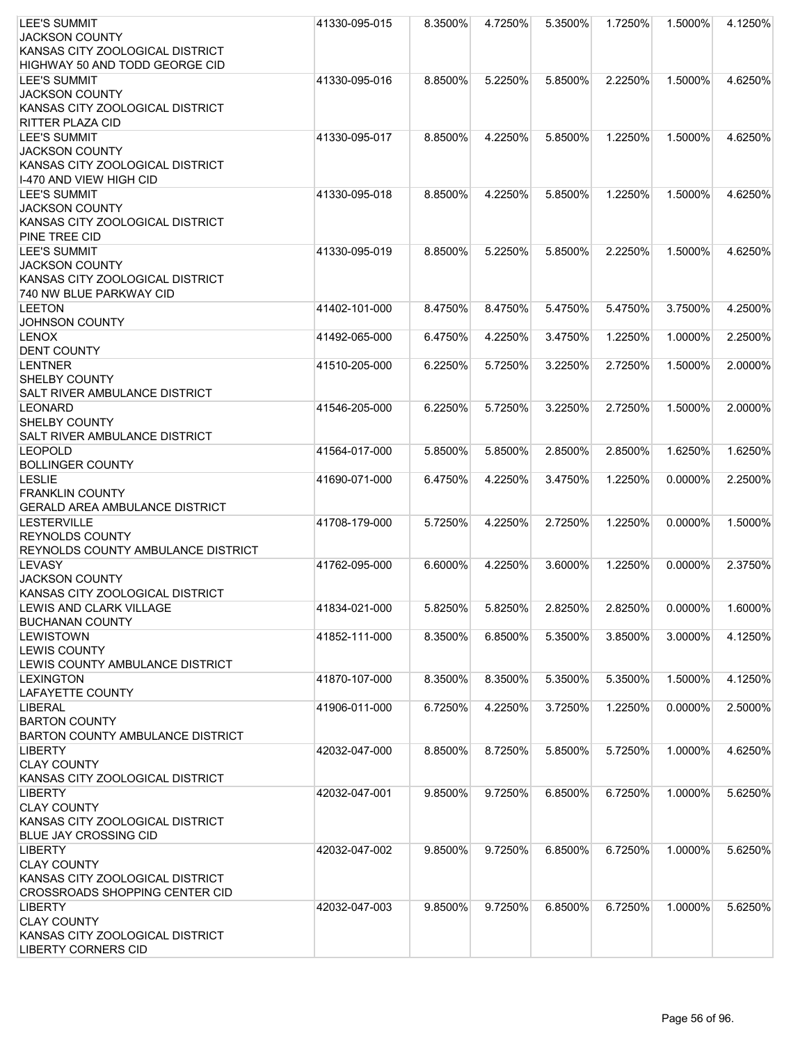| <b>LEE'S SUMMIT</b>                     | 41330-095-015 | 8.3500% | 4.7250% | 5.3500% | 1.7250% | 1.5000%    | 4.1250% |
|-----------------------------------------|---------------|---------|---------|---------|---------|------------|---------|
| <b>JACKSON COUNTY</b>                   |               |         |         |         |         |            |         |
| KANSAS CITY ZOOLOGICAL DISTRICT         |               |         |         |         |         |            |         |
| <b>HIGHWAY 50 AND TODD GEORGE CID</b>   |               |         |         |         |         |            |         |
| <b>LEE'S SUMMIT</b>                     | 41330-095-016 | 8.8500% | 5.2250% | 5.8500% | 2.2250% | 1.5000%    | 4.6250% |
| <b>JACKSON COUNTY</b>                   |               |         |         |         |         |            |         |
| KANSAS CITY ZOOLOGICAL DISTRICT         |               |         |         |         |         |            |         |
| <b>RITTER PLAZA CID</b>                 |               |         |         |         |         |            |         |
| <b>LEE'S SUMMIT</b>                     | 41330-095-017 | 8.8500% | 4.2250% | 5.8500% | 1.2250% | 1.5000%    | 4.6250% |
| <b>JACKSON COUNTY</b>                   |               |         |         |         |         |            |         |
| KANSAS CITY ZOOLOGICAL DISTRICT         |               |         |         |         |         |            |         |
| I-470 AND VIEW HIGH CID                 |               |         |         |         |         |            |         |
| <b>LEE'S SUMMIT</b>                     | 41330-095-018 | 8.8500% | 4.2250% | 5.8500% | 1.2250% | 1.5000%    | 4.6250% |
| <b>JACKSON COUNTY</b>                   |               |         |         |         |         |            |         |
| KANSAS CITY ZOOLOGICAL DISTRICT         |               |         |         |         |         |            |         |
| PINE TREE CID                           |               |         |         |         |         |            |         |
| <b>LEE'S SUMMIT</b>                     | 41330-095-019 | 8.8500% | 5.2250% | 5.8500% | 2.2250% | 1.5000%    | 4.6250% |
| <b>JACKSON COUNTY</b>                   |               |         |         |         |         |            |         |
| KANSAS CITY ZOOLOGICAL DISTRICT         |               |         |         |         |         |            |         |
| 740 NW BLUE PARKWAY CID                 |               |         |         |         |         |            |         |
| <b>LEETON</b>                           | 41402-101-000 | 8.4750% | 8.4750% | 5.4750% | 5.4750% | 3.7500%    | 4.2500% |
| <b>JOHNSON COUNTY</b>                   |               |         |         |         |         |            |         |
| <b>LENOX</b>                            | 41492-065-000 | 6.4750% | 4.2250% | 3.4750% | 1.2250% | 1.0000%    | 2.2500% |
| <b>DENT COUNTY</b>                      |               |         |         |         |         |            |         |
| <b>LENTNER</b>                          | 41510-205-000 | 6.2250% | 5.7250% | 3.2250% | 2.7250% | 1.5000%    | 2.0000% |
| <b>SHELBY COUNTY</b>                    |               |         |         |         |         |            |         |
| <b>SALT RIVER AMBULANCE DISTRICT</b>    |               |         |         |         |         |            |         |
| LEONARD<br><b>SHELBY COUNTY</b>         | 41546-205-000 | 6.2250% | 5.7250% | 3.2250% | 2.7250% | 1.5000%    | 2.0000% |
| <b>SALT RIVER AMBULANCE DISTRICT</b>    |               |         |         |         |         |            |         |
| <b>LEOPOLD</b>                          | 41564-017-000 | 5.8500% | 5.8500% | 2.8500% | 2.8500% | 1.6250%    | 1.6250% |
| <b>BOLLINGER COUNTY</b>                 |               |         |         |         |         |            |         |
| <b>LESLIE</b>                           | 41690-071-000 | 6.4750% | 4.2250% | 3.4750% | 1.2250% | $0.0000\%$ | 2.2500% |
| <b>FRANKLIN COUNTY</b>                  |               |         |         |         |         |            |         |
| <b>GERALD AREA AMBULANCE DISTRICT</b>   |               |         |         |         |         |            |         |
| <b>LESTERVILLE</b>                      | 41708-179-000 | 5.7250% | 4.2250% | 2.7250% | 1.2250% | 0.0000%    | 1.5000% |
| <b>REYNOLDS COUNTY</b>                  |               |         |         |         |         |            |         |
| REYNOLDS COUNTY AMBULANCE DISTRICT      |               |         |         |         |         |            |         |
| <b>LEVASY</b>                           | 41762-095-000 | 6.6000% | 4.2250% | 3.6000% | 1.2250% | 0.0000%    | 2.3750% |
| <b>JACKSON COUNTY</b>                   |               |         |         |         |         |            |         |
| KANSAS CITY ZOOLOGICAL DISTRICT         |               |         |         |         |         |            |         |
| LEWIS AND CLARK VILLAGE                 | 41834-021-000 | 5.8250% | 5.8250% | 2.8250% | 2.8250% | 0.0000%    | 1.6000% |
| <b>BUCHANAN COUNTY</b>                  |               |         |         |         |         |            |         |
| <b>LEWISTOWN</b>                        | 41852-111-000 | 8.3500% | 6.8500% | 5.3500% | 3.8500% | 3.0000%    | 4.1250% |
| <b>LEWIS COUNTY</b>                     |               |         |         |         |         |            |         |
| <b>LEWIS COUNTY AMBULANCE DISTRICT</b>  |               |         |         |         |         |            |         |
| <b>LEXINGTON</b>                        | 41870-107-000 | 8.3500% | 8.3500% | 5.3500% | 5.3500% | 1.5000%    | 4.1250% |
| <b>LAFAYETTE COUNTY</b>                 |               |         |         |         |         |            |         |
| <b>LIBERAL</b>                          | 41906-011-000 | 6.7250% | 4.2250% | 3.7250% | 1.2250% | 0.0000%    | 2.5000% |
| <b>BARTON COUNTY</b>                    |               |         |         |         |         |            |         |
| <b>BARTON COUNTY AMBULANCE DISTRICT</b> |               |         |         |         |         |            |         |
| <b>LIBERTY</b>                          | 42032-047-000 | 8.8500% | 8.7250% | 5.8500% | 5.7250% | 1.0000%    | 4.6250% |
| <b>CLAY COUNTY</b>                      |               |         |         |         |         |            |         |
| KANSAS CITY ZOOLOGICAL DISTRICT         |               |         |         |         |         |            |         |
| <b>LIBERTY</b>                          | 42032-047-001 | 9.8500% | 9.7250% | 6.8500% | 6.7250% | 1.0000%    | 5.6250% |
| <b>CLAY COUNTY</b>                      |               |         |         |         |         |            |         |
| KANSAS CITY ZOOLOGICAL DISTRICT         |               |         |         |         |         |            |         |
| <b>BLUE JAY CROSSING CID</b>            |               |         |         |         |         |            |         |
| <b>LIBERTY</b>                          | 42032-047-002 | 9.8500% | 9.7250% | 6.8500% | 6.7250% | 1.0000%    | 5.6250% |
| <b>CLAY COUNTY</b>                      |               |         |         |         |         |            |         |
| KANSAS CITY ZOOLOGICAL DISTRICT         |               |         |         |         |         |            |         |
| CROSSROADS SHOPPING CENTER CID          |               |         |         |         |         |            |         |
| <b>LIBERTY</b>                          | 42032-047-003 | 9.8500% | 9.7250% | 6.8500% | 6.7250% | 1.0000%    | 5.6250% |
| <b>CLAY COUNTY</b>                      |               |         |         |         |         |            |         |
| KANSAS CITY ZOOLOGICAL DISTRICT         |               |         |         |         |         |            |         |
| <b>LIBERTY CORNERS CID</b>              |               |         |         |         |         |            |         |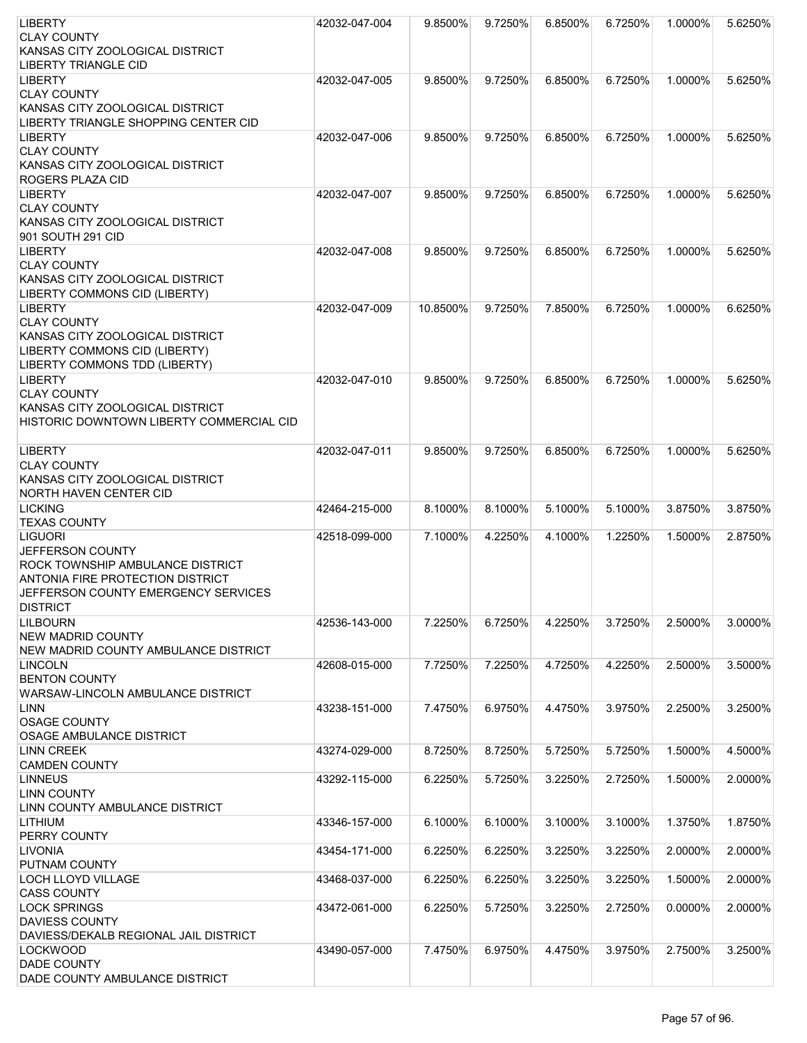| <b>LIBERTY</b>                           | 42032-047-004 | 9.8500%  | 9.7250% | 6.8500%    | 6.7250% | 1.0000%    | 5.6250% |
|------------------------------------------|---------------|----------|---------|------------|---------|------------|---------|
| <b>CLAY COUNTY</b>                       |               |          |         |            |         |            |         |
| KANSAS CITY ZOOLOGICAL DISTRICT          |               |          |         |            |         |            |         |
| <b>LIBERTY TRIANGLE CID</b>              |               |          |         |            |         |            |         |
| <b>LIBERTY</b>                           | 42032-047-005 | 9.8500%  | 9.7250% | 6.8500%    | 6.7250% | 1.0000%    | 5.6250% |
| <b>CLAY COUNTY</b>                       |               |          |         |            |         |            |         |
| KANSAS CITY ZOOLOGICAL DISTRICT          |               |          |         |            |         |            |         |
| LIBERTY TRIANGLE SHOPPING CENTER CID     |               |          |         |            |         |            |         |
| <b>LIBERTY</b>                           | 42032-047-006 | 9.8500%  | 9.7250% | 6.8500%    | 6.7250% | 1.0000%    | 5.6250% |
| <b>CLAY COUNTY</b>                       |               |          |         |            |         |            |         |
| KANSAS CITY ZOOLOGICAL DISTRICT          |               |          |         |            |         |            |         |
| ROGERS PLAZA CID                         |               |          | 9.7250% | 6.8500%    | 6.7250% | 1.0000%    |         |
| <b>LIBERTY</b><br><b>CLAY COUNTY</b>     | 42032-047-007 | 9.8500%  |         |            |         |            | 5.6250% |
| KANSAS CITY ZOOLOGICAL DISTRICT          |               |          |         |            |         |            |         |
| 901 SOUTH 291 CID                        |               |          |         |            |         |            |         |
| <b>LIBERTY</b>                           | 42032-047-008 | 9.8500%  | 9.7250% | $6.8500\%$ | 6.7250% | 1.0000%    | 5.6250% |
| <b>CLAY COUNTY</b>                       |               |          |         |            |         |            |         |
| KANSAS CITY ZOOLOGICAL DISTRICT          |               |          |         |            |         |            |         |
| LIBERTY COMMONS CID (LIBERTY)            |               |          |         |            |         |            |         |
| <b>LIBERTY</b>                           | 42032-047-009 | 10.8500% | 9.7250% | 7.8500%    | 6.7250% | 1.0000%    | 6.6250% |
| <b>CLAY COUNTY</b>                       |               |          |         |            |         |            |         |
| KANSAS CITY ZOOLOGICAL DISTRICT          |               |          |         |            |         |            |         |
| LIBERTY COMMONS CID (LIBERTY)            |               |          |         |            |         |            |         |
| LIBERTY COMMONS TDD (LIBERTY)            |               |          |         |            |         |            |         |
| <b>LIBERTY</b>                           | 42032-047-010 | 9.8500%  | 9.7250% | 6.8500%    | 6.7250% | 1.0000%    | 5.6250% |
| <b>CLAY COUNTY</b>                       |               |          |         |            |         |            |         |
| KANSAS CITY ZOOLOGICAL DISTRICT          |               |          |         |            |         |            |         |
| HISTORIC DOWNTOWN LIBERTY COMMERCIAL CID |               |          |         |            |         |            |         |
|                                          |               |          |         |            |         |            |         |
| <b>LIBERTY</b>                           | 42032-047-011 | 9.8500%  | 9.7250% | 6.8500%    | 6.7250% | 1.0000%    | 5.6250% |
| <b>CLAY COUNTY</b>                       |               |          |         |            |         |            |         |
| KANSAS CITY ZOOLOGICAL DISTRICT          |               |          |         |            |         |            |         |
| <b>NORTH HAVEN CENTER CID</b>            |               |          |         |            |         |            |         |
| <b>LICKING</b>                           | 42464-215-000 | 8.1000%  | 8.1000% | 5.1000%    | 5.1000% | 3.8750%    | 3.8750% |
| <b>TEXAS COUNTY</b>                      |               |          |         |            |         |            |         |
| <b>LIGUORI</b>                           | 42518-099-000 | 7.1000%  | 4.2250% | 4.1000%    | 1.2250% | 1.5000%    | 2.8750% |
| JEFFERSON COUNTY                         |               |          |         |            |         |            |         |
| ROCK TOWNSHIP AMBULANCE DISTRICT         |               |          |         |            |         |            |         |
| ANTONIA FIRE PROTECTION DISTRICT         |               |          |         |            |         |            |         |
| JEFFERSON COUNTY EMERGENCY SERVICES      |               |          |         |            |         |            |         |
| <b>DISTRICT</b>                          |               |          |         |            |         |            |         |
| <b>LILBOURN</b>                          | 42536-143-000 | 7.2250%  | 6.7250% | 4.2250%    | 3.7250% | 2.5000%    | 3.0000% |
| <b>NEW MADRID COUNTY</b>                 |               |          |         |            |         |            |         |
| NEW MADRID COUNTY AMBULANCE DISTRICT     |               |          |         |            |         |            |         |
| <b>LINCOLN</b>                           | 42608-015-000 | 7.7250%  | 7.2250% | 4.7250%    | 4.2250% | 2.5000%    | 3.5000% |
| <b>BENTON COUNTY</b>                     |               |          |         |            |         |            |         |
| WARSAW-LINCOLN AMBULANCE DISTRICT        |               |          |         |            |         |            |         |
| LINN                                     | 43238-151-000 | 7.4750%  | 6.9750% | 4.4750%    | 3.9750% | 2.2500%    | 3.2500% |
| <b>OSAGE COUNTY</b>                      |               |          |         |            |         |            |         |
| OSAGE AMBULANCE DISTRICT                 |               |          |         |            |         |            |         |
| <b>LINN CREEK</b>                        | 43274-029-000 | 8.7250%  | 8.7250% | 5.7250%    | 5.7250% | 1.5000%    | 4.5000% |
| <b>CAMDEN COUNTY</b><br><b>LINNEUS</b>   |               |          |         |            |         |            |         |
| <b>LINN COUNTY</b>                       | 43292-115-000 | 6.2250%  | 5.7250% | 3.2250%    | 2.7250% | 1.5000%    | 2.0000% |
| LINN COUNTY AMBULANCE DISTRICT           |               |          |         |            |         |            |         |
| <b>LITHIUM</b>                           | 43346-157-000 | 6.1000%  | 6.1000% | 3.1000%    | 3.1000% | 1.3750%    | 1.8750% |
| PERRY COUNTY                             |               |          |         |            |         |            |         |
| <b>LIVONIA</b>                           | 43454-171-000 | 6.2250%  | 6.2250% | 3.2250%    | 3.2250% | 2.0000%    | 2.0000% |
| PUTNAM COUNTY                            |               |          |         |            |         |            |         |
| <b>LOCH LLOYD VILLAGE</b>                | 43468-037-000 | 6.2250%  | 6.2250% | 3.2250%    | 3.2250% | 1.5000%    | 2.0000% |
| <b>CASS COUNTY</b>                       |               |          |         |            |         |            |         |
| <b>LOCK SPRINGS</b>                      | 43472-061-000 | 6.2250%  | 5.7250% | 3.2250%    | 2.7250% | $0.0000\%$ | 2.0000% |
| <b>DAVIESS COUNTY</b>                    |               |          |         |            |         |            |         |
| DAVIESS/DEKALB REGIONAL JAIL DISTRICT    |               |          |         |            |         |            |         |
| <b>LOCKWOOD</b>                          | 43490-057-000 | 7.4750%  | 6.9750% | 4.4750%    | 3.9750% | 2.7500%    | 3.2500% |
| <b>DADE COUNTY</b>                       |               |          |         |            |         |            |         |
| DADE COUNTY AMBULANCE DISTRICT           |               |          |         |            |         |            |         |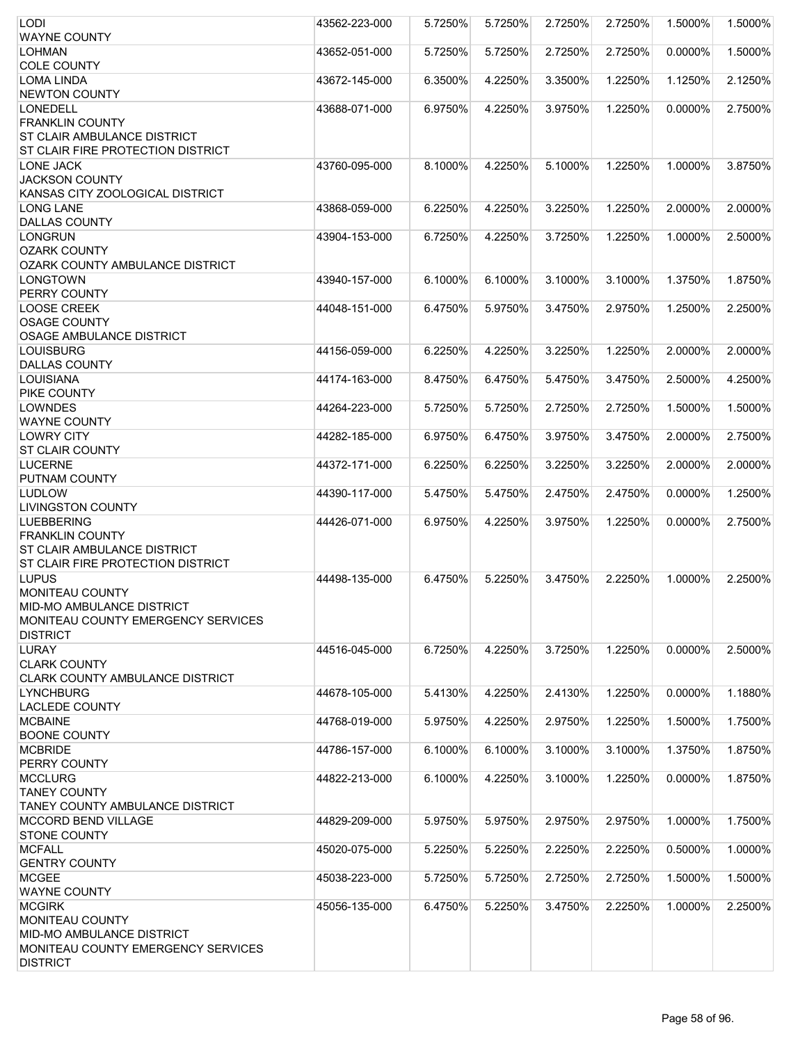| <b>LODI</b>                            | 43562-223-000 | 5.7250% | 5.7250% | 2.7250% | 2.7250% | 1.5000%    | 1.5000% |
|----------------------------------------|---------------|---------|---------|---------|---------|------------|---------|
| <b>WAYNE COUNTY</b>                    |               |         |         |         |         |            |         |
| LOHMAN                                 | 43652-051-000 | 5.7250% | 5.7250% | 2.7250% | 2.7250% | 0.0000%    | 1.5000% |
| <b>COLE COUNTY</b>                     |               |         |         |         |         |            |         |
| <b>LOMA LINDA</b>                      | 43672-145-000 | 6.3500% | 4.2250% | 3.3500% | 1.2250% | 1.1250%    | 2.1250% |
| <b>NEWTON COUNTY</b>                   |               |         |         |         |         |            |         |
| <b>LONEDELL</b>                        | 43688-071-000 | 6.9750% | 4.2250% | 3.9750% | 1.2250% | 0.0000%    | 2.7500% |
| <b>FRANKLIN COUNTY</b>                 |               |         |         |         |         |            |         |
| <b>ST CLAIR AMBULANCE DISTRICT</b>     |               |         |         |         |         |            |         |
| ST CLAIR FIRE PROTECTION DISTRICT      |               |         |         |         |         |            |         |
| <b>LONE JACK</b>                       | 43760-095-000 | 8.1000% | 4.2250% | 5.1000% | 1.2250% | 1.0000%    | 3.8750% |
| <b>JACKSON COUNTY</b>                  |               |         |         |         |         |            |         |
| KANSAS CITY ZOOLOGICAL DISTRICT        |               |         |         |         |         |            |         |
| <b>LONG LANE</b>                       | 43868-059-000 | 6.2250% | 4.2250% | 3.2250% | 1.2250% | 2.0000%    | 2.0000% |
| <b>DALLAS COUNTY</b>                   |               |         |         |         |         |            |         |
| <b>LONGRUN</b>                         | 43904-153-000 | 6.7250% | 4.2250% | 3.7250% | 1.2250% | 1.0000%    | 2.5000% |
| <b>OZARK COUNTY</b>                    |               |         |         |         |         |            |         |
| <b>OZARK COUNTY AMBULANCE DISTRICT</b> |               |         |         |         |         |            |         |
| <b>LONGTOWN</b>                        | 43940-157-000 | 6.1000% | 6.1000% | 3.1000% | 3.1000% | 1.3750%    | 1.8750% |
| PERRY COUNTY                           |               |         |         |         |         |            |         |
| <b>LOOSE CREEK</b>                     | 44048-151-000 | 6.4750% | 5.9750% | 3.4750% | 2.9750% | 1.2500%    | 2.2500% |
| <b>OSAGE COUNTY</b>                    |               |         |         |         |         |            |         |
| OSAGE AMBULANCE DISTRICT               |               |         |         |         |         |            |         |
| <b>LOUISBURG</b>                       | 44156-059-000 | 6.2250% | 4.2250% | 3.2250% | 1.2250% | 2.0000%    | 2.0000% |
| <b>DALLAS COUNTY</b>                   |               |         |         |         |         |            |         |
| LOUISIANA                              | 44174-163-000 | 8.4750% | 6.4750% | 5.4750% | 3.4750% | 2.5000%    | 4.2500% |
| PIKE COUNTY                            |               |         |         |         |         |            |         |
| <b>LOWNDES</b>                         | 44264-223-000 | 5.7250% | 5.7250% | 2.7250% | 2.7250% | 1.5000%    | 1.5000% |
| <b>WAYNE COUNTY</b>                    |               |         |         |         |         |            |         |
| <b>LOWRY CITY</b>                      | 44282-185-000 | 6.9750% | 6.4750% | 3.9750% | 3.4750% | 2.0000%    | 2.7500% |
| <b>ST CLAIR COUNTY</b>                 |               |         |         |         |         |            |         |
| <b>LUCERNE</b>                         | 44372-171-000 | 6.2250% | 6.2250% | 3.2250% | 3.2250% | 2.0000%    | 2.0000% |
| PUTNAM COUNTY                          |               |         |         |         |         |            |         |
| <b>LUDLOW</b>                          | 44390-117-000 | 5.4750% | 5.4750% | 2.4750% | 2.4750% | 0.0000%    | 1.2500% |
| <b>LIVINGSTON COUNTY</b>               |               |         |         |         |         |            |         |
| <b>LUEBBERING</b>                      | 44426-071-000 | 6.9750% | 4.2250% | 3.9750% | 1.2250% | $0.0000\%$ | 2.7500% |
| <b>FRANKLIN COUNTY</b>                 |               |         |         |         |         |            |         |
| ST CLAIR AMBULANCE DISTRICT            |               |         |         |         |         |            |         |
| ST CLAIR FIRE PROTECTION DISTRICT      |               |         |         |         |         |            |         |
| <b>LUPUS</b>                           | 44498-135-000 | 6.4750% | 5.2250% | 3.4750% | 2.2250% | 1.0000%    | 2.2500% |
| <b>MONITEAU COUNTY</b>                 |               |         |         |         |         |            |         |
| MID-MO AMBULANCE DISTRICT              |               |         |         |         |         |            |         |
| MONITEAU COUNTY EMERGENCY SERVICES     |               |         |         |         |         |            |         |
| <b>DISTRICT</b>                        |               |         |         |         |         |            |         |
| <b>LURAY</b>                           | 44516-045-000 | 6.7250% | 4.2250% | 3.7250% | 1.2250% | 0.0000%    | 2.5000% |
| <b>CLARK COUNTY</b>                    |               |         |         |         |         |            |         |
| CLARK COUNTY AMBULANCE DISTRICT        |               |         |         |         |         |            |         |
| <b>LYNCHBURG</b>                       | 44678-105-000 | 5.4130% | 4.2250% | 2.4130% | 1.2250% | 0.0000%    | 1.1880% |
| <b>LACLEDE COUNTY</b>                  |               |         |         |         |         |            |         |
| <b>MCBAINE</b>                         | 44768-019-000 | 5.9750% | 4.2250% | 2.9750% | 1.2250% | 1.5000%    | 1.7500% |
| <b>BOONE COUNTY</b>                    |               |         |         |         |         |            |         |
| <b>MCBRIDE</b>                         | 44786-157-000 | 6.1000% | 6.1000% | 3.1000% | 3.1000% | 1.3750%    | 1.8750% |
| PERRY COUNTY                           |               |         |         |         |         |            |         |
| <b>MCCLURG</b>                         | 44822-213-000 | 6.1000% | 4.2250% | 3.1000% | 1.2250% | 0.0000%    | 1.8750% |
| <b>TANEY COUNTY</b>                    |               |         |         |         |         |            |         |
| TANEY COUNTY AMBULANCE DISTRICT        |               |         |         |         |         |            |         |
| <b>MCCORD BEND VILLAGE</b>             | 44829-209-000 | 5.9750% | 5.9750% | 2.9750% | 2.9750% | 1.0000%    | 1.7500% |
| <b>STONE COUNTY</b>                    |               |         |         |         |         |            |         |
| <b>MCFALL</b>                          | 45020-075-000 | 5.2250% | 5.2250% | 2.2250% | 2.2250% | 0.5000%    | 1.0000% |
| <b>GENTRY COUNTY</b>                   |               |         |         |         |         |            |         |
| <b>MCGEE</b>                           | 45038-223-000 | 5.7250% | 5.7250% | 2.7250% | 2.7250% | 1.5000%    | 1.5000% |
| <b>WAYNE COUNTY</b>                    |               |         |         |         |         |            |         |
| <b>MCGIRK</b>                          | 45056-135-000 | 6.4750% | 5.2250% | 3.4750% | 2.2250% | 1.0000%    | 2.2500% |
| MONITEAU COUNTY                        |               |         |         |         |         |            |         |
| MID-MO AMBULANCE DISTRICT              |               |         |         |         |         |            |         |
| MONITEAU COUNTY EMERGENCY SERVICES     |               |         |         |         |         |            |         |
| <b>DISTRICT</b>                        |               |         |         |         |         |            |         |
|                                        |               |         |         |         |         |            |         |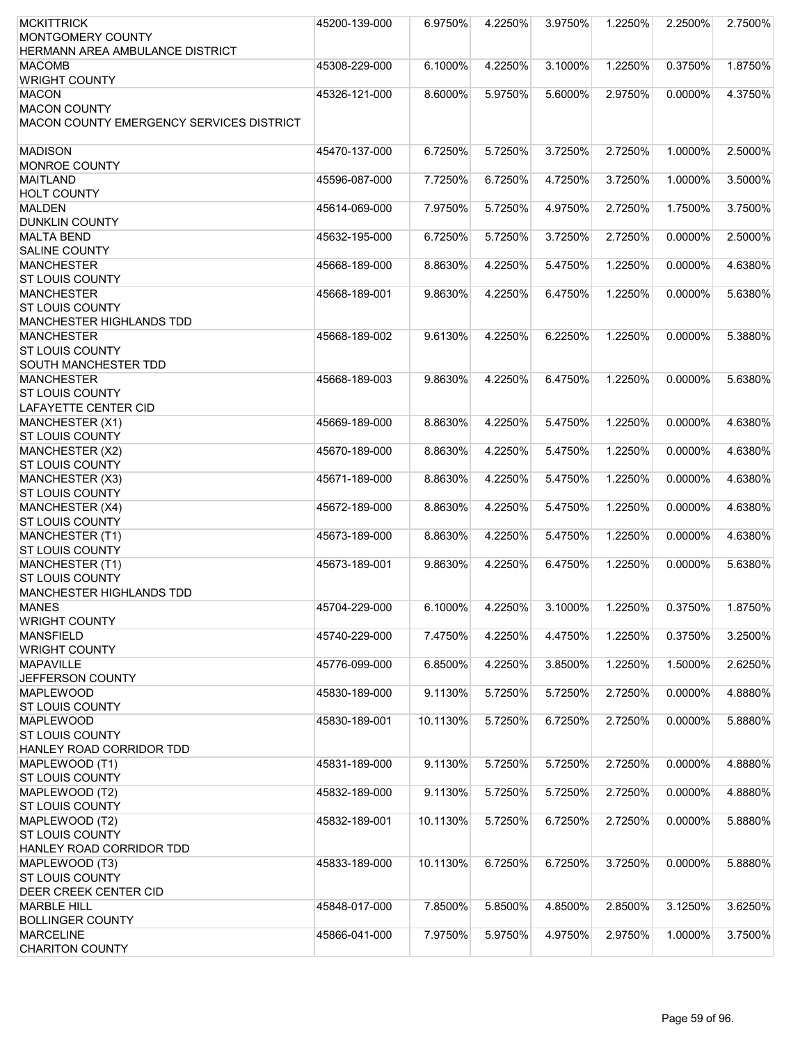| <b>MCKITTRICK</b><br>MONTGOMERY COUNTY<br>HERMANN AREA AMBULANCE DISTRICT                        | 45200-139-000 | 6.9750%  | 4.2250% | 3.9750% | 1.2250% | 2.2500%    | 2.7500% |
|--------------------------------------------------------------------------------------------------|---------------|----------|---------|---------|---------|------------|---------|
| <b>MACOMB</b><br><b>WRIGHT COUNTY</b>                                                            | 45308-229-000 | 6.1000%  | 4.2250% | 3.1000% | 1.2250% | 0.3750%    | 1.8750% |
| <b>MACON</b><br><b>MACON COUNTY</b><br>MACON COUNTY EMERGENCY SERVICES DISTRICT                  | 45326-121-000 | 8.6000%  | 5.9750% | 5.6000% | 2.9750% | 0.0000%    | 4.3750% |
| <b>MADISON</b><br><b>MONROE COUNTY</b>                                                           | 45470-137-000 | 6.7250%  | 5.7250% | 3.7250% | 2.7250% | 1.0000%    | 2.5000% |
| <b>MAITLAND</b><br><b>HOLT COUNTY</b>                                                            | 45596-087-000 | 7.7250%  | 6.7250% | 4.7250% | 3.7250% | 1.0000%    | 3.5000% |
| <b>MALDEN</b><br><b>DUNKLIN COUNTY</b>                                                           | 45614-069-000 | 7.9750%  | 5.7250% | 4.9750% | 2.7250% | 1.7500%    | 3.7500% |
| <b>MALTA BEND</b><br><b>SALINE COUNTY</b>                                                        | 45632-195-000 | 6.7250%  | 5.7250% | 3.7250% | 2.7250% | 0.0000%    | 2.5000% |
| <b>MANCHESTER</b><br><b>ST LOUIS COUNTY</b>                                                      | 45668-189-000 | 8.8630%  | 4.2250% | 5.4750% | 1.2250% | 0.0000%    | 4.6380% |
| <b>MANCHESTER</b><br><b>ST LOUIS COUNTY</b>                                                      | 45668-189-001 | 9.8630%  | 4.2250% | 6.4750% | 1.2250% | 0.0000%    | 5.6380% |
| <b>MANCHESTER HIGHLANDS TDD</b><br><b>MANCHESTER</b><br><b>ST LOUIS COUNTY</b>                   | 45668-189-002 | 9.6130%  | 4.2250% | 6.2250% | 1.2250% | 0.0000%    | 5.3880% |
| <b>SOUTH MANCHESTER TDD</b><br><b>MANCHESTER</b><br><b>ST LOUIS COUNTY</b>                       | 45668-189-003 | 9.8630%  | 4.2250% | 6.4750% | 1.2250% | 0.0000%    | 5.6380% |
| <b>LAFAYETTE CENTER CID</b><br>MANCHESTER (X1)                                                   | 45669-189-000 | 8.8630%  | 4.2250% | 5.4750% | 1.2250% | 0.0000%    | 4.6380% |
| <b>ST LOUIS COUNTY</b>                                                                           |               |          |         |         |         |            |         |
| MANCHESTER (X2)<br><b>ST LOUIS COUNTY</b>                                                        | 45670-189-000 | 8.8630%  | 4.2250% | 5.4750% | 1.2250% | 0.0000%    | 4.6380% |
| MANCHESTER (X3)<br><b>ST LOUIS COUNTY</b>                                                        | 45671-189-000 | 8.8630%  | 4.2250% | 5.4750% | 1.2250% | 0.0000%    | 4.6380% |
| MANCHESTER (X4)<br><b>ST LOUIS COUNTY</b>                                                        | 45672-189-000 | 8.8630%  | 4.2250% | 5.4750% | 1.2250% | 0.0000%    | 4.6380% |
| MANCHESTER (T1)<br><b>ST LOUIS COUNTY</b>                                                        | 45673-189-000 | 8.8630%  | 4.2250% | 5.4750% | 1.2250% | 0.0000%    | 4.6380% |
| MANCHESTER (T1)<br><b>ST LOUIS COUNTY</b><br><b>MANCHESTER HIGHLANDS TDD</b>                     | 45673-189-001 | 9.8630%  | 4.2250% | 6.4750% | 1.2250% | 0.0000%    | 5.6380% |
| <b>MANES</b><br><b>WRIGHT COUNTY</b>                                                             | 45704-229-000 | 6.1000%  | 4.2250% | 3.1000% | 1.2250% | 0.3750%    | 1.8750% |
| <b>MANSFIELD</b><br><b>WRIGHT COUNTY</b>                                                         | 45740-229-000 | 7.4750%  | 4.2250% | 4.4750% | 1.2250% | 0.3750%    | 3.2500% |
| <b>MAPAVILLE</b><br>JEFFERSON COUNTY                                                             | 45776-099-000 | 6.8500%  | 4.2250% | 3.8500% | 1.2250% | 1.5000%    | 2.6250% |
| <b>MAPLEWOOD</b>                                                                                 | 45830-189-000 | 9.1130%  | 5.7250% | 5.7250% | 2.7250% | 0.0000%    | 4.8880% |
| <b>ST LOUIS COUNTY</b><br><b>MAPLEWOOD</b><br><b>ST LOUIS COUNTY</b><br>HANLEY ROAD CORRIDOR TDD | 45830-189-001 | 10.1130% | 5.7250% | 6.7250% | 2.7250% | 0.0000%    | 5.8880% |
| MAPLEWOOD (T1)<br><b>ST LOUIS COUNTY</b>                                                         | 45831-189-000 | 9.1130%  | 5.7250% | 5.7250% | 2.7250% | 0.0000%    | 4.8880% |
| MAPLEWOOD (T2)<br><b>ST LOUIS COUNTY</b>                                                         | 45832-189-000 | 9.1130%  | 5.7250% | 5.7250% | 2.7250% | $0.0000\%$ | 4.8880% |
| MAPLEWOOD (T2)<br><b>ST LOUIS COUNTY</b><br>HANLEY ROAD CORRIDOR TDD                             | 45832-189-001 | 10.1130% | 5.7250% | 6.7250% | 2.7250% | 0.0000%    | 5.8880% |
| MAPLEWOOD (T3)<br><b>ST LOUIS COUNTY</b>                                                         | 45833-189-000 | 10.1130% | 6.7250% | 6.7250% | 3.7250% | 0.0000%    | 5.8880% |
| DEER CREEK CENTER CID<br><b>MARBLE HILL</b>                                                      | 45848-017-000 | 7.8500%  | 5.8500% | 4.8500% | 2.8500% | 3.1250%    | 3.6250% |
| <b>BOLLINGER COUNTY</b><br><b>MARCELINE</b>                                                      | 45866-041-000 | 7.9750%  | 5.9750% | 4.9750% | 2.9750% | 1.0000%    | 3.7500% |
| <b>CHARITON COUNTY</b>                                                                           |               |          |         |         |         |            |         |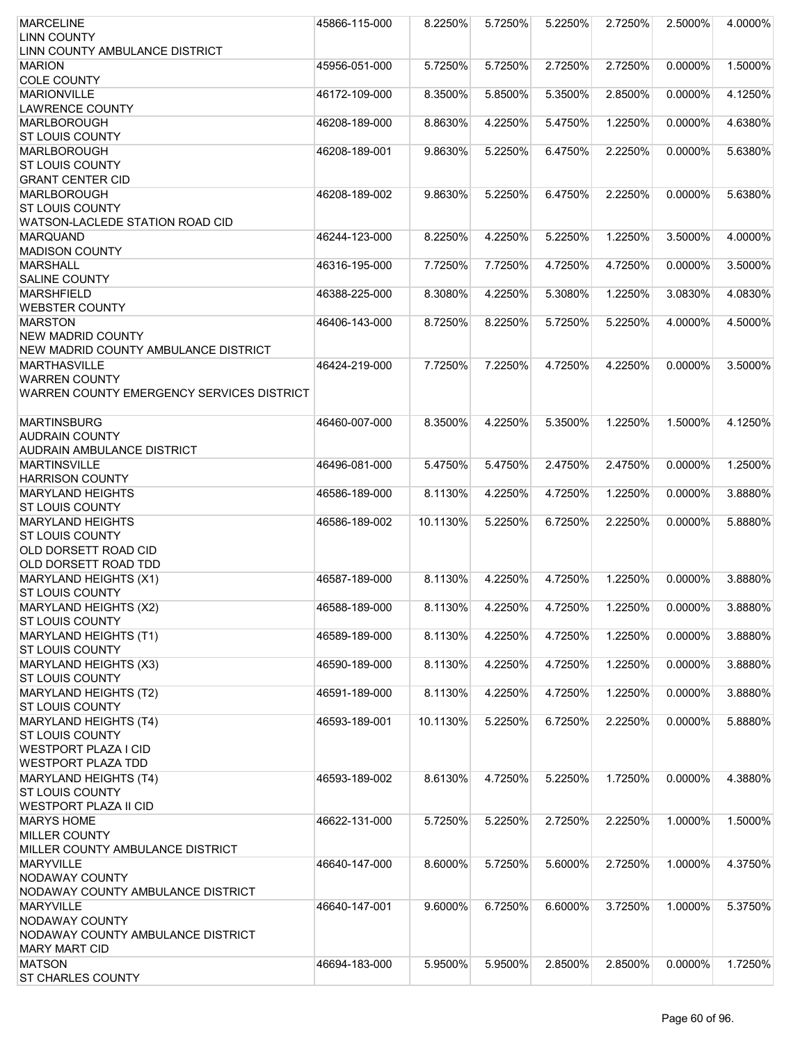| <b>MARCELINE</b>                          | 45866-115-000 | 8.2250%  | 5.7250% | 5.2250% | 2.7250% | 2.5000% | 4.0000% |
|-------------------------------------------|---------------|----------|---------|---------|---------|---------|---------|
| <b>LINN COUNTY</b>                        |               |          |         |         |         |         |         |
| LINN COUNTY AMBULANCE DISTRICT            |               |          |         |         |         |         |         |
| <b>MARION</b>                             | 45956-051-000 | 5.7250%  | 5.7250% | 2.7250% | 2.7250% | 0.0000% | 1.5000% |
|                                           |               |          |         |         |         |         |         |
| <b>COLE COUNTY</b>                        |               |          |         |         |         |         |         |
| <b>MARIONVILLE</b>                        | 46172-109-000 | 8.3500%  | 5.8500% | 5.3500% | 2.8500% | 0.0000% | 4.1250% |
| <b>LAWRENCE COUNTY</b>                    |               |          |         |         |         |         |         |
| <b>MARLBOROUGH</b>                        | 46208-189-000 | 8.8630%  | 4.2250% | 5.4750% | 1.2250% | 0.0000% | 4.6380% |
| <b>ST LOUIS COUNTY</b>                    |               |          |         |         |         |         |         |
| <b>MARLBOROUGH</b>                        | 46208-189-001 | 9.8630%  | 5.2250% | 6.4750% | 2.2250% | 0.0000% | 5.6380% |
| <b>ST LOUIS COUNTY</b>                    |               |          |         |         |         |         |         |
| <b>GRANT CENTER CID</b>                   |               |          |         |         |         |         |         |
| <b>MARLBOROUGH</b>                        | 46208-189-002 | 9.8630%  | 5.2250% | 6.4750% | 2.2250% | 0.0000% | 5.6380% |
| <b>ST LOUIS COUNTY</b>                    |               |          |         |         |         |         |         |
|                                           |               |          |         |         |         |         |         |
| WATSON-LACLEDE STATION ROAD CID           |               |          |         |         |         |         |         |
| <b>MARQUAND</b>                           | 46244-123-000 | 8.2250%  | 4.2250% | 5.2250% | 1.2250% | 3.5000% | 4.0000% |
| <b>MADISON COUNTY</b>                     |               |          |         |         |         |         |         |
| <b>MARSHALL</b>                           | 46316-195-000 | 7.7250%  | 7.7250% | 4.7250% | 4.7250% | 0.0000% | 3.5000% |
| <b>SALINE COUNTY</b>                      |               |          |         |         |         |         |         |
| <b>MARSHFIELD</b>                         | 46388-225-000 | 8.3080%  | 4.2250% | 5.3080% | 1.2250% | 3.0830% | 4.0830% |
| <b>WEBSTER COUNTY</b>                     |               |          |         |         |         |         |         |
| <b>MARSTON</b>                            | 46406-143-000 | 8.7250%  | 8.2250% | 5.7250% | 5.2250% | 4.0000% | 4.5000% |
| <b>NEW MADRID COUNTY</b>                  |               |          |         |         |         |         |         |
|                                           |               |          |         |         |         |         |         |
| NEW MADRID COUNTY AMBULANCE DISTRICT      |               |          |         |         |         |         |         |
| <b>MARTHASVILLE</b>                       | 46424-219-000 | 7.7250%  | 7.2250% | 4.7250% | 4.2250% | 0.0000% | 3.5000% |
| <b>WARREN COUNTY</b>                      |               |          |         |         |         |         |         |
| WARREN COUNTY EMERGENCY SERVICES DISTRICT |               |          |         |         |         |         |         |
|                                           |               |          |         |         |         |         |         |
| <b>MARTINSBURG</b>                        | 46460-007-000 | 8.3500%  | 4.2250% | 5.3500% | 1.2250% | 1.5000% | 4.1250% |
| <b>AUDRAIN COUNTY</b>                     |               |          |         |         |         |         |         |
| AUDRAIN AMBULANCE DISTRICT                |               |          |         |         |         |         |         |
| <b>MARTINSVILLE</b>                       | 46496-081-000 | 5.4750%  | 5.4750% | 2.4750% | 2.4750% | 0.0000% | 1.2500% |
|                                           |               |          |         |         |         |         |         |
| <b>HARRISON COUNTY</b>                    |               |          |         |         |         |         |         |
| <b>MARYLAND HEIGHTS</b>                   | 46586-189-000 | 8.1130%  | 4.2250% | 4.7250% | 1.2250% | 0.0000% | 3.8880% |
| <b>ST LOUIS COUNTY</b>                    |               |          |         |         |         |         |         |
| <b>MARYLAND HEIGHTS</b>                   | 46586-189-002 | 10.1130% | 5.2250% | 6.7250% | 2.2250% | 0.0000% | 5.8880% |
| <b>ST LOUIS COUNTY</b>                    |               |          |         |         |         |         |         |
| OLD DORSETT ROAD CID                      |               |          |         |         |         |         |         |
| OLD DORSETT ROAD TDD                      |               |          |         |         |         |         |         |
| MARYLAND HEIGHTS (X1)                     | 46587-189-000 | 8.1130%  | 4.2250% | 4.7250% | 1.2250% | 0.0000% | 3.8880% |
| <b>ST LOUIS COUNTY</b>                    |               |          |         |         |         |         |         |
|                                           |               |          |         |         |         |         |         |
| MARYLAND HEIGHTS (X2)                     | 46588-189-000 | 8.1130%  | 4.2250% | 4.7250% | 1.2250% | 0.0000% | 3.8880% |
| <b>ST LOUIS COUNTY</b>                    |               |          |         |         |         |         |         |
| MARYLAND HEIGHTS (T1)                     | 46589-189-000 | 8.1130%  | 4.2250% | 4.7250% | 1.2250% | 0.0000% | 3.8880% |
| <b>ST LOUIS COUNTY</b>                    |               |          |         |         |         |         |         |
| MARYLAND HEIGHTS (X3)                     | 46590-189-000 | 8.1130%  | 4.2250% | 4.7250% | 1.2250% | 0.0000% | 3.8880% |
| <b>ST LOUIS COUNTY</b>                    |               |          |         |         |         |         |         |
| MARYLAND HEIGHTS (T2)                     | 46591-189-000 | 8.1130%  | 4.2250% | 4.7250% | 1.2250% | 0.0000% | 3.8880% |
| <b>ST LOUIS COUNTY</b>                    |               |          |         |         |         |         |         |
| MARYLAND HEIGHTS (T4)                     | 46593-189-001 | 10.1130% | 5.2250% | 6.7250% | 2.2250% | 0.0000% | 5.8880% |
| <b>ST LOUIS COUNTY</b>                    |               |          |         |         |         |         |         |
|                                           |               |          |         |         |         |         |         |
| <b>WESTPORT PLAZA I CID</b>               |               |          |         |         |         |         |         |
| <b>WESTPORT PLAZA TDD</b>                 |               |          |         |         |         |         |         |
| MARYLAND HEIGHTS (T4)                     | 46593-189-002 | 8.6130%  | 4.7250% | 5.2250% | 1.7250% | 0.0000% | 4.3880% |
| <b>ST LOUIS COUNTY</b>                    |               |          |         |         |         |         |         |
| <b>WESTPORT PLAZA II CID</b>              |               |          |         |         |         |         |         |
| <b>MARYS HOME</b>                         | 46622-131-000 | 5.7250%  | 5.2250% | 2.7250% | 2.2250% | 1.0000% | 1.5000% |
| <b>MILLER COUNTY</b>                      |               |          |         |         |         |         |         |
| MILLER COUNTY AMBULANCE DISTRICT          |               |          |         |         |         |         |         |
| <b>MARYVILLE</b>                          | 46640-147-000 | 8.6000%  | 5.7250% | 5.6000% | 2.7250% | 1.0000% | 4.3750% |
|                                           |               |          |         |         |         |         |         |
| <b>NODAWAY COUNTY</b>                     |               |          |         |         |         |         |         |
| NODAWAY COUNTY AMBULANCE DISTRICT         |               |          |         |         |         |         |         |
| <b>MARYVILLE</b>                          | 46640-147-001 | 9.6000%  | 6.7250% | 6.6000% | 3.7250% | 1.0000% | 5.3750% |
| <b>NODAWAY COUNTY</b>                     |               |          |         |         |         |         |         |
| NODAWAY COUNTY AMBULANCE DISTRICT         |               |          |         |         |         |         |         |
| <b>MARY MART CID</b>                      |               |          |         |         |         |         |         |
| <b>MATSON</b>                             | 46694-183-000 | 5.9500%  | 5.9500% | 2.8500% | 2.8500% | 0.0000% | 1.7250% |
| <b>ST CHARLES COUNTY</b>                  |               |          |         |         |         |         |         |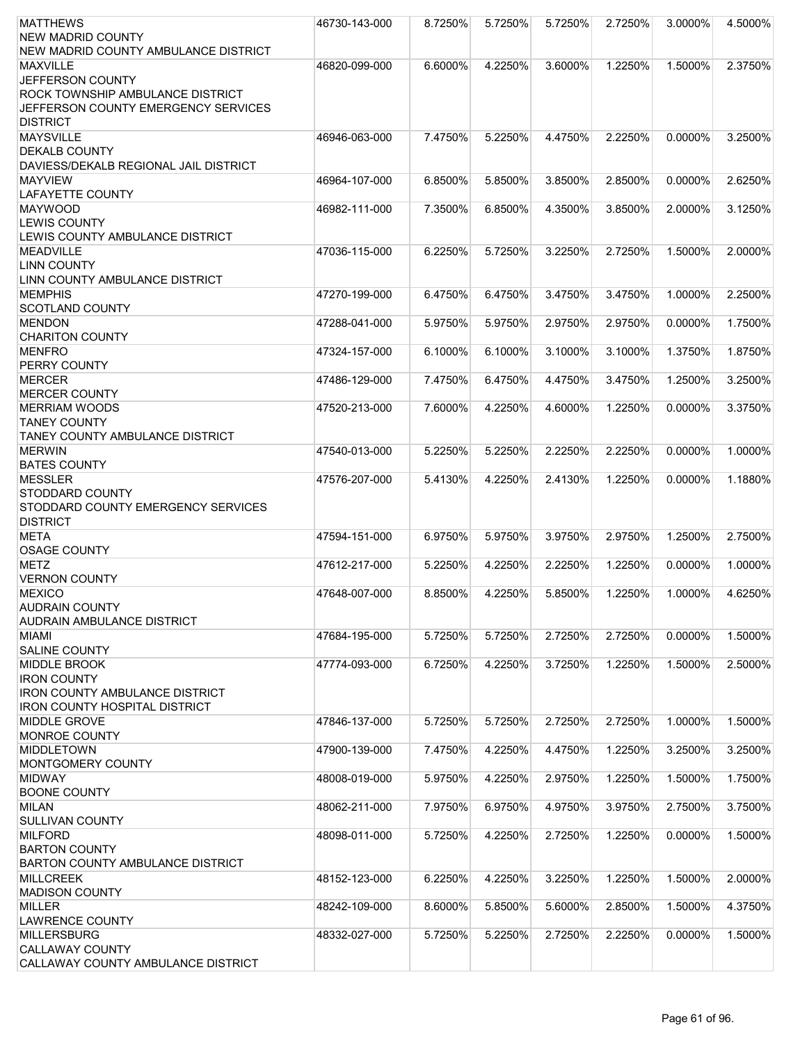| <b>MATTHEWS</b>                                             | 46730-143-000 | 8.7250% | 5.7250% | 5.7250% | 2.7250% | 3.0000%    | 4.5000% |
|-------------------------------------------------------------|---------------|---------|---------|---------|---------|------------|---------|
| <b>NEW MADRID COUNTY</b>                                    |               |         |         |         |         |            |         |
| NEW MADRID COUNTY AMBULANCE DISTRICT                        |               |         |         |         |         |            |         |
| <b>MAXVILLE</b>                                             | 46820-099-000 | 6.6000% | 4.2250% | 3.6000% | 1.2250% | 1.5000%    | 2.3750% |
| <b>JEFFERSON COUNTY</b>                                     |               |         |         |         |         |            |         |
| ROCK TOWNSHIP AMBULANCE DISTRICT                            |               |         |         |         |         |            |         |
| JEFFERSON COUNTY EMERGENCY SERVICES                         |               |         |         |         |         |            |         |
| <b>DISTRICT</b><br><b>MAYSVILLE</b>                         |               |         |         |         |         |            |         |
| <b>DEKALB COUNTY</b>                                        | 46946-063-000 | 7.4750% | 5.2250% | 4.4750% | 2.2250% | 0.0000%    | 3.2500% |
| DAVIESS/DEKALB REGIONAL JAIL DISTRICT                       |               |         |         |         |         |            |         |
| <b>MAYVIEW</b>                                              | 46964-107-000 | 6.8500% | 5.8500% | 3.8500% | 2.8500% | 0.0000%    | 2.6250% |
| <b>LAFAYETTE COUNTY</b>                                     |               |         |         |         |         |            |         |
| <b>MAYWOOD</b>                                              | 46982-111-000 | 7.3500% | 6.8500% | 4.3500% | 3.8500% | 2.0000%    | 3.1250% |
| <b>LEWIS COUNTY</b>                                         |               |         |         |         |         |            |         |
| LEWIS COUNTY AMBULANCE DISTRICT                             |               |         |         |         |         |            |         |
| <b>MEADVILLE</b>                                            | 47036-115-000 | 6.2250% | 5.7250% | 3.2250% | 2.7250% | 1.5000%    | 2.0000% |
| <b>LINN COUNTY</b>                                          |               |         |         |         |         |            |         |
| LINN COUNTY AMBULANCE DISTRICT                              |               |         |         |         |         |            |         |
| <b>MEMPHIS</b>                                              | 47270-199-000 | 6.4750% | 6.4750% | 3.4750% | 3.4750% | 1.0000%    | 2.2500% |
| <b>SCOTLAND COUNTY</b>                                      |               |         |         |         |         |            |         |
| <b>MENDON</b>                                               | 47288-041-000 | 5.9750% | 5.9750% | 2.9750% | 2.9750% | 0.0000%    | 1.7500% |
| <b>CHARITON COUNTY</b><br><b>MENFRO</b>                     | 47324-157-000 | 6.1000% | 6.1000% | 3.1000% | 3.1000% | 1.3750%    | 1.8750% |
| PERRY COUNTY                                                |               |         |         |         |         |            |         |
| <b>MERCER</b>                                               | 47486-129-000 | 7.4750% | 6.4750% | 4.4750% | 3.4750% | 1.2500%    | 3.2500% |
| <b>MERCER COUNTY</b>                                        |               |         |         |         |         |            |         |
| <b>MERRIAM WOODS</b>                                        | 47520-213-000 | 7.6000% | 4.2250% | 4.6000% | 1.2250% | $0.0000\%$ | 3.3750% |
| <b>TANEY COUNTY</b>                                         |               |         |         |         |         |            |         |
| <b>TANEY COUNTY AMBULANCE DISTRICT</b>                      |               |         |         |         |         |            |         |
| <b>MERWIN</b>                                               | 47540-013-000 | 5.2250% | 5.2250% | 2.2250% | 2.2250% | 0.0000%    | 1.0000% |
| <b>BATES COUNTY</b>                                         |               |         |         |         |         |            |         |
| <b>MESSLER</b>                                              | 47576-207-000 | 5.4130% | 4.2250% | 2.4130% | 1.2250% | 0.0000%    | 1.1880% |
| STODDARD COUNTY                                             |               |         |         |         |         |            |         |
| STODDARD COUNTY EMERGENCY SERVICES                          |               |         |         |         |         |            |         |
| <b>DISTRICT</b><br><b>META</b>                              | 47594-151-000 |         | 5.9750% | 3.9750% | 2.9750% |            | 2.7500% |
| <b>OSAGE COUNTY</b>                                         |               | 6.9750% |         |         |         | 1.2500%    |         |
| <b>METZ</b>                                                 | 47612-217-000 | 5.2250% | 4.2250% | 2.2250% | 1.2250% | 0.0000%    | 1.0000% |
| <b>VERNON COUNTY</b>                                        |               |         |         |         |         |            |         |
| <b>MEXICO</b>                                               | 47648-007-000 | 8.8500% | 4.2250% | 5.8500% | 1.2250% | 1.0000%    | 4.6250% |
| <b>AUDRAIN COUNTY</b>                                       |               |         |         |         |         |            |         |
| <b>AUDRAIN AMBULANCE DISTRICT</b>                           |               |         |         |         |         |            |         |
| <b>MIAMI</b>                                                | 47684-195-000 | 5.7250% | 5.7250% | 2.7250% | 2.7250% | 0.0000%    | 1.5000% |
| <b>SALINE COUNTY</b>                                        |               |         |         |         |         |            |         |
| <b>MIDDLE BROOK</b>                                         | 47774-093-000 | 6.7250% | 4.2250% | 3.7250% | 1.2250% | 1.5000%    | 2.5000% |
| <b>IRON COUNTY</b>                                          |               |         |         |         |         |            |         |
| <b>IRON COUNTY AMBULANCE DISTRICT</b>                       |               |         |         |         |         |            |         |
| <b>IRON COUNTY HOSPITAL DISTRICT</b><br><b>MIDDLE GROVE</b> |               |         |         |         |         |            |         |
| <b>MONROE COUNTY</b>                                        | 47846-137-000 | 5.7250% | 5.7250% | 2.7250% | 2.7250% | 1.0000%    | 1.5000% |
| <b>MIDDLETOWN</b>                                           | 47900-139-000 | 7.4750% | 4.2250% | 4.4750% | 1.2250% | 3.2500%    | 3.2500% |
| MONTGOMERY COUNTY                                           |               |         |         |         |         |            |         |
| <b>MIDWAY</b>                                               | 48008-019-000 | 5.9750% | 4.2250% | 2.9750% | 1.2250% | 1.5000%    | 1.7500% |
| <b>BOONE COUNTY</b>                                         |               |         |         |         |         |            |         |
| <b>MILAN</b>                                                | 48062-211-000 | 7.9750% | 6.9750% | 4.9750% | 3.9750% | 2.7500%    | 3.7500% |
| <b>SULLIVAN COUNTY</b>                                      |               |         |         |         |         |            |         |
| <b>MILFORD</b>                                              | 48098-011-000 | 5.7250% | 4.2250% | 2.7250% | 1.2250% | 0.0000%    | 1.5000% |
| <b>BARTON COUNTY</b>                                        |               |         |         |         |         |            |         |
| <b>BARTON COUNTY AMBULANCE DISTRICT</b>                     |               |         |         |         |         |            |         |
| <b>MILLCREEK</b>                                            | 48152-123-000 | 6.2250% | 4.2250% | 3.2250% | 1.2250% | 1.5000%    | 2.0000% |
| <b>MADISON COUNTY</b>                                       |               |         |         |         |         |            |         |
| <b>MILLER</b><br><b>LAWRENCE COUNTY</b>                     | 48242-109-000 | 8.6000% | 5.8500% | 5.6000% | 2.8500% | 1.5000%    | 4.3750% |
| <b>MILLERSBURG</b>                                          | 48332-027-000 | 5.7250% | 5.2250% | 2.7250% | 2.2250% | 0.0000%    | 1.5000% |
| <b>CALLAWAY COUNTY</b>                                      |               |         |         |         |         |            |         |
| CALLAWAY COUNTY AMBULANCE DISTRICT                          |               |         |         |         |         |            |         |
|                                                             |               |         |         |         |         |            |         |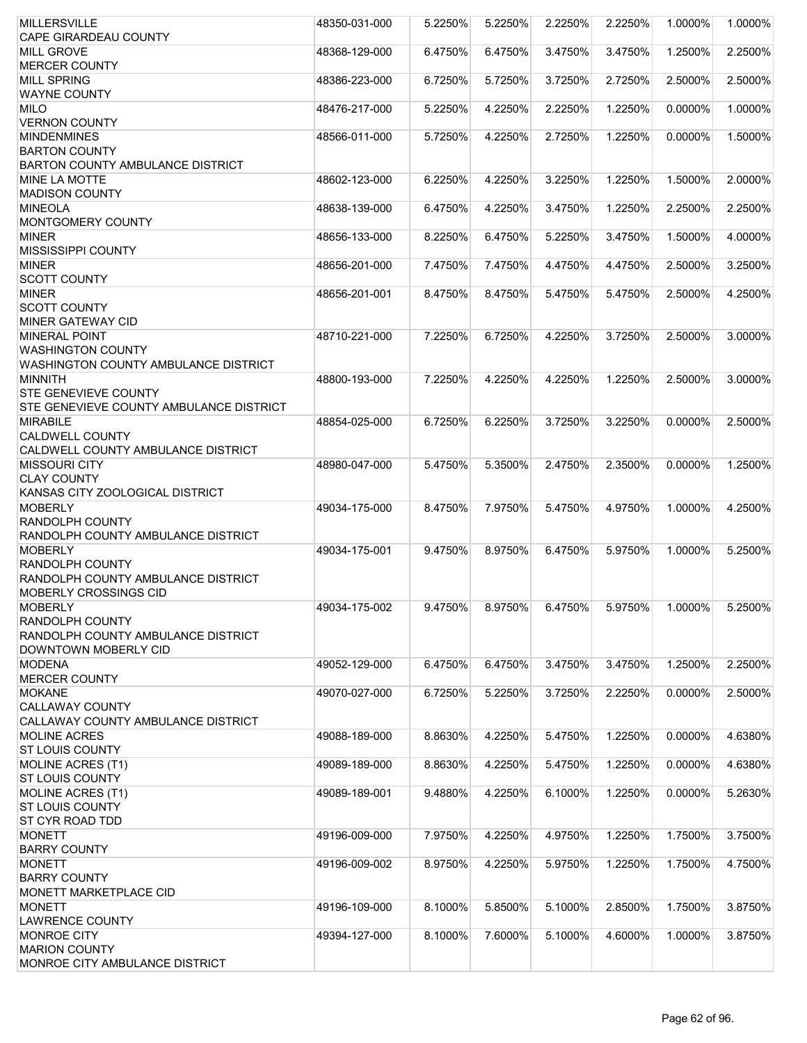| <b>MILLERSVILLE</b>                              | 48350-031-000 | 5.2250% | 5.2250% | 2.2250% | 2.2250% | 1.0000% | 1.0000% |
|--------------------------------------------------|---------------|---------|---------|---------|---------|---------|---------|
| <b>CAPE GIRARDEAU COUNTY</b>                     |               |         |         |         |         |         |         |
| <b>MILL GROVE</b>                                | 48368-129-000 | 6.4750% | 6.4750% | 3.4750% | 3.4750% | 1.2500% | 2.2500% |
| <b>MERCER COUNTY</b>                             |               |         |         |         |         |         |         |
| <b>MILL SPRING</b>                               | 48386-223-000 | 6.7250% | 5.7250% | 3.7250% | 2.7250% | 2.5000% | 2.5000% |
| <b>WAYNE COUNTY</b>                              |               |         |         |         |         |         |         |
| <b>MILO</b>                                      | 48476-217-000 | 5.2250% | 4.2250% | 2.2250% | 1.2250% | 0.0000% | 1.0000% |
| <b>VERNON COUNTY</b>                             |               |         |         |         |         |         |         |
| <b>MINDENMINES</b>                               | 48566-011-000 | 5.7250% | 4.2250% | 2.7250% | 1.2250% | 0.0000% | 1.5000% |
| <b>BARTON COUNTY</b>                             |               |         |         |         |         |         |         |
| <b>BARTON COUNTY AMBULANCE DISTRICT</b>          |               |         |         |         |         |         |         |
| <b>MINE LA MOTTE</b>                             | 48602-123-000 | 6.2250% | 4.2250% | 3.2250% | 1.2250% | 1.5000% | 2.0000% |
| <b>MADISON COUNTY</b>                            |               |         |         |         |         |         |         |
| <b>MINEOLA</b>                                   | 48638-139-000 | 6.4750% | 4.2250% | 3.4750% | 1.2250% | 2.2500% | 2.2500% |
| MONTGOMERY COUNTY                                |               |         |         |         |         |         |         |
| <b>MINER</b>                                     | 48656-133-000 | 8.2250% | 6.4750% | 5.2250% | 3.4750% | 1.5000% | 4.0000% |
| <b>MISSISSIPPI COUNTY</b>                        |               |         |         |         |         |         |         |
| <b>MINFR</b>                                     | 48656-201-000 | 7.4750% | 7.4750% | 4.4750% | 4.4750% | 2.5000% | 3.2500% |
| <b>SCOTT COUNTY</b>                              |               |         |         |         |         |         |         |
| <b>MINER</b>                                     | 48656-201-001 | 8.4750% | 8.4750% | 5.4750% | 5.4750% | 2.5000% | 4.2500% |
| <b>SCOTT COUNTY</b>                              |               |         |         |         |         |         |         |
| MINER GATEWAY CID                                |               |         |         |         |         |         |         |
| <b>MINERAL POINT</b><br><b>WASHINGTON COUNTY</b> | 48710-221-000 | 7.2250% | 6.7250% | 4.2250% | 3.7250% | 2.5000% | 3.0000% |
| <b>WASHINGTON COUNTY AMBULANCE DISTRICT</b>      |               |         |         |         |         |         |         |
| <b>MINNITH</b>                                   | 48800-193-000 | 7.2250% | 4.2250% | 4.2250% | 1.2250% | 2.5000% | 3.0000% |
| <b>STE GENEVIEVE COUNTY</b>                      |               |         |         |         |         |         |         |
| STE GENEVIEVE COUNTY AMBULANCE DISTRICT          |               |         |         |         |         |         |         |
| <b>MIRABILE</b>                                  | 48854-025-000 | 6.7250% | 6.2250% | 3.7250% | 3.2250% | 0.0000% | 2.5000% |
| <b>CALDWELL COUNTY</b>                           |               |         |         |         |         |         |         |
| CALDWELL COUNTY AMBULANCE DISTRICT               |               |         |         |         |         |         |         |
| <b>MISSOURI CITY</b>                             | 48980-047-000 | 5.4750% | 5.3500% | 2.4750% | 2.3500% | 0.0000% | 1.2500% |
| <b>CLAY COUNTY</b>                               |               |         |         |         |         |         |         |
| KANSAS CITY ZOOLOGICAL DISTRICT                  |               |         |         |         |         |         |         |
| <b>MOBERLY</b>                                   | 49034-175-000 | 8.4750% | 7.9750% | 5.4750% | 4.9750% | 1.0000% | 4.2500% |
| <b>RANDOLPH COUNTY</b>                           |               |         |         |         |         |         |         |
| RANDOLPH COUNTY AMBULANCE DISTRICT               |               |         |         |         |         |         |         |
| <b>MOBERLY</b>                                   | 49034-175-001 | 9.4750% | 8.9750% | 6.4750% | 5.9750% | 1.0000% | 5.2500% |
| <b>RANDOLPH COUNTY</b>                           |               |         |         |         |         |         |         |
| RANDOLPH COUNTY AMBULANCE DISTRICT               |               |         |         |         |         |         |         |
| MOBERLY CROSSINGS CID                            |               |         |         |         |         |         |         |
| <b>MOBERLY</b>                                   | 49034-175-002 | 9.4750% | 8.9750% | 6.4750% | 5.9750% | 1.0000% | 5.2500% |
| <b>RANDOLPH COUNTY</b>                           |               |         |         |         |         |         |         |
| RANDOLPH COUNTY AMBULANCE DISTRICT               |               |         |         |         |         |         |         |
| DOWNTOWN MOBERLY CID                             |               |         |         |         |         |         |         |
| <b>MODENA</b>                                    | 49052-129-000 | 6.4750% | 6.4750% | 3.4750% | 3.4750% | 1.2500% | 2.2500% |
| <b>MERCER COUNTY</b>                             |               |         |         |         |         |         |         |
| <b>MOKANE</b>                                    | 49070-027-000 | 6.7250% | 5.2250% | 3.7250% | 2.2250% | 0.0000% | 2.5000% |
| <b>CALLAWAY COUNTY</b>                           |               |         |         |         |         |         |         |
| CALLAWAY COUNTY AMBULANCE DISTRICT               |               |         |         |         |         |         |         |
| <b>MOLINE ACRES</b>                              | 49088-189-000 | 8.8630% | 4.2250% | 5.4750% | 1.2250% | 0.0000% | 4.6380% |
| <b>ST LOUIS COUNTY</b>                           |               |         |         |         |         |         |         |
| <b>MOLINE ACRES (T1)</b>                         | 49089-189-000 | 8.8630% | 4.2250% | 5.4750% | 1.2250% | 0.0000% | 4.6380% |
| <b>ST LOUIS COUNTY</b>                           |               |         |         |         |         |         |         |
| <b>MOLINE ACRES (T1)</b>                         | 49089-189-001 | 9.4880% | 4.2250% | 6.1000% | 1.2250% | 0.0000% | 5.2630% |
| <b>ST LOUIS COUNTY</b>                           |               |         |         |         |         |         |         |
| ST CYR ROAD TDD                                  |               |         |         |         |         |         |         |
| <b>MONETT</b>                                    | 49196-009-000 | 7.9750% | 4.2250% | 4.9750% | 1.2250% | 1.7500% | 3.7500% |
| <b>BARRY COUNTY</b><br><b>MONETT</b>             | 49196-009-002 | 8.9750% | 4.2250% | 5.9750% | 1.2250% | 1.7500% | 4.7500% |
| <b>BARRY COUNTY</b>                              |               |         |         |         |         |         |         |
| MONETT MARKETPLACE CID                           |               |         |         |         |         |         |         |
| <b>MONETT</b>                                    | 49196-109-000 | 8.1000% | 5.8500% | 5.1000% | 2.8500% | 1.7500% | 3.8750% |
| <b>LAWRENCE COUNTY</b>                           |               |         |         |         |         |         |         |
| <b>MONROE CITY</b>                               | 49394-127-000 | 8.1000% | 7.6000% | 5.1000% | 4.6000% | 1.0000% | 3.8750% |
| <b>MARION COUNTY</b>                             |               |         |         |         |         |         |         |
| MONROE CITY AMBULANCE DISTRICT                   |               |         |         |         |         |         |         |
|                                                  |               |         |         |         |         |         |         |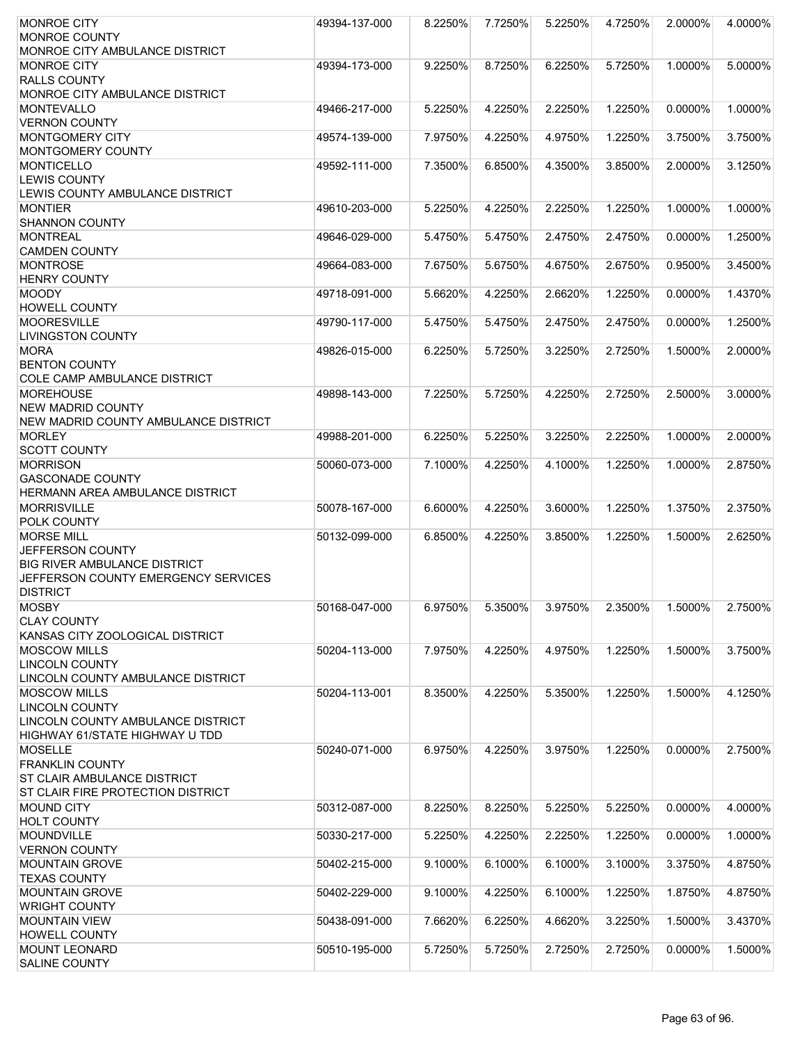| <b>MONROE CITY</b>                         | 49394-137-000 | 8.2250% | 7.7250% | 5.2250% | 4.7250% | 2.0000%    | 4.0000% |
|--------------------------------------------|---------------|---------|---------|---------|---------|------------|---------|
| <b>MONROE COUNTY</b>                       |               |         |         |         |         |            |         |
| MONROE CITY AMBULANCE DISTRICT             |               |         |         |         |         |            |         |
| <b>MONROE CITY</b>                         | 49394-173-000 | 9.2250% | 8.7250% | 6.2250% | 5.7250% | 1.0000%    | 5.0000% |
| <b>RALLS COUNTY</b>                        |               |         |         |         |         |            |         |
| MONROE CITY AMBULANCE DISTRICT             |               |         |         |         |         |            |         |
| <b>MONTEVALLO</b>                          | 49466-217-000 | 5.2250% | 4.2250% | 2.2250% | 1.2250% | $0.0000\%$ | 1.0000% |
| <b>VERNON COUNTY</b>                       |               |         |         |         |         |            |         |
| <b>MONTGOMERY CITY</b>                     | 49574-139-000 | 7.9750% | 4.2250% | 4.9750% | 1.2250% | 3.7500%    | 3.7500% |
|                                            |               |         |         |         |         |            |         |
| MONTGOMERY COUNTY                          |               |         |         |         |         |            |         |
| <b>MONTICELLO</b>                          | 49592-111-000 | 7.3500% | 6.8500% | 4.3500% | 3.8500% | 2.0000%    | 3.1250% |
| <b>LEWIS COUNTY</b>                        |               |         |         |         |         |            |         |
| <b>LEWIS COUNTY AMBULANCE DISTRICT</b>     |               |         |         |         |         |            |         |
| <b>MONTIER</b>                             | 49610-203-000 | 5.2250% | 4.2250% | 2.2250% | 1.2250% | 1.0000%    | 1.0000% |
| <b>SHANNON COUNTY</b>                      |               |         |         |         |         |            |         |
| <b>MONTREAL</b>                            | 49646-029-000 | 5.4750% | 5.4750% | 2.4750% | 2.4750% | 0.0000%    | 1.2500% |
| <b>CAMDEN COUNTY</b>                       |               |         |         |         |         |            |         |
| <b>MONTROSE</b>                            | 49664-083-000 | 7.6750% | 5.6750% | 4.6750% | 2.6750% | 0.9500%    | 3.4500% |
| <b>HENRY COUNTY</b>                        |               |         |         |         |         |            |         |
| <b>MOODY</b>                               | 49718-091-000 | 5.6620% | 4.2250% | 2.6620% | 1.2250% | 0.0000%    | 1.4370% |
| <b>HOWELL COUNTY</b>                       |               |         |         |         |         |            |         |
| <b>MOORESVILLE</b>                         | 49790-117-000 | 5.4750% | 5.4750% | 2.4750% | 2.4750% | 0.0000%    | 1.2500% |
| <b>LIVINGSTON COUNTY</b>                   |               |         |         |         |         |            |         |
| <b>MORA</b>                                | 49826-015-000 | 6.2250% | 5.7250% | 3.2250% | 2.7250% | 1.5000%    | 2.0000% |
| <b>BENTON COUNTY</b>                       |               |         |         |         |         |            |         |
| COLE CAMP AMBULANCE DISTRICT               |               |         |         |         |         |            |         |
| <b>MOREHOUSE</b>                           |               | 7.2250% | 5.7250% | 4.2250% | 2.7250% | 2.5000%    | 3.0000% |
|                                            | 49898-143-000 |         |         |         |         |            |         |
| <b>NEW MADRID COUNTY</b>                   |               |         |         |         |         |            |         |
| NEW MADRID COUNTY AMBULANCE DISTRICT       |               |         |         |         |         |            |         |
| <b>MORLEY</b>                              | 49988-201-000 | 6.2250% | 5.2250% | 3.2250% | 2.2250% | 1.0000%    | 2.0000% |
| <b>SCOTT COUNTY</b>                        |               |         |         |         |         |            |         |
| <b>MORRISON</b>                            | 50060-073-000 | 7.1000% | 4.2250% | 4.1000% | 1.2250% | 1.0000%    | 2.8750% |
| <b>GASCONADE COUNTY</b>                    |               |         |         |         |         |            |         |
| HERMANN AREA AMBULANCE DISTRICT            |               |         |         |         |         |            |         |
| <b>MORRISVILLE</b>                         | 50078-167-000 | 6.6000% | 4.2250% | 3.6000% | 1.2250% | 1.3750%    | 2.3750% |
| POLK COUNTY                                |               |         |         |         |         |            |         |
| <b>MORSE MILL</b>                          | 50132-099-000 | 6.8500% | 4.2250% | 3.8500% | 1.2250% | 1.5000%    | 2.6250% |
| JEFFERSON COUNTY                           |               |         |         |         |         |            |         |
| <b>BIG RIVER AMBULANCE DISTRICT</b>        |               |         |         |         |         |            |         |
| <b>JEFFERSON COUNTY EMERGENCY SERVICES</b> |               |         |         |         |         |            |         |
| <b>DISTRICT</b>                            |               |         |         |         |         |            |         |
| <b>MOSBY</b>                               | 50168-047-000 | 6.9750% | 5.3500% | 3.9750% | 2.3500% | 1.5000%    | 2.7500% |
| <b>CLAY COUNTY</b>                         |               |         |         |         |         |            |         |
| KANSAS CITY ZOOLOGICAL DISTRICT            |               |         |         |         |         |            |         |
|                                            |               |         |         |         |         |            |         |
| <b>MOSCOW MILLS</b>                        | 50204-113-000 | 7.9750% | 4.2250% | 4.9750% | 1.2250% | 1.5000%    | 3.7500% |
| <b>LINCOLN COUNTY</b>                      |               |         |         |         |         |            |         |
| LINCOLN COUNTY AMBULANCE DISTRICT          |               |         |         |         |         |            |         |
| <b>MOSCOW MILLS</b>                        | 50204-113-001 | 8.3500% | 4.2250% | 5.3500% | 1.2250% | 1.5000%    | 4.1250% |
| <b>LINCOLN COUNTY</b>                      |               |         |         |         |         |            |         |
| LINCOLN COUNTY AMBULANCE DISTRICT          |               |         |         |         |         |            |         |
| HIGHWAY 61/STATE HIGHWAY U TDD             |               |         |         |         |         |            |         |
| <b>MOSELLE</b>                             | 50240-071-000 | 6.9750% | 4.2250% | 3.9750% | 1.2250% | 0.0000%    | 2.7500% |
| <b>FRANKLIN COUNTY</b>                     |               |         |         |         |         |            |         |
| <b>ST CLAIR AMBULANCE DISTRICT</b>         |               |         |         |         |         |            |         |
| ST CLAIR FIRE PROTECTION DISTRICT          |               |         |         |         |         |            |         |
| <b>MOUND CITY</b>                          | 50312-087-000 | 8.2250% | 8.2250% | 5.2250% | 5.2250% | 0.0000%    | 4.0000% |
| <b>HOLT COUNTY</b>                         |               |         |         |         |         |            |         |
| <b>MOUNDVILLE</b>                          | 50330-217-000 | 5.2250% | 4.2250% | 2.2250% | 1.2250% | 0.0000%    | 1.0000% |
| <b>VERNON COUNTY</b>                       |               |         |         |         |         |            |         |
| <b>MOUNTAIN GROVE</b>                      | 50402-215-000 | 9.1000% | 6.1000% | 6.1000% | 3.1000% | 3.3750%    | 4.8750% |
| <b>TEXAS COUNTY</b>                        |               |         |         |         |         |            |         |
| <b>MOUNTAIN GROVE</b>                      | 50402-229-000 | 9.1000% | 4.2250% | 6.1000% | 1.2250% | 1.8750%    | 4.8750% |
| <b>WRIGHT COUNTY</b>                       |               |         |         |         |         |            |         |
|                                            |               |         |         |         |         |            |         |
| <b>MOUNTAIN VIEW</b>                       | 50438-091-000 | 7.6620% | 6.2250% | 4.6620% | 3.2250% | 1.5000%    | 3.4370% |
| <b>HOWELL COUNTY</b>                       |               |         |         |         |         |            |         |
| <b>MOUNT LEONARD</b>                       | 50510-195-000 | 5.7250% | 5.7250% | 2.7250% | 2.7250% | 0.0000%    | 1.5000% |
| <b>SALINE COUNTY</b>                       |               |         |         |         |         |            |         |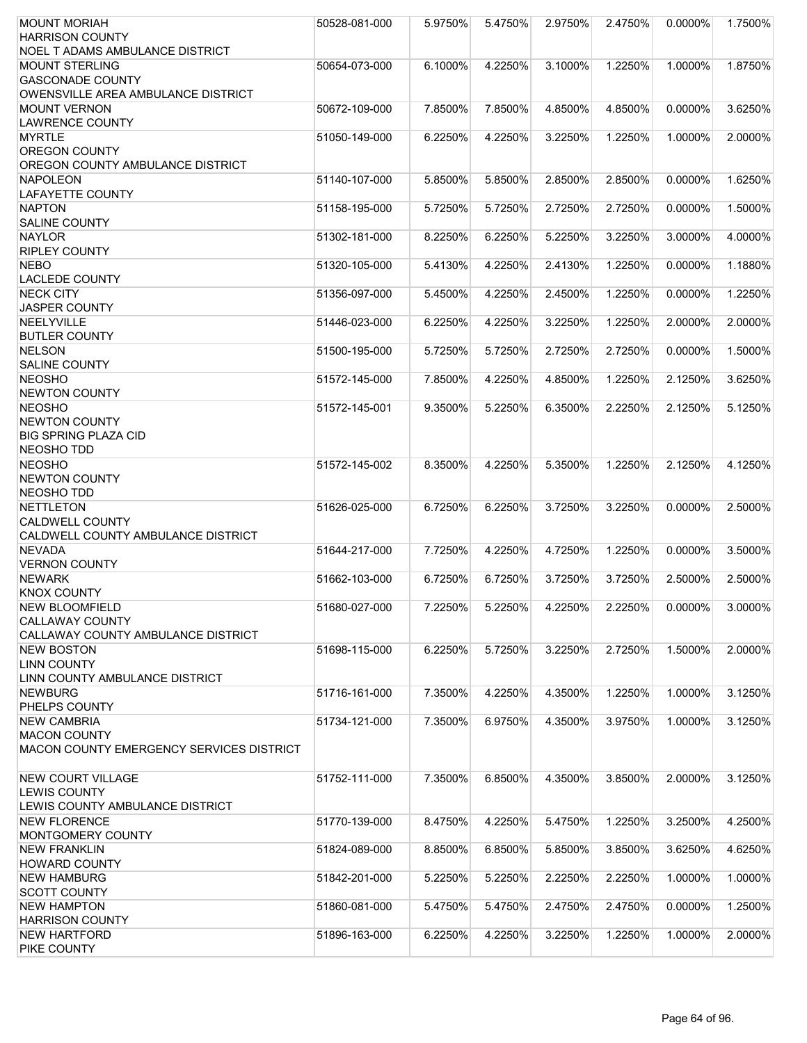| <b>MOUNT MORIAH</b>                      | 50528-081-000 | 5.9750% | 5.4750% | 2.9750% | 2.4750% | 0.0000%    | 1.7500% |
|------------------------------------------|---------------|---------|---------|---------|---------|------------|---------|
| <b>HARRISON COUNTY</b>                   |               |         |         |         |         |            |         |
| NOEL T ADAMS AMBULANCE DISTRICT          |               |         |         |         |         |            |         |
| <b>MOUNT STERLING</b>                    | 50654-073-000 | 6.1000% | 4.2250% | 3.1000% | 1.2250% | 1.0000%    | 1.8750% |
| <b>GASCONADE COUNTY</b>                  |               |         |         |         |         |            |         |
| OWENSVILLE AREA AMBULANCE DISTRICT       |               |         |         |         |         |            |         |
| <b>MOUNT VERNON</b>                      | 50672-109-000 | 7.8500% | 7.8500% | 4.8500% | 4.8500% | 0.0000%    | 3.6250% |
| <b>LAWRENCE COUNTY</b>                   |               |         |         |         |         |            |         |
| <b>MYRTLE</b>                            | 51050-149-000 | 6.2250% | 4.2250% | 3.2250% | 1.2250% | 1.0000%    | 2.0000% |
| <b>OREGON COUNTY</b>                     |               |         |         |         |         |            |         |
| <b>OREGON COUNTY AMBULANCE DISTRICT</b>  |               |         |         |         |         |            |         |
| <b>NAPOLEON</b>                          | 51140-107-000 | 5.8500% | 5.8500% | 2.8500% | 2.8500% | $0.0000\%$ | 1.6250% |
| <b>LAFAYETTE COUNTY</b>                  |               |         |         |         |         |            |         |
| <b>NAPTON</b>                            | 51158-195-000 | 5.7250% | 5.7250% | 2.7250% | 2.7250% | 0.0000%    | 1.5000% |
| <b>SALINE COUNTY</b>                     |               |         |         |         |         |            |         |
| <b>NAYLOR</b>                            | 51302-181-000 | 8.2250% | 6.2250% | 5.2250% | 3.2250% | 3.0000%    | 4.0000% |
| <b>RIPLEY COUNTY</b>                     |               |         |         |         |         |            |         |
| <b>NEBO</b>                              |               | 5.4130% |         |         |         |            |         |
| LACLEDE COUNTY                           | 51320-105-000 |         | 4.2250% | 2.4130% | 1.2250% | 0.0000%    | 1.1880% |
|                                          |               |         |         |         |         |            |         |
| <b>NECK CITY</b>                         | 51356-097-000 | 5.4500% | 4.2250% | 2.4500% | 1.2250% | 0.0000%    | 1.2250% |
| <b>JASPER COUNTY</b>                     |               |         |         |         |         |            |         |
| NEELYVILLE                               | 51446-023-000 | 6.2250% | 4.2250% | 3.2250% | 1.2250% | 2.0000%    | 2.0000% |
| <b>BUTLER COUNTY</b>                     |               |         |         |         |         |            |         |
| <b>NELSON</b>                            | 51500-195-000 | 5.7250% | 5.7250% | 2.7250% | 2.7250% | 0.0000%    | 1.5000% |
| <b>SALINE COUNTY</b>                     |               |         |         |         |         |            |         |
| <b>NEOSHO</b>                            | 51572-145-000 | 7.8500% | 4.2250% | 4.8500% | 1.2250% | 2.1250%    | 3.6250% |
| <b>NEWTON COUNTY</b>                     |               |         |         |         |         |            |         |
| <b>NEOSHO</b>                            | 51572-145-001 | 9.3500% | 5.2250% | 6.3500% | 2.2250% | 2.1250%    | 5.1250% |
| <b>NEWTON COUNTY</b>                     |               |         |         |         |         |            |         |
| <b>BIG SPRING PLAZA CID</b>              |               |         |         |         |         |            |         |
| NEOSHO TDD                               |               |         |         |         |         |            |         |
| <b>NEOSHO</b>                            | 51572-145-002 | 8.3500% | 4.2250% | 5.3500% | 1.2250% | 2.1250%    | 4.1250% |
| <b>NEWTON COUNTY</b>                     |               |         |         |         |         |            |         |
| <b>NEOSHO TDD</b>                        |               |         |         |         |         |            |         |
| <b>NETTLETON</b>                         | 51626-025-000 | 6.7250% | 6.2250% | 3.7250% | 3.2250% | $0.0000\%$ | 2.5000% |
| <b>CALDWELL COUNTY</b>                   |               |         |         |         |         |            |         |
| CALDWELL COUNTY AMBULANCE DISTRICT       |               |         |         |         |         |            |         |
| <b>NEVADA</b>                            | 51644-217-000 | 7.7250% | 4.2250% | 4.7250% | 1.2250% | $0.0000\%$ | 3.5000% |
| <b>VERNON COUNTY</b>                     |               |         |         |         |         |            |         |
| <b>NEWARK</b>                            | 51662-103-000 | 6.7250% | 6.7250% | 3.7250% | 3.7250% | 2.5000%    | 2.5000% |
| <b>KNOX COUNTY</b>                       |               |         |         |         |         |            |         |
| <b>NEW BLOOMFIELD</b>                    | 51680-027-000 | 7.2250% | 5.2250% | 4.2250% | 2.2250% | 0.0000%    | 3.0000% |
| <b>CALLAWAY COUNTY</b>                   |               |         |         |         |         |            |         |
| CALLAWAY COUNTY AMBULANCE DISTRICT       |               |         |         |         |         |            |         |
| <b>NEW BOSTON</b>                        | 51698-115-000 | 6.2250% | 5.7250% | 3.2250% | 2.7250% | 1.5000%    | 2.0000% |
| <b>LINN COUNTY</b>                       |               |         |         |         |         |            |         |
| LINN COUNTY AMBULANCE DISTRICT           |               |         |         |         |         |            |         |
| <b>NEWBURG</b>                           | 51716-161-000 | 7.3500% | 4.2250% | 4.3500% | 1.2250% | 1.0000%    | 3.1250% |
| PHELPS COUNTY                            |               |         |         |         |         |            |         |
| <b>NEW CAMBRIA</b>                       | 51734-121-000 | 7.3500% | 6.9750% | 4.3500% | 3.9750% | 1.0000%    | 3.1250% |
| <b>MACON COUNTY</b>                      |               |         |         |         |         |            |         |
| MACON COUNTY EMERGENCY SERVICES DISTRICT |               |         |         |         |         |            |         |
|                                          |               |         |         |         |         |            |         |
| <b>NEW COURT VILLAGE</b>                 | 51752-111-000 | 7.3500% | 6.8500% | 4.3500% | 3.8500% | 2.0000%    | 3.1250% |
| <b>LEWIS COUNTY</b>                      |               |         |         |         |         |            |         |
| LEWIS COUNTY AMBULANCE DISTRICT          |               |         |         |         |         |            |         |
|                                          |               |         |         |         |         |            |         |
| <b>NEW FLORENCE</b>                      | 51770-139-000 | 8.4750% | 4.2250% | 5.4750% | 1.2250% | 3.2500%    | 4.2500% |
| MONTGOMERY COUNTY                        |               |         |         |         |         |            |         |
| <b>NEW FRANKLIN</b>                      | 51824-089-000 | 8.8500% | 6.8500% | 5.8500% | 3.8500% | 3.6250%    | 4.6250% |
| <b>HOWARD COUNTY</b>                     |               |         |         |         |         |            |         |
| <b>NEW HAMBURG</b>                       | 51842-201-000 | 5.2250% | 5.2250% | 2.2250% | 2.2250% | 1.0000%    | 1.0000% |
| <b>SCOTT COUNTY</b>                      |               |         |         |         |         |            |         |
| <b>NEW HAMPTON</b>                       | 51860-081-000 | 5.4750% | 5.4750% | 2.4750% | 2.4750% | 0.0000%    | 1.2500% |
| <b>HARRISON COUNTY</b>                   |               |         |         |         |         |            |         |
| <b>NEW HARTFORD</b>                      | 51896-163-000 | 6.2250% | 4.2250% | 3.2250% | 1.2250% | 1.0000%    | 2.0000% |
| PIKE COUNTY                              |               |         |         |         |         |            |         |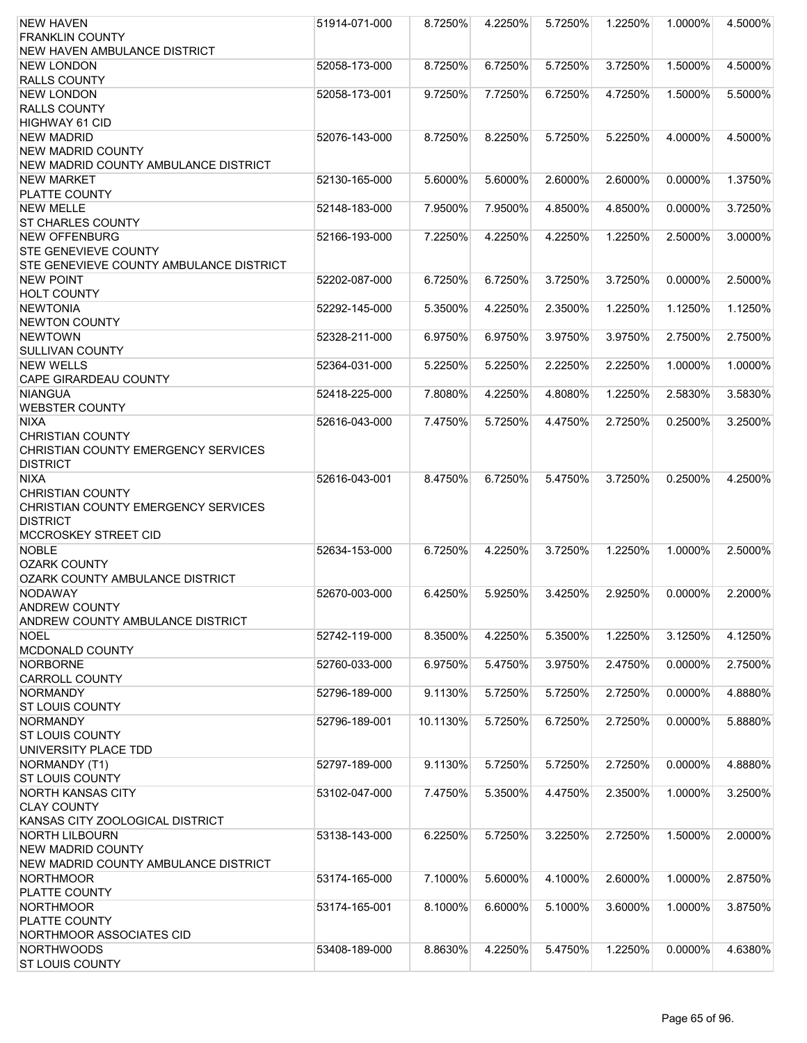| <b>NEW HAVEN</b>                                                       | 51914-071-000 | 8.7250%  | 4.2250% | 5.7250% | 1.2250% | 1.0000%    | 4.5000% |
|------------------------------------------------------------------------|---------------|----------|---------|---------|---------|------------|---------|
| <b>FRANKLIN COUNTY</b>                                                 |               |          |         |         |         |            |         |
| <b>NEW HAVEN AMBULANCE DISTRICT</b>                                    |               |          |         |         |         |            |         |
| <b>NEW LONDON</b>                                                      | 52058-173-000 | 8.7250%  | 6.7250% | 5.7250% | 3.7250% | 1.5000%    | 4.5000% |
| <b>RALLS COUNTY</b>                                                    |               |          |         |         |         |            |         |
| <b>NEW LONDON</b>                                                      | 52058-173-001 | 9.7250%  | 7.7250% | 6.7250% | 4.7250% | 1.5000%    | 5.5000% |
| <b>RALLS COUNTY</b>                                                    |               |          |         |         |         |            |         |
| <b>HIGHWAY 61 CID</b>                                                  |               |          |         |         |         |            |         |
| <b>NEW MADRID</b>                                                      | 52076-143-000 | 8.7250%  | 8.2250% | 5.7250% | 5.2250% | 4.0000%    | 4.5000% |
| <b>NEW MADRID COUNTY</b>                                               |               |          |         |         |         |            |         |
| NEW MADRID COUNTY AMBULANCE DISTRICT                                   |               |          |         |         |         |            |         |
| <b>NEW MARKET</b>                                                      | 52130-165-000 | 5.6000%  | 5.6000% | 2.6000% | 2.6000% | 0.0000%    | 1.3750% |
| PLATTE COUNTY                                                          |               |          |         |         |         |            |         |
| <b>NEW MELLE</b>                                                       | 52148-183-000 | 7.9500%  | 7.9500% | 4.8500% | 4.8500% | 0.0000%    | 3.7250% |
| <b>ST CHARLES COUNTY</b>                                               |               |          |         |         |         |            |         |
| <b>NEW OFFENBURG</b>                                                   | 52166-193-000 | 7.2250%  | 4.2250% | 4.2250% | 1.2250% | 2.5000%    | 3.0000% |
| <b>STE GENEVIEVE COUNTY</b><br>STE GENEVIEVE COUNTY AMBULANCE DISTRICT |               |          |         |         |         |            |         |
| <b>NEW POINT</b>                                                       | 52202-087-000 | 6.7250%  | 6.7250% | 3.7250% | 3.7250% | 0.0000%    | 2.5000% |
| <b>HOLT COUNTY</b>                                                     |               |          |         |         |         |            |         |
| <b>NEWTONIA</b>                                                        | 52292-145-000 | 5.3500%  | 4.2250% | 2.3500% | 1.2250% | 1.1250%    | 1.1250% |
| <b>NEWTON COUNTY</b>                                                   |               |          |         |         |         |            |         |
| <b>NEWTOWN</b>                                                         | 52328-211-000 | 6.9750%  | 6.9750% | 3.9750% | 3.9750% | 2.7500%    | 2.7500% |
| <b>SULLIVAN COUNTY</b>                                                 |               |          |         |         |         |            |         |
| <b>NEW WELLS</b>                                                       | 52364-031-000 | 5.2250%  | 5.2250% | 2.2250% | 2.2250% | 1.0000%    | 1.0000% |
| <b>CAPE GIRARDEAU COUNTY</b>                                           |               |          |         |         |         |            |         |
| <b>NIANGUA</b>                                                         | 52418-225-000 | 7.8080%  | 4.2250% | 4.8080% | 1.2250% | 2.5830%    | 3.5830% |
| <b>WEBSTER COUNTY</b>                                                  |               |          |         |         |         |            |         |
| <b>NIXA</b>                                                            | 52616-043-000 | 7.4750%  | 5.7250% | 4.4750% | 2.7250% | 0.2500%    | 3.2500% |
| <b>CHRISTIAN COUNTY</b>                                                |               |          |         |         |         |            |         |
| CHRISTIAN COUNTY EMERGENCY SERVICES                                    |               |          |         |         |         |            |         |
| <b>DISTRICT</b>                                                        |               |          |         |         |         |            |         |
| <b>NIXA</b>                                                            | 52616-043-001 | 8.4750%  | 6.7250% | 5.4750% | 3.7250% | 0.2500%    | 4.2500% |
| <b>CHRISTIAN COUNTY</b>                                                |               |          |         |         |         |            |         |
| CHRISTIAN COUNTY EMERGENCY SERVICES                                    |               |          |         |         |         |            |         |
| <b>DISTRICT</b>                                                        |               |          |         |         |         |            |         |
| MCCROSKEY STREET CID                                                   |               |          |         |         |         |            |         |
| <b>NOBLE</b>                                                           | 52634-153-000 | 6.7250%  | 4.2250% | 3.7250% | 1.2250% | 1.0000%    | 2.5000% |
| <b>OZARK COUNTY</b>                                                    |               |          |         |         |         |            |         |
| OZARK COUNTY AMBULANCE DISTRICT                                        |               |          |         |         |         |            |         |
| <b>NODAWAY</b>                                                         | 52670-003-000 | 6.4250%  | 5.9250% | 3.4250% | 2.9250% | 0.0000%    | 2.2000% |
| <b>ANDREW COUNTY</b>                                                   |               |          |         |         |         |            |         |
| ANDREW COUNTY AMBULANCE DISTRICT                                       |               |          |         |         |         |            |         |
| <b>NOEL</b>                                                            | 52742-119-000 | 8.3500%  | 4.2250% | 5.3500% | 1.2250% | 3.1250%    | 4.1250% |
| MCDONALD COUNTY                                                        |               |          |         |         |         |            |         |
| <b>NORBORNE</b>                                                        | 52760-033-000 | 6.9750%  | 5.4750% | 3.9750% | 2.4750% | 0.0000%    | 2.7500% |
| <b>CARROLL COUNTY</b><br><b>NORMANDY</b>                               | 52796-189-000 | 9.1130%  | 5.7250% | 5.7250% | 2.7250% | 0.0000%    | 4.8880% |
| <b>ST LOUIS COUNTY</b>                                                 |               |          |         |         |         |            |         |
| <b>NORMANDY</b>                                                        | 52796-189-001 | 10.1130% | 5.7250% | 6.7250% | 2.7250% | 0.0000%    | 5.8880% |
| <b>ST LOUIS COUNTY</b>                                                 |               |          |         |         |         |            |         |
| UNIVERSITY PLACE TDD                                                   |               |          |         |         |         |            |         |
| NORMANDY (T1)                                                          | 52797-189-000 | 9.1130%  | 5.7250% | 5.7250% | 2.7250% | 0.0000%    | 4.8880% |
| <b>ST LOUIS COUNTY</b>                                                 |               |          |         |         |         |            |         |
| <b>NORTH KANSAS CITY</b>                                               | 53102-047-000 | 7.4750%  | 5.3500% | 4.4750% | 2.3500% | 1.0000%    | 3.2500% |
| <b>CLAY COUNTY</b>                                                     |               |          |         |         |         |            |         |
| KANSAS CITY ZOOLOGICAL DISTRICT                                        |               |          |         |         |         |            |         |
| <b>NORTH LILBOURN</b>                                                  | 53138-143-000 | 6.2250%  | 5.7250% | 3.2250% | 2.7250% | 1.5000%    | 2.0000% |
| <b>NEW MADRID COUNTY</b>                                               |               |          |         |         |         |            |         |
| NEW MADRID COUNTY AMBULANCE DISTRICT                                   |               |          |         |         |         |            |         |
| <b>NORTHMOOR</b>                                                       | 53174-165-000 | 7.1000%  | 5.6000% | 4.1000% | 2.6000% | 1.0000%    | 2.8750% |
| PLATTE COUNTY                                                          |               |          |         |         |         |            |         |
| <b>NORTHMOOR</b>                                                       | 53174-165-001 | 8.1000%  | 6.6000% | 5.1000% | 3.6000% | 1.0000%    | 3.8750% |
| PLATTE COUNTY                                                          |               |          |         |         |         |            |         |
| NORTHMOOR ASSOCIATES CID                                               |               |          |         |         |         |            |         |
| <b>NORTHWOODS</b>                                                      | 53408-189-000 | 8.8630%  | 4.2250% | 5.4750% | 1.2250% | $0.0000\%$ | 4.6380% |
| <b>ST LOUIS COUNTY</b>                                                 |               |          |         |         |         |            |         |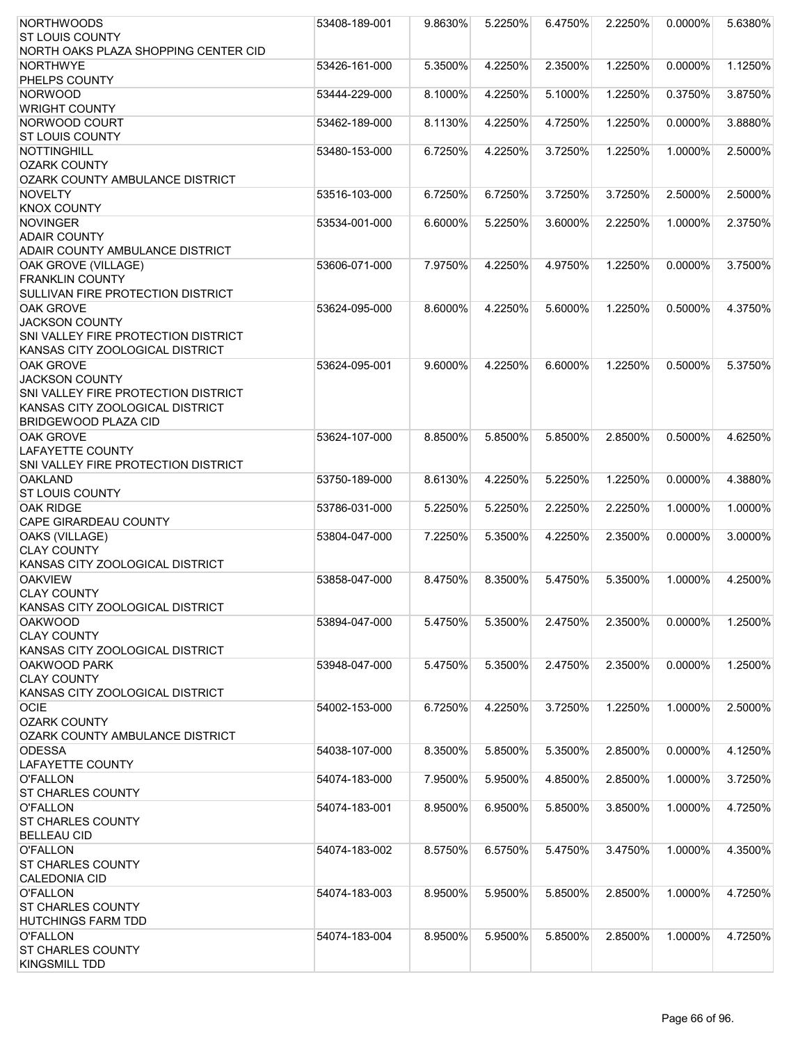| <b>NORTHWOODS</b>                        | 53408-189-001 | 9.8630% | 5.2250% | 6.4750% | 2.2250% | 0.0000%    | 5.6380% |
|------------------------------------------|---------------|---------|---------|---------|---------|------------|---------|
| <b>ST LOUIS COUNTY</b>                   |               |         |         |         |         |            |         |
| NORTH OAKS PLAZA SHOPPING CENTER CID     |               |         |         |         |         |            |         |
| <b>NORTHWYE</b>                          | 53426-161-000 | 5.3500% | 4.2250% | 2.3500% | 1.2250% | 0.0000%    | 1.1250% |
| PHELPS COUNTY                            |               |         |         |         |         |            |         |
| <b>NORWOOD</b>                           | 53444-229-000 | 8.1000% | 4.2250% | 5.1000% | 1.2250% | 0.3750%    | 3.8750% |
| <b>WRIGHT COUNTY</b>                     |               |         |         |         |         |            |         |
| NORWOOD COURT                            | 53462-189-000 | 8.1130% | 4.2250% | 4.7250% | 1.2250% | 0.0000%    | 3.8880% |
| <b>ST LOUIS COUNTY</b>                   |               |         |         |         |         |            |         |
| NOTTINGHILL                              | 53480-153-000 | 6.7250% | 4.2250% | 3.7250% | 1.2250% | 1.0000%    | 2.5000% |
| <b>OZARK COUNTY</b>                      |               |         |         |         |         |            |         |
| OZARK COUNTY AMBULANCE DISTRICT          |               |         |         |         |         |            |         |
| <b>NOVELTY</b>                           | 53516-103-000 | 6.7250% | 6.7250% | 3.7250% | 3.7250% | 2.5000%    | 2.5000% |
| <b>KNOX COUNTY</b>                       |               |         |         |         |         |            |         |
| <b>NOVINGER</b>                          | 53534-001-000 | 6.6000% | 5.2250% | 3.6000% | 2.2250% | 1.0000%    | 2.3750% |
| <b>ADAIR COUNTY</b>                      |               |         |         |         |         |            |         |
| <b>ADAIR COUNTY AMBULANCE DISTRICT</b>   |               |         |         |         |         |            |         |
| OAK GROVE (VILLAGE)                      | 53606-071-000 | 7.9750% | 4.2250% | 4.9750% | 1.2250% | $0.0000\%$ | 3.7500% |
| <b>FRANKLIN COUNTY</b>                   |               |         |         |         |         |            |         |
| <b>SULLIVAN FIRE PROTECTION DISTRICT</b> |               |         |         |         |         |            |         |
| <b>OAK GROVE</b>                         | 53624-095-000 | 8.6000% | 4.2250% | 5.6000% | 1.2250% | 0.5000%    | 4.3750% |
| <b>JACKSON COUNTY</b>                    |               |         |         |         |         |            |         |
| SNI VALLEY FIRE PROTECTION DISTRICT      |               |         |         |         |         |            |         |
| KANSAS CITY ZOOLOGICAL DISTRICT          |               |         |         |         |         |            |         |
| <b>OAK GROVE</b>                         | 53624-095-001 | 9.6000% | 4.2250% | 6.6000% | 1.2250% | 0.5000%    | 5.3750% |
| <b>JACKSON COUNTY</b>                    |               |         |         |         |         |            |         |
| SNI VALLEY FIRE PROTECTION DISTRICT      |               |         |         |         |         |            |         |
| KANSAS CITY ZOOLOGICAL DISTRICT          |               |         |         |         |         |            |         |
| <b>BRIDGEWOOD PLAZA CID</b>              |               |         |         |         |         |            |         |
| <b>OAK GROVE</b>                         | 53624-107-000 | 8.8500% | 5.8500% | 5.8500% | 2.8500% | 0.5000%    | 4.6250% |
| <b>LAFAYETTE COUNTY</b>                  |               |         |         |         |         |            |         |
|                                          |               |         |         |         |         |            |         |
| SNI VALLEY FIRE PROTECTION DISTRICT      |               |         |         |         |         |            |         |
| <b>OAKLAND</b>                           | 53750-189-000 | 8.6130% | 4.2250% | 5.2250% | 1.2250% | 0.0000%    | 4.3880% |
| <b>ST LOUIS COUNTY</b>                   |               |         |         |         |         |            |         |
| <b>OAK RIDGE</b>                         | 53786-031-000 | 5.2250% | 5.2250% | 2.2250% | 2.2250% | 1.0000%    | 1.0000% |
| CAPE GIRARDEAU COUNTY                    |               |         |         |         |         |            |         |
| OAKS (VILLAGE)                           | 53804-047-000 | 7.2250% | 5.3500% | 4.2250% | 2.3500% | 0.0000%    | 3.0000% |
| <b>CLAY COUNTY</b>                       |               |         |         |         |         |            |         |
| KANSAS CITY ZOOLOGICAL DISTRICT          |               |         |         |         |         |            |         |
| <b>OAKVIEW</b>                           | 53858-047-000 | 8.4750% | 8.3500% | 5.4750% | 5.3500% | 1.0000%    | 4.2500% |
| <b>CLAY COUNTY</b>                       |               |         |         |         |         |            |         |
| KANSAS CITY ZOOLOGICAL DISTRICT          |               |         |         |         |         |            |         |
| <b>OAKWOOD</b>                           | 53894-047-000 | 5.4750% | 5.3500% | 2.4750% | 2.3500% | 0.0000%    | 1.2500% |
| <b>CLAY COUNTY</b>                       |               |         |         |         |         |            |         |
| KANSAS CITY ZOOLOGICAL DISTRICT          |               |         |         |         |         |            |         |
| OAKWOOD PARK                             | 53948-047-000 | 5.4750% | 5.3500% | 2.4750% | 2.3500% | $0.0000\%$ | 1.2500% |
| <b>CLAY COUNTY</b>                       |               |         |         |         |         |            |         |
| KANSAS CITY ZOOLOGICAL DISTRICT          |               |         |         |         |         |            |         |
| <b>OCIE</b>                              | 54002-153-000 | 6.7250% | 4.2250% | 3.7250% | 1.2250% | 1.0000%    | 2.5000% |
| <b>OZARK COUNTY</b>                      |               |         |         |         |         |            |         |
| OZARK COUNTY AMBULANCE DISTRICT          |               |         |         |         |         |            |         |
| <b>ODESSA</b>                            | 54038-107-000 | 8.3500% | 5.8500% | 5.3500% | 2.8500% | 0.0000%    | 4.1250% |
| <b>LAFAYETTE COUNTY</b>                  |               |         |         |         |         |            |         |
| <b>O'FALLON</b>                          | 54074-183-000 | 7.9500% | 5.9500% | 4.8500% | 2.8500% | 1.0000%    | 3.7250% |
| <b>ST CHARLES COUNTY</b>                 |               |         |         |         |         |            |         |
| <b>O'FALLON</b>                          | 54074-183-001 | 8.9500% | 6.9500% | 5.8500% | 3.8500% | 1.0000%    | 4.7250% |
| <b>ST CHARLES COUNTY</b>                 |               |         |         |         |         |            |         |
| <b>BELLEAU CID</b>                       |               |         |         |         |         |            |         |
| <b>O'FALLON</b>                          | 54074-183-002 | 8.5750% | 6.5750% | 5.4750% | 3.4750% | 1.0000%    | 4.3500% |
| <b>ST CHARLES COUNTY</b>                 |               |         |         |         |         |            |         |
| <b>CALEDONIA CID</b>                     |               |         |         |         |         |            |         |
| <b>O'FALLON</b>                          | 54074-183-003 | 8.9500% | 5.9500% | 5.8500% | 2.8500% | 1.0000%    | 4.7250% |
| <b>ST CHARLES COUNTY</b>                 |               |         |         |         |         |            |         |
| <b>HUTCHINGS FARM TDD</b>                |               |         |         |         |         |            |         |
| <b>O'FALLON</b>                          | 54074-183-004 | 8.9500% | 5.9500% | 5.8500% | 2.8500% | 1.0000%    | 4.7250% |
|                                          |               |         |         |         |         |            |         |
| <b>ST CHARLES COUNTY</b>                 |               |         |         |         |         |            |         |
| <b>KINGSMILL TDD</b>                     |               |         |         |         |         |            |         |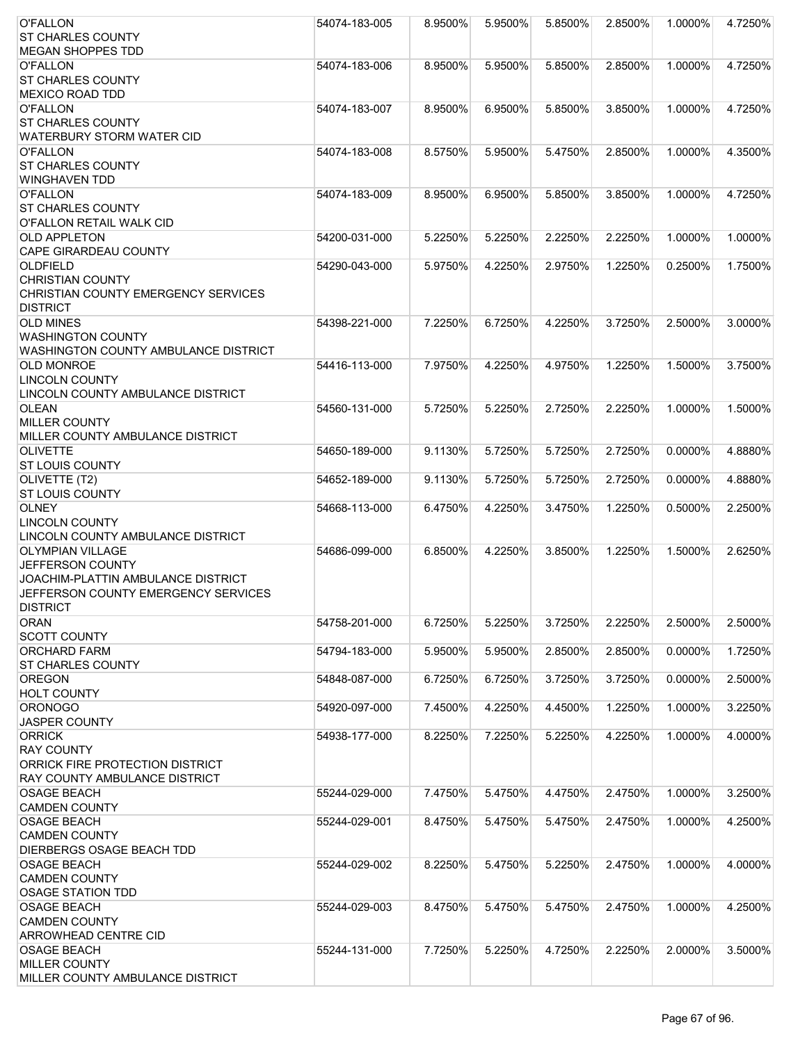| <b>O'FALLON</b>                                            | 54074-183-005 | 8.9500% | 5.9500% | 5.8500%    | 2.8500% | 1.0000%    | 4.7250% |
|------------------------------------------------------------|---------------|---------|---------|------------|---------|------------|---------|
| <b>ST CHARLES COUNTY</b>                                   |               |         |         |            |         |            |         |
| <b>MEGAN SHOPPES TDD</b>                                   |               |         |         |            |         |            |         |
| <b>O'FALLON</b>                                            | 54074-183-006 | 8.9500% | 5.9500% | 5.8500%    | 2.8500% | 1.0000%    | 4.7250% |
| <b>ST CHARLES COUNTY</b>                                   |               |         |         |            |         |            |         |
| <b>MEXICO ROAD TDD</b>                                     |               |         |         |            |         |            |         |
| <b>O'FALLON</b>                                            | 54074-183-007 | 8.9500% | 6.9500% | 5.8500%    | 3.8500% | 1.0000%    | 4.7250% |
| <b>ST CHARLES COUNTY</b>                                   |               |         |         |            |         |            |         |
| <b>WATERBURY STORM WATER CID</b>                           |               |         |         |            |         |            |         |
| <b>O'FALLON</b>                                            | 54074-183-008 | 8.5750% | 5.9500% | 5.4750%    | 2.8500% | 1.0000%    | 4.3500% |
| <b>ST CHARLES COUNTY</b>                                   |               |         |         |            |         |            |         |
| <b>WINGHAVEN TDD</b>                                       |               |         |         |            |         |            |         |
| <b>O'FALLON</b>                                            | 54074-183-009 | 8.9500% | 6.9500% | 5.8500%    | 3.8500% | 1.0000%    | 4.7250% |
| <b>ST CHARLES COUNTY</b>                                   |               |         |         |            |         |            |         |
| O'FALLON RETAIL WALK CID<br><b>OLD APPLETON</b>            | 54200-031-000 | 5.2250% | 5.2250% | 2.2250%    | 2.2250% | 1.0000%    | 1.0000% |
| <b>CAPE GIRARDEAU COUNTY</b>                               |               |         |         |            |         |            |         |
| <b>OLDFIELD</b>                                            | 54290-043-000 | 5.9750% | 4.2250% | 2.9750%    | 1.2250% | 0.2500%    | 1.7500% |
| <b>CHRISTIAN COUNTY</b>                                    |               |         |         |            |         |            |         |
| CHRISTIAN COUNTY EMERGENCY SERVICES                        |               |         |         |            |         |            |         |
| <b>DISTRICT</b>                                            |               |         |         |            |         |            |         |
| <b>OLD MINES</b>                                           | 54398-221-000 | 7.2250% | 6.7250% | 4.2250%    | 3.7250% | 2.5000%    | 3.0000% |
| <b>WASHINGTON COUNTY</b>                                   |               |         |         |            |         |            |         |
| WASHINGTON COUNTY AMBULANCE DISTRICT                       |               |         |         |            |         |            |         |
| <b>OLD MONROE</b>                                          | 54416-113-000 | 7.9750% | 4.2250% | 4.9750%    | 1.2250% | 1.5000%    | 3.7500% |
| <b>LINCOLN COUNTY</b>                                      |               |         |         |            |         |            |         |
| LINCOLN COUNTY AMBULANCE DISTRICT                          |               |         |         |            |         |            |         |
| <b>OLEAN</b>                                               | 54560-131-000 | 5.7250% | 5.2250% | 2.7250%    | 2.2250% | 1.0000%    | 1.5000% |
| <b>MILLER COUNTY</b>                                       |               |         |         |            |         |            |         |
| MILLER COUNTY AMBULANCE DISTRICT                           |               |         |         |            |         |            |         |
| <b>OLIVETTE</b>                                            | 54650-189-000 | 9.1130% | 5.7250% | 5.7250%    | 2.7250% | 0.0000%    | 4.8880% |
| <b>ST LOUIS COUNTY</b>                                     |               |         |         |            |         |            |         |
| OLIVETTE (T2)                                              | 54652-189-000 | 9.1130% | 5.7250% | 5.7250%    | 2.7250% | 0.0000%    | 4.8880% |
| <b>ST LOUIS COUNTY</b>                                     |               |         |         |            |         |            |         |
| <b>OLNEY</b>                                               | 54668-113-000 | 6.4750% | 4.2250% | 3.4750%    | 1.2250% | 0.5000%    | 2.2500% |
| <b>LINCOLN COUNTY</b><br>LINCOLN COUNTY AMBULANCE DISTRICT |               |         |         |            |         |            |         |
| <b>OLYMPIAN VILLAGE</b>                                    | 54686-099-000 | 6.8500% | 4.2250% | 3.8500%    | 1.2250% | 1.5000%    | 2.6250% |
| JEFFERSON COUNTY                                           |               |         |         |            |         |            |         |
| JOACHIM-PLATTIN AMBULANCE DISTRICT                         |               |         |         |            |         |            |         |
| JEFFERSON COUNTY EMERGENCY SERVICES                        |               |         |         |            |         |            |         |
| <b>DISTRICT</b>                                            |               |         |         |            |         |            |         |
| <b>ORAN</b>                                                | 54758-201-000 | 6.7250% | 5.2250% | 3.7250%    | 2.2250% | 2.5000%    | 2.5000% |
| <b>SCOTT COUNTY</b>                                        |               |         |         |            |         |            |         |
| <b>ORCHARD FARM</b>                                        | 54794-183-000 | 5.9500% | 5.9500% | 2.8500%    | 2.8500% | 0.0000%    | 1.7250% |
| <b>ST CHARLES COUNTY</b>                                   |               |         |         |            |         |            |         |
| <b>OREGON</b>                                              | 54848-087-000 | 6.7250% | 6.7250% | 3.7250%    | 3.7250% | $0.0000\%$ | 2.5000% |
| <b>HOLT COUNTY</b>                                         |               |         |         |            |         |            |         |
| <b>ORONOGO</b>                                             | 54920-097-000 | 7.4500% | 4.2250% | 4.4500%    | 1.2250% | 1.0000%    | 3.2250% |
| <b>JASPER COUNTY</b>                                       |               |         |         |            |         |            |         |
| <b>ORRICK</b>                                              | 54938-177-000 | 8.2250% | 7.2250% | 5.2250%    | 4.2250% | 1.0000%    | 4.0000% |
| <b>RAY COUNTY</b>                                          |               |         |         |            |         |            |         |
| ORRICK FIRE PROTECTION DISTRICT                            |               |         |         |            |         |            |         |
| <b>RAY COUNTY AMBULANCE DISTRICT</b>                       |               |         |         |            |         |            |         |
| <b>OSAGE BEACH</b><br><b>CAMDEN COUNTY</b>                 | 55244-029-000 | 7.4750% | 5.4750% | 4.4750%    | 2.4750% | 1.0000%    | 3.2500% |
| <b>OSAGE BEACH</b>                                         | 55244-029-001 | 8.4750% | 5.4750% | 5.4750%    | 2.4750% | 1.0000%    | 4.2500% |
| <b>CAMDEN COUNTY</b>                                       |               |         |         |            |         |            |         |
| <b>DIERBERGS OSAGE BEACH TDD</b>                           |               |         |         |            |         |            |         |
| <b>OSAGE BEACH</b>                                         | 55244-029-002 | 8.2250% | 5.4750% | $5.2250\%$ | 2.4750% | 1.0000%    | 4.0000% |
| <b>CAMDEN COUNTY</b>                                       |               |         |         |            |         |            |         |
| <b>OSAGE STATION TDD</b>                                   |               |         |         |            |         |            |         |
| <b>OSAGE BEACH</b>                                         | 55244-029-003 | 8.4750% | 5.4750% | 5.4750%    | 2.4750% | 1.0000%    | 4.2500% |
| <b>CAMDEN COUNTY</b>                                       |               |         |         |            |         |            |         |
| <b>ARROWHEAD CENTRE CID</b>                                |               |         |         |            |         |            |         |
| <b>OSAGE BEACH</b>                                         | 55244-131-000 | 7.7250% | 5.2250% | 4.7250%    | 2.2250% | 2.0000%    | 3.5000% |
| <b>MILLER COUNTY</b>                                       |               |         |         |            |         |            |         |
| MILLER COUNTY AMBULANCE DISTRICT                           |               |         |         |            |         |            |         |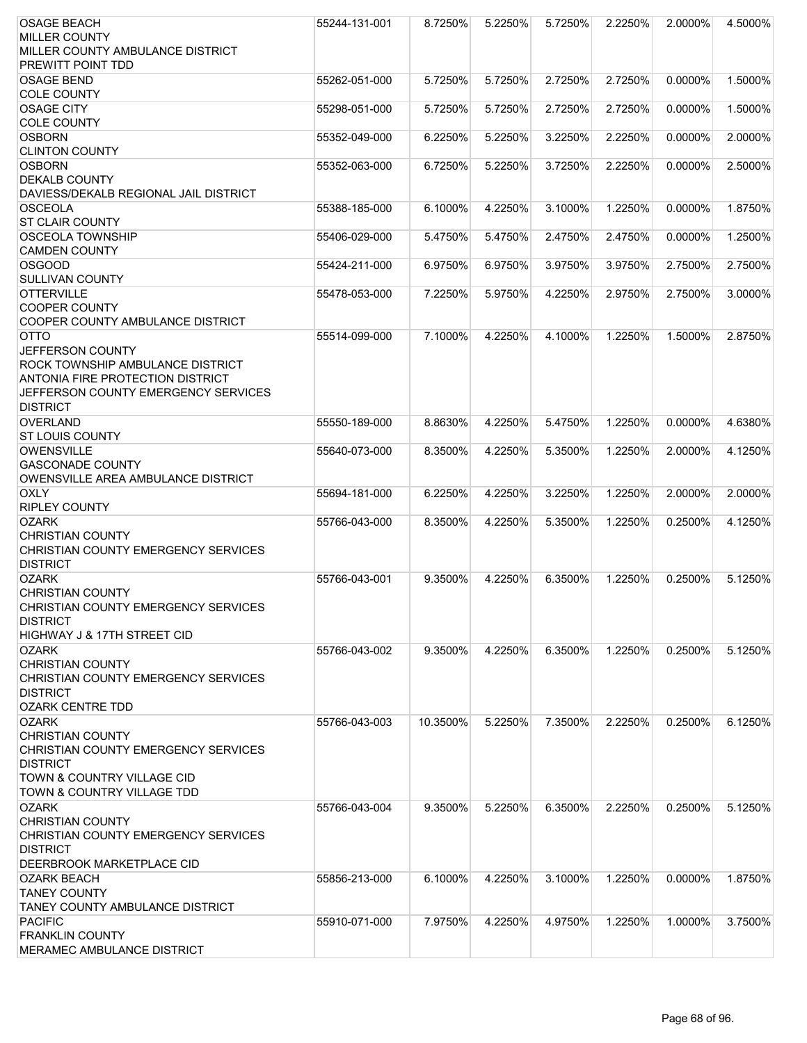| <b>OSAGE BEACH</b>                                | 55244-131-001 | 8.7250%  | 5.2250% | 5.7250%    | 2.2250% | 2.0000%    | 4.5000% |
|---------------------------------------------------|---------------|----------|---------|------------|---------|------------|---------|
| <b>MILLER COUNTY</b>                              |               |          |         |            |         |            |         |
| MILLER COUNTY AMBULANCE DISTRICT                  |               |          |         |            |         |            |         |
| <b>PREWITT POINT TDD</b>                          |               |          |         |            |         |            |         |
| <b>OSAGE BEND</b>                                 | 55262-051-000 | 5.7250%  | 5.7250% | 2.7250%    | 2.7250% | $0.0000\%$ | 1.5000% |
| <b>COLE COUNTY</b>                                |               |          |         |            |         |            |         |
| <b>OSAGE CITY</b>                                 | 55298-051-000 | 5.7250%  | 5.7250% | 2.7250%    | 2.7250% | 0.0000%    | 1.5000% |
| <b>COLE COUNTY</b>                                |               |          |         |            |         |            |         |
| <b>OSBORN</b>                                     | 55352-049-000 | 6.2250%  | 5.2250% | 3.2250%    | 2.2250% | 0.0000%    | 2.0000% |
| <b>CLINTON COUNTY</b>                             |               |          |         |            |         |            |         |
| <b>OSBORN</b>                                     | 55352-063-000 | 6.7250%  | 5.2250% | 3.7250%    | 2.2250% | 0.0000%    | 2.5000% |
| <b>DEKALB COUNTY</b>                              |               |          |         |            |         |            |         |
| DAVIESS/DEKALB REGIONAL JAIL DISTRICT             |               |          |         |            |         |            |         |
| <b>OSCEOLA</b>                                    | 55388-185-000 | 6.1000%  | 4.2250% | 3.1000%    | 1.2250% | 0.0000%    | 1.8750% |
| <b>ST CLAIR COUNTY</b><br><b>OSCEOLA TOWNSHIP</b> |               |          |         |            |         |            |         |
| <b>CAMDEN COUNTY</b>                              | 55406-029-000 | 5.4750%  | 5.4750% | 2.4750%    | 2.4750% | 0.0000%    | 1.2500% |
| <b>OSGOOD</b>                                     | 55424-211-000 | 6.9750%  | 6.9750% | 3.9750%    | 3.9750% | 2.7500%    | 2.7500% |
| <b>SULLIVAN COUNTY</b>                            |               |          |         |            |         |            |         |
| <b>OTTERVILLE</b>                                 | 55478-053-000 | 7.2250%  | 5.9750% | 4.2250%    | 2.9750% | 2.7500%    | 3.0000% |
| <b>COOPER COUNTY</b>                              |               |          |         |            |         |            |         |
| COOPER COUNTY AMBULANCE DISTRICT                  |               |          |         |            |         |            |         |
| <b>OTTO</b>                                       | 55514-099-000 | 7.1000%  | 4.2250% | 4.1000%    | 1.2250% | 1.5000%    | 2.8750% |
| <b>JEFFERSON COUNTY</b>                           |               |          |         |            |         |            |         |
| ROCK TOWNSHIP AMBULANCE DISTRICT                  |               |          |         |            |         |            |         |
| ANTONIA FIRE PROTECTION DISTRICT                  |               |          |         |            |         |            |         |
| JEFFERSON COUNTY EMERGENCY SERVICES               |               |          |         |            |         |            |         |
| <b>DISTRICT</b>                                   |               |          |         |            |         |            |         |
| <b>OVERLAND</b>                                   | 55550-189-000 | 8.8630%  | 4.2250% | 5.4750%    | 1.2250% | 0.0000%    | 4.6380% |
| <b>ST LOUIS COUNTY</b>                            |               |          |         |            |         |            |         |
| <b>OWENSVILLE</b>                                 | 55640-073-000 | 8.3500%  | 4.2250% | 5.3500%    | 1.2250% | 2.0000%    | 4.1250% |
| <b>GASCONADE COUNTY</b>                           |               |          |         |            |         |            |         |
| OWENSVILLE AREA AMBULANCE DISTRICT                |               |          |         |            |         |            |         |
| <b>OXLY</b>                                       | 55694-181-000 | 6.2250%  | 4.2250% | 3.2250%    | 1.2250% | 2.0000%    | 2.0000% |
| <b>RIPLEY COUNTY</b>                              |               |          |         |            |         |            |         |
| <b>OZARK</b>                                      | 55766-043-000 | 8.3500%  | 4.2250% | 5.3500%    | 1.2250% | 0.2500%    | 4.1250% |
| <b>CHRISTIAN COUNTY</b>                           |               |          |         |            |         |            |         |
| CHRISTIAN COUNTY EMERGENCY SERVICES               |               |          |         |            |         |            |         |
| <b>DISTRICT</b>                                   |               |          |         |            |         |            |         |
| <b>OZARK</b>                                      | 55766-043-001 | 9.3500%  | 4.2250% | 6.3500%    | 1.2250% | $0.2500\%$ | 5.1250% |
| <b>CHRISTIAN COUNTY</b>                           |               |          |         |            |         |            |         |
| CHRISTIAN COUNTY EMERGENCY SERVICES               |               |          |         |            |         |            |         |
| <b>DISTRICT</b>                                   |               |          |         |            |         |            |         |
| HIGHWAY J & 17TH STREET CID                       |               |          |         |            |         |            |         |
| <b>OZARK</b>                                      | 55766-043-002 | 9.3500%  | 4.2250% | $6.3500\%$ | 1.2250% | $0.2500\%$ | 5.1250% |
| <b>CHRISTIAN COUNTY</b>                           |               |          |         |            |         |            |         |
| CHRISTIAN COUNTY EMERGENCY SERVICES               |               |          |         |            |         |            |         |
| <b>DISTRICT</b>                                   |               |          |         |            |         |            |         |
| <b>OZARK CENTRE TDD</b>                           |               |          |         |            |         |            |         |
| <b>OZARK</b>                                      | 55766-043-003 | 10.3500% | 5.2250% | 7.3500%    | 2.2250% | 0.2500%    | 6.1250% |
| <b>CHRISTIAN COUNTY</b>                           |               |          |         |            |         |            |         |
| CHRISTIAN COUNTY EMERGENCY SERVICES               |               |          |         |            |         |            |         |
| <b>DISTRICT</b>                                   |               |          |         |            |         |            |         |
| TOWN & COUNTRY VILLAGE CID                        |               |          |         |            |         |            |         |
| TOWN & COUNTRY VILLAGE TDD                        |               |          |         |            |         |            |         |
| <b>OZARK</b>                                      | 55766-043-004 | 9.3500%  | 5.2250% | 6.3500%    | 2.2250% | 0.2500%    | 5.1250% |
| <b>CHRISTIAN COUNTY</b>                           |               |          |         |            |         |            |         |
| CHRISTIAN COUNTY EMERGENCY SERVICES               |               |          |         |            |         |            |         |
| <b>DISTRICT</b>                                   |               |          |         |            |         |            |         |
| DEERBROOK MARKETPLACE CID                         |               |          |         |            |         |            |         |
| <b>OZARK BEACH</b>                                | 55856-213-000 | 6.1000%  | 4.2250% | 3.1000%    | 1.2250% | $0.0000\%$ | 1.8750% |
| <b>TANEY COUNTY</b>                               |               |          |         |            |         |            |         |
| TANEY COUNTY AMBULANCE DISTRICT                   |               |          |         |            |         |            |         |
| <b>PACIFIC</b><br><b>FRANKLIN COUNTY</b>          | 55910-071-000 | 7.9750%  | 4.2250% | 4.9750%    | 1.2250% | 1.0000%    | 3.7500% |
| MERAMEC AMBULANCE DISTRICT                        |               |          |         |            |         |            |         |
|                                                   |               |          |         |            |         |            |         |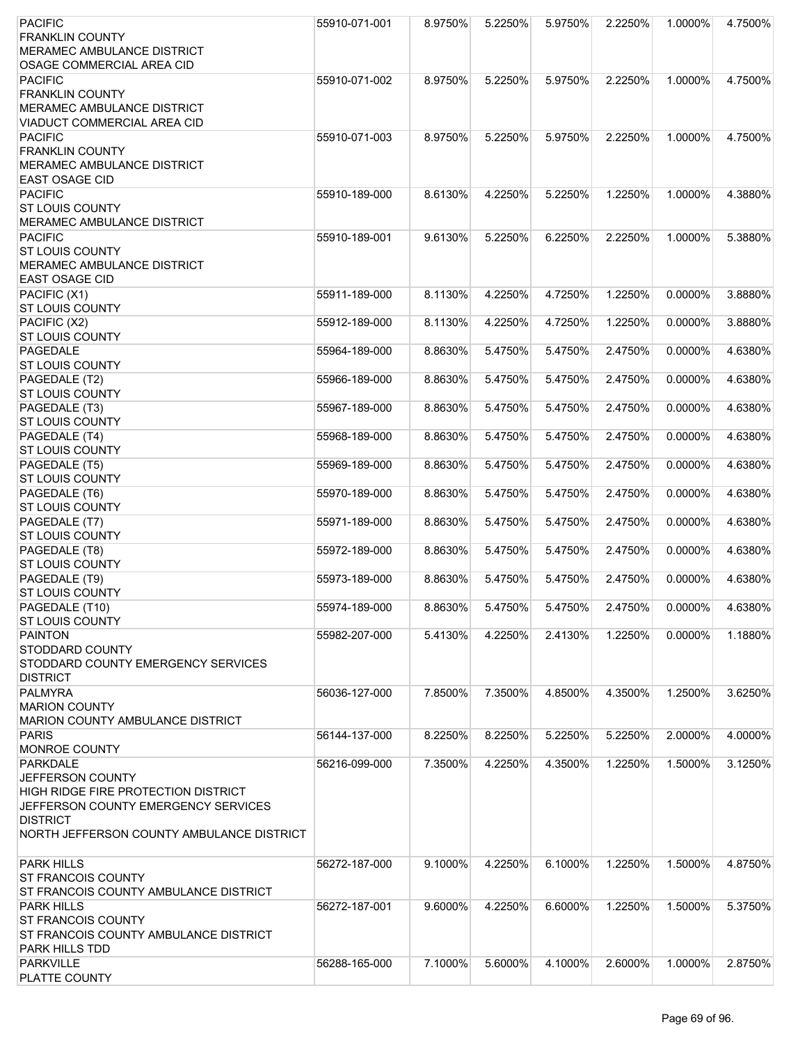| <b>PACIFIC</b>                            | 55910-071-001 | 8.9750% | 5.2250% | 5.9750% | 2.2250% | 1.0000%    | 4.7500% |
|-------------------------------------------|---------------|---------|---------|---------|---------|------------|---------|
| <b>FRANKLIN COUNTY</b>                    |               |         |         |         |         |            |         |
| MERAMEC AMBULANCE DISTRICT                |               |         |         |         |         |            |         |
| OSAGE COMMERCIAL AREA CID                 |               |         |         |         |         |            |         |
| <b>PACIFIC</b>                            | 55910-071-002 | 8.9750% | 5.2250% | 5.9750% | 2.2250% | 1.0000%    | 4.7500% |
| <b>FRANKLIN COUNTY</b>                    |               |         |         |         |         |            |         |
| MERAMEC AMBULANCE DISTRICT                |               |         |         |         |         |            |         |
|                                           |               |         |         |         |         |            |         |
| VIADUCT COMMERCIAL AREA CID               |               |         |         |         |         |            |         |
| <b>PACIFIC</b>                            | 55910-071-003 | 8.9750% | 5.2250% | 5.9750% | 2.2250% | 1.0000%    | 4.7500% |
| <b>FRANKLIN COUNTY</b>                    |               |         |         |         |         |            |         |
| MERAMEC AMBULANCE DISTRICT                |               |         |         |         |         |            |         |
| <b>EAST OSAGE CID</b>                     |               |         |         |         |         |            |         |
| <b>PACIFIC</b>                            | 55910-189-000 | 8.6130% | 4.2250% | 5.2250% | 1.2250% | 1.0000%    | 4.3880% |
| <b>ST LOUIS COUNTY</b>                    |               |         |         |         |         |            |         |
| MERAMEC AMBULANCE DISTRICT                |               |         |         |         |         |            |         |
| <b>PACIFIC</b>                            | 55910-189-001 | 9.6130% | 5.2250% | 6.2250% | 2.2250% | 1.0000%    | 5.3880% |
| <b>ST LOUIS COUNTY</b>                    |               |         |         |         |         |            |         |
| MERAMEC AMBULANCE DISTRICT                |               |         |         |         |         |            |         |
|                                           |               |         |         |         |         |            |         |
| <b>EAST OSAGE CID</b>                     |               |         |         |         |         |            |         |
| PACIFIC (X1)                              | 55911-189-000 | 8.1130% | 4.2250% | 4.7250% | 1.2250% | 0.0000%    | 3.8880% |
| <b>ST LOUIS COUNTY</b>                    |               |         |         |         |         |            |         |
| PACIFIC (X2)                              | 55912-189-000 | 8.1130% | 4.2250% | 4.7250% | 1.2250% | 0.0000%    | 3.8880% |
| <b>ST LOUIS COUNTY</b>                    |               |         |         |         |         |            |         |
| <b>PAGEDALE</b>                           | 55964-189-000 | 8.8630% | 5.4750% | 5.4750% | 2.4750% | 0.0000%    | 4.6380% |
| <b>ST LOUIS COUNTY</b>                    |               |         |         |         |         |            |         |
| PAGEDALE (T2)                             | 55966-189-000 | 8.8630% | 5.4750% | 5.4750% | 2.4750% | 0.0000%    | 4.6380% |
| <b>ST LOUIS COUNTY</b>                    |               |         |         |         |         |            |         |
| PAGEDALE (T3)                             | 55967-189-000 | 8.8630% | 5.4750% | 5.4750% | 2.4750% | 0.0000%    | 4.6380% |
|                                           |               |         |         |         |         |            |         |
| <b>ST LOUIS COUNTY</b>                    |               |         |         |         |         |            |         |
| PAGEDALE (T4)                             | 55968-189-000 | 8.8630% | 5.4750% | 5.4750% | 2.4750% | 0.0000%    | 4.6380% |
| <b>ST LOUIS COUNTY</b>                    |               |         |         |         |         |            |         |
| PAGEDALE (T5)                             | 55969-189-000 | 8.8630% | 5.4750% | 5.4750% | 2.4750% | $0.0000\%$ | 4.6380% |
| <b>ST LOUIS COUNTY</b>                    |               |         |         |         |         |            |         |
| PAGEDALE (T6)                             | 55970-189-000 | 8.8630% | 5.4750% | 5.4750% | 2.4750% | 0.0000%    | 4.6380% |
| <b>ST LOUIS COUNTY</b>                    |               |         |         |         |         |            |         |
| PAGEDALE (T7)                             | 55971-189-000 | 8.8630% | 5.4750% | 5.4750% | 2.4750% | 0.0000%    | 4.6380% |
| <b>ST LOUIS COUNTY</b>                    |               |         |         |         |         |            |         |
| PAGEDALE (T8)                             | 55972-189-000 | 8.8630% | 5.4750% | 5.4750% | 2.4750% | 0.0000%    | 4.6380% |
| <b>ST LOUIS COUNTY</b>                    |               |         |         |         |         |            |         |
| PAGEDALE (T9)                             | 55973-189-000 | 8.8630% | 5.4750% | 5.4750% | 2.4750% | $0.0000\%$ | 4.6380% |
|                                           |               |         |         |         |         |            |         |
| <b>ST LOUIS COUNTY</b>                    |               |         |         |         |         |            |         |
| PAGEDALE (T10)                            | 55974-189-000 | 8.8630% | 5.4750% | 5.4750% | 2.4750% | 0.0000%    | 4.6380% |
| <b>ST LOUIS COUNTY</b>                    |               |         |         |         |         |            |         |
| <b>PAINTON</b>                            | 55982-207-000 | 5.4130% | 4.2250% | 2.4130% | 1.2250% | $0.0000\%$ | 1.1880% |
| STODDARD COUNTY                           |               |         |         |         |         |            |         |
| STODDARD COUNTY EMERGENCY SERVICES        |               |         |         |         |         |            |         |
| <b>DISTRICT</b>                           |               |         |         |         |         |            |         |
| PALMYRA                                   | 56036-127-000 | 7.8500% | 7.3500% | 4.8500% | 4.3500% | 1.2500%    | 3.6250% |
| <b>MARION COUNTY</b>                      |               |         |         |         |         |            |         |
| MARION COUNTY AMBULANCE DISTRICT          |               |         |         |         |         |            |         |
| <b>PARIS</b>                              | 56144-137-000 | 8.2250% | 8.2250% | 5.2250% | 5.2250% | 2.0000%    | 4.0000% |
| <b>MONROE COUNTY</b>                      |               |         |         |         |         |            |         |
|                                           |               |         |         |         |         |            |         |
| <b>PARKDALE</b>                           | 56216-099-000 | 7.3500% | 4.2250% | 4.3500% | 1.2250% | 1.5000%    | 3.1250% |
| JEFFERSON COUNTY                          |               |         |         |         |         |            |         |
| HIGH RIDGE FIRE PROTECTION DISTRICT       |               |         |         |         |         |            |         |
| JEFFERSON COUNTY EMERGENCY SERVICES       |               |         |         |         |         |            |         |
| <b>DISTRICT</b>                           |               |         |         |         |         |            |         |
| NORTH JEFFERSON COUNTY AMBULANCE DISTRICT |               |         |         |         |         |            |         |
|                                           |               |         |         |         |         |            |         |
| <b>PARK HILLS</b>                         | 56272-187-000 | 9.1000% | 4.2250% | 6.1000% | 1.2250% | 1.5000%    | 4.8750% |
| <b>ST FRANCOIS COUNTY</b>                 |               |         |         |         |         |            |         |
| ST FRANCOIS COUNTY AMBULANCE DISTRICT     |               |         |         |         |         |            |         |
| <b>PARK HILLS</b>                         | 56272-187-001 | 9.6000% | 4.2250% | 6.6000% | 1.2250% | 1.5000%    | 5.3750% |
| <b>ST FRANCOIS COUNTY</b>                 |               |         |         |         |         |            |         |
|                                           |               |         |         |         |         |            |         |
| ST FRANCOIS COUNTY AMBULANCE DISTRICT     |               |         |         |         |         |            |         |
| PARK HILLS TDD                            |               |         |         |         |         |            |         |
| <b>PARKVILLE</b>                          | 56288-165-000 | 7.1000% | 5.6000% | 4.1000% | 2.6000% | 1.0000%    | 2.8750% |
| PLATTE COUNTY                             |               |         |         |         |         |            |         |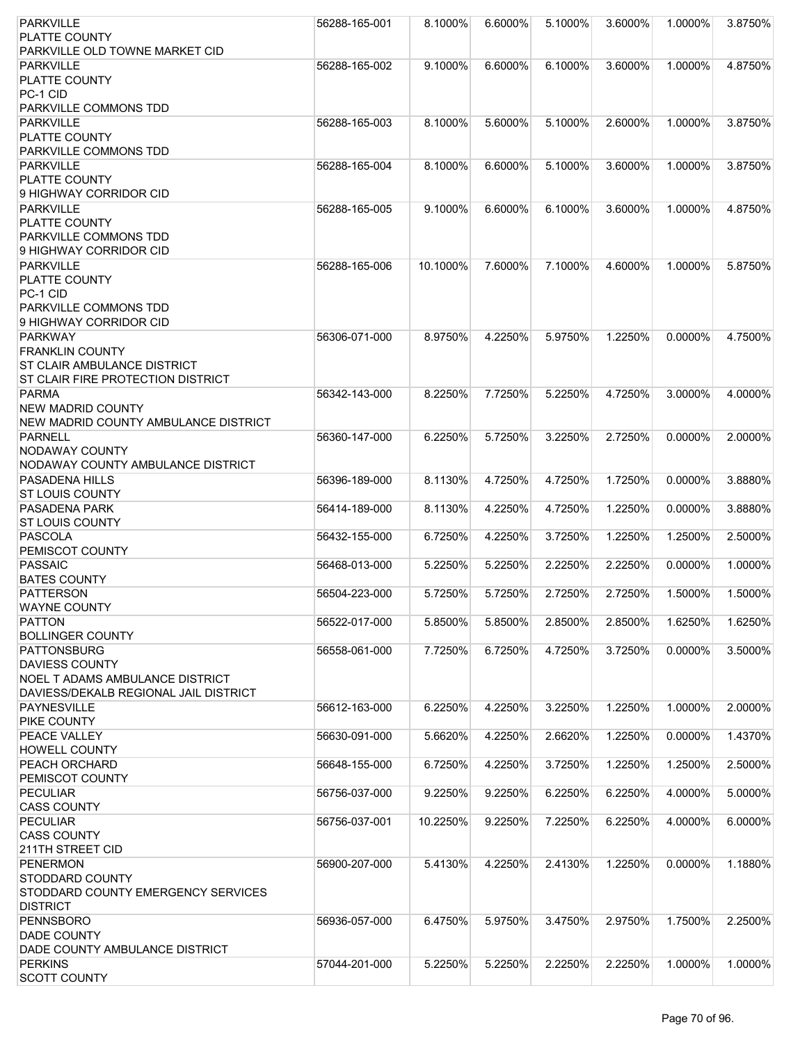| <b>PARKVILLE</b>                      | 56288-165-001 | 8.1000%  | 6.6000% | 5.1000% | 3.6000% | 1.0000%    | 3.8750% |
|---------------------------------------|---------------|----------|---------|---------|---------|------------|---------|
| <b>PLATTE COUNTY</b>                  |               |          |         |         |         |            |         |
| PARKVILLE OLD TOWNE MARKET CID        |               |          |         |         |         |            |         |
| <b>PARKVILLE</b>                      | 56288-165-002 | 9.1000%  | 6.6000% | 6.1000% | 3.6000% | 1.0000%    | 4.8750% |
| PLATTE COUNTY                         |               |          |         |         |         |            |         |
| PC-1 CID                              |               |          |         |         |         |            |         |
| <b>PARKVILLE COMMONS TDD</b>          |               |          |         |         |         |            |         |
| <b>PARKVILLE</b>                      | 56288-165-003 | 8.1000%  | 5.6000% | 5.1000% | 2.6000% | 1.0000%    | 3.8750% |
| <b>PLATTE COUNTY</b>                  |               |          |         |         |         |            |         |
| <b>PARKVILLE COMMONS TDD</b>          |               |          |         |         |         |            |         |
| <b>PARKVILLE</b>                      | 56288-165-004 | 8.1000%  | 6.6000% | 5.1000% | 3.6000% | 1.0000%    | 3.8750% |
| <b>PLATTE COUNTY</b>                  |               |          |         |         |         |            |         |
| 9 HIGHWAY CORRIDOR CID                |               |          |         |         |         |            |         |
| <b>PARKVILLE</b>                      | 56288-165-005 | 9.1000%  | 6.6000% | 6.1000% | 3.6000% | 1.0000%    | 4.8750% |
| PLATTE COUNTY                         |               |          |         |         |         |            |         |
| <b>PARKVILLE COMMONS TDD</b>          |               |          |         |         |         |            |         |
| 9 HIGHWAY CORRIDOR CID                |               |          |         |         |         |            |         |
| <b>PARKVILLE</b>                      | 56288-165-006 | 10.1000% | 7.6000% | 7.1000% | 4.6000% | 1.0000%    | 5.8750% |
| PLATTE COUNTY                         |               |          |         |         |         |            |         |
| PC-1 CID                              |               |          |         |         |         |            |         |
| <b>PARKVILLE COMMONS TDD</b>          |               |          |         |         |         |            |         |
| 9 HIGHWAY CORRIDOR CID                |               |          |         |         |         |            |         |
| <b>PARKWAY</b>                        | 56306-071-000 | 8.9750%  | 4.2250% | 5.9750% | 1.2250% | $0.0000\%$ | 4.7500% |
| <b>FRANKLIN COUNTY</b>                |               |          |         |         |         |            |         |
| ST CLAIR AMBULANCE DISTRICT           |               |          |         |         |         |            |         |
| ST CLAIR FIRE PROTECTION DISTRICT     |               |          |         |         |         |            |         |
| <b>PARMA</b>                          |               |          |         |         |         |            |         |
|                                       | 56342-143-000 | 8.2250%  | 7.7250% | 5.2250% | 4.7250% | 3.0000%    | 4.0000% |
| NEW MADRID COUNTY                     |               |          |         |         |         |            |         |
| NEW MADRID COUNTY AMBULANCE DISTRICT  |               |          |         |         |         |            |         |
| <b>PARNELL</b>                        | 56360-147-000 | 6.2250%  | 5.7250% | 3.2250% | 2.7250% | 0.0000%    | 2.0000% |
| <b>NODAWAY COUNTY</b>                 |               |          |         |         |         |            |         |
| NODAWAY COUNTY AMBULANCE DISTRICT     |               |          |         |         |         |            |         |
| <b>PASADENA HILLS</b>                 | 56396-189-000 | 8.1130%  | 4.7250% | 4.7250% | 1.7250% | 0.0000%    | 3.8880% |
| <b>ST LOUIS COUNTY</b>                |               |          |         |         |         |            |         |
| PASADENA PARK                         | 56414-189-000 | 8.1130%  | 4.2250% | 4.7250% | 1.2250% | 0.0000%    | 3.8880% |
| <b>ST LOUIS COUNTY</b>                |               |          |         |         |         |            |         |
| PASCOLA                               | 56432-155-000 | 6.7250%  | 4.2250% | 3.7250% | 1.2250% | 1.2500%    | 2.5000% |
| PEMISCOT COUNTY                       |               |          |         |         |         |            |         |
| <b>PASSAIC</b>                        | 56468-013-000 | 5.2250%  | 5.2250% | 2.2250% | 2.2250% | 0.0000%    | 1.0000% |
| <b>BATES COUNTY</b>                   |               |          |         |         |         |            |         |
| <b>PATTERSON</b>                      | 56504-223-000 | 5.7250%  | 5.7250% | 2.7250% | 2.7250% | 1.5000%    | 1.5000% |
| <b>WAYNE COUNTY</b>                   |               |          |         |         |         |            |         |
| <b>PATTON</b>                         | 56522-017-000 | 5.8500%  | 5.8500% | 2.8500% | 2.8500% | 1.6250%    | 1.6250% |
| <b>BOLLINGER COUNTY</b>               |               |          |         |         |         |            |         |
| <b>PATTONSBURG</b>                    | 56558-061-000 | 7.7250%  | 6.7250% | 4.7250% | 3.7250% | 0.0000%    | 3.5000% |
| <b>DAVIESS COUNTY</b>                 |               |          |         |         |         |            |         |
| NOEL T ADAMS AMBULANCE DISTRICT       |               |          |         |         |         |            |         |
| DAVIESS/DEKALB REGIONAL JAIL DISTRICT |               |          |         |         |         |            |         |
| <b>PAYNESVILLE</b>                    | 56612-163-000 | 6.2250%  | 4.2250% | 3.2250% | 1.2250% | 1.0000%    | 2.0000% |
| PIKE COUNTY                           |               |          |         |         |         |            |         |
| PEACE VALLEY                          | 56630-091-000 | 5.6620%  | 4.2250% | 2.6620% | 1.2250% | 0.0000%    | 1.4370% |
| <b>HOWELL COUNTY</b>                  |               |          |         |         |         |            |         |
| <b>PEACH ORCHARD</b>                  | 56648-155-000 | 6.7250%  | 4.2250% | 3.7250% | 1.2250% | 1.2500%    | 2.5000% |
| PEMISCOT COUNTY                       |               |          |         |         |         |            |         |
| <b>PECULIAR</b>                       | 56756-037-000 | 9.2250%  | 9.2250% | 6.2250% | 6.2250% | 4.0000%    | 5.0000% |
| <b>CASS COUNTY</b>                    |               |          |         |         |         |            |         |
| <b>PECULIAR</b>                       | 56756-037-001 | 10.2250% | 9.2250% | 7.2250% | 6.2250% | 4.0000%    | 6.0000% |
| <b>CASS COUNTY</b>                    |               |          |         |         |         |            |         |
| 211TH STREET CID                      |               |          |         |         |         |            |         |
| <b>PENERMON</b>                       | 56900-207-000 | 5.4130%  | 4.2250% | 2.4130% | 1.2250% | 0.0000%    | 1.1880% |
| <b>STODDARD COUNTY</b>                |               |          |         |         |         |            |         |
| STODDARD COUNTY EMERGENCY SERVICES    |               |          |         |         |         |            |         |
| <b>DISTRICT</b>                       |               |          |         |         |         |            |         |
| <b>PENNSBORO</b>                      | 56936-057-000 | 6.4750%  | 5.9750% | 3.4750% | 2.9750% | 1.7500%    | 2.2500% |
| <b>DADE COUNTY</b>                    |               |          |         |         |         |            |         |
| DADE COUNTY AMBULANCE DISTRICT        |               |          |         |         |         |            |         |
|                                       |               |          |         |         |         |            |         |
| <b>PERKINS</b>                        | 57044-201-000 | 5.2250%  | 5.2250% | 2.2250% | 2.2250% | 1.0000%    | 1.0000% |
| <b>SCOTT COUNTY</b>                   |               |          |         |         |         |            |         |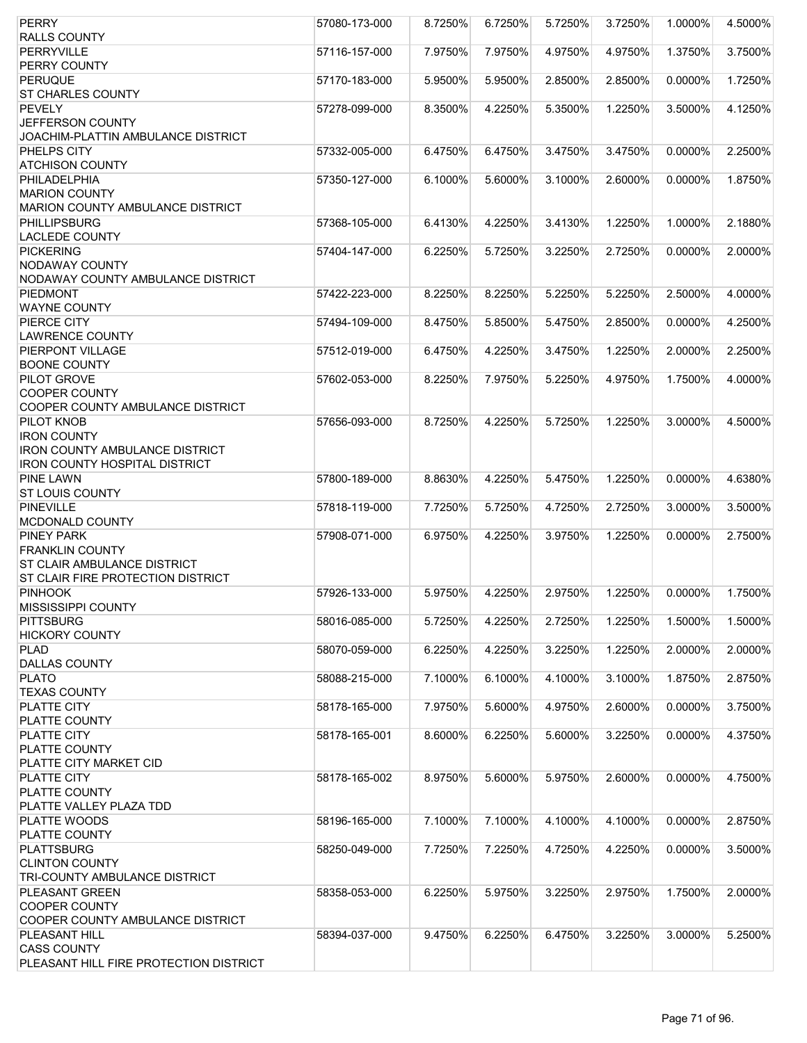| <b>PERRY</b>                                 | 57080-173-000 | 8.7250% | 6.7250% | 5.7250% | 3.7250% | 1.0000%    | 4.5000% |
|----------------------------------------------|---------------|---------|---------|---------|---------|------------|---------|
| <b>RALLS COUNTY</b>                          |               |         |         |         |         |            |         |
| <b>PERRYVILLE</b>                            | 57116-157-000 | 7.9750% | 7.9750% | 4.9750% | 4.9750% | 1.3750%    | 3.7500% |
| PERRY COUNTY                                 |               |         |         |         |         |            |         |
| <b>PERUQUE</b>                               | 57170-183-000 | 5.9500% | 5.9500% | 2.8500% | 2.8500% | $0.0000\%$ | 1.7250% |
| <b>ST CHARLES COUNTY</b>                     |               |         |         |         |         |            |         |
| <b>PEVELY</b>                                | 57278-099-000 | 8.3500% | 4.2250% | 5.3500% | 1.2250% | 3.5000%    | 4.1250% |
| JEFFERSON COUNTY                             |               |         |         |         |         |            |         |
| JOACHIM-PLATTIN AMBULANCE DISTRICT           |               |         |         |         |         |            |         |
| PHELPS CITY                                  | 57332-005-000 | 6.4750% | 6.4750% | 3.4750% | 3.4750% | 0.0000%    | 2.2500% |
| <b>ATCHISON COUNTY</b>                       |               |         |         |         |         |            |         |
| PHILADELPHIA                                 | 57350-127-000 | 6.1000% | 5.6000% | 3.1000% | 2.6000% | 0.0000%    | 1.8750% |
| <b>MARION COUNTY</b>                         |               |         |         |         |         |            |         |
| <b>MARION COUNTY AMBULANCE DISTRICT</b>      |               |         |         |         |         |            |         |
| <b>PHILLIPSBURG</b>                          | 57368-105-000 | 6.4130% | 4.2250% | 3.4130% | 1.2250% | 1.0000%    | 2.1880% |
| <b>LACLEDE COUNTY</b>                        |               |         |         |         |         |            |         |
| <b>PICKERING</b>                             | 57404-147-000 | 6.2250% | 5.7250% | 3.2250% | 2.7250% | 0.0000%    | 2.0000% |
| <b>NODAWAY COUNTY</b>                        |               |         |         |         |         |            |         |
| NODAWAY COUNTY AMBULANCE DISTRICT            |               |         |         |         |         |            |         |
| <b>PIEDMONT</b>                              | 57422-223-000 | 8.2250% | 8.2250% | 5.2250% | 5.2250% | 2.5000%    | 4.0000% |
| <b>WAYNE COUNTY</b>                          |               |         |         |         |         |            |         |
| PIERCE CITY                                  | 57494-109-000 | 8.4750% | 5.8500% | 5.4750% | 2.8500% | 0.0000%    | 4.2500% |
| <b>LAWRENCE COUNTY</b>                       |               |         |         |         |         |            |         |
| PIERPONT VILLAGE                             | 57512-019-000 | 6.4750% | 4.2250% | 3.4750% | 1.2250% | 2.0000%    | 2.2500% |
| <b>BOONE COUNTY</b>                          |               |         |         |         |         |            |         |
| <b>PILOT GROVE</b>                           | 57602-053-000 | 8.2250% | 7.9750% | 5.2250% | 4.9750% | 1.7500%    | 4.0000% |
| <b>COOPER COUNTY</b>                         |               |         |         |         |         |            |         |
| COOPER COUNTY AMBULANCE DISTRICT             |               |         |         |         |         |            |         |
| PILOT KNOB                                   | 57656-093-000 | 8.7250% | 4.2250% | 5.7250% | 1.2250% | 3.0000%    | 4.5000% |
| <b>IRON COUNTY</b>                           |               |         |         |         |         |            |         |
| <b>IRON COUNTY AMBULANCE DISTRICT</b>        |               |         |         |         |         |            |         |
| <b>IRON COUNTY HOSPITAL DISTRICT</b>         |               |         |         |         |         |            |         |
| <b>PINE LAWN</b>                             | 57800-189-000 | 8.8630% | 4.2250% | 5.4750% | 1.2250% | 0.0000%    | 4.6380% |
| <b>ST LOUIS COUNTY</b>                       |               |         |         |         |         |            |         |
| <b>PINEVILLE</b>                             | 57818-119-000 | 7.7250% | 5.7250% | 4.7250% | 2.7250% | 3.0000%    | 3.5000% |
| MCDONALD COUNTY                              |               |         |         |         |         |            |         |
| <b>PINEY PARK</b>                            | 57908-071-000 | 6.9750% | 4.2250% | 3.9750% | 1.2250% | 0.0000%    | 2.7500% |
| <b>FRANKLIN COUNTY</b>                       |               |         |         |         |         |            |         |
| <b>ST CLAIR AMBULANCE DISTRICT</b>           |               |         |         |         |         |            |         |
| ST CLAIR FIRE PROTECTION DISTRICT            |               |         |         |         |         |            |         |
| <b>PINHOOK</b>                               | 57926-133-000 | 5.9750% | 4.2250% | 2.9750% | 1.2250% | 0.0000%    | 1.7500% |
| MISSISSIPPI COUNTY                           |               |         |         |         |         |            |         |
| <b>PITTSBURG</b>                             | 58016-085-000 | 5.7250% | 4.2250% | 2.7250% | 1.2250% | 1.5000%    | 1.5000% |
| <b>HICKORY COUNTY</b>                        |               |         |         |         |         |            |         |
| <b>PLAD</b>                                  | 58070-059-000 | 6.2250% | 4.2250% | 3.2250% | 1.2250% | 2.0000%    | 2.0000% |
| <b>DALLAS COUNTY</b>                         |               |         |         |         |         |            |         |
| <b>PLATO</b>                                 | 58088-215-000 | 7.1000% | 6.1000% | 4.1000% | 3.1000% | 1.8750%    | 2.8750% |
| <b>TEXAS COUNTY</b>                          |               |         |         |         |         |            |         |
| PLATTE CITY                                  | 58178-165-000 | 7.9750% | 5.6000% | 4.9750% | 2.6000% | 0.0000%    | 3.7500% |
| <b>PLATTE COUNTY</b>                         |               |         |         |         |         |            |         |
| <b>PLATTE CITY</b>                           | 58178-165-001 | 8.6000% | 6.2250% | 5.6000% | 3.2250% | 0.0000%    | 4.3750% |
| <b>PLATTE COUNTY</b>                         |               |         |         |         |         |            |         |
| PLATTE CITY MARKET CID<br><b>PLATTE CITY</b> |               |         |         |         |         |            |         |
|                                              | 58178-165-002 | 8.9750% | 5.6000% | 5.9750% | 2.6000% | 0.0000%    | 4.7500% |
| <b>PLATTE COUNTY</b>                         |               |         |         |         |         |            |         |
| PLATTE VALLEY PLAZA TDD<br>PLATTE WOODS      | 58196-165-000 | 7.1000% | 7.1000% | 4.1000% | 4.1000% | 0.0000%    | 2.8750% |
|                                              |               |         |         |         |         |            |         |
| <b>PLATTE COUNTY</b><br><b>PLATTSBURG</b>    | 58250-049-000 | 7.7250% | 7.2250% | 4.7250% | 4.2250% | 0.0000%    | 3.5000% |
| <b>CLINTON COUNTY</b>                        |               |         |         |         |         |            |         |
| TRI-COUNTY AMBULANCE DISTRICT                |               |         |         |         |         |            |         |
| PLEASANT GREEN                               | 58358-053-000 | 6.2250% | 5.9750% | 3.2250% | 2.9750% | 1.7500%    | 2.0000% |
| <b>COOPER COUNTY</b>                         |               |         |         |         |         |            |         |
| COOPER COUNTY AMBULANCE DISTRICT             |               |         |         |         |         |            |         |
| PLEASANT HILL                                | 58394-037-000 | 9.4750% | 6.2250% | 6.4750% | 3.2250% | 3.0000%    | 5.2500% |
| <b>CASS COUNTY</b>                           |               |         |         |         |         |            |         |
| PLEASANT HILL FIRE PROTECTION DISTRICT       |               |         |         |         |         |            |         |
|                                              |               |         |         |         |         |            |         |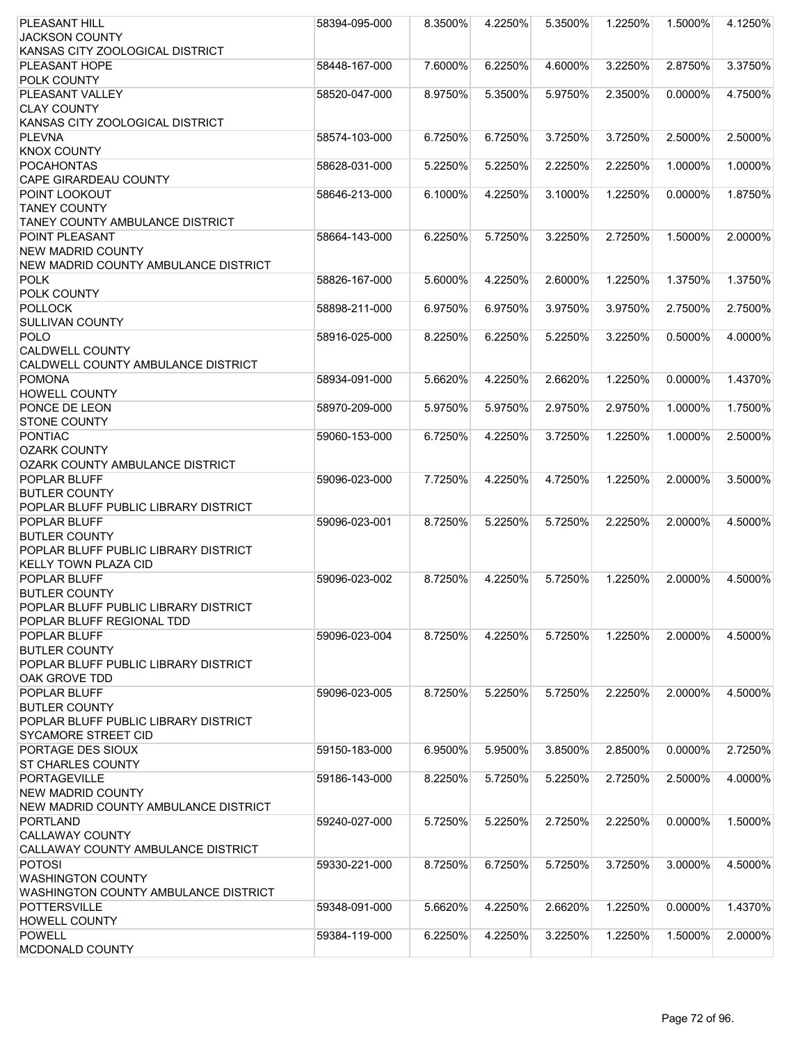| PLEASANT HILL                                          | 58394-095-000 | 8.3500% | 4.2250% | 5.3500% | 1.2250% | 1.5000% | 4.1250% |
|--------------------------------------------------------|---------------|---------|---------|---------|---------|---------|---------|
| <b>JACKSON COUNTY</b>                                  |               |         |         |         |         |         |         |
| KANSAS CITY ZOOLOGICAL DISTRICT                        |               |         |         |         |         |         |         |
| <b>PLEASANT HOPE</b>                                   | 58448-167-000 | 7.6000% | 6.2250% | 4.6000% | 3.2250% | 2.8750% | 3.3750% |
| POLK COUNTY                                            |               |         |         |         |         |         |         |
| <b>PLEASANT VALLEY</b>                                 | 58520-047-000 | 8.9750% | 5.3500% | 5.9750% | 2.3500% | 0.0000% | 4.7500% |
| <b>CLAY COUNTY</b>                                     |               |         |         |         |         |         |         |
| KANSAS CITY ZOOLOGICAL DISTRICT                        |               |         |         |         |         |         |         |
| <b>PLEVNA</b>                                          | 58574-103-000 | 6.7250% | 6.7250% | 3.7250% | 3.7250% | 2.5000% | 2.5000% |
| <b>KNOX COUNTY</b>                                     |               |         |         |         |         |         |         |
| <b>POCAHONTAS</b>                                      | 58628-031-000 | 5.2250% | 5.2250% | 2.2250% | 2.2250% | 1.0000% | 1.0000% |
| <b>CAPE GIRARDEAU COUNTY</b>                           |               |         |         |         |         |         |         |
| POINT LOOKOUT                                          | 58646-213-000 | 6.1000% | 4.2250% | 3.1000% | 1.2250% | 0.0000% | 1.8750% |
| <b>TANEY COUNTY</b>                                    |               |         |         |         |         |         |         |
| TANEY COUNTY AMBULANCE DISTRICT                        |               |         |         |         |         |         |         |
| <b>POINT PLEASANT</b>                                  | 58664-143-000 | 6.2250% | 5.7250% | 3.2250% | 2.7250% | 1.5000% | 2.0000% |
| <b>NEW MADRID COUNTY</b>                               |               |         |         |         |         |         |         |
| NEW MADRID COUNTY AMBULANCE DISTRICT                   |               |         |         |         |         |         |         |
| <b>POLK</b>                                            | 58826-167-000 | 5.6000% | 4.2250% | 2.6000% | 1.2250% | 1.3750% | 1.3750% |
| POLK COUNTY                                            |               |         |         |         |         |         |         |
| <b>POLLOCK</b>                                         | 58898-211-000 | 6.9750% | 6.9750% | 3.9750% | 3.9750% | 2.7500% | 2.7500% |
| <b>SULLIVAN COUNTY</b>                                 |               |         |         |         |         |         |         |
| <b>POLO</b>                                            | 58916-025-000 | 8.2250% | 6.2250% | 5.2250% | 3.2250% | 0.5000% | 4.0000% |
| <b>CALDWELL COUNTY</b>                                 |               |         |         |         |         |         |         |
| CALDWELL COUNTY AMBULANCE DISTRICT                     |               |         |         |         |         |         |         |
| <b>POMONA</b>                                          | 58934-091-000 | 5.6620% | 4.2250% | 2.6620% | 1.2250% | 0.0000% | 1.4370% |
| <b>HOWELL COUNTY</b>                                   |               |         |         |         |         |         |         |
| PONCE DE LEON                                          | 58970-209-000 | 5.9750% | 5.9750% | 2.9750% | 2.9750% | 1.0000% | 1.7500% |
| <b>STONE COUNTY</b>                                    |               |         |         |         |         |         |         |
| PONTIAC                                                | 59060-153-000 | 6.7250% | 4.2250% | 3.7250% | 1.2250% | 1.0000% | 2.5000% |
| <b>OZARK COUNTY</b>                                    |               |         |         |         |         |         |         |
| OZARK COUNTY AMBULANCE DISTRICT<br><b>POPLAR BLUFF</b> |               |         |         | 4.7250% |         |         |         |
| <b>BUTLER COUNTY</b>                                   | 59096-023-000 | 7.7250% | 4.2250% |         | 1.2250% | 2.0000% | 3.5000% |
| POPLAR BLUFF PUBLIC LIBRARY DISTRICT                   |               |         |         |         |         |         |         |
| POPLAR BLUFF                                           | 59096-023-001 | 8.7250% | 5.2250% | 5.7250% | 2.2250% | 2.0000% | 4.5000% |
| <b>BUTLER COUNTY</b>                                   |               |         |         |         |         |         |         |
| POPLAR BLUFF PUBLIC LIBRARY DISTRICT                   |               |         |         |         |         |         |         |
| <b>KELLY TOWN PLAZA CID</b>                            |               |         |         |         |         |         |         |
| POPLAR BLUFF                                           | 59096-023-002 | 8.7250% | 4.2250% | 5.7250% | 1.2250% | 2.0000% | 4.5000% |
| <b>BUTLER COUNTY</b>                                   |               |         |         |         |         |         |         |
| POPLAR BLUFF PUBLIC LIBRARY DISTRICT                   |               |         |         |         |         |         |         |
| POPLAR BLUFF REGIONAL TDD                              |               |         |         |         |         |         |         |
| <b>POPLAR BLUFF</b>                                    | 59096-023-004 | 8.7250% | 4.2250% | 5.7250% | 1.2250% | 2.0000% | 4.5000% |
| <b>BUTLER COUNTY</b>                                   |               |         |         |         |         |         |         |
| POPLAR BLUFF PUBLIC LIBRARY DISTRICT                   |               |         |         |         |         |         |         |
| <b>OAK GROVE TDD</b>                                   |               |         |         |         |         |         |         |
| <b>POPLAR BLUFF</b>                                    | 59096-023-005 | 8.7250% | 5.2250% | 5.7250% | 2.2250% | 2.0000% | 4.5000% |
| <b>BUTLER COUNTY</b>                                   |               |         |         |         |         |         |         |
| POPLAR BLUFF PUBLIC LIBRARY DISTRICT                   |               |         |         |         |         |         |         |
| <b>SYCAMORE STREET CID</b>                             |               |         |         |         |         |         |         |
| PORTAGE DES SIOUX                                      | 59150-183-000 | 6.9500% | 5.9500% | 3.8500% | 2.8500% | 0.0000% | 2.7250% |
| <b>ST CHARLES COUNTY</b>                               |               |         |         |         |         |         |         |
| <b>PORTAGEVILLE</b>                                    | 59186-143-000 | 8.2250% | 5.7250% | 5.2250% | 2.7250% | 2.5000% | 4.0000% |
| <b>NEW MADRID COUNTY</b>                               |               |         |         |         |         |         |         |
| NEW MADRID COUNTY AMBULANCE DISTRICT                   |               |         |         |         |         |         |         |
| <b>PORTLAND</b>                                        | 59240-027-000 | 5.7250% | 5.2250% | 2.7250% | 2.2250% | 0.0000% | 1.5000% |
| <b>CALLAWAY COUNTY</b>                                 |               |         |         |         |         |         |         |
| CALLAWAY COUNTY AMBULANCE DISTRICT                     |               |         |         |         |         |         |         |
| <b>POTOSI</b>                                          | 59330-221-000 | 8.7250% | 6.7250% | 5.7250% | 3.7250% | 3.0000% | 4.5000% |
| <b>WASHINGTON COUNTY</b>                               |               |         |         |         |         |         |         |
| <b>WASHINGTON COUNTY AMBULANCE DISTRICT</b>            |               |         |         |         |         |         |         |
| <b>POTTERSVILLE</b>                                    | 59348-091-000 | 5.6620% | 4.2250% | 2.6620% | 1.2250% | 0.0000% | 1.4370% |
| <b>HOWELL COUNTY</b>                                   |               |         |         |         |         |         |         |
| <b>POWELL</b>                                          | 59384-119-000 | 6.2250% | 4.2250% | 3.2250% | 1.2250% | 1.5000% | 2.0000% |
| MCDONALD COUNTY                                        |               |         |         |         |         |         |         |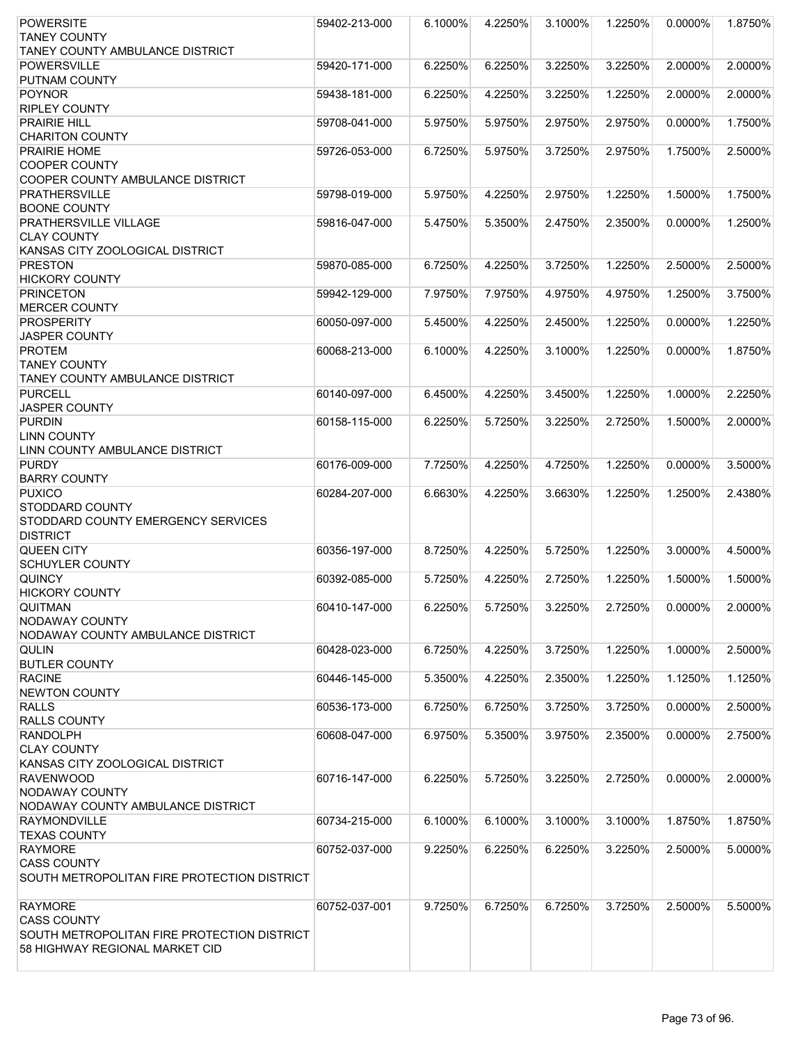| <b>POWERSITE</b>                            | 59402-213-000 | 6.1000% | 4.2250% | 3.1000% | 1.2250% | 0.0000%    | 1.8750% |
|---------------------------------------------|---------------|---------|---------|---------|---------|------------|---------|
| <b>TANEY COUNTY</b>                         |               |         |         |         |         |            |         |
| TANEY COUNTY AMBULANCE DISTRICT             |               |         |         |         |         |            |         |
| <b>POWERSVILLE</b>                          | 59420-171-000 | 6.2250% | 6.2250% | 3.2250% | 3.2250% | 2.0000%    | 2.0000% |
| PUTNAM COUNTY                               |               |         |         |         |         |            |         |
| POYNOR                                      | 59438-181-000 | 6.2250% | 4.2250% | 3.2250% | 1.2250% | 2.0000%    | 2.0000% |
| <b>RIPLEY COUNTY</b>                        |               |         |         |         |         |            |         |
| <b>PRAIRIE HILL</b>                         | 59708-041-000 | 5.9750% | 5.9750% | 2.9750% | 2.9750% | 0.0000%    | 1.7500% |
| <b>CHARITON COUNTY</b>                      |               |         |         |         |         |            |         |
| <b>PRAIRIE HOME</b>                         | 59726-053-000 | 6.7250% | 5.9750% | 3.7250% | 2.9750% | 1.7500%    | 2.5000% |
| <b>COOPER COUNTY</b>                        |               |         |         |         |         |            |         |
| COOPER COUNTY AMBULANCE DISTRICT            |               |         |         |         |         |            |         |
| <b>PRATHERSVILLE</b>                        | 59798-019-000 | 5.9750% | 4.2250% | 2.9750% | 1.2250% | 1.5000%    | 1.7500% |
| <b>BOONE COUNTY</b>                         |               |         |         |         |         |            |         |
| <b>PRATHERSVILLE VILLAGE</b>                | 59816-047-000 | 5.4750% | 5.3500% | 2.4750% | 2.3500% | 0.0000%    | 1.2500% |
| <b>CLAY COUNTY</b>                          |               |         |         |         |         |            |         |
| KANSAS CITY ZOOLOGICAL DISTRICT             |               |         |         |         |         |            |         |
|                                             |               |         |         |         |         |            |         |
| <b>PRESTON</b>                              | 59870-085-000 | 6.7250% | 4.2250% | 3.7250% | 1.2250% | 2.5000%    | 2.5000% |
| <b>HICKORY COUNTY</b>                       |               |         |         |         |         |            |         |
| <b>PRINCETON</b>                            | 59942-129-000 | 7.9750% | 7.9750% | 4.9750% | 4.9750% | 1.2500%    | 3.7500% |
| <b>MERCER COUNTY</b>                        |               |         |         |         |         |            |         |
| <b>PROSPERITY</b>                           | 60050-097-000 | 5.4500% | 4.2250% | 2.4500% | 1.2250% | 0.0000%    | 1.2250% |
| <b>JASPER COUNTY</b>                        |               |         |         |         |         |            |         |
| <b>PROTEM</b>                               | 60068-213-000 | 6.1000% | 4.2250% | 3.1000% | 1.2250% | 0.0000%    | 1.8750% |
| <b>TANEY COUNTY</b>                         |               |         |         |         |         |            |         |
| <b>TANEY COUNTY AMBULANCE DISTRICT</b>      |               |         |         |         |         |            |         |
| <b>PURCELL</b>                              | 60140-097-000 | 6.4500% | 4.2250% | 3.4500% | 1.2250% | 1.0000%    | 2.2250% |
| <b>JASPER COUNTY</b>                        |               |         |         |         |         |            |         |
| PURDIN                                      | 60158-115-000 | 6.2250% | 5.7250% | 3.2250% | 2.7250% | 1.5000%    | 2.0000% |
| <b>LINN COUNTY</b>                          |               |         |         |         |         |            |         |
| LINN COUNTY AMBULANCE DISTRICT              |               |         |         |         |         |            |         |
| <b>PURDY</b>                                | 60176-009-000 | 7.7250% | 4.2250% | 4.7250% | 1.2250% | 0.0000%    | 3.5000% |
| <b>BARRY COUNTY</b>                         |               |         |         |         |         |            |         |
| <b>PUXICO</b>                               | 60284-207-000 | 6.6630% | 4.2250% | 3.6630% | 1.2250% | 1.2500%    | 2.4380% |
| STODDARD COUNTY                             |               |         |         |         |         |            |         |
| STODDARD COUNTY EMERGENCY SERVICES          |               |         |         |         |         |            |         |
| <b>DISTRICT</b>                             |               |         |         |         |         |            |         |
| <b>QUEEN CITY</b>                           | 60356-197-000 | 8.7250% | 4.2250% | 5.7250% | 1.2250% | 3.0000%    | 4.5000% |
|                                             |               |         |         |         |         |            |         |
| <b>SCHUYLER COUNTY</b>                      |               |         |         |         |         |            |         |
| QUINCY                                      | 60392-085-000 | 5.7250% | 4.2250% | 2.7250% | 1.2250% | 1.5000%    | 1.5000% |
| <b>HICKORY COUNTY</b>                       |               |         |         |         |         |            |         |
| <b>QUITMAN</b>                              | 60410-147-000 | 6.2250% | 5.7250% | 3.2250% | 2.7250% | 0.0000%    | 2.0000% |
| <b>NODAWAY COUNTY</b>                       |               |         |         |         |         |            |         |
| NODAWAY COUNTY AMBULANCE DISTRICT           |               |         |         |         |         |            |         |
| <b>QULIN</b>                                | 60428-023-000 | 6.7250% | 4.2250% | 3.7250% | 1.2250% | 1.0000%    | 2.5000% |
| <b>BUTLER COUNTY</b>                        |               |         |         |         |         |            |         |
| <b>RACINE</b>                               | 60446-145-000 | 5.3500% | 4.2250% | 2.3500% | 1.2250% | 1.1250%    | 1.1250% |
| <b>NEWTON COUNTY</b>                        |               |         |         |         |         |            |         |
| <b>RALLS</b>                                | 60536-173-000 | 6.7250% | 6.7250% | 3.7250% | 3.7250% | 0.0000%    | 2.5000% |
| <b>RALLS COUNTY</b>                         |               |         |         |         |         |            |         |
| <b>RANDOLPH</b>                             | 60608-047-000 | 6.9750% | 5.3500% | 3.9750% | 2.3500% | 0.0000%    | 2.7500% |
| <b>CLAY COUNTY</b>                          |               |         |         |         |         |            |         |
| KANSAS CITY ZOOLOGICAL DISTRICT             |               |         |         |         |         |            |         |
| <b>RAVENWOOD</b>                            | 60716-147-000 | 6.2250% | 5.7250% | 3.2250% | 2.7250% | $0.0000\%$ | 2.0000% |
| <b>NODAWAY COUNTY</b>                       |               |         |         |         |         |            |         |
| NODAWAY COUNTY AMBULANCE DISTRICT           |               |         |         |         |         |            |         |
| <b>RAYMONDVILLE</b>                         | 60734-215-000 | 6.1000% | 6.1000% | 3.1000% | 3.1000% | 1.8750%    | 1.8750% |
| <b>TEXAS COUNTY</b>                         |               |         |         |         |         |            |         |
|                                             |               |         |         |         |         | 2.5000%    | 5.0000% |
|                                             |               |         |         |         |         |            |         |
| <b>RAYMORE</b>                              | 60752-037-000 | 9.2250% | 6.2250% | 6.2250% | 3.2250% |            |         |
| <b>CASS COUNTY</b>                          |               |         |         |         |         |            |         |
| SOUTH METROPOLITAN FIRE PROTECTION DISTRICT |               |         |         |         |         |            |         |
|                                             |               |         |         |         |         |            |         |
| <b>RAYMORE</b>                              | 60752-037-001 | 9.7250% | 6.7250% | 6.7250% | 3.7250% | 2.5000%    | 5.5000% |
| <b>CASS COUNTY</b>                          |               |         |         |         |         |            |         |
| SOUTH METROPOLITAN FIRE PROTECTION DISTRICT |               |         |         |         |         |            |         |
| 58 HIGHWAY REGIONAL MARKET CID              |               |         |         |         |         |            |         |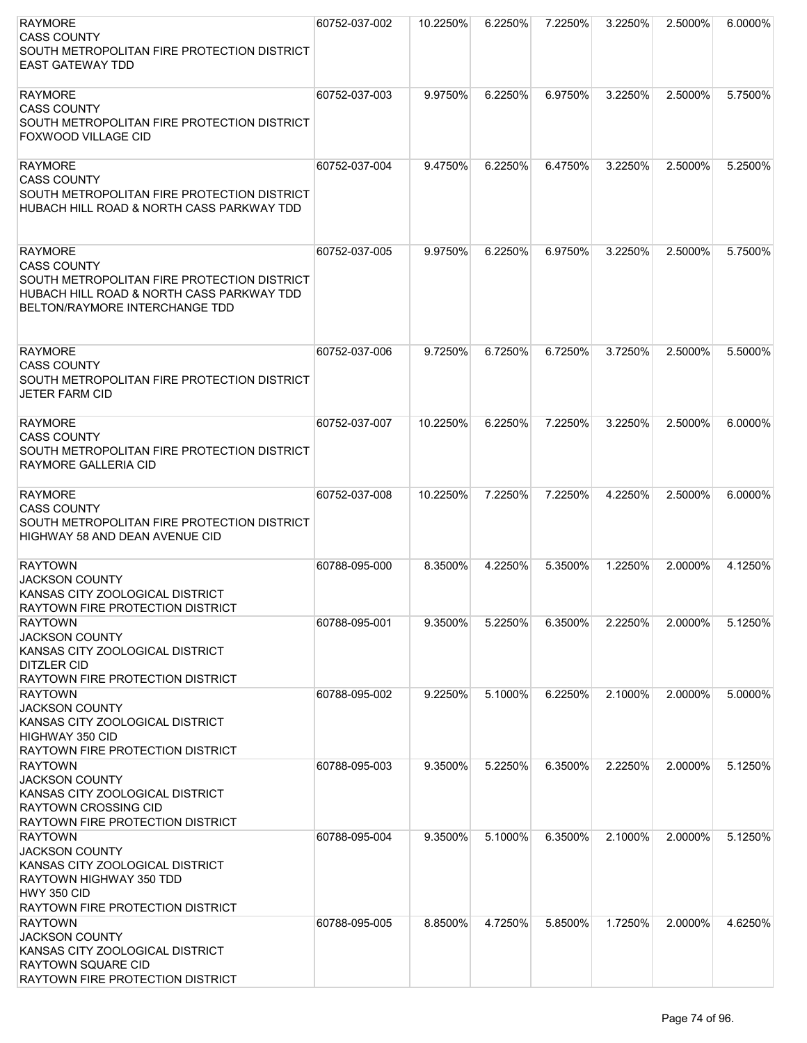| <b>RAYMORE</b>                                                                               | 60752-037-002 | 10.2250% | 6.2250% | 7.2250% | 3.2250% | 2.5000% | 6.0000% |
|----------------------------------------------------------------------------------------------|---------------|----------|---------|---------|---------|---------|---------|
| <b>CASS COUNTY</b><br>SOUTH METROPOLITAN FIRE PROTECTION DISTRICT<br><b>EAST GATEWAY TDD</b> |               |          |         |         |         |         |         |
| <b>RAYMORE</b>                                                                               | 60752-037-003 | 9.9750%  | 6.2250% | 6.9750% | 3.2250% | 2.5000% | 5.7500% |
| <b>CASS COUNTY</b>                                                                           |               |          |         |         |         |         |         |
| SOUTH METROPOLITAN FIRE PROTECTION DISTRICT                                                  |               |          |         |         |         |         |         |
| FOXWOOD VILLAGE CID                                                                          |               |          |         |         |         |         |         |
| <b>RAYMORE</b>                                                                               | 60752-037-004 | 9.4750%  | 6.2250% | 6.4750% | 3.2250% | 2.5000% | 5.2500% |
| <b>CASS COUNTY</b>                                                                           |               |          |         |         |         |         |         |
| SOUTH METROPOLITAN FIRE PROTECTION DISTRICT<br>HUBACH HILL ROAD & NORTH CASS PARKWAY TDD     |               |          |         |         |         |         |         |
| <b>RAYMORE</b>                                                                               | 60752-037-005 | 9.9750%  | 6.2250% | 6.9750% | 3.2250% | 2.5000% | 5.7500% |
| <b>CASS COUNTY</b>                                                                           |               |          |         |         |         |         |         |
| SOUTH METROPOLITAN FIRE PROTECTION DISTRICT                                                  |               |          |         |         |         |         |         |
| HUBACH HILL ROAD & NORTH CASS PARKWAY TDD                                                    |               |          |         |         |         |         |         |
| BELTON/RAYMORE INTERCHANGE TDD                                                               |               |          |         |         |         |         |         |
|                                                                                              |               |          |         |         |         |         |         |
| <b>RAYMORE</b>                                                                               | 60752-037-006 | 9.7250%  | 6.7250% | 6.7250% | 3.7250% | 2.5000% | 5.5000% |
| <b>CASS COUNTY</b>                                                                           |               |          |         |         |         |         |         |
| SOUTH METROPOLITAN FIRE PROTECTION DISTRICT                                                  |               |          |         |         |         |         |         |
| <b>JETER FARM CID</b>                                                                        |               |          |         |         |         |         |         |
| <b>RAYMORE</b>                                                                               | 60752-037-007 | 10.2250% | 6.2250% | 7.2250% | 3.2250% | 2.5000% | 6.0000% |
| <b>CASS COUNTY</b>                                                                           |               |          |         |         |         |         |         |
| SOUTH METROPOLITAN FIRE PROTECTION DISTRICT                                                  |               |          |         |         |         |         |         |
| RAYMORE GALLERIA CID                                                                         |               |          |         |         |         |         |         |
| <b>RAYMORE</b>                                                                               | 60752-037-008 | 10.2250% | 7.2250% | 7.2250% | 4.2250% | 2.5000% | 6.0000% |
| <b>CASS COUNTY</b>                                                                           |               |          |         |         |         |         |         |
| SOUTH METROPOLITAN FIRE PROTECTION DISTRICT                                                  |               |          |         |         |         |         |         |
| HIGHWAY 58 AND DEAN AVENUE CID                                                               |               |          |         |         |         |         |         |
| <b>RAYTOWN</b>                                                                               | 60788-095-000 | 8.3500%  | 4.2250% | 5.3500% | 1.2250% | 2.0000% | 4.1250% |
| JACKSON COUNTY                                                                               |               |          |         |         |         |         |         |
| KANSAS CITY ZOOLOGICAL DISTRICT                                                              |               |          |         |         |         |         |         |
| <b>RAYTOWN FIRE PROTECTION DISTRICT</b>                                                      |               |          |         |         |         |         |         |
| <b>RAYTOWN</b>                                                                               | 60788-095-001 | 9.3500%  | 5.2250% | 6.3500% | 2.2250% | 2.0000% | 5.1250% |
| <b>JACKSON COUNTY</b>                                                                        |               |          |         |         |         |         |         |
| KANSAS CITY ZOOLOGICAL DISTRICT                                                              |               |          |         |         |         |         |         |
| <b>DITZLER CID</b><br><b>RAYTOWN FIRE PROTECTION DISTRICT</b>                                |               |          |         |         |         |         |         |
| <b>RAYTOWN</b>                                                                               | 60788-095-002 | 9.2250%  | 5.1000% | 6.2250% | 2.1000% | 2.0000% | 5.0000% |
| <b>JACKSON COUNTY</b>                                                                        |               |          |         |         |         |         |         |
| KANSAS CITY ZOOLOGICAL DISTRICT                                                              |               |          |         |         |         |         |         |
| HIGHWAY 350 CID                                                                              |               |          |         |         |         |         |         |
| RAYTOWN FIRE PROTECTION DISTRICT                                                             |               |          |         |         |         |         |         |
| <b>RAYTOWN</b>                                                                               | 60788-095-003 | 9.3500%  | 5.2250% | 6.3500% | 2.2250% | 2.0000% | 5.1250% |
| <b>JACKSON COUNTY</b>                                                                        |               |          |         |         |         |         |         |
| KANSAS CITY ZOOLOGICAL DISTRICT                                                              |               |          |         |         |         |         |         |
| <b>RAYTOWN CROSSING CID</b>                                                                  |               |          |         |         |         |         |         |
| RAYTOWN FIRE PROTECTION DISTRICT                                                             |               |          |         |         |         |         |         |
| <b>RAYTOWN</b>                                                                               | 60788-095-004 | 9.3500%  | 5.1000% | 6.3500% | 2.1000% | 2.0000% | 5.1250% |
| <b>JACKSON COUNTY</b>                                                                        |               |          |         |         |         |         |         |
| KANSAS CITY ZOOLOGICAL DISTRICT                                                              |               |          |         |         |         |         |         |
| RAYTOWN HIGHWAY 350 TDD<br>HWY 350 CID                                                       |               |          |         |         |         |         |         |
| RAYTOWN FIRE PROTECTION DISTRICT                                                             |               |          |         |         |         |         |         |
| <b>RAYTOWN</b>                                                                               | 60788-095-005 | 8.8500%  | 4.7250% | 5.8500% | 1.7250% | 2.0000% | 4.6250% |
| <b>JACKSON COUNTY</b>                                                                        |               |          |         |         |         |         |         |
| KANSAS CITY ZOOLOGICAL DISTRICT                                                              |               |          |         |         |         |         |         |
| <b>RAYTOWN SQUARE CID</b>                                                                    |               |          |         |         |         |         |         |
| RAYTOWN FIRE PROTECTION DISTRICT                                                             |               |          |         |         |         |         |         |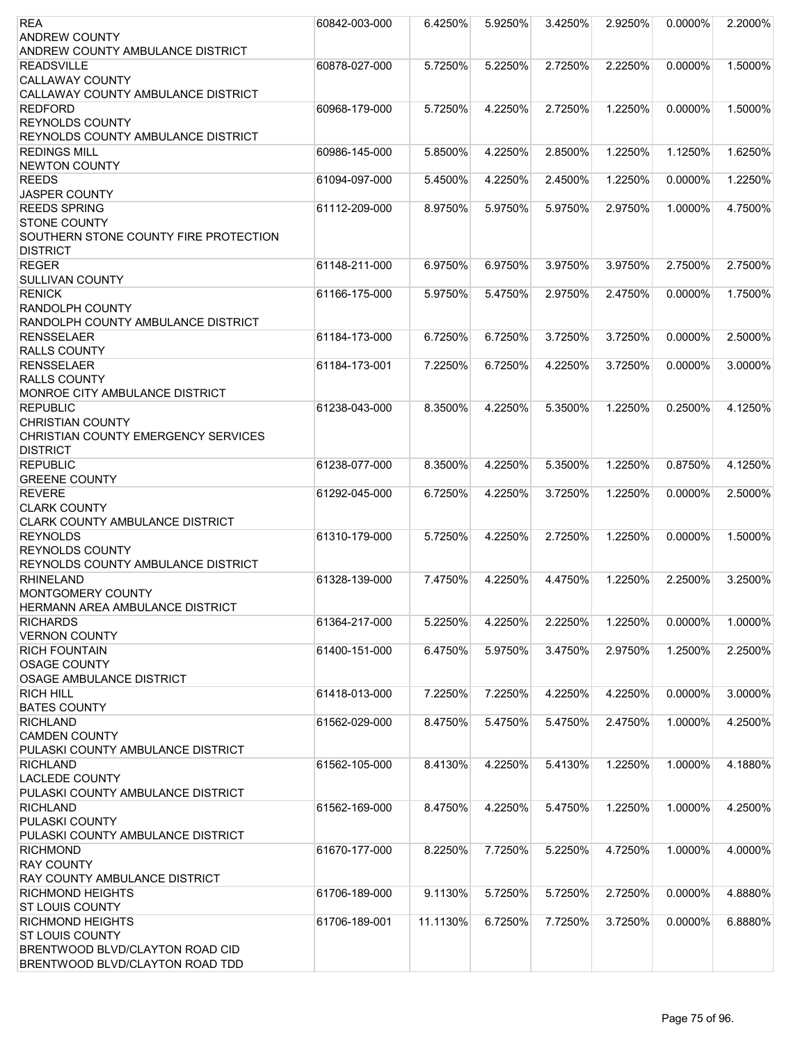| <b>REA</b>                                 | 60842-003-000 | 6.4250%  | 5.9250% | 3.4250% | 2.9250% | 0.0000%    | 2.2000% |
|--------------------------------------------|---------------|----------|---------|---------|---------|------------|---------|
| <b>ANDREW COUNTY</b>                       |               |          |         |         |         |            |         |
| ANDREW COUNTY AMBULANCE DISTRICT           |               |          |         |         |         |            |         |
| <b>READSVILLE</b>                          | 60878-027-000 | 5.7250%  | 5.2250% | 2.7250% | 2.2250% | 0.0000%    | 1.5000% |
| <b>CALLAWAY COUNTY</b>                     |               |          |         |         |         |            |         |
| CALLAWAY COUNTY AMBULANCE DISTRICT         |               |          |         |         |         |            |         |
| <b>REDFORD</b>                             | 60968-179-000 | 5.7250%  | 4.2250% | 2.7250% | 1.2250% | 0.0000%    | 1.5000% |
| <b>REYNOLDS COUNTY</b>                     |               |          |         |         |         |            |         |
| <b>REYNOLDS COUNTY AMBULANCE DISTRICT</b>  |               |          |         |         |         |            |         |
| <b>REDINGS MILL</b>                        | 60986-145-000 | 5.8500%  | 4.2250% | 2.8500% | 1.2250% | 1.1250%    | 1.6250% |
| <b>NEWTON COUNTY</b>                       |               |          |         |         |         |            |         |
| <b>REEDS</b>                               | 61094-097-000 | 5.4500%  | 4.2250% | 2.4500% | 1.2250% | 0.0000%    | 1.2250% |
| <b>JASPER COUNTY</b>                       |               |          |         |         |         |            |         |
| <b>REEDS SPRING</b>                        | 61112-209-000 | 8.9750%  | 5.9750% | 5.9750% | 2.9750% | 1.0000%    | 4.7500% |
| <b>STONE COUNTY</b>                        |               |          |         |         |         |            |         |
| SOUTHERN STONE COUNTY FIRE PROTECTION      |               |          |         |         |         |            |         |
| <b>DISTRICT</b>                            |               |          |         |         |         |            |         |
| <b>REGER</b>                               | 61148-211-000 |          | 6.9750% | 3.9750% | 3.9750% | 2.7500%    | 2.7500% |
|                                            |               | 6.9750%  |         |         |         |            |         |
| <b>SULLIVAN COUNTY</b>                     |               |          |         |         |         |            |         |
| <b>RENICK</b>                              | 61166-175-000 | 5.9750%  | 5.4750% | 2.9750% | 2.4750% | 0.0000%    | 1.7500% |
| <b>RANDOLPH COUNTY</b>                     |               |          |         |         |         |            |         |
| RANDOLPH COUNTY AMBULANCE DISTRICT         |               |          |         |         |         |            |         |
| <b>RENSSELAER</b>                          | 61184-173-000 | 6.7250%  | 6.7250% | 3.7250% | 3.7250% | 0.0000%    | 2.5000% |
| <b>RALLS COUNTY</b>                        |               |          |         |         |         |            |         |
| <b>RENSSELAER</b>                          | 61184-173-001 | 7.2250%  | 6.7250% | 4.2250% | 3.7250% | $0.0000\%$ | 3.0000% |
| <b>RALLS COUNTY</b>                        |               |          |         |         |         |            |         |
| MONROE CITY AMBULANCE DISTRICT             |               |          |         |         |         |            |         |
| <b>REPUBLIC</b>                            | 61238-043-000 | 8.3500%  | 4.2250% | 5.3500% | 1.2250% | 0.2500%    | 4.1250% |
| <b>CHRISTIAN COUNTY</b>                    |               |          |         |         |         |            |         |
| <b>CHRISTIAN COUNTY EMERGENCY SERVICES</b> |               |          |         |         |         |            |         |
| <b>DISTRICT</b>                            |               |          |         |         |         |            |         |
| <b>REPUBLIC</b>                            | 61238-077-000 | 8.3500%  | 4.2250% | 5.3500% | 1.2250% | 0.8750%    | 4.1250% |
| <b>GREENE COUNTY</b>                       |               |          |         |         |         |            |         |
| <b>REVERE</b>                              | 61292-045-000 | 6.7250%  | 4.2250% | 3.7250% | 1.2250% | $0.0000\%$ | 2.5000% |
| <b>CLARK COUNTY</b>                        |               |          |         |         |         |            |         |
| <b>CLARK COUNTY AMBULANCE DISTRICT</b>     |               |          |         |         |         |            |         |
| <b>REYNOLDS</b>                            | 61310-179-000 | 5.7250%  | 4.2250% | 2.7250% | 1.2250% | 0.0000%    | 1.5000% |
| <b>REYNOLDS COUNTY</b>                     |               |          |         |         |         |            |         |
| REYNOLDS COUNTY AMBULANCE DISTRICT         |               |          |         |         |         |            |         |
| RHINELAND                                  | 61328-139-000 | 7.4750%  | 4.2250% | 4.4750% | 1.2250% | 2.2500%    | 3.2500% |
| MONTGOMERY COUNTY                          |               |          |         |         |         |            |         |
| HERMANN AREA AMBULANCE DISTRICT            |               |          |         |         |         |            |         |
| <b>RICHARDS</b>                            | 61364-217-000 | 5.2250%  | 4.2250% | 2.2250% | 1.2250% | 0.0000%    | 1.0000% |
| <b>VERNON COUNTY</b>                       |               |          |         |         |         |            |         |
| <b>RICH FOUNTAIN</b>                       | 61400-151-000 | 6.4750%  | 5.9750% | 3.4750% | 2.9750% | 1.2500%    | 2.2500% |
| <b>OSAGE COUNTY</b>                        |               |          |         |         |         |            |         |
| <b>OSAGE AMBULANCE DISTRICT</b>            |               |          |         |         |         |            |         |
| <b>RICH HILL</b>                           | 61418-013-000 |          |         |         | 4.2250% | $0.0000\%$ | 3.0000% |
|                                            |               | 7.2250%  | 7.2250% | 4.2250% |         |            |         |
| <b>BATES COUNTY</b>                        |               |          |         |         |         |            |         |
| <b>RICHLAND</b>                            | 61562-029-000 | 8.4750%  | 5.4750% | 5.4750% | 2.4750% | 1.0000%    | 4.2500% |
| <b>CAMDEN COUNTY</b>                       |               |          |         |         |         |            |         |
| PULASKI COUNTY AMBULANCE DISTRICT          |               |          |         |         |         |            |         |
| <b>RICHLAND</b>                            | 61562-105-000 | 8.4130%  | 4.2250% | 5.4130% | 1.2250% | 1.0000%    | 4.1880% |
| <b>LACLEDE COUNTY</b>                      |               |          |         |         |         |            |         |
| PULASKI COUNTY AMBULANCE DISTRICT          |               |          |         |         |         |            |         |
| <b>RICHLAND</b>                            | 61562-169-000 | 8.4750%  | 4.2250% | 5.4750% | 1.2250% | 1.0000%    | 4.2500% |
| <b>PULASKI COUNTY</b>                      |               |          |         |         |         |            |         |
| PULASKI COUNTY AMBULANCE DISTRICT          |               |          |         |         |         |            |         |
| <b>RICHMOND</b>                            | 61670-177-000 | 8.2250%  | 7.7250% | 5.2250% | 4.7250% | 1.0000%    | 4.0000% |
| <b>RAY COUNTY</b>                          |               |          |         |         |         |            |         |
| <b>RAY COUNTY AMBULANCE DISTRICT</b>       |               |          |         |         |         |            |         |
| <b>RICHMOND HEIGHTS</b>                    | 61706-189-000 | 9.1130%  | 5.7250% | 5.7250% | 2.7250% | 0.0000%    | 4.8880% |
| <b>ST LOUIS COUNTY</b>                     |               |          |         |         |         |            |         |
| <b>RICHMOND HEIGHTS</b>                    | 61706-189-001 | 11.1130% | 6.7250% | 7.7250% | 3.7250% | $0.0000\%$ | 6.8880% |
| <b>ST LOUIS COUNTY</b>                     |               |          |         |         |         |            |         |
| BRENTWOOD BLVD/CLAYTON ROAD CID            |               |          |         |         |         |            |         |
| BRENTWOOD BLVD/CLAYTON ROAD TDD            |               |          |         |         |         |            |         |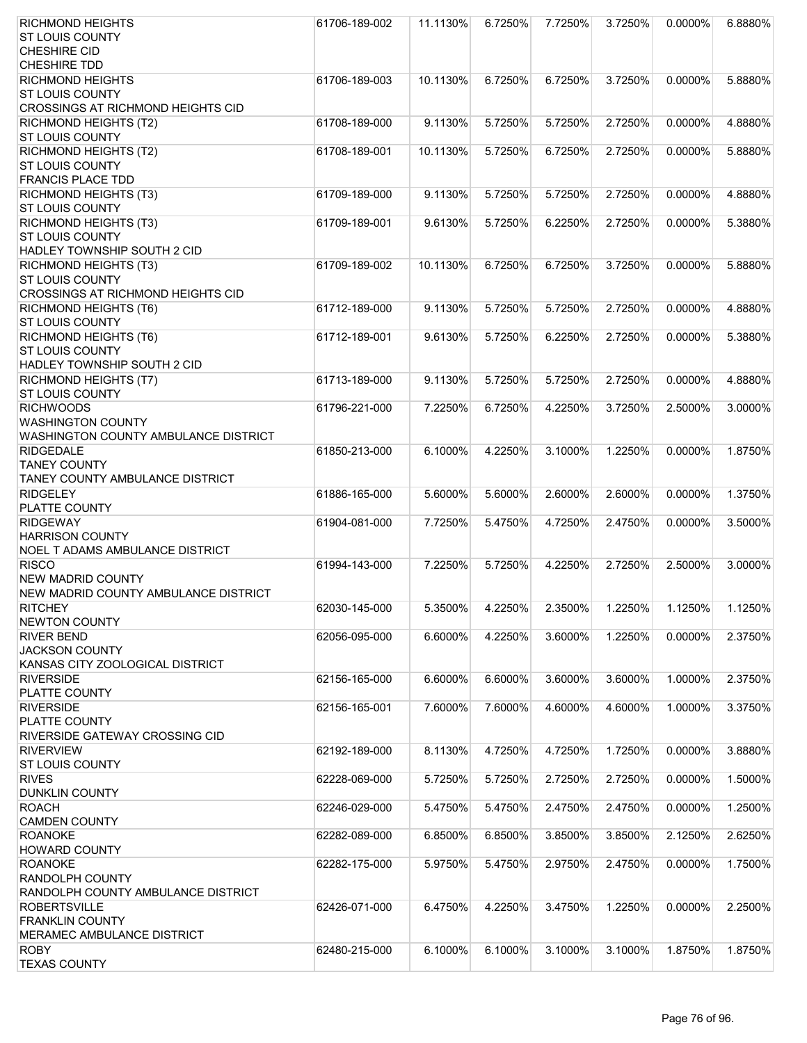| <b>RICHMOND HEIGHTS</b>                  | 61706-189-002 | 11.1130% | 6.7250% | 7.7250% | 3.7250% | 0.0000% | 6.8880% |
|------------------------------------------|---------------|----------|---------|---------|---------|---------|---------|
| <b>ST LOUIS COUNTY</b>                   |               |          |         |         |         |         |         |
| CHESHIRE CID                             |               |          |         |         |         |         |         |
| <b>CHESHIRE TDD</b>                      |               |          |         |         |         |         |         |
| <b>RICHMOND HEIGHTS</b>                  | 61706-189-003 | 10.1130% | 6.7250% | 6.7250% | 3.7250% | 0.0000% | 5.8880% |
| <b>ST LOUIS COUNTY</b>                   |               |          |         |         |         |         |         |
| <b>CROSSINGS AT RICHMOND HEIGHTS CID</b> |               |          |         |         |         |         |         |
| RICHMOND HEIGHTS (T2)                    | 61708-189-000 | 9.1130%  | 5.7250% | 5.7250% | 2.7250% | 0.0000% | 4.8880% |
| <b>ST LOUIS COUNTY</b>                   |               |          |         |         |         |         |         |
| RICHMOND HEIGHTS (T2)                    | 61708-189-001 | 10.1130% | 5.7250% | 6.7250% | 2.7250% | 0.0000% | 5.8880% |
| <b>ST LOUIS COUNTY</b>                   |               |          |         |         |         |         |         |
| <b>FRANCIS PLACE TDD</b>                 |               |          |         |         |         |         |         |
| RICHMOND HEIGHTS (T3)                    | 61709-189-000 | 9.1130%  | 5.7250% | 5.7250% | 2.7250% | 0.0000% | 4.8880% |
| <b>ST LOUIS COUNTY</b>                   |               |          |         |         |         |         |         |
| RICHMOND HEIGHTS (T3)                    | 61709-189-001 | 9.6130%  | 5.7250% | 6.2250% | 2.7250% | 0.0000% | 5.3880% |
| <b>ST LOUIS COUNTY</b>                   |               |          |         |         |         |         |         |
| HADLEY TOWNSHIP SOUTH 2 CID              |               |          |         |         |         |         |         |
| RICHMOND HEIGHTS (T3)                    | 61709-189-002 | 10.1130% | 6.7250% | 6.7250% | 3.7250% | 0.0000% | 5.8880% |
| <b>ST LOUIS COUNTY</b>                   |               |          |         |         |         |         |         |
|                                          |               |          |         |         |         |         |         |
| <b>CROSSINGS AT RICHMOND HEIGHTS CID</b> |               |          |         |         |         |         |         |
| RICHMOND HEIGHTS (T6)                    | 61712-189-000 | 9.1130%  | 5.7250% | 5.7250% | 2.7250% | 0.0000% | 4.8880% |
| ST LOUIS COUNTY                          |               |          |         |         |         |         |         |
| RICHMOND HEIGHTS (T6)                    | 61712-189-001 | 9.6130%  | 5.7250% | 6.2250% | 2.7250% | 0.0000% | 5.3880% |
| <b>ST LOUIS COUNTY</b>                   |               |          |         |         |         |         |         |
| HADLEY TOWNSHIP SOUTH 2 CID              |               |          |         |         |         |         |         |
| RICHMOND HEIGHTS (T7)                    | 61713-189-000 | 9.1130%  | 5.7250% | 5.7250% | 2.7250% | 0.0000% | 4.8880% |
| ST LOUIS COUNTY                          |               |          |         |         |         |         |         |
| <b>RICHWOODS</b>                         | 61796-221-000 | 7.2250%  | 6.7250% | 4.2250% | 3.7250% | 2.5000% | 3.0000% |
| <b>WASHINGTON COUNTY</b>                 |               |          |         |         |         |         |         |
| WASHINGTON COUNTY AMBULANCE DISTRICT     |               |          |         |         |         |         |         |
| <b>RIDGEDALE</b>                         | 61850-213-000 | 6.1000%  | 4.2250% | 3.1000% | 1.2250% | 0.0000% | 1.8750% |
| <b>TANEY COUNTY</b>                      |               |          |         |         |         |         |         |
| <b>TANEY COUNTY AMBULANCE DISTRICT</b>   |               |          |         |         |         |         |         |
| <b>RIDGELEY</b>                          | 61886-165-000 | 5.6000%  | 5.6000% | 2.6000% | 2.6000% | 0.0000% | 1.3750% |
| PLATTE COUNTY                            |               |          |         |         |         |         |         |
| <b>RIDGEWAY</b>                          | 61904-081-000 | 7.7250%  | 5.4750% | 4.7250% | 2.4750% | 0.0000% | 3.5000% |
| <b>HARRISON COUNTY</b>                   |               |          |         |         |         |         |         |
| NOEL T ADAMS AMBULANCE DISTRICT          |               |          |         |         |         |         |         |
| <b>RISCO</b>                             | 61994-143-000 | 7.2250%  | 5.7250% | 4.2250% | 2.7250% | 2.5000% | 3.0000% |
| <b>NEW MADRID COUNTY</b>                 |               |          |         |         |         |         |         |
| NEW MADRID COUNTY AMBULANCE DISTRICT     |               |          |         |         |         |         |         |
| <b>RITCHEY</b>                           | 62030-145-000 | 5.3500%  | 4.2250% | 2.3500% | 1.2250% | 1.1250% | 1.1250% |
| <b>NEWTON COUNTY</b>                     |               |          |         |         |         |         |         |
| RIVER BEND                               | 62056-095-000 | 6.6000%  | 4.2250% | 3.6000% | 1.2250% | 0.0000% | 2.3750% |
| <b>JACKSON COUNTY</b>                    |               |          |         |         |         |         |         |
| KANSAS CITY ZOOLOGICAL DISTRICT          |               |          |         |         |         |         |         |
| <b>RIVERSIDE</b>                         | 62156-165-000 | 6.6000%  | 6.6000% | 3.6000% | 3.6000% | 1.0000% | 2.3750% |
| PLATTE COUNTY                            |               |          |         |         |         |         |         |
| <b>RIVERSIDE</b>                         | 62156-165-001 | 7.6000%  | 7.6000% | 4.6000% | 4.6000% | 1.0000% | 3.3750% |
| PLATTE COUNTY                            |               |          |         |         |         |         |         |
| RIVERSIDE GATEWAY CROSSING CID           |               |          |         |         |         |         |         |
| <b>RIVERVIEW</b>                         | 62192-189-000 | 8.1130%  | 4.7250% | 4.7250% | 1.7250% | 0.0000% | 3.8880% |
| <b>ST LOUIS COUNTY</b>                   |               |          |         |         |         |         |         |
| <b>RIVES</b>                             | 62228-069-000 | 5.7250%  | 5.7250% | 2.7250% | 2.7250% | 0.0000% | 1.5000% |
| <b>DUNKLIN COUNTY</b>                    |               |          |         |         |         |         |         |
| <b>ROACH</b>                             | 62246-029-000 | 5.4750%  | 5.4750% | 2.4750% | 2.4750% | 0.0000% | 1.2500% |
| <b>CAMDEN COUNTY</b>                     |               |          |         |         |         |         |         |
| <b>ROANOKE</b>                           | 62282-089-000 | 6.8500%  | 6.8500% | 3.8500% | 3.8500% | 2.1250% | 2.6250% |
| <b>HOWARD COUNTY</b>                     |               |          |         |         |         |         |         |
| <b>ROANOKE</b>                           | 62282-175-000 | 5.9750%  | 5.4750% | 2.9750% | 2.4750% | 0.0000% | 1.7500% |
| <b>RANDOLPH COUNTY</b>                   |               |          |         |         |         |         |         |
| RANDOLPH COUNTY AMBULANCE DISTRICT       |               |          |         |         |         |         |         |
| <b>ROBERTSVILLE</b>                      | 62426-071-000 | 6.4750%  | 4.2250% | 3.4750% | 1.2250% | 0.0000% | 2.2500% |
| <b>FRANKLIN COUNTY</b>                   |               |          |         |         |         |         |         |
| <b>MERAMEC AMBULANCE DISTRICT</b>        |               |          |         |         |         |         |         |
| <b>ROBY</b>                              | 62480-215-000 | 6.1000%  | 6.1000% | 3.1000% | 3.1000% | 1.8750% | 1.8750% |
| <b>TEXAS COUNTY</b>                      |               |          |         |         |         |         |         |
|                                          |               |          |         |         |         |         |         |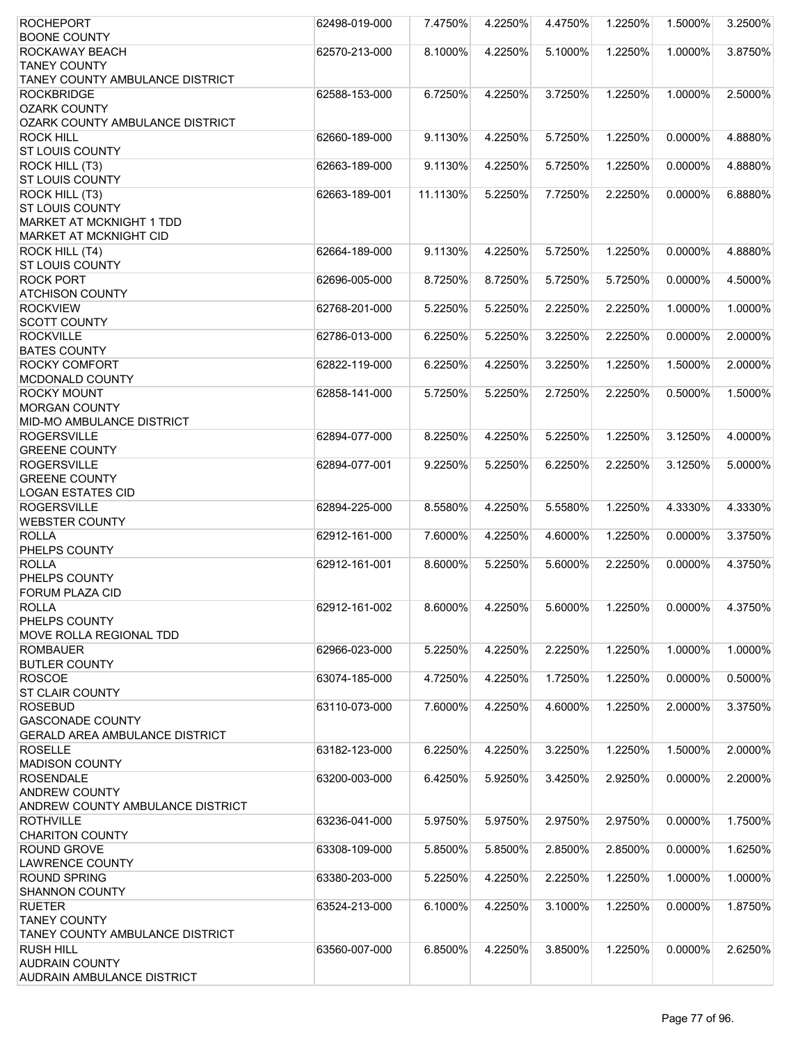| <b>ROCHEPORT</b>                                                 | 62498-019-000 | 7.4750%  | 4.2250% | 4.4750% | 1.2250% | 1.5000%    | 3.2500% |
|------------------------------------------------------------------|---------------|----------|---------|---------|---------|------------|---------|
| <b>BOONE COUNTY</b>                                              |               |          |         |         |         |            |         |
| ROCKAWAY BEACH                                                   | 62570-213-000 | 8.1000%  | 4.2250% | 5.1000% | 1.2250% | 1.0000%    | 3.8750% |
| <b>TANEY COUNTY</b>                                              |               |          |         |         |         |            |         |
| TANEY COUNTY AMBULANCE DISTRICT<br><b>ROCKBRIDGE</b>             | 62588-153-000 | 6.7250%  | 4.2250% | 3.7250% | 1.2250% | 1.0000%    | 2.5000% |
| <b>OZARK COUNTY</b>                                              |               |          |         |         |         |            |         |
| OZARK COUNTY AMBULANCE DISTRICT                                  |               |          |         |         |         |            |         |
| <b>ROCK HILL</b>                                                 | 62660-189-000 | 9.1130%  | 4.2250% | 5.7250% | 1.2250% | 0.0000%    | 4.8880% |
| <b>ST LOUIS COUNTY</b>                                           |               |          |         |         |         |            |         |
| ROCK HILL (T3)                                                   | 62663-189-000 | 9.1130%  | 4.2250% | 5.7250% | 1.2250% | 0.0000%    | 4.8880% |
| <b>ST LOUIS COUNTY</b>                                           |               |          |         |         |         |            |         |
| ROCK HILL (T3)                                                   | 62663-189-001 | 11.1130% | 5.2250% | 7.7250% | 2.2250% | 0.0000%    | 6.8880% |
| <b>ST LOUIS COUNTY</b>                                           |               |          |         |         |         |            |         |
| <b>MARKET AT MCKNIGHT 1 TDD</b>                                  |               |          |         |         |         |            |         |
| <b>MARKET AT MCKNIGHT CID</b><br>ROCK HILL (T4)                  | 62664-189-000 | 9.1130%  | 4.2250% | 5.7250% | 1.2250% | $0.0000\%$ | 4.8880% |
| <b>ST LOUIS COUNTY</b>                                           |               |          |         |         |         |            |         |
| <b>ROCK PORT</b>                                                 | 62696-005-000 | 8.7250%  | 8.7250% | 5.7250% | 5.7250% | 0.0000%    | 4.5000% |
| <b>ATCHISON COUNTY</b>                                           |               |          |         |         |         |            |         |
| <b>ROCKVIEW</b>                                                  | 62768-201-000 | 5.2250%  | 5.2250% | 2.2250% | 2.2250% | 1.0000%    | 1.0000% |
| <b>SCOTT COUNTY</b>                                              |               |          |         |         |         |            |         |
| <b>ROCKVILLE</b>                                                 | 62786-013-000 | 6.2250%  | 5.2250% | 3.2250% | 2.2250% | 0.0000%    | 2.0000% |
| <b>BATES COUNTY</b>                                              |               |          |         |         |         |            |         |
| <b>ROCKY COMFORT</b>                                             | 62822-119-000 | 6.2250%  | 4.2250% | 3.2250% | 1.2250% | 1.5000%    | 2.0000% |
| MCDONALD COUNTY                                                  |               |          |         |         |         |            |         |
| <b>ROCKY MOUNT</b>                                               | 62858-141-000 | 5.7250%  | 5.2250% | 2.7250% | 2.2250% | 0.5000%    | 1.5000% |
| <b>MORGAN COUNTY</b><br>MID-MO AMBULANCE DISTRICT                |               |          |         |         |         |            |         |
| <b>ROGERSVILLE</b>                                               | 62894-077-000 | 8.2250%  | 4.2250% | 5.2250% | 1.2250% | 3.1250%    | 4.0000% |
| <b>GREENE COUNTY</b>                                             |               |          |         |         |         |            |         |
| <b>ROGERSVILLE</b>                                               | 62894-077-001 | 9.2250%  | 5.2250% | 6.2250% | 2.2250% | 3.1250%    | 5.0000% |
| <b>GREENE COUNTY</b>                                             |               |          |         |         |         |            |         |
| <b>LOGAN ESTATES CID</b>                                         |               |          |         |         |         |            |         |
| <b>ROGERSVILLE</b>                                               | 62894-225-000 | 8.5580%  | 4.2250% | 5.5580% | 1.2250% | 4.3330%    | 4.3330% |
| <b>WEBSTER COUNTY</b>                                            |               |          |         |         |         |            |         |
| <b>ROLLA</b>                                                     | 62912-161-000 | 7.6000%  | 4.2250% | 4.6000% | 1.2250% | 0.0000%    | 3.3750% |
| PHELPS COUNTY                                                    |               |          |         |         |         |            |         |
| <b>ROLLA</b><br>PHELPS COUNTY                                    | 62912-161-001 | 8.6000%  | 5.2250% | 5.6000% | 2.2250% | $0.0000\%$ | 4.3750% |
| <b>FORUM PLAZA CID</b>                                           |               |          |         |         |         |            |         |
| <b>ROLLA</b>                                                     | 62912-161-002 | 8.6000%  | 4.2250% | 5.6000% | 1.2250% | 0.0000%    | 4.3750% |
| PHELPS COUNTY                                                    |               |          |         |         |         |            |         |
| MOVE ROLLA REGIONAL TDD                                          |               |          |         |         |         |            |         |
| <b>ROMBAUER</b>                                                  | 62966-023-000 | 5.2250%  | 4.2250% | 2.2250% | 1.2250% | 1.0000%    | 1.0000% |
| <b>BUTLER COUNTY</b>                                             |               |          |         |         |         |            |         |
| <b>ROSCOE</b>                                                    | 63074-185-000 | 4.7250%  | 4.2250% | 1.7250% | 1.2250% | 0.0000%    | 0.5000% |
| <b>ST CLAIR COUNTY</b>                                           |               |          |         |         |         |            |         |
| <b>ROSEBUD</b>                                                   | 63110-073-000 | 7.6000%  | 4.2250% | 4.6000% | 1.2250% | 2.0000%    | 3.3750% |
| <b>GASCONADE COUNTY</b><br><b>GERALD AREA AMBULANCE DISTRICT</b> |               |          |         |         |         |            |         |
| <b>ROSELLE</b>                                                   | 63182-123-000 | 6.2250%  | 4.2250% | 3.2250% | 1.2250% | 1.5000%    | 2.0000% |
| <b>MADISON COUNTY</b>                                            |               |          |         |         |         |            |         |
| <b>ROSENDALE</b>                                                 | 63200-003-000 | 6.4250%  | 5.9250% | 3.4250% | 2.9250% | 0.0000%    | 2.2000% |
| <b>ANDREW COUNTY</b>                                             |               |          |         |         |         |            |         |
| ANDREW COUNTY AMBULANCE DISTRICT                                 |               |          |         |         |         |            |         |
| <b>ROTHVILLE</b>                                                 | 63236-041-000 | 5.9750%  | 5.9750% | 2.9750% | 2.9750% | 0.0000%    | 1.7500% |
| <b>CHARITON COUNTY</b>                                           |               |          |         |         |         |            |         |
| ROUND GROVE                                                      | 63308-109-000 | 5.8500%  | 5.8500% | 2.8500% | 2.8500% | 0.0000%    | 1.6250% |
| <b>LAWRENCE COUNTY</b>                                           |               |          |         |         |         |            |         |
| <b>ROUND SPRING</b>                                              | 63380-203-000 | 5.2250%  | 4.2250% | 2.2250% | 1.2250% | 1.0000%    | 1.0000% |
| <b>SHANNON COUNTY</b><br><b>RUETER</b>                           | 63524-213-000 | 6.1000%  | 4.2250% | 3.1000% | 1.2250% | 0.0000%    | 1.8750% |
| <b>TANEY COUNTY</b>                                              |               |          |         |         |         |            |         |
| TANEY COUNTY AMBULANCE DISTRICT                                  |               |          |         |         |         |            |         |
| <b>RUSH HILL</b>                                                 | 63560-007-000 | 6.8500%  | 4.2250% | 3.8500% | 1.2250% | 0.0000%    | 2.6250% |
| <b>AUDRAIN COUNTY</b>                                            |               |          |         |         |         |            |         |
| <b>AUDRAIN AMBULANCE DISTRICT</b>                                |               |          |         |         |         |            |         |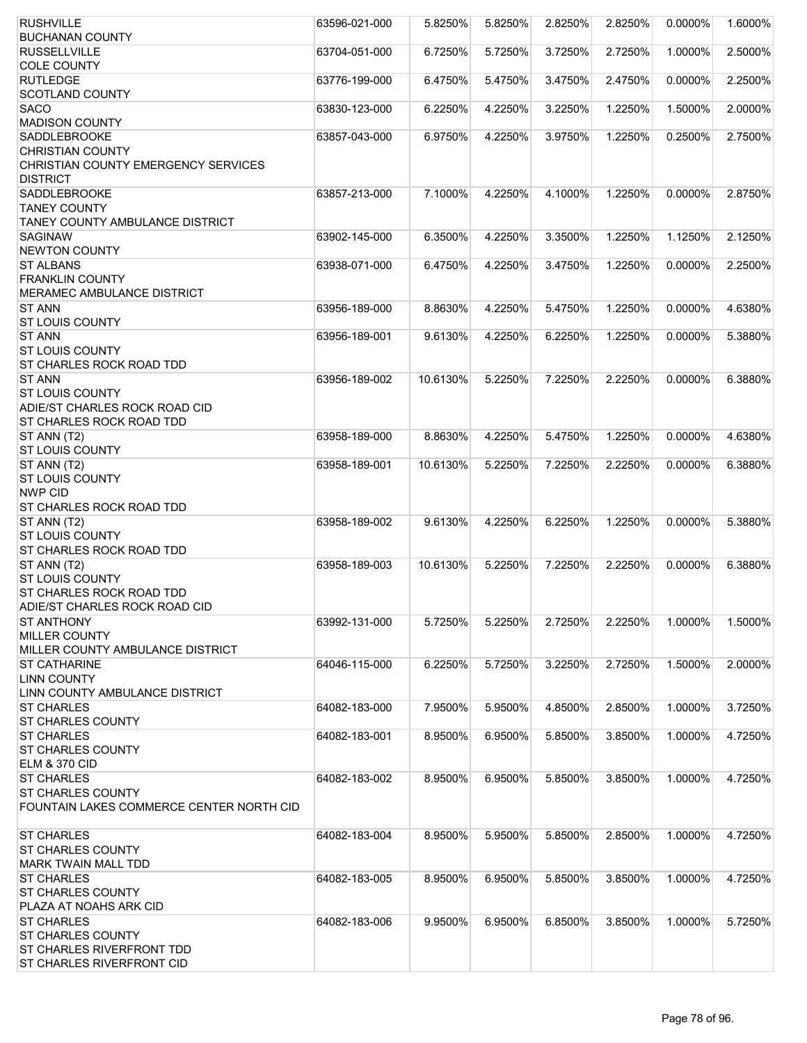| <b>RUSHVILLE</b>                               | 63596-021-000 | 5.8250%  | 5.8250% | 2.8250% | 2.8250% | 0.0000%    | 1.6000% |
|------------------------------------------------|---------------|----------|---------|---------|---------|------------|---------|
| <b>BUCHANAN COUNTY</b>                         |               |          |         |         |         |            |         |
| <b>RUSSELLVILLE</b>                            | 63704-051-000 | 6.7250%  | 5.7250% | 3.7250% | 2.7250% | 1.0000%    | 2.5000% |
| <b>COLE COUNTY</b>                             |               |          |         |         |         |            |         |
| <b>RUTLEDGE</b>                                | 63776-199-000 | 6.4750%  | 5.4750% | 3.4750% | 2.4750% | 0.0000%    | 2.2500% |
| <b>SCOTLAND COUNTY</b>                         |               |          |         |         |         |            |         |
| <b>SACO</b>                                    | 63830-123-000 | 6.2250%  | 4.2250% | 3.2250% | 1.2250% | 1.5000%    | 2.0000% |
| <b>MADISON COUNTY</b>                          |               |          |         |         | 1.2250% | 0.2500%    | 2.7500% |
| <b>SADDLEBROOKE</b><br><b>CHRISTIAN COUNTY</b> | 63857-043-000 | 6.9750%  | 4.2250% | 3.9750% |         |            |         |
| CHRISTIAN COUNTY EMERGENCY SERVICES            |               |          |         |         |         |            |         |
| <b>DISTRICT</b>                                |               |          |         |         |         |            |         |
| <b>SADDLEBROOKE</b>                            | 63857-213-000 | 7.1000%  | 4.2250% | 4.1000% | 1.2250% | 0.0000%    | 2.8750% |
| <b>TANEY COUNTY</b>                            |               |          |         |         |         |            |         |
| <b>TANEY COUNTY AMBULANCE DISTRICT</b>         |               |          |         |         |         |            |         |
| <b>SAGINAW</b>                                 | 63902-145-000 | 6.3500%  | 4.2250% | 3.3500% | 1.2250% | 1.1250%    | 2.1250% |
| NEWTON COUNTY                                  |               |          |         |         |         |            |         |
| <b>ST ALBANS</b>                               | 63938-071-000 | 6.4750%  | 4.2250% | 3.4750% | 1.2250% | 0.0000%    | 2.2500% |
| <b>FRANKLIN COUNTY</b>                         |               |          |         |         |         |            |         |
| MERAMEC AMBULANCE DISTRICT                     |               |          |         |         |         |            |         |
| <b>ST ANN</b>                                  | 63956-189-000 | 8.8630%  | 4.2250% | 5.4750% | 1.2250% | 0.0000%    | 4.6380% |
| <b>ST LOUIS COUNTY</b>                         |               |          |         |         |         |            |         |
| <b>ST ANN</b>                                  | 63956-189-001 | 9.6130%  | 4.2250% | 6.2250% | 1.2250% | 0.0000%    | 5.3880% |
| <b>ST LOUIS COUNTY</b>                         |               |          |         |         |         |            |         |
| ST CHARLES ROCK ROAD TDD                       |               |          |         |         |         |            |         |
| <b>ST ANN</b>                                  | 63956-189-002 | 10.6130% | 5.2250% | 7.2250% | 2.2250% | $0.0000\%$ | 6.3880% |
| <b>ST LOUIS COUNTY</b>                         |               |          |         |         |         |            |         |
| ADIE/ST CHARLES ROCK ROAD CID                  |               |          |         |         |         |            |         |
| <b>ST CHARLES ROCK ROAD TDD</b>                |               |          |         |         |         |            |         |
| ST ANN(T2)                                     | 63958-189-000 | 8.8630%  | 4.2250% | 5.4750% | 1.2250% | 0.0000%    | 4.6380% |
| <b>ST LOUIS COUNTY</b>                         | 63958-189-001 | 10.6130% | 5.2250% | 7.2250% | 2.2250% | 0.0000%    | 6.3880% |
| ST ANN (T2)<br><b>ST LOUIS COUNTY</b>          |               |          |         |         |         |            |         |
| <b>NWP CID</b>                                 |               |          |         |         |         |            |         |
| <b>ST CHARLES ROCK ROAD TDD</b>                |               |          |         |         |         |            |         |
| ST ANN (T2)                                    | 63958-189-002 | 9.6130%  | 4.2250% | 6.2250% | 1.2250% | $0.0000\%$ | 5.3880% |
| <b>ST LOUIS COUNTY</b>                         |               |          |         |         |         |            |         |
| ST CHARLES ROCK ROAD TDD                       |               |          |         |         |         |            |         |
| ST ANN (T2)                                    | 63958-189-003 | 10.6130% | 5.2250% | 7.2250% | 2.2250% | $0.0000\%$ | 6.3880% |
| ST LOUIS COUNTY                                |               |          |         |         |         |            |         |
| ST CHARLES ROCK ROAD TDD                       |               |          |         |         |         |            |         |
| ADIE/ST CHARLES ROCK ROAD CID                  |               |          |         |         |         |            |         |
| <b>ST ANTHONY</b>                              | 63992-131-000 | 5.7250%  | 5.2250% | 2.7250% | 2.2250% | 1.0000%    | 1.5000% |
| <b>MILLER COUNTY</b>                           |               |          |         |         |         |            |         |
| MILLER COUNTY AMBULANCE DISTRICT               |               |          |         |         |         |            |         |
| <b>ST CATHARINE</b>                            | 64046-115-000 | 6.2250%  | 5.7250% | 3.2250% | 2.7250% | 1.5000%    | 2.0000% |
| <b>LINN COUNTY</b>                             |               |          |         |         |         |            |         |
| LINN COUNTY AMBULANCE DISTRICT                 |               |          |         |         |         |            |         |
| <b>ST CHARLES</b>                              | 64082-183-000 | 7.9500%  | 5.9500% | 4.8500% | 2.8500% | 1.0000%    | 3.7250% |
| <b>ST CHARLES COUNTY</b>                       |               |          |         |         |         |            |         |
| <b>ST CHARLES</b><br><b>ST CHARLES COUNTY</b>  | 64082-183-001 | 8.9500%  | 6.9500% | 5.8500% | 3.8500% | 1.0000%    | 4.7250% |
| <b>ELM &amp; 370 CID</b>                       |               |          |         |         |         |            |         |
| <b>ST CHARLES</b>                              | 64082-183-002 | 8.9500%  | 6.9500% | 5.8500% | 3.8500% | 1.0000%    | 4.7250% |
| <b>ST CHARLES COUNTY</b>                       |               |          |         |         |         |            |         |
| FOUNTAIN LAKES COMMERCE CENTER NORTH CID       |               |          |         |         |         |            |         |
|                                                |               |          |         |         |         |            |         |
| <b>ST CHARLES</b>                              | 64082-183-004 | 8.9500%  | 5.9500% | 5.8500% | 2.8500% | 1.0000%    | 4.7250% |
| <b>ST CHARLES COUNTY</b>                       |               |          |         |         |         |            |         |
| <b>MARK TWAIN MALL TDD</b>                     |               |          |         |         |         |            |         |
| <b>ST CHARLES</b>                              | 64082-183-005 | 8.9500%  | 6.9500% | 5.8500% | 3.8500% | 1.0000%    | 4.7250% |
| <b>ST CHARLES COUNTY</b>                       |               |          |         |         |         |            |         |
| PLAZA AT NOAHS ARK CID                         |               |          |         |         |         |            |         |
| <b>ST CHARLES</b>                              | 64082-183-006 | 9.9500%  | 6.9500% | 6.8500% | 3.8500% | 1.0000%    | 5.7250% |
| <b>ST CHARLES COUNTY</b>                       |               |          |         |         |         |            |         |
| ST CHARLES RIVERFRONT TDD                      |               |          |         |         |         |            |         |
| ST CHARLES RIVERFRONT CID                      |               |          |         |         |         |            |         |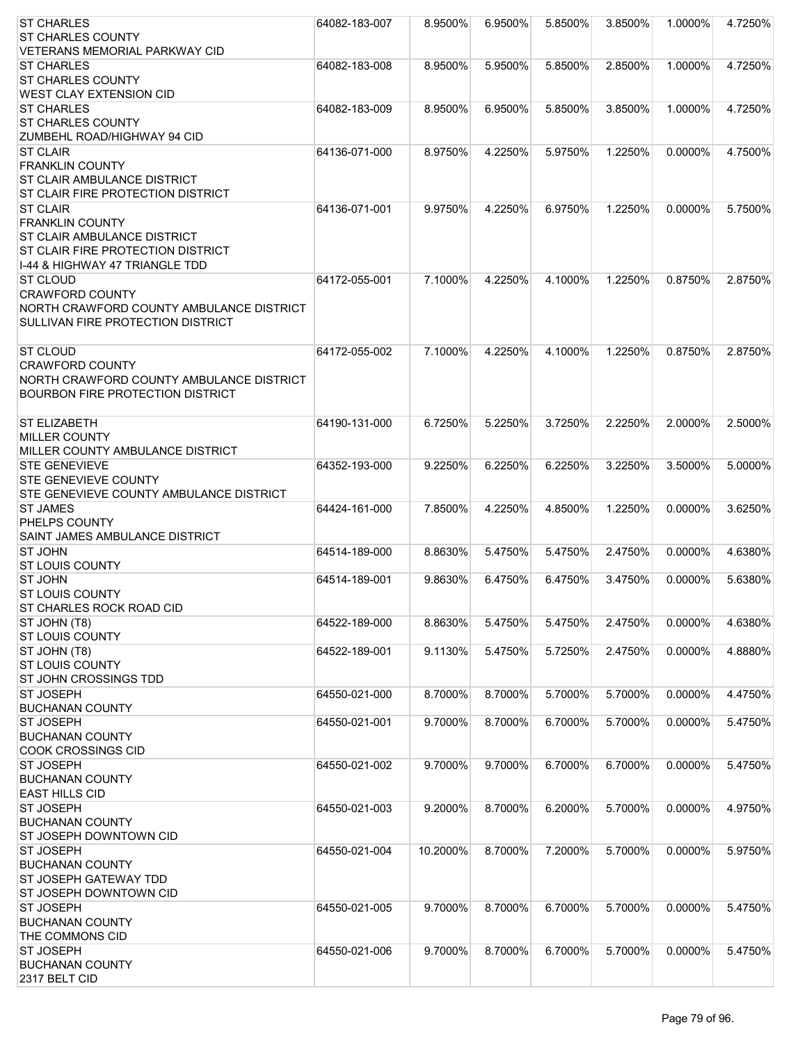| <b>ST CHARLES</b>                        | 64082-183-007 | 8.9500%  | 6.9500% | 5.8500% | 3.8500% | 1.0000%    | 4.7250% |
|------------------------------------------|---------------|----------|---------|---------|---------|------------|---------|
| <b>ST CHARLES COUNTY</b>                 |               |          |         |         |         |            |         |
| <b>VETERANS MEMORIAL PARKWAY CID</b>     |               |          |         |         |         |            |         |
| <b>ST CHARLES</b>                        | 64082-183-008 | 8.9500%  | 5.9500% | 5.8500% | 2.8500% | 1.0000%    | 4.7250% |
| <b>ST CHARLES COUNTY</b>                 |               |          |         |         |         |            |         |
| <b>WEST CLAY EXTENSION CID</b>           |               |          |         |         |         |            |         |
| <b>ST CHARLES</b>                        | 64082-183-009 | 8.9500%  | 6.9500% | 5.8500% | 3.8500% | 1.0000%    | 4.7250% |
| <b>ST CHARLES COUNTY</b>                 |               |          |         |         |         |            |         |
| ZUMBEHL ROAD/HIGHWAY 94 CID              |               |          |         |         |         |            |         |
| <b>ST CLAIR</b>                          | 64136-071-000 | 8.9750%  | 4.2250% | 5.9750% | 1.2250% | 0.0000%    | 4.7500% |
| <b>FRANKLIN COUNTY</b>                   |               |          |         |         |         |            |         |
| <b>ST CLAIR AMBULANCE DISTRICT</b>       |               |          |         |         |         |            |         |
| ST CLAIR FIRE PROTECTION DISTRICT        |               |          |         |         |         |            |         |
| <b>ST CLAIR</b>                          | 64136-071-001 | 9.9750%  | 4.2250% | 6.9750% | 1.2250% | 0.0000%    | 5.7500% |
| <b>FRANKLIN COUNTY</b>                   |               |          |         |         |         |            |         |
| <b>ST CLAIR AMBULANCE DISTRICT</b>       |               |          |         |         |         |            |         |
| <b>ST CLAIR FIRE PROTECTION DISTRICT</b> |               |          |         |         |         |            |         |
| 1-44 & HIGHWAY 47 TRIANGLE TDD           |               |          |         |         |         |            |         |
| <b>ST CLOUD</b>                          | 64172-055-001 | 7.1000%  | 4.2250% | 4.1000% | 1.2250% | 0.8750%    | 2.8750% |
| <b>CRAWFORD COUNTY</b>                   |               |          |         |         |         |            |         |
| NORTH CRAWFORD COUNTY AMBULANCE DISTRICT |               |          |         |         |         |            |         |
| <b>SULLIVAN FIRE PROTECTION DISTRICT</b> |               |          |         |         |         |            |         |
|                                          |               |          |         |         |         |            |         |
| <b>ST CLOUD</b>                          | 64172-055-002 | 7.1000%  | 4.2250% | 4.1000% | 1.2250% | 0.8750%    | 2.8750% |
| <b>CRAWFORD COUNTY</b>                   |               |          |         |         |         |            |         |
| NORTH CRAWFORD COUNTY AMBULANCE DISTRICT |               |          |         |         |         |            |         |
| <b>BOURBON FIRE PROTECTION DISTRICT</b>  |               |          |         |         |         |            |         |
|                                          |               |          |         |         |         |            |         |
| <b>ST ELIZABETH</b>                      | 64190-131-000 | 6.7250%  | 5.2250% | 3.7250% | 2.2250% | 2.0000%    | 2.5000% |
| <b>MILLER COUNTY</b>                     |               |          |         |         |         |            |         |
| MILLER COUNTY AMBULANCE DISTRICT         |               |          |         |         |         |            |         |
| <b>STE GENEVIEVE</b>                     | 64352-193-000 | 9.2250%  | 6.2250% | 6.2250% | 3.2250% | 3.5000%    | 5.0000% |
| <b>STE GENEVIEVE COUNTY</b>              |               |          |         |         |         |            |         |
| STE GENEVIEVE COUNTY AMBULANCE DISTRICT  |               |          |         |         |         |            |         |
| <b>ST JAMES</b>                          | 64424-161-000 | 7.8500%  | 4.2250% | 4.8500% | 1.2250% | $0.0000\%$ | 3.6250% |
| PHELPS COUNTY                            |               |          |         |         |         |            |         |
| <b>SAINT JAMES AMBULANCE DISTRICT</b>    |               |          |         |         |         |            |         |
| <b>ST JOHN</b>                           | 64514-189-000 | 8.8630%  | 5.4750% | 5.4750% | 2.4750% | 0.0000%    | 4.6380% |
| <b>ST LOUIS COUNTY</b>                   |               |          |         |         |         |            |         |
| <b>ST JOHN</b>                           | 64514-189-001 | 9.8630%  | 6.4750% | 6.4750% | 3.4750% | $0.0000\%$ | 5.6380% |
| <b>ST LOUIS COUNTY</b>                   |               |          |         |         |         |            |         |
| <b>ST CHARLES ROCK ROAD CID</b>          |               |          |         |         |         |            |         |
| ST JOHN (T8)                             | 64522-189-000 | 8.8630%  | 5.4750% | 5.4750% | 2.4750% | 0.0000%    | 4.6380% |
| <b>ST LOUIS COUNTY</b>                   |               |          |         |         |         |            |         |
| ST JOHN (T8)                             | 64522-189-001 | 9.1130%  | 5.4750% | 5.7250% | 2.4750% | 0.0000%    | 4.8880% |
| <b>ST LOUIS COUNTY</b>                   |               |          |         |         |         |            |         |
| <b>ST JOHN CROSSINGS TDD</b>             |               |          |         |         |         |            |         |
| <b>ST JOSEPH</b>                         | 64550-021-000 | 8.7000%  | 8.7000% | 5.7000% | 5.7000% | $0.0000\%$ | 4.4750% |
| <b>BUCHANAN COUNTY</b>                   |               |          |         |         |         |            |         |
| <b>ST JOSEPH</b>                         | 64550-021-001 | 9.7000%  | 8.7000% | 6.7000% | 5.7000% | 0.0000%    | 5.4750% |
| <b>BUCHANAN COUNTY</b>                   |               |          |         |         |         |            |         |
| <b>COOK CROSSINGS CID</b>                |               |          |         |         |         |            |         |
| <b>ST JOSEPH</b>                         | 64550-021-002 | 9.7000%  | 9.7000% | 6.7000% | 6.7000% | 0.0000%    | 5.4750% |
| <b>BUCHANAN COUNTY</b>                   |               |          |         |         |         |            |         |
| <b>EAST HILLS CID</b>                    |               |          |         |         |         |            |         |
| <b>ST JOSEPH</b>                         | 64550-021-003 | 9.2000%  | 8.7000% | 6.2000% | 5.7000% | 0.0000%    | 4.9750% |
| <b>BUCHANAN COUNTY</b>                   |               |          |         |         |         |            |         |
| ST JOSEPH DOWNTOWN CID                   |               |          |         |         |         |            |         |
| <b>ST JOSEPH</b>                         | 64550-021-004 | 10.2000% | 8.7000% | 7.2000% | 5.7000% | 0.0000%    | 5.9750% |
| <b>BUCHANAN COUNTY</b>                   |               |          |         |         |         |            |         |
| <b>ST JOSEPH GATEWAY TDD</b>             |               |          |         |         |         |            |         |
| ST JOSEPH DOWNTOWN CID                   |               |          |         |         |         |            |         |
| <b>ST JOSEPH</b>                         | 64550-021-005 | 9.7000%  | 8.7000% | 6.7000% | 5.7000% | 0.0000%    | 5.4750% |
| <b>BUCHANAN COUNTY</b>                   |               |          |         |         |         |            |         |
| THE COMMONS CID                          |               |          |         |         |         |            |         |
| <b>ST JOSEPH</b>                         | 64550-021-006 | 9.7000%  | 8.7000% | 6.7000% | 5.7000% | 0.0000%    | 5.4750% |
| <b>BUCHANAN COUNTY</b>                   |               |          |         |         |         |            |         |
| 2317 BELT CID                            |               |          |         |         |         |            |         |
|                                          |               |          |         |         |         |            |         |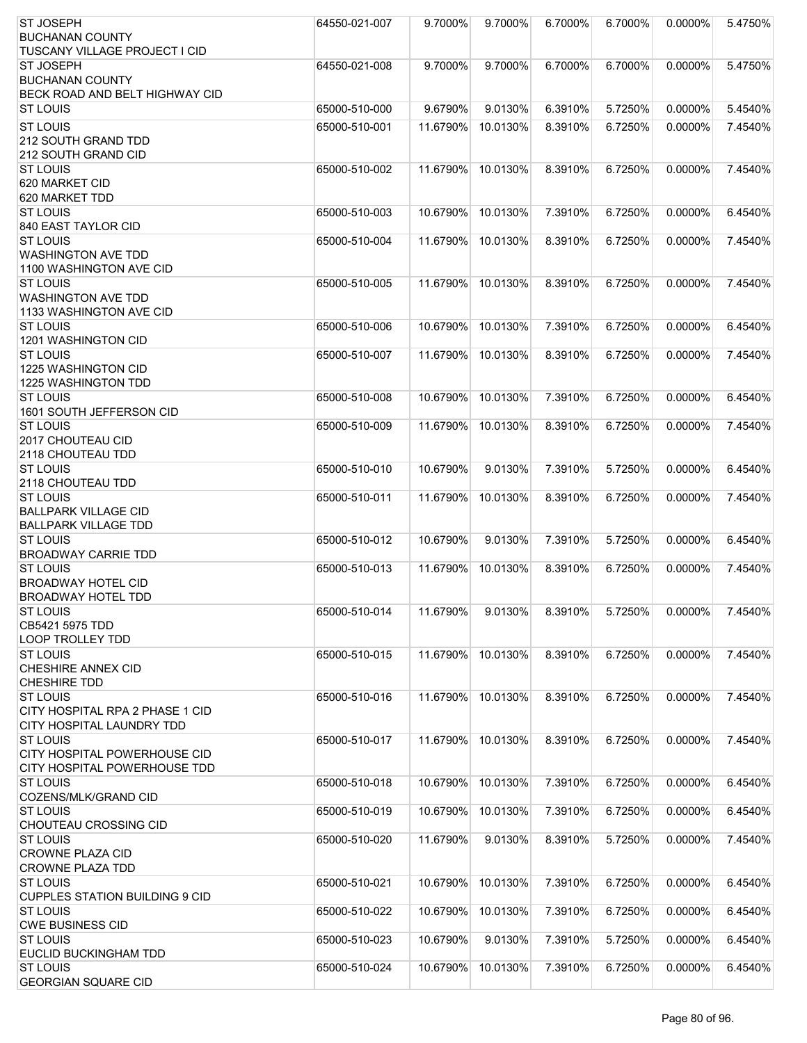| ST JOSEPH                                            | 64550-021-007 | 9.7000%  | 9.7000%  | 6.7000% | 6.7000% | 0.0000%    | 5.4750% |
|------------------------------------------------------|---------------|----------|----------|---------|---------|------------|---------|
| <b>BUCHANAN COUNTY</b>                               |               |          |          |         |         |            |         |
| <b>TUSCANY VILLAGE PROJECT I CID</b>                 |               |          |          |         |         |            |         |
| <b>ST JOSEPH</b><br><b>BUCHANAN COUNTY</b>           | 64550-021-008 | 9.7000%  | 9.7000%  | 6.7000% | 6.7000% | 0.0000%    | 5.4750% |
| BECK ROAD AND BELT HIGHWAY CID                       |               |          |          |         |         |            |         |
| <b>ST LOUIS</b>                                      | 65000-510-000 | 9.6790%  | 9.0130%  | 6.3910% | 5.7250% | 0.0000%    | 5.4540% |
| <b>ST LOUIS</b>                                      | 65000-510-001 | 11.6790% | 10.0130% | 8.3910% | 6.7250% | 0.0000%    | 7.4540% |
| <b>212 SOUTH GRAND TDD</b>                           |               |          |          |         |         |            |         |
| 212 SOUTH GRAND CID                                  |               |          |          |         |         |            |         |
| <b>ST LOUIS</b>                                      | 65000-510-002 | 11.6790% | 10.0130% | 8.3910% | 6.7250% | 0.0000%    | 7.4540% |
| 620 MARKET CID                                       |               |          |          |         |         |            |         |
| 620 MARKET TDD                                       |               |          |          |         |         |            |         |
| <b>ST LOUIS</b>                                      | 65000-510-003 | 10.6790% | 10.0130% | 7.3910% | 6.7250% | 0.0000%    | 6.4540% |
| 840 EAST TAYLOR CID                                  |               |          |          |         |         |            |         |
| <b>ST LOUIS</b>                                      | 65000-510-004 | 11.6790% | 10.0130% | 8.3910% | 6.7250% | 0.0000%    | 7.4540% |
| <b>WASHINGTON AVE TDD</b><br>1100 WASHINGTON AVE CID |               |          |          |         |         |            |         |
| <b>ST LOUIS</b>                                      | 65000-510-005 | 11.6790% | 10.0130% | 8.3910% | 6.7250% | 0.0000%    | 7.4540% |
| <b>WASHINGTON AVE TDD</b>                            |               |          |          |         |         |            |         |
| 1133 WASHINGTON AVE CID                              |               |          |          |         |         |            |         |
| <b>ST LOUIS</b>                                      | 65000-510-006 | 10.6790% | 10.0130% | 7.3910% | 6.7250% | 0.0000%    | 6.4540% |
| 1201 WASHINGTON CID                                  |               |          |          |         |         |            |         |
| <b>ST LOUIS</b>                                      | 65000-510-007 | 11.6790% | 10.0130% | 8.3910% | 6.7250% | 0.0000%    | 7.4540% |
| <b>1225 WASHINGTON CID</b>                           |               |          |          |         |         |            |         |
| 1225 WASHINGTON TDD                                  |               |          |          |         |         |            |         |
| <b>ST LOUIS</b>                                      | 65000-510-008 | 10.6790% | 10.0130% | 7.3910% | 6.7250% | 0.0000%    | 6.4540% |
| 1601 SOUTH JEFFERSON CID                             |               |          |          |         |         |            |         |
| <b>ST LOUIS</b>                                      | 65000-510-009 | 11.6790% | 10.0130% | 8.3910% | 6.7250% | 0.0000%    | 7.4540% |
| 2017 CHOUTEAU CID                                    |               |          |          |         |         |            |         |
| 2118 CHOUTEAU TDD                                    |               |          |          | 7.3910% |         |            |         |
| <b>ST LOUIS</b><br>2118 CHOUTEAU TDD                 | 65000-510-010 | 10.6790% | 9.0130%  |         | 5.7250% | 0.0000%    | 6.4540% |
| <b>ST LOUIS</b>                                      | 65000-510-011 | 11.6790% | 10.0130% | 8.3910% | 6.7250% | $0.0000\%$ | 7.4540% |
| <b>BALLPARK VILLAGE CID</b>                          |               |          |          |         |         |            |         |
| <b>BALLPARK VILLAGE TDD</b>                          |               |          |          |         |         |            |         |
| <b>ST LOUIS</b>                                      | 65000-510-012 | 10.6790% | 9.0130%  | 7.3910% | 5.7250% | 0.0000%    | 6.4540% |
| <b>BROADWAY CARRIE TDD</b>                           |               |          |          |         |         |            |         |
| <b>ST LOUIS</b>                                      | 65000-510-013 | 11.6790% | 10.0130% | 8.3910% | 6.7250% | 0.0000%    | 7.4540% |
| <b>BROADWAY HOTEL CID</b>                            |               |          |          |         |         |            |         |
| <b>BROADWAY HOTEL TDD</b>                            |               |          |          |         |         |            |         |
| <b>ST LOUIS</b>                                      | 65000-510-014 | 11.6790% | 9.0130%  | 8.3910% | 5.7250% | 0.0000%    | 7.4540% |
| CB5421 5975 TDD                                      |               |          |          |         |         |            |         |
| LOOP TROLLEY TDD<br><b>ST LOUIS</b>                  | 65000-510-015 | 11.6790% | 10.0130% | 8.3910% | 6.7250% | 0.0000%    | 7.4540% |
| CHESHIRE ANNEX CID                                   |               |          |          |         |         |            |         |
| <b>CHESHIRE TDD</b>                                  |               |          |          |         |         |            |         |
| <b>ST LOUIS</b>                                      | 65000-510-016 | 11.6790% | 10.0130% | 8.3910% | 6.7250% | 0.0000%    | 7.4540% |
| CITY HOSPITAL RPA 2 PHASE 1 CID                      |               |          |          |         |         |            |         |
| <b>CITY HOSPITAL LAUNDRY TDD</b>                     |               |          |          |         |         |            |         |
| <b>ST LOUIS</b>                                      | 65000-510-017 | 11.6790% | 10.0130% | 8.3910% | 6.7250% | 0.0000%    | 7.4540% |
| CITY HOSPITAL POWERHOUSE CID                         |               |          |          |         |         |            |         |
| <b>CITY HOSPITAL POWERHOUSE TDD</b>                  |               |          |          |         |         |            |         |
| <b>ST LOUIS</b>                                      | 65000-510-018 | 10.6790% | 10.0130% | 7.3910% | 6.7250% | 0.0000%    | 6.4540% |
| COZENS/MLK/GRAND CID                                 |               |          |          |         |         |            |         |
| <b>ST LOUIS</b>                                      | 65000-510-019 | 10.6790% | 10.0130% | 7.3910% | 6.7250% | 0.0000%    | 6.4540% |
| CHOUTEAU CROSSING CID                                |               |          |          |         |         |            |         |
| <b>ST LOUIS</b><br><b>CROWNE PLAZA CID</b>           | 65000-510-020 | 11.6790% | 9.0130%  | 8.3910% | 5.7250% | 0.0000%    | 7.4540% |
| <b>CROWNE PLAZA TDD</b>                              |               |          |          |         |         |            |         |
| <b>ST LOUIS</b>                                      | 65000-510-021 | 10.6790% | 10.0130% | 7.3910% | 6.7250% | 0.0000%    | 6.4540% |
| <b>CUPPLES STATION BUILDING 9 CID</b>                |               |          |          |         |         |            |         |
| <b>ST LOUIS</b>                                      | 65000-510-022 | 10.6790% | 10.0130% | 7.3910% | 6.7250% | 0.0000%    | 6.4540% |
| <b>CWE BUSINESS CID</b>                              |               |          |          |         |         |            |         |
| <b>ST LOUIS</b>                                      | 65000-510-023 | 10.6790% | 9.0130%  | 7.3910% | 5.7250% | 0.0000%    | 6.4540% |
| <b>EUCLID BUCKINGHAM TDD</b>                         |               |          |          |         |         |            |         |
| <b>ST LOUIS</b>                                      | 65000-510-024 | 10.6790% | 10.0130% | 7.3910% | 6.7250% | 0.0000%    | 6.4540% |
| <b>GEORGIAN SQUARE CID</b>                           |               |          |          |         |         |            |         |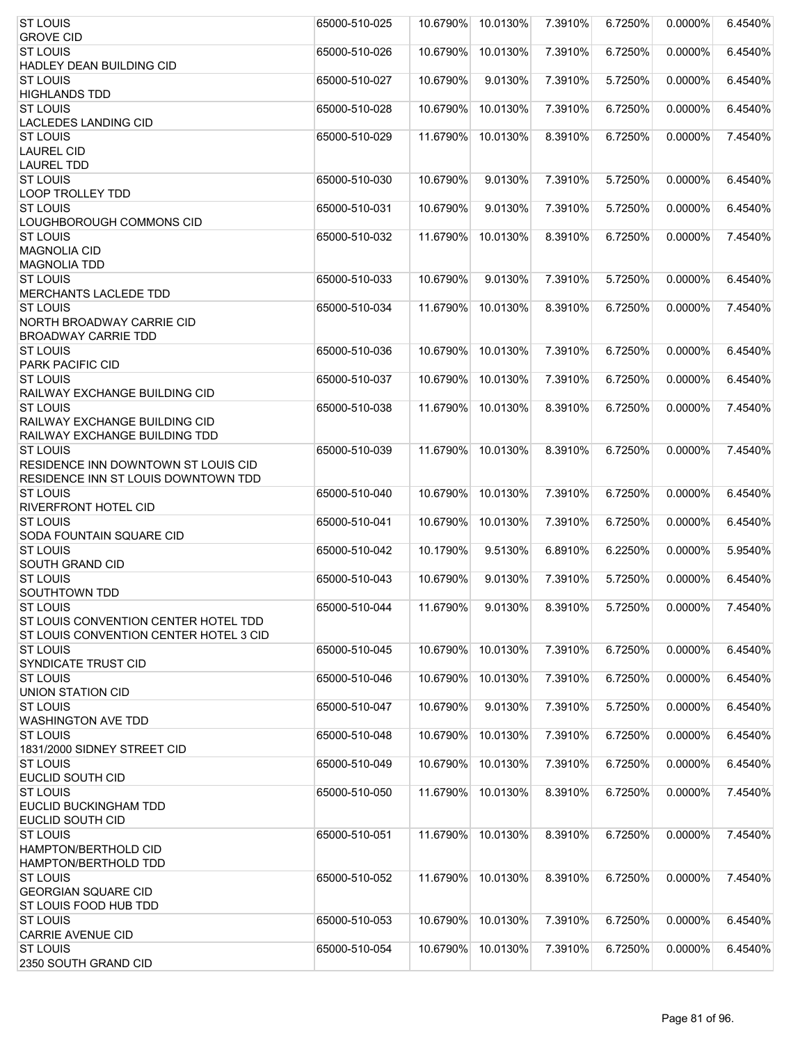| <b>ST LOUIS</b>                            | 65000-510-025 | 10.6790% | 10.0130% | 7.3910% | 6.7250% | 0.0000%    | 6.4540% |
|--------------------------------------------|---------------|----------|----------|---------|---------|------------|---------|
| <b>GROVE CID</b>                           |               |          |          |         |         |            |         |
| <b>ST LOUIS</b>                            | 65000-510-026 | 10.6790% | 10.0130% | 7.3910% | 6.7250% | 0.0000%    | 6.4540% |
| HADLEY DEAN BUILDING CID                   |               |          |          |         |         |            |         |
| <b>ST LOUIS</b>                            | 65000-510-027 | 10.6790% | 9.0130%  | 7.3910% | 5.7250% | 0.0000%    | 6.4540% |
| <b>HIGHLANDS TDD</b><br><b>ST LOUIS</b>    | 65000-510-028 | 10.6790% | 10.0130% | 7.3910% | 6.7250% | 0.0000%    | 6.4540% |
| <b>LACLEDES LANDING CID</b>                |               |          |          |         |         |            |         |
| <b>ST LOUIS</b>                            | 65000-510-029 | 11.6790% | 10.0130% | 8.3910% | 6.7250% | 0.0000%    | 7.4540% |
| <b>LAUREL CID</b>                          |               |          |          |         |         |            |         |
| <b>LAUREL TDD</b>                          |               |          |          |         |         |            |         |
| <b>ST LOUIS</b>                            | 65000-510-030 | 10.6790% | 9.0130%  | 7.3910% | 5.7250% | 0.0000%    | 6.4540% |
| <b>LOOP TROLLEY TDD</b>                    |               |          |          |         |         |            |         |
| <b>ST LOUIS</b>                            | 65000-510-031 | 10.6790% | 9.0130%  | 7.3910% | 5.7250% | 0.0000%    | 6.4540% |
| LOUGHBOROUGH COMMONS CID                   |               |          |          |         |         |            |         |
| <b>ST LOUIS</b>                            | 65000-510-032 | 11.6790% | 10.0130% | 8.3910% | 6.7250% | 0.0000%    | 7.4540% |
| <b>MAGNOLIA CID</b>                        |               |          |          |         |         |            |         |
| <b>MAGNOLIA TDD</b>                        |               |          |          |         |         |            |         |
| <b>ST LOUIS</b>                            | 65000-510-033 | 10.6790% | 9.0130%  | 7.3910% | 5.7250% | 0.0000%    | 6.4540% |
| MERCHANTS LACLEDE TDD<br><b>ST LOUIS</b>   |               | 11.6790% |          | 8.3910% |         |            |         |
| NORTH BROADWAY CARRIE CID                  | 65000-510-034 |          | 10.0130% |         | 6.7250% | 0.0000%    | 7.4540% |
| <b>BROADWAY CARRIE TDD</b>                 |               |          |          |         |         |            |         |
| <b>ST LOUIS</b>                            | 65000-510-036 | 10.6790% | 10.0130% | 7.3910% | 6.7250% | 0.0000%    | 6.4540% |
| <b>PARK PACIFIC CID</b>                    |               |          |          |         |         |            |         |
| <b>ST LOUIS</b>                            | 65000-510-037 | 10.6790% | 10.0130% | 7.3910% | 6.7250% | 0.0000%    | 6.4540% |
| RAILWAY EXCHANGE BUILDING CID              |               |          |          |         |         |            |         |
| <b>ST LOUIS</b>                            | 65000-510-038 | 11.6790% | 10.0130% | 8.3910% | 6.7250% | 0.0000%    | 7.4540% |
| RAILWAY EXCHANGE BUILDING CID              |               |          |          |         |         |            |         |
| RAILWAY EXCHANGE BUILDING TDD              |               |          |          |         |         |            |         |
| <b>ST LOUIS</b>                            | 65000-510-039 | 11.6790% | 10.0130% | 8.3910% | 6.7250% | 0.0000%    | 7.4540% |
| <b>RESIDENCE INN DOWNTOWN ST LOUIS CID</b> |               |          |          |         |         |            |         |
| RESIDENCE INN ST LOUIS DOWNTOWN TDD        |               |          |          |         |         |            |         |
| <b>ST LOUIS</b>                            | 65000-510-040 | 10.6790% | 10.0130% | 7.3910% | 6.7250% | 0.0000%    | 6.4540% |
| <b>RIVERFRONT HOTEL CID</b>                |               |          |          |         |         |            |         |
| <b>ST LOUIS</b>                            | 65000-510-041 | 10.6790% | 10.0130% | 7.3910% | 6.7250% | 0.0000%    | 6.4540% |
| SODA FOUNTAIN SQUARE CID                   |               |          |          |         |         |            |         |
| <b>ST LOUIS</b>                            | 65000-510-042 | 10.1790% | 9.5130%  | 6.8910% | 6.2250% | 0.0000%    | 5.9540% |
| SOUTH GRAND CID                            | 65000-510-043 | 10.6790% | 9.0130%  | 7.3910% | 5.7250% | 0.0000%    | 6.4540% |
| ST LOUIS<br>SOUTHTOWN TDD                  |               |          |          |         |         |            |         |
| <b>ST LOUIS</b>                            | 65000-510-044 | 11.6790% | 9.0130%  | 8.3910% | 5.7250% | 0.0000%    | 7.4540% |
| ST LOUIS CONVENTION CENTER HOTEL TDD       |               |          |          |         |         |            |         |
| ST LOUIS CONVENTION CENTER HOTEL 3 CID     |               |          |          |         |         |            |         |
| <b>ST LOUIS</b>                            | 65000-510-045 | 10.6790% | 10.0130% | 7.3910% | 6.7250% | 0.0000%    | 6.4540% |
| SYNDICATE TRUST CID                        |               |          |          |         |         |            |         |
| <b>ST LOUIS</b>                            | 65000-510-046 | 10.6790% | 10.0130% | 7.3910% | 6.7250% | 0.0000%    | 6.4540% |
| UNION STATION CID                          |               |          |          |         |         |            |         |
| <b>ST LOUIS</b>                            | 65000-510-047 | 10.6790% | 9.0130%  | 7.3910% | 5.7250% | 0.0000%    | 6.4540% |
| <b>WASHINGTON AVE TDD</b>                  |               |          |          |         |         |            |         |
| <b>ST LOUIS</b>                            | 65000-510-048 | 10.6790% | 10.0130% | 7.3910% | 6.7250% | 0.0000%    | 6.4540% |
| 1831/2000 SIDNEY STREET CID                |               |          |          |         |         |            |         |
| <b>ST LOUIS</b>                            | 65000-510-049 | 10.6790% | 10.0130% | 7.3910% | 6.7250% | 0.0000%    | 6.4540% |
| EUCLID SOUTH CID                           |               |          |          |         |         |            |         |
| <b>ST LOUIS</b><br>EUCLID BUCKINGHAM TDD   | 65000-510-050 | 11.6790% | 10.0130% | 8.3910% | 6.7250% | 0.0000%    | 7.4540% |
| EUCLID SOUTH CID                           |               |          |          |         |         |            |         |
| <b>ST LOUIS</b>                            | 65000-510-051 | 11.6790% | 10.0130% | 8.3910% | 6.7250% | 0.0000%    | 7.4540% |
| <b>HAMPTON/BERTHOLD CID</b>                |               |          |          |         |         |            |         |
| HAMPTON/BERTHOLD TDD                       |               |          |          |         |         |            |         |
| <b>ST LOUIS</b>                            | 65000-510-052 | 11.6790% | 10.0130% | 8.3910% | 6.7250% | 0.0000%    | 7.4540% |
| <b>GEORGIAN SQUARE CID</b>                 |               |          |          |         |         |            |         |
| ST LOUIS FOOD HUB TDD                      |               |          |          |         |         |            |         |
| <b>ST LOUIS</b>                            | 65000-510-053 | 10.6790% | 10.0130% | 7.3910% | 6.7250% | $0.0000\%$ | 6.4540% |
| <b>CARRIE AVENUE CID</b>                   |               |          |          |         |         |            |         |
| <b>ST LOUIS</b>                            | 65000-510-054 | 10.6790% | 10.0130% | 7.3910% | 6.7250% | 0.0000%    | 6.4540% |
| 2350 SOUTH GRAND CID                       |               |          |          |         |         |            |         |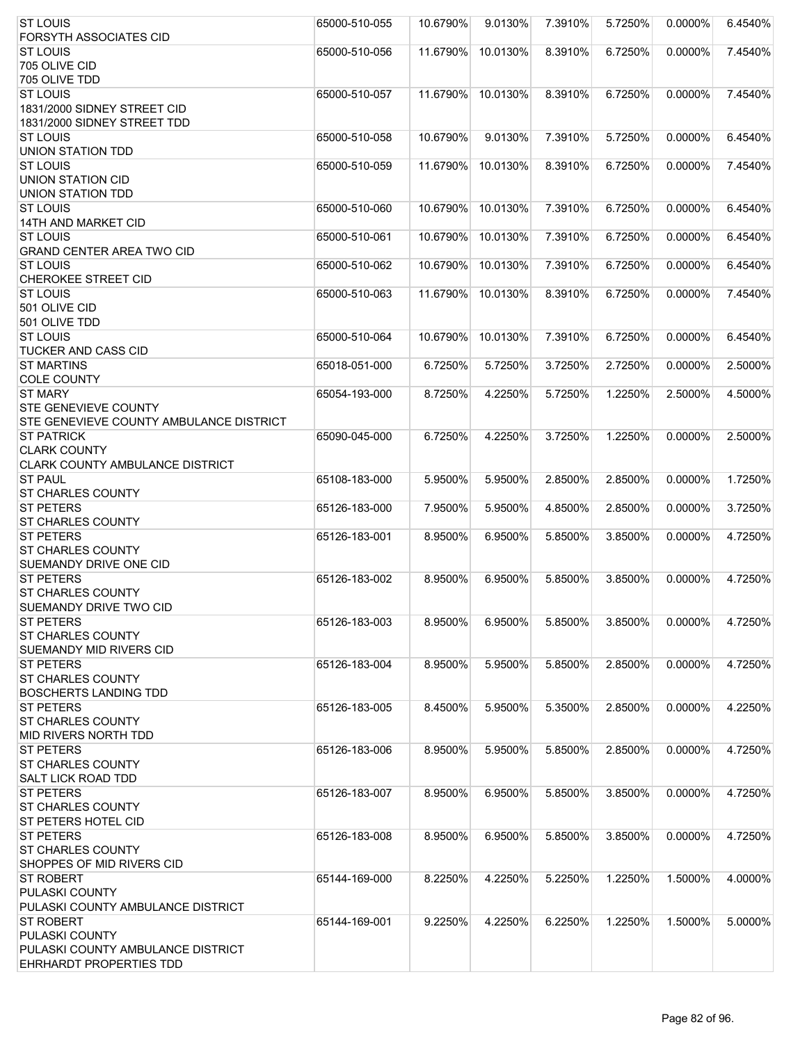| <b>ST LOUIS</b><br>8.3910%<br>6.7250%<br>0.0000%<br>7.4540%<br>65000-510-056<br>11.6790%<br>10.0130%<br>705 OLIVE CID<br>705 OLIVE TDD<br><b>ST LOUIS</b><br>65000-510-057<br>11.6790%<br>10.0130%<br>8.3910%<br>6.7250%<br>$0.0000\%$<br>7.4540%<br>1831/2000 SIDNEY STREET CID<br>1831/2000 SIDNEY STREET TDD<br><b>ST LOUIS</b><br>65000-510-058<br>10.6790%<br>9.0130%<br>7.3910%<br>5.7250%<br>0.0000%<br>6.4540%<br>UNION STATION TDD<br><b>ST LOUIS</b><br>65000-510-059<br>11.6790%<br>10.0130%<br>8.3910%<br>6.7250%<br>0.0000%<br>7.4540%<br><b>UNION STATION CID</b><br><b>UNION STATION TDD</b><br><b>ST LOUIS</b><br>10.6790%<br>7.3910%<br>6.7250%<br>$0.0000\%$<br>6.4540%<br>65000-510-060<br>10.0130%<br>14TH AND MARKET CID<br><b>ST LOUIS</b><br>65000-510-061<br>10.6790%<br>10.0130%<br>7.3910%<br>6.7250%<br>0.0000%<br>6.4540%<br><b>GRAND CENTER AREA TWO CID</b><br><b>ST LOUIS</b><br>10.6790%<br>10.0130%<br>7.3910%<br>6.7250%<br>0.0000%<br>6.4540%<br>65000-510-062<br><b>CHEROKEE STREET CID</b><br><b>ST LOUIS</b><br>8.3910%<br>6.7250%<br>0.0000%<br>7.4540%<br>65000-510-063<br>11.6790%<br>10.0130%<br>501 OLIVE CID<br>501 OLIVE TDD<br><b>ST LOUIS</b><br>65000-510-064<br>10.0130%<br>7.3910%<br>6.7250%<br>0.0000%<br>6.4540%<br>10.6790%<br><b>TUCKER AND CASS CID</b><br><b>ST MARTINS</b><br>2.5000%<br>65018-051-000<br>6.7250%<br>5.7250%<br>3.7250%<br>2.7250%<br>0.0000%<br><b>COLE COUNTY</b><br><b>ST MARY</b><br>65054-193-000<br>8.7250%<br>4.2250%<br>5.7250%<br>1.2250%<br>2.5000%<br>4.5000%<br><b>STE GENEVIEVE COUNTY</b><br>STE GENEVIEVE COUNTY AMBULANCE DISTRICT<br><b>ST PATRICK</b><br>6.7250%<br>4.2250%<br>3.7250%<br>1.2250%<br>0.0000%<br>2.5000%<br>65090-045-000<br><b>CLARK COUNTY</b><br><b>CLARK COUNTY AMBULANCE DISTRICT</b><br><b>ST PAUL</b><br>5.9500%<br>5.9500%<br>2.8500%<br>2.8500%<br>0.0000%<br>1.7250%<br>65108-183-000<br><b>ST CHARLES COUNTY</b><br><b>ST PETERS</b><br>7.9500%<br>2.8500%<br>0.0000%<br>3.7250%<br>65126-183-000<br>5.9500%<br>4.8500%<br><b>ST CHARLES COUNTY</b><br><b>ST PETERS</b><br>65126-183-001<br>8.9500%<br>6.9500%<br>5.8500%<br>3.8500%<br>0.0000%<br>4.7250%<br><b>ST CHARLES COUNTY</b><br>SUEMANDY DRIVE ONE CID<br>ST PETERS<br>65126-183-002<br>8.9500%<br>6.9500%<br>5.8500%<br>3.8500%<br>$0.0000\%$<br>4.7250%<br><b>ST CHARLES COUNTY</b><br>SUEMANDY DRIVE TWO CID<br><b>ST PETERS</b><br>8.9500%<br>6.9500%<br>5.8500%<br>3.8500%<br>4.7250%<br>65126-183-003<br>0.0000%<br><b>ST CHARLES COUNTY</b><br><b>SUEMANDY MID RIVERS CID</b><br><b>ST PETERS</b><br>5.9500%<br>5.8500%<br>2.8500%<br>0.0000%<br>4.7250%<br>65126-183-004<br>8.9500%<br><b>ST CHARLES COUNTY</b><br><b>BOSCHERTS LANDING TDD</b><br><b>ST PETERS</b><br>4.2250%<br>65126-183-005<br>8.4500%<br>5.9500%<br>5.3500%<br>2.8500%<br>$0.0000\%$<br><b>ST CHARLES COUNTY</b><br>MID RIVERS NORTH TDD<br><b>ST PETERS</b><br>4.7250%<br>65126-183-006<br>8.9500%<br>5.9500%<br>5.8500%<br>2.8500%<br>$0.0000\%$<br><b>ST CHARLES COUNTY</b><br>SALT LICK ROAD TDD<br><b>ST PETERS</b><br>8.9500%<br>6.9500%<br>5.8500%<br>3.8500%<br>65126-183-007<br>$0.0000\%$<br>4.7250%<br><b>ST CHARLES COUNTY</b><br><b>ST PETERS HOTEL CID</b><br><b>ST PETERS</b><br>6.9500%<br>3.8500%<br>$0.0000\%$<br>4.7250%<br>65126-183-008<br>8.9500%<br>5.8500%<br><b>ST CHARLES COUNTY</b><br>SHOPPES OF MID RIVERS CID<br><b>ST ROBERT</b><br>4.2250%<br>5.2250%<br>1.2250%<br>1.5000%<br>65144-169-000<br>8.2250%<br>4.0000%<br>PULASKI COUNTY<br>PULASKI COUNTY AMBULANCE DISTRICT<br><b>ST ROBERT</b><br>1.2250%<br>1.5000%<br>65144-169-001<br>9.2250%<br>4.2250%<br>6.2250%<br>5.0000%<br>PULASKI COUNTY<br>PULASKI COUNTY AMBULANCE DISTRICT<br><b>EHRHARDT PROPERTIES TDD</b> | <b>ST LOUIS</b>               | 65000-510-055 | 10.6790% | 9.0130% | 7.3910% | 5.7250% | 0.0000% | 6.4540% |
|------------------------------------------------------------------------------------------------------------------------------------------------------------------------------------------------------------------------------------------------------------------------------------------------------------------------------------------------------------------------------------------------------------------------------------------------------------------------------------------------------------------------------------------------------------------------------------------------------------------------------------------------------------------------------------------------------------------------------------------------------------------------------------------------------------------------------------------------------------------------------------------------------------------------------------------------------------------------------------------------------------------------------------------------------------------------------------------------------------------------------------------------------------------------------------------------------------------------------------------------------------------------------------------------------------------------------------------------------------------------------------------------------------------------------------------------------------------------------------------------------------------------------------------------------------------------------------------------------------------------------------------------------------------------------------------------------------------------------------------------------------------------------------------------------------------------------------------------------------------------------------------------------------------------------------------------------------------------------------------------------------------------------------------------------------------------------------------------------------------------------------------------------------------------------------------------------------------------------------------------------------------------------------------------------------------------------------------------------------------------------------------------------------------------------------------------------------------------------------------------------------------------------------------------------------------------------------------------------------------------------------------------------------------------------------------------------------------------------------------------------------------------------------------------------------------------------------------------------------------------------------------------------------------------------------------------------------------------------------------------------------------------------------------------------------------------------------------------------------------------------------------------------------------------------------------------------------------------------------------------------------------------------------------------------------------------------------------------------------------------------------------------------------------------------------------------------------------------------------------------------------------------------------------------------------------------------------------------------------------------------------------------------------------------------------------------------------------------------------------------------------------------|-------------------------------|---------------|----------|---------|---------|---------|---------|---------|
|                                                                                                                                                                                                                                                                                                                                                                                                                                                                                                                                                                                                                                                                                                                                                                                                                                                                                                                                                                                                                                                                                                                                                                                                                                                                                                                                                                                                                                                                                                                                                                                                                                                                                                                                                                                                                                                                                                                                                                                                                                                                                                                                                                                                                                                                                                                                                                                                                                                                                                                                                                                                                                                                                                                                                                                                                                                                                                                                                                                                                                                                                                                                                                                                                                                                                                                                                                                                                                                                                                                                                                                                                                                                                                                                                                        | <b>FORSYTH ASSOCIATES CID</b> |               |          |         |         |         |         |         |
|                                                                                                                                                                                                                                                                                                                                                                                                                                                                                                                                                                                                                                                                                                                                                                                                                                                                                                                                                                                                                                                                                                                                                                                                                                                                                                                                                                                                                                                                                                                                                                                                                                                                                                                                                                                                                                                                                                                                                                                                                                                                                                                                                                                                                                                                                                                                                                                                                                                                                                                                                                                                                                                                                                                                                                                                                                                                                                                                                                                                                                                                                                                                                                                                                                                                                                                                                                                                                                                                                                                                                                                                                                                                                                                                                                        |                               |               |          |         |         |         |         |         |
|                                                                                                                                                                                                                                                                                                                                                                                                                                                                                                                                                                                                                                                                                                                                                                                                                                                                                                                                                                                                                                                                                                                                                                                                                                                                                                                                                                                                                                                                                                                                                                                                                                                                                                                                                                                                                                                                                                                                                                                                                                                                                                                                                                                                                                                                                                                                                                                                                                                                                                                                                                                                                                                                                                                                                                                                                                                                                                                                                                                                                                                                                                                                                                                                                                                                                                                                                                                                                                                                                                                                                                                                                                                                                                                                                                        |                               |               |          |         |         |         |         |         |
|                                                                                                                                                                                                                                                                                                                                                                                                                                                                                                                                                                                                                                                                                                                                                                                                                                                                                                                                                                                                                                                                                                                                                                                                                                                                                                                                                                                                                                                                                                                                                                                                                                                                                                                                                                                                                                                                                                                                                                                                                                                                                                                                                                                                                                                                                                                                                                                                                                                                                                                                                                                                                                                                                                                                                                                                                                                                                                                                                                                                                                                                                                                                                                                                                                                                                                                                                                                                                                                                                                                                                                                                                                                                                                                                                                        |                               |               |          |         |         |         |         |         |
|                                                                                                                                                                                                                                                                                                                                                                                                                                                                                                                                                                                                                                                                                                                                                                                                                                                                                                                                                                                                                                                                                                                                                                                                                                                                                                                                                                                                                                                                                                                                                                                                                                                                                                                                                                                                                                                                                                                                                                                                                                                                                                                                                                                                                                                                                                                                                                                                                                                                                                                                                                                                                                                                                                                                                                                                                                                                                                                                                                                                                                                                                                                                                                                                                                                                                                                                                                                                                                                                                                                                                                                                                                                                                                                                                                        |                               |               |          |         |         |         |         |         |
|                                                                                                                                                                                                                                                                                                                                                                                                                                                                                                                                                                                                                                                                                                                                                                                                                                                                                                                                                                                                                                                                                                                                                                                                                                                                                                                                                                                                                                                                                                                                                                                                                                                                                                                                                                                                                                                                                                                                                                                                                                                                                                                                                                                                                                                                                                                                                                                                                                                                                                                                                                                                                                                                                                                                                                                                                                                                                                                                                                                                                                                                                                                                                                                                                                                                                                                                                                                                                                                                                                                                                                                                                                                                                                                                                                        |                               |               |          |         |         |         |         |         |
|                                                                                                                                                                                                                                                                                                                                                                                                                                                                                                                                                                                                                                                                                                                                                                                                                                                                                                                                                                                                                                                                                                                                                                                                                                                                                                                                                                                                                                                                                                                                                                                                                                                                                                                                                                                                                                                                                                                                                                                                                                                                                                                                                                                                                                                                                                                                                                                                                                                                                                                                                                                                                                                                                                                                                                                                                                                                                                                                                                                                                                                                                                                                                                                                                                                                                                                                                                                                                                                                                                                                                                                                                                                                                                                                                                        |                               |               |          |         |         |         |         |         |
|                                                                                                                                                                                                                                                                                                                                                                                                                                                                                                                                                                                                                                                                                                                                                                                                                                                                                                                                                                                                                                                                                                                                                                                                                                                                                                                                                                                                                                                                                                                                                                                                                                                                                                                                                                                                                                                                                                                                                                                                                                                                                                                                                                                                                                                                                                                                                                                                                                                                                                                                                                                                                                                                                                                                                                                                                                                                                                                                                                                                                                                                                                                                                                                                                                                                                                                                                                                                                                                                                                                                                                                                                                                                                                                                                                        |                               |               |          |         |         |         |         |         |
|                                                                                                                                                                                                                                                                                                                                                                                                                                                                                                                                                                                                                                                                                                                                                                                                                                                                                                                                                                                                                                                                                                                                                                                                                                                                                                                                                                                                                                                                                                                                                                                                                                                                                                                                                                                                                                                                                                                                                                                                                                                                                                                                                                                                                                                                                                                                                                                                                                                                                                                                                                                                                                                                                                                                                                                                                                                                                                                                                                                                                                                                                                                                                                                                                                                                                                                                                                                                                                                                                                                                                                                                                                                                                                                                                                        |                               |               |          |         |         |         |         |         |
|                                                                                                                                                                                                                                                                                                                                                                                                                                                                                                                                                                                                                                                                                                                                                                                                                                                                                                                                                                                                                                                                                                                                                                                                                                                                                                                                                                                                                                                                                                                                                                                                                                                                                                                                                                                                                                                                                                                                                                                                                                                                                                                                                                                                                                                                                                                                                                                                                                                                                                                                                                                                                                                                                                                                                                                                                                                                                                                                                                                                                                                                                                                                                                                                                                                                                                                                                                                                                                                                                                                                                                                                                                                                                                                                                                        |                               |               |          |         |         |         |         |         |
|                                                                                                                                                                                                                                                                                                                                                                                                                                                                                                                                                                                                                                                                                                                                                                                                                                                                                                                                                                                                                                                                                                                                                                                                                                                                                                                                                                                                                                                                                                                                                                                                                                                                                                                                                                                                                                                                                                                                                                                                                                                                                                                                                                                                                                                                                                                                                                                                                                                                                                                                                                                                                                                                                                                                                                                                                                                                                                                                                                                                                                                                                                                                                                                                                                                                                                                                                                                                                                                                                                                                                                                                                                                                                                                                                                        |                               |               |          |         |         |         |         |         |
|                                                                                                                                                                                                                                                                                                                                                                                                                                                                                                                                                                                                                                                                                                                                                                                                                                                                                                                                                                                                                                                                                                                                                                                                                                                                                                                                                                                                                                                                                                                                                                                                                                                                                                                                                                                                                                                                                                                                                                                                                                                                                                                                                                                                                                                                                                                                                                                                                                                                                                                                                                                                                                                                                                                                                                                                                                                                                                                                                                                                                                                                                                                                                                                                                                                                                                                                                                                                                                                                                                                                                                                                                                                                                                                                                                        |                               |               |          |         |         |         |         |         |
|                                                                                                                                                                                                                                                                                                                                                                                                                                                                                                                                                                                                                                                                                                                                                                                                                                                                                                                                                                                                                                                                                                                                                                                                                                                                                                                                                                                                                                                                                                                                                                                                                                                                                                                                                                                                                                                                                                                                                                                                                                                                                                                                                                                                                                                                                                                                                                                                                                                                                                                                                                                                                                                                                                                                                                                                                                                                                                                                                                                                                                                                                                                                                                                                                                                                                                                                                                                                                                                                                                                                                                                                                                                                                                                                                                        |                               |               |          |         |         |         |         |         |
|                                                                                                                                                                                                                                                                                                                                                                                                                                                                                                                                                                                                                                                                                                                                                                                                                                                                                                                                                                                                                                                                                                                                                                                                                                                                                                                                                                                                                                                                                                                                                                                                                                                                                                                                                                                                                                                                                                                                                                                                                                                                                                                                                                                                                                                                                                                                                                                                                                                                                                                                                                                                                                                                                                                                                                                                                                                                                                                                                                                                                                                                                                                                                                                                                                                                                                                                                                                                                                                                                                                                                                                                                                                                                                                                                                        |                               |               |          |         |         |         |         |         |
|                                                                                                                                                                                                                                                                                                                                                                                                                                                                                                                                                                                                                                                                                                                                                                                                                                                                                                                                                                                                                                                                                                                                                                                                                                                                                                                                                                                                                                                                                                                                                                                                                                                                                                                                                                                                                                                                                                                                                                                                                                                                                                                                                                                                                                                                                                                                                                                                                                                                                                                                                                                                                                                                                                                                                                                                                                                                                                                                                                                                                                                                                                                                                                                                                                                                                                                                                                                                                                                                                                                                                                                                                                                                                                                                                                        |                               |               |          |         |         |         |         |         |
|                                                                                                                                                                                                                                                                                                                                                                                                                                                                                                                                                                                                                                                                                                                                                                                                                                                                                                                                                                                                                                                                                                                                                                                                                                                                                                                                                                                                                                                                                                                                                                                                                                                                                                                                                                                                                                                                                                                                                                                                                                                                                                                                                                                                                                                                                                                                                                                                                                                                                                                                                                                                                                                                                                                                                                                                                                                                                                                                                                                                                                                                                                                                                                                                                                                                                                                                                                                                                                                                                                                                                                                                                                                                                                                                                                        |                               |               |          |         |         |         |         |         |
|                                                                                                                                                                                                                                                                                                                                                                                                                                                                                                                                                                                                                                                                                                                                                                                                                                                                                                                                                                                                                                                                                                                                                                                                                                                                                                                                                                                                                                                                                                                                                                                                                                                                                                                                                                                                                                                                                                                                                                                                                                                                                                                                                                                                                                                                                                                                                                                                                                                                                                                                                                                                                                                                                                                                                                                                                                                                                                                                                                                                                                                                                                                                                                                                                                                                                                                                                                                                                                                                                                                                                                                                                                                                                                                                                                        |                               |               |          |         |         |         |         |         |
|                                                                                                                                                                                                                                                                                                                                                                                                                                                                                                                                                                                                                                                                                                                                                                                                                                                                                                                                                                                                                                                                                                                                                                                                                                                                                                                                                                                                                                                                                                                                                                                                                                                                                                                                                                                                                                                                                                                                                                                                                                                                                                                                                                                                                                                                                                                                                                                                                                                                                                                                                                                                                                                                                                                                                                                                                                                                                                                                                                                                                                                                                                                                                                                                                                                                                                                                                                                                                                                                                                                                                                                                                                                                                                                                                                        |                               |               |          |         |         |         |         |         |
|                                                                                                                                                                                                                                                                                                                                                                                                                                                                                                                                                                                                                                                                                                                                                                                                                                                                                                                                                                                                                                                                                                                                                                                                                                                                                                                                                                                                                                                                                                                                                                                                                                                                                                                                                                                                                                                                                                                                                                                                                                                                                                                                                                                                                                                                                                                                                                                                                                                                                                                                                                                                                                                                                                                                                                                                                                                                                                                                                                                                                                                                                                                                                                                                                                                                                                                                                                                                                                                                                                                                                                                                                                                                                                                                                                        |                               |               |          |         |         |         |         |         |
|                                                                                                                                                                                                                                                                                                                                                                                                                                                                                                                                                                                                                                                                                                                                                                                                                                                                                                                                                                                                                                                                                                                                                                                                                                                                                                                                                                                                                                                                                                                                                                                                                                                                                                                                                                                                                                                                                                                                                                                                                                                                                                                                                                                                                                                                                                                                                                                                                                                                                                                                                                                                                                                                                                                                                                                                                                                                                                                                                                                                                                                                                                                                                                                                                                                                                                                                                                                                                                                                                                                                                                                                                                                                                                                                                                        |                               |               |          |         |         |         |         |         |
|                                                                                                                                                                                                                                                                                                                                                                                                                                                                                                                                                                                                                                                                                                                                                                                                                                                                                                                                                                                                                                                                                                                                                                                                                                                                                                                                                                                                                                                                                                                                                                                                                                                                                                                                                                                                                                                                                                                                                                                                                                                                                                                                                                                                                                                                                                                                                                                                                                                                                                                                                                                                                                                                                                                                                                                                                                                                                                                                                                                                                                                                                                                                                                                                                                                                                                                                                                                                                                                                                                                                                                                                                                                                                                                                                                        |                               |               |          |         |         |         |         |         |
|                                                                                                                                                                                                                                                                                                                                                                                                                                                                                                                                                                                                                                                                                                                                                                                                                                                                                                                                                                                                                                                                                                                                                                                                                                                                                                                                                                                                                                                                                                                                                                                                                                                                                                                                                                                                                                                                                                                                                                                                                                                                                                                                                                                                                                                                                                                                                                                                                                                                                                                                                                                                                                                                                                                                                                                                                                                                                                                                                                                                                                                                                                                                                                                                                                                                                                                                                                                                                                                                                                                                                                                                                                                                                                                                                                        |                               |               |          |         |         |         |         |         |
|                                                                                                                                                                                                                                                                                                                                                                                                                                                                                                                                                                                                                                                                                                                                                                                                                                                                                                                                                                                                                                                                                                                                                                                                                                                                                                                                                                                                                                                                                                                                                                                                                                                                                                                                                                                                                                                                                                                                                                                                                                                                                                                                                                                                                                                                                                                                                                                                                                                                                                                                                                                                                                                                                                                                                                                                                                                                                                                                                                                                                                                                                                                                                                                                                                                                                                                                                                                                                                                                                                                                                                                                                                                                                                                                                                        |                               |               |          |         |         |         |         |         |
|                                                                                                                                                                                                                                                                                                                                                                                                                                                                                                                                                                                                                                                                                                                                                                                                                                                                                                                                                                                                                                                                                                                                                                                                                                                                                                                                                                                                                                                                                                                                                                                                                                                                                                                                                                                                                                                                                                                                                                                                                                                                                                                                                                                                                                                                                                                                                                                                                                                                                                                                                                                                                                                                                                                                                                                                                                                                                                                                                                                                                                                                                                                                                                                                                                                                                                                                                                                                                                                                                                                                                                                                                                                                                                                                                                        |                               |               |          |         |         |         |         |         |
|                                                                                                                                                                                                                                                                                                                                                                                                                                                                                                                                                                                                                                                                                                                                                                                                                                                                                                                                                                                                                                                                                                                                                                                                                                                                                                                                                                                                                                                                                                                                                                                                                                                                                                                                                                                                                                                                                                                                                                                                                                                                                                                                                                                                                                                                                                                                                                                                                                                                                                                                                                                                                                                                                                                                                                                                                                                                                                                                                                                                                                                                                                                                                                                                                                                                                                                                                                                                                                                                                                                                                                                                                                                                                                                                                                        |                               |               |          |         |         |         |         |         |
|                                                                                                                                                                                                                                                                                                                                                                                                                                                                                                                                                                                                                                                                                                                                                                                                                                                                                                                                                                                                                                                                                                                                                                                                                                                                                                                                                                                                                                                                                                                                                                                                                                                                                                                                                                                                                                                                                                                                                                                                                                                                                                                                                                                                                                                                                                                                                                                                                                                                                                                                                                                                                                                                                                                                                                                                                                                                                                                                                                                                                                                                                                                                                                                                                                                                                                                                                                                                                                                                                                                                                                                                                                                                                                                                                                        |                               |               |          |         |         |         |         |         |
|                                                                                                                                                                                                                                                                                                                                                                                                                                                                                                                                                                                                                                                                                                                                                                                                                                                                                                                                                                                                                                                                                                                                                                                                                                                                                                                                                                                                                                                                                                                                                                                                                                                                                                                                                                                                                                                                                                                                                                                                                                                                                                                                                                                                                                                                                                                                                                                                                                                                                                                                                                                                                                                                                                                                                                                                                                                                                                                                                                                                                                                                                                                                                                                                                                                                                                                                                                                                                                                                                                                                                                                                                                                                                                                                                                        |                               |               |          |         |         |         |         |         |
|                                                                                                                                                                                                                                                                                                                                                                                                                                                                                                                                                                                                                                                                                                                                                                                                                                                                                                                                                                                                                                                                                                                                                                                                                                                                                                                                                                                                                                                                                                                                                                                                                                                                                                                                                                                                                                                                                                                                                                                                                                                                                                                                                                                                                                                                                                                                                                                                                                                                                                                                                                                                                                                                                                                                                                                                                                                                                                                                                                                                                                                                                                                                                                                                                                                                                                                                                                                                                                                                                                                                                                                                                                                                                                                                                                        |                               |               |          |         |         |         |         |         |
|                                                                                                                                                                                                                                                                                                                                                                                                                                                                                                                                                                                                                                                                                                                                                                                                                                                                                                                                                                                                                                                                                                                                                                                                                                                                                                                                                                                                                                                                                                                                                                                                                                                                                                                                                                                                                                                                                                                                                                                                                                                                                                                                                                                                                                                                                                                                                                                                                                                                                                                                                                                                                                                                                                                                                                                                                                                                                                                                                                                                                                                                                                                                                                                                                                                                                                                                                                                                                                                                                                                                                                                                                                                                                                                                                                        |                               |               |          |         |         |         |         |         |
|                                                                                                                                                                                                                                                                                                                                                                                                                                                                                                                                                                                                                                                                                                                                                                                                                                                                                                                                                                                                                                                                                                                                                                                                                                                                                                                                                                                                                                                                                                                                                                                                                                                                                                                                                                                                                                                                                                                                                                                                                                                                                                                                                                                                                                                                                                                                                                                                                                                                                                                                                                                                                                                                                                                                                                                                                                                                                                                                                                                                                                                                                                                                                                                                                                                                                                                                                                                                                                                                                                                                                                                                                                                                                                                                                                        |                               |               |          |         |         |         |         |         |
|                                                                                                                                                                                                                                                                                                                                                                                                                                                                                                                                                                                                                                                                                                                                                                                                                                                                                                                                                                                                                                                                                                                                                                                                                                                                                                                                                                                                                                                                                                                                                                                                                                                                                                                                                                                                                                                                                                                                                                                                                                                                                                                                                                                                                                                                                                                                                                                                                                                                                                                                                                                                                                                                                                                                                                                                                                                                                                                                                                                                                                                                                                                                                                                                                                                                                                                                                                                                                                                                                                                                                                                                                                                                                                                                                                        |                               |               |          |         |         |         |         |         |
|                                                                                                                                                                                                                                                                                                                                                                                                                                                                                                                                                                                                                                                                                                                                                                                                                                                                                                                                                                                                                                                                                                                                                                                                                                                                                                                                                                                                                                                                                                                                                                                                                                                                                                                                                                                                                                                                                                                                                                                                                                                                                                                                                                                                                                                                                                                                                                                                                                                                                                                                                                                                                                                                                                                                                                                                                                                                                                                                                                                                                                                                                                                                                                                                                                                                                                                                                                                                                                                                                                                                                                                                                                                                                                                                                                        |                               |               |          |         |         |         |         |         |
|                                                                                                                                                                                                                                                                                                                                                                                                                                                                                                                                                                                                                                                                                                                                                                                                                                                                                                                                                                                                                                                                                                                                                                                                                                                                                                                                                                                                                                                                                                                                                                                                                                                                                                                                                                                                                                                                                                                                                                                                                                                                                                                                                                                                                                                                                                                                                                                                                                                                                                                                                                                                                                                                                                                                                                                                                                                                                                                                                                                                                                                                                                                                                                                                                                                                                                                                                                                                                                                                                                                                                                                                                                                                                                                                                                        |                               |               |          |         |         |         |         |         |
|                                                                                                                                                                                                                                                                                                                                                                                                                                                                                                                                                                                                                                                                                                                                                                                                                                                                                                                                                                                                                                                                                                                                                                                                                                                                                                                                                                                                                                                                                                                                                                                                                                                                                                                                                                                                                                                                                                                                                                                                                                                                                                                                                                                                                                                                                                                                                                                                                                                                                                                                                                                                                                                                                                                                                                                                                                                                                                                                                                                                                                                                                                                                                                                                                                                                                                                                                                                                                                                                                                                                                                                                                                                                                                                                                                        |                               |               |          |         |         |         |         |         |
|                                                                                                                                                                                                                                                                                                                                                                                                                                                                                                                                                                                                                                                                                                                                                                                                                                                                                                                                                                                                                                                                                                                                                                                                                                                                                                                                                                                                                                                                                                                                                                                                                                                                                                                                                                                                                                                                                                                                                                                                                                                                                                                                                                                                                                                                                                                                                                                                                                                                                                                                                                                                                                                                                                                                                                                                                                                                                                                                                                                                                                                                                                                                                                                                                                                                                                                                                                                                                                                                                                                                                                                                                                                                                                                                                                        |                               |               |          |         |         |         |         |         |
|                                                                                                                                                                                                                                                                                                                                                                                                                                                                                                                                                                                                                                                                                                                                                                                                                                                                                                                                                                                                                                                                                                                                                                                                                                                                                                                                                                                                                                                                                                                                                                                                                                                                                                                                                                                                                                                                                                                                                                                                                                                                                                                                                                                                                                                                                                                                                                                                                                                                                                                                                                                                                                                                                                                                                                                                                                                                                                                                                                                                                                                                                                                                                                                                                                                                                                                                                                                                                                                                                                                                                                                                                                                                                                                                                                        |                               |               |          |         |         |         |         |         |
|                                                                                                                                                                                                                                                                                                                                                                                                                                                                                                                                                                                                                                                                                                                                                                                                                                                                                                                                                                                                                                                                                                                                                                                                                                                                                                                                                                                                                                                                                                                                                                                                                                                                                                                                                                                                                                                                                                                                                                                                                                                                                                                                                                                                                                                                                                                                                                                                                                                                                                                                                                                                                                                                                                                                                                                                                                                                                                                                                                                                                                                                                                                                                                                                                                                                                                                                                                                                                                                                                                                                                                                                                                                                                                                                                                        |                               |               |          |         |         |         |         |         |
|                                                                                                                                                                                                                                                                                                                                                                                                                                                                                                                                                                                                                                                                                                                                                                                                                                                                                                                                                                                                                                                                                                                                                                                                                                                                                                                                                                                                                                                                                                                                                                                                                                                                                                                                                                                                                                                                                                                                                                                                                                                                                                                                                                                                                                                                                                                                                                                                                                                                                                                                                                                                                                                                                                                                                                                                                                                                                                                                                                                                                                                                                                                                                                                                                                                                                                                                                                                                                                                                                                                                                                                                                                                                                                                                                                        |                               |               |          |         |         |         |         |         |
|                                                                                                                                                                                                                                                                                                                                                                                                                                                                                                                                                                                                                                                                                                                                                                                                                                                                                                                                                                                                                                                                                                                                                                                                                                                                                                                                                                                                                                                                                                                                                                                                                                                                                                                                                                                                                                                                                                                                                                                                                                                                                                                                                                                                                                                                                                                                                                                                                                                                                                                                                                                                                                                                                                                                                                                                                                                                                                                                                                                                                                                                                                                                                                                                                                                                                                                                                                                                                                                                                                                                                                                                                                                                                                                                                                        |                               |               |          |         |         |         |         |         |
|                                                                                                                                                                                                                                                                                                                                                                                                                                                                                                                                                                                                                                                                                                                                                                                                                                                                                                                                                                                                                                                                                                                                                                                                                                                                                                                                                                                                                                                                                                                                                                                                                                                                                                                                                                                                                                                                                                                                                                                                                                                                                                                                                                                                                                                                                                                                                                                                                                                                                                                                                                                                                                                                                                                                                                                                                                                                                                                                                                                                                                                                                                                                                                                                                                                                                                                                                                                                                                                                                                                                                                                                                                                                                                                                                                        |                               |               |          |         |         |         |         |         |
|                                                                                                                                                                                                                                                                                                                                                                                                                                                                                                                                                                                                                                                                                                                                                                                                                                                                                                                                                                                                                                                                                                                                                                                                                                                                                                                                                                                                                                                                                                                                                                                                                                                                                                                                                                                                                                                                                                                                                                                                                                                                                                                                                                                                                                                                                                                                                                                                                                                                                                                                                                                                                                                                                                                                                                                                                                                                                                                                                                                                                                                                                                                                                                                                                                                                                                                                                                                                                                                                                                                                                                                                                                                                                                                                                                        |                               |               |          |         |         |         |         |         |
|                                                                                                                                                                                                                                                                                                                                                                                                                                                                                                                                                                                                                                                                                                                                                                                                                                                                                                                                                                                                                                                                                                                                                                                                                                                                                                                                                                                                                                                                                                                                                                                                                                                                                                                                                                                                                                                                                                                                                                                                                                                                                                                                                                                                                                                                                                                                                                                                                                                                                                                                                                                                                                                                                                                                                                                                                                                                                                                                                                                                                                                                                                                                                                                                                                                                                                                                                                                                                                                                                                                                                                                                                                                                                                                                                                        |                               |               |          |         |         |         |         |         |
|                                                                                                                                                                                                                                                                                                                                                                                                                                                                                                                                                                                                                                                                                                                                                                                                                                                                                                                                                                                                                                                                                                                                                                                                                                                                                                                                                                                                                                                                                                                                                                                                                                                                                                                                                                                                                                                                                                                                                                                                                                                                                                                                                                                                                                                                                                                                                                                                                                                                                                                                                                                                                                                                                                                                                                                                                                                                                                                                                                                                                                                                                                                                                                                                                                                                                                                                                                                                                                                                                                                                                                                                                                                                                                                                                                        |                               |               |          |         |         |         |         |         |
|                                                                                                                                                                                                                                                                                                                                                                                                                                                                                                                                                                                                                                                                                                                                                                                                                                                                                                                                                                                                                                                                                                                                                                                                                                                                                                                                                                                                                                                                                                                                                                                                                                                                                                                                                                                                                                                                                                                                                                                                                                                                                                                                                                                                                                                                                                                                                                                                                                                                                                                                                                                                                                                                                                                                                                                                                                                                                                                                                                                                                                                                                                                                                                                                                                                                                                                                                                                                                                                                                                                                                                                                                                                                                                                                                                        |                               |               |          |         |         |         |         |         |
|                                                                                                                                                                                                                                                                                                                                                                                                                                                                                                                                                                                                                                                                                                                                                                                                                                                                                                                                                                                                                                                                                                                                                                                                                                                                                                                                                                                                                                                                                                                                                                                                                                                                                                                                                                                                                                                                                                                                                                                                                                                                                                                                                                                                                                                                                                                                                                                                                                                                                                                                                                                                                                                                                                                                                                                                                                                                                                                                                                                                                                                                                                                                                                                                                                                                                                                                                                                                                                                                                                                                                                                                                                                                                                                                                                        |                               |               |          |         |         |         |         |         |
|                                                                                                                                                                                                                                                                                                                                                                                                                                                                                                                                                                                                                                                                                                                                                                                                                                                                                                                                                                                                                                                                                                                                                                                                                                                                                                                                                                                                                                                                                                                                                                                                                                                                                                                                                                                                                                                                                                                                                                                                                                                                                                                                                                                                                                                                                                                                                                                                                                                                                                                                                                                                                                                                                                                                                                                                                                                                                                                                                                                                                                                                                                                                                                                                                                                                                                                                                                                                                                                                                                                                                                                                                                                                                                                                                                        |                               |               |          |         |         |         |         |         |
|                                                                                                                                                                                                                                                                                                                                                                                                                                                                                                                                                                                                                                                                                                                                                                                                                                                                                                                                                                                                                                                                                                                                                                                                                                                                                                                                                                                                                                                                                                                                                                                                                                                                                                                                                                                                                                                                                                                                                                                                                                                                                                                                                                                                                                                                                                                                                                                                                                                                                                                                                                                                                                                                                                                                                                                                                                                                                                                                                                                                                                                                                                                                                                                                                                                                                                                                                                                                                                                                                                                                                                                                                                                                                                                                                                        |                               |               |          |         |         |         |         |         |
|                                                                                                                                                                                                                                                                                                                                                                                                                                                                                                                                                                                                                                                                                                                                                                                                                                                                                                                                                                                                                                                                                                                                                                                                                                                                                                                                                                                                                                                                                                                                                                                                                                                                                                                                                                                                                                                                                                                                                                                                                                                                                                                                                                                                                                                                                                                                                                                                                                                                                                                                                                                                                                                                                                                                                                                                                                                                                                                                                                                                                                                                                                                                                                                                                                                                                                                                                                                                                                                                                                                                                                                                                                                                                                                                                                        |                               |               |          |         |         |         |         |         |
|                                                                                                                                                                                                                                                                                                                                                                                                                                                                                                                                                                                                                                                                                                                                                                                                                                                                                                                                                                                                                                                                                                                                                                                                                                                                                                                                                                                                                                                                                                                                                                                                                                                                                                                                                                                                                                                                                                                                                                                                                                                                                                                                                                                                                                                                                                                                                                                                                                                                                                                                                                                                                                                                                                                                                                                                                                                                                                                                                                                                                                                                                                                                                                                                                                                                                                                                                                                                                                                                                                                                                                                                                                                                                                                                                                        |                               |               |          |         |         |         |         |         |
|                                                                                                                                                                                                                                                                                                                                                                                                                                                                                                                                                                                                                                                                                                                                                                                                                                                                                                                                                                                                                                                                                                                                                                                                                                                                                                                                                                                                                                                                                                                                                                                                                                                                                                                                                                                                                                                                                                                                                                                                                                                                                                                                                                                                                                                                                                                                                                                                                                                                                                                                                                                                                                                                                                                                                                                                                                                                                                                                                                                                                                                                                                                                                                                                                                                                                                                                                                                                                                                                                                                                                                                                                                                                                                                                                                        |                               |               |          |         |         |         |         |         |
|                                                                                                                                                                                                                                                                                                                                                                                                                                                                                                                                                                                                                                                                                                                                                                                                                                                                                                                                                                                                                                                                                                                                                                                                                                                                                                                                                                                                                                                                                                                                                                                                                                                                                                                                                                                                                                                                                                                                                                                                                                                                                                                                                                                                                                                                                                                                                                                                                                                                                                                                                                                                                                                                                                                                                                                                                                                                                                                                                                                                                                                                                                                                                                                                                                                                                                                                                                                                                                                                                                                                                                                                                                                                                                                                                                        |                               |               |          |         |         |         |         |         |
|                                                                                                                                                                                                                                                                                                                                                                                                                                                                                                                                                                                                                                                                                                                                                                                                                                                                                                                                                                                                                                                                                                                                                                                                                                                                                                                                                                                                                                                                                                                                                                                                                                                                                                                                                                                                                                                                                                                                                                                                                                                                                                                                                                                                                                                                                                                                                                                                                                                                                                                                                                                                                                                                                                                                                                                                                                                                                                                                                                                                                                                                                                                                                                                                                                                                                                                                                                                                                                                                                                                                                                                                                                                                                                                                                                        |                               |               |          |         |         |         |         |         |
|                                                                                                                                                                                                                                                                                                                                                                                                                                                                                                                                                                                                                                                                                                                                                                                                                                                                                                                                                                                                                                                                                                                                                                                                                                                                                                                                                                                                                                                                                                                                                                                                                                                                                                                                                                                                                                                                                                                                                                                                                                                                                                                                                                                                                                                                                                                                                                                                                                                                                                                                                                                                                                                                                                                                                                                                                                                                                                                                                                                                                                                                                                                                                                                                                                                                                                                                                                                                                                                                                                                                                                                                                                                                                                                                                                        |                               |               |          |         |         |         |         |         |
|                                                                                                                                                                                                                                                                                                                                                                                                                                                                                                                                                                                                                                                                                                                                                                                                                                                                                                                                                                                                                                                                                                                                                                                                                                                                                                                                                                                                                                                                                                                                                                                                                                                                                                                                                                                                                                                                                                                                                                                                                                                                                                                                                                                                                                                                                                                                                                                                                                                                                                                                                                                                                                                                                                                                                                                                                                                                                                                                                                                                                                                                                                                                                                                                                                                                                                                                                                                                                                                                                                                                                                                                                                                                                                                                                                        |                               |               |          |         |         |         |         |         |
|                                                                                                                                                                                                                                                                                                                                                                                                                                                                                                                                                                                                                                                                                                                                                                                                                                                                                                                                                                                                                                                                                                                                                                                                                                                                                                                                                                                                                                                                                                                                                                                                                                                                                                                                                                                                                                                                                                                                                                                                                                                                                                                                                                                                                                                                                                                                                                                                                                                                                                                                                                                                                                                                                                                                                                                                                                                                                                                                                                                                                                                                                                                                                                                                                                                                                                                                                                                                                                                                                                                                                                                                                                                                                                                                                                        |                               |               |          |         |         |         |         |         |
|                                                                                                                                                                                                                                                                                                                                                                                                                                                                                                                                                                                                                                                                                                                                                                                                                                                                                                                                                                                                                                                                                                                                                                                                                                                                                                                                                                                                                                                                                                                                                                                                                                                                                                                                                                                                                                                                                                                                                                                                                                                                                                                                                                                                                                                                                                                                                                                                                                                                                                                                                                                                                                                                                                                                                                                                                                                                                                                                                                                                                                                                                                                                                                                                                                                                                                                                                                                                                                                                                                                                                                                                                                                                                                                                                                        |                               |               |          |         |         |         |         |         |
|                                                                                                                                                                                                                                                                                                                                                                                                                                                                                                                                                                                                                                                                                                                                                                                                                                                                                                                                                                                                                                                                                                                                                                                                                                                                                                                                                                                                                                                                                                                                                                                                                                                                                                                                                                                                                                                                                                                                                                                                                                                                                                                                                                                                                                                                                                                                                                                                                                                                                                                                                                                                                                                                                                                                                                                                                                                                                                                                                                                                                                                                                                                                                                                                                                                                                                                                                                                                                                                                                                                                                                                                                                                                                                                                                                        |                               |               |          |         |         |         |         |         |
|                                                                                                                                                                                                                                                                                                                                                                                                                                                                                                                                                                                                                                                                                                                                                                                                                                                                                                                                                                                                                                                                                                                                                                                                                                                                                                                                                                                                                                                                                                                                                                                                                                                                                                                                                                                                                                                                                                                                                                                                                                                                                                                                                                                                                                                                                                                                                                                                                                                                                                                                                                                                                                                                                                                                                                                                                                                                                                                                                                                                                                                                                                                                                                                                                                                                                                                                                                                                                                                                                                                                                                                                                                                                                                                                                                        |                               |               |          |         |         |         |         |         |
|                                                                                                                                                                                                                                                                                                                                                                                                                                                                                                                                                                                                                                                                                                                                                                                                                                                                                                                                                                                                                                                                                                                                                                                                                                                                                                                                                                                                                                                                                                                                                                                                                                                                                                                                                                                                                                                                                                                                                                                                                                                                                                                                                                                                                                                                                                                                                                                                                                                                                                                                                                                                                                                                                                                                                                                                                                                                                                                                                                                                                                                                                                                                                                                                                                                                                                                                                                                                                                                                                                                                                                                                                                                                                                                                                                        |                               |               |          |         |         |         |         |         |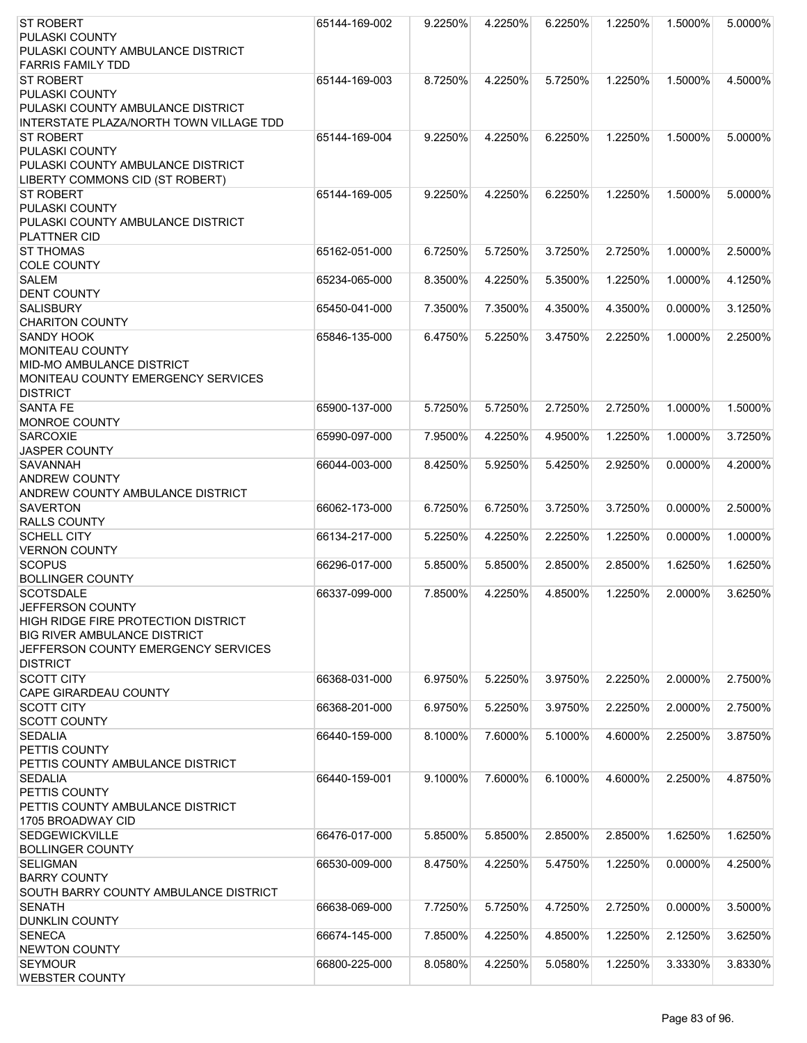| <b>ST ROBERT</b>                        | 65144-169-002 | 9.2250% | 4.2250% | 6.2250% | 1.2250% | 1.5000%    | 5.0000% |
|-----------------------------------------|---------------|---------|---------|---------|---------|------------|---------|
| PULASKI COUNTY                          |               |         |         |         |         |            |         |
| PULASKI COUNTY AMBULANCE DISTRICT       |               |         |         |         |         |            |         |
| <b>FARRIS FAMILY TDD</b>                |               |         |         |         |         |            |         |
| <b>ST ROBERT</b>                        | 65144-169-003 | 8.7250% | 4.2250% | 5.7250% | 1.2250% | 1.5000%    | 4.5000% |
| PULASKI COUNTY                          |               |         |         |         |         |            |         |
| PULASKI COUNTY AMBULANCE DISTRICT       |               |         |         |         |         |            |         |
| INTERSTATE PLAZA/NORTH TOWN VILLAGE TDD |               |         |         |         |         |            |         |
| <b>ST ROBERT</b>                        | 65144-169-004 | 9.2250% | 4.2250% | 6.2250% | 1.2250% | 1.5000%    | 5.0000% |
| PULASKI COUNTY                          |               |         |         |         |         |            |         |
| PULASKI COUNTY AMBULANCE DISTRICT       |               |         |         |         |         |            |         |
| LIBERTY COMMONS CID (ST ROBERT)         |               |         |         |         |         |            |         |
| <b>ST ROBERT</b>                        | 65144-169-005 | 9.2250% | 4.2250% | 6.2250% | 1.2250% | 1.5000%    | 5.0000% |
| PULASKI COUNTY                          |               |         |         |         |         |            |         |
| PULASKI COUNTY AMBULANCE DISTRICT       |               |         |         |         |         |            |         |
| <b>PLATTNER CID</b>                     |               |         |         |         |         |            |         |
| <b>ST THOMAS</b>                        | 65162-051-000 | 6.7250% | 5.7250% | 3.7250% | 2.7250% | 1.0000%    | 2.5000% |
| <b>COLE COUNTY</b>                      |               |         |         |         |         |            |         |
| <b>SALEM</b>                            | 65234-065-000 | 8.3500% | 4.2250% | 5.3500% | 1.2250% | 1.0000%    | 4.1250% |
| <b>DENT COUNTY</b>                      |               |         |         |         |         |            |         |
| <b>SALISBURY</b>                        | 65450-041-000 | 7.3500% | 7.3500% | 4.3500% | 4.3500% | 0.0000%    | 3.1250% |
| <b>CHARITON COUNTY</b>                  |               |         |         |         |         |            |         |
| <b>SANDY HOOK</b>                       | 65846-135-000 | 6.4750% | 5.2250% | 3.4750% | 2.2250% | 1.0000%    | 2.2500% |
| <b>MONITEAU COUNTY</b>                  |               |         |         |         |         |            |         |
| MID-MO AMBULANCE DISTRICT               |               |         |         |         |         |            |         |
| MONITEAU COUNTY EMERGENCY SERVICES      |               |         |         |         |         |            |         |
| <b>DISTRICT</b>                         |               |         |         |         |         |            |         |
| <b>SANTA FE</b>                         | 65900-137-000 | 5.7250% | 5.7250% | 2.7250% | 2.7250% | 1.0000%    | 1.5000% |
| MONROE COUNTY                           |               |         |         |         |         |            |         |
| <b>SARCOXIE</b>                         | 65990-097-000 | 7.9500% | 4.2250% | 4.9500% | 1.2250% | 1.0000%    | 3.7250% |
| <b>JASPER COUNTY</b>                    |               |         |         |         |         |            |         |
| <b>SAVANNAH</b>                         | 66044-003-000 | 8.4250% | 5.9250% | 5.4250% | 2.9250% | 0.0000%    | 4.2000% |
| <b>ANDREW COUNTY</b>                    |               |         |         |         |         |            |         |
| ANDREW COUNTY AMBULANCE DISTRICT        |               |         |         |         |         |            |         |
| <b>SAVERTON</b>                         | 66062-173-000 | 6.7250% | 6.7250% | 3.7250% | 3.7250% | 0.0000%    | 2.5000% |
| <b>RALLS COUNTY</b>                     |               |         |         |         |         |            |         |
| <b>SCHELL CITY</b>                      | 66134-217-000 | 5.2250% | 4.2250% | 2.2250% | 1.2250% | 0.0000%    | 1.0000% |
| <b>VERNON COUNTY</b>                    |               |         |         |         |         |            |         |
| <b>SCOPUS</b>                           | 66296-017-000 | 5.8500% | 5.8500% | 2.8500% | 2.8500% | 1.6250%    | 1.6250% |
| <b>BOLLINGER COUNTY</b>                 |               |         |         |         |         |            |         |
| <b>SCOTSDALE</b>                        | 66337-099-000 | 7.8500% | 4.2250% | 4.8500% | 1.2250% | 2.0000%    | 3.6250% |
| JEFFERSON COUNTY                        |               |         |         |         |         |            |         |
| HIGH RIDGE FIRE PROTECTION DISTRICT     |               |         |         |         |         |            |         |
| <b>BIG RIVER AMBULANCE DISTRICT</b>     |               |         |         |         |         |            |         |
| JEFFERSON COUNTY EMERGENCY SERVICES     |               |         |         |         |         |            |         |
| <b>DISTRICT</b>                         |               |         |         |         |         |            |         |
| <b>SCOTT CITY</b>                       | 66368-031-000 | 6.9750% | 5.2250% | 3.9750% | 2.2250% | 2.0000%    | 2.7500% |
| <b>CAPE GIRARDEAU COUNTY</b>            |               |         |         |         |         |            |         |
| <b>SCOTT CITY</b>                       | 66368-201-000 | 6.9750% | 5.2250% | 3.9750% | 2.2250% | 2.0000%    | 2.7500% |
| <b>SCOTT COUNTY</b>                     |               |         |         |         |         |            |         |
| <b>SEDALIA</b>                          | 66440-159-000 | 8.1000% | 7.6000% | 5.1000% | 4.6000% | 2.2500%    | 3.8750% |
| PETTIS COUNTY                           |               |         |         |         |         |            |         |
| PETTIS COUNTY AMBULANCE DISTRICT        |               |         |         |         |         |            |         |
| <b>SEDALIA</b>                          | 66440-159-001 | 9.1000% | 7.6000% | 6.1000% | 4.6000% | 2.2500%    | 4.8750% |
| <b>PETTIS COUNTY</b>                    |               |         |         |         |         |            |         |
| PETTIS COUNTY AMBULANCE DISTRICT        |               |         |         |         |         |            |         |
| 1705 BROADWAY CID                       |               |         |         |         |         |            |         |
| <b>SEDGEWICKVILLE</b>                   | 66476-017-000 | 5.8500% | 5.8500% | 2.8500% | 2.8500% | 1.6250%    | 1.6250% |
| <b>BOLLINGER COUNTY</b>                 |               |         |         |         |         |            |         |
| <b>SELIGMAN</b>                         | 66530-009-000 | 8.4750% | 4.2250% | 5.4750% | 1.2250% | 0.0000%    | 4.2500% |
| <b>BARRY COUNTY</b>                     |               |         |         |         |         |            |         |
| SOUTH BARRY COUNTY AMBULANCE DISTRICT   |               |         |         |         |         |            |         |
| <b>SENATH</b>                           | 66638-069-000 | 7.7250% | 5.7250% | 4.7250% | 2.7250% | $0.0000\%$ | 3.5000% |
| <b>DUNKLIN COUNTY</b>                   |               |         |         |         |         |            |         |
| <b>SENECA</b>                           | 66674-145-000 | 7.8500% | 4.2250% | 4.8500% | 1.2250% | 2.1250%    | 3.6250% |
| <b>NEWTON COUNTY</b>                    |               |         |         |         |         |            |         |
| <b>SEYMOUR</b>                          | 66800-225-000 | 8.0580% | 4.2250% | 5.0580% | 1.2250% | 3.3330%    | 3.8330% |
| <b>WEBSTER COUNTY</b>                   |               |         |         |         |         |            |         |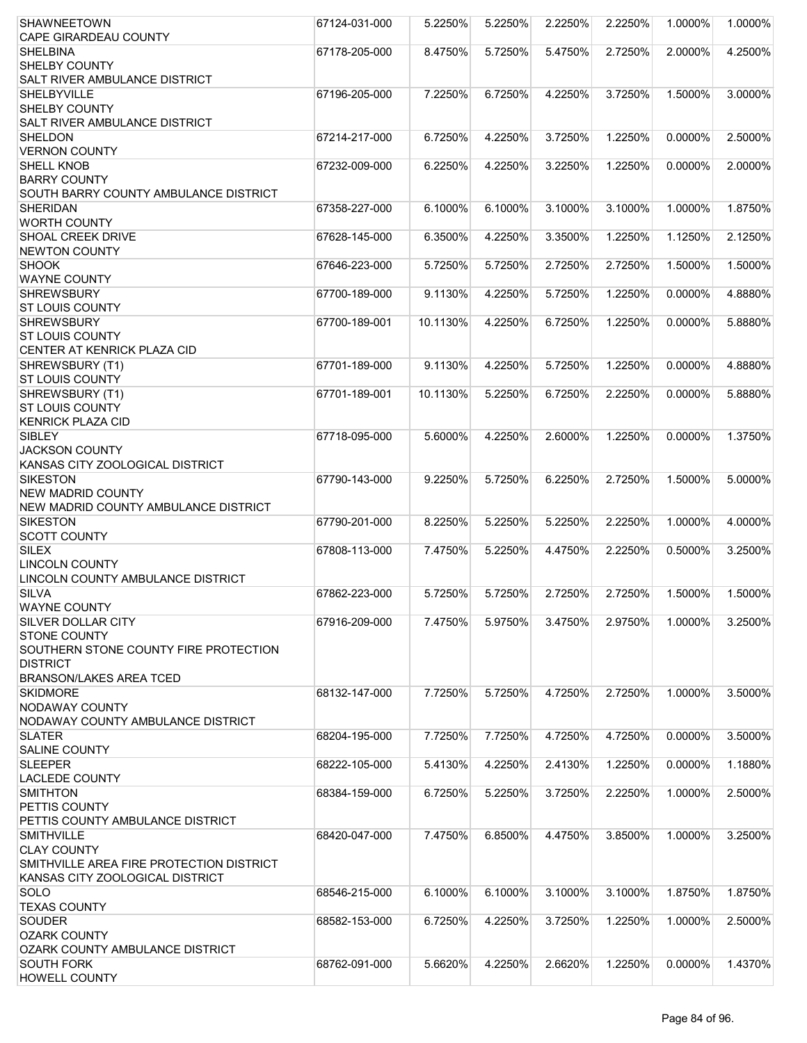| <b>SHAWNEETOWN</b>                                         | 67124-031-000 | 5.2250%  | 5.2250% | 2.2250% | 2.2250% | 1.0000% | 1.0000% |
|------------------------------------------------------------|---------------|----------|---------|---------|---------|---------|---------|
| CAPE GIRARDEAU COUNTY                                      |               |          |         |         |         |         |         |
| <b>SHELBINA</b><br><b>SHELBY COUNTY</b>                    | 67178-205-000 | 8.4750%  | 5.7250% | 5.4750% | 2.7250% | 2.0000% | 4.2500% |
| SALT RIVER AMBULANCE DISTRICT                              |               |          |         |         |         |         |         |
| <b>SHELBYVILLE</b>                                         | 67196-205-000 | 7.2250%  | 6.7250% | 4.2250% | 3.7250% | 1.5000% | 3.0000% |
| <b>SHELBY COUNTY</b>                                       |               |          |         |         |         |         |         |
| <b>SALT RIVER AMBULANCE DISTRICT</b>                       |               |          |         |         |         |         |         |
| <b>SHELDON</b>                                             | 67214-217-000 | 6.7250%  | 4.2250% | 3.7250% | 1.2250% | 0.0000% | 2.5000% |
| <b>VERNON COUNTY</b>                                       |               |          |         |         |         |         |         |
| <b>SHELL KNOB</b><br><b>BARRY COUNTY</b>                   | 67232-009-000 | 6.2250%  | 4.2250% | 3.2250% | 1.2250% | 0.0000% | 2.0000% |
| SOUTH BARRY COUNTY AMBULANCE DISTRICT                      |               |          |         |         |         |         |         |
| <b>SHERIDAN</b>                                            | 67358-227-000 | 6.1000%  | 6.1000% | 3.1000% | 3.1000% | 1.0000% | 1.8750% |
| <b>WORTH COUNTY</b>                                        |               |          |         |         |         |         |         |
| SHOAL CREEK DRIVE                                          | 67628-145-000 | 6.3500%  | 4.2250% | 3.3500% | 1.2250% | 1.1250% | 2.1250% |
| <b>NEWTON COUNTY</b>                                       |               |          |         |         |         |         |         |
| <b>SHOOK</b>                                               | 67646-223-000 | 5.7250%  | 5.7250% | 2.7250% | 2.7250% | 1.5000% | 1.5000% |
| <b>WAYNE COUNTY</b>                                        |               |          |         |         |         |         |         |
| <b>SHREWSBURY</b>                                          | 67700-189-000 | 9.1130%  | 4.2250% | 5.7250% | 1.2250% | 0.0000% | 4.8880% |
| <b>ST LOUIS COUNTY</b><br><b>SHREWSBURY</b>                | 67700-189-001 | 10.1130% | 4.2250% | 6.7250% | 1.2250% | 0.0000% | 5.8880% |
| <b>ST LOUIS COUNTY</b>                                     |               |          |         |         |         |         |         |
| CENTER AT KENRICK PLAZA CID                                |               |          |         |         |         |         |         |
| SHREWSBURY (T1)                                            | 67701-189-000 | 9.1130%  | 4.2250% | 5.7250% | 1.2250% | 0.0000% | 4.8880% |
| <b>ST LOUIS COUNTY</b>                                     |               |          |         |         |         |         |         |
| SHREWSBURY (T1)                                            | 67701-189-001 | 10.1130% | 5.2250% | 6.7250% | 2.2250% | 0.0000% | 5.8880% |
| <b>ST LOUIS COUNTY</b>                                     |               |          |         |         |         |         |         |
| <b>KENRICK PLAZA CID</b>                                   |               |          |         |         |         |         |         |
| <b>SIBLEY</b><br><b>JACKSON COUNTY</b>                     | 67718-095-000 | 5.6000%  | 4.2250% | 2.6000% | 1.2250% | 0.0000% | 1.3750% |
| KANSAS CITY ZOOLOGICAL DISTRICT                            |               |          |         |         |         |         |         |
| <b>SIKESTON</b>                                            | 67790-143-000 | 9.2250%  | 5.7250% | 6.2250% | 2.7250% | 1.5000% | 5.0000% |
| <b>NEW MADRID COUNTY</b>                                   |               |          |         |         |         |         |         |
| NEW MADRID COUNTY AMBULANCE DISTRICT                       |               |          |         |         |         |         |         |
| <b>SIKESTON</b>                                            | 67790-201-000 | 8.2250%  | 5.2250% | 5.2250% | 2.2250% | 1.0000% | 4.0000% |
| <b>SCOTT COUNTY</b>                                        |               |          |         |         |         |         |         |
| <b>SILEX</b>                                               | 67808-113-000 | 7.4750%  | 5.2250% | 4.4750% | 2.2250% | 0.5000% | 3.2500% |
| <b>LINCOLN COUNTY</b><br>LINCOLN COUNTY AMBULANCE DISTRICT |               |          |         |         |         |         |         |
| <b>SILVA</b>                                               | 67862-223-000 | 5.7250%  | 5.7250% | 2.7250% | 2.7250% | 1.5000% | 1.5000% |
| <b>WAYNE COUNTY</b>                                        |               |          |         |         |         |         |         |
| <b>SILVER DOLLAR CITY</b>                                  | 67916-209-000 | 7.4750%  | 5.9750% | 3.4750% | 2.9750% | 1.0000% | 3.2500% |
| <b>STONE COUNTY</b>                                        |               |          |         |         |         |         |         |
| SOUTHERN STONE COUNTY FIRE PROTECTION                      |               |          |         |         |         |         |         |
| <b>DISTRICT</b>                                            |               |          |         |         |         |         |         |
| <b>BRANSON/LAKES AREA TCED</b>                             |               |          |         |         |         |         |         |
| <b>SKIDMORE</b>                                            | 68132-147-000 | 7.7250%  | 5.7250% | 4.7250% | 2.7250% | 1.0000% | 3.5000% |
| <b>NODAWAY COUNTY</b><br>NODAWAY COUNTY AMBULANCE DISTRICT |               |          |         |         |         |         |         |
| <b>SLATER</b>                                              | 68204-195-000 | 7.7250%  | 7.7250% | 4.7250% | 4.7250% | 0.0000% | 3.5000% |
| <b>SALINE COUNTY</b>                                       |               |          |         |         |         |         |         |
| <b>SLEEPER</b>                                             | 68222-105-000 | 5.4130%  | 4.2250% | 2.4130% | 1.2250% | 0.0000% | 1.1880% |
| <b>LACLEDE COUNTY</b>                                      |               |          |         |         |         |         |         |
| <b>SMITHTON</b>                                            | 68384-159-000 | 6.7250%  | 5.2250% | 3.7250% | 2.2250% | 1.0000% | 2.5000% |
| <b>PETTIS COUNTY</b>                                       |               |          |         |         |         |         |         |
| PETTIS COUNTY AMBULANCE DISTRICT                           |               |          |         |         |         |         |         |
| <b>SMITHVILLE</b><br><b>CLAY COUNTY</b>                    | 68420-047-000 | 7.4750%  | 6.8500% | 4.4750% | 3.8500% | 1.0000% | 3.2500% |
| SMITHVILLE AREA FIRE PROTECTION DISTRICT                   |               |          |         |         |         |         |         |
| KANSAS CITY ZOOLOGICAL DISTRICT                            |               |          |         |         |         |         |         |
| <b>SOLO</b>                                                | 68546-215-000 | 6.1000%  | 6.1000% | 3.1000% | 3.1000% | 1.8750% | 1.8750% |
| <b>TEXAS COUNTY</b>                                        |               |          |         |         |         |         |         |
| <b>SOUDER</b>                                              | 68582-153-000 | 6.7250%  | 4.2250% | 3.7250% | 1.2250% | 1.0000% | 2.5000% |
| <b>OZARK COUNTY</b>                                        |               |          |         |         |         |         |         |
| OZARK COUNTY AMBULANCE DISTRICT                            |               |          |         |         |         |         |         |
| <b>SOUTH FORK</b>                                          | 68762-091-000 | 5.6620%  | 4.2250% | 2.6620% | 1.2250% | 0.0000% | 1.4370% |
| <b>HOWELL COUNTY</b>                                       |               |          |         |         |         |         |         |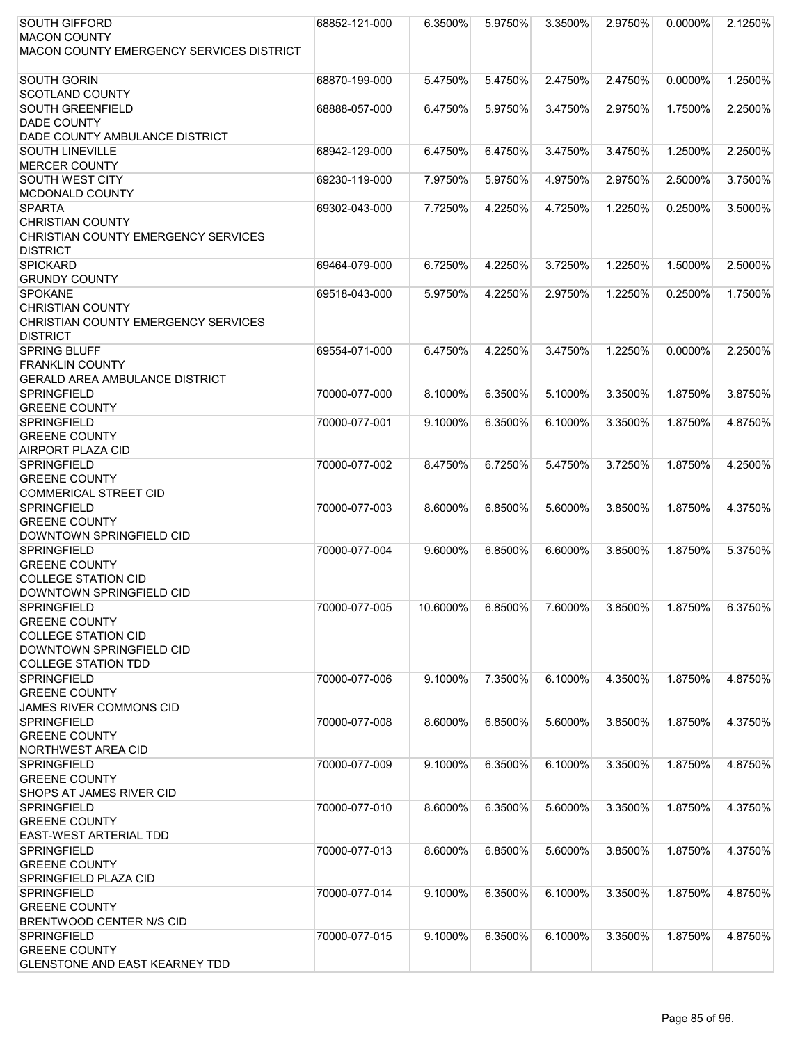| <b>SOUTH GIFFORD</b>                                                  | 68852-121-000 | 6.3500%  | 5.9750% | 3.3500%    | 2.9750% | 0.0000% | 2.1250% |
|-----------------------------------------------------------------------|---------------|----------|---------|------------|---------|---------|---------|
| <b>IMACON COUNTY</b><br>MACON COUNTY EMERGENCY SERVICES DISTRICT      |               |          |         |            |         |         |         |
|                                                                       |               |          |         |            |         |         |         |
| SOUTH GORIN                                                           | 68870-199-000 | 5.4750%  | 5.4750% | 2.4750%    | 2.4750% | 0.0000% | 1.2500% |
| <b>SCOTLAND COUNTY</b><br><b>SOUTH GREENFIELD</b>                     | 68888-057-000 | 6.4750%  | 5.9750% | 3.4750%    | 2.9750% | 1.7500% | 2.2500% |
| <b>DADE COUNTY</b>                                                    |               |          |         |            |         |         |         |
| DADE COUNTY AMBULANCE DISTRICT                                        |               |          |         |            |         |         |         |
| <b>SOUTH LINEVILLE</b><br><b>MERCER COUNTY</b>                        | 68942-129-000 | 6.4750%  | 6.4750% | 3.4750%    | 3.4750% | 1.2500% | 2.2500% |
| <b>SOUTH WEST CITY</b>                                                | 69230-119-000 | 7.9750%  | 5.9750% | 4.9750%    | 2.9750% | 2.5000% | 3.7500% |
| MCDONALD COUNTY                                                       |               |          |         |            |         |         |         |
| <b>SPARTA</b>                                                         | 69302-043-000 | 7.7250%  | 4.2250% | 4.7250%    | 1.2250% | 0.2500% | 3.5000% |
| <b>CHRISTIAN COUNTY</b><br><b>CHRISTIAN COUNTY EMERGENCY SERVICES</b> |               |          |         |            |         |         |         |
| <b>DISTRICT</b>                                                       |               |          |         |            |         |         |         |
| <b>SPICKARD</b>                                                       | 69464-079-000 | 6.7250%  | 4.2250% | 3.7250%    | 1.2250% | 1.5000% | 2.5000% |
| <b>GRUNDY COUNTY</b>                                                  |               |          |         |            |         |         |         |
| <b>SPOKANE</b>                                                        | 69518-043-000 | 5.9750%  | 4.2250% | 2.9750%    | 1.2250% | 0.2500% | 1.7500% |
| <b>CHRISTIAN COUNTY</b><br>CHRISTIAN COUNTY EMERGENCY SERVICES        |               |          |         |            |         |         |         |
| <b>DISTRICT</b>                                                       |               |          |         |            |         |         |         |
| <b>SPRING BLUFF</b>                                                   | 69554-071-000 | 6.4750%  | 4.2250% | 3.4750%    | 1.2250% | 0.0000% | 2.2500% |
| <b>FRANKLIN COUNTY</b>                                                |               |          |         |            |         |         |         |
| <b>GERALD AREA AMBULANCE DISTRICT</b><br><b>SPRINGFIELD</b>           | 70000-077-000 | 8.1000%  | 6.3500% | 5.1000%    | 3.3500% | 1.8750% | 3.8750% |
| <b>GREENE COUNTY</b>                                                  |               |          |         |            |         |         |         |
| <b>SPRINGFIELD</b>                                                    | 70000-077-001 | 9.1000%  | 6.3500% | 6.1000%    | 3.3500% | 1.8750% | 4.8750% |
| <b>GREENE COUNTY</b>                                                  |               |          |         |            |         |         |         |
| <b>AIRPORT PLAZA CID</b>                                              |               |          |         |            |         |         |         |
| <b>SPRINGFIELD</b><br><b>GREENE COUNTY</b>                            | 70000-077-002 | 8.4750%  | 6.7250% | 5.4750%    | 3.7250% | 1.8750% | 4.2500% |
| <b>COMMERICAL STREET CID</b>                                          |               |          |         |            |         |         |         |
| <b>SPRINGFIELD</b>                                                    | 70000-077-003 | 8.6000%  | 6.8500% | 5.6000%    | 3.8500% | 1.8750% | 4.3750% |
| <b>GREENE COUNTY</b>                                                  |               |          |         |            |         |         |         |
| DOWNTOWN SPRINGFIELD CID<br><b>SPRINGFIELD</b>                        | 70000-077-004 | 9.6000%  | 6.8500% | 6.6000%    | 3.8500% | 1.8750% | 5.3750% |
| <b>GREENE COUNTY</b>                                                  |               |          |         |            |         |         |         |
| <b>COLLEGE STATION CID</b>                                            |               |          |         |            |         |         |         |
| DOWNTOWN SPRINGFIELD CID                                              |               |          |         |            |         |         |         |
| <b>SPRINGFIELD</b><br><b>GREENE COUNTY</b>                            | 70000-077-005 | 10.6000% | 6.8500% | 7.6000%    | 3.8500% | 1.8750% | 6.3750% |
| <b>COLLEGE STATION CID</b>                                            |               |          |         |            |         |         |         |
| DOWNTOWN SPRINGFIELD CID                                              |               |          |         |            |         |         |         |
| <b>COLLEGE STATION TDD</b>                                            |               |          |         |            |         |         |         |
| <b>SPRINGFIELD</b><br><b>GREENE COUNTY</b>                            | 70000-077-006 | 9.1000%  | 7.3500% | $6.1000\%$ | 4.3500% | 1.8750% | 4.8750% |
| <b>JAMES RIVER COMMONS CID</b>                                        |               |          |         |            |         |         |         |
| <b>SPRINGFIELD</b>                                                    | 70000-077-008 | 8.6000%  | 6.8500% | 5.6000%    | 3.8500% | 1.8750% | 4.3750% |
| <b>GREENE COUNTY</b>                                                  |               |          |         |            |         |         |         |
| <b>NORTHWEST AREA CID</b>                                             |               |          |         |            |         |         |         |
| <b>SPRINGFIELD</b><br><b>GREENE COUNTY</b>                            | 70000-077-009 | 9.1000%  | 6.3500% | 6.1000%    | 3.3500% | 1.8750% | 4.8750% |
| <b>SHOPS AT JAMES RIVER CID</b>                                       |               |          |         |            |         |         |         |
| <b>SPRINGFIELD</b>                                                    | 70000-077-010 | 8.6000%  | 6.3500% | 5.6000%    | 3.3500% | 1.8750% | 4.3750% |
| <b>GREENE COUNTY</b>                                                  |               |          |         |            |         |         |         |
| <b>EAST-WEST ARTERIAL TDD</b><br><b>SPRINGFIELD</b>                   | 70000-077-013 | 8.6000%  | 6.8500% | 5.6000%    | 3.8500% | 1.8750% | 4.3750% |
| <b>GREENE COUNTY</b>                                                  |               |          |         |            |         |         |         |
| <b>SPRINGFIELD PLAZA CID</b>                                          |               |          |         |            |         |         |         |
| <b>SPRINGFIELD</b>                                                    | 70000-077-014 | 9.1000%  | 6.3500% | 6.1000%    | 3.3500% | 1.8750% | 4.8750% |
| <b>GREENE COUNTY</b>                                                  |               |          |         |            |         |         |         |
| BRENTWOOD CENTER N/S CID<br><b>SPRINGFIELD</b>                        | 70000-077-015 | 9.1000%  | 6.3500% | 6.1000%    | 3.3500% | 1.8750% | 4.8750% |
| <b>GREENE COUNTY</b>                                                  |               |          |         |            |         |         |         |
| <b>GLENSTONE AND EAST KEARNEY TDD</b>                                 |               |          |         |            |         |         |         |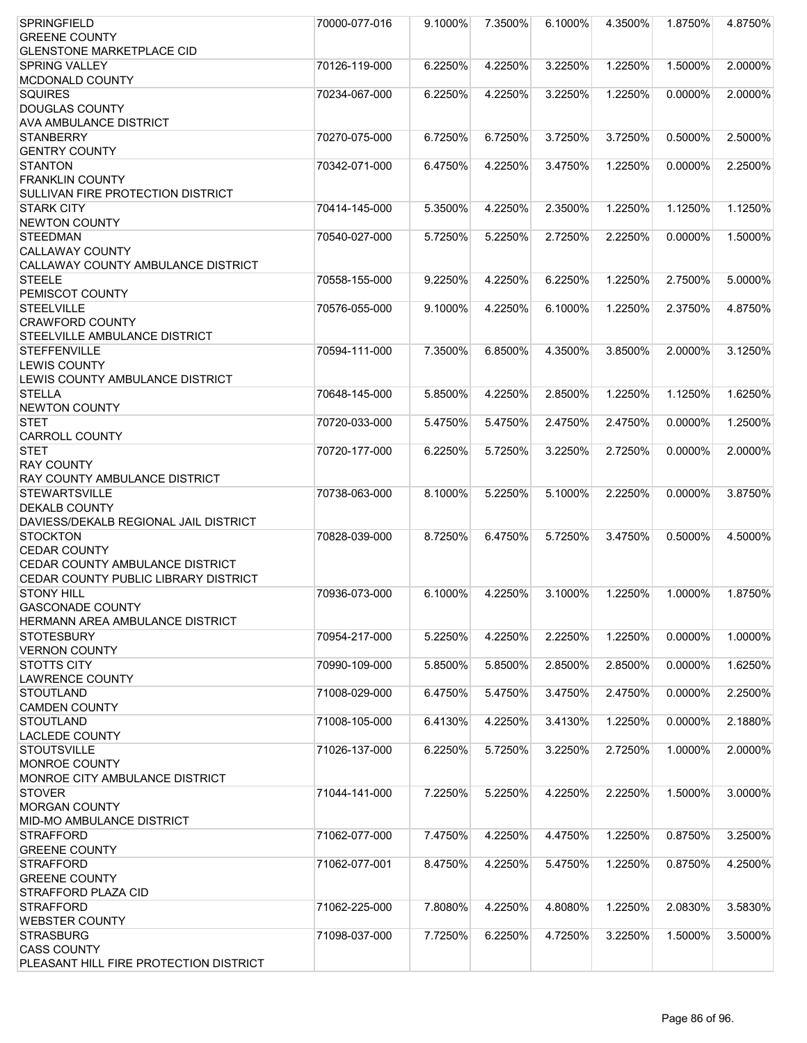| <b>SPRINGFIELD</b>                     | 70000-077-016 | 9.1000% | 7.3500% | 6.1000% | 4.3500% | 1.8750% | 4.8750% |
|----------------------------------------|---------------|---------|---------|---------|---------|---------|---------|
| <b>GREENE COUNTY</b>                   |               |         |         |         |         |         |         |
| <b>GLENSTONE MARKETPLACE CID</b>       |               |         |         |         |         |         |         |
| <b>SPRING VALLEY</b>                   | 70126-119-000 | 6.2250% | 4.2250% | 3.2250% | 1.2250% | 1.5000% | 2.0000% |
| MCDONALD COUNTY                        |               |         |         |         |         |         |         |
| <b>SQUIRES</b>                         | 70234-067-000 | 6.2250% | 4.2250% | 3.2250% | 1.2250% | 0.0000% | 2.0000% |
| <b>DOUGLAS COUNTY</b>                  |               |         |         |         |         |         |         |
| <b>AVA AMBULANCE DISTRICT</b>          |               |         |         |         |         |         |         |
| <b>STANBERRY</b>                       | 70270-075-000 | 6.7250% | 6.7250% | 3.7250% | 3.7250% | 0.5000% | 2.5000% |
| <b>GENTRY COUNTY</b>                   |               |         |         |         |         |         |         |
| <b>STANTON</b>                         | 70342-071-000 | 6.4750% | 4.2250% | 3.4750% | 1.2250% | 0.0000% | 2.2500% |
| <b>FRANKLIN COUNTY</b>                 |               |         |         |         |         |         |         |
| SULLIVAN FIRE PROTECTION DISTRICT      |               |         |         |         |         |         |         |
| <b>STARK CITY</b>                      | 70414-145-000 | 5.3500% | 4.2250% | 2.3500% | 1.2250% | 1.1250% | 1.1250% |
| <b>NEWTON COUNTY</b>                   |               |         |         |         |         |         |         |
| <b>STEEDMAN</b>                        | 70540-027-000 | 5.7250% | 5.2250% | 2.7250% | 2.2250% | 0.0000% | 1.5000% |
| <b>CALLAWAY COUNTY</b>                 |               |         |         |         |         |         |         |
| CALLAWAY COUNTY AMBULANCE DISTRICT     |               |         |         |         |         |         |         |
| <b>STEELE</b>                          | 70558-155-000 | 9.2250% | 4.2250% | 6.2250% | 1.2250% | 2.7500% | 5.0000% |
| <b>PEMISCOT COUNTY</b>                 |               |         |         |         |         |         |         |
| <b>STEELVILLE</b>                      | 70576-055-000 | 9.1000% | 4.2250% | 6.1000% | 1.2250% | 2.3750% | 4.8750% |
|                                        |               |         |         |         |         |         |         |
| <b>CRAWFORD COUNTY</b>                 |               |         |         |         |         |         |         |
| <b>STEELVILLE AMBULANCE DISTRICT</b>   |               |         |         |         |         |         |         |
| <b>STEFFENVILLE</b>                    | 70594-111-000 | 7.3500% | 6.8500% | 4.3500% | 3.8500% | 2.0000% | 3.1250% |
| <b>LEWIS COUNTY</b>                    |               |         |         |         |         |         |         |
| LEWIS COUNTY AMBULANCE DISTRICT        |               |         |         |         |         |         |         |
| <b>STELLA</b>                          | 70648-145-000 | 5.8500% | 4.2250% | 2.8500% | 1.2250% | 1.1250% | 1.6250% |
| <b>NEWTON COUNTY</b>                   |               |         |         |         |         |         |         |
| <b>STET</b>                            | 70720-033-000 | 5.4750% | 5.4750% | 2.4750% | 2.4750% | 0.0000% | 1.2500% |
| <b>CARROLL COUNTY</b>                  |               |         |         |         |         |         |         |
| <b>STET</b>                            | 70720-177-000 | 6.2250% | 5.7250% | 3.2250% | 2.7250% | 0.0000% | 2.0000% |
| <b>RAY COUNTY</b>                      |               |         |         |         |         |         |         |
| <b>RAY COUNTY AMBULANCE DISTRICT</b>   |               |         |         |         |         |         |         |
| <b>STEWARTSVILLE</b>                   | 70738-063-000 | 8.1000% | 5.2250% | 5.1000% | 2.2250% | 0.0000% | 3.8750% |
| <b>DEKALB COUNTY</b>                   |               |         |         |         |         |         |         |
| DAVIESS/DEKALB REGIONAL JAIL DISTRICT  |               |         |         |         |         |         |         |
| <b>STOCKTON</b>                        | 70828-039-000 | 8.7250% | 6.4750% | 5.7250% | 3.4750% | 0.5000% | 4.5000% |
| <b>CEDAR COUNTY</b>                    |               |         |         |         |         |         |         |
| CEDAR COUNTY AMBULANCE DISTRICT        |               |         |         |         |         |         |         |
| CEDAR COUNTY PUBLIC LIBRARY DISTRICT   |               |         |         |         |         |         |         |
| <b>STONY HILL</b>                      | 70936-073-000 | 6.1000% | 4.2250% | 3.1000% | 1.2250% | 1.0000% | 1.8750% |
| <b>GASCONADE COUNTY</b>                |               |         |         |         |         |         |         |
| HERMANN AREA AMBULANCE DISTRICT        |               |         |         |         |         |         |         |
| <b>STOTESBURY</b>                      | 70954-217-000 | 5.2250% | 4.2250% | 2.2250% | 1.2250% | 0.0000% | 1.0000% |
| <b>VERNON COUNTY</b>                   |               |         |         |         |         |         |         |
| <b>STOTTS CITY</b>                     | 70990-109-000 | 5.8500% | 5.8500% | 2.8500% | 2.8500% | 0.0000% | 1.6250% |
| <b>LAWRENCE COUNTY</b>                 |               |         |         |         |         |         |         |
| <b>STOUTLAND</b>                       | 71008-029-000 | 6.4750% | 5.4750% | 3.4750% | 2.4750% | 0.0000% | 2.2500% |
| <b>CAMDEN COUNTY</b>                   |               |         |         |         |         |         |         |
| <b>STOUTLAND</b>                       | 71008-105-000 | 6.4130% | 4.2250% | 3.4130% | 1.2250% | 0.0000% | 2.1880% |
| <b>LACLEDE COUNTY</b>                  |               |         |         |         |         |         |         |
| <b>STOUTSVILLE</b>                     | 71026-137-000 | 6.2250% | 5.7250% | 3.2250% | 2.7250% | 1.0000% | 2.0000% |
| <b>MONROE COUNTY</b>                   |               |         |         |         |         |         |         |
| MONROE CITY AMBULANCE DISTRICT         |               |         |         |         |         |         |         |
| <b>STOVER</b>                          | 71044-141-000 | 7.2250% | 5.2250% | 4.2250% | 2.2250% | 1.5000% | 3.0000% |
| <b>MORGAN COUNTY</b>                   |               |         |         |         |         |         |         |
| <b>MID-MO AMBULANCE DISTRICT</b>       |               |         |         |         |         |         |         |
| <b>STRAFFORD</b>                       | 71062-077-000 | 7.4750% | 4.2250% | 4.4750% | 1.2250% | 0.8750% | 3.2500% |
| <b>GREENE COUNTY</b>                   |               |         |         |         |         |         |         |
| <b>STRAFFORD</b>                       | 71062-077-001 | 8.4750% | 4.2250% | 5.4750% | 1.2250% | 0.8750% | 4.2500% |
| <b>GREENE COUNTY</b>                   |               |         |         |         |         |         |         |
| <b>STRAFFORD PLAZA CID</b>             |               |         |         |         |         |         |         |
| <b>STRAFFORD</b>                       | 71062-225-000 | 7.8080% | 4.2250% | 4.8080% | 1.2250% | 2.0830% | 3.5830% |
| <b>WEBSTER COUNTY</b>                  |               |         |         |         |         |         |         |
| <b>STRASBURG</b>                       | 71098-037-000 | 7.7250% | 6.2250% | 4.7250% | 3.2250% | 1.5000% | 3.5000% |
| <b>CASS COUNTY</b>                     |               |         |         |         |         |         |         |
| PLEASANT HILL FIRE PROTECTION DISTRICT |               |         |         |         |         |         |         |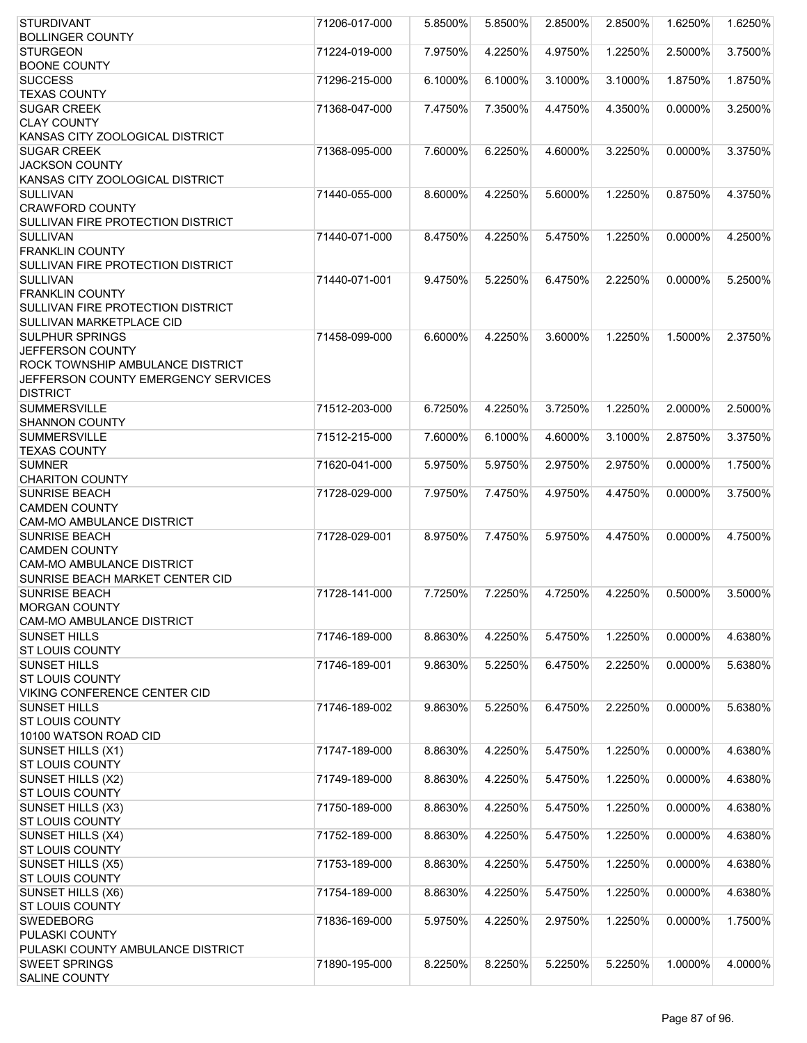| <b>STURDIVANT</b>                                         | 71206-017-000 | 5.8500% | 5.8500% | 2.8500% | 2.8500% | 1.6250%    | 1.6250% |
|-----------------------------------------------------------|---------------|---------|---------|---------|---------|------------|---------|
| <b>BOLLINGER COUNTY</b>                                   |               |         |         |         |         |            |         |
| <b>STURGEON</b>                                           | 71224-019-000 | 7.9750% | 4.2250% | 4.9750% | 1.2250% | 2.5000%    | 3.7500% |
| <b>BOONE COUNTY</b>                                       |               |         |         |         |         |            |         |
| <b>SUCCESS</b>                                            | 71296-215-000 | 6.1000% | 6.1000% | 3.1000% | 3.1000% | 1.8750%    | 1.8750% |
| <b>TEXAS COUNTY</b>                                       |               |         |         |         |         |            |         |
| <b>SUGAR CREEK</b>                                        | 71368-047-000 | 7.4750% | 7.3500% | 4.4750% | 4.3500% | 0.0000%    | 3.2500% |
| <b>CLAY COUNTY</b>                                        |               |         |         |         |         |            |         |
| KANSAS CITY ZOOLOGICAL DISTRICT                           |               |         |         |         |         |            |         |
| <b>SUGAR CREEK</b><br><b>JACKSON COUNTY</b>               | 71368-095-000 | 7.6000% | 6.2250% | 4.6000% | 3.2250% | 0.0000%    | 3.3750% |
| KANSAS CITY ZOOLOGICAL DISTRICT                           |               |         |         |         |         |            |         |
| <b>SULLIVAN</b>                                           | 71440-055-000 | 8.6000% | 4.2250% | 5.6000% | 1.2250% | 0.8750%    | 4.3750% |
| <b>CRAWFORD COUNTY</b>                                    |               |         |         |         |         |            |         |
| <b>SULLIVAN FIRE PROTECTION DISTRICT</b>                  |               |         |         |         |         |            |         |
| <b>SULLIVAN</b>                                           | 71440-071-000 | 8.4750% | 4.2250% | 5.4750% | 1.2250% | 0.0000%    | 4.2500% |
| <b>FRANKLIN COUNTY</b>                                    |               |         |         |         |         |            |         |
| <b>SULLIVAN FIRE PROTECTION DISTRICT</b>                  |               |         |         |         |         |            |         |
| <b>SULLIVAN</b>                                           | 71440-071-001 | 9.4750% | 5.2250% | 6.4750% | 2.2250% | 0.0000%    | 5.2500% |
| <b>FRANKLIN COUNTY</b>                                    |               |         |         |         |         |            |         |
| SULLIVAN FIRE PROTECTION DISTRICT                         |               |         |         |         |         |            |         |
| SULLIVAN MARKETPLACE CID                                  |               |         |         |         |         |            |         |
| <b>SULPHUR SPRINGS</b>                                    | 71458-099-000 | 6.6000% | 4.2250% | 3.6000% | 1.2250% | 1.5000%    | 2.3750% |
| JEFFERSON COUNTY                                          |               |         |         |         |         |            |         |
| ROCK TOWNSHIP AMBULANCE DISTRICT                          |               |         |         |         |         |            |         |
| JEFFERSON COUNTY EMERGENCY SERVICES                       |               |         |         |         |         |            |         |
| <b>DISTRICT</b>                                           |               |         |         |         |         |            |         |
| <b>SUMMERSVILLE</b>                                       | 71512-203-000 | 6.7250% | 4.2250% | 3.7250% | 1.2250% | 2.0000%    | 2.5000% |
| <b>SHANNON COUNTY</b>                                     |               |         |         |         |         |            |         |
| <b>SUMMERSVILLE</b>                                       | 71512-215-000 | 7.6000% | 6.1000% | 4.6000% | 3.1000% | 2.8750%    | 3.3750% |
| <b>TEXAS COUNTY</b>                                       |               |         |         |         |         |            |         |
| <b>SUMNER</b>                                             | 71620-041-000 | 5.9750% | 5.9750% | 2.9750% | 2.9750% | 0.0000%    | 1.7500% |
| <b>CHARITON COUNTY</b>                                    |               |         |         |         |         |            |         |
| <b>SUNRISE BEACH</b>                                      | 71728-029-000 | 7.9750% | 7.4750% | 4.9750% | 4.4750% | 0.0000%    | 3.7500% |
| <b>CAMDEN COUNTY</b>                                      |               |         |         |         |         |            |         |
| <b>CAM-MO AMBULANCE DISTRICT</b>                          |               |         |         |         |         |            |         |
| <b>SUNRISE BEACH</b>                                      | 71728-029-001 | 8.9750% | 7.4750% | 5.9750% | 4.4750% | 0.0000%    | 4.7500% |
| <b>CAMDEN COUNTY</b>                                      |               |         |         |         |         |            |         |
| <b>CAM-MO AMBULANCE DISTRICT</b>                          |               |         |         |         |         |            |         |
| SUNRISE BEACH MARKET CENTER CID<br><b>SUNRISE BEACH</b>   |               | 7.7250% | 7.2250% | 4.7250% | 4.2250% | 0.5000%    | 3.5000% |
| <b>MORGAN COUNTY</b>                                      | 71728-141-000 |         |         |         |         |            |         |
| <b>CAM-MO AMBULANCE DISTRICT</b>                          |               |         |         |         |         |            |         |
| <b>SUNSET HILLS</b>                                       | 71746-189-000 | 8.8630% | 4.2250% | 5.4750% | 1.2250% | 0.0000%    | 4.6380% |
| <b>ST LOUIS COUNTY</b>                                    |               |         |         |         |         |            |         |
| <b>SUNSET HILLS</b>                                       | 71746-189-001 | 9.8630% | 5.2250% | 6.4750% | 2.2250% | 0.0000%    | 5.6380% |
| <b>ST LOUIS COUNTY</b>                                    |               |         |         |         |         |            |         |
| VIKING CONFERENCE CENTER CID                              |               |         |         |         |         |            |         |
| <b>SUNSET HILLS</b>                                       | 71746-189-002 | 9.8630% | 5.2250% | 6.4750% | 2.2250% | $0.0000\%$ | 5.6380% |
| <b>ST LOUIS COUNTY</b>                                    |               |         |         |         |         |            |         |
| 10100 WATSON ROAD CID                                     |               |         |         |         |         |            |         |
| SUNSET HILLS (X1)                                         | 71747-189-000 | 8.8630% | 4.2250% | 5.4750% | 1.2250% | 0.0000%    | 4.6380% |
| <b>ST LOUIS COUNTY</b>                                    |               |         |         |         |         |            |         |
| SUNSET HILLS (X2)                                         | 71749-189-000 | 8.8630% | 4.2250% | 5.4750% | 1.2250% | 0.0000%    | 4.6380% |
| <b>ST LOUIS COUNTY</b>                                    |               |         |         |         |         |            |         |
| <b>SUNSET HILLS (X3)</b>                                  | 71750-189-000 | 8.8630% | 4.2250% | 5.4750% | 1.2250% | 0.0000%    | 4.6380% |
| <b>ST LOUIS COUNTY</b>                                    |               |         |         |         |         |            |         |
| SUNSET HILLS (X4)                                         | 71752-189-000 | 8.8630% | 4.2250% | 5.4750% | 1.2250% | 0.0000%    | 4.6380% |
| <b>ST LOUIS COUNTY</b>                                    |               |         |         |         |         |            |         |
| <b>SUNSET HILLS (X5)</b>                                  | 71753-189-000 | 8.8630% | 4.2250% | 5.4750% | 1.2250% | 0.0000%    | 4.6380% |
| <b>ST LOUIS COUNTY</b>                                    |               |         |         |         |         |            |         |
| SUNSET HILLS (X6)                                         | 71754-189-000 | 8.8630% | 4.2250% | 5.4750% | 1.2250% | 0.0000%    | 4.6380% |
| <b>ST LOUIS COUNTY</b>                                    |               |         |         |         |         |            |         |
| <b>SWEDEBORG</b>                                          | 71836-169-000 | 5.9750% | 4.2250% | 2.9750% | 1.2250% | 0.0000%    | 1.7500% |
| PULASKI COUNTY                                            |               |         |         |         |         |            |         |
| PULASKI COUNTY AMBULANCE DISTRICT<br><b>SWEET SPRINGS</b> | 71890-195-000 | 8.2250% | 8.2250% | 5.2250% | 5.2250% | 1.0000%    | 4.0000% |
| SALINE COUNTY                                             |               |         |         |         |         |            |         |
|                                                           |               |         |         |         |         |            |         |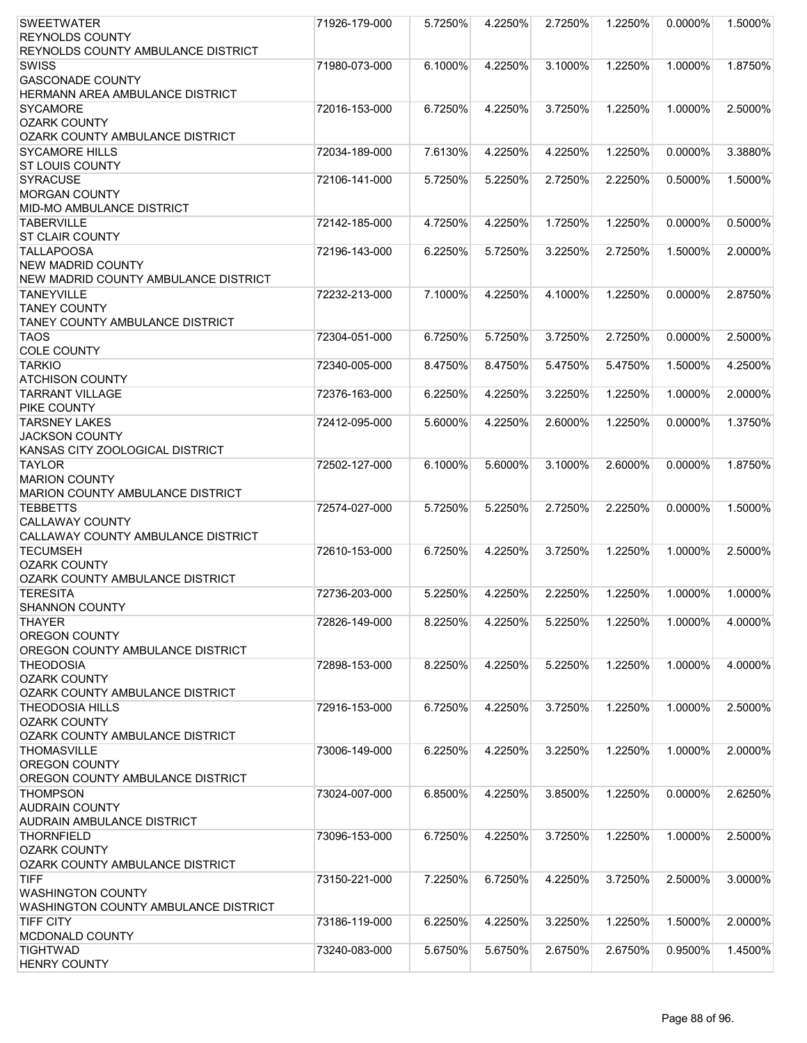| <b>SWEETWATER</b>                           | 71926-179-000 | 5.7250% | 4.2250% | 2.7250% | 1.2250% | 0.0000%    | 1.5000% |
|---------------------------------------------|---------------|---------|---------|---------|---------|------------|---------|
| <b>REYNOLDS COUNTY</b>                      |               |         |         |         |         |            |         |
| REYNOLDS COUNTY AMBULANCE DISTRICT          |               |         |         |         |         |            |         |
| <b>SWISS</b>                                | 71980-073-000 | 6.1000% | 4.2250% | 3.1000% | 1.2250% | 1.0000%    | 1.8750% |
| <b>GASCONADE COUNTY</b>                     |               |         |         |         |         |            |         |
| HERMANN AREA AMBULANCE DISTRICT             |               |         |         |         |         |            |         |
| <b>SYCAMORE</b>                             | 72016-153-000 | 6.7250% | 4.2250% | 3.7250% | 1.2250% | 1.0000%    | 2.5000% |
| <b>OZARK COUNTY</b>                         |               |         |         |         |         |            |         |
| OZARK COUNTY AMBULANCE DISTRICT             |               |         |         |         |         |            |         |
| <b>SYCAMORE HILLS</b>                       | 72034-189-000 | 7.6130% | 4.2250% | 4.2250% | 1.2250% | 0.0000%    | 3.3880% |
| <b>ST LOUIS COUNTY</b>                      |               |         |         |         |         |            |         |
| <b>SYRACUSE</b>                             | 72106-141-000 | 5.7250% | 5.2250% | 2.7250% | 2.2250% | 0.5000%    | 1.5000% |
| <b>MORGAN COUNTY</b>                        |               |         |         |         |         |            |         |
| <b>MID-MO AMBULANCE DISTRICT</b>            |               |         |         |         |         |            |         |
| <b>TABERVILLE</b>                           | 72142-185-000 | 4.7250% | 4.2250% | 1.7250% | 1.2250% | 0.0000%    | 0.5000% |
| <b>ST CLAIR COUNTY</b>                      |               |         |         |         |         |            |         |
| <b>TALLAPOOSA</b>                           | 72196-143-000 | 6.2250% | 5.7250% | 3.2250% | 2.7250% | 1.5000%    | 2.0000% |
| <b>NEW MADRID COUNTY</b>                    |               |         |         |         |         |            |         |
| NEW MADRID COUNTY AMBULANCE DISTRICT        |               |         |         |         |         |            |         |
| <b>TANEYVILLE</b>                           | 72232-213-000 | 7.1000% | 4.2250% | 4.1000% | 1.2250% | $0.0000\%$ | 2.8750% |
| <b>TANEY COUNTY</b>                         |               |         |         |         |         |            |         |
| <b>TANEY COUNTY AMBULANCE DISTRICT</b>      |               |         |         |         |         |            |         |
| <b>TAOS</b>                                 | 72304-051-000 | 6.7250% | 5.7250% | 3.7250% | 2.7250% | 0.0000%    | 2.5000% |
| <b>COLE COUNTY</b>                          |               |         |         |         |         |            |         |
| <b>TARKIO</b>                               | 72340-005-000 | 8.4750% | 8.4750% | 5.4750% | 5.4750% | 1.5000%    | 4.2500% |
| <b>ATCHISON COUNTY</b>                      |               |         |         |         |         |            |         |
|                                             |               |         |         |         |         |            |         |
| <b>TARRANT VILLAGE</b>                      | 72376-163-000 | 6.2250% | 4.2250% | 3.2250% | 1.2250% | 1.0000%    | 2.0000% |
| PIKE COUNTY                                 |               |         |         |         |         |            |         |
| <b>TARSNEY LAKES</b>                        | 72412-095-000 | 5.6000% | 4.2250% | 2.6000% | 1.2250% | 0.0000%    | 1.3750% |
| <b>JACKSON COUNTY</b>                       |               |         |         |         |         |            |         |
| KANSAS CITY ZOOLOGICAL DISTRICT             |               |         |         |         |         |            |         |
| <b>TAYLOR</b>                               | 72502-127-000 | 6.1000% | 5.6000% | 3.1000% | 2.6000% | 0.0000%    | 1.8750% |
| <b>MARION COUNTY</b>                        |               |         |         |         |         |            |         |
| <b>MARION COUNTY AMBULANCE DISTRICT</b>     |               |         |         |         |         |            |         |
| <b>TEBBETTS</b>                             | 72574-027-000 | 5.7250% | 5.2250% | 2.7250% | 2.2250% | $0.0000\%$ | 1.5000% |
| <b>CALLAWAY COUNTY</b>                      |               |         |         |         |         |            |         |
| CALLAWAY COUNTY AMBULANCE DISTRICT          |               |         |         |         |         |            |         |
| <b>TECUMSEH</b>                             | 72610-153-000 | 6.7250% | 4.2250% | 3.7250% | 1.2250% | 1.0000%    | 2.5000% |
| <b>OZARK COUNTY</b>                         |               |         |         |         |         |            |         |
| <b>OZARK COUNTY AMBULANCE DISTRICT</b>      |               |         |         |         |         |            |         |
| <b>TERESITA</b>                             | 72736-203-000 | 5.2250% | 4.2250% | 2.2250% | 1.2250% | 1.0000%    | 1.0000% |
| <b>SHANNON COUNTY</b>                       |               |         |         |         |         |            |         |
| <b>THAYER</b>                               | 72826-149-000 | 8.2250% | 4.2250% | 5.2250% | 1.2250% | 1.0000%    | 4.0000% |
| <b>OREGON COUNTY</b>                        |               |         |         |         |         |            |         |
| OREGON COUNTY AMBULANCE DISTRICT            |               |         |         |         |         |            |         |
| <b>THEODOSIA</b>                            | 72898-153-000 | 8.2250% | 4.2250% | 5.2250% | 1.2250% | 1.0000%    | 4.0000% |
| <b>OZARK COUNTY</b>                         |               |         |         |         |         |            |         |
| OZARK COUNTY AMBULANCE DISTRICT             |               |         |         |         |         |            |         |
| <b>THEODOSIA HILLS</b>                      | 72916-153-000 | 6.7250% | 4.2250% | 3.7250% | 1.2250% | 1.0000%    | 2.5000% |
| <b>OZARK COUNTY</b>                         |               |         |         |         |         |            |         |
| OZARK COUNTY AMBULANCE DISTRICT             |               |         |         |         |         |            |         |
| <b>THOMASVILLE</b>                          | 73006-149-000 | 6.2250% | 4.2250% | 3.2250% | 1.2250% | 1.0000%    | 2.0000% |
| OREGON COUNTY                               |               |         |         |         |         |            |         |
| OREGON COUNTY AMBULANCE DISTRICT            |               |         |         |         |         |            |         |
| <b>THOMPSON</b>                             |               |         |         |         |         |            |         |
| <b>AUDRAIN COUNTY</b>                       | 73024-007-000 | 6.8500% | 4.2250% | 3.8500% | 1.2250% | 0.0000%    | 2.6250% |
|                                             |               |         |         |         |         |            |         |
| <b>AUDRAIN AMBULANCE DISTRICT</b>           |               |         |         |         |         |            |         |
| <b>THORNFIELD</b>                           | 73096-153-000 | 6.7250% | 4.2250% | 3.7250% | 1.2250% | 1.0000%    | 2.5000% |
| <b>OZARK COUNTY</b>                         |               |         |         |         |         |            |         |
| OZARK COUNTY AMBULANCE DISTRICT             |               |         |         |         |         |            |         |
| <b>TIFF</b>                                 | 73150-221-000 | 7.2250% | 6.7250% | 4.2250% | 3.7250% | 2.5000%    | 3.0000% |
| <b>WASHINGTON COUNTY</b>                    |               |         |         |         |         |            |         |
| <b>WASHINGTON COUNTY AMBULANCE DISTRICT</b> |               |         |         |         |         |            |         |
| <b>TIFF CITY</b>                            | 73186-119-000 | 6.2250% | 4.2250% | 3.2250% | 1.2250% | 1.5000%    | 2.0000% |
| MCDONALD COUNTY                             |               |         |         |         |         |            |         |
| <b>TIGHTWAD</b>                             | 73240-083-000 | 5.6750% | 5.6750% | 2.6750% | 2.6750% | 0.9500%    | 1.4500% |
| <b>HENRY COUNTY</b>                         |               |         |         |         |         |            |         |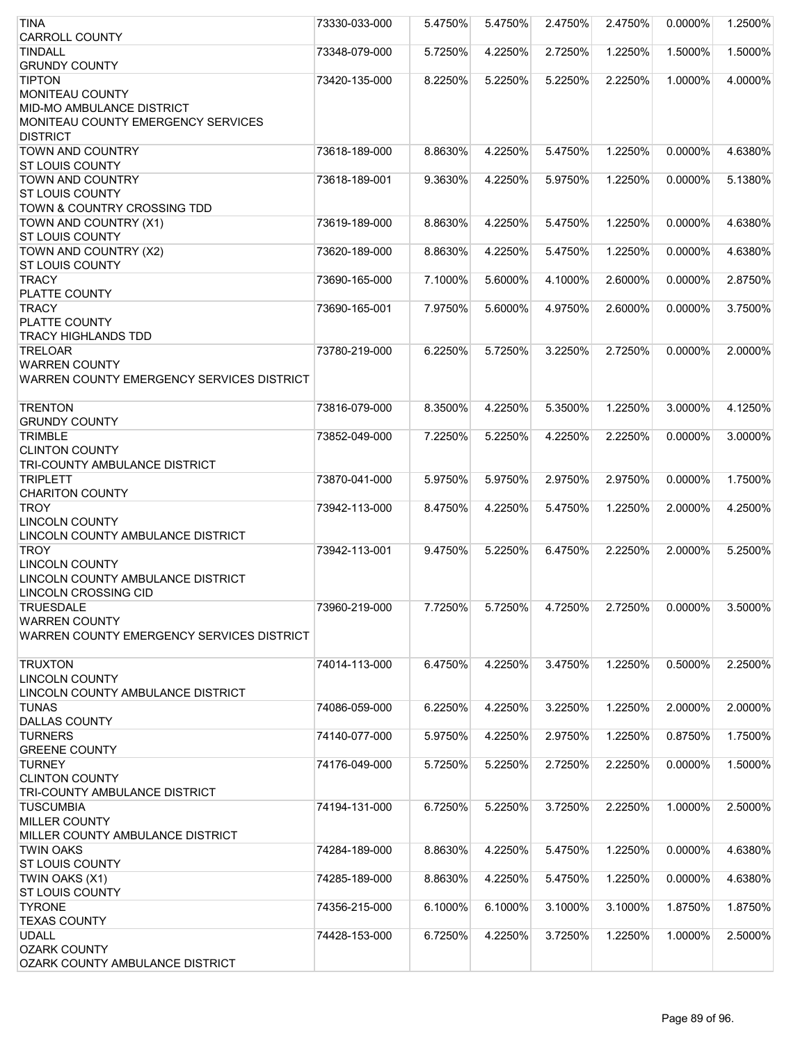| <b>TINA</b>                                          | 73330-033-000 | 5.4750% | 5.4750% | 2.4750% | 2.4750% | 0.0000%    | 1.2500% |
|------------------------------------------------------|---------------|---------|---------|---------|---------|------------|---------|
| <b>CARROLL COUNTY</b>                                |               |         |         |         |         |            |         |
| <b>TINDALL</b>                                       | 73348-079-000 | 5.7250% | 4.2250% | 2.7250% | 1.2250% | 1.5000%    | 1.5000% |
| <b>GRUNDY COUNTY</b>                                 |               |         |         |         |         |            |         |
| <b>TIPTON</b>                                        | 73420-135-000 | 8.2250% | 5.2250% | 5.2250% | 2.2250% | 1.0000%    | 4.0000% |
| MONITEAU COUNTY                                      |               |         |         |         |         |            |         |
| <b>MID-MO AMBULANCE DISTRICT</b>                     |               |         |         |         |         |            |         |
| MONITEAU COUNTY EMERGENCY SERVICES                   |               |         |         |         |         |            |         |
| <b>DISTRICT</b>                                      |               |         |         |         |         |            |         |
| <b>TOWN AND COUNTRY</b>                              | 73618-189-000 | 8.8630% | 4.2250% | 5.4750% | 1.2250% | 0.0000%    | 4.6380% |
| <b>ST LOUIS COUNTY</b>                               |               |         |         |         |         |            |         |
| <b>TOWN AND COUNTRY</b>                              | 73618-189-001 | 9.3630% | 4.2250% | 5.9750% | 1.2250% | 0.0000%    | 5.1380% |
| <b>ST LOUIS COUNTY</b>                               |               |         |         |         |         |            |         |
| TOWN & COUNTRY CROSSING TDD<br>TOWN AND COUNTRY (X1) | 73619-189-000 | 8.8630% | 4.2250% | 5.4750% | 1.2250% | $0.0000\%$ | 4.6380% |
| <b>ST LOUIS COUNTY</b>                               |               |         |         |         |         |            |         |
| TOWN AND COUNTRY (X2)                                | 73620-189-000 | 8.8630% | 4.2250% | 5.4750% | 1.2250% | 0.0000%    | 4.6380% |
| <b>ST LOUIS COUNTY</b>                               |               |         |         |         |         |            |         |
| <b>TRACY</b>                                         | 73690-165-000 | 7.1000% | 5.6000% | 4.1000% | 2.6000% | 0.0000%    | 2.8750% |
| PLATTE COUNTY                                        |               |         |         |         |         |            |         |
| <b>TRACY</b>                                         | 73690-165-001 | 7.9750% | 5.6000% | 4.9750% | 2.6000% | 0.0000%    | 3.7500% |
| <b>PLATTE COUNTY</b>                                 |               |         |         |         |         |            |         |
| <b>TRACY HIGHLANDS TDD</b>                           |               |         |         |         |         |            |         |
| <b>TRELOAR</b>                                       | 73780-219-000 | 6.2250% | 5.7250% | 3.2250% | 2.7250% | $0.0000\%$ | 2.0000% |
| <b>WARREN COUNTY</b>                                 |               |         |         |         |         |            |         |
| WARREN COUNTY EMERGENCY SERVICES DISTRICT            |               |         |         |         |         |            |         |
|                                                      |               |         |         |         |         |            |         |
| <b>TRENTON</b>                                       | 73816-079-000 | 8.3500% | 4.2250% | 5.3500% | 1.2250% | 3.0000%    | 4.1250% |
| <b>GRUNDY COUNTY</b><br><b>TRIMBLE</b>               | 73852-049-000 | 7.2250% | 5.2250% | 4.2250% | 2.2250% | 0.0000%    | 3.0000% |
| <b>CLINTON COUNTY</b>                                |               |         |         |         |         |            |         |
| TRI-COUNTY AMBULANCE DISTRICT                        |               |         |         |         |         |            |         |
| <b>TRIPLETT</b>                                      | 73870-041-000 | 5.9750% | 5.9750% | 2.9750% | 2.9750% | 0.0000%    | 1.7500% |
| <b>CHARITON COUNTY</b>                               |               |         |         |         |         |            |         |
| <b>TROY</b>                                          | 73942-113-000 | 8.4750% | 4.2250% | 5.4750% | 1.2250% | 2.0000%    | 4.2500% |
| <b>LINCOLN COUNTY</b>                                |               |         |         |         |         |            |         |
| LINCOLN COUNTY AMBULANCE DISTRICT                    |               |         |         |         |         |            |         |
| <b>TROY</b>                                          | 73942-113-001 | 9.4750% | 5.2250% | 6.4750% | 2.2250% | 2.0000%    | 5.2500% |
| <b>LINCOLN COUNTY</b>                                |               |         |         |         |         |            |         |
| LINCOLN COUNTY AMBULANCE DISTRICT                    |               |         |         |         |         |            |         |
| LINCOLN CROSSING CID                                 |               |         |         |         |         |            |         |
| <b>TRUESDALE</b><br><b>WARREN COUNTY</b>             | 73960-219-000 | 7.7250% | 5.7250% | 4.7250% | 2.7250% | $0.0000\%$ | 3.5000% |
| WARREN COUNTY EMERGENCY SERVICES DISTRICT            |               |         |         |         |         |            |         |
|                                                      |               |         |         |         |         |            |         |
| <b>TRUXTON</b>                                       | 74014-113-000 | 6.4750% | 4.2250% | 3.4750% | 1.2250% | 0.5000%    | 2.2500% |
| <b>LINCOLN COUNTY</b>                                |               |         |         |         |         |            |         |
| LINCOLN COUNTY AMBULANCE DISTRICT                    |               |         |         |         |         |            |         |
| <b>TUNAS</b>                                         | 74086-059-000 | 6.2250% | 4.2250% | 3.2250% | 1.2250% | 2.0000%    | 2.0000% |
| <b>DALLAS COUNTY</b>                                 |               |         |         |         |         |            |         |
| <b>TURNERS</b>                                       | 74140-077-000 | 5.9750% | 4.2250% | 2.9750% | 1.2250% | 0.8750%    | 1.7500% |
| <b>GREENE COUNTY</b>                                 |               |         |         |         |         |            |         |
| <b>TURNEY</b>                                        | 74176-049-000 | 5.7250% | 5.2250% | 2.7250% | 2.2250% | $0.0000\%$ | 1.5000% |
| <b>CLINTON COUNTY</b>                                |               |         |         |         |         |            |         |
| TRI-COUNTY AMBULANCE DISTRICT                        |               |         |         |         |         |            |         |
| <b>TUSCUMBIA</b><br><b>MILLER COUNTY</b>             | 74194-131-000 | 6.7250% | 5.2250% | 3.7250% | 2.2250% | 1.0000%    | 2.5000% |
| MILLER COUNTY AMBULANCE DISTRICT                     |               |         |         |         |         |            |         |
| <b>TWIN OAKS</b>                                     | 74284-189-000 | 8.8630% | 4.2250% | 5.4750% | 1.2250% | 0.0000%    | 4.6380% |
| <b>ST LOUIS COUNTY</b>                               |               |         |         |         |         |            |         |
| TWIN OAKS (X1)                                       | 74285-189-000 | 8.8630% | 4.2250% | 5.4750% | 1.2250% | 0.0000%    | 4.6380% |
| <b>ST LOUIS COUNTY</b>                               |               |         |         |         |         |            |         |
| <b>TYRONE</b>                                        | 74356-215-000 | 6.1000% | 6.1000% | 3.1000% | 3.1000% | 1.8750%    | 1.8750% |
| <b>TEXAS COUNTY</b>                                  |               |         |         |         |         |            |         |
| <b>UDALL</b>                                         | 74428-153-000 | 6.7250% | 4.2250% | 3.7250% | 1.2250% | 1.0000%    | 2.5000% |
| <b>OZARK COUNTY</b>                                  |               |         |         |         |         |            |         |
| OZARK COUNTY AMBULANCE DISTRICT                      |               |         |         |         |         |            |         |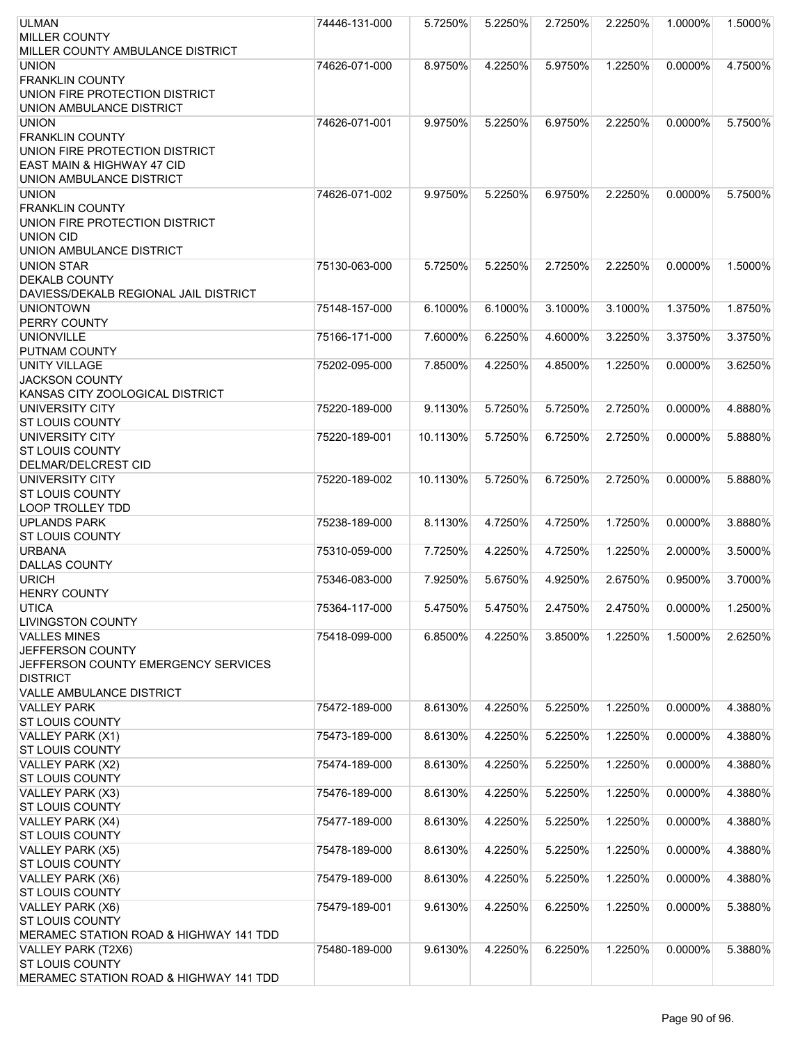| <b>ULMAN</b>                                  | 74446-131-000 | 5.7250%  | 5.2250% | 2.7250% | 2.2250% | 1.0000%    | 1.5000% |
|-----------------------------------------------|---------------|----------|---------|---------|---------|------------|---------|
| <b>MILLER COUNTY</b>                          |               |          |         |         |         |            |         |
| MILLER COUNTY AMBULANCE DISTRICT              |               |          |         |         |         |            |         |
| <b>UNION</b>                                  | 74626-071-000 | 8.9750%  | 4.2250% | 5.9750% | 1.2250% | 0.0000%    | 4.7500% |
| <b>FRANKLIN COUNTY</b>                        |               |          |         |         |         |            |         |
| UNION FIRE PROTECTION DISTRICT                |               |          |         |         |         |            |         |
| UNION AMBULANCE DISTRICT<br><b>UNION</b>      |               |          |         | 6.9750% | 2.2250% | 0.0000%    | 5.7500% |
| <b>FRANKLIN COUNTY</b>                        | 74626-071-001 | 9.9750%  | 5.2250% |         |         |            |         |
| UNION FIRE PROTECTION DISTRICT                |               |          |         |         |         |            |         |
| EAST MAIN & HIGHWAY 47 CID                    |               |          |         |         |         |            |         |
| UNION AMBULANCE DISTRICT                      |               |          |         |         |         |            |         |
| <b>UNION</b>                                  | 74626-071-002 | 9.9750%  | 5.2250% | 6.9750% | 2.2250% | 0.0000%    | 5.7500% |
| <b>FRANKLIN COUNTY</b>                        |               |          |         |         |         |            |         |
| UNION FIRE PROTECTION DISTRICT                |               |          |         |         |         |            |         |
| <b>UNION CID</b>                              |               |          |         |         |         |            |         |
| UNION AMBULANCE DISTRICT                      |               |          |         |         |         |            |         |
| <b>UNION STAR</b>                             | 75130-063-000 | 5.7250%  | 5.2250% | 2.7250% | 2.2250% | $0.0000\%$ | 1.5000% |
| DEKALB COUNTY                                 |               |          |         |         |         |            |         |
| DAVIESS/DEKALB REGIONAL JAIL DISTRICT         |               |          |         |         |         |            |         |
| <b>UNIONTOWN</b><br>PERRY COUNTY              | 75148-157-000 | 6.1000%  | 6.1000% | 3.1000% | 3.1000% | 1.3750%    | 1.8750% |
| <b>UNIONVILLE</b>                             | 75166-171-000 | 7.6000%  | 6.2250% | 4.6000% | 3.2250% | 3.3750%    | 3.3750% |
| PUTNAM COUNTY                                 |               |          |         |         |         |            |         |
| <b>UNITY VILLAGE</b>                          | 75202-095-000 | 7.8500%  | 4.2250% | 4.8500% | 1.2250% | 0.0000%    | 3.6250% |
| <b>JACKSON COUNTY</b>                         |               |          |         |         |         |            |         |
| KANSAS CITY ZOOLOGICAL DISTRICT               |               |          |         |         |         |            |         |
| UNIVERSITY CITY                               | 75220-189-000 | 9.1130%  | 5.7250% | 5.7250% | 2.7250% | 0.0000%    | 4.8880% |
| <b>ST LOUIS COUNTY</b>                        |               |          |         |         |         |            |         |
| UNIVERSITY CITY                               | 75220-189-001 | 10.1130% | 5.7250% | 6.7250% | 2.7250% | 0.0000%    | 5.8880% |
| <b>ST LOUIS COUNTY</b>                        |               |          |         |         |         |            |         |
| <b>DELMAR/DELCREST CID</b>                    |               |          |         |         |         |            |         |
| UNIVERSITY CITY                               | 75220-189-002 | 10.1130% | 5.7250% | 6.7250% | 2.7250% | 0.0000%    | 5.8880% |
| <b>ST LOUIS COUNTY</b>                        |               |          |         |         |         |            |         |
| <b>LOOP TROLLEY TDD</b>                       |               |          |         |         |         |            |         |
| <b>UPLANDS PARK</b><br><b>ST LOUIS COUNTY</b> | 75238-189-000 | 8.1130%  | 4.7250% | 4.7250% | 1.7250% | 0.0000%    | 3.8880% |
| <b>URBANA</b>                                 | 75310-059-000 | 7.7250%  | 4.2250% | 4.7250% | 1.2250% | 2.0000%    | 3.5000% |
| <b>DALLAS COUNTY</b>                          |               |          |         |         |         |            |         |
| <b>URICH</b>                                  | 75346-083-000 | 7.9250%  | 5.6750% | 4.9250% | 2.6750% | $0.9500\%$ | 3.7000% |
| <b>HENRY COUNTY</b>                           |               |          |         |         |         |            |         |
| <b>UTICA</b>                                  | 75364-117-000 | 5.4750%  | 5.4750% | 2.4750% | 2.4750% | 0.0000%    | 1.2500% |
| <b>LIVINGSTON COUNTY</b>                      |               |          |         |         |         |            |         |
| <b>VALLES MINES</b>                           | 75418-099-000 | 6.8500%  | 4.2250% | 3.8500% | 1.2250% | 1.5000%    | 2.6250% |
| JEFFERSON COUNTY                              |               |          |         |         |         |            |         |
| JEFFERSON COUNTY EMERGENCY SERVICES           |               |          |         |         |         |            |         |
| <b>DISTRICT</b>                               |               |          |         |         |         |            |         |
| VALLE AMBULANCE DISTRICT                      |               |          |         |         |         |            |         |
| <b>VALLEY PARK</b><br><b>ST LOUIS COUNTY</b>  | 75472-189-000 | 8.6130%  | 4.2250% | 5.2250% | 1.2250% | 0.0000%    | 4.3880% |
| VALLEY PARK (X1)                              | 75473-189-000 | 8.6130%  | 4.2250% | 5.2250% | 1.2250% | 0.0000%    | 4.3880% |
| <b>ST LOUIS COUNTY</b>                        |               |          |         |         |         |            |         |
| VALLEY PARK (X2)                              | 75474-189-000 | 8.6130%  | 4.2250% | 5.2250% | 1.2250% | $0.0000\%$ | 4.3880% |
| <b>ST LOUIS COUNTY</b>                        |               |          |         |         |         |            |         |
| VALLEY PARK (X3)                              | 75476-189-000 | 8.6130%  | 4.2250% | 5.2250% | 1.2250% | 0.0000%    | 4.3880% |
| <b>ST LOUIS COUNTY</b>                        |               |          |         |         |         |            |         |
| VALLEY PARK (X4)                              | 75477-189-000 | 8.6130%  | 4.2250% | 5.2250% | 1.2250% | 0.0000%    | 4.3880% |
| <b>ST LOUIS COUNTY</b>                        |               |          |         |         |         |            |         |
| VALLEY PARK (X5)                              | 75478-189-000 | 8.6130%  | 4.2250% | 5.2250% | 1.2250% | 0.0000%    | 4.3880% |
| <b>ST LOUIS COUNTY</b>                        |               |          |         |         |         |            |         |
| VALLEY PARK (X6)                              | 75479-189-000 | 8.6130%  | 4.2250% | 5.2250% | 1.2250% | 0.0000%    | 4.3880% |
| <b>ST LOUIS COUNTY</b>                        |               |          |         |         |         |            |         |
| VALLEY PARK (X6)<br><b>ST LOUIS COUNTY</b>    | 75479-189-001 | 9.6130%  | 4.2250% | 6.2250% | 1.2250% | $0.0000\%$ | 5.3880% |
| MERAMEC STATION ROAD & HIGHWAY 141 TDD        |               |          |         |         |         |            |         |
| VALLEY PARK (T2X6)                            | 75480-189-000 | 9.6130%  | 4.2250% | 6.2250% | 1.2250% | 0.0000%    | 5.3880% |
| <b>ST LOUIS COUNTY</b>                        |               |          |         |         |         |            |         |
| MERAMEC STATION ROAD & HIGHWAY 141 TDD        |               |          |         |         |         |            |         |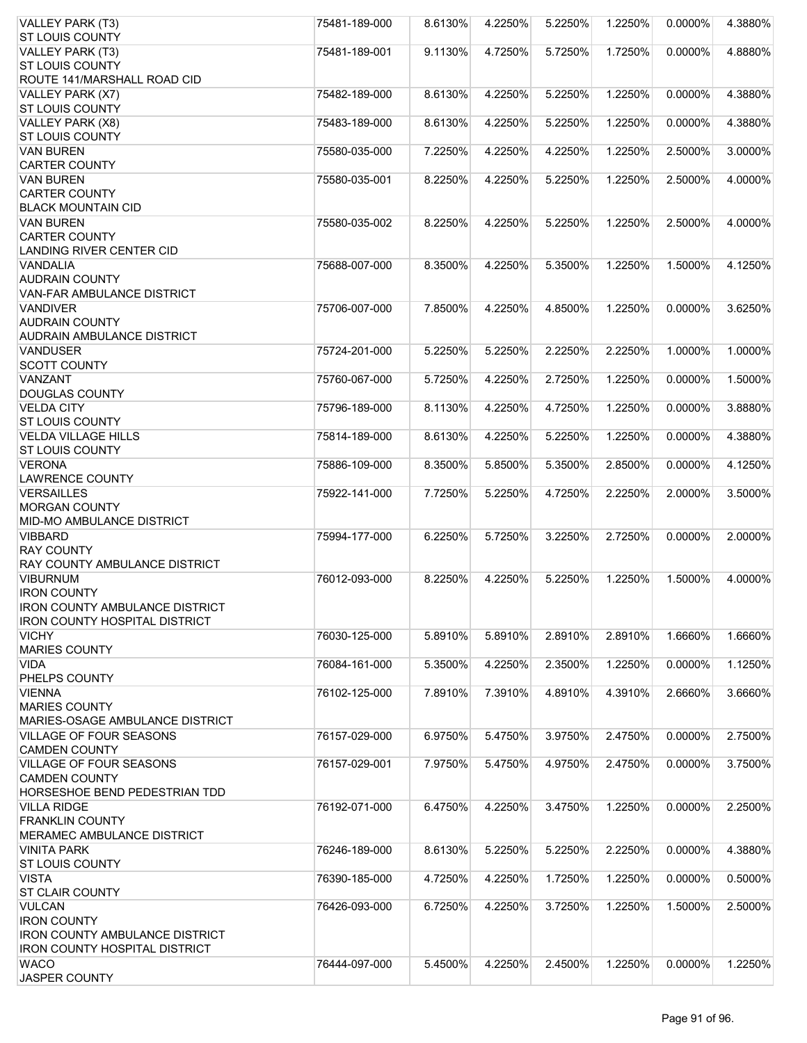| VALLEY PARK (T3)                                          | 75481-189-000 | 8.6130% | 4.2250% | 5.2250% | 1.2250%                                 | $0.0000\%$ | 4.3880% |
|-----------------------------------------------------------|---------------|---------|---------|---------|-----------------------------------------|------------|---------|
| <b>ST LOUIS COUNTY</b>                                    |               |         |         |         |                                         |            |         |
| VALLEY PARK (T3)                                          | 75481-189-001 | 9.1130% | 4.7250% | 5.7250% | 1.7250%                                 | 0.0000%    | 4.8880% |
| <b>ST LOUIS COUNTY</b>                                    |               |         |         |         |                                         |            |         |
| ROUTE 141/MARSHALL ROAD CID                               |               |         |         |         |                                         |            |         |
| VALLEY PARK (X7)                                          | 75482-189-000 | 8.6130% | 4.2250% | 5.2250% | 1.2250%                                 | 0.0000%    | 4.3880% |
| <b>ST LOUIS COUNTY</b>                                    |               |         |         |         |                                         |            |         |
| VALLEY PARK (X8)                                          | 75483-189-000 | 8.6130% | 4.2250% | 5.2250% | 1.2250%                                 | 0.0000%    | 4.3880% |
| <b>ST LOUIS COUNTY</b>                                    |               |         |         |         |                                         |            |         |
| <b>VAN BUREN</b><br><b>CARTER COUNTY</b>                  | 75580-035-000 | 7.2250% | 4.2250% | 4.2250% | 1.2250%                                 | 2.5000%    | 3.0000% |
| <b>VAN BUREN</b>                                          | 75580-035-001 | 8.2250% | 4.2250% | 5.2250% | 1.2250%                                 | 2.5000%    | 4.0000% |
| <b>CARTER COUNTY</b>                                      |               |         |         |         |                                         |            |         |
| <b>BLACK MOUNTAIN CID</b>                                 |               |         |         |         |                                         |            |         |
| <b>VAN BUREN</b>                                          | 75580-035-002 | 8.2250% | 4.2250% | 5.2250% | 1.2250%                                 | 2.5000%    | 4.0000% |
| <b>CARTER COUNTY</b>                                      |               |         |         |         |                                         |            |         |
| LANDING RIVER CENTER CID                                  |               |         |         |         |                                         |            |         |
| <b>VANDALIA</b>                                           | 75688-007-000 | 8.3500% | 4.2250% | 5.3500% | 1.2250%                                 | 1.5000%    | 4.1250% |
| <b>AUDRAIN COUNTY</b>                                     |               |         |         |         |                                         |            |         |
| <b>VAN-FAR AMBULANCE DISTRICT</b>                         |               |         |         |         |                                         |            |         |
| <b>VANDIVER</b>                                           | 75706-007-000 | 7.8500% | 4.2250% | 4.8500% | 1.2250%                                 | $0.0000\%$ | 3.6250% |
| <b>AUDRAIN COUNTY</b>                                     |               |         |         |         |                                         |            |         |
| <b>AUDRAIN AMBULANCE DISTRICT</b>                         |               |         |         |         |                                         |            |         |
| <b>VANDUSER</b>                                           | 75724-201-000 | 5.2250% | 5.2250% | 2.2250% | 2.2250%                                 | 1.0000%    | 1.0000% |
| <b>SCOTT COUNTY</b>                                       |               |         |         |         |                                         |            |         |
| VANZANT                                                   | 75760-067-000 | 5.7250% | 4.2250% | 2.7250% | 1.2250%                                 | 0.0000%    | 1.5000% |
| <b>DOUGLAS COUNTY</b>                                     |               |         |         |         |                                         |            |         |
| <b>VELDA CITY</b>                                         | 75796-189-000 | 8.1130% | 4.2250% | 4.7250% | 1.2250%                                 | 0.0000%    | 3.8880% |
| <b>ST LOUIS COUNTY</b>                                    |               |         |         |         |                                         |            |         |
| <b>VELDA VILLAGE HILLS</b>                                | 75814-189-000 | 8.6130% | 4.2250% | 5.2250% | 1.2250%                                 | 0.0000%    | 4.3880% |
| <b>ST LOUIS COUNTY</b>                                    |               |         |         |         |                                         |            |         |
| <b>VERONA</b>                                             | 75886-109-000 | 8.3500% | 5.8500% | 5.3500% | 2.8500%                                 | 0.0000%    | 4.1250% |
| <b>LAWRENCE COUNTY</b>                                    |               |         |         |         |                                         |            |         |
| <b>VERSAILLES</b>                                         | 75922-141-000 | 7.7250% | 5.2250% | 4.7250% | 2.2250%                                 | 2.0000%    | 3.5000% |
| <b>MORGAN COUNTY</b>                                      |               |         |         |         |                                         |            |         |
| MID-MO AMBULANCE DISTRICT                                 |               |         |         |         |                                         |            |         |
| <b>VIBBARD</b>                                            | 75994-177-000 | 6.2250% | 5.7250% | 3.2250% | 2.7250%                                 | 0.0000%    | 2.0000% |
| <b>RAY COUNTY</b><br><b>RAY COUNTY AMBULANCE DISTRICT</b> |               |         |         |         |                                         |            |         |
| <b>VIBURNUM</b>                                           | 76012-093-000 | 8.2250% |         |         | 4.2250% 5.2250% 1.2250% 1.5000% 4.0000% |            |         |
| <b>IRON COUNTY</b>                                        |               |         |         |         |                                         |            |         |
| <b>IRON COUNTY AMBULANCE DISTRICT</b>                     |               |         |         |         |                                         |            |         |
| <b>IRON COUNTY HOSPITAL DISTRICT</b>                      |               |         |         |         |                                         |            |         |
| <b>VICHY</b>                                              | 76030-125-000 | 5.8910% | 5.8910% | 2.8910% | 2.8910%                                 | 1.6660%    | 1.6660% |
| <b>MARIES COUNTY</b>                                      |               |         |         |         |                                         |            |         |
| <b>VIDA</b>                                               | 76084-161-000 | 5.3500% | 4.2250% | 2.3500% | 1.2250%                                 | 0.0000%    | 1.1250% |
| PHELPS COUNTY                                             |               |         |         |         |                                         |            |         |
| <b>VIENNA</b>                                             | 76102-125-000 | 7.8910% | 7.3910% | 4.8910% | 4.3910%                                 | 2.6660%    | 3.6660% |
| <b>MARIES COUNTY</b>                                      |               |         |         |         |                                         |            |         |
| MARIES-OSAGE AMBULANCE DISTRICT                           |               |         |         |         |                                         |            |         |
| <b>VILLAGE OF FOUR SEASONS</b>                            | 76157-029-000 | 6.9750% | 5.4750% | 3.9750% | 2.4750%                                 | $0.0000\%$ | 2.7500% |
| <b>CAMDEN COUNTY</b>                                      |               |         |         |         |                                         |            |         |
| <b>VILLAGE OF FOUR SEASONS</b>                            | 76157-029-001 | 7.9750% | 5.4750% | 4.9750% | 2.4750%                                 | 0.0000%    | 3.7500% |
| <b>CAMDEN COUNTY</b>                                      |               |         |         |         |                                         |            |         |
| HORSESHOE BEND PEDESTRIAN TDD                             |               |         |         |         |                                         |            |         |
| <b>VILLA RIDGE</b>                                        | 76192-071-000 | 6.4750% | 4.2250% | 3.4750% | 1.2250%                                 | 0.0000%    | 2.2500% |
| <b>FRANKLIN COUNTY</b>                                    |               |         |         |         |                                         |            |         |
| <b>MERAMEC AMBULANCE DISTRICT</b>                         |               |         |         |         |                                         |            |         |
| <b>VINITA PARK</b>                                        | 76246-189-000 | 8.6130% | 5.2250% | 5.2250% | 2.2250%                                 | 0.0000%    | 4.3880% |
| <b>ST LOUIS COUNTY</b>                                    |               |         |         |         |                                         |            |         |
| <b>VISTA</b>                                              | 76390-185-000 | 4.7250% | 4.2250% | 1.7250% | 1.2250%                                 | 0.0000%    | 0.5000% |
| <b>ST CLAIR COUNTY</b>                                    |               |         |         |         |                                         |            |         |
| <b>VULCAN</b>                                             | 76426-093-000 | 6.7250% | 4.2250% | 3.7250% | 1.2250%                                 | 1.5000%    | 2.5000% |
| <b>IRON COUNTY</b>                                        |               |         |         |         |                                         |            |         |
| <b>IRON COUNTY AMBULANCE DISTRICT</b>                     |               |         |         |         |                                         |            |         |
| <b>IRON COUNTY HOSPITAL DISTRICT</b>                      |               |         |         |         |                                         |            |         |
| <b>WACO</b>                                               | 76444-097-000 | 5.4500% | 4.2250% | 2.4500% | 1.2250%                                 | 0.0000%    | 1.2250% |
| <b>JASPER COUNTY</b>                                      |               |         |         |         |                                         |            |         |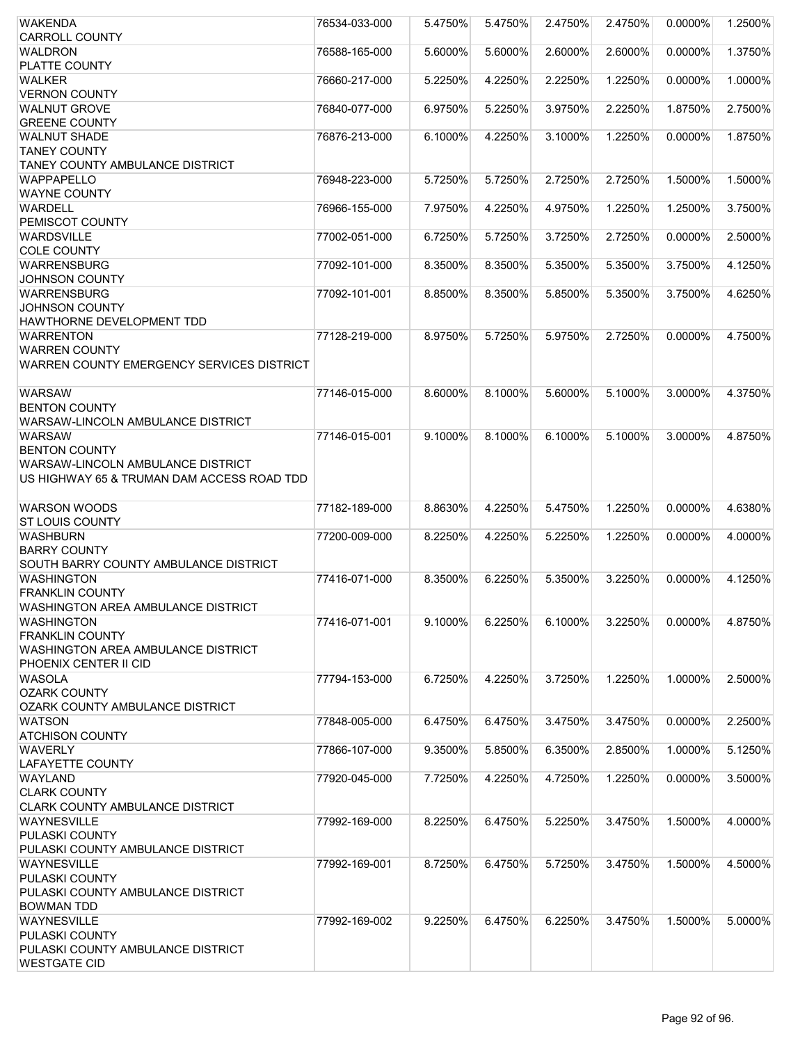| <b>WAKENDA</b>                                           | 76534-033-000 | 5.4750% | 5.4750% | 2.4750%    | 2.4750% | 0.0000%    | 1.2500% |
|----------------------------------------------------------|---------------|---------|---------|------------|---------|------------|---------|
| <b>CARROLL COUNTY</b>                                    |               |         |         |            |         |            |         |
| <b>WALDRON</b>                                           | 76588-165-000 | 5.6000% | 5.6000% | 2.6000%    | 2.6000% | 0.0000%    | 1.3750% |
| PLATTE COUNTY                                            |               |         |         |            |         |            |         |
| <b>WALKER</b>                                            | 76660-217-000 | 5.2250% | 4.2250% | 2.2250%    | 1.2250% | 0.0000%    | 1.0000% |
| <b>VERNON COUNTY</b>                                     |               |         |         |            |         |            |         |
| <b>WALNUT GROVE</b>                                      | 76840-077-000 | 6.9750% | 5.2250% | 3.9750%    | 2.2250% | 1.8750%    | 2.7500% |
| <b>GREENE COUNTY</b>                                     |               |         |         |            |         |            |         |
| <b>WALNUT SHADE</b>                                      | 76876-213-000 | 6.1000% | 4.2250% | 3.1000%    | 1.2250% | 0.0000%    | 1.8750% |
| <b>TANEY COUNTY</b><br>TANEY COUNTY AMBULANCE DISTRICT   |               |         |         |            |         |            |         |
| <b>WAPPAPELLO</b>                                        | 76948-223-000 | 5.7250% | 5.7250% | 2.7250%    | 2.7250% | 1.5000%    | 1.5000% |
| <b>WAYNE COUNTY</b>                                      |               |         |         |            |         |            |         |
| <b>WARDELL</b>                                           | 76966-155-000 | 7.9750% | 4.2250% | 4.9750%    | 1.2250% | 1.2500%    | 3.7500% |
| PEMISCOT COUNTY                                          |               |         |         |            |         |            |         |
| <b>WARDSVILLE</b>                                        | 77002-051-000 | 6.7250% | 5.7250% | 3.7250%    | 2.7250% | 0.0000%    | 2.5000% |
| <b>COLE COUNTY</b>                                       |               |         |         |            |         |            |         |
| <b>WARRENSBURG</b>                                       | 77092-101-000 | 8.3500% | 8.3500% | 5.3500%    | 5.3500% | 3.7500%    | 4.1250% |
| <b>JOHNSON COUNTY</b>                                    |               |         |         |            |         |            |         |
| <b>WARRENSBURG</b>                                       | 77092-101-001 | 8.8500% | 8.3500% | 5.8500%    | 5.3500% | 3.7500%    | 4.6250% |
| <b>JOHNSON COUNTY</b>                                    |               |         |         |            |         |            |         |
| HAWTHORNE DEVELOPMENT TDD                                |               |         |         |            |         |            |         |
| <b>WARRENTON</b>                                         | 77128-219-000 | 8.9750% | 5.7250% | 5.9750%    | 2.7250% | 0.0000%    | 4.7500% |
| <b>WARREN COUNTY</b>                                     |               |         |         |            |         |            |         |
| WARREN COUNTY EMERGENCY SERVICES DISTRICT                |               |         |         |            |         |            |         |
|                                                          |               |         |         |            |         |            |         |
| <b>WARSAW</b>                                            | 77146-015-000 | 8.6000% | 8.1000% | 5.6000%    | 5.1000% | 3.0000%    | 4.3750% |
| <b>BENTON COUNTY</b>                                     |               |         |         |            |         |            |         |
| WARSAW-LINCOLN AMBULANCE DISTRICT                        |               |         |         |            |         |            |         |
| <b>WARSAW</b><br><b>BENTON COUNTY</b>                    | 77146-015-001 | 9.1000% | 8.1000% | 6.1000%    | 5.1000% | 3.0000%    | 4.8750% |
| WARSAW-LINCOLN AMBULANCE DISTRICT                        |               |         |         |            |         |            |         |
| US HIGHWAY 65 & TRUMAN DAM ACCESS ROAD TDD               |               |         |         |            |         |            |         |
|                                                          |               |         |         |            |         |            |         |
| <b>WARSON WOODS</b>                                      | 77182-189-000 | 8.8630% | 4.2250% | 5.4750%    | 1.2250% | 0.0000%    | 4.6380% |
| <b>ST LOUIS COUNTY</b>                                   |               |         |         |            |         |            |         |
| <b>WASHBURN</b>                                          | 77200-009-000 | 8.2250% | 4.2250% | 5.2250%    | 1.2250% | $0.0000\%$ | 4.0000% |
| <b>BARRY COUNTY</b>                                      |               |         |         |            |         |            |         |
| SOUTH BARRY COUNTY AMBULANCE DISTRICT                    |               |         |         |            |         |            |         |
| WASHINGTON                                               | 77416-071-000 | 8.3500% | 6.2250% | 5.3500%    | 3.2250% | 0.0000%    | 4.1250% |
| <b>FRANKLIN COUNTY</b>                                   |               |         |         |            |         |            |         |
|                                                          |               |         |         |            |         |            |         |
| WASHINGTON AREA AMBULANCE DISTRICT                       |               |         |         |            |         |            |         |
| WASHINGTON                                               | 77416-071-001 | 9.1000% | 6.2250% | $6.1000\%$ | 3.2250% | 0.0000%    | 4.8750% |
| <b>FRANKLIN COUNTY</b>                                   |               |         |         |            |         |            |         |
| WASHINGTON AREA AMBULANCE DISTRICT                       |               |         |         |            |         |            |         |
| PHOENIX CENTER II CID                                    |               |         |         |            |         |            |         |
| <b>WASOLA</b>                                            | 77794-153-000 | 6.7250% | 4.2250% | 3.7250%    | 1.2250% | 1.0000%    | 2.5000% |
| <b>OZARK COUNTY</b>                                      |               |         |         |            |         |            |         |
| OZARK COUNTY AMBULANCE DISTRICT                          |               |         |         |            |         |            |         |
| <b>WATSON</b>                                            | 77848-005-000 | 6.4750% | 6.4750% | 3.4750%    | 3.4750% | 0.0000%    | 2.2500% |
| <b>ATCHISON COUNTY</b><br><b>WAVERLY</b>                 |               |         |         |            |         |            |         |
| <b>LAFAYETTE COUNTY</b>                                  | 77866-107-000 | 9.3500% | 5.8500% | 6.3500%    | 2.8500% | 1.0000%    | 5.1250% |
| <b>WAYLAND</b>                                           | 77920-045-000 | 7.7250% | 4.2250% | 4.7250%    | 1.2250% | 0.0000%    | 3.5000% |
| <b>CLARK COUNTY</b>                                      |               |         |         |            |         |            |         |
| CLARK COUNTY AMBULANCE DISTRICT                          |               |         |         |            |         |            |         |
| WAYNESVILLE                                              | 77992-169-000 | 8.2250% | 6.4750% | 5.2250%    | 3.4750% | 1.5000%    | 4.0000% |
| PULASKI COUNTY                                           |               |         |         |            |         |            |         |
| PULASKI COUNTY AMBULANCE DISTRICT                        |               |         |         |            |         |            |         |
| <b>WAYNESVILLE</b>                                       | 77992-169-001 | 8.7250% | 6.4750% | 5.7250%    | 3.4750% | 1.5000%    | 4.5000% |
| PULASKI COUNTY                                           |               |         |         |            |         |            |         |
| PULASKI COUNTY AMBULANCE DISTRICT                        |               |         |         |            |         |            |         |
| <b>BOWMAN TDD</b>                                        |               |         |         |            |         |            |         |
| WAYNESVILLE                                              | 77992-169-002 | 9.2250% | 6.4750% | 6.2250%    | 3.4750% | 1.5000%    | 5.0000% |
| PULASKI COUNTY                                           |               |         |         |            |         |            |         |
| PULASKI COUNTY AMBULANCE DISTRICT<br><b>WESTGATE CID</b> |               |         |         |            |         |            |         |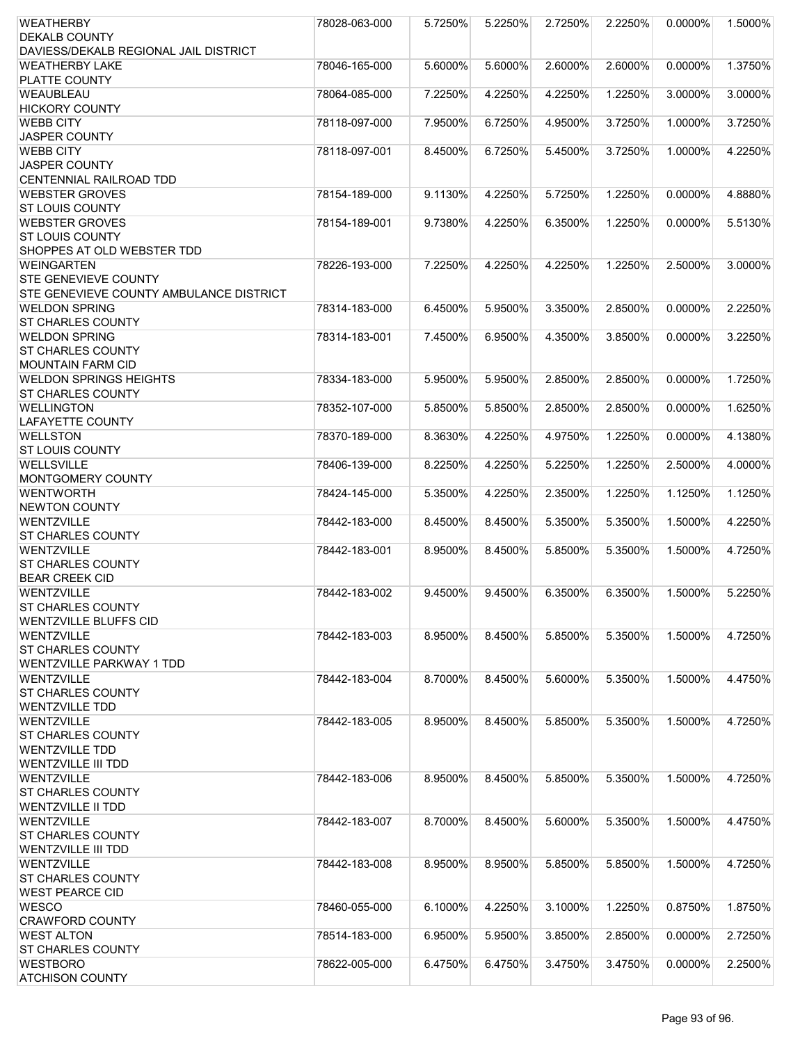| <b>WEATHERBY</b>                        | 78028-063-000 | 5.7250% | 5.2250% | 2.7250% | 2.2250% | $0.0000\%$ | 1.5000% |
|-----------------------------------------|---------------|---------|---------|---------|---------|------------|---------|
| <b>DEKALB COUNTY</b>                    |               |         |         |         |         |            |         |
| DAVIESS/DEKALB REGIONAL JAIL DISTRICT   |               |         |         |         |         |            |         |
| <b>WEATHERBY LAKE</b>                   | 78046-165-000 | 5.6000% | 5.6000% | 2.6000% | 2.6000% | 0.0000%    | 1.3750% |
| PLATTE COUNTY                           |               |         |         |         |         |            |         |
| <b>WEAUBLEAU</b>                        | 78064-085-000 | 7.2250% | 4.2250% | 4.2250% | 1.2250% | 3.0000%    | 3.0000% |
| <b>HICKORY COUNTY</b>                   |               |         |         |         |         |            |         |
|                                         |               |         |         |         |         |            |         |
| <b>WEBB CITY</b>                        | 78118-097-000 | 7.9500% | 6.7250% | 4.9500% | 3.7250% | 1.0000%    | 3.7250% |
| <b>JASPER COUNTY</b>                    |               |         |         |         |         |            |         |
| <b>WEBB CITY</b>                        | 78118-097-001 | 8.4500% | 6.7250% | 5.4500% | 3.7250% | 1.0000%    | 4.2250% |
| <b>JASPER COUNTY</b>                    |               |         |         |         |         |            |         |
| CENTENNIAL RAILROAD TDD                 |               |         |         |         |         |            |         |
| <b>WEBSTER GROVES</b>                   | 78154-189-000 | 9.1130% | 4.2250% | 5.7250% | 1.2250% | 0.0000%    | 4.8880% |
| <b>ST LOUIS COUNTY</b>                  |               |         |         |         |         |            |         |
| <b>WEBSTER GROVES</b>                   | 78154-189-001 | 9.7380% | 4.2250% | 6.3500% | 1.2250% | 0.0000%    | 5.5130% |
| <b>ST LOUIS COUNTY</b>                  |               |         |         |         |         |            |         |
| SHOPPES AT OLD WEBSTER TDD              |               |         |         |         |         |            |         |
| <b>WEINGARTEN</b>                       | 78226-193-000 | 7.2250% | 4.2250% | 4.2250% | 1.2250% | 2.5000%    | 3.0000% |
| <b>STE GENEVIEVE COUNTY</b>             |               |         |         |         |         |            |         |
| STE GENEVIEVE COUNTY AMBULANCE DISTRICT |               |         |         |         |         |            |         |
|                                         |               |         |         |         |         |            |         |
| <b>WELDON SPRING</b>                    | 78314-183-000 | 6.4500% | 5.9500% | 3.3500% | 2.8500% | 0.0000%    | 2.2250% |
| <b>ST CHARLES COUNTY</b>                |               |         |         |         |         |            |         |
| <b>WELDON SPRING</b>                    | 78314-183-001 | 7.4500% | 6.9500% | 4.3500% | 3.8500% | 0.0000%    | 3.2250% |
| <b>ST CHARLES COUNTY</b>                |               |         |         |         |         |            |         |
| <b>MOUNTAIN FARM CID</b>                |               |         |         |         |         |            |         |
| <b>WELDON SPRINGS HEIGHTS</b>           | 78334-183-000 | 5.9500% | 5.9500% | 2.8500% | 2.8500% | $0.0000\%$ | 1.7250% |
| <b>ST CHARLES COUNTY</b>                |               |         |         |         |         |            |         |
| <b>WELLINGTON</b>                       | 78352-107-000 | 5.8500% | 5.8500% | 2.8500% | 2.8500% | 0.0000%    | 1.6250% |
| <b>LAFAYETTE COUNTY</b>                 |               |         |         |         |         |            |         |
| <b>WELLSTON</b>                         | 78370-189-000 | 8.3630% | 4.2250% | 4.9750% | 1.2250% | 0.0000%    | 4.1380% |
| <b>ST LOUIS COUNTY</b>                  |               |         |         |         |         |            |         |
| <b>WELLSVILLE</b>                       | 78406-139-000 | 8.2250% | 4.2250% | 5.2250% | 1.2250% | 2.5000%    | 4.0000% |
|                                         |               |         |         |         |         |            |         |
| MONTGOMERY COUNTY                       |               |         |         |         |         |            |         |
| <b>WENTWORTH</b>                        | 78424-145-000 | 5.3500% | 4.2250% | 2.3500% | 1.2250% | 1.1250%    | 1.1250% |
| <b>NEWTON COUNTY</b>                    |               |         |         |         |         |            |         |
| <b>WENTZVILLE</b>                       | 78442-183-000 | 8.4500% | 8.4500% | 5.3500% | 5.3500% | 1.5000%    | 4.2250% |
| <b>ST CHARLES COUNTY</b>                |               |         |         |         |         |            |         |
| <b>WENTZVILLE</b>                       | 78442-183-001 | 8.9500% | 8.4500% | 5.8500% | 5.3500% | 1.5000%    | 4.7250% |
| ST CHARLES COUNTY                       |               |         |         |         |         |            |         |
| BEAR CREEK CID                          |               |         |         |         |         |            |         |
| <b>WENTZVILLE</b>                       | 78442-183-002 | 9.4500% | 9.4500% | 6.3500% | 6.3500% | 1.5000%    | 5.2250% |
| <b>ST CHARLES COUNTY</b>                |               |         |         |         |         |            |         |
| <b>WENTZVILLE BLUFFS CID</b>            |               |         |         |         |         |            |         |
| <b>WENTZVILLE</b>                       | 78442-183-003 | 8.9500% | 8.4500% | 5.8500% | 5.3500% | 1.5000%    | 4.7250% |
| <b>ST CHARLES COUNTY</b>                |               |         |         |         |         |            |         |
|                                         |               |         |         |         |         |            |         |
| <b>WENTZVILLE PARKWAY 1 TDD</b>         |               |         |         |         |         |            |         |
| <b>WENTZVILLE</b>                       | 78442-183-004 | 8.7000% | 8.4500% | 5.6000% | 5.3500% | 1.5000%    | 4.4750% |
| <b>ST CHARLES COUNTY</b>                |               |         |         |         |         |            |         |
| <b>WENTZVILLE TDD</b>                   |               |         |         |         |         |            |         |
| <b>WENTZVILLE</b>                       | 78442-183-005 | 8.9500% | 8.4500% | 5.8500% | 5.3500% | 1.5000%    | 4.7250% |
| <b>ST CHARLES COUNTY</b>                |               |         |         |         |         |            |         |
| <b>WENTZVILLE TDD</b>                   |               |         |         |         |         |            |         |
| <b>WENTZVILLE III TDD</b>               |               |         |         |         |         |            |         |
| <b>WENTZVILLE</b>                       | 78442-183-006 | 8.9500% | 8.4500% | 5.8500% | 5.3500% | 1.5000%    | 4.7250% |
| <b>ST CHARLES COUNTY</b>                |               |         |         |         |         |            |         |
| <b>WENTZVILLE II TDD</b>                |               |         |         |         |         |            |         |
| <b>WENTZVILLE</b>                       | 78442-183-007 | 8.7000% | 8.4500% | 5.6000% | 5.3500% | 1.5000%    | 4.4750% |
| <b>ST CHARLES COUNTY</b>                |               |         |         |         |         |            |         |
|                                         |               |         |         |         |         |            |         |
| <b>WENTZVILLE III TDD</b>               |               |         |         |         |         |            |         |
| <b>WENTZVILLE</b>                       | 78442-183-008 | 8.9500% | 8.9500% | 5.8500% | 5.8500% | 1.5000%    | 4.7250% |
| <b>ST CHARLES COUNTY</b>                |               |         |         |         |         |            |         |
| <b>WEST PEARCE CID</b>                  |               |         |         |         |         |            |         |
| <b>WESCO</b>                            | 78460-055-000 | 6.1000% | 4.2250% | 3.1000% | 1.2250% | 0.8750%    | 1.8750% |
| <b>CRAWFORD COUNTY</b>                  |               |         |         |         |         |            |         |
| <b>WEST ALTON</b>                       | 78514-183-000 | 6.9500% | 5.9500% | 3.8500% | 2.8500% | 0.0000%    | 2.7250% |
| <b>ST CHARLES COUNTY</b>                |               |         |         |         |         |            |         |
| <b>WESTBORO</b>                         | 78622-005-000 | 6.4750% | 6.4750% | 3.4750% | 3.4750% | 0.0000%    | 2.2500% |
| <b>ATCHISON COUNTY</b>                  |               |         |         |         |         |            |         |
|                                         |               |         |         |         |         |            |         |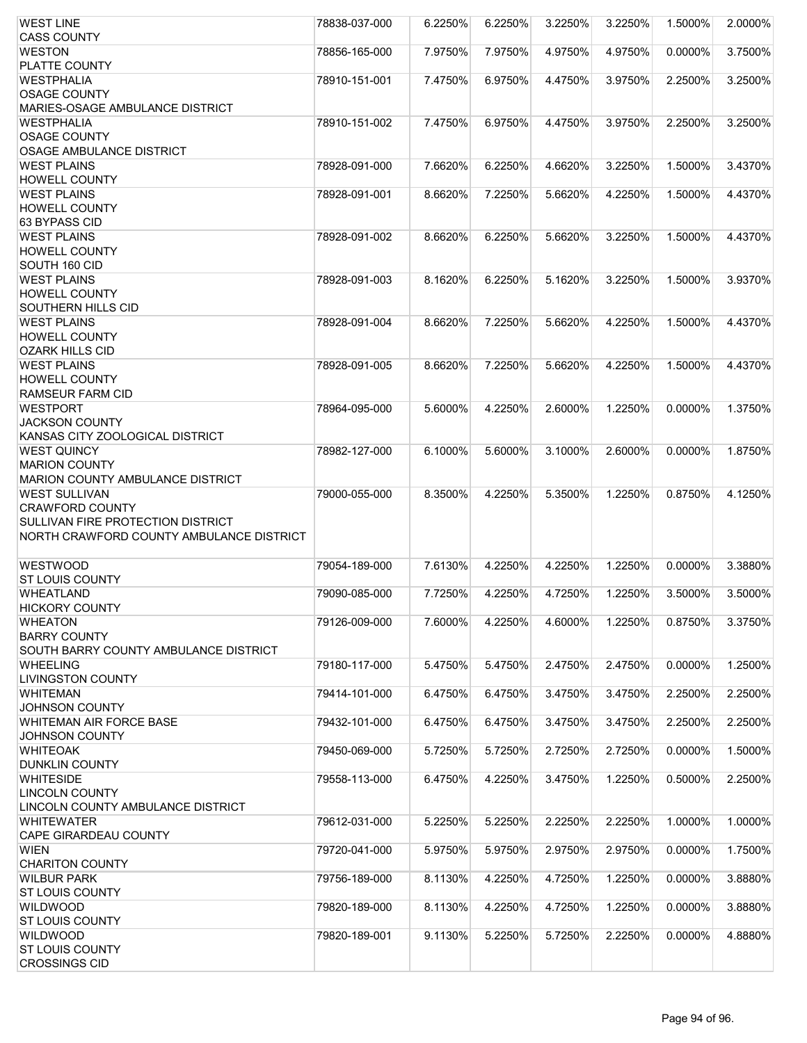| <b>WEST LINE</b>                                         | 78838-037-000 | 6.2250% | 6.2250% | 3.2250% | 3.2250% | 1.5000%    | 2.0000% |
|----------------------------------------------------------|---------------|---------|---------|---------|---------|------------|---------|
| <b>CASS COUNTY</b>                                       |               |         |         |         |         |            |         |
| <b>WESTON</b>                                            | 78856-165-000 | 7.9750% | 7.9750% | 4.9750% | 4.9750% | 0.0000%    | 3.7500% |
| PLATTE COUNTY                                            |               |         |         |         |         |            |         |
| <b>WESTPHALIA</b>                                        | 78910-151-001 | 7.4750% | 6.9750% | 4.4750% | 3.9750% | 2.2500%    | 3.2500% |
| <b>OSAGE COUNTY</b>                                      |               |         |         |         |         |            |         |
| MARIES-OSAGE AMBULANCE DISTRICT                          |               |         |         |         |         |            |         |
| <b>WESTPHALIA</b>                                        | 78910-151-002 | 7.4750% | 6.9750% | 4.4750% | 3.9750% | 2.2500%    | 3.2500% |
| <b>OSAGE COUNTY</b>                                      |               |         |         |         |         |            |         |
| <b>OSAGE AMBULANCE DISTRICT</b>                          |               |         |         |         |         |            |         |
| <b>WEST PLAINS</b>                                       | 78928-091-000 | 7.6620% | 6.2250% | 4.6620% | 3.2250% | 1.5000%    | 3.4370% |
| <b>HOWELL COUNTY</b><br><b>WEST PLAINS</b>               | 78928-091-001 | 8.6620% | 7.2250% | 5.6620% | 4.2250% | 1.5000%    | 4.4370% |
| <b>HOWELL COUNTY</b>                                     |               |         |         |         |         |            |         |
| 63 BYPASS CID                                            |               |         |         |         |         |            |         |
| <b>WEST PLAINS</b>                                       | 78928-091-002 | 8.6620% | 6.2250% | 5.6620% | 3.2250% | 1.5000%    | 4.4370% |
| <b>HOWELL COUNTY</b>                                     |               |         |         |         |         |            |         |
| SOUTH 160 CID                                            |               |         |         |         |         |            |         |
| <b>WEST PLAINS</b>                                       | 78928-091-003 | 8.1620% | 6.2250% | 5.1620% | 3.2250% | 1.5000%    | 3.9370% |
| <b>HOWELL COUNTY</b>                                     |               |         |         |         |         |            |         |
| <b>SOUTHERN HILLS CID</b>                                |               |         |         |         |         |            |         |
| <b>WEST PLAINS</b>                                       | 78928-091-004 | 8.6620% | 7.2250% | 5.6620% | 4.2250% | 1.5000%    | 4.4370% |
| <b>HOWELL COUNTY</b>                                     |               |         |         |         |         |            |         |
| <b>OZARK HILLS CID</b>                                   |               |         |         |         |         |            |         |
| <b>WEST PLAINS</b>                                       | 78928-091-005 | 8.6620% | 7.2250% | 5.6620% | 4.2250% | 1.5000%    | 4.4370% |
| <b>HOWELL COUNTY</b>                                     |               |         |         |         |         |            |         |
| <b>RAMSEUR FARM CID</b>                                  |               |         |         |         |         |            |         |
| <b>WESTPORT</b>                                          | 78964-095-000 | 5.6000% | 4.2250% | 2.6000% | 1.2250% | 0.0000%    | 1.3750% |
| <b>JACKSON COUNTY</b>                                    |               |         |         |         |         |            |         |
| KANSAS CITY ZOOLOGICAL DISTRICT                          |               |         |         |         |         |            |         |
| <b>WEST QUINCY</b>                                       | 78982-127-000 | 6.1000% | 5.6000% | 3.1000% | 2.6000% | 0.0000%    | 1.8750% |
| <b>MARION COUNTY</b><br>MARION COUNTY AMBULANCE DISTRICT |               |         |         |         |         |            |         |
| <b>WEST SULLIVAN</b>                                     | 79000-055-000 | 8.3500% | 4.2250% | 5.3500% | 1.2250% | 0.8750%    | 4.1250% |
| <b>CRAWFORD COUNTY</b>                                   |               |         |         |         |         |            |         |
| <b>SULLIVAN FIRE PROTECTION DISTRICT</b>                 |               |         |         |         |         |            |         |
| NORTH CRAWFORD COUNTY AMBULANCE DISTRICT                 |               |         |         |         |         |            |         |
|                                                          |               |         |         |         |         |            |         |
| <b>WESTWOOD</b>                                          | 79054-189-000 | 7.6130% | 4.2250% | 4.2250% | 1.2250% | $0.0000\%$ | 3.3880% |
| <b>ST LOUIS COUNTY</b>                                   |               |         |         |         |         |            |         |
| <b>WHEATLAND</b>                                         | 79090-085-000 | 7.7250% | 4.2250% | 4.7250% | 1.2250% | 3.5000%    | 3.5000% |
| <b>HICKORY COUNTY</b>                                    |               |         |         |         |         |            |         |
| <b>WHEATON</b>                                           | 79126-009-000 | 7.6000% | 4.2250% | 4.6000% | 1.2250% | 0.8750%    | 3.3750% |
| <b>BARRY COUNTY</b>                                      |               |         |         |         |         |            |         |
| SOUTH BARRY COUNTY AMBULANCE DISTRICT                    |               |         |         |         |         |            |         |
| <b>WHEELING</b>                                          | 79180-117-000 | 5.4750% | 5.4750% | 2.4750% | 2.4750% | 0.0000%    | 1.2500% |
| <b>LIVINGSTON COUNTY</b>                                 |               |         |         |         |         |            |         |
| <b>WHITEMAN</b><br><b>JOHNSON COUNTY</b>                 | 79414-101-000 | 6.4750% | 6.4750% | 3.4750% | 3.4750% | 2.2500%    | 2.2500% |
| <b>WHITEMAN AIR FORCE BASE</b>                           | 79432-101-000 | 6.4750% | 6.4750% | 3.4750% | 3.4750% | 2.2500%    | 2.2500% |
| <b>JOHNSON COUNTY</b>                                    |               |         |         |         |         |            |         |
| <b>WHITEOAK</b>                                          | 79450-069-000 | 5.7250% | 5.7250% | 2.7250% | 2.7250% | 0.0000%    | 1.5000% |
| <b>DUNKLIN COUNTY</b>                                    |               |         |         |         |         |            |         |
| <b>WHITESIDE</b>                                         | 79558-113-000 | 6.4750% | 4.2250% | 3.4750% | 1.2250% | 0.5000%    | 2.2500% |
| <b>LINCOLN COUNTY</b>                                    |               |         |         |         |         |            |         |
| LINCOLN COUNTY AMBULANCE DISTRICT                        |               |         |         |         |         |            |         |
| <b>WHITEWATER</b>                                        | 79612-031-000 | 5.2250% | 5.2250% | 2.2250% | 2.2250% | 1.0000%    | 1.0000% |
| <b>CAPE GIRARDEAU COUNTY</b>                             |               |         |         |         |         |            |         |
| <b>WIEN</b>                                              | 79720-041-000 | 5.9750% | 5.9750% | 2.9750% | 2.9750% | 0.0000%    | 1.7500% |
| <b>CHARITON COUNTY</b>                                   |               |         |         |         |         |            |         |
| <b>WILBUR PARK</b>                                       | 79756-189-000 | 8.1130% | 4.2250% | 4.7250% | 1.2250% | 0.0000%    | 3.8880% |
| <b>ST LOUIS COUNTY</b>                                   |               |         |         |         |         |            |         |
| <b>WILDWOOD</b>                                          | 79820-189-000 | 8.1130% | 4.2250% | 4.7250% | 1.2250% | 0.0000%    | 3.8880% |
| <b>ST LOUIS COUNTY</b><br><b>WILDWOOD</b>                | 79820-189-001 | 9.1130% | 5.2250% | 5.7250% | 2.2250% | 0.0000%    | 4.8880% |
| <b>ST LOUIS COUNTY</b>                                   |               |         |         |         |         |            |         |
| <b>CROSSINGS CID</b>                                     |               |         |         |         |         |            |         |
|                                                          |               |         |         |         |         |            |         |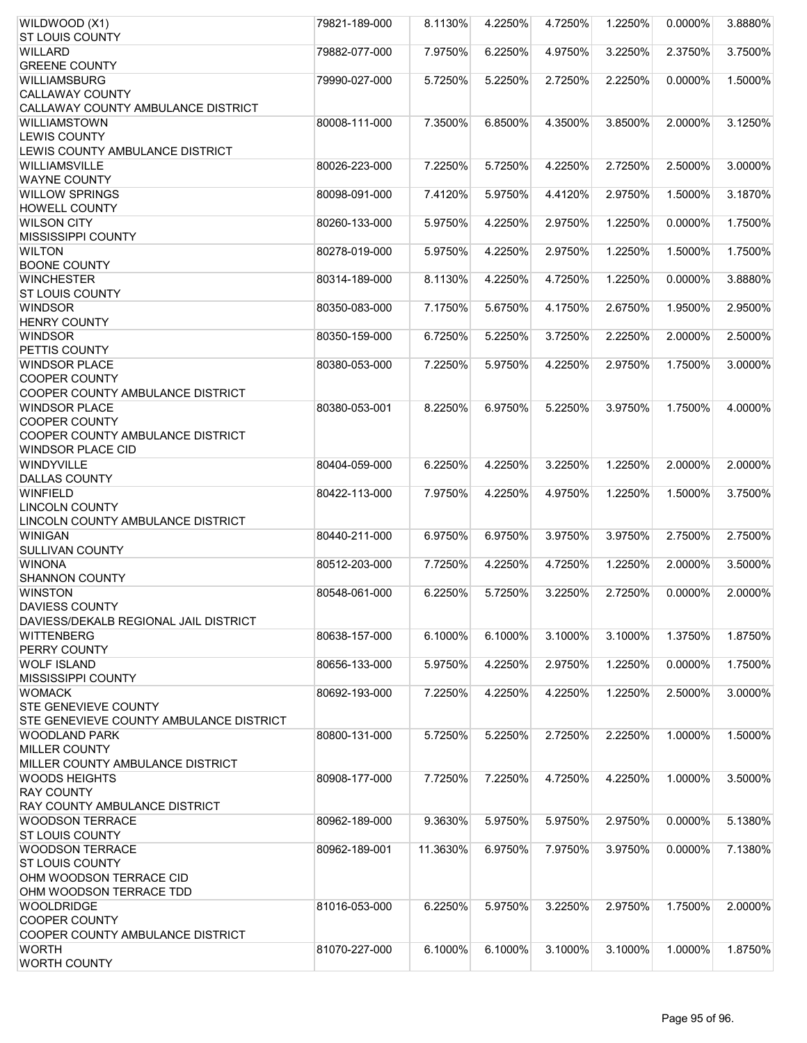| WILDWOOD (X1)                                              | 79821-189-000 | 8.1130%  | 4.2250% | 4.7250% | 1.2250% | 0.0000% | 3.8880% |
|------------------------------------------------------------|---------------|----------|---------|---------|---------|---------|---------|
| <b>ST LOUIS COUNTY</b>                                     |               |          |         |         |         |         |         |
| <b>WILLARD</b>                                             | 79882-077-000 | 7.9750%  | 6.2250% | 4.9750% | 3.2250% | 2.3750% | 3.7500% |
| <b>GREENE COUNTY</b>                                       |               |          |         |         |         |         |         |
| <b>WILLIAMSBURG</b><br><b>CALLAWAY COUNTY</b>              | 79990-027-000 | 5.7250%  | 5.2250% | 2.7250% | 2.2250% | 0.0000% | 1.5000% |
| CALLAWAY COUNTY AMBULANCE DISTRICT                         |               |          |         |         |         |         |         |
| WILLIAMSTOWN                                               | 80008-111-000 | 7.3500%  | 6.8500% | 4.3500% | 3.8500% | 2.0000% | 3.1250% |
| <b>LEWIS COUNTY</b>                                        |               |          |         |         |         |         |         |
| LEWIS COUNTY AMBULANCE DISTRICT                            |               |          |         |         |         |         |         |
| WILLIAMSVILLE                                              | 80026-223-000 | 7.2250%  | 5.7250% | 4.2250% | 2.7250% | 2.5000% | 3.0000% |
| <b>WAYNE COUNTY</b>                                        |               |          |         |         |         |         |         |
| <b>WILLOW SPRINGS</b>                                      | 80098-091-000 | 7.4120%  | 5.9750% | 4.4120% | 2.9750% | 1.5000% | 3.1870% |
| <b>HOWELL COUNTY</b>                                       |               |          |         |         |         |         |         |
| <b>WILSON CITY</b>                                         | 80260-133-000 | 5.9750%  | 4.2250% | 2.9750% | 1.2250% | 0.0000% | 1.7500% |
| <b>MISSISSIPPI COUNTY</b>                                  |               |          |         |         |         |         |         |
| <b>WILTON</b>                                              | 80278-019-000 | 5.9750%  | 4.2250% | 2.9750% | 1.2250% | 1.5000% | 1.7500% |
| <b>BOONE COUNTY</b>                                        |               |          |         |         |         |         |         |
| <b>WINCHESTER</b>                                          | 80314-189-000 | 8.1130%  | 4.2250% | 4.7250% | 1.2250% | 0.0000% | 3.8880% |
| <b>ST LOUIS COUNTY</b>                                     |               |          |         |         |         |         |         |
| <b>WINDSOR</b>                                             | 80350-083-000 | 7.1750%  | 5.6750% | 4.1750% | 2.6750% | 1.9500% | 2.9500% |
| <b>HENRY COUNTY</b>                                        |               |          |         |         |         |         |         |
| <b>WINDSOR</b>                                             | 80350-159-000 | 6.7250%  | 5.2250% | 3.7250% | 2.2250% | 2.0000% | 2.5000% |
| PETTIS COUNTY<br><b>WINDSOR PLACE</b>                      | 80380-053-000 | 7.2250%  | 5.9750% | 4.2250% | 2.9750% | 1.7500% | 3.0000% |
| <b>COOPER COUNTY</b>                                       |               |          |         |         |         |         |         |
| COOPER COUNTY AMBULANCE DISTRICT                           |               |          |         |         |         |         |         |
| <b>WINDSOR PLACE</b>                                       | 80380-053-001 | 8.2250%  | 6.9750% | 5.2250% | 3.9750% | 1.7500% | 4.0000% |
| <b>COOPER COUNTY</b>                                       |               |          |         |         |         |         |         |
| COOPER COUNTY AMBULANCE DISTRICT                           |               |          |         |         |         |         |         |
| <b>WINDSOR PLACE CID</b>                                   |               |          |         |         |         |         |         |
| <b>WINDYVILLE</b>                                          | 80404-059-000 | 6.2250%  | 4.2250% | 3.2250% | 1.2250% | 2.0000% | 2.0000% |
| <b>DALLAS COUNTY</b>                                       |               |          |         |         |         |         |         |
| <b>WINFIELD</b>                                            | 80422-113-000 | 7.9750%  | 4.2250% | 4.9750% | 1.2250% | 1.5000% | 3.7500% |
| <b>LINCOLN COUNTY</b>                                      |               |          |         |         |         |         |         |
| LINCOLN COUNTY AMBULANCE DISTRICT                          |               |          |         |         |         |         |         |
| <b>WINIGAN</b>                                             | 80440-211-000 | 6.9750%  | 6.9750% | 3.9750% | 3.9750% | 2.7500% | 2.7500% |
| <b>SULLIVAN COUNTY</b>                                     |               |          |         |         |         |         |         |
| <b>WINONA</b>                                              | 80512-203-000 | 7.7250%  | 4.2250% | 4.7250% | 1.2250% | 2.0000% | 3.5000% |
| <b>SHANNON COUNTY</b>                                      |               |          |         |         |         |         |         |
| <b>WINSTON</b>                                             | 80548-061-000 | 6.2250%  | 5.7250% | 3.2250% | 2.7250% | 0.0000% | 2.0000% |
| <b>DAVIESS COUNTY</b>                                      |               |          |         |         |         |         |         |
| DAVIESS/DEKALB REGIONAL JAIL DISTRICT<br><b>WITTENBERG</b> | 80638-157-000 | 6.1000%  | 6.1000% | 3.1000% | 3.1000% | 1.3750% | 1.8750% |
| PERRY COUNTY                                               |               |          |         |         |         |         |         |
| <b>WOLF ISLAND</b>                                         | 80656-133-000 | 5.9750%  | 4.2250% | 2.9750% | 1.2250% | 0.0000% | 1.7500% |
| <b>MISSISSIPPI COUNTY</b>                                  |               |          |         |         |         |         |         |
| <b>WOMACK</b>                                              | 80692-193-000 | 7.2250%  | 4.2250% | 4.2250% | 1.2250% | 2.5000% | 3.0000% |
| <b>STE GENEVIEVE COUNTY</b>                                |               |          |         |         |         |         |         |
| STE GENEVIEVE COUNTY AMBULANCE DISTRICT                    |               |          |         |         |         |         |         |
| <b>WOODLAND PARK</b>                                       | 80800-131-000 | 5.7250%  | 5.2250% | 2.7250% | 2.2250% | 1.0000% | 1.5000% |
| <b>MILLER COUNTY</b>                                       |               |          |         |         |         |         |         |
| MILLER COUNTY AMBULANCE DISTRICT                           |               |          |         |         |         |         |         |
| <b>WOODS HEIGHTS</b>                                       | 80908-177-000 | 7.7250%  | 7.2250% | 4.7250% | 4.2250% | 1.0000% | 3.5000% |
| <b>RAY COUNTY</b>                                          |               |          |         |         |         |         |         |
| RAY COUNTY AMBULANCE DISTRICT                              |               |          |         |         |         |         |         |
| <b>WOODSON TERRACE</b>                                     | 80962-189-000 | 9.3630%  | 5.9750% | 5.9750% | 2.9750% | 0.0000% | 5.1380% |
| <b>ST LOUIS COUNTY</b>                                     |               |          |         |         |         |         |         |
| <b>WOODSON TERRACE</b>                                     | 80962-189-001 | 11.3630% | 6.9750% | 7.9750% | 3.9750% | 0.0000% | 7.1380% |
| <b>ST LOUIS COUNTY</b>                                     |               |          |         |         |         |         |         |
| OHM WOODSON TERRACE CID                                    |               |          |         |         |         |         |         |
| OHM WOODSON TERRACE TDD                                    |               |          |         |         |         |         |         |
| <b>WOOLDRIDGE</b><br><b>COOPER COUNTY</b>                  | 81016-053-000 | 6.2250%  | 5.9750% | 3.2250% | 2.9750% | 1.7500% | 2.0000% |
| COOPER COUNTY AMBULANCE DISTRICT                           |               |          |         |         |         |         |         |
| <b>WORTH</b>                                               | 81070-227-000 | 6.1000%  | 6.1000% | 3.1000% | 3.1000% | 1.0000% | 1.8750% |
| <b>WORTH COUNTY</b>                                        |               |          |         |         |         |         |         |
|                                                            |               |          |         |         |         |         |         |